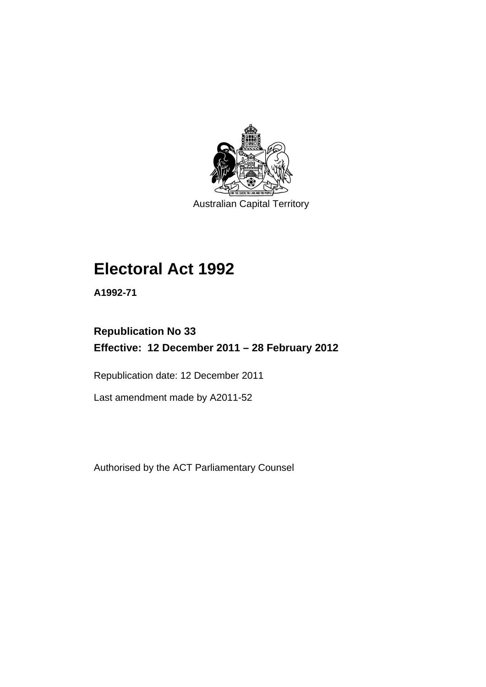

Australian Capital Territory

# **Electoral Act 1992**

**A1992-71** 

# **Republication No 33 Effective: 12 December 2011 – 28 February 2012**

Republication date: 12 December 2011

Last amendment made by A2011-52

Authorised by the ACT Parliamentary Counsel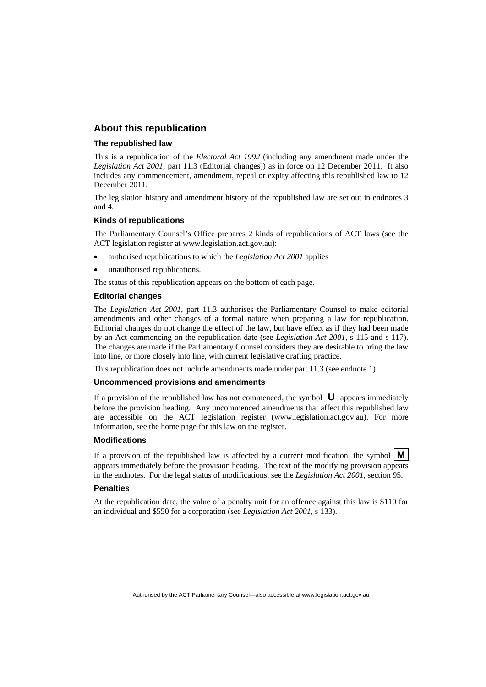#### **About this republication**

#### **The republished law**

This is a republication of the *Electoral Act 1992* (including any amendment made under the *Legislation Act 2001*, part 11.3 (Editorial changes)) as in force on 12 December 2011*.* It also includes any commencement, amendment, repeal or expiry affecting this republished law to 12 December 2011.

The legislation history and amendment history of the republished law are set out in endnotes 3 and 4.

#### **Kinds of republications**

The Parliamentary Counsel's Office prepares 2 kinds of republications of ACT laws (see the ACT legislation register at www.legislation.act.gov.au):

- authorised republications to which the *Legislation Act 2001* applies
- unauthorised republications.

The status of this republication appears on the bottom of each page.

#### **Editorial changes**

The *Legislation Act 2001*, part 11.3 authorises the Parliamentary Counsel to make editorial amendments and other changes of a formal nature when preparing a law for republication. Editorial changes do not change the effect of the law, but have effect as if they had been made by an Act commencing on the republication date (see *Legislation Act 2001*, s 115 and s 117). The changes are made if the Parliamentary Counsel considers they are desirable to bring the law into line, or more closely into line, with current legislative drafting practice.

This republication does not include amendments made under part 11.3 (see endnote 1).

#### **Uncommenced provisions and amendments**

If a provision of the republished law has not commenced, the symbol  $\mathbf{U}$  appears immediately before the provision heading. Any uncommenced amendments that affect this republished law are accessible on the ACT legislation register (www.legislation.act.gov.au). For more information, see the home page for this law on the register.

#### **Modifications**

If a provision of the republished law is affected by a current modification, the symbol  $\vert \mathbf{M} \vert$ appears immediately before the provision heading. The text of the modifying provision appears in the endnotes. For the legal status of modifications, see the *Legislation Act 2001*, section 95.

#### **Penalties**

At the republication date, the value of a penalty unit for an offence against this law is \$110 for an individual and \$550 for a corporation (see *Legislation Act 2001*, s 133).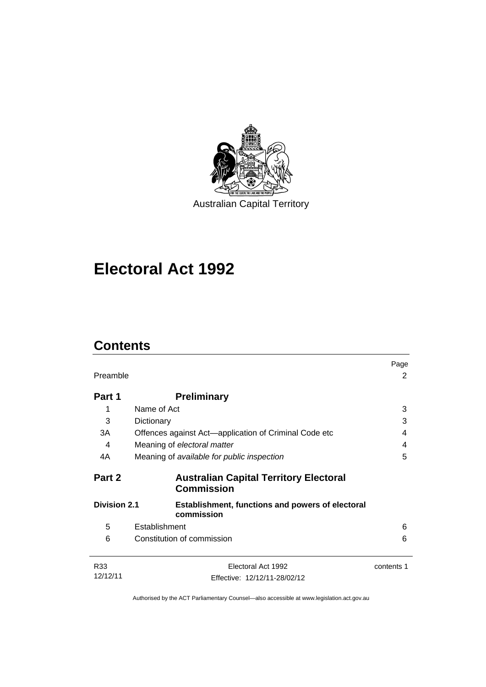

# **Electoral Act 1992**

# **Contents**

| Preamble            |                                                                       | Page<br>2  |
|---------------------|-----------------------------------------------------------------------|------------|
| Part 1              | <b>Preliminary</b>                                                    |            |
| 1                   | Name of Act                                                           | 3          |
| 3                   | Dictionary                                                            | 3          |
| 3A                  | Offences against Act-application of Criminal Code etc                 | 4          |
| 4                   | Meaning of electoral matter                                           | 4          |
| 4A                  | Meaning of available for public inspection                            | 5          |
| Part 2              | <b>Australian Capital Territory Electoral</b><br><b>Commission</b>    |            |
| <b>Division 2.1</b> | <b>Establishment, functions and powers of electoral</b><br>commission |            |
| 5                   | Establishment                                                         | 6          |
| 6                   | Constitution of commission                                            | 6          |
| R33                 | Electoral Act 1992                                                    | contents 1 |
| 12/12/11            | Effective: 12/12/11-28/02/12                                          |            |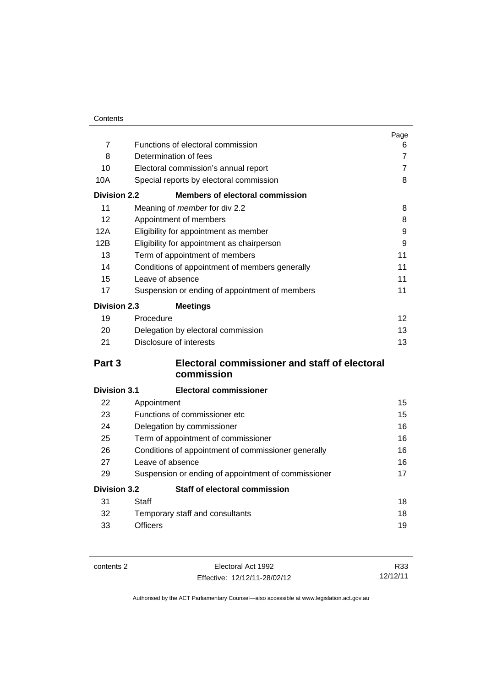|                     |                                                     | Page           |
|---------------------|-----------------------------------------------------|----------------|
| $\overline{7}$      | Functions of electoral commission                   | 6              |
| 8                   | Determination of fees                               | $\overline{7}$ |
| 10                  | Electoral commission's annual report                | $\overline{7}$ |
| 10A                 | Special reports by electoral commission             | 8              |
| <b>Division 2.2</b> | <b>Members of electoral commission</b>              |                |
| 11                  | Meaning of member for div 2.2                       | 8              |
| 12                  | Appointment of members                              | 8              |
| 12A                 | Eligibility for appointment as member               | 9              |
| 12B                 | Eligibility for appointment as chairperson          | 9              |
| 13                  | Term of appointment of members                      | 11             |
| 14                  | Conditions of appointment of members generally      | 11             |
| 15                  | Leave of absence                                    | 11             |
| 17                  | Suspension or ending of appointment of members      | 11             |
| <b>Division 2.3</b> | <b>Meetings</b>                                     |                |
| 19                  | Procedure                                           | 12             |
| 20                  | Delegation by electoral commission                  | 13             |
| 21                  | Disclosure of interests                             | 13             |
| Part 3              | Electoral commissioner and staff of electoral       |                |
|                     | commission                                          |                |
| <b>Division 3.1</b> | <b>Electoral commissioner</b>                       |                |
| 22                  | Appointment                                         | 15             |
| 23                  | Functions of commissioner etc                       | 15             |
| 24                  | Delegation by commissioner                          | 16             |
| 25                  | Term of appointment of commissioner                 | 16             |
| 26                  | Conditions of appointment of commissioner generally | 16             |
| 27                  | Leave of absence                                    | 16             |
| 29                  | Suspension or ending of appointment of commissioner | 17             |
| <b>Division 3.2</b> | <b>Staff of electoral commission</b>                |                |
| 31                  | Staff                                               | 18             |
| 32                  | Temporary staff and consultants                     | 18             |
| 33                  | <b>Officers</b>                                     | 19             |

contents 2 Electoral Act 1992 Effective: 12/12/11-28/02/12

R33 12/12/11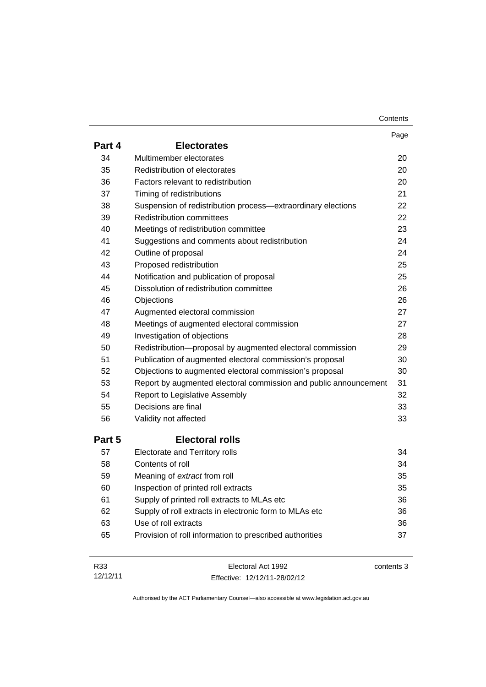| Contents |
|----------|
|----------|

|        |                                                                  | Page       |
|--------|------------------------------------------------------------------|------------|
| Part 4 | <b>Electorates</b>                                               |            |
| 34     | Multimember electorates                                          | 20         |
| 35     | Redistribution of electorates                                    | 20         |
| 36     | Factors relevant to redistribution                               | 20         |
| 37     | Timing of redistributions                                        | 21         |
| 38     | Suspension of redistribution process—extraordinary elections     | 22         |
| 39     | <b>Redistribution committees</b>                                 | 22         |
| 40     | Meetings of redistribution committee                             | 23         |
| 41     | Suggestions and comments about redistribution                    | 24         |
| 42     | Outline of proposal                                              | 24         |
| 43     | Proposed redistribution                                          | 25         |
| 44     | Notification and publication of proposal                         | 25         |
| 45     | Dissolution of redistribution committee                          | 26         |
| 46     | Objections                                                       | 26         |
| 47     | Augmented electoral commission                                   | 27         |
| 48     | Meetings of augmented electoral commission                       | 27         |
| 49     | Investigation of objections                                      | 28         |
| 50     | Redistribution-proposal by augmented electoral commission        | 29         |
| 51     | Publication of augmented electoral commission's proposal         | 30         |
| 52     | Objections to augmented electoral commission's proposal          | 30         |
| 53     | Report by augmented electoral commission and public announcement | 31         |
| 54     | Report to Legislative Assembly                                   | 32         |
| 55     | Decisions are final                                              | 33         |
| 56     | Validity not affected                                            | 33         |
| Part 5 | <b>Electoral rolls</b>                                           |            |
| 57     | Electorate and Territory rolls                                   | 34         |
| 58     | Contents of roll                                                 | 34         |
| 59     | Meaning of extract from roll                                     | 35         |
| 60     | Inspection of printed roll extracts                              | 35         |
| 61     | Supply of printed roll extracts to MLAs etc                      | 36         |
| 62     | Supply of roll extracts in electronic form to MLAs etc           | 36         |
| 63     | Use of roll extracts                                             | 36         |
| 65     | Provision of roll information to prescribed authorities          | 37         |
| R33    | Electoral Act 1992                                               | contents 3 |

Effective: 12/12/11-28/02/12

12/12/11

contents 3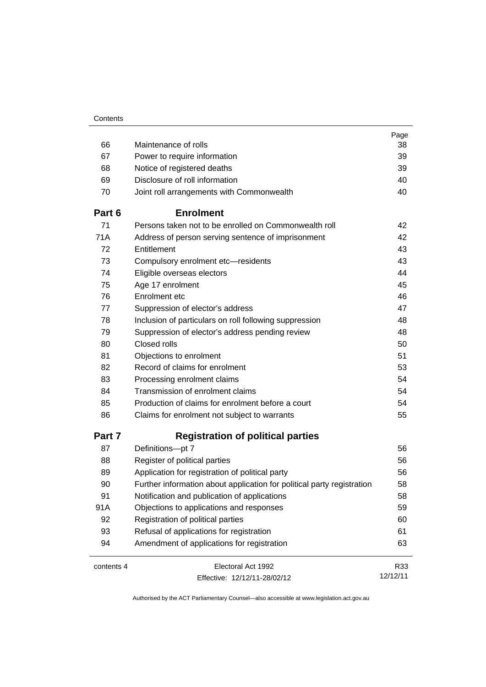|            |                                                                        | Page     |
|------------|------------------------------------------------------------------------|----------|
| 66         | Maintenance of rolls                                                   | 38       |
| 67         | Power to require information                                           | 39       |
| 68         | Notice of registered deaths                                            | 39       |
| 69         | Disclosure of roll information                                         | 40       |
| 70         | Joint roll arrangements with Commonwealth                              | 40       |
| Part 6     | <b>Enrolment</b>                                                       |          |
| 71         | Persons taken not to be enrolled on Commonwealth roll                  | 42       |
| 71A        | Address of person serving sentence of imprisonment                     | 42       |
| 72         | Entitlement                                                            | 43       |
| 73         | Compulsory enrolment etc-residents                                     | 43       |
| 74         | Eligible overseas electors                                             | 44       |
| 75         | Age 17 enrolment                                                       | 45       |
| 76         | Enrolment etc                                                          | 46       |
| 77         | Suppression of elector's address                                       | 47       |
| 78         | Inclusion of particulars on roll following suppression                 | 48       |
| 79         | Suppression of elector's address pending review                        | 48       |
| 80         | Closed rolls                                                           | 50       |
| 81         | Objections to enrolment                                                | 51       |
| 82         | Record of claims for enrolment                                         | 53       |
| 83         | Processing enrolment claims                                            | 54       |
| 84         | Transmission of enrolment claims                                       | 54       |
| 85         | Production of claims for enrolment before a court                      | 54       |
| 86         | Claims for enrolment not subject to warrants                           | 55       |
| Part 7     | <b>Registration of political parties</b>                               |          |
| 87         | Definitions-pt 7                                                       | 56       |
| 88         | Register of political parties                                          | 56       |
| 89         | Application for registration of political party                        | 56       |
| 90         | Further information about application for political party registration | 58       |
| 91         | Notification and publication of applications                           | 58       |
| 91A        | Objections to applications and responses                               | 59       |
| 92         | Registration of political parties                                      | 60       |
| 93         | Refusal of applications for registration                               | 61       |
| 94         | Amendment of applications for registration                             | 63       |
| contents 4 | Electoral Act 1992                                                     | R33      |
|            | Effective: 12/12/11-28/02/12                                           | 12/12/11 |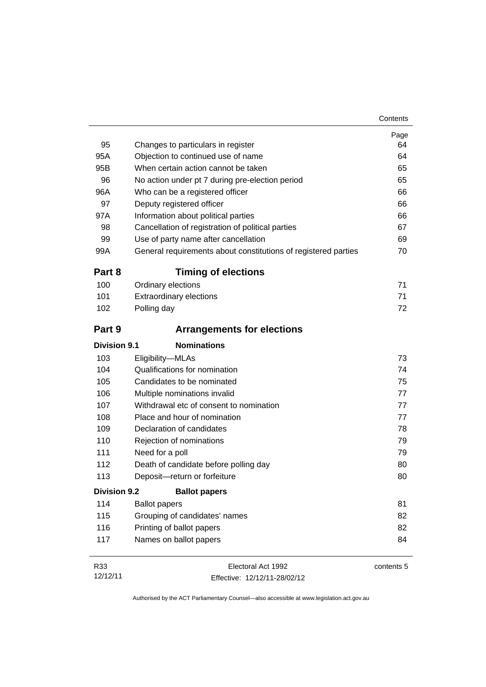| 95                  | Changes to particulars in register                             | Page<br>64 |
|---------------------|----------------------------------------------------------------|------------|
| 95A                 | Objection to continued use of name                             | 64         |
| 95B                 | When certain action cannot be taken                            | 65         |
| 96                  | No action under pt 7 during pre-election period                | 65         |
| 96A                 | Who can be a registered officer                                | 66         |
| 97                  | Deputy registered officer                                      | 66         |
| 97A                 | Information about political parties                            | 66         |
| 98                  | Cancellation of registration of political parties              | 67         |
| 99                  | Use of party name after cancellation                           | 69         |
| 99A                 | General requirements about constitutions of registered parties | 70         |
| Part 8              | <b>Timing of elections</b>                                     |            |
| 100                 | Ordinary elections                                             | 71         |
| 101                 | <b>Extraordinary elections</b>                                 | 71         |
| 102                 | Polling day                                                    | 72         |
| Part 9              | <b>Arrangements for elections</b>                              |            |
| <b>Division 9.1</b> | <b>Nominations</b>                                             |            |
| 103                 | Eligibility-MLAs                                               | 73         |
| 104                 | Qualifications for nomination                                  | 74         |
| 105                 | Candidates to be nominated                                     | 75         |
| 106                 | Multiple nominations invalid                                   | 77         |
| 107                 | Withdrawal etc of consent to nomination                        | 77         |
| 108                 | Place and hour of nomination                                   | 77         |
| 109                 | Declaration of candidates                                      | 78         |
| 110                 | Rejection of nominations                                       | 79         |
| 111                 | Need for a poll                                                | 79         |
| 112                 | Death of candidate before polling day                          | 80         |
| 113                 | Deposit-return or forfeiture                                   | 80         |
| <b>Division 9.2</b> | <b>Ballot papers</b>                                           |            |
| 114                 | <b>Ballot papers</b>                                           | 81         |
| 115                 | Grouping of candidates' names                                  | 82         |
| 116                 | Printing of ballot papers                                      | 82         |
| 117                 | Names on ballot papers                                         | 84         |
| R33                 | Electoral Act 1992                                             | contents 5 |

Effective: 12/12/11-28/02/12

12/12/11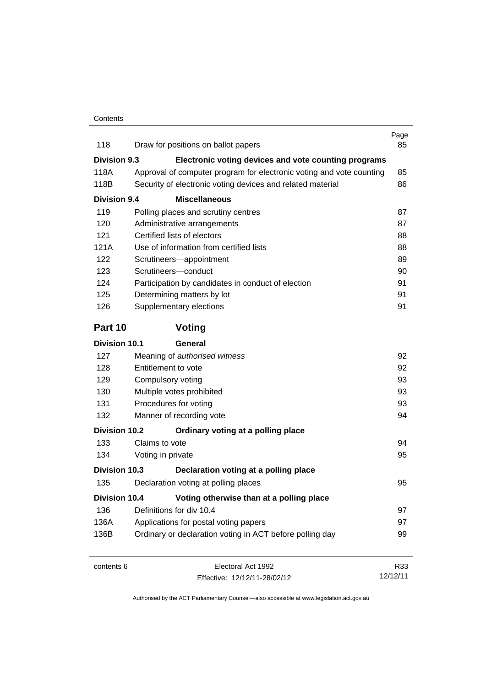| 118                  | Draw for positions on ballot papers                                  | Page<br>85 |
|----------------------|----------------------------------------------------------------------|------------|
| Division 9.3         | Electronic voting devices and vote counting programs                 |            |
| 118A                 | Approval of computer program for electronic voting and vote counting | 85         |
| 118B                 | Security of electronic voting devices and related material           | 86         |
| <b>Division 9.4</b>  | <b>Miscellaneous</b>                                                 |            |
| 119                  | Polling places and scrutiny centres                                  | 87         |
| 120                  | Administrative arrangements                                          | 87         |
| 121                  | Certified lists of electors                                          | 88         |
| 121A                 | Use of information from certified lists                              | 88         |
| 122                  | Scrutineers-appointment                                              | 89         |
| 123                  | Scrutineers-conduct                                                  | 90         |
| 124                  | Participation by candidates in conduct of election                   | 91         |
| 125                  | Determining matters by lot                                           | 91         |
| 126                  | Supplementary elections                                              | 91         |
| Part 10              | Voting                                                               |            |
| Division 10.1        | General                                                              |            |
| 127                  | Meaning of authorised witness                                        | 92         |
| 128                  | Entitlement to vote                                                  | 92         |
| 129                  | Compulsory voting                                                    | 93         |
| 130                  | Multiple votes prohibited                                            | 93         |
| 131                  | Procedures for voting                                                | 93         |
| 132                  | Manner of recording vote                                             | 94         |
| Division 10.2        | Ordinary voting at a polling place                                   |            |
| 133                  | Claims to vote                                                       | 94         |
| 134                  | Voting in private                                                    | 95         |
| Division 10.3        | Declaration voting at a polling place                                |            |
| 135                  | Declaration voting at polling places                                 | 95         |
| <b>Division 10.4</b> | Voting otherwise than at a polling place                             |            |
| 136                  | Definitions for div 10.4                                             | 97         |
| 136A                 | Applications for postal voting papers                                | 97         |
| 136B                 | Ordinary or declaration voting in ACT before polling day             | 99         |
| contents 6           | Electoral Act 1992                                                   | R33        |
|                      | Effective: 12/12/11-28/02/12                                         | 12/12/11   |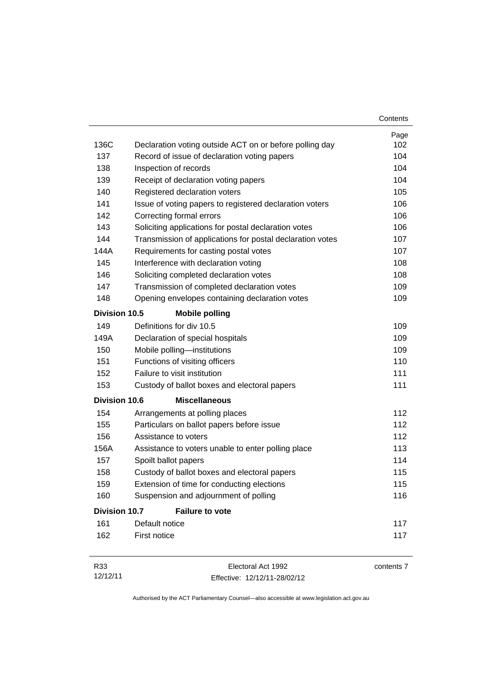|                      |                                                           | Contents   |
|----------------------|-----------------------------------------------------------|------------|
|                      |                                                           | Page       |
| 136C                 | Declaration voting outside ACT on or before polling day   | 102        |
| 137                  | Record of issue of declaration voting papers              | 104        |
| 138                  | Inspection of records                                     | 104        |
| 139                  | Receipt of declaration voting papers                      | 104        |
| 140                  | Registered declaration voters                             | 105        |
| 141                  | Issue of voting papers to registered declaration voters   | 106        |
| 142                  | Correcting formal errors                                  | 106        |
| 143                  | Soliciting applications for postal declaration votes      | 106        |
| 144                  | Transmission of applications for postal declaration votes | 107        |
| 144A                 | Requirements for casting postal votes                     | 107        |
| 145                  | Interference with declaration voting                      | 108        |
| 146                  | Soliciting completed declaration votes                    | 108        |
| 147                  | Transmission of completed declaration votes               | 109        |
| 148                  | Opening envelopes containing declaration votes            | 109        |
| <b>Division 10.5</b> | <b>Mobile polling</b>                                     |            |
| 149                  | Definitions for div 10.5                                  | 109        |
| 149A                 | Declaration of special hospitals                          | 109        |
| 150                  | Mobile polling-institutions                               | 109        |
| 151                  | Functions of visiting officers                            | 110        |
| 152                  | Failure to visit institution                              | 111        |
| 153                  | Custody of ballot boxes and electoral papers              | 111        |
| <b>Division 10.6</b> | <b>Miscellaneous</b>                                      |            |
| 154                  | Arrangements at polling places                            | 112        |
| 155                  | Particulars on ballot papers before issue                 | 112        |
| 156                  | Assistance to voters                                      | 112        |
| 156A                 | Assistance to voters unable to enter polling place        | 113        |
| 157                  | Spoilt ballot papers                                      | 114        |
| 158                  | Custody of ballot boxes and electoral papers              | 115        |
| 159                  | Extension of time for conducting elections                | 115        |
| 160                  | Suspension and adjournment of polling                     | 116        |
| <b>Division 10.7</b> | <b>Failure to vote</b>                                    |            |
| 161                  | Default notice                                            | 117        |
| 162                  | First notice                                              | 117        |
| R33                  | Electoral Act 1992                                        | contents 7 |

Effective: 12/12/11-28/02/12

12/12/11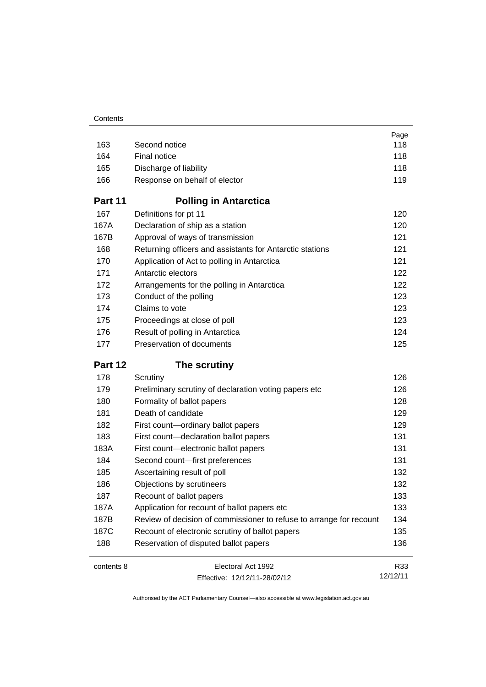|            |                                                                     | Page     |
|------------|---------------------------------------------------------------------|----------|
| 163        | Second notice                                                       | 118      |
| 164        | Final notice                                                        | 118      |
| 165        | Discharge of liability                                              | 118      |
| 166        | Response on behalf of elector                                       | 119      |
| Part 11    | <b>Polling in Antarctica</b>                                        |          |
| 167        | Definitions for pt 11                                               | 120      |
| 167A       | Declaration of ship as a station                                    | 120      |
| 167B       | Approval of ways of transmission                                    | 121      |
| 168        | Returning officers and assistants for Antarctic stations            | 121      |
| 170        | Application of Act to polling in Antarctica                         | 121      |
| 171        | Antarctic electors                                                  | 122      |
| 172        | Arrangements for the polling in Antarctica                          | 122      |
| 173        | Conduct of the polling                                              | 123      |
| 174        | Claims to vote                                                      | 123      |
| 175        | Proceedings at close of poll                                        | 123      |
| 176        | Result of polling in Antarctica                                     | 124      |
| 177        | Preservation of documents                                           | 125      |
| Part 12    | The scrutiny                                                        |          |
| 178        | Scrutiny                                                            | 126      |
| 179        | Preliminary scrutiny of declaration voting papers etc               | 126      |
| 180        | Formality of ballot papers                                          | 128      |
| 181        | Death of candidate                                                  | 129      |
| 182        | First count-ordinary ballot papers                                  | 129      |
| 183        | First count-declaration ballot papers                               | 131      |
| 183A       | First count-electronic ballot papers                                | 131      |
| 184        | Second count-first preferences                                      | 131      |
| 185        | Ascertaining result of poll                                         | 132      |
| 186        | Objections by scrutineers                                           | 132      |
| 187        | Recount of ballot papers                                            | 133      |
| 187A       | Application for recount of ballot papers etc                        | 133      |
| 187B       | Review of decision of commissioner to refuse to arrange for recount | 134      |
| 187C       | Recount of electronic scrutiny of ballot papers                     | 135      |
| 188        | Reservation of disputed ballot papers                               | 136      |
| contents 8 | Electoral Act 1992                                                  | R33      |
|            | Effective: 12/12/11-28/02/12                                        | 12/12/11 |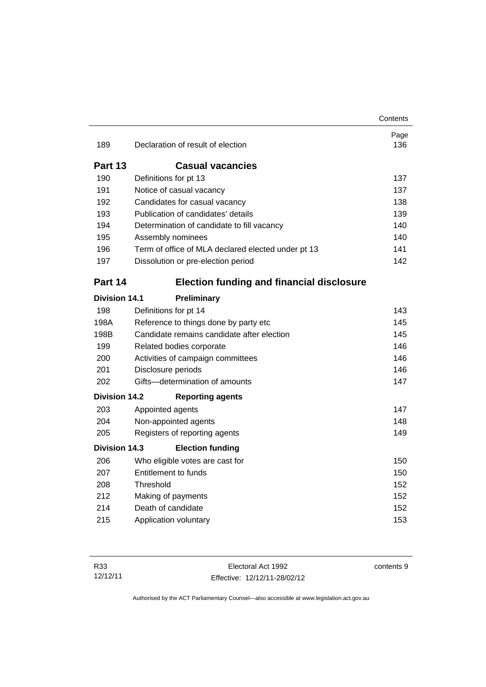|                      |                                                    | Contents    |
|----------------------|----------------------------------------------------|-------------|
| 189                  | Declaration of result of election                  | Page<br>136 |
|                      |                                                    |             |
| Part 13              | <b>Casual vacancies</b>                            |             |
| 190                  | Definitions for pt 13                              | 137         |
| 191                  | Notice of casual vacancy                           | 137         |
| 192                  | Candidates for casual vacancy                      | 138         |
| 193                  | Publication of candidates' details                 | 139         |
| 194                  | Determination of candidate to fill vacancy         | 140         |
| 195                  | Assembly nominees                                  | 140         |
| 196                  | Term of office of MLA declared elected under pt 13 | 141         |
| 197                  | Dissolution or pre-election period                 | 142         |
| Part 14              | <b>Election funding and financial disclosure</b>   |             |
| <b>Division 14.1</b> | Preliminary                                        |             |
| 198                  | Definitions for pt 14                              | 143         |
| 198A                 | Reference to things done by party etc              | 145         |
| 198B                 | Candidate remains candidate after election         | 145         |
| 199                  | Related bodies corporate                           | 146         |
| 200                  | Activities of campaign committees                  | 146         |
| 201                  | Disclosure periods                                 | 146         |
| 202                  | Gifts-determination of amounts                     | 147         |
| <b>Division 14.2</b> | <b>Reporting agents</b>                            |             |
| 203                  | Appointed agents                                   | 147         |
| 204                  | Non-appointed agents                               | 148         |
| 205                  | Registers of reporting agents                      | 149         |
| Division 14.3        | <b>Election funding</b>                            |             |
| 206                  | Who eligible votes are cast for                    | 150         |
| 207                  | <b>Entitlement to funds</b>                        | 150         |
| 208                  | Threshold                                          | 152         |
| 212                  | Making of payments                                 | 152         |
| 214                  | Death of candidate                                 | 152         |
| 215                  | Application voluntary                              | 153         |
|                      |                                                    |             |

contents 9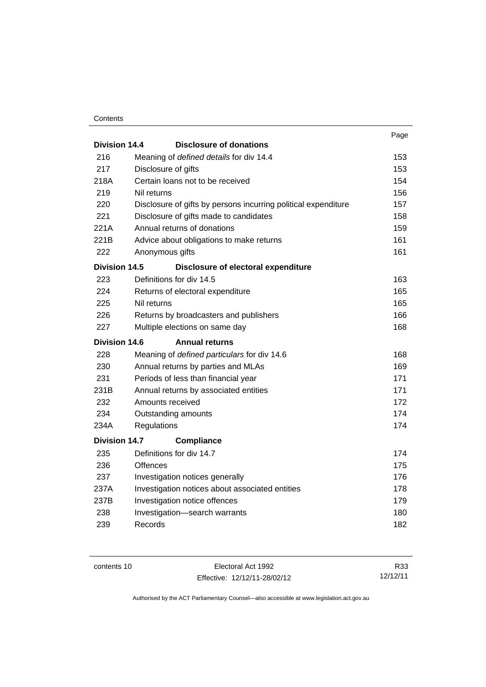#### **Contents**

|                      |                                                                | Page |
|----------------------|----------------------------------------------------------------|------|
| Division 14.4        | <b>Disclosure of donations</b>                                 |      |
| 216                  | Meaning of defined details for div 14.4                        | 153  |
| 217                  | Disclosure of gifts                                            | 153  |
| 218A                 | Certain loans not to be received                               | 154  |
| 219                  | Nil returns                                                    | 156  |
| 220                  | Disclosure of gifts by persons incurring political expenditure | 157  |
| 221                  | Disclosure of gifts made to candidates                         | 158  |
| 221A                 | Annual returns of donations                                    | 159  |
| 221B                 | Advice about obligations to make returns                       | 161  |
| 222                  | Anonymous gifts                                                | 161  |
| <b>Division 14.5</b> | Disclosure of electoral expenditure                            |      |
| 223                  | Definitions for div 14.5                                       | 163  |
| 224                  | Returns of electoral expenditure                               | 165  |
| 225                  | Nil returns                                                    | 165  |
| 226                  | Returns by broadcasters and publishers                         | 166  |
| 227                  | Multiple elections on same day                                 | 168  |
| <b>Division 14.6</b> | <b>Annual returns</b>                                          |      |
| 228                  | Meaning of defined particulars for div 14.6                    | 168  |
| 230                  | Annual returns by parties and MLAs                             | 169  |
| 231                  | Periods of less than financial year                            | 171  |
| 231B                 | Annual returns by associated entities                          | 171  |
| 232                  | Amounts received                                               | 172  |
| 234                  | Outstanding amounts                                            | 174  |
| 234A                 | Regulations                                                    | 174  |
| <b>Division 14.7</b> | <b>Compliance</b>                                              |      |
| 235                  | Definitions for div 14.7                                       | 174  |
| 236                  | <b>Offences</b>                                                | 175  |
| 237                  | Investigation notices generally                                | 176  |
| 237A                 | Investigation notices about associated entities                | 178  |
| 237B                 | Investigation notice offences                                  | 179  |
| 238                  | Investigation-search warrants                                  | 180  |
|                      |                                                                |      |
| 239                  | Records                                                        | 182  |

contents 10 Electoral Act 1992 Effective: 12/12/11-28/02/12

R33 12/12/11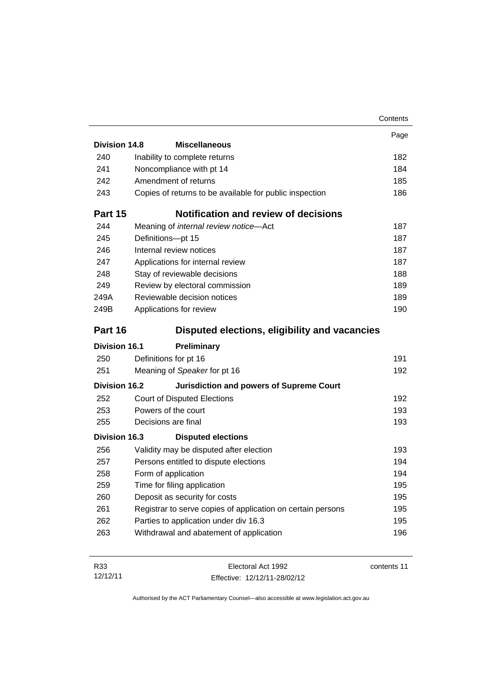|                      |                                                             | Contents    |
|----------------------|-------------------------------------------------------------|-------------|
|                      |                                                             | Page        |
| Division 14.8        | <b>Miscellaneous</b>                                        |             |
| 240                  | Inability to complete returns                               | 182         |
| 241                  | Noncompliance with pt 14                                    | 184         |
| 242                  | Amendment of returns                                        | 185         |
| 243                  | Copies of returns to be available for public inspection     | 186         |
| Part 15              | Notification and review of decisions                        |             |
| 244                  | Meaning of internal review notice-Act                       | 187         |
| 245                  | Definitions-pt 15                                           | 187         |
| 246                  | Internal review notices                                     | 187         |
| 247                  | Applications for internal review                            | 187         |
| 248                  | Stay of reviewable decisions                                | 188         |
| 249                  | Review by electoral commission                              | 189         |
| 249A                 | Reviewable decision notices                                 | 189         |
| 249B                 | Applications for review                                     | 190         |
| Part 16              | Disputed elections, eligibility and vacancies               |             |
| <b>Division 16.1</b> | Preliminary                                                 |             |
| 250                  | Definitions for pt 16                                       | 191         |
| 251                  | Meaning of Speaker for pt 16                                | 192         |
| Division 16.2        | <b>Jurisdiction and powers of Supreme Court</b>             |             |
| 252                  | <b>Court of Disputed Elections</b>                          | 192         |
| 253                  | Powers of the court                                         | 193         |
| 255                  | Decisions are final                                         | 193         |
| Division 16.3        | <b>Disputed elections</b>                                   |             |
| 256                  | Validity may be disputed after election                     | 193         |
| 257                  | Persons entitled to dispute elections                       | 194         |
| 258                  | Form of application                                         | 194         |
| 259                  | Time for filing application                                 | 195         |
| 260                  | Deposit as security for costs                               | 195         |
| 261                  | Registrar to serve copies of application on certain persons | 195         |
| 262                  | Parties to application under div 16.3                       | 195         |
| 263                  | Withdrawal and abatement of application                     | 196         |
|                      |                                                             |             |
| R33                  | Electoral Act 1992                                          | contents 11 |

Effective: 12/12/11-28/02/12

12/12/11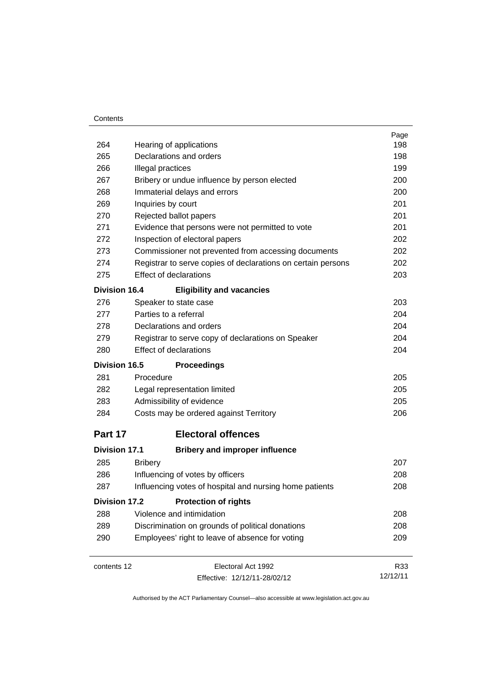#### **Contents**

|                      |                                                              | Page     |
|----------------------|--------------------------------------------------------------|----------|
| 264                  | Hearing of applications                                      | 198      |
| 265                  | Declarations and orders                                      | 198      |
| 266                  | Illegal practices                                            | 199      |
| 267                  | Bribery or undue influence by person elected                 | 200      |
| 268                  | Immaterial delays and errors                                 | 200      |
| 269                  | Inquiries by court                                           | 201      |
| 270                  | Rejected ballot papers                                       | 201      |
| 271                  | Evidence that persons were not permitted to vote             | 201      |
| 272                  | Inspection of electoral papers                               | 202      |
| 273                  | Commissioner not prevented from accessing documents          | 202      |
| 274                  | Registrar to serve copies of declarations on certain persons | 202      |
| 275                  | <b>Effect of declarations</b>                                | 203      |
| <b>Division 16.4</b> | <b>Eligibility and vacancies</b>                             |          |
| 276                  | Speaker to state case                                        | 203      |
| 277                  | Parties to a referral                                        | 204      |
| 278                  | Declarations and orders                                      | 204      |
| 279                  | Registrar to serve copy of declarations on Speaker           | 204      |
| 280                  | <b>Effect of declarations</b>                                | 204      |
| <b>Division 16.5</b> | <b>Proceedings</b>                                           |          |
| 281                  | Procedure                                                    | 205      |
| 282                  | Legal representation limited                                 | 205      |
| 283                  | Admissibility of evidence                                    | 205      |
| 284                  | Costs may be ordered against Territory                       | 206      |
| Part 17              | <b>Electoral offences</b>                                    |          |
| <b>Division 17.1</b> | <b>Bribery and improper influence</b>                        |          |
| 285                  | <b>Bribery</b>                                               | 207      |
| 286                  | Influencing of votes by officers                             | 208      |
| 287                  | Influencing votes of hospital and nursing home patients      | 208      |
| <b>Division 17.2</b> | <b>Protection of rights</b>                                  |          |
| 288                  | Violence and intimidation                                    | 208      |
| 289                  | Discrimination on grounds of political donations             | 208      |
| 290                  | Employees' right to leave of absence for voting              | 209      |
| contents 12          | Electoral Act 1992                                           | R33      |
|                      | Effective: 12/12/11-28/02/12                                 | 12/12/11 |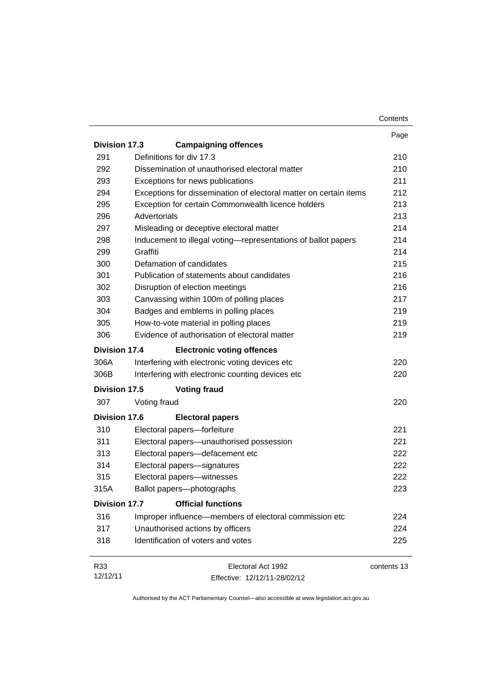|                      |                                                                   | Contents    |
|----------------------|-------------------------------------------------------------------|-------------|
|                      |                                                                   | Page        |
| <b>Division 17.3</b> | <b>Campaigning offences</b>                                       |             |
| 291                  | Definitions for div 17.3                                          | 210         |
| 292                  | Dissemination of unauthorised electoral matter                    | 210         |
| 293                  | Exceptions for news publications                                  | 211         |
| 294                  | Exceptions for dissemination of electoral matter on certain items | 212         |
| 295                  | Exception for certain Commonwealth licence holders                | 213         |
| 296                  | Advertorials                                                      | 213         |
| 297                  | Misleading or deceptive electoral matter                          | 214         |
| 298                  | Inducement to illegal voting-representations of ballot papers     | 214         |
| 299                  | Graffiti                                                          | 214         |
| 300                  | Defamation of candidates                                          | 215         |
| 301                  | Publication of statements about candidates                        | 216         |
| 302                  | Disruption of election meetings                                   | 216         |
| 303                  | Canvassing within 100m of polling places                          | 217         |
| 304                  | Badges and emblems in polling places                              | 219         |
| 305                  | How-to-vote material in polling places                            | 219         |
| 306                  | Evidence of authorisation of electoral matter                     | 219         |
| Division 17.4        | <b>Electronic voting offences</b>                                 |             |
| 306A                 | Interfering with electronic voting devices etc                    | 220         |
| 306B                 | Interfering with electronic counting devices etc                  | 220         |
| Division 17.5        | <b>Voting fraud</b>                                               |             |
| 307                  | Voting fraud                                                      | 220         |
| <b>Division 17.6</b> | <b>Electoral papers</b>                                           |             |
| 310                  | Electoral papers-forfeiture                                       | 221         |
| 311                  | Electoral papers-unauthorised possession                          | 221         |
| 313                  | Electoral papers-defacement etc                                   | 222         |
| 314                  | Electoral papers-signatures                                       | 222         |
| 315                  | Electoral papers-witnesses                                        | 222         |
| 315A                 | Ballot papers-photographs                                         | 223         |
| <b>Division 17.7</b> | <b>Official functions</b>                                         |             |
| 316                  | Improper influence-members of electoral commission etc            | 224         |
| 317                  | Unauthorised actions by officers                                  | 224         |
| 318                  | Identification of voters and votes                                | 225         |
| R33                  | Electoral Act 1992                                                | contents 13 |
| 12/12/11             | Effective: 12/12/11-28/02/12                                      |             |

Effective: 12/12/11-28/02/12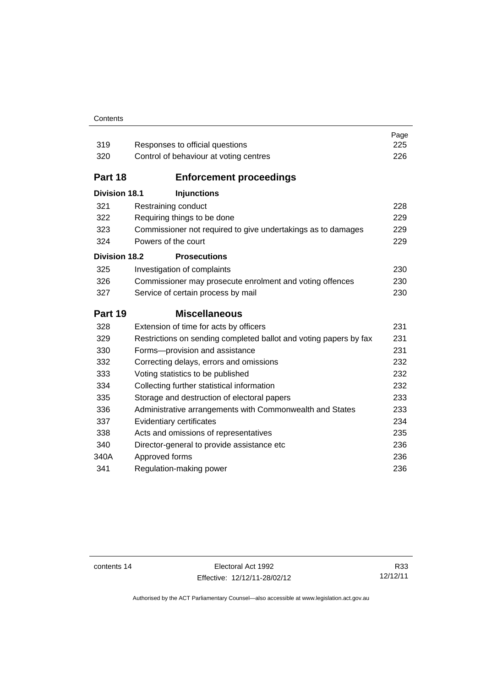#### **Contents**

| 319                  | Responses to official questions                                   | Page<br>225 |
|----------------------|-------------------------------------------------------------------|-------------|
| 320                  | Control of behaviour at voting centres                            | 226         |
|                      |                                                                   |             |
| Part 18              | <b>Enforcement proceedings</b>                                    |             |
| <b>Division 18.1</b> | <b>Injunctions</b>                                                |             |
| 321                  | Restraining conduct                                               | 228         |
| 322                  | Requiring things to be done                                       | 229         |
| 323                  | Commissioner not required to give undertakings as to damages      | 229         |
| 324                  | Powers of the court                                               | 229         |
| <b>Division 18.2</b> | <b>Prosecutions</b>                                               |             |
| 325                  | Investigation of complaints                                       | 230         |
| 326                  | Commissioner may prosecute enrolment and voting offences          | 230         |
| 327                  | Service of certain process by mail                                | 230         |
| Part 19              | <b>Miscellaneous</b>                                              |             |
| 328                  |                                                                   |             |
|                      | Extension of time for acts by officers                            | 231         |
| 329                  | Restrictions on sending completed ballot and voting papers by fax | 231         |
| 330                  | Forms-provision and assistance                                    | 231         |
| 332                  | Correcting delays, errors and omissions                           | 232         |
| 333                  | Voting statistics to be published                                 | 232         |
| 334                  | Collecting further statistical information                        | 232         |
| 335                  | Storage and destruction of electoral papers                       | 233         |
| 336                  | Administrative arrangements with Commonwealth and States          | 233         |
| 337                  | Evidentiary certificates                                          | 234         |
| 338                  | Acts and omissions of representatives                             | 235         |
| 340                  | Director-general to provide assistance etc                        | 236         |
| 340A                 | Approved forms<br>Regulation-making power                         | 236<br>236  |

contents 14 Electoral Act 1992 Effective: 12/12/11-28/02/12

R33 12/12/11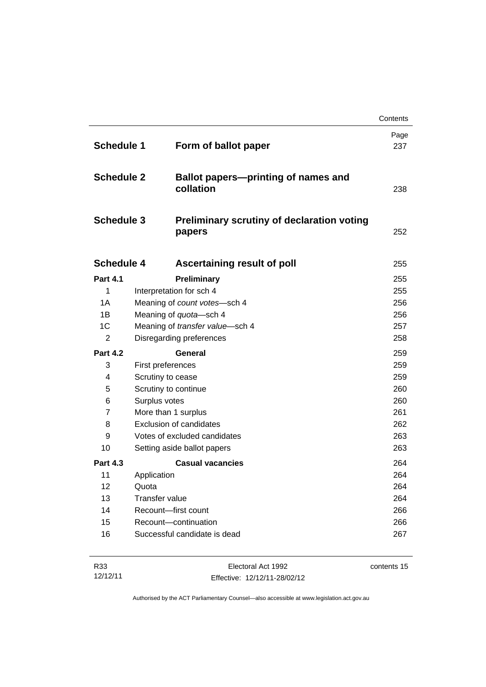|                   |                                                             | Contents    |
|-------------------|-------------------------------------------------------------|-------------|
| <b>Schedule 1</b> | Form of ballot paper                                        | Page<br>237 |
| <b>Schedule 2</b> | <b>Ballot papers-printing of names and</b><br>collation     | 238         |
| <b>Schedule 3</b> | <b>Preliminary scrutiny of declaration voting</b><br>papers | 252         |
| <b>Schedule 4</b> | Ascertaining result of poll                                 | 255         |
| <b>Part 4.1</b>   | Preliminary                                                 | 255         |
| 1                 | Interpretation for sch 4                                    | 255         |
| 1A                | Meaning of count votes-sch 4                                | 256         |
| 1B                | Meaning of quota-sch 4                                      | 256         |
| 1 <sup>C</sup>    | Meaning of transfer value-sch 4                             | 257         |
| 2                 | Disregarding preferences                                    | 258         |
| <b>Part 4.2</b>   | General                                                     | 259         |
| 3                 | First preferences                                           | 259         |
| 4                 | Scrutiny to cease                                           | 259         |
| 5                 | Scrutiny to continue                                        | 260         |
| 6                 | Surplus votes                                               | 260         |
| 7                 | More than 1 surplus                                         | 261         |
| 8                 | <b>Exclusion of candidates</b>                              | 262         |
| 9                 | Votes of excluded candidates                                | 263         |
| 10                | Setting aside ballot papers                                 | 263         |
| <b>Part 4.3</b>   | <b>Casual vacancies</b>                                     | 264         |
| 11                | Application                                                 | 264         |
| 12                | Quota                                                       | 264         |
| 13                | Transfer value                                              | 264         |
| 14                | Recount-first count                                         | 266         |
| 15                | Recount-continuation                                        | 266         |
| 16                | Successful candidate is dead                                | 267         |

| R33      | Electoral Act 1992           | contents 15 |
|----------|------------------------------|-------------|
| 12/12/11 | Effective: 12/12/11-28/02/12 |             |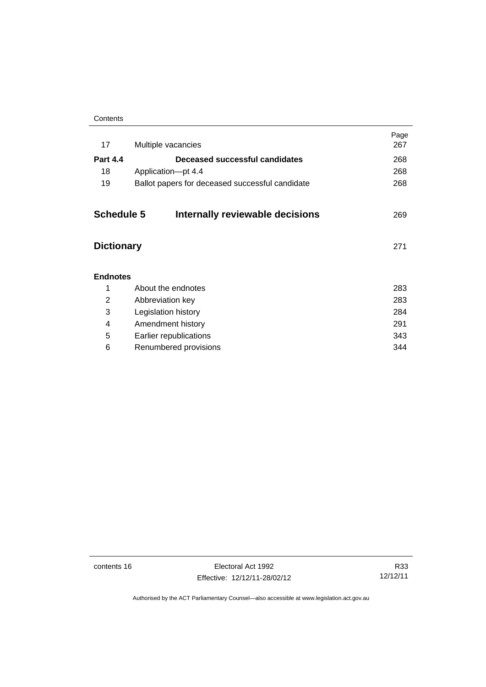| Contents |
|----------|
|----------|

| 17                | Multiple vacancies                              | Page<br>267 |
|-------------------|-------------------------------------------------|-------------|
| <b>Part 4.4</b>   | Deceased successful candidates                  | 268         |
| 18                | Application-pt 4.4                              | 268         |
| 19                | Ballot papers for deceased successful candidate | 268         |
| <b>Schedule 5</b> | Internally reviewable decisions                 | 269         |
| <b>Dictionary</b> |                                                 | 271         |
| <b>Endnotes</b>   |                                                 |             |
| 1                 | About the endnotes                              | 283         |
| 2                 | Abbreviation key                                | 283         |
| 3                 | Legislation history                             | 284         |
| 4                 | Amendment history                               | 291         |
| 5                 | Earlier republications                          | 343         |
| 6                 | Renumbered provisions                           | 344         |
|                   |                                                 |             |

contents 16 Electoral Act 1992 Effective: 12/12/11-28/02/12

R33 12/12/11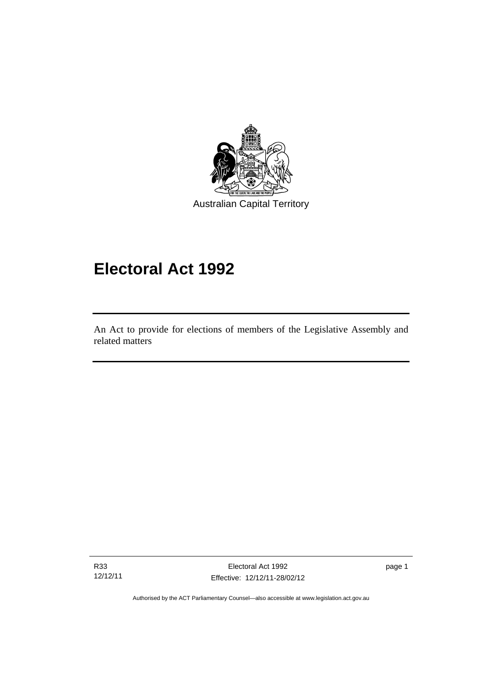

# **Electoral Act 1992**

An Act to provide for elections of members of the Legislative Assembly and related matters

R33 12/12/11

I

Electoral Act 1992 Effective: 12/12/11-28/02/12 page 1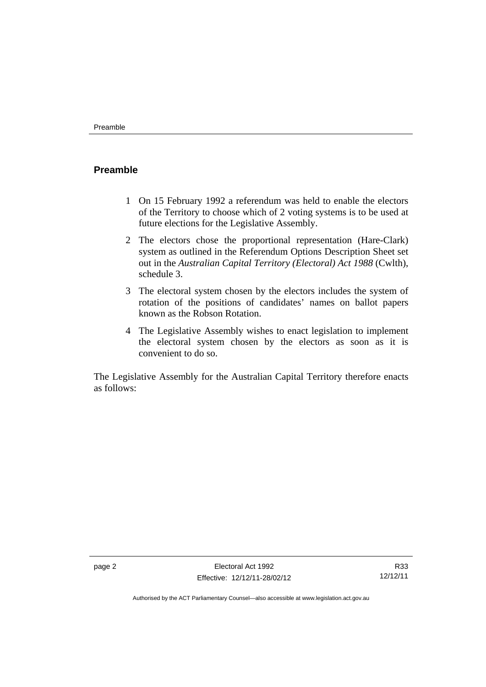### <span id="page-19-0"></span>**Preamble**

- 1 On 15 February 1992 a referendum was held to enable the electors of the Territory to choose which of 2 voting systems is to be used at future elections for the Legislative Assembly.
- 2 The electors chose the proportional representation (Hare-Clark) system as outlined in the Referendum Options Description Sheet set out in the *Australian Capital Territory (Electoral) Act 1988* (Cwlth), schedule 3.
- 3 The electoral system chosen by the electors includes the system of rotation of the positions of candidates' names on ballot papers known as the Robson Rotation.
- 4 The Legislative Assembly wishes to enact legislation to implement the electoral system chosen by the electors as soon as it is convenient to do so.

The Legislative Assembly for the Australian Capital Territory therefore enacts as follows: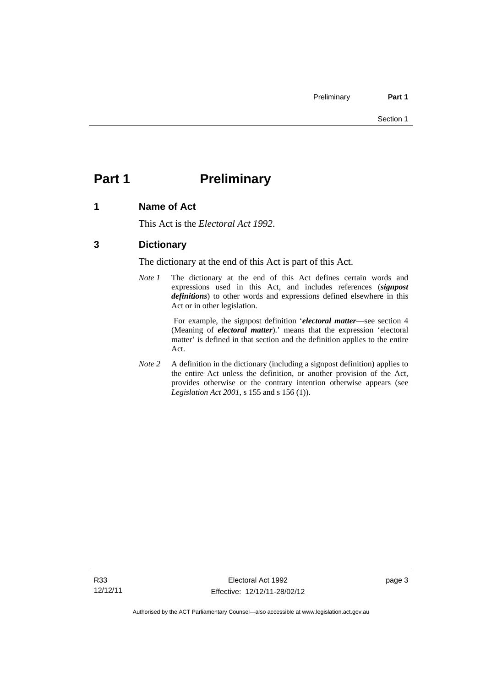# <span id="page-20-0"></span>**Part 1** Preliminary

#### <span id="page-20-1"></span>**1 Name of Act**

This Act is the *Electoral Act 1992*.

### <span id="page-20-2"></span>**3 Dictionary**

The dictionary at the end of this Act is part of this Act.

*Note 1* The dictionary at the end of this Act defines certain words and expressions used in this Act, and includes references (*signpost definitions*) to other words and expressions defined elsewhere in this Act or in other legislation.

> For example, the signpost definition '*electoral matter*—see section 4 (Meaning of *electoral matter*).' means that the expression 'electoral matter' is defined in that section and the definition applies to the entire Act.

*Note 2* A definition in the dictionary (including a signpost definition) applies to the entire Act unless the definition, or another provision of the Act, provides otherwise or the contrary intention otherwise appears (see *Legislation Act 2001*, s 155 and s 156 (1)).

page 3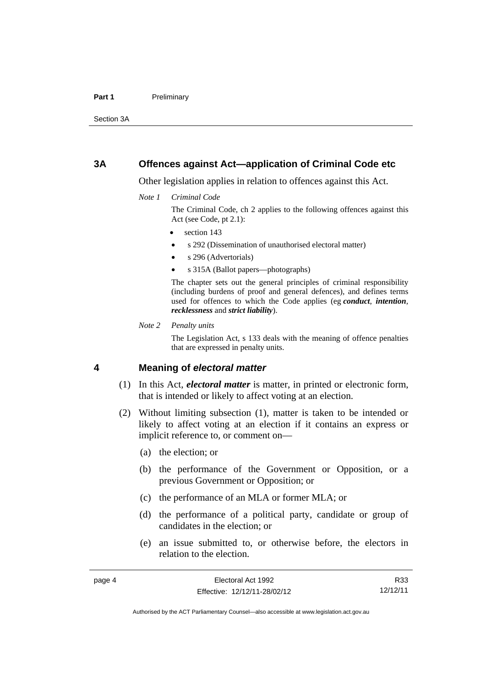#### Part 1 **Preliminary**

Section 3A

#### <span id="page-21-0"></span>**3A Offences against Act—application of Criminal Code etc**

Other legislation applies in relation to offences against this Act.

*Note 1 Criminal Code*

The Criminal Code, ch 2 applies to the following offences against this Act (see Code, pt 2.1):

- section 143
- s 292 (Dissemination of unauthorised electoral matter)
- s 296 (Advertorials)
- s 315A (Ballot papers—photographs)

The chapter sets out the general principles of criminal responsibility (including burdens of proof and general defences), and defines terms used for offences to which the Code applies (eg *conduct*, *intention*, *recklessness* and *strict liability*).

*Note 2 Penalty units* 

The Legislation Act, s 133 deals with the meaning of offence penalties that are expressed in penalty units.

#### <span id="page-21-1"></span>**4 Meaning of** *electoral matter*

- (1) In this Act, *electoral matter* is matter, in printed or electronic form, that is intended or likely to affect voting at an election.
- (2) Without limiting subsection (1), matter is taken to be intended or likely to affect voting at an election if it contains an express or implicit reference to, or comment on—
	- (a) the election; or
	- (b) the performance of the Government or Opposition, or a previous Government or Opposition; or
	- (c) the performance of an MLA or former MLA; or
	- (d) the performance of a political party, candidate or group of candidates in the election; or
	- (e) an issue submitted to, or otherwise before, the electors in relation to the election.

R33 12/12/11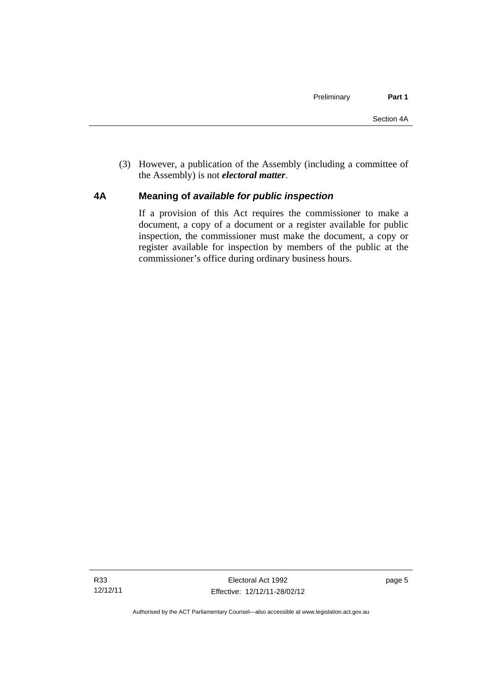(3) However, a publication of the Assembly (including a committee of the Assembly) is not *electoral matter*.

#### <span id="page-22-0"></span>**4A Meaning of** *available for public inspection*

If a provision of this Act requires the commissioner to make a document, a copy of a document or a register available for public inspection, the commissioner must make the document, a copy or register available for inspection by members of the public at the commissioner's office during ordinary business hours.

page 5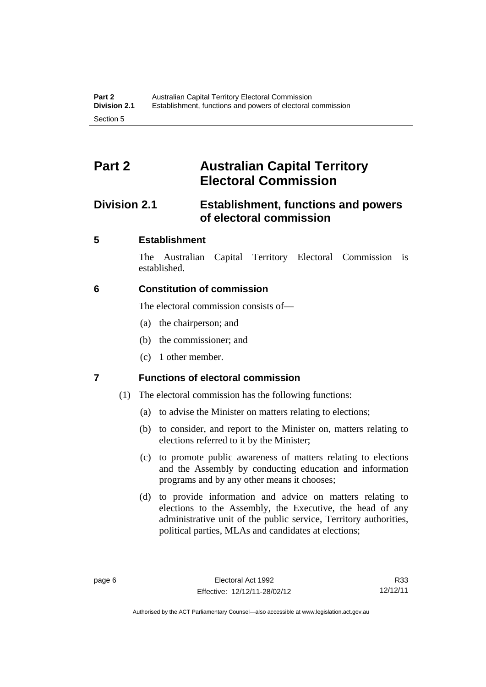# <span id="page-23-0"></span>**Part 2 Australian Capital Territory Electoral Commission**

# <span id="page-23-1"></span>**Division 2.1 Establishment, functions and powers of electoral commission**

### <span id="page-23-2"></span>**5 Establishment**

The Australian Capital Territory Electoral Commission is established.

### <span id="page-23-3"></span>**6 Constitution of commission**

The electoral commission consists of—

- (a) the chairperson; and
- (b) the commissioner; and
- (c) 1 other member.

## <span id="page-23-4"></span>**7 Functions of electoral commission**

- (1) The electoral commission has the following functions:
	- (a) to advise the Minister on matters relating to elections;
	- (b) to consider, and report to the Minister on, matters relating to elections referred to it by the Minister;
	- (c) to promote public awareness of matters relating to elections and the Assembly by conducting education and information programs and by any other means it chooses;
	- (d) to provide information and advice on matters relating to elections to the Assembly, the Executive, the head of any administrative unit of the public service, Territory authorities, political parties, MLAs and candidates at elections;

R33 12/12/11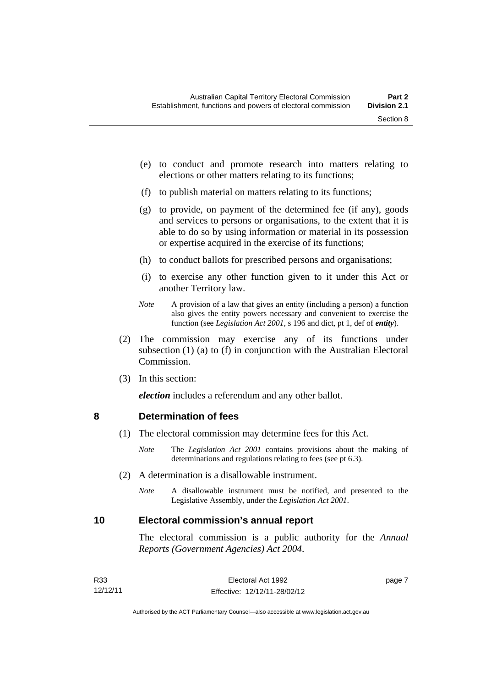- (e) to conduct and promote research into matters relating to elections or other matters relating to its functions;
- (f) to publish material on matters relating to its functions;
- (g) to provide, on payment of the determined fee (if any), goods and services to persons or organisations, to the extent that it is able to do so by using information or material in its possession or expertise acquired in the exercise of its functions;
- (h) to conduct ballots for prescribed persons and organisations;
- (i) to exercise any other function given to it under this Act or another Territory law.
- *Note* A provision of a law that gives an entity (including a person) a function also gives the entity powers necessary and convenient to exercise the function (see *Legislation Act 2001*, s 196 and dict, pt 1, def of *entity*).
- (2) The commission may exercise any of its functions under subsection (1) (a) to (f) in conjunction with the Australian Electoral Commission.
- (3) In this section:

*election* includes a referendum and any other ballot.

#### <span id="page-24-0"></span>**8 Determination of fees**

- (1) The electoral commission may determine fees for this Act.
	- *Note* The *Legislation Act 2001* contains provisions about the making of determinations and regulations relating to fees (see pt 6.3).
- (2) A determination is a disallowable instrument.
	- *Note* A disallowable instrument must be notified, and presented to the Legislative Assembly, under the *Legislation Act 2001*.

#### <span id="page-24-1"></span>**10 Electoral commission's annual report**

The electoral commission is a public authority for the *Annual Reports (Government Agencies) Act 2004*.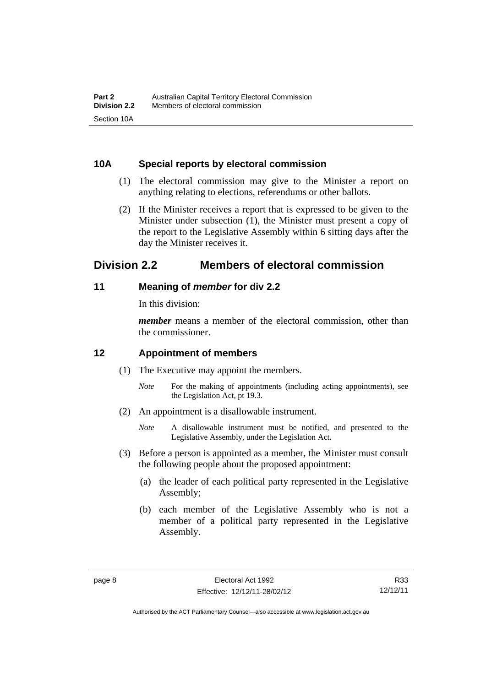#### <span id="page-25-0"></span>**10A Special reports by electoral commission**

- (1) The electoral commission may give to the Minister a report on anything relating to elections, referendums or other ballots.
- (2) If the Minister receives a report that is expressed to be given to the Minister under subsection (1), the Minister must present a copy of the report to the Legislative Assembly within 6 sitting days after the day the Minister receives it.

# <span id="page-25-1"></span>**Division 2.2 Members of electoral commission**

#### <span id="page-25-2"></span>**11 Meaning of** *member* **for div 2.2**

In this division:

*member* means a member of the electoral commission, other than the commissioner.

### <span id="page-25-3"></span>**12 Appointment of members**

- (1) The Executive may appoint the members.
	- *Note* For the making of appointments (including acting appointments), see the Legislation Act, pt 19.3.
- (2) An appointment is a disallowable instrument.
	- *Note* A disallowable instrument must be notified, and presented to the Legislative Assembly, under the Legislation Act.
- (3) Before a person is appointed as a member, the Minister must consult the following people about the proposed appointment:
	- (a) the leader of each political party represented in the Legislative Assembly;
	- (b) each member of the Legislative Assembly who is not a member of a political party represented in the Legislative Assembly.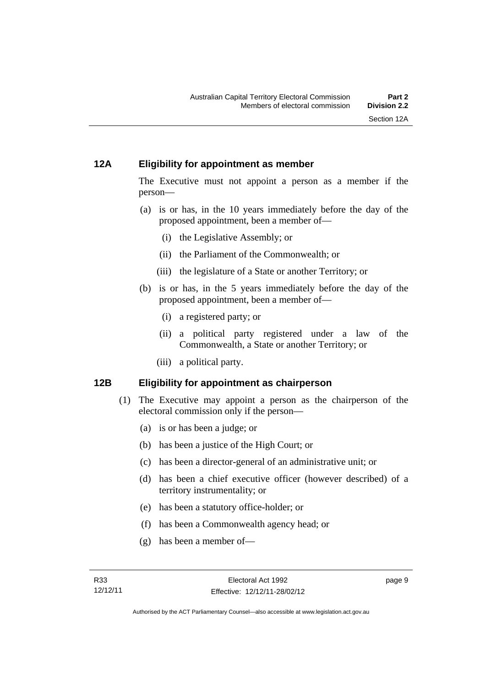#### <span id="page-26-0"></span>**12A Eligibility for appointment as member**

The Executive must not appoint a person as a member if the person—

- (a) is or has, in the 10 years immediately before the day of the proposed appointment, been a member of—
	- (i) the Legislative Assembly; or
	- (ii) the Parliament of the Commonwealth; or
	- (iii) the legislature of a State or another Territory; or
- (b) is or has, in the 5 years immediately before the day of the proposed appointment, been a member of—
	- (i) a registered party; or
	- (ii) a political party registered under a law of the Commonwealth, a State or another Territory; or
	- (iii) a political party.

### <span id="page-26-1"></span>**12B Eligibility for appointment as chairperson**

- (1) The Executive may appoint a person as the chairperson of the electoral commission only if the person—
	- (a) is or has been a judge; or
	- (b) has been a justice of the High Court; or
	- (c) has been a director-general of an administrative unit; or
	- (d) has been a chief executive officer (however described) of a territory instrumentality; or
	- (e) has been a statutory office-holder; or
	- (f) has been a Commonwealth agency head; or
	- (g) has been a member of—

page 9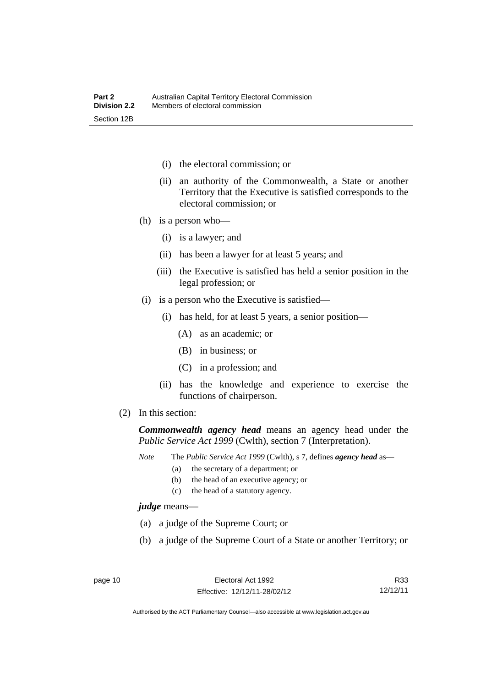- (i) the electoral commission; or
- (ii) an authority of the Commonwealth, a State or another Territory that the Executive is satisfied corresponds to the electoral commission; or
- (h) is a person who—
	- (i) is a lawyer; and
	- (ii) has been a lawyer for at least 5 years; and
	- (iii) the Executive is satisfied has held a senior position in the legal profession; or
- (i) is a person who the Executive is satisfied—
	- (i) has held, for at least 5 years, a senior position—
		- (A) as an academic; or
		- (B) in business; or
		- (C) in a profession; and
	- (ii) has the knowledge and experience to exercise the functions of chairperson.
- (2) In this section:

*Commonwealth agency head* means an agency head under the *Public Service Act 1999* (Cwlth), section 7 (Interpretation).

*Note* The *Public Service Act 1999* (Cwlth), s 7, defines *agency head* as—

- (a) the secretary of a department; or
	- (b) the head of an executive agency; or
	- (c) the head of a statutory agency.

*judge* means—

- (a) a judge of the Supreme Court; or
- (b) a judge of the Supreme Court of a State or another Territory; or

R33 12/12/11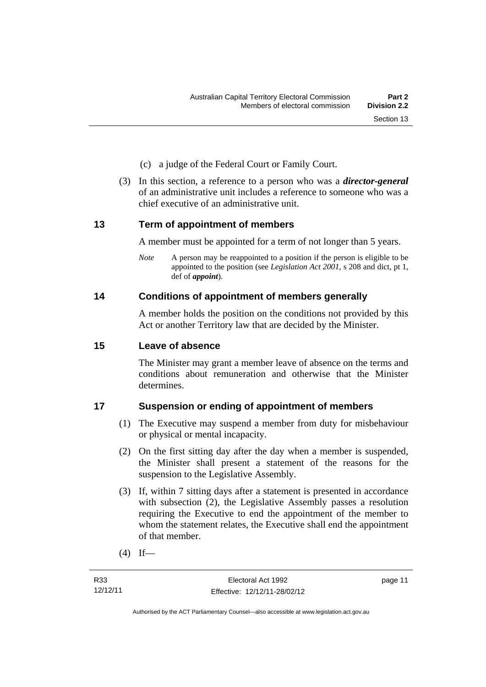- (c) a judge of the Federal Court or Family Court.
- (3) In this section, a reference to a person who was a *director-general*  of an administrative unit includes a reference to someone who was a chief executive of an administrative unit.

#### <span id="page-28-0"></span>**13 Term of appointment of members**

A member must be appointed for a term of not longer than 5 years.

*Note* A person may be reappointed to a position if the person is eligible to be appointed to the position (see *Legislation Act 2001*, s 208 and dict, pt 1, def of *appoint*).

#### <span id="page-28-1"></span>**14 Conditions of appointment of members generally**

A member holds the position on the conditions not provided by this Act or another Territory law that are decided by the Minister.

#### <span id="page-28-2"></span>**15 Leave of absence**

The Minister may grant a member leave of absence on the terms and conditions about remuneration and otherwise that the Minister determines.

#### <span id="page-28-3"></span>**17 Suspension or ending of appointment of members**

- (1) The Executive may suspend a member from duty for misbehaviour or physical or mental incapacity.
- (2) On the first sitting day after the day when a member is suspended, the Minister shall present a statement of the reasons for the suspension to the Legislative Assembly.
- (3) If, within 7 sitting days after a statement is presented in accordance with subsection (2), the Legislative Assembly passes a resolution requiring the Executive to end the appointment of the member to whom the statement relates, the Executive shall end the appointment of that member.
- $(4)$  If—

page 11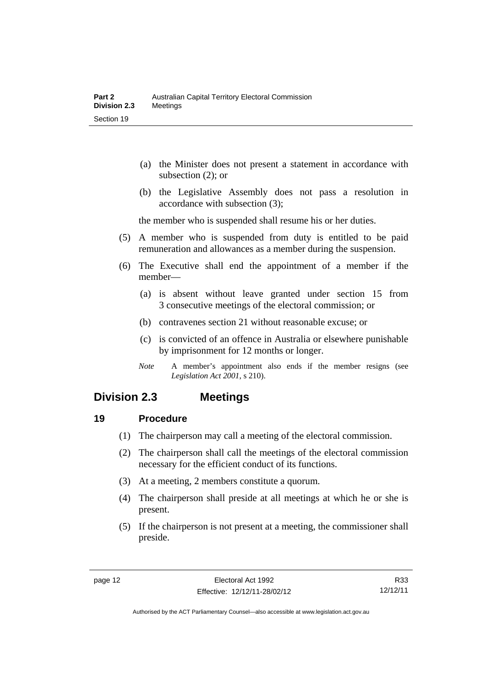- (a) the Minister does not present a statement in accordance with subsection (2); or
- (b) the Legislative Assembly does not pass a resolution in accordance with subsection (3);

the member who is suspended shall resume his or her duties.

- (5) A member who is suspended from duty is entitled to be paid remuneration and allowances as a member during the suspension.
- (6) The Executive shall end the appointment of a member if the member—
	- (a) is absent without leave granted under section 15 from 3 consecutive meetings of the electoral commission; or
	- (b) contravenes section 21 without reasonable excuse; or
	- (c) is convicted of an offence in Australia or elsewhere punishable by imprisonment for 12 months or longer.
	- *Note* A member's appointment also ends if the member resigns (see *Legislation Act 2001*, s 210).

## <span id="page-29-0"></span>**Division 2.3 Meetings**

#### <span id="page-29-1"></span>**19 Procedure**

- (1) The chairperson may call a meeting of the electoral commission.
- (2) The chairperson shall call the meetings of the electoral commission necessary for the efficient conduct of its functions.
- (3) At a meeting, 2 members constitute a quorum.
- (4) The chairperson shall preside at all meetings at which he or she is present.
- (5) If the chairperson is not present at a meeting, the commissioner shall preside.

R33 12/12/11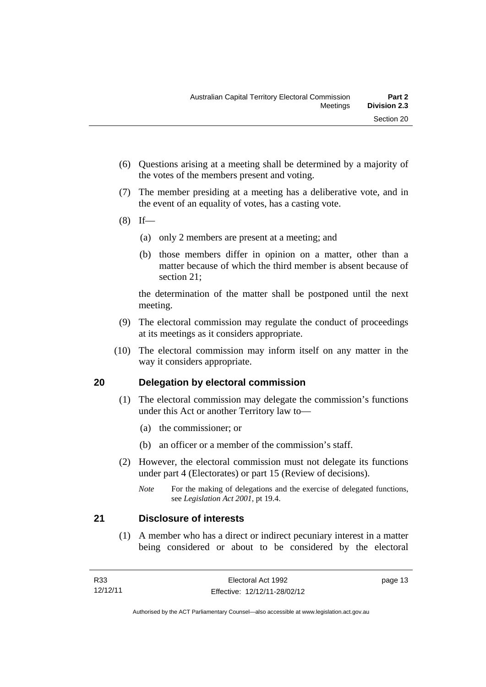- (6) Questions arising at a meeting shall be determined by a majority of the votes of the members present and voting.
- (7) The member presiding at a meeting has a deliberative vote, and in the event of an equality of votes, has a casting vote.
- $(8)$  If—
	- (a) only 2 members are present at a meeting; and
	- (b) those members differ in opinion on a matter, other than a matter because of which the third member is absent because of section 21;

the determination of the matter shall be postponed until the next meeting.

- (9) The electoral commission may regulate the conduct of proceedings at its meetings as it considers appropriate.
- (10) The electoral commission may inform itself on any matter in the way it considers appropriate.

### <span id="page-30-0"></span>**20 Delegation by electoral commission**

- (1) The electoral commission may delegate the commission's functions under this Act or another Territory law to—
	- (a) the commissioner; or
	- (b) an officer or a member of the commission's staff.
- (2) However, the electoral commission must not delegate its functions under part 4 (Electorates) or part 15 (Review of decisions).

#### <span id="page-30-1"></span>**21 Disclosure of interests**

 (1) A member who has a direct or indirect pecuniary interest in a matter being considered or about to be considered by the electoral

*Note* For the making of delegations and the exercise of delegated functions, see *Legislation Act 2001*, pt 19.4.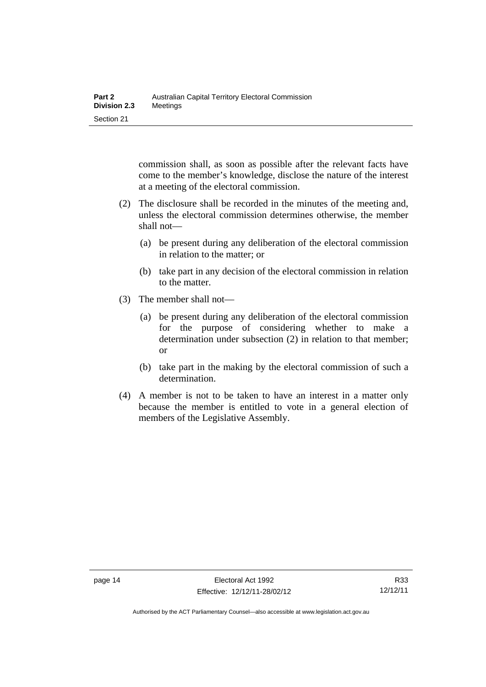commission shall, as soon as possible after the relevant facts have come to the member's knowledge, disclose the nature of the interest at a meeting of the electoral commission.

- (2) The disclosure shall be recorded in the minutes of the meeting and, unless the electoral commission determines otherwise, the member shall not—
	- (a) be present during any deliberation of the electoral commission in relation to the matter; or
	- (b) take part in any decision of the electoral commission in relation to the matter.
- (3) The member shall not—
	- (a) be present during any deliberation of the electoral commission for the purpose of considering whether to make a determination under subsection (2) in relation to that member; or
	- (b) take part in the making by the electoral commission of such a determination.
- (4) A member is not to be taken to have an interest in a matter only because the member is entitled to vote in a general election of members of the Legislative Assembly.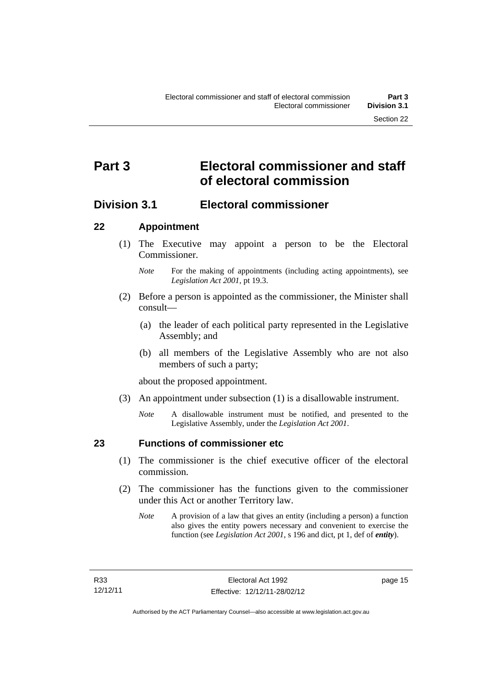# <span id="page-32-0"></span>**Part 3 Electoral commissioner and staff of electoral commission**

## <span id="page-32-1"></span>**Division 3.1 Electoral commissioner**

#### <span id="page-32-2"></span>**22 Appointment**

- (1) The Executive may appoint a person to be the Electoral Commissioner.
	- *Note* For the making of appointments (including acting appointments), see *Legislation Act 2001*, pt 19.3.
- (2) Before a person is appointed as the commissioner, the Minister shall consult—
	- (a) the leader of each political party represented in the Legislative Assembly; and
	- (b) all members of the Legislative Assembly who are not also members of such a party;

about the proposed appointment.

- (3) An appointment under subsection (1) is a disallowable instrument.
	- *Note* A disallowable instrument must be notified, and presented to the Legislative Assembly, under the *Legislation Act 2001*.

<span id="page-32-3"></span>

#### **23 Functions of commissioner etc**

- (1) The commissioner is the chief executive officer of the electoral commission.
- (2) The commissioner has the functions given to the commissioner under this Act or another Territory law.
	- *Note* A provision of a law that gives an entity (including a person) a function also gives the entity powers necessary and convenient to exercise the function (see *Legislation Act 2001*, s 196 and dict, pt 1, def of *entity*).

page 15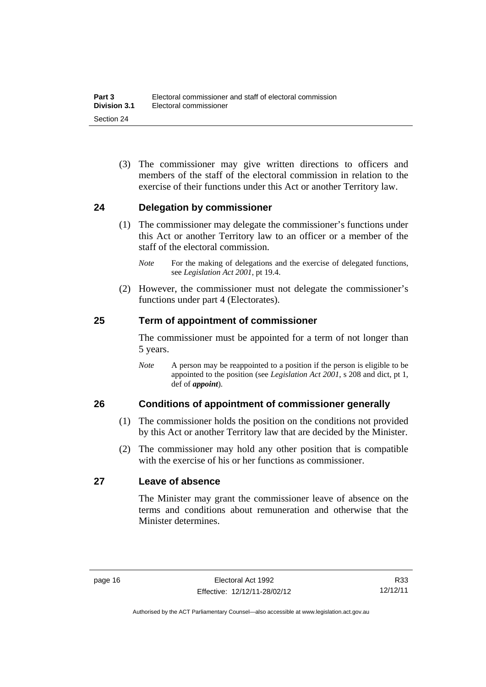(3) The commissioner may give written directions to officers and members of the staff of the electoral commission in relation to the exercise of their functions under this Act or another Territory law.

#### <span id="page-33-0"></span>**24 Delegation by commissioner**

- (1) The commissioner may delegate the commissioner's functions under this Act or another Territory law to an officer or a member of the staff of the electoral commission.
	- *Note* For the making of delegations and the exercise of delegated functions, see *Legislation Act 2001*, pt 19.4.
- (2) However, the commissioner must not delegate the commissioner's functions under part 4 (Electorates).

#### <span id="page-33-1"></span>**25 Term of appointment of commissioner**

The commissioner must be appointed for a term of not longer than 5 years.

*Note* A person may be reappointed to a position if the person is eligible to be appointed to the position (see *Legislation Act 2001*, s 208 and dict, pt 1, def of *appoint*).

#### <span id="page-33-2"></span>**26 Conditions of appointment of commissioner generally**

- (1) The commissioner holds the position on the conditions not provided by this Act or another Territory law that are decided by the Minister.
- (2) The commissioner may hold any other position that is compatible with the exercise of his or her functions as commissioner.

#### <span id="page-33-3"></span>**27 Leave of absence**

The Minister may grant the commissioner leave of absence on the terms and conditions about remuneration and otherwise that the Minister determines.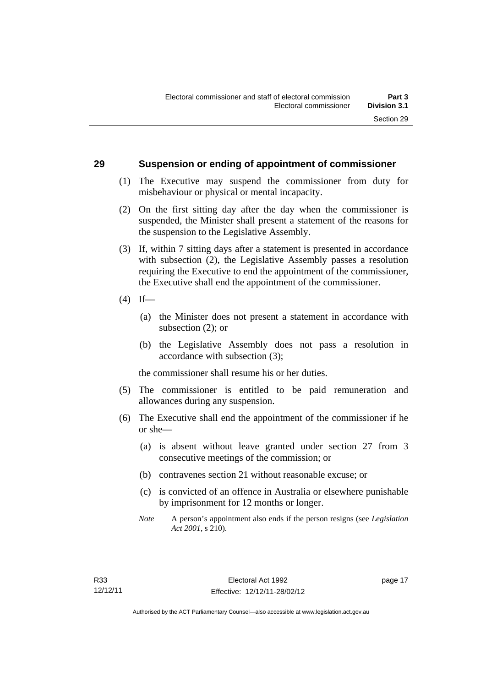#### <span id="page-34-0"></span>**29 Suspension or ending of appointment of commissioner**

- (1) The Executive may suspend the commissioner from duty for misbehaviour or physical or mental incapacity.
- (2) On the first sitting day after the day when the commissioner is suspended, the Minister shall present a statement of the reasons for the suspension to the Legislative Assembly.
- (3) If, within 7 sitting days after a statement is presented in accordance with subsection (2), the Legislative Assembly passes a resolution requiring the Executive to end the appointment of the commissioner, the Executive shall end the appointment of the commissioner.
- $(4)$  If—
	- (a) the Minister does not present a statement in accordance with subsection (2); or
	- (b) the Legislative Assembly does not pass a resolution in accordance with subsection (3);

the commissioner shall resume his or her duties.

- (5) The commissioner is entitled to be paid remuneration and allowances during any suspension.
- (6) The Executive shall end the appointment of the commissioner if he or she—
	- (a) is absent without leave granted under section 27 from 3 consecutive meetings of the commission; or
	- (b) contravenes section 21 without reasonable excuse; or
	- (c) is convicted of an offence in Australia or elsewhere punishable by imprisonment for 12 months or longer.
	- *Note* A person's appointment also ends if the person resigns (see *Legislation Act 2001*, s 210).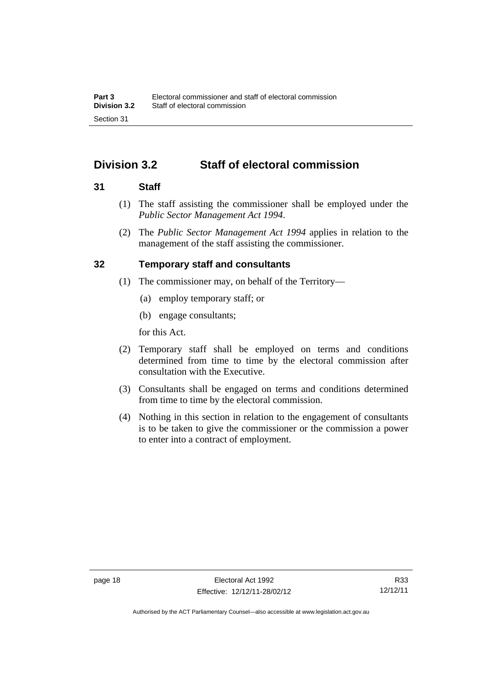# <span id="page-35-0"></span>**Division 3.2 Staff of electoral commission**

#### <span id="page-35-1"></span>**31 Staff**

- (1) The staff assisting the commissioner shall be employed under the *Public Sector Management Act 1994*.
- (2) The *Public Sector Management Act 1994* applies in relation to the management of the staff assisting the commissioner.

### <span id="page-35-2"></span>**32 Temporary staff and consultants**

- (1) The commissioner may, on behalf of the Territory—
	- (a) employ temporary staff; or
	- (b) engage consultants;

for this Act.

- (2) Temporary staff shall be employed on terms and conditions determined from time to time by the electoral commission after consultation with the Executive.
- (3) Consultants shall be engaged on terms and conditions determined from time to time by the electoral commission.
- (4) Nothing in this section in relation to the engagement of consultants is to be taken to give the commissioner or the commission a power to enter into a contract of employment.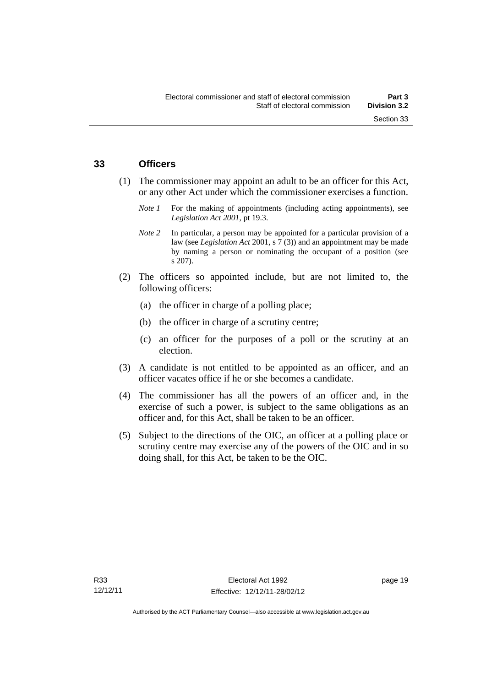#### **33 Officers**

- (1) The commissioner may appoint an adult to be an officer for this Act, or any other Act under which the commissioner exercises a function.
	- *Note 1* For the making of appointments (including acting appointments), see *Legislation Act 2001*, pt 19.3.
	- *Note* 2 In particular, a person may be appointed for a particular provision of a law (see *Legislation Act* 2001, s 7 (3)) and an appointment may be made by naming a person or nominating the occupant of a position (see s 207).
- (2) The officers so appointed include, but are not limited to, the following officers:
	- (a) the officer in charge of a polling place;
	- (b) the officer in charge of a scrutiny centre;
	- (c) an officer for the purposes of a poll or the scrutiny at an election.
- (3) A candidate is not entitled to be appointed as an officer, and an officer vacates office if he or she becomes a candidate.
- (4) The commissioner has all the powers of an officer and, in the exercise of such a power, is subject to the same obligations as an officer and, for this Act, shall be taken to be an officer.
- (5) Subject to the directions of the OIC, an officer at a polling place or scrutiny centre may exercise any of the powers of the OIC and in so doing shall, for this Act, be taken to be the OIC.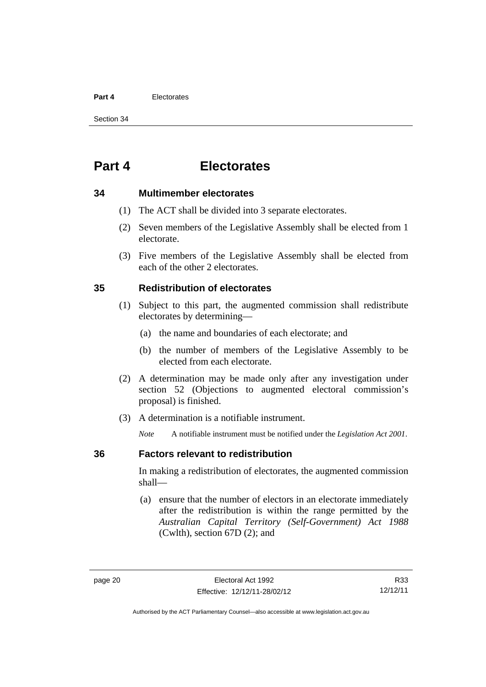#### **Part 4** Electorates

Section 34

# **Part 4 Electorates**

#### **34 Multimember electorates**

- (1) The ACT shall be divided into 3 separate electorates.
- (2) Seven members of the Legislative Assembly shall be elected from 1 electorate.
- (3) Five members of the Legislative Assembly shall be elected from each of the other 2 electorates.

#### **35 Redistribution of electorates**

- (1) Subject to this part, the augmented commission shall redistribute electorates by determining—
	- (a) the name and boundaries of each electorate; and
	- (b) the number of members of the Legislative Assembly to be elected from each electorate.
- (2) A determination may be made only after any investigation under section 52 (Objections to augmented electoral commission's proposal) is finished.
- (3) A determination is a notifiable instrument.

*Note* A notifiable instrument must be notified under the *Legislation Act 2001*.

#### **36 Factors relevant to redistribution**

In making a redistribution of electorates, the augmented commission shall—

 (a) ensure that the number of electors in an electorate immediately after the redistribution is within the range permitted by the *Australian Capital Territory (Self-Government) Act 1988*  (Cwlth), section 67D (2); and

R33 12/12/11

Authorised by the ACT Parliamentary Counsel—also accessible at www.legislation.act.gov.au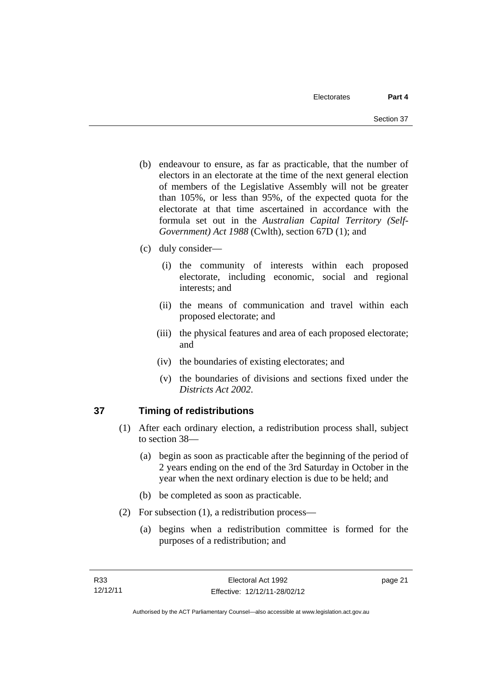- (b) endeavour to ensure, as far as practicable, that the number of electors in an electorate at the time of the next general election of members of the Legislative Assembly will not be greater than 105%, or less than 95%, of the expected quota for the electorate at that time ascertained in accordance with the formula set out in the *Australian Capital Territory (Self-Government) Act 1988* (Cwlth), section 67D (1); and
- (c) duly consider—
	- (i) the community of interests within each proposed electorate, including economic, social and regional interests; and
	- (ii) the means of communication and travel within each proposed electorate; and
	- (iii) the physical features and area of each proposed electorate; and
	- (iv) the boundaries of existing electorates; and
	- (v) the boundaries of divisions and sections fixed under the *Districts Act 2002*.

# **37 Timing of redistributions**

- (1) After each ordinary election, a redistribution process shall, subject to section 38—
	- (a) begin as soon as practicable after the beginning of the period of 2 years ending on the end of the 3rd Saturday in October in the year when the next ordinary election is due to be held; and
	- (b) be completed as soon as practicable.
- (2) For subsection (1), a redistribution process—
	- (a) begins when a redistribution committee is formed for the purposes of a redistribution; and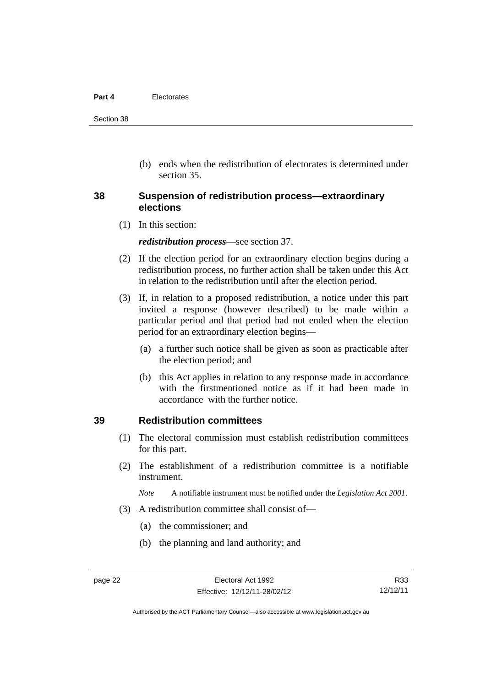#### **Part 4** Electorates

Section 38

 (b) ends when the redistribution of electorates is determined under section 35.

#### **38 Suspension of redistribution process—extraordinary elections**

(1) In this section:

*redistribution process*—see section 37.

- (2) If the election period for an extraordinary election begins during a redistribution process, no further action shall be taken under this Act in relation to the redistribution until after the election period.
- (3) If, in relation to a proposed redistribution, a notice under this part invited a response (however described) to be made within a particular period and that period had not ended when the election period for an extraordinary election begins—
	- (a) a further such notice shall be given as soon as practicable after the election period; and
	- (b) this Act applies in relation to any response made in accordance with the firstmentioned notice as if it had been made in accordance with the further notice.

#### **39 Redistribution committees**

- (1) The electoral commission must establish redistribution committees for this part.
- (2) The establishment of a redistribution committee is a notifiable instrument.

*Note* A notifiable instrument must be notified under the *Legislation Act 2001*.

- (3) A redistribution committee shall consist of—
	- (a) the commissioner; and
	- (b) the planning and land authority; and

Authorised by the ACT Parliamentary Counsel—also accessible at www.legislation.act.gov.au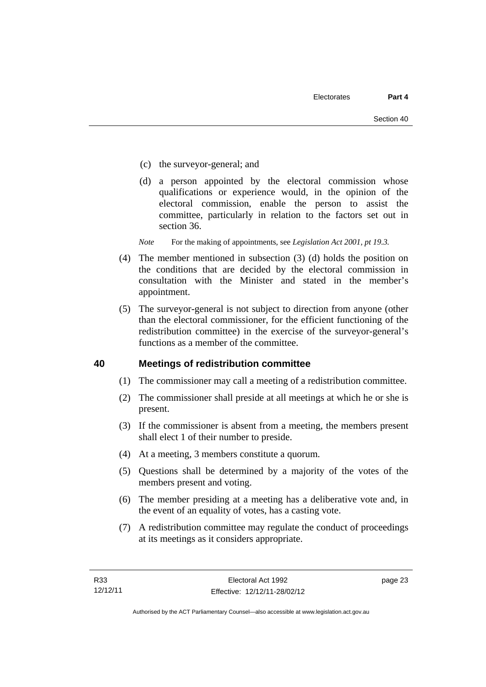- (c) the surveyor-general; and
- (d) a person appointed by the electoral commission whose qualifications or experience would, in the opinion of the electoral commission, enable the person to assist the committee, particularly in relation to the factors set out in section 36.
- *Note* For the making of appointments, see *Legislation Act 2001, pt 19.3.*
- (4) The member mentioned in subsection (3) (d) holds the position on the conditions that are decided by the electoral commission in consultation with the Minister and stated in the member's appointment.
- (5) The surveyor-general is not subject to direction from anyone (other than the electoral commissioner, for the efficient functioning of the redistribution committee) in the exercise of the surveyor-general's functions as a member of the committee.

#### **40 Meetings of redistribution committee**

- (1) The commissioner may call a meeting of a redistribution committee.
- (2) The commissioner shall preside at all meetings at which he or she is present.
- (3) If the commissioner is absent from a meeting, the members present shall elect 1 of their number to preside.
- (4) At a meeting, 3 members constitute a quorum.
- (5) Questions shall be determined by a majority of the votes of the members present and voting.
- (6) The member presiding at a meeting has a deliberative vote and, in the event of an equality of votes, has a casting vote.
- (7) A redistribution committee may regulate the conduct of proceedings at its meetings as it considers appropriate.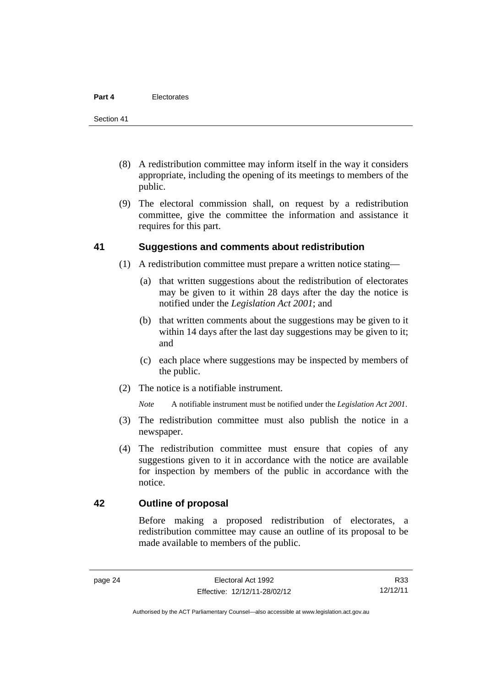- (8) A redistribution committee may inform itself in the way it considers appropriate, including the opening of its meetings to members of the public.
- (9) The electoral commission shall, on request by a redistribution committee, give the committee the information and assistance it requires for this part.

#### **41 Suggestions and comments about redistribution**

- (1) A redistribution committee must prepare a written notice stating—
	- (a) that written suggestions about the redistribution of electorates may be given to it within 28 days after the day the notice is notified under the *Legislation Act 2001*; and
	- (b) that written comments about the suggestions may be given to it within 14 days after the last day suggestions may be given to it; and
	- (c) each place where suggestions may be inspected by members of the public.
- (2) The notice is a notifiable instrument.

*Note* A notifiable instrument must be notified under the *Legislation Act 2001*.

- (3) The redistribution committee must also publish the notice in a newspaper.
- (4) The redistribution committee must ensure that copies of any suggestions given to it in accordance with the notice are available for inspection by members of the public in accordance with the notice.

#### **42 Outline of proposal**

Before making a proposed redistribution of electorates, a redistribution committee may cause an outline of its proposal to be made available to members of the public.

R33 12/12/11

Authorised by the ACT Parliamentary Counsel—also accessible at www.legislation.act.gov.au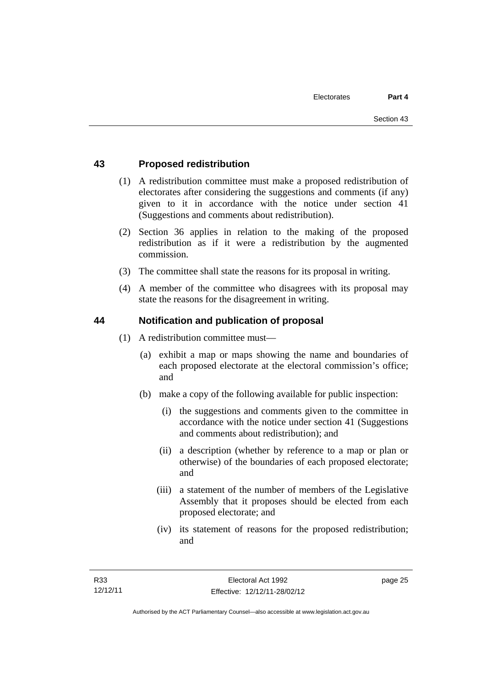#### **43 Proposed redistribution**

- (1) A redistribution committee must make a proposed redistribution of electorates after considering the suggestions and comments (if any) given to it in accordance with the notice under section 41 (Suggestions and comments about redistribution).
- (2) Section 36 applies in relation to the making of the proposed redistribution as if it were a redistribution by the augmented commission.
- (3) The committee shall state the reasons for its proposal in writing.
- (4) A member of the committee who disagrees with its proposal may state the reasons for the disagreement in writing.

#### **44 Notification and publication of proposal**

- (1) A redistribution committee must—
	- (a) exhibit a map or maps showing the name and boundaries of each proposed electorate at the electoral commission's office; and
	- (b) make a copy of the following available for public inspection:
		- (i) the suggestions and comments given to the committee in accordance with the notice under section 41 (Suggestions and comments about redistribution); and
		- (ii) a description (whether by reference to a map or plan or otherwise) of the boundaries of each proposed electorate; and
		- (iii) a statement of the number of members of the Legislative Assembly that it proposes should be elected from each proposed electorate; and
		- (iv) its statement of reasons for the proposed redistribution; and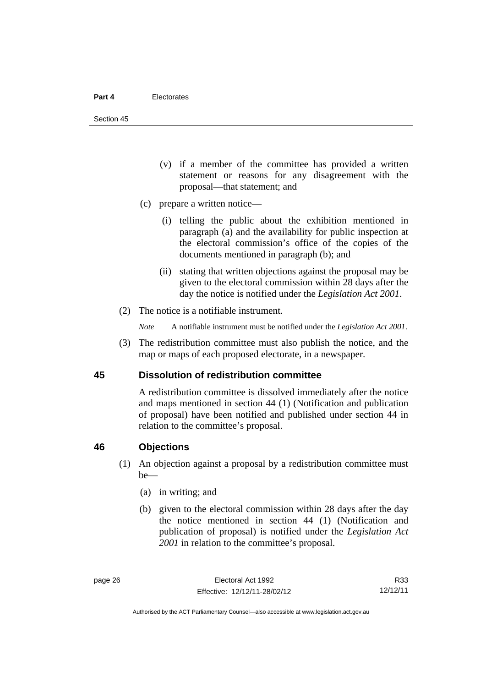Section 45

- (v) if a member of the committee has provided a written statement or reasons for any disagreement with the proposal—that statement; and
- (c) prepare a written notice—
	- (i) telling the public about the exhibition mentioned in paragraph (a) and the availability for public inspection at the electoral commission's office of the copies of the documents mentioned in paragraph (b); and
	- (ii) stating that written objections against the proposal may be given to the electoral commission within 28 days after the day the notice is notified under the *Legislation Act 2001*.
- (2) The notice is a notifiable instrument.

*Note* A notifiable instrument must be notified under the *Legislation Act 2001*.

 (3) The redistribution committee must also publish the notice, and the map or maps of each proposed electorate, in a newspaper.

#### **45 Dissolution of redistribution committee**

A redistribution committee is dissolved immediately after the notice and maps mentioned in section 44 (1) (Notification and publication of proposal) have been notified and published under section 44 in relation to the committee's proposal.

#### **46 Objections**

- (1) An objection against a proposal by a redistribution committee must be—
	- (a) in writing; and
	- (b) given to the electoral commission within 28 days after the day the notice mentioned in section 44 (1) (Notification and publication of proposal) is notified under the *Legislation Act 2001* in relation to the committee's proposal.

R33 12/12/11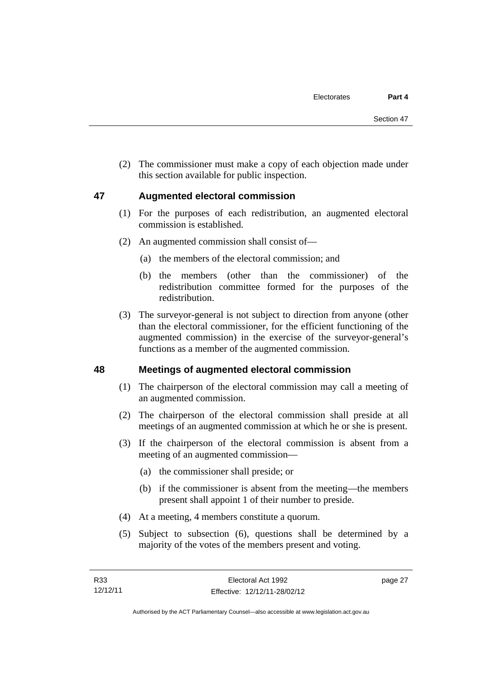(2) The commissioner must make a copy of each objection made under this section available for public inspection.

#### **47 Augmented electoral commission**

- (1) For the purposes of each redistribution, an augmented electoral commission is established.
- (2) An augmented commission shall consist of—
	- (a) the members of the electoral commission; and
	- (b) the members (other than the commissioner) of the redistribution committee formed for the purposes of the redistribution.
- (3) The surveyor-general is not subject to direction from anyone (other than the electoral commissioner, for the efficient functioning of the augmented commission) in the exercise of the surveyor-general's functions as a member of the augmented commission.

#### **48 Meetings of augmented electoral commission**

- (1) The chairperson of the electoral commission may call a meeting of an augmented commission.
- (2) The chairperson of the electoral commission shall preside at all meetings of an augmented commission at which he or she is present.
- (3) If the chairperson of the electoral commission is absent from a meeting of an augmented commission—
	- (a) the commissioner shall preside; or
	- (b) if the commissioner is absent from the meeting—the members present shall appoint 1 of their number to preside.
- (4) At a meeting, 4 members constitute a quorum.
- (5) Subject to subsection (6), questions shall be determined by a majority of the votes of the members present and voting.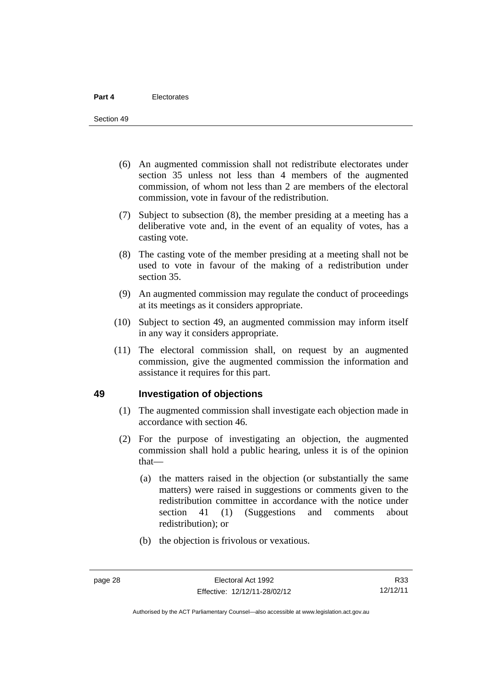- (6) An augmented commission shall not redistribute electorates under section 35 unless not less than 4 members of the augmented commission, of whom not less than 2 are members of the electoral commission, vote in favour of the redistribution.
- (7) Subject to subsection (8), the member presiding at a meeting has a deliberative vote and, in the event of an equality of votes, has a casting vote.
- (8) The casting vote of the member presiding at a meeting shall not be used to vote in favour of the making of a redistribution under section 35.
- (9) An augmented commission may regulate the conduct of proceedings at its meetings as it considers appropriate.
- (10) Subject to section 49, an augmented commission may inform itself in any way it considers appropriate.
- (11) The electoral commission shall, on request by an augmented commission, give the augmented commission the information and assistance it requires for this part.

#### **49 Investigation of objections**

- (1) The augmented commission shall investigate each objection made in accordance with section 46.
- (2) For the purpose of investigating an objection, the augmented commission shall hold a public hearing, unless it is of the opinion that—
	- (a) the matters raised in the objection (or substantially the same matters) were raised in suggestions or comments given to the redistribution committee in accordance with the notice under section 41 (1) (Suggestions and comments about redistribution); or
	- (b) the objection is frivolous or vexatious.

Authorised by the ACT Parliamentary Counsel—also accessible at www.legislation.act.gov.au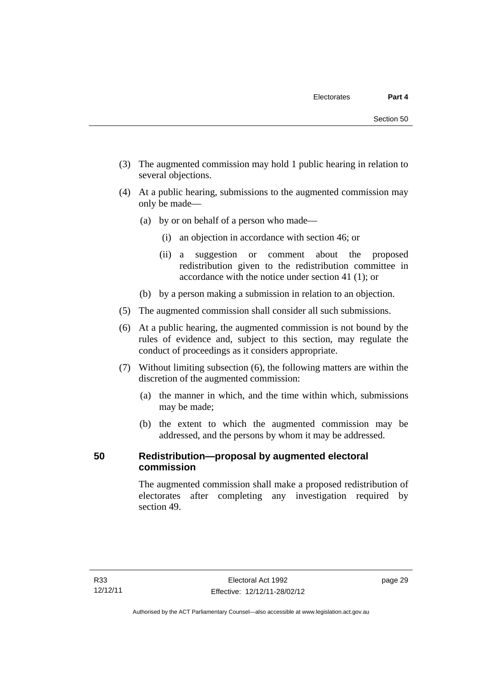- (3) The augmented commission may hold 1 public hearing in relation to several objections.
- (4) At a public hearing, submissions to the augmented commission may only be made—
	- (a) by or on behalf of a person who made—
		- (i) an objection in accordance with section 46; or
		- (ii) a suggestion or comment about the proposed redistribution given to the redistribution committee in accordance with the notice under section 41 (1); or
	- (b) by a person making a submission in relation to an objection.
- (5) The augmented commission shall consider all such submissions.
- (6) At a public hearing, the augmented commission is not bound by the rules of evidence and, subject to this section, may regulate the conduct of proceedings as it considers appropriate.
- (7) Without limiting subsection (6), the following matters are within the discretion of the augmented commission:
	- (a) the manner in which, and the time within which, submissions may be made;
	- (b) the extent to which the augmented commission may be addressed, and the persons by whom it may be addressed.

# **50 Redistribution—proposal by augmented electoral commission**

The augmented commission shall make a proposed redistribution of electorates after completing any investigation required by section 49.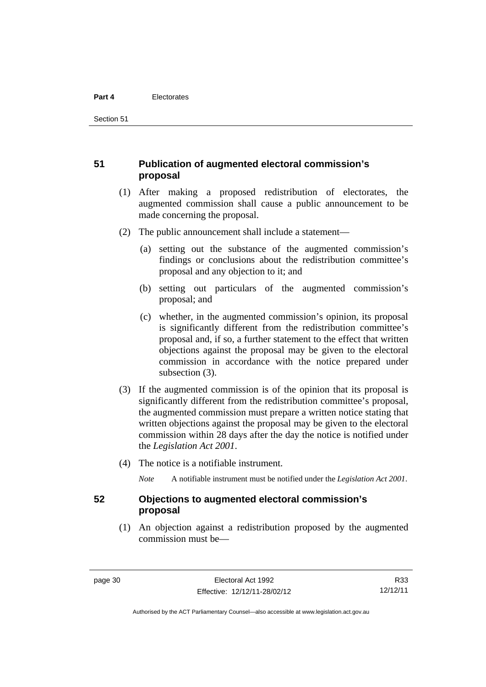Section 51

#### **51 Publication of augmented electoral commission's proposal**

- (1) After making a proposed redistribution of electorates, the augmented commission shall cause a public announcement to be made concerning the proposal.
- (2) The public announcement shall include a statement—
	- (a) setting out the substance of the augmented commission's findings or conclusions about the redistribution committee's proposal and any objection to it; and
	- (b) setting out particulars of the augmented commission's proposal; and
	- (c) whether, in the augmented commission's opinion, its proposal is significantly different from the redistribution committee's proposal and, if so, a further statement to the effect that written objections against the proposal may be given to the electoral commission in accordance with the notice prepared under subsection (3).
- (3) If the augmented commission is of the opinion that its proposal is significantly different from the redistribution committee's proposal, the augmented commission must prepare a written notice stating that written objections against the proposal may be given to the electoral commission within 28 days after the day the notice is notified under the *Legislation Act 2001*.
- (4) The notice is a notifiable instrument.

*Note* A notifiable instrument must be notified under the *Legislation Act 2001*.

#### **52 Objections to augmented electoral commission's proposal**

 (1) An objection against a redistribution proposed by the augmented commission must be—

R33 12/12/11

Authorised by the ACT Parliamentary Counsel—also accessible at www.legislation.act.gov.au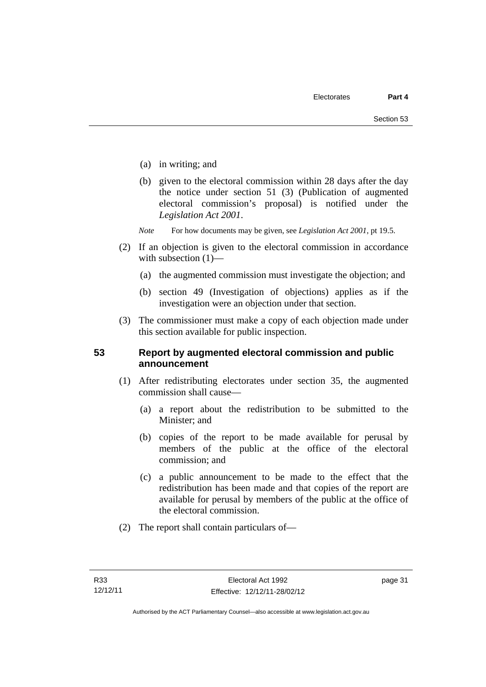- (a) in writing; and
- (b) given to the electoral commission within 28 days after the day the notice under section 51 (3) (Publication of augmented electoral commission's proposal) is notified under the *Legislation Act 2001*.
- *Note* For how documents may be given, see *Legislation Act 2001*, pt 19.5.
- (2) If an objection is given to the electoral commission in accordance with subsection  $(1)$ —
	- (a) the augmented commission must investigate the objection; and
	- (b) section 49 (Investigation of objections) applies as if the investigation were an objection under that section.
- (3) The commissioner must make a copy of each objection made under this section available for public inspection.

#### **53 Report by augmented electoral commission and public announcement**

- (1) After redistributing electorates under section 35, the augmented commission shall cause—
	- (a) a report about the redistribution to be submitted to the Minister; and
	- (b) copies of the report to be made available for perusal by members of the public at the office of the electoral commission; and
	- (c) a public announcement to be made to the effect that the redistribution has been made and that copies of the report are available for perusal by members of the public at the office of the electoral commission.
- (2) The report shall contain particulars of—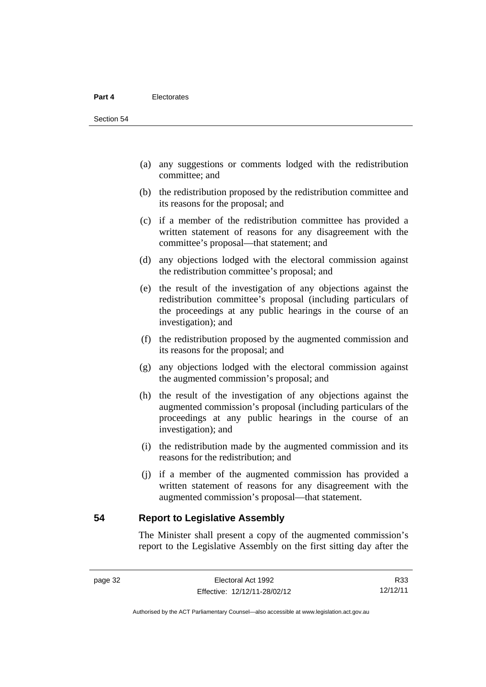- (a) any suggestions or comments lodged with the redistribution committee; and
- (b) the redistribution proposed by the redistribution committee and its reasons for the proposal; and
- (c) if a member of the redistribution committee has provided a written statement of reasons for any disagreement with the committee's proposal—that statement; and
- (d) any objections lodged with the electoral commission against the redistribution committee's proposal; and
- (e) the result of the investigation of any objections against the redistribution committee's proposal (including particulars of the proceedings at any public hearings in the course of an investigation); and
- (f) the redistribution proposed by the augmented commission and its reasons for the proposal; and
- (g) any objections lodged with the electoral commission against the augmented commission's proposal; and
- (h) the result of the investigation of any objections against the augmented commission's proposal (including particulars of the proceedings at any public hearings in the course of an investigation); and
- (i) the redistribution made by the augmented commission and its reasons for the redistribution; and
- (j) if a member of the augmented commission has provided a written statement of reasons for any disagreement with the augmented commission's proposal—that statement.

**54 Report to Legislative Assembly** 

The Minister shall present a copy of the augmented commission's report to the Legislative Assembly on the first sitting day after the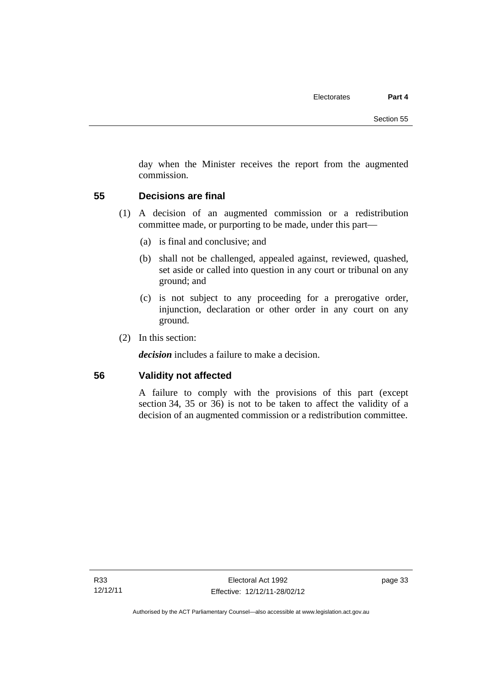day when the Minister receives the report from the augmented commission.

#### **55 Decisions are final**

- (1) A decision of an augmented commission or a redistribution committee made, or purporting to be made, under this part—
	- (a) is final and conclusive; and
	- (b) shall not be challenged, appealed against, reviewed, quashed, set aside or called into question in any court or tribunal on any ground; and
	- (c) is not subject to any proceeding for a prerogative order, injunction, declaration or other order in any court on any ground.
- (2) In this section:

*decision* includes a failure to make a decision.

#### **56 Validity not affected**

A failure to comply with the provisions of this part (except section 34, 35 or 36) is not to be taken to affect the validity of a decision of an augmented commission or a redistribution committee.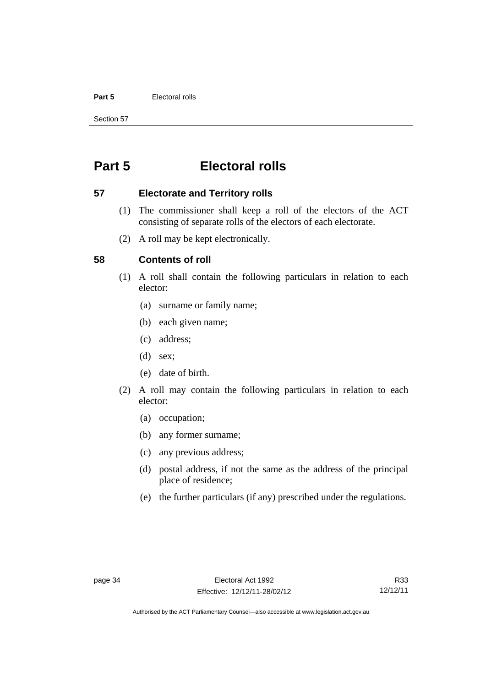#### **Part 5** Electoral rolls

Section 57

# **Part 5 Electoral rolls**

#### **57 Electorate and Territory rolls**

- (1) The commissioner shall keep a roll of the electors of the ACT consisting of separate rolls of the electors of each electorate.
- (2) A roll may be kept electronically.

#### **58 Contents of roll**

- (1) A roll shall contain the following particulars in relation to each elector:
	- (a) surname or family name;
	- (b) each given name;
	- (c) address;
	- (d) sex;
	- (e) date of birth.
- (2) A roll may contain the following particulars in relation to each elector:
	- (a) occupation;
	- (b) any former surname;
	- (c) any previous address;
	- (d) postal address, if not the same as the address of the principal place of residence;
	- (e) the further particulars (if any) prescribed under the regulations.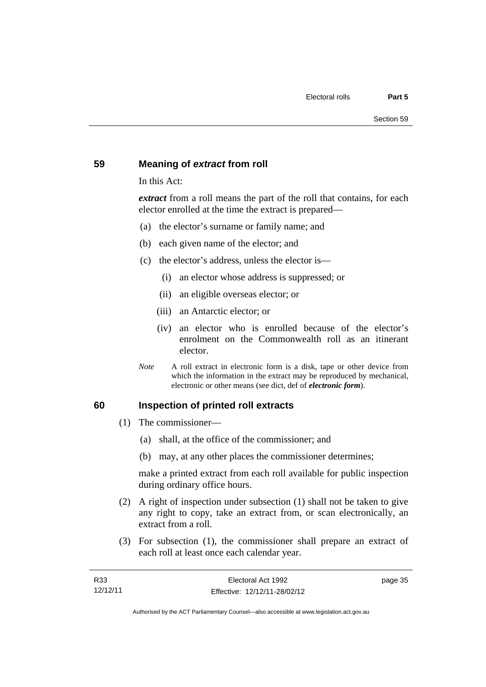#### **59 Meaning of** *extract* **from roll**

In this Act:

*extract* from a roll means the part of the roll that contains, for each elector enrolled at the time the extract is prepared—

- (a) the elector's surname or family name; and
- (b) each given name of the elector; and
- (c) the elector's address, unless the elector is—
	- (i) an elector whose address is suppressed; or
	- (ii) an eligible overseas elector; or
	- (iii) an Antarctic elector; or
	- (iv) an elector who is enrolled because of the elector's enrolment on the Commonwealth roll as an itinerant elector.
- *Note* A roll extract in electronic form is a disk, tape or other device from which the information in the extract may be reproduced by mechanical, electronic or other means (see dict, def of *electronic form*).

#### **60 Inspection of printed roll extracts**

- (1) The commissioner—
	- (a) shall, at the office of the commissioner; and
	- (b) may, at any other places the commissioner determines;

make a printed extract from each roll available for public inspection during ordinary office hours.

- (2) A right of inspection under subsection (1) shall not be taken to give any right to copy, take an extract from, or scan electronically, an extract from a roll.
- (3) For subsection (1), the commissioner shall prepare an extract of each roll at least once each calendar year.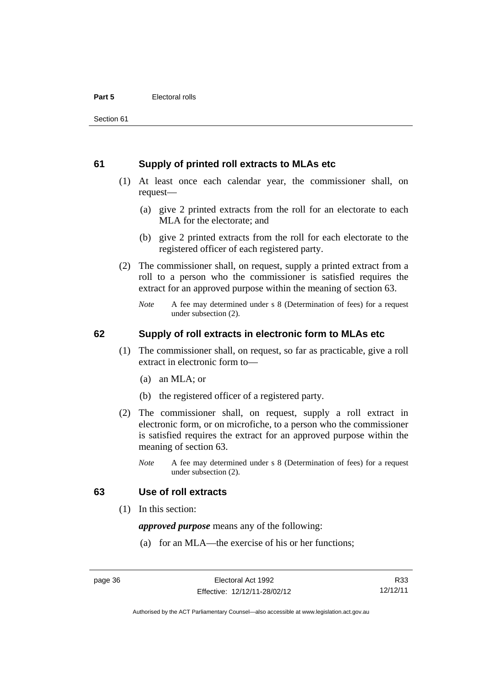#### **61 Supply of printed roll extracts to MLAs etc**

- (1) At least once each calendar year, the commissioner shall, on request—
	- (a) give 2 printed extracts from the roll for an electorate to each MLA for the electorate; and
	- (b) give 2 printed extracts from the roll for each electorate to the registered officer of each registered party.
- (2) The commissioner shall, on request, supply a printed extract from a roll to a person who the commissioner is satisfied requires the extract for an approved purpose within the meaning of section 63.
	- *Note* A fee may determined under s 8 (Determination of fees) for a request under subsection (2).

#### **62 Supply of roll extracts in electronic form to MLAs etc**

- (1) The commissioner shall, on request, so far as practicable, give a roll extract in electronic form to—
	- (a) an MLA; or
	- (b) the registered officer of a registered party.
- (2) The commissioner shall, on request, supply a roll extract in electronic form, or on microfiche, to a person who the commissioner is satisfied requires the extract for an approved purpose within the meaning of section 63.
	- *Note* A fee may determined under s 8 (Determination of fees) for a request under subsection (2).

#### **63 Use of roll extracts**

(1) In this section:

*approved purpose* means any of the following:

(a) for an MLA—the exercise of his or her functions;

R33 12/12/11

Authorised by the ACT Parliamentary Counsel—also accessible at www.legislation.act.gov.au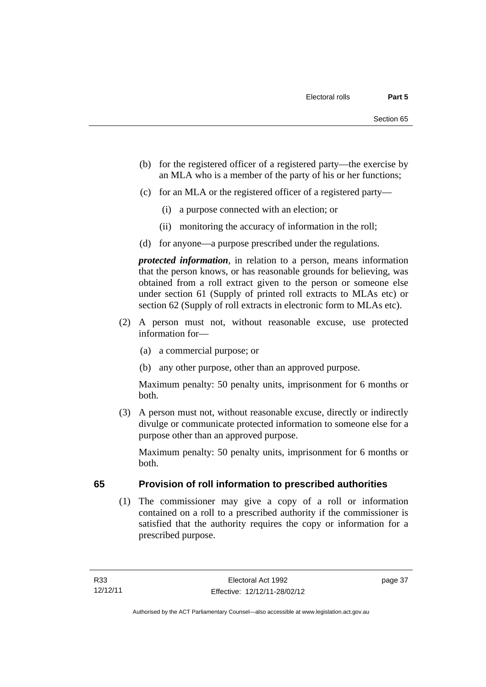- (b) for the registered officer of a registered party—the exercise by an MLA who is a member of the party of his or her functions;
- (c) for an MLA or the registered officer of a registered party—
	- (i) a purpose connected with an election; or
	- (ii) monitoring the accuracy of information in the roll;
- (d) for anyone—a purpose prescribed under the regulations.

*protected information*, in relation to a person, means information that the person knows, or has reasonable grounds for believing, was obtained from a roll extract given to the person or someone else under section 61 (Supply of printed roll extracts to MLAs etc) or section 62 (Supply of roll extracts in electronic form to MLAs etc).

- (2) A person must not, without reasonable excuse, use protected information for—
	- (a) a commercial purpose; or
	- (b) any other purpose, other than an approved purpose.

Maximum penalty: 50 penalty units, imprisonment for 6 months or both.

 (3) A person must not, without reasonable excuse, directly or indirectly divulge or communicate protected information to someone else for a purpose other than an approved purpose.

Maximum penalty: 50 penalty units, imprisonment for 6 months or both.

# **65 Provision of roll information to prescribed authorities**

 (1) The commissioner may give a copy of a roll or information contained on a roll to a prescribed authority if the commissioner is satisfied that the authority requires the copy or information for a prescribed purpose.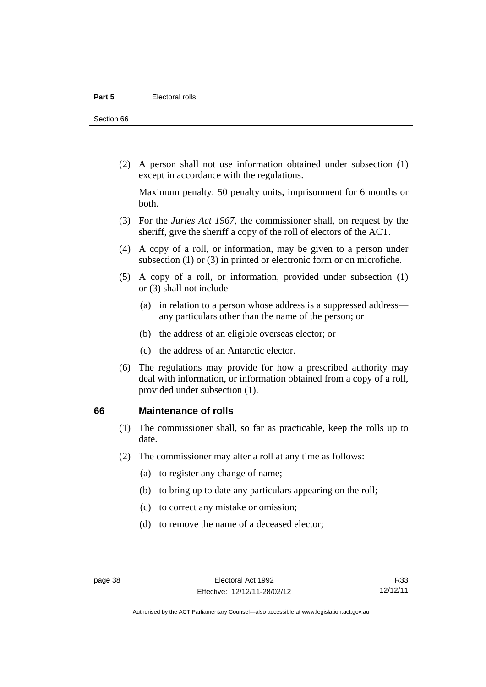Section 66

 (2) A person shall not use information obtained under subsection (1) except in accordance with the regulations.

Maximum penalty: 50 penalty units, imprisonment for 6 months or both.

- (3) For the *Juries Act 1967*, the commissioner shall, on request by the sheriff, give the sheriff a copy of the roll of electors of the ACT.
- (4) A copy of a roll, or information, may be given to a person under subsection (1) or (3) in printed or electronic form or on microfiche.
- (5) A copy of a roll, or information, provided under subsection (1) or (3) shall not include—
	- (a) in relation to a person whose address is a suppressed address any particulars other than the name of the person; or
	- (b) the address of an eligible overseas elector; or
	- (c) the address of an Antarctic elector.
- (6) The regulations may provide for how a prescribed authority may deal with information, or information obtained from a copy of a roll, provided under subsection (1).

#### **66 Maintenance of rolls**

- (1) The commissioner shall, so far as practicable, keep the rolls up to date.
- (2) The commissioner may alter a roll at any time as follows:
	- (a) to register any change of name;
	- (b) to bring up to date any particulars appearing on the roll;
	- (c) to correct any mistake or omission;
	- (d) to remove the name of a deceased elector;

R33 12/12/11

Authorised by the ACT Parliamentary Counsel—also accessible at www.legislation.act.gov.au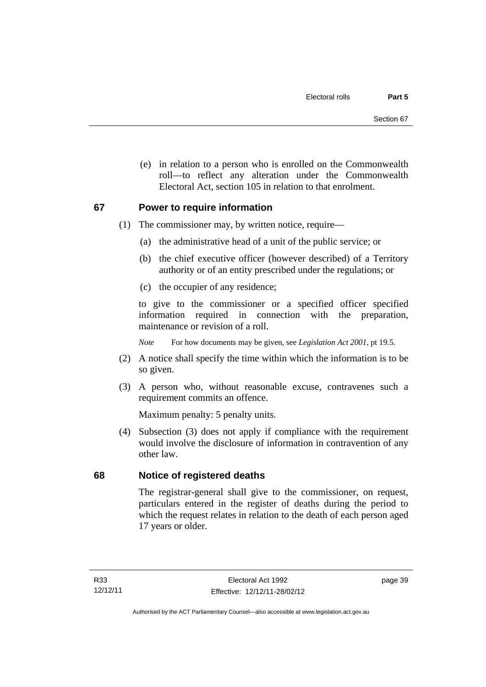(e) in relation to a person who is enrolled on the Commonwealth roll—to reflect any alteration under the Commonwealth Electoral Act, section 105 in relation to that enrolment.

#### **67 Power to require information**

- (1) The commissioner may, by written notice, require—
	- (a) the administrative head of a unit of the public service; or
	- (b) the chief executive officer (however described) of a Territory authority or of an entity prescribed under the regulations; or
	- (c) the occupier of any residence;

to give to the commissioner or a specified officer specified information required in connection with the preparation, maintenance or revision of a roll.

*Note* For how documents may be given, see *Legislation Act 2001*, pt 19.5.

- (2) A notice shall specify the time within which the information is to be so given.
- (3) A person who, without reasonable excuse, contravenes such a requirement commits an offence.

Maximum penalty: 5 penalty units.

 (4) Subsection (3) does not apply if compliance with the requirement would involve the disclosure of information in contravention of any other law.

# **68 Notice of registered deaths**

The registrar-general shall give to the commissioner, on request, particulars entered in the register of deaths during the period to which the request relates in relation to the death of each person aged 17 years or older.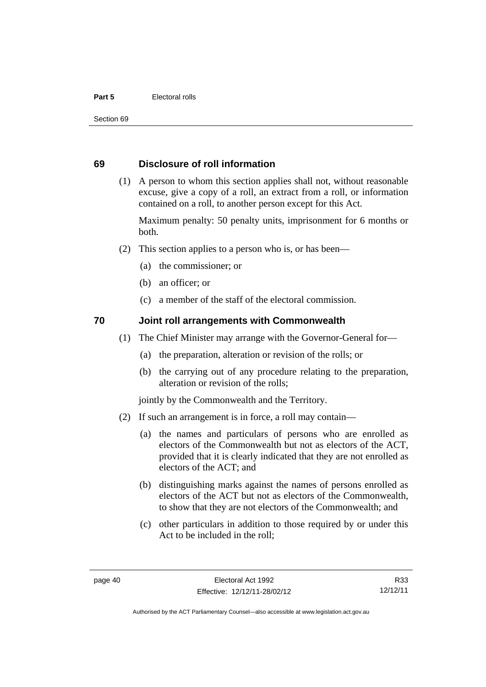#### **Part 5 Electoral rolls**

Section 69

#### **69 Disclosure of roll information**

 (1) A person to whom this section applies shall not, without reasonable excuse, give a copy of a roll, an extract from a roll, or information contained on a roll, to another person except for this Act.

Maximum penalty: 50 penalty units, imprisonment for 6 months or both.

- (2) This section applies to a person who is, or has been—
	- (a) the commissioner; or
	- (b) an officer; or
	- (c) a member of the staff of the electoral commission.

#### **70 Joint roll arrangements with Commonwealth**

- (1) The Chief Minister may arrange with the Governor-General for—
	- (a) the preparation, alteration or revision of the rolls; or
	- (b) the carrying out of any procedure relating to the preparation, alteration or revision of the rolls;

jointly by the Commonwealth and the Territory.

- (2) If such an arrangement is in force, a roll may contain—
	- (a) the names and particulars of persons who are enrolled as electors of the Commonwealth but not as electors of the ACT, provided that it is clearly indicated that they are not enrolled as electors of the ACT; and
	- (b) distinguishing marks against the names of persons enrolled as electors of the ACT but not as electors of the Commonwealth, to show that they are not electors of the Commonwealth; and
	- (c) other particulars in addition to those required by or under this Act to be included in the roll;

R33 12/12/11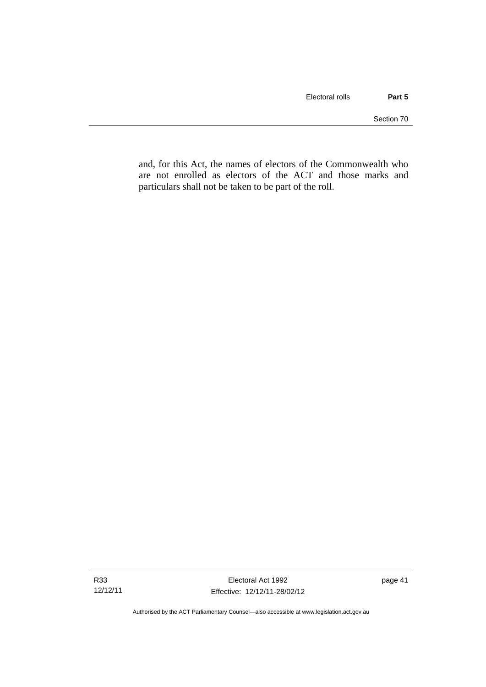and, for this Act, the names of electors of the Commonwealth who are not enrolled as electors of the ACT and those marks and particulars shall not be taken to be part of the roll.

Authorised by the ACT Parliamentary Counsel—also accessible at www.legislation.act.gov.au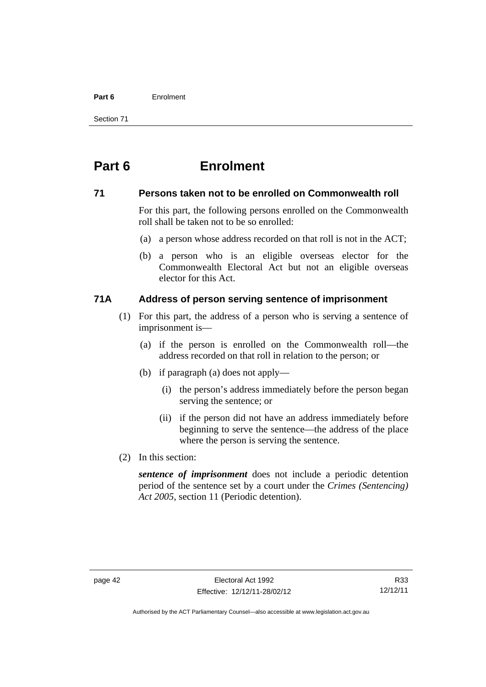#### **Part 6** Enrolment

Section 71

# **Part 6 Enrolment**

#### **71 Persons taken not to be enrolled on Commonwealth roll**

For this part, the following persons enrolled on the Commonwealth roll shall be taken not to be so enrolled:

- (a) a person whose address recorded on that roll is not in the ACT;
- (b) a person who is an eligible overseas elector for the Commonwealth Electoral Act but not an eligible overseas elector for this Act.

# **71A Address of person serving sentence of imprisonment**

- (1) For this part, the address of a person who is serving a sentence of imprisonment is—
	- (a) if the person is enrolled on the Commonwealth roll—the address recorded on that roll in relation to the person; or
	- (b) if paragraph (a) does not apply—
		- (i) the person's address immediately before the person began serving the sentence; or
		- (ii) if the person did not have an address immediately before beginning to serve the sentence—the address of the place where the person is serving the sentence.
- (2) In this section:

*sentence of imprisonment* does not include a periodic detention period of the sentence set by a court under the *Crimes (Sentencing) Act 2005*, section 11 (Periodic detention).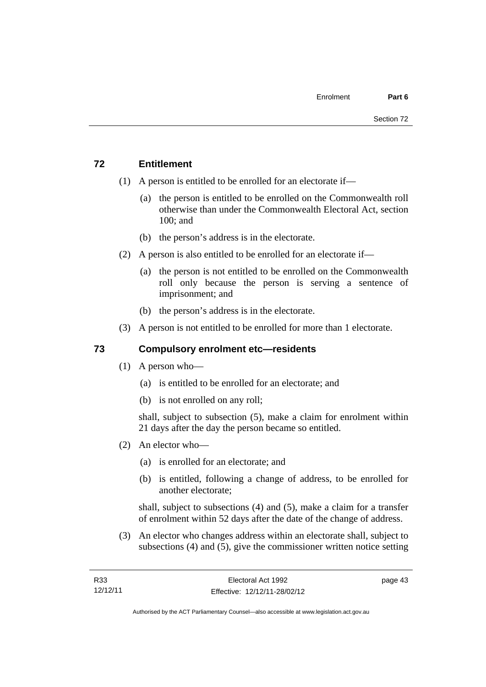# **72 Entitlement**

- (1) A person is entitled to be enrolled for an electorate if—
	- (a) the person is entitled to be enrolled on the Commonwealth roll otherwise than under the Commonwealth Electoral Act, section 100; and
	- (b) the person's address is in the electorate.
- (2) A person is also entitled to be enrolled for an electorate if—
	- (a) the person is not entitled to be enrolled on the Commonwealth roll only because the person is serving a sentence of imprisonment; and
	- (b) the person's address is in the electorate.
- (3) A person is not entitled to be enrolled for more than 1 electorate.

# **73 Compulsory enrolment etc—residents**

- (1) A person who—
	- (a) is entitled to be enrolled for an electorate; and
	- (b) is not enrolled on any roll;

shall, subject to subsection (5), make a claim for enrolment within 21 days after the day the person became so entitled.

- (2) An elector who—
	- (a) is enrolled for an electorate; and
	- (b) is entitled, following a change of address, to be enrolled for another electorate;

shall, subject to subsections (4) and (5), make a claim for a transfer of enrolment within 52 days after the date of the change of address.

 (3) An elector who changes address within an electorate shall, subject to subsections (4) and (5), give the commissioner written notice setting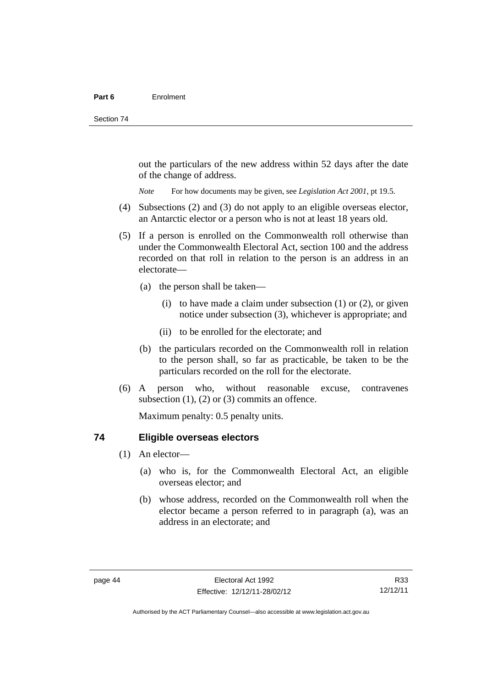out the particulars of the new address within 52 days after the date of the change of address.

*Note* For how documents may be given, see *Legislation Act 2001*, pt 19.5.

- (4) Subsections (2) and (3) do not apply to an eligible overseas elector, an Antarctic elector or a person who is not at least 18 years old.
- (5) If a person is enrolled on the Commonwealth roll otherwise than under the Commonwealth Electoral Act, section 100 and the address recorded on that roll in relation to the person is an address in an electorate—
	- (a) the person shall be taken—
		- (i) to have made a claim under subsection  $(1)$  or  $(2)$ , or given notice under subsection (3), whichever is appropriate; and
		- (ii) to be enrolled for the electorate; and
	- (b) the particulars recorded on the Commonwealth roll in relation to the person shall, so far as practicable, be taken to be the particulars recorded on the roll for the electorate.
- (6) A person who, without reasonable excuse, contravenes subsection  $(1)$ ,  $(2)$  or  $(3)$  commits an offence.

Maximum penalty: 0.5 penalty units.

#### **74 Eligible overseas electors**

- (1) An elector—
	- (a) who is, for the Commonwealth Electoral Act, an eligible overseas elector; and
	- (b) whose address, recorded on the Commonwealth roll when the elector became a person referred to in paragraph (a), was an address in an electorate; and

R33 12/12/11

Authorised by the ACT Parliamentary Counsel—also accessible at www.legislation.act.gov.au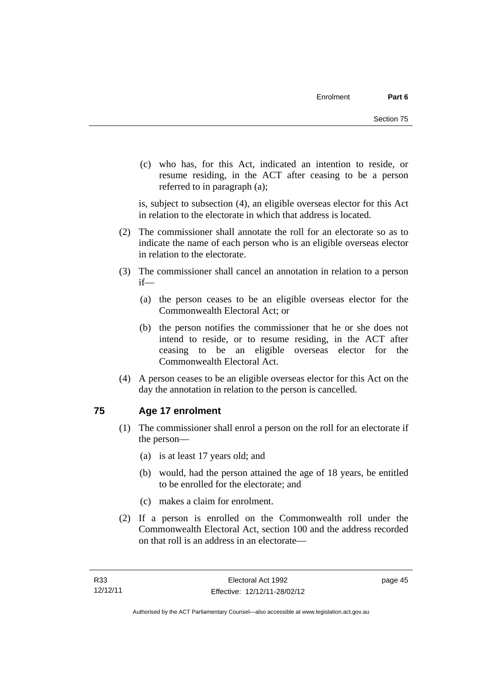(c) who has, for this Act, indicated an intention to reside, or resume residing, in the ACT after ceasing to be a person referred to in paragraph (a);

is, subject to subsection (4), an eligible overseas elector for this Act in relation to the electorate in which that address is located.

- (2) The commissioner shall annotate the roll for an electorate so as to indicate the name of each person who is an eligible overseas elector in relation to the electorate.
- (3) The commissioner shall cancel an annotation in relation to a person if—
	- (a) the person ceases to be an eligible overseas elector for the Commonwealth Electoral Act; or
	- (b) the person notifies the commissioner that he or she does not intend to reside, or to resume residing, in the ACT after ceasing to be an eligible overseas elector for the Commonwealth Electoral Act.
- (4) A person ceases to be an eligible overseas elector for this Act on the day the annotation in relation to the person is cancelled.

# **75 Age 17 enrolment**

- (1) The commissioner shall enrol a person on the roll for an electorate if the person—
	- (a) is at least 17 years old; and
	- (b) would, had the person attained the age of 18 years, be entitled to be enrolled for the electorate; and
	- (c) makes a claim for enrolment.
- (2) If a person is enrolled on the Commonwealth roll under the Commonwealth Electoral Act, section 100 and the address recorded on that roll is an address in an electorate—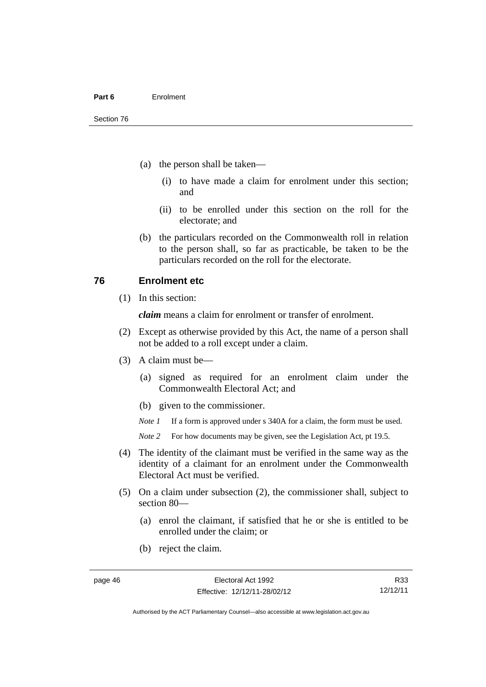- (a) the person shall be taken—
	- (i) to have made a claim for enrolment under this section; and
	- (ii) to be enrolled under this section on the roll for the electorate; and
- (b) the particulars recorded on the Commonwealth roll in relation to the person shall, so far as practicable, be taken to be the particulars recorded on the roll for the electorate.

#### **76 Enrolment etc**

(1) In this section:

*claim* means a claim for enrolment or transfer of enrolment.

- (2) Except as otherwise provided by this Act, the name of a person shall not be added to a roll except under a claim.
- (3) A claim must be—
	- (a) signed as required for an enrolment claim under the Commonwealth Electoral Act; and
	- (b) given to the commissioner.

*Note 1* If a form is approved under s 340A for a claim, the form must be used.

- *Note* 2 For how documents may be given, see the Legislation Act, pt 19.5.
- (4) The identity of the claimant must be verified in the same way as the identity of a claimant for an enrolment under the Commonwealth Electoral Act must be verified.
- (5) On a claim under subsection (2), the commissioner shall, subject to section 80—
	- (a) enrol the claimant, if satisfied that he or she is entitled to be enrolled under the claim; or
	- (b) reject the claim.

R33 12/12/11

Authorised by the ACT Parliamentary Counsel—also accessible at www.legislation.act.gov.au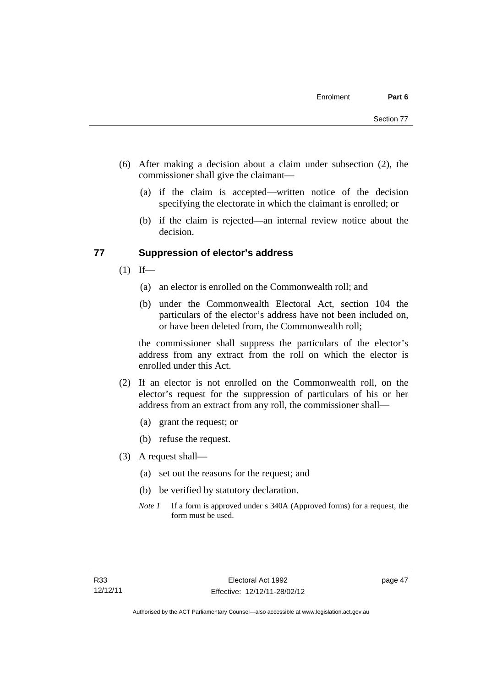- (6) After making a decision about a claim under subsection (2), the commissioner shall give the claimant—
	- (a) if the claim is accepted—written notice of the decision specifying the electorate in which the claimant is enrolled; or
	- (b) if the claim is rejected—an internal review notice about the decision.

#### **77 Suppression of elector's address**

- $(1)$  If—
	- (a) an elector is enrolled on the Commonwealth roll; and
	- (b) under the Commonwealth Electoral Act, section 104 the particulars of the elector's address have not been included on, or have been deleted from, the Commonwealth roll;

the commissioner shall suppress the particulars of the elector's address from any extract from the roll on which the elector is enrolled under this Act.

- (2) If an elector is not enrolled on the Commonwealth roll, on the elector's request for the suppression of particulars of his or her address from an extract from any roll, the commissioner shall—
	- (a) grant the request; or
	- (b) refuse the request.
- (3) A request shall—
	- (a) set out the reasons for the request; and
	- (b) be verified by statutory declaration.
	- *Note 1* If a form is approved under s 340A (Approved forms) for a request, the form must be used.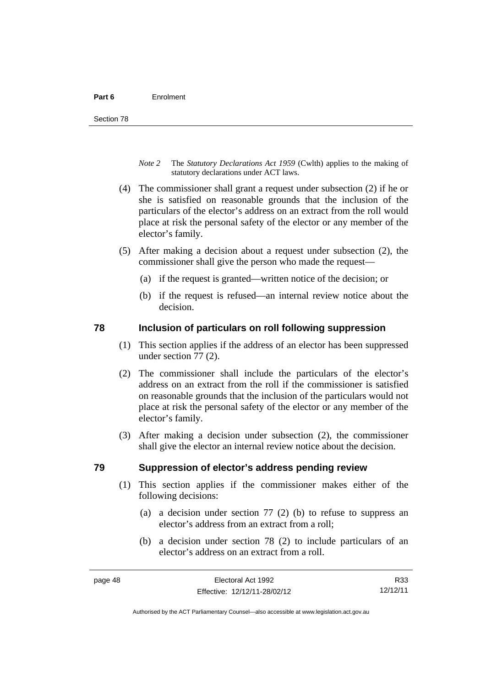- *Note 2* The *Statutory Declarations Act 1959* (Cwlth) applies to the making of statutory declarations under ACT laws.
- (4) The commissioner shall grant a request under subsection (2) if he or she is satisfied on reasonable grounds that the inclusion of the particulars of the elector's address on an extract from the roll would place at risk the personal safety of the elector or any member of the elector's family.
- (5) After making a decision about a request under subsection (2), the commissioner shall give the person who made the request—
	- (a) if the request is granted—written notice of the decision; or
	- (b) if the request is refused—an internal review notice about the decision.

#### **78 Inclusion of particulars on roll following suppression**

- (1) This section applies if the address of an elector has been suppressed under section 77 (2).
- (2) The commissioner shall include the particulars of the elector's address on an extract from the roll if the commissioner is satisfied on reasonable grounds that the inclusion of the particulars would not place at risk the personal safety of the elector or any member of the elector's family.
- (3) After making a decision under subsection (2), the commissioner shall give the elector an internal review notice about the decision.

#### **79 Suppression of elector's address pending review**

- (1) This section applies if the commissioner makes either of the following decisions:
	- (a) a decision under section 77 (2) (b) to refuse to suppress an elector's address from an extract from a roll;
	- (b) a decision under section 78 (2) to include particulars of an elector's address on an extract from a roll.

Authorised by the ACT Parliamentary Counsel—also accessible at www.legislation.act.gov.au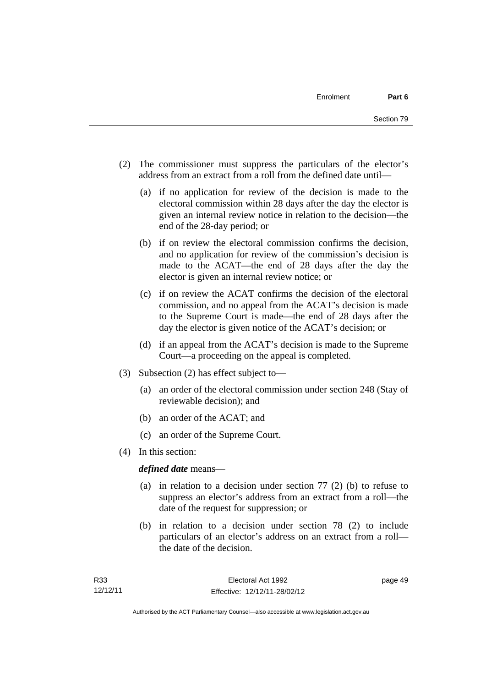- (2) The commissioner must suppress the particulars of the elector's address from an extract from a roll from the defined date until—
	- (a) if no application for review of the decision is made to the electoral commission within 28 days after the day the elector is given an internal review notice in relation to the decision—the end of the 28-day period; or
	- (b) if on review the electoral commission confirms the decision, and no application for review of the commission's decision is made to the ACAT—the end of 28 days after the day the elector is given an internal review notice; or
	- (c) if on review the ACAT confirms the decision of the electoral commission, and no appeal from the ACAT's decision is made to the Supreme Court is made—the end of 28 days after the day the elector is given notice of the ACAT's decision; or
	- (d) if an appeal from the ACAT's decision is made to the Supreme Court—a proceeding on the appeal is completed.
- (3) Subsection (2) has effect subject to—
	- (a) an order of the electoral commission under section 248 (Stay of reviewable decision); and
	- (b) an order of the ACAT; and
	- (c) an order of the Supreme Court.
- (4) In this section:

*defined date* means—

- (a) in relation to a decision under section 77 (2) (b) to refuse to suppress an elector's address from an extract from a roll—the date of the request for suppression; or
- (b) in relation to a decision under section 78 (2) to include particulars of an elector's address on an extract from a roll the date of the decision.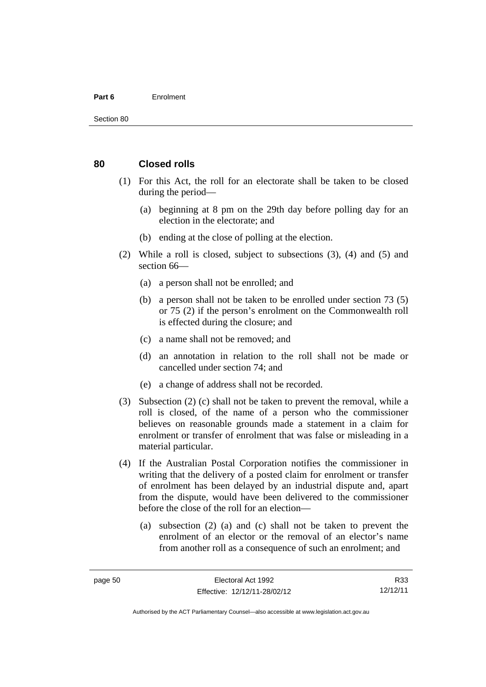#### **Part 6** Enrolment

#### **80 Closed rolls**

- (1) For this Act, the roll for an electorate shall be taken to be closed during the period—
	- (a) beginning at 8 pm on the 29th day before polling day for an election in the electorate; and
	- (b) ending at the close of polling at the election.
- (2) While a roll is closed, subject to subsections (3), (4) and (5) and section 66—
	- (a) a person shall not be enrolled; and
	- (b) a person shall not be taken to be enrolled under section 73 (5) or 75 (2) if the person's enrolment on the Commonwealth roll is effected during the closure; and
	- (c) a name shall not be removed; and
	- (d) an annotation in relation to the roll shall not be made or cancelled under section 74; and
	- (e) a change of address shall not be recorded.
- (3) Subsection (2) (c) shall not be taken to prevent the removal, while a roll is closed, of the name of a person who the commissioner believes on reasonable grounds made a statement in a claim for enrolment or transfer of enrolment that was false or misleading in a material particular.
- (4) If the Australian Postal Corporation notifies the commissioner in writing that the delivery of a posted claim for enrolment or transfer of enrolment has been delayed by an industrial dispute and, apart from the dispute, would have been delivered to the commissioner before the close of the roll for an election—
	- (a) subsection (2) (a) and (c) shall not be taken to prevent the enrolment of an elector or the removal of an elector's name from another roll as a consequence of such an enrolment; and

R33 12/12/11

Authorised by the ACT Parliamentary Counsel—also accessible at www.legislation.act.gov.au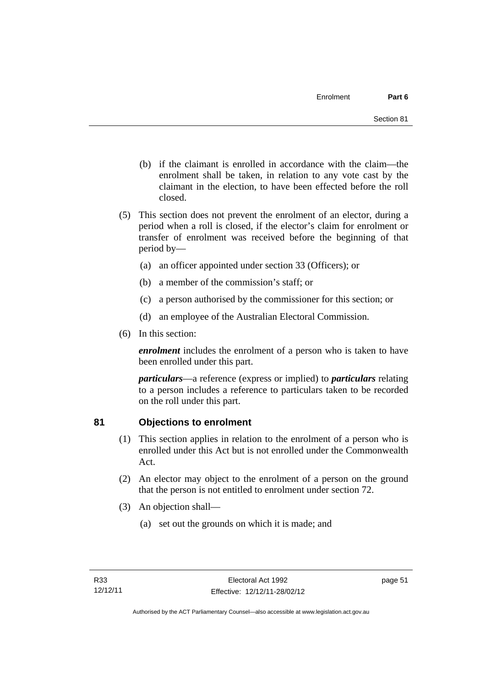- (b) if the claimant is enrolled in accordance with the claim—the enrolment shall be taken, in relation to any vote cast by the claimant in the election, to have been effected before the roll closed.
- (5) This section does not prevent the enrolment of an elector, during a period when a roll is closed, if the elector's claim for enrolment or transfer of enrolment was received before the beginning of that period by—
	- (a) an officer appointed under section 33 (Officers); or
	- (b) a member of the commission's staff; or
	- (c) a person authorised by the commissioner for this section; or
	- (d) an employee of the Australian Electoral Commission.
- (6) In this section:

*enrolment* includes the enrolment of a person who is taken to have been enrolled under this part.

*particulars*—a reference (express or implied) to *particulars* relating to a person includes a reference to particulars taken to be recorded on the roll under this part.

#### **81 Objections to enrolment**

- (1) This section applies in relation to the enrolment of a person who is enrolled under this Act but is not enrolled under the Commonwealth Act.
- (2) An elector may object to the enrolment of a person on the ground that the person is not entitled to enrolment under section 72.
- (3) An objection shall—
	- (a) set out the grounds on which it is made; and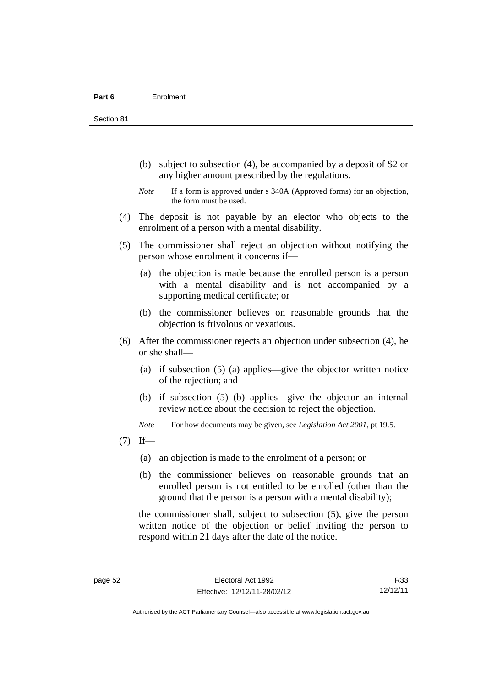Section 81

- (b) subject to subsection (4), be accompanied by a deposit of \$2 or any higher amount prescribed by the regulations.
- *Note* If a form is approved under s 340A (Approved forms) for an objection, the form must be used.
- (4) The deposit is not payable by an elector who objects to the enrolment of a person with a mental disability.
- (5) The commissioner shall reject an objection without notifying the person whose enrolment it concerns if—
	- (a) the objection is made because the enrolled person is a person with a mental disability and is not accompanied by a supporting medical certificate; or
	- (b) the commissioner believes on reasonable grounds that the objection is frivolous or vexatious.
- (6) After the commissioner rejects an objection under subsection (4), he or she shall—
	- (a) if subsection (5) (a) applies—give the objector written notice of the rejection; and
	- (b) if subsection (5) (b) applies—give the objector an internal review notice about the decision to reject the objection.

*Note* For how documents may be given, see *Legislation Act 2001*, pt 19.5.

- $(7)$  If—
	- (a) an objection is made to the enrolment of a person; or
	- (b) the commissioner believes on reasonable grounds that an enrolled person is not entitled to be enrolled (other than the ground that the person is a person with a mental disability);

the commissioner shall, subject to subsection (5), give the person written notice of the objection or belief inviting the person to respond within 21 days after the date of the notice.

R33 12/12/11

Authorised by the ACT Parliamentary Counsel—also accessible at www.legislation.act.gov.au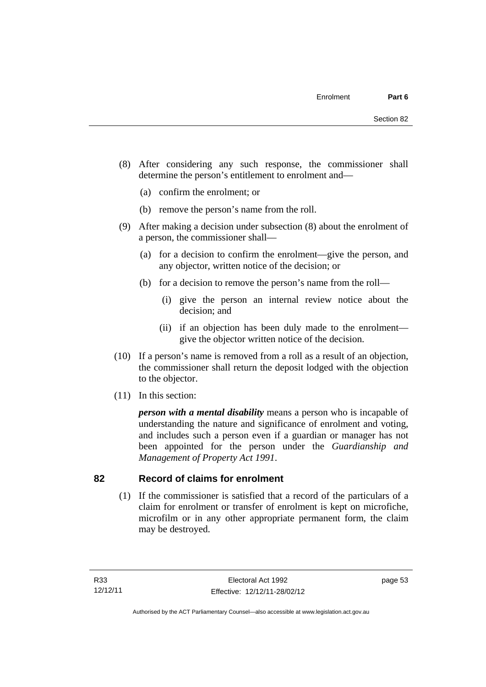- (8) After considering any such response, the commissioner shall determine the person's entitlement to enrolment and—
	- (a) confirm the enrolment; or
	- (b) remove the person's name from the roll.
- (9) After making a decision under subsection (8) about the enrolment of a person, the commissioner shall—
	- (a) for a decision to confirm the enrolment—give the person, and any objector, written notice of the decision; or
	- (b) for a decision to remove the person's name from the roll—
		- (i) give the person an internal review notice about the decision; and
		- (ii) if an objection has been duly made to the enrolment give the objector written notice of the decision.
- (10) If a person's name is removed from a roll as a result of an objection, the commissioner shall return the deposit lodged with the objection to the objector.
- (11) In this section:

*person with a mental disability* means a person who is incapable of understanding the nature and significance of enrolment and voting, and includes such a person even if a guardian or manager has not been appointed for the person under the *Guardianship and Management of Property Act 1991*.

#### **82 Record of claims for enrolment**

 (1) If the commissioner is satisfied that a record of the particulars of a claim for enrolment or transfer of enrolment is kept on microfiche, microfilm or in any other appropriate permanent form, the claim may be destroyed.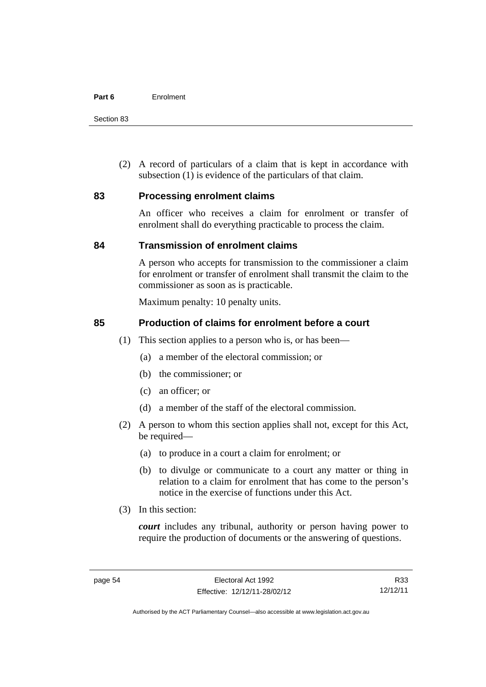Section 83

 (2) A record of particulars of a claim that is kept in accordance with subsection (1) is evidence of the particulars of that claim.

#### **83 Processing enrolment claims**

An officer who receives a claim for enrolment or transfer of enrolment shall do everything practicable to process the claim.

#### **84 Transmission of enrolment claims**

A person who accepts for transmission to the commissioner a claim for enrolment or transfer of enrolment shall transmit the claim to the commissioner as soon as is practicable.

Maximum penalty: 10 penalty units.

#### **85 Production of claims for enrolment before a court**

- (1) This section applies to a person who is, or has been—
	- (a) a member of the electoral commission; or
	- (b) the commissioner; or
	- (c) an officer; or
	- (d) a member of the staff of the electoral commission.
- (2) A person to whom this section applies shall not, except for this Act, be required—
	- (a) to produce in a court a claim for enrolment; or
	- (b) to divulge or communicate to a court any matter or thing in relation to a claim for enrolment that has come to the person's notice in the exercise of functions under this Act.
- (3) In this section:

*court* includes any tribunal, authority or person having power to require the production of documents or the answering of questions.

R33 12/12/11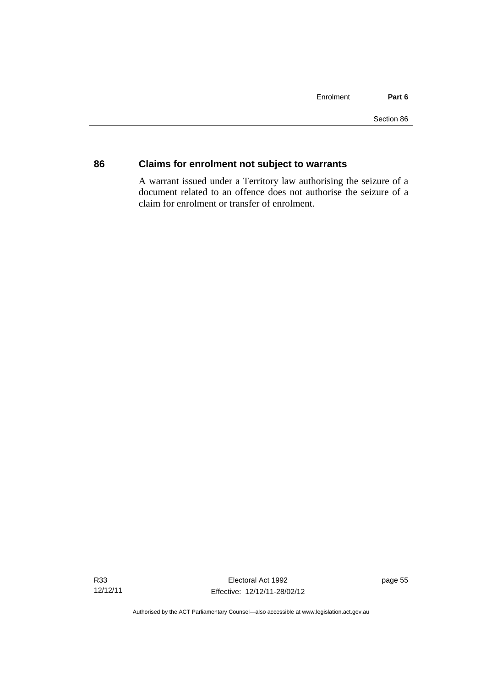# **86 Claims for enrolment not subject to warrants**

A warrant issued under a Territory law authorising the seizure of a document related to an offence does not authorise the seizure of a claim for enrolment or transfer of enrolment.

page 55

Authorised by the ACT Parliamentary Counsel—also accessible at www.legislation.act.gov.au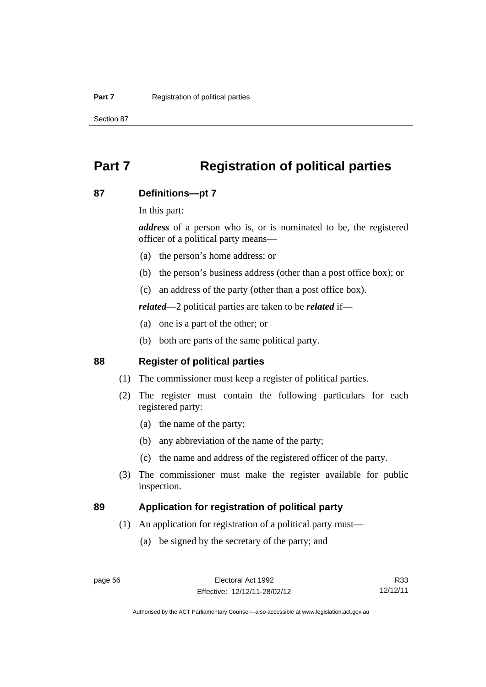Section 87

# **Part 7 Registration of political parties**

### **87 Definitions—pt 7**

In this part:

*address* of a person who is, or is nominated to be, the registered officer of a political party means—

- (a) the person's home address; or
- (b) the person's business address (other than a post office box); or
- (c) an address of the party (other than a post office box).

*related*—2 political parties are taken to be *related* if—

- (a) one is a part of the other; or
- (b) both are parts of the same political party.

# **88 Register of political parties**

- (1) The commissioner must keep a register of political parties.
- (2) The register must contain the following particulars for each registered party:
	- (a) the name of the party;
	- (b) any abbreviation of the name of the party;
	- (c) the name and address of the registered officer of the party.
- (3) The commissioner must make the register available for public inspection.

### **89 Application for registration of political party**

- (1) An application for registration of a political party must—
	- (a) be signed by the secretary of the party; and

R33 12/12/11

Authorised by the ACT Parliamentary Counsel—also accessible at www.legislation.act.gov.au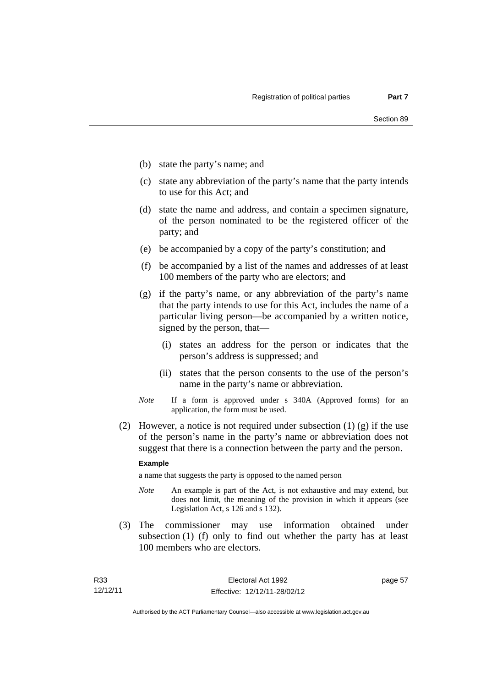- (b) state the party's name; and
- (c) state any abbreviation of the party's name that the party intends to use for this Act; and
- (d) state the name and address, and contain a specimen signature, of the person nominated to be the registered officer of the party; and
- (e) be accompanied by a copy of the party's constitution; and
- (f) be accompanied by a list of the names and addresses of at least 100 members of the party who are electors; and
- (g) if the party's name, or any abbreviation of the party's name that the party intends to use for this Act, includes the name of a particular living person—be accompanied by a written notice, signed by the person, that—
	- (i) states an address for the person or indicates that the person's address is suppressed; and
	- (ii) states that the person consents to the use of the person's name in the party's name or abbreviation.
- *Note* If a form is approved under s 340A (Approved forms) for an application, the form must be used.
- (2) However, a notice is not required under subsection  $(1)$  (g) if the use of the person's name in the party's name or abbreviation does not suggest that there is a connection between the party and the person.

#### **Example**

a name that suggests the party is opposed to the named person

- *Note* An example is part of the Act, is not exhaustive and may extend, but does not limit, the meaning of the provision in which it appears (see Legislation Act, s 126 and s 132).
- (3) The commissioner may use information obtained under subsection (1) (f) only to find out whether the party has at least 100 members who are electors.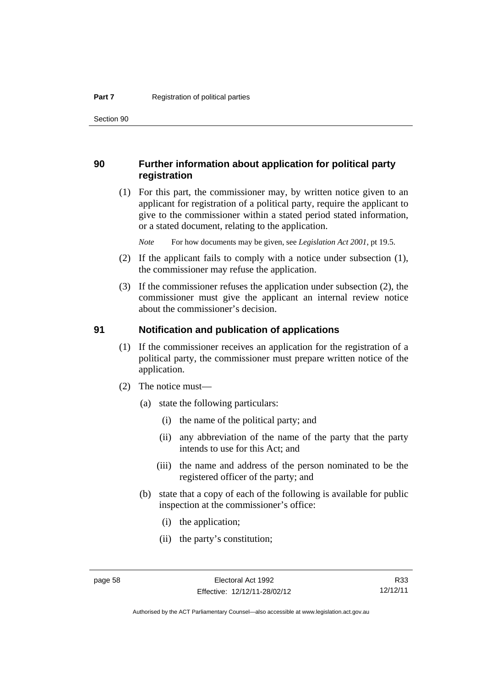Section 90

### **90 Further information about application for political party registration**

 (1) For this part, the commissioner may, by written notice given to an applicant for registration of a political party, require the applicant to give to the commissioner within a stated period stated information, or a stated document, relating to the application.

*Note* For how documents may be given, see *Legislation Act 2001*, pt 19.5.

- (2) If the applicant fails to comply with a notice under subsection (1), the commissioner may refuse the application.
- (3) If the commissioner refuses the application under subsection (2), the commissioner must give the applicant an internal review notice about the commissioner's decision.

#### **91 Notification and publication of applications**

- (1) If the commissioner receives an application for the registration of a political party, the commissioner must prepare written notice of the application.
- (2) The notice must—
	- (a) state the following particulars:
		- (i) the name of the political party; and
		- (ii) any abbreviation of the name of the party that the party intends to use for this Act; and
		- (iii) the name and address of the person nominated to be the registered officer of the party; and
	- (b) state that a copy of each of the following is available for public inspection at the commissioner's office:
		- (i) the application;
		- (ii) the party's constitution;

R33 12/12/11

Authorised by the ACT Parliamentary Counsel—also accessible at www.legislation.act.gov.au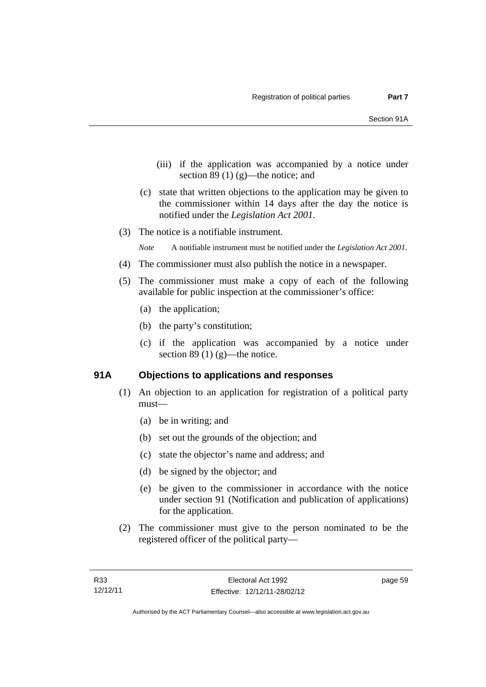- (iii) if the application was accompanied by a notice under section 89 $(1)$  $(g)$ —the notice; and
- (c) state that written objections to the application may be given to the commissioner within 14 days after the day the notice is notified under the *Legislation Act 2001*.
- (3) The notice is a notifiable instrument.

*Note* A notifiable instrument must be notified under the *Legislation Act 2001*.

- (4) The commissioner must also publish the notice in a newspaper.
- (5) The commissioner must make a copy of each of the following available for public inspection at the commissioner's office:
	- (a) the application;
	- (b) the party's constitution;
	- (c) if the application was accompanied by a notice under section 89 (1)  $(g)$ —the notice.

### **91A Objections to applications and responses**

- (1) An objection to an application for registration of a political party must—
	- (a) be in writing; and
	- (b) set out the grounds of the objection; and
	- (c) state the objector's name and address; and
	- (d) be signed by the objector; and
	- (e) be given to the commissioner in accordance with the notice under section 91 (Notification and publication of applications) for the application.
- (2) The commissioner must give to the person nominated to be the registered officer of the political party—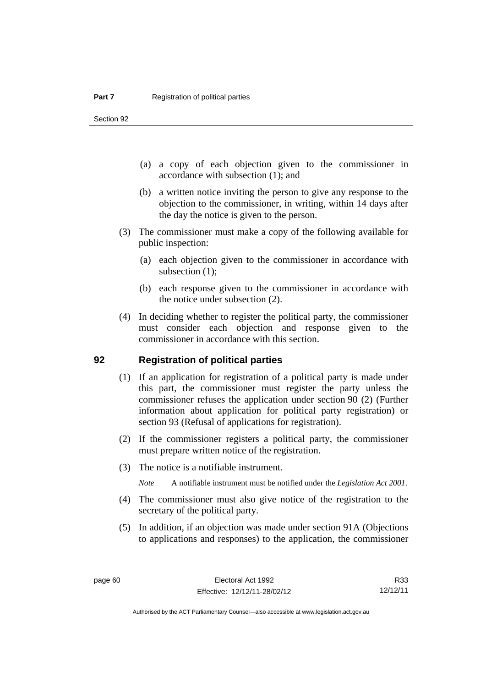Section 92

- (a) a copy of each objection given to the commissioner in accordance with subsection (1); and
- (b) a written notice inviting the person to give any response to the objection to the commissioner, in writing, within 14 days after the day the notice is given to the person.
- (3) The commissioner must make a copy of the following available for public inspection:
	- (a) each objection given to the commissioner in accordance with subsection  $(1)$ ;
	- (b) each response given to the commissioner in accordance with the notice under subsection (2).
- (4) In deciding whether to register the political party, the commissioner must consider each objection and response given to the commissioner in accordance with this section.

### **92 Registration of political parties**

- (1) If an application for registration of a political party is made under this part, the commissioner must register the party unless the commissioner refuses the application under section 90 (2) (Further information about application for political party registration) or section 93 (Refusal of applications for registration).
- (2) If the commissioner registers a political party, the commissioner must prepare written notice of the registration.
- (3) The notice is a notifiable instrument.

*Note* A notifiable instrument must be notified under the *Legislation Act 2001*.

- (4) The commissioner must also give notice of the registration to the secretary of the political party.
- (5) In addition, if an objection was made under section 91A (Objections to applications and responses) to the application, the commissioner

R33 12/12/11

Authorised by the ACT Parliamentary Counsel—also accessible at www.legislation.act.gov.au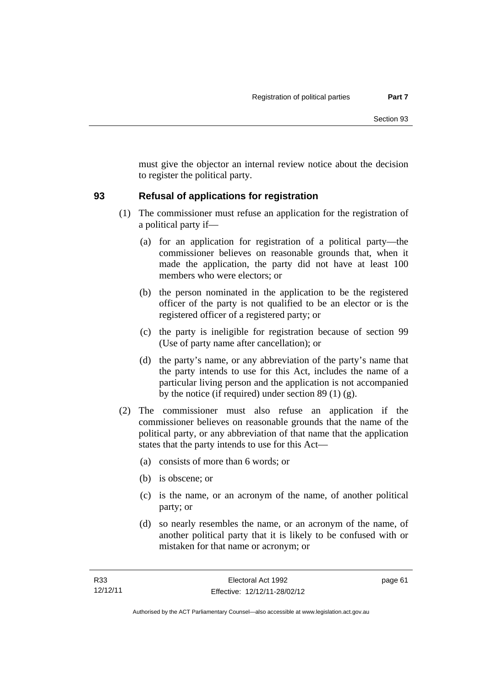must give the objector an internal review notice about the decision to register the political party.

## **93 Refusal of applications for registration**

- (1) The commissioner must refuse an application for the registration of a political party if—
	- (a) for an application for registration of a political party—the commissioner believes on reasonable grounds that, when it made the application, the party did not have at least 100 members who were electors; or
	- (b) the person nominated in the application to be the registered officer of the party is not qualified to be an elector or is the registered officer of a registered party; or
	- (c) the party is ineligible for registration because of section 99 (Use of party name after cancellation); or
	- (d) the party's name, or any abbreviation of the party's name that the party intends to use for this Act, includes the name of a particular living person and the application is not accompanied by the notice (if required) under section 89 (1) (g).
- (2) The commissioner must also refuse an application if the commissioner believes on reasonable grounds that the name of the political party, or any abbreviation of that name that the application states that the party intends to use for this Act—
	- (a) consists of more than 6 words; or
	- (b) is obscene; or
	- (c) is the name, or an acronym of the name, of another political party; or
	- (d) so nearly resembles the name, or an acronym of the name, of another political party that it is likely to be confused with or mistaken for that name or acronym; or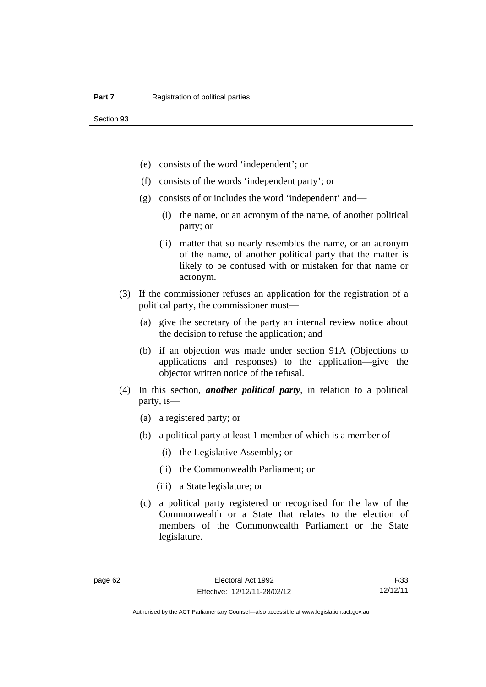- (e) consists of the word 'independent'; or
- (f) consists of the words 'independent party'; or
- (g) consists of or includes the word 'independent' and—
	- (i) the name, or an acronym of the name, of another political party; or
	- (ii) matter that so nearly resembles the name, or an acronym of the name, of another political party that the matter is likely to be confused with or mistaken for that name or acronym.
- (3) If the commissioner refuses an application for the registration of a political party, the commissioner must—
	- (a) give the secretary of the party an internal review notice about the decision to refuse the application; and
	- (b) if an objection was made under section 91A (Objections to applications and responses) to the application—give the objector written notice of the refusal.
- (4) In this section, *another political party*, in relation to a political party, is—
	- (a) a registered party; or
	- (b) a political party at least 1 member of which is a member of—
		- (i) the Legislative Assembly; or
		- (ii) the Commonwealth Parliament; or
		- (iii) a State legislature; or
	- (c) a political party registered or recognised for the law of the Commonwealth or a State that relates to the election of members of the Commonwealth Parliament or the State legislature.

R33 12/12/11

Authorised by the ACT Parliamentary Counsel—also accessible at www.legislation.act.gov.au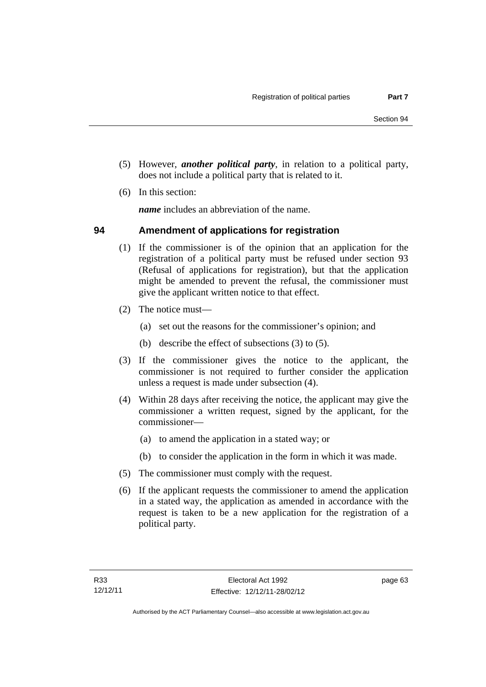- (5) However, *another political party*, in relation to a political party, does not include a political party that is related to it.
- (6) In this section:

*name* includes an abbreviation of the name.

### **94 Amendment of applications for registration**

- (1) If the commissioner is of the opinion that an application for the registration of a political party must be refused under section 93 (Refusal of applications for registration), but that the application might be amended to prevent the refusal, the commissioner must give the applicant written notice to that effect.
- (2) The notice must—
	- (a) set out the reasons for the commissioner's opinion; and
	- (b) describe the effect of subsections (3) to (5).
- (3) If the commissioner gives the notice to the applicant, the commissioner is not required to further consider the application unless a request is made under subsection (4).
- (4) Within 28 days after receiving the notice, the applicant may give the commissioner a written request, signed by the applicant, for the commissioner—
	- (a) to amend the application in a stated way; or
	- (b) to consider the application in the form in which it was made.
- (5) The commissioner must comply with the request.
- (6) If the applicant requests the commissioner to amend the application in a stated way, the application as amended in accordance with the request is taken to be a new application for the registration of a political party.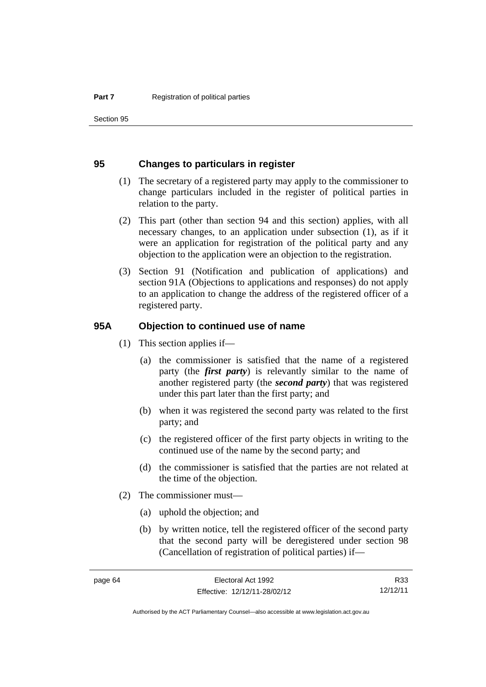Section 95

### **95 Changes to particulars in register**

- (1) The secretary of a registered party may apply to the commissioner to change particulars included in the register of political parties in relation to the party.
- (2) This part (other than section 94 and this section) applies, with all necessary changes, to an application under subsection (1), as if it were an application for registration of the political party and any objection to the application were an objection to the registration.
- (3) Section 91 (Notification and publication of applications) and section 91A (Objections to applications and responses) do not apply to an application to change the address of the registered officer of a registered party.

### **95A Objection to continued use of name**

- (1) This section applies if—
	- (a) the commissioner is satisfied that the name of a registered party (the *first party*) is relevantly similar to the name of another registered party (the *second party*) that was registered under this part later than the first party; and
	- (b) when it was registered the second party was related to the first party; and
	- (c) the registered officer of the first party objects in writing to the continued use of the name by the second party; and
	- (d) the commissioner is satisfied that the parties are not related at the time of the objection.
- (2) The commissioner must—
	- (a) uphold the objection; and
	- (b) by written notice, tell the registered officer of the second party that the second party will be deregistered under section 98 (Cancellation of registration of political parties) if—

R33 12/12/11

Authorised by the ACT Parliamentary Counsel—also accessible at www.legislation.act.gov.au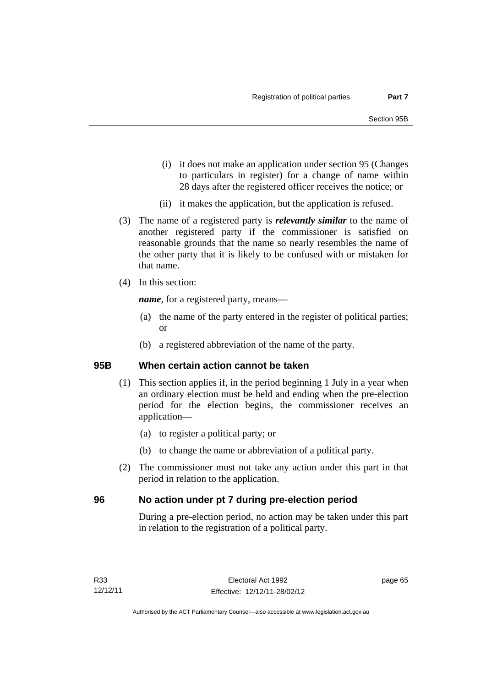- (i) it does not make an application under section 95 (Changes to particulars in register) for a change of name within 28 days after the registered officer receives the notice; or
- (ii) it makes the application, but the application is refused.
- (3) The name of a registered party is *relevantly similar* to the name of another registered party if the commissioner is satisfied on reasonable grounds that the name so nearly resembles the name of the other party that it is likely to be confused with or mistaken for that name.
- (4) In this section:

*name*, for a registered party, means—

- (a) the name of the party entered in the register of political parties; or
- (b) a registered abbreviation of the name of the party.

## **95B When certain action cannot be taken**

- (1) This section applies if, in the period beginning 1 July in a year when an ordinary election must be held and ending when the pre-election period for the election begins, the commissioner receives an application—
	- (a) to register a political party; or
	- (b) to change the name or abbreviation of a political party.
- (2) The commissioner must not take any action under this part in that period in relation to the application.

## **96 No action under pt 7 during pre-election period**

During a pre-election period, no action may be taken under this part in relation to the registration of a political party.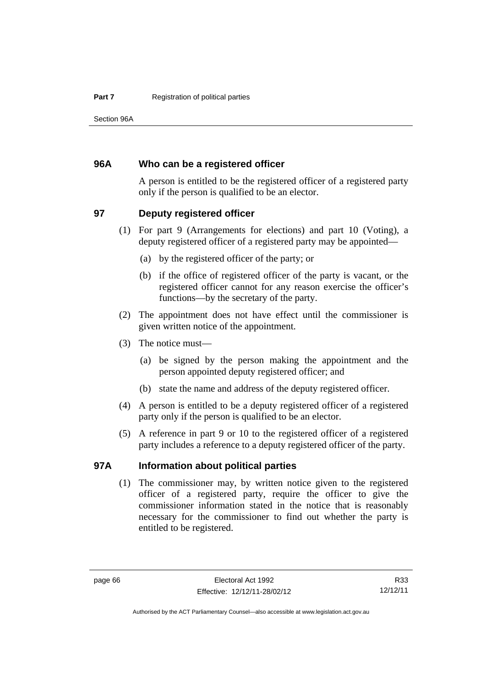Section 96A

### **96A Who can be a registered officer**

A person is entitled to be the registered officer of a registered party only if the person is qualified to be an elector.

### **97 Deputy registered officer**

- (1) For part 9 (Arrangements for elections) and part 10 (Voting), a deputy registered officer of a registered party may be appointed—
	- (a) by the registered officer of the party; or
	- (b) if the office of registered officer of the party is vacant, or the registered officer cannot for any reason exercise the officer's functions—by the secretary of the party.
- (2) The appointment does not have effect until the commissioner is given written notice of the appointment.
- (3) The notice must—
	- (a) be signed by the person making the appointment and the person appointed deputy registered officer; and
	- (b) state the name and address of the deputy registered officer.
- (4) A person is entitled to be a deputy registered officer of a registered party only if the person is qualified to be an elector.
- (5) A reference in part 9 or 10 to the registered officer of a registered party includes a reference to a deputy registered officer of the party.

### **97A Information about political parties**

 (1) The commissioner may, by written notice given to the registered officer of a registered party, require the officer to give the commissioner information stated in the notice that is reasonably necessary for the commissioner to find out whether the party is entitled to be registered.

R33 12/12/11

Authorised by the ACT Parliamentary Counsel—also accessible at www.legislation.act.gov.au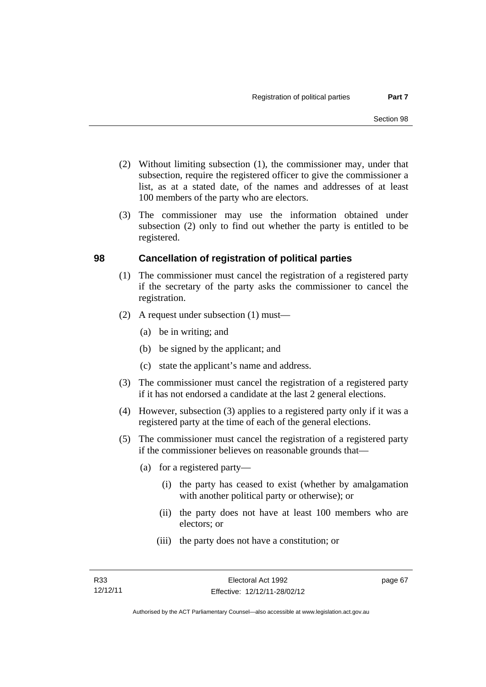- (2) Without limiting subsection (1), the commissioner may, under that subsection, require the registered officer to give the commissioner a list, as at a stated date, of the names and addresses of at least 100 members of the party who are electors.
- (3) The commissioner may use the information obtained under subsection (2) only to find out whether the party is entitled to be registered.

## **98 Cancellation of registration of political parties**

- (1) The commissioner must cancel the registration of a registered party if the secretary of the party asks the commissioner to cancel the registration.
- (2) A request under subsection (1) must—
	- (a) be in writing; and
	- (b) be signed by the applicant; and
	- (c) state the applicant's name and address.
- (3) The commissioner must cancel the registration of a registered party if it has not endorsed a candidate at the last 2 general elections.
- (4) However, subsection (3) applies to a registered party only if it was a registered party at the time of each of the general elections.
- (5) The commissioner must cancel the registration of a registered party if the commissioner believes on reasonable grounds that—
	- (a) for a registered party—
		- (i) the party has ceased to exist (whether by amalgamation with another political party or otherwise); or
		- (ii) the party does not have at least 100 members who are electors; or
		- (iii) the party does not have a constitution; or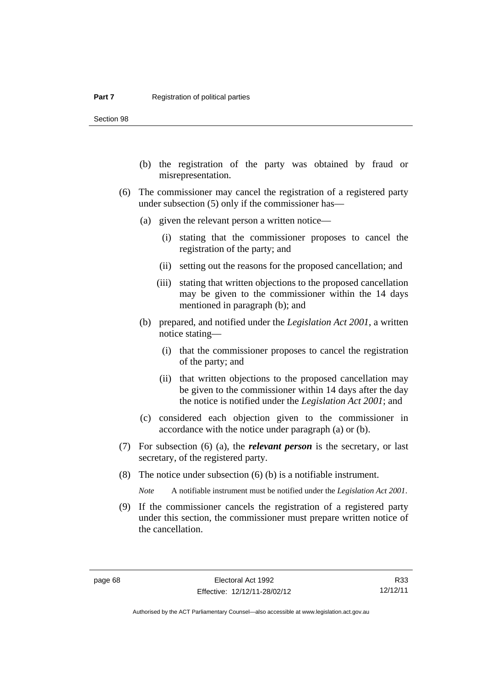Section 98

- (b) the registration of the party was obtained by fraud or misrepresentation.
- (6) The commissioner may cancel the registration of a registered party under subsection (5) only if the commissioner has—
	- (a) given the relevant person a written notice—
		- (i) stating that the commissioner proposes to cancel the registration of the party; and
		- (ii) setting out the reasons for the proposed cancellation; and
		- (iii) stating that written objections to the proposed cancellation may be given to the commissioner within the 14 days mentioned in paragraph (b); and
	- (b) prepared, and notified under the *Legislation Act 2001*, a written notice stating—
		- (i) that the commissioner proposes to cancel the registration of the party; and
		- (ii) that written objections to the proposed cancellation may be given to the commissioner within 14 days after the day the notice is notified under the *Legislation Act 2001*; and
	- (c) considered each objection given to the commissioner in accordance with the notice under paragraph (a) or (b).
- (7) For subsection (6) (a), the *relevant person* is the secretary, or last secretary, of the registered party.
- (8) The notice under subsection (6) (b) is a notifiable instrument.

*Note* A notifiable instrument must be notified under the *Legislation Act 2001*.

 (9) If the commissioner cancels the registration of a registered party under this section, the commissioner must prepare written notice of the cancellation.

R33 12/12/11

Authorised by the ACT Parliamentary Counsel—also accessible at www.legislation.act.gov.au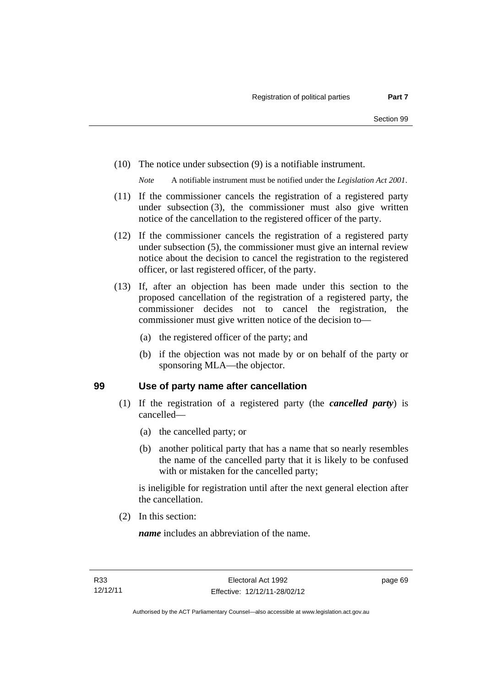(10) The notice under subsection (9) is a notifiable instrument.

*Note* A notifiable instrument must be notified under the *Legislation Act 2001*.

- (11) If the commissioner cancels the registration of a registered party under subsection (3), the commissioner must also give written notice of the cancellation to the registered officer of the party.
- (12) If the commissioner cancels the registration of a registered party under subsection (5), the commissioner must give an internal review notice about the decision to cancel the registration to the registered officer, or last registered officer, of the party.
- (13) If, after an objection has been made under this section to the proposed cancellation of the registration of a registered party, the commissioner decides not to cancel the registration, the commissioner must give written notice of the decision to—
	- (a) the registered officer of the party; and
	- (b) if the objection was not made by or on behalf of the party or sponsoring MLA—the objector.

### **99 Use of party name after cancellation**

- (1) If the registration of a registered party (the *cancelled party*) is cancelled—
	- (a) the cancelled party; or
	- (b) another political party that has a name that so nearly resembles the name of the cancelled party that it is likely to be confused with or mistaken for the cancelled party;

is ineligible for registration until after the next general election after the cancellation.

(2) In this section:

*name* includes an abbreviation of the name.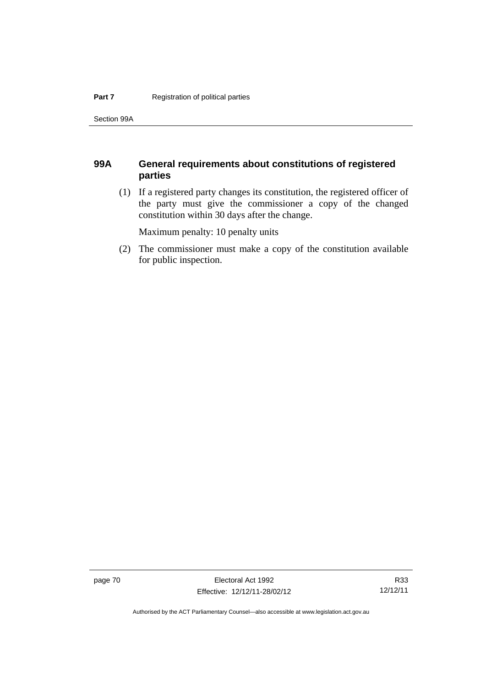Section 99A

## **99A General requirements about constitutions of registered parties**

 (1) If a registered party changes its constitution, the registered officer of the party must give the commissioner a copy of the changed constitution within 30 days after the change.

Maximum penalty: 10 penalty units

 (2) The commissioner must make a copy of the constitution available for public inspection.

page 70 **Electoral Act 1992** Effective: 12/12/11-28/02/12

Authorised by the ACT Parliamentary Counsel—also accessible at www.legislation.act.gov.au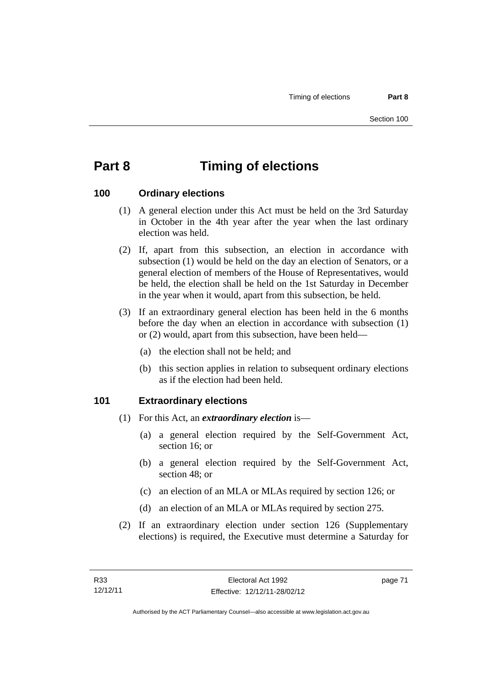# **Part 8 Timing of elections**

### **100 Ordinary elections**

- (1) A general election under this Act must be held on the 3rd Saturday in October in the 4th year after the year when the last ordinary election was held.
- (2) If, apart from this subsection, an election in accordance with subsection (1) would be held on the day an election of Senators, or a general election of members of the House of Representatives, would be held, the election shall be held on the 1st Saturday in December in the year when it would, apart from this subsection, be held.
- (3) If an extraordinary general election has been held in the 6 months before the day when an election in accordance with subsection (1) or (2) would, apart from this subsection, have been held—
	- (a) the election shall not be held; and
	- (b) this section applies in relation to subsequent ordinary elections as if the election had been held.

### **101 Extraordinary elections**

- (1) For this Act, an *extraordinary election* is—
	- (a) a general election required by the Self-Government Act, section 16; or
	- (b) a general election required by the Self-Government Act, section 48; or
	- (c) an election of an MLA or MLAs required by section 126; or
	- (d) an election of an MLA or MLAs required by section 275.
- (2) If an extraordinary election under section 126 (Supplementary elections) is required, the Executive must determine a Saturday for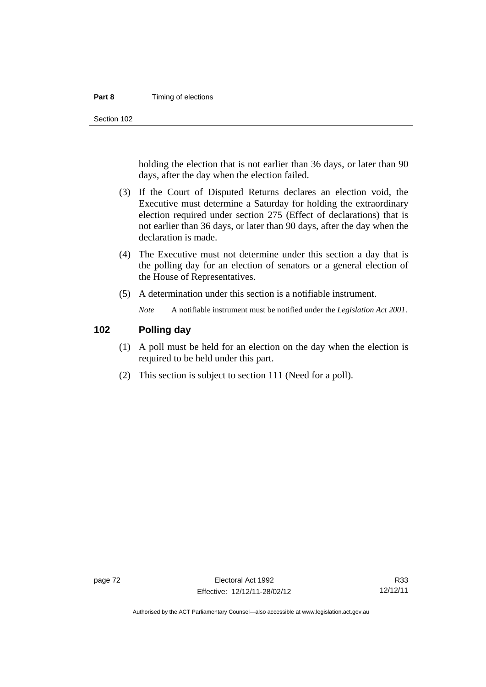#### **Part 8 Timing of elections**

Section 102

holding the election that is not earlier than 36 days, or later than 90 days, after the day when the election failed.

- (3) If the Court of Disputed Returns declares an election void, the Executive must determine a Saturday for holding the extraordinary election required under section 275 (Effect of declarations) that is not earlier than 36 days, or later than 90 days, after the day when the declaration is made.
- (4) The Executive must not determine under this section a day that is the polling day for an election of senators or a general election of the House of Representatives.
- (5) A determination under this section is a notifiable instrument.

*Note* A notifiable instrument must be notified under the *Legislation Act 2001*.

### **102 Polling day**

- (1) A poll must be held for an election on the day when the election is required to be held under this part.
- (2) This section is subject to section 111 (Need for a poll).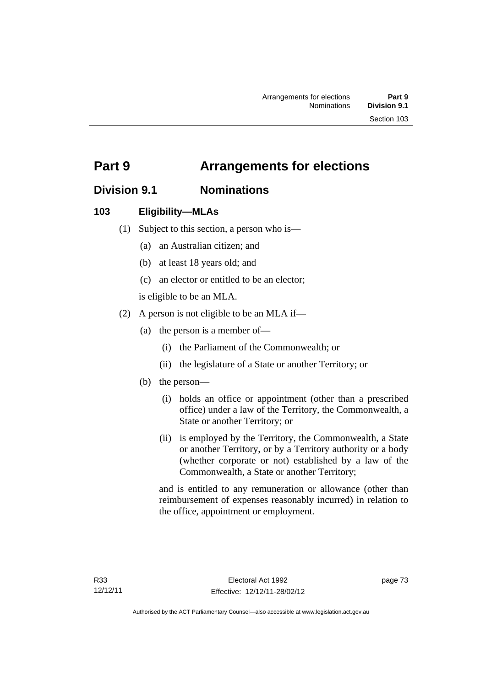# **Part 9 Arrangements for elections**

# **Division 9.1 Nominations**

## **103 Eligibility—MLAs**

- (1) Subject to this section, a person who is—
	- (a) an Australian citizen; and
	- (b) at least 18 years old; and
	- (c) an elector or entitled to be an elector;

is eligible to be an MLA.

- (2) A person is not eligible to be an MLA if—
	- (a) the person is a member of—
		- (i) the Parliament of the Commonwealth; or
		- (ii) the legislature of a State or another Territory; or
	- (b) the person—
		- (i) holds an office or appointment (other than a prescribed office) under a law of the Territory, the Commonwealth, a State or another Territory; or
		- (ii) is employed by the Territory, the Commonwealth, a State or another Territory, or by a Territory authority or a body (whether corporate or not) established by a law of the Commonwealth, a State or another Territory;

and is entitled to any remuneration or allowance (other than reimbursement of expenses reasonably incurred) in relation to the office, appointment or employment.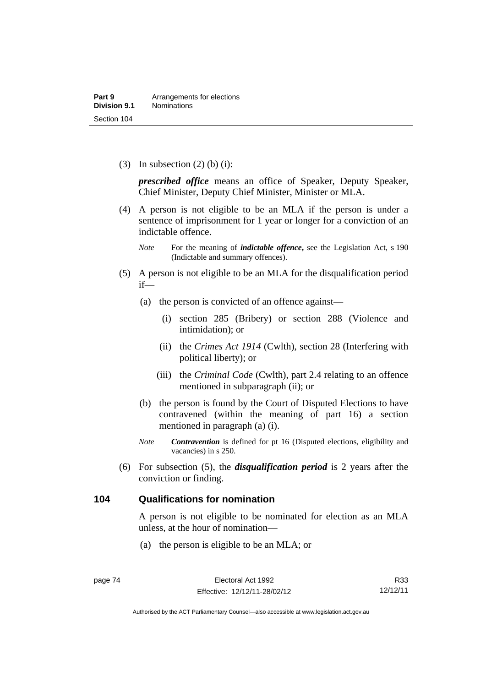(3) In subsection  $(2)$  (b) (i):

*prescribed office* means an office of Speaker, Deputy Speaker, Chief Minister, Deputy Chief Minister, Minister or MLA.

 (4) A person is not eligible to be an MLA if the person is under a sentence of imprisonment for 1 year or longer for a conviction of an indictable offence.

- (5) A person is not eligible to be an MLA for the disqualification period if—
	- (a) the person is convicted of an offence against—
		- (i) section 285 (Bribery) or section 288 (Violence and intimidation); or
		- (ii) the *Crimes Act 1914* (Cwlth), section 28 (Interfering with political liberty); or
		- (iii) the *Criminal Code* (Cwlth), part 2.4 relating to an offence mentioned in subparagraph (ii); or
	- (b) the person is found by the Court of Disputed Elections to have contravened (within the meaning of part 16) a section mentioned in paragraph (a) (i).
	- *Note Contravention* is defined for pt 16 (Disputed elections, eligibility and vacancies) in s 250.
- (6) For subsection (5), the *disqualification period* is 2 years after the conviction or finding.

### **104 Qualifications for nomination**

A person is not eligible to be nominated for election as an MLA unless, at the hour of nomination—

(a) the person is eligible to be an MLA; or

*Note* For the meaning of *indictable offence*, see the Legislation Act, s 190 (Indictable and summary offences).

Authorised by the ACT Parliamentary Counsel—also accessible at www.legislation.act.gov.au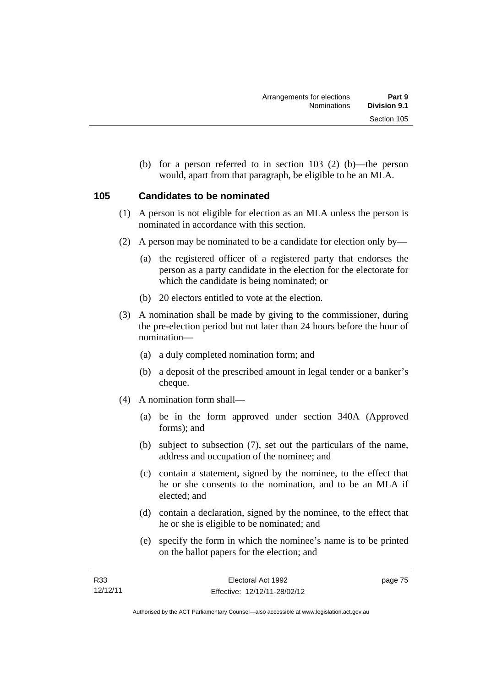(b) for a person referred to in section 103 (2) (b)—the person would, apart from that paragraph, be eligible to be an MLA.

## **105 Candidates to be nominated**

- (1) A person is not eligible for election as an MLA unless the person is nominated in accordance with this section.
- (2) A person may be nominated to be a candidate for election only by—
	- (a) the registered officer of a registered party that endorses the person as a party candidate in the election for the electorate for which the candidate is being nominated; or
	- (b) 20 electors entitled to vote at the election.
- (3) A nomination shall be made by giving to the commissioner, during the pre-election period but not later than 24 hours before the hour of nomination—
	- (a) a duly completed nomination form; and
	- (b) a deposit of the prescribed amount in legal tender or a banker's cheque.
- (4) A nomination form shall—
	- (a) be in the form approved under section 340A (Approved forms); and
	- (b) subject to subsection (7), set out the particulars of the name, address and occupation of the nominee; and
	- (c) contain a statement, signed by the nominee, to the effect that he or she consents to the nomination, and to be an MLA if elected; and
	- (d) contain a declaration, signed by the nominee, to the effect that he or she is eligible to be nominated; and
	- (e) specify the form in which the nominee's name is to be printed on the ballot papers for the election; and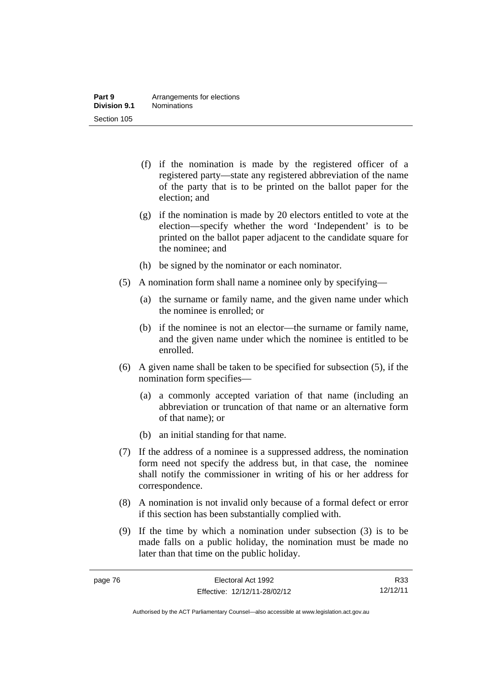- (f) if the nomination is made by the registered officer of a registered party—state any registered abbreviation of the name of the party that is to be printed on the ballot paper for the election; and
- (g) if the nomination is made by 20 electors entitled to vote at the election—specify whether the word 'Independent' is to be printed on the ballot paper adjacent to the candidate square for the nominee; and
- (h) be signed by the nominator or each nominator.
- (5) A nomination form shall name a nominee only by specifying—
	- (a) the surname or family name, and the given name under which the nominee is enrolled; or
	- (b) if the nominee is not an elector—the surname or family name, and the given name under which the nominee is entitled to be enrolled.
- (6) A given name shall be taken to be specified for subsection (5), if the nomination form specifies—
	- (a) a commonly accepted variation of that name (including an abbreviation or truncation of that name or an alternative form of that name); or
	- (b) an initial standing for that name.
- (7) If the address of a nominee is a suppressed address, the nomination form need not specify the address but, in that case, the nominee shall notify the commissioner in writing of his or her address for correspondence.
- (8) A nomination is not invalid only because of a formal defect or error if this section has been substantially complied with.
- (9) If the time by which a nomination under subsection (3) is to be made falls on a public holiday, the nomination must be made no later than that time on the public holiday.

R33 12/12/11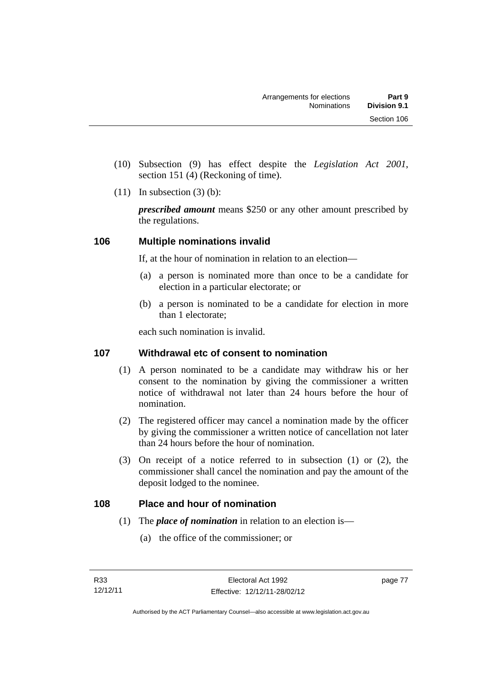- (10) Subsection (9) has effect despite the *Legislation Act 2001*, section 151 (4) (Reckoning of time).
- $(11)$  In subsection  $(3)$  (b):

*prescribed amount* means \$250 or any other amount prescribed by the regulations.

# **106 Multiple nominations invalid**

If, at the hour of nomination in relation to an election—

- (a) a person is nominated more than once to be a candidate for election in a particular electorate; or
- (b) a person is nominated to be a candidate for election in more than 1 electorate;

each such nomination is invalid.

## **107 Withdrawal etc of consent to nomination**

- (1) A person nominated to be a candidate may withdraw his or her consent to the nomination by giving the commissioner a written notice of withdrawal not later than 24 hours before the hour of nomination.
- (2) The registered officer may cancel a nomination made by the officer by giving the commissioner a written notice of cancellation not later than 24 hours before the hour of nomination.
- (3) On receipt of a notice referred to in subsection (1) or (2), the commissioner shall cancel the nomination and pay the amount of the deposit lodged to the nominee.

## **108 Place and hour of nomination**

- (1) The *place of nomination* in relation to an election is—
	- (a) the office of the commissioner; or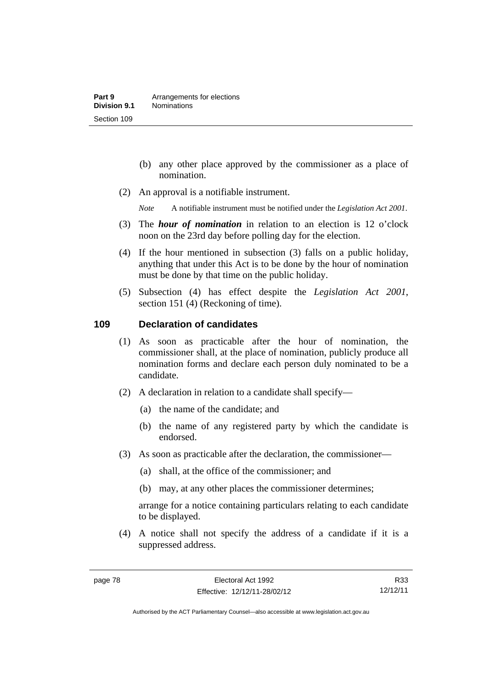- (b) any other place approved by the commissioner as a place of nomination.
- (2) An approval is a notifiable instrument.

*Note* A notifiable instrument must be notified under the *Legislation Act 2001*.

- (3) The *hour of nomination* in relation to an election is 12 o'clock noon on the 23rd day before polling day for the election.
- (4) If the hour mentioned in subsection (3) falls on a public holiday, anything that under this Act is to be done by the hour of nomination must be done by that time on the public holiday.
- (5) Subsection (4) has effect despite the *Legislation Act 2001*, section 151 (4) (Reckoning of time).

### **109 Declaration of candidates**

- (1) As soon as practicable after the hour of nomination, the commissioner shall, at the place of nomination, publicly produce all nomination forms and declare each person duly nominated to be a candidate.
- (2) A declaration in relation to a candidate shall specify—
	- (a) the name of the candidate; and
	- (b) the name of any registered party by which the candidate is endorsed.
- (3) As soon as practicable after the declaration, the commissioner—
	- (a) shall, at the office of the commissioner; and
	- (b) may, at any other places the commissioner determines;

arrange for a notice containing particulars relating to each candidate to be displayed.

 (4) A notice shall not specify the address of a candidate if it is a suppressed address.

R33 12/12/11

Authorised by the ACT Parliamentary Counsel—also accessible at www.legislation.act.gov.au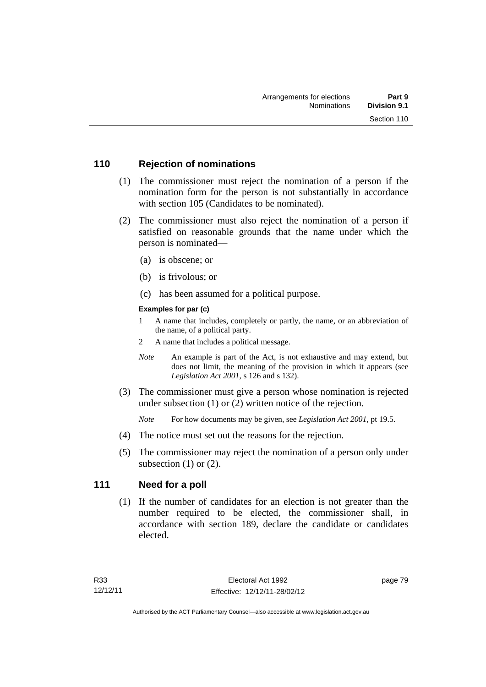### **110 Rejection of nominations**

- (1) The commissioner must reject the nomination of a person if the nomination form for the person is not substantially in accordance with section 105 (Candidates to be nominated).
- (2) The commissioner must also reject the nomination of a person if satisfied on reasonable grounds that the name under which the person is nominated—
	- (a) is obscene; or
	- (b) is frivolous; or
	- (c) has been assumed for a political purpose.

### **Examples for par (c)**

- 1 A name that includes, completely or partly, the name, or an abbreviation of the name, of a political party.
- 2 A name that includes a political message.
- *Note* An example is part of the Act, is not exhaustive and may extend, but does not limit, the meaning of the provision in which it appears (see *Legislation Act 2001*, s 126 and s 132).
- (3) The commissioner must give a person whose nomination is rejected under subsection (1) or (2) written notice of the rejection.

*Note* For how documents may be given, see *Legislation Act 2001*, pt 19.5.

- (4) The notice must set out the reasons for the rejection.
- (5) The commissioner may reject the nomination of a person only under subsection  $(1)$  or  $(2)$ .

## **111 Need for a poll**

 (1) If the number of candidates for an election is not greater than the number required to be elected, the commissioner shall, in accordance with section 189, declare the candidate or candidates elected.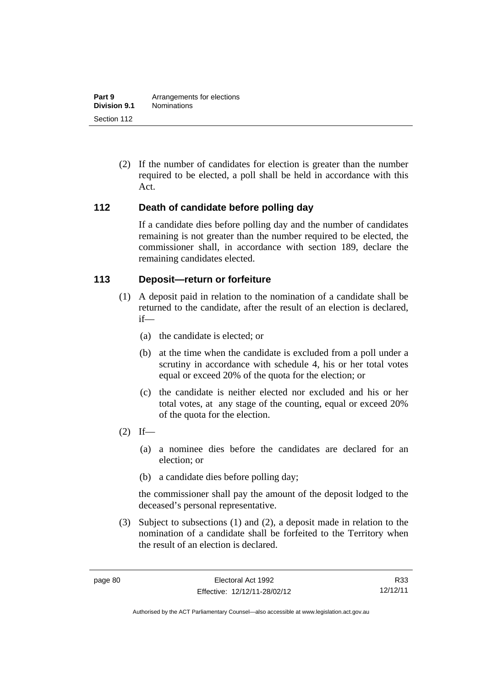(2) If the number of candidates for election is greater than the number required to be elected, a poll shall be held in accordance with this Act.

### **112 Death of candidate before polling day**

If a candidate dies before polling day and the number of candidates remaining is not greater than the number required to be elected, the commissioner shall, in accordance with section 189, declare the remaining candidates elected.

### **113 Deposit—return or forfeiture**

- (1) A deposit paid in relation to the nomination of a candidate shall be returned to the candidate, after the result of an election is declared, if—
	- (a) the candidate is elected; or
	- (b) at the time when the candidate is excluded from a poll under a scrutiny in accordance with schedule 4, his or her total votes equal or exceed 20% of the quota for the election; or
	- (c) the candidate is neither elected nor excluded and his or her total votes, at any stage of the counting, equal or exceed 20% of the quota for the election.
- $(2)$  If—
	- (a) a nominee dies before the candidates are declared for an election; or
	- (b) a candidate dies before polling day;

the commissioner shall pay the amount of the deposit lodged to the deceased's personal representative.

 (3) Subject to subsections (1) and (2), a deposit made in relation to the nomination of a candidate shall be forfeited to the Territory when the result of an election is declared.

R33 12/12/11

Authorised by the ACT Parliamentary Counsel—also accessible at www.legislation.act.gov.au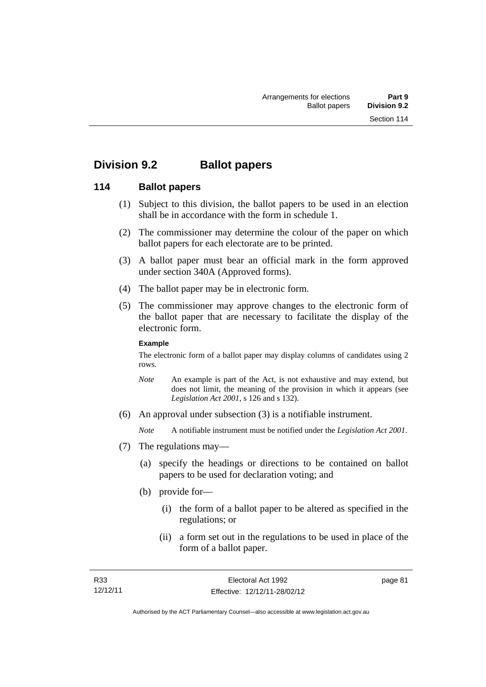# **Division 9.2 Ballot papers**

### **114 Ballot papers**

- (1) Subject to this division, the ballot papers to be used in an election shall be in accordance with the form in schedule 1.
- (2) The commissioner may determine the colour of the paper on which ballot papers for each electorate are to be printed.
- (3) A ballot paper must bear an official mark in the form approved under section 340A (Approved forms).
- (4) The ballot paper may be in electronic form.
- (5) The commissioner may approve changes to the electronic form of the ballot paper that are necessary to facilitate the display of the electronic form.

#### **Example**

The electronic form of a ballot paper may display columns of candidates using 2 rows.

- *Note* An example is part of the Act, is not exhaustive and may extend, but does not limit, the meaning of the provision in which it appears (see *Legislation Act 2001*, s 126 and s 132).
- (6) An approval under subsection (3) is a notifiable instrument.

*Note* A notifiable instrument must be notified under the *Legislation Act 2001*.

- (7) The regulations may—
	- (a) specify the headings or directions to be contained on ballot papers to be used for declaration voting; and
	- (b) provide for—
		- (i) the form of a ballot paper to be altered as specified in the regulations; or
		- (ii) a form set out in the regulations to be used in place of the form of a ballot paper.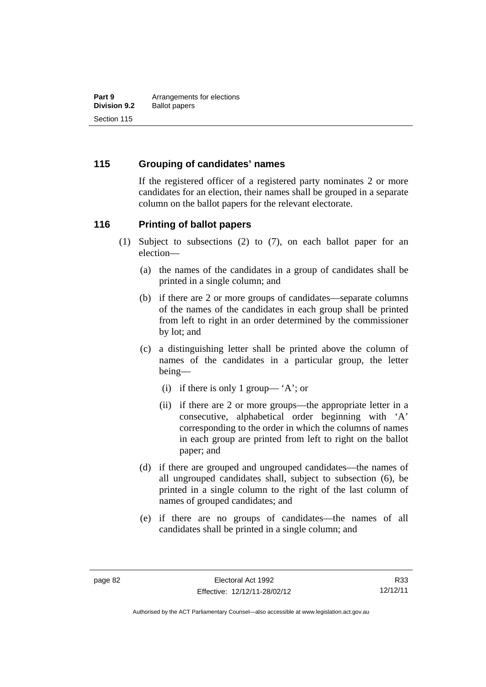### **115 Grouping of candidates' names**

If the registered officer of a registered party nominates 2 or more candidates for an election, their names shall be grouped in a separate column on the ballot papers for the relevant electorate.

### **116 Printing of ballot papers**

- (1) Subject to subsections (2) to (7), on each ballot paper for an election—
	- (a) the names of the candidates in a group of candidates shall be printed in a single column; and
	- (b) if there are 2 or more groups of candidates—separate columns of the names of the candidates in each group shall be printed from left to right in an order determined by the commissioner by lot; and
	- (c) a distinguishing letter shall be printed above the column of names of the candidates in a particular group, the letter being—
		- (i) if there is only 1 group— 'A'; or
		- (ii) if there are 2 or more groups—the appropriate letter in a consecutive, alphabetical order beginning with 'A' corresponding to the order in which the columns of names in each group are printed from left to right on the ballot paper; and
	- (d) if there are grouped and ungrouped candidates—the names of all ungrouped candidates shall, subject to subsection (6), be printed in a single column to the right of the last column of names of grouped candidates; and
	- (e) if there are no groups of candidates—the names of all candidates shall be printed in a single column; and

R33 12/12/11

Authorised by the ACT Parliamentary Counsel—also accessible at www.legislation.act.gov.au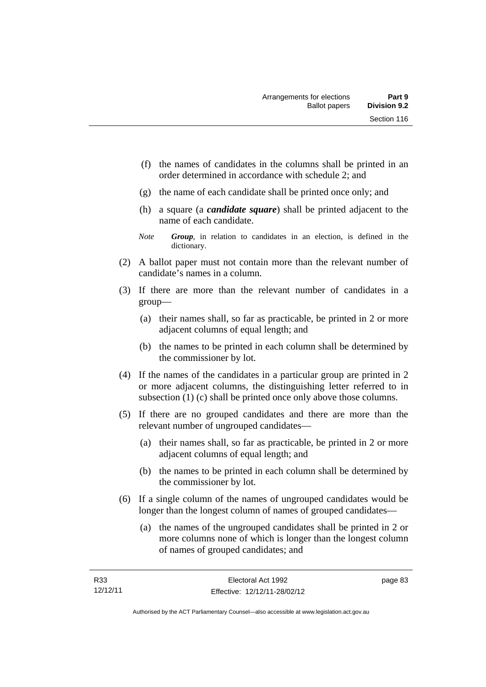- (f) the names of candidates in the columns shall be printed in an order determined in accordance with schedule 2; and
- (g) the name of each candidate shall be printed once only; and
- (h) a square (a *candidate square*) shall be printed adjacent to the name of each candidate.
- *Note Group*, in relation to candidates in an election, is defined in the dictionary.
- (2) A ballot paper must not contain more than the relevant number of candidate's names in a column.
- (3) If there are more than the relevant number of candidates in a group—
	- (a) their names shall, so far as practicable, be printed in 2 or more adjacent columns of equal length; and
	- (b) the names to be printed in each column shall be determined by the commissioner by lot.
- (4) If the names of the candidates in a particular group are printed in 2 or more adjacent columns, the distinguishing letter referred to in subsection (1) (c) shall be printed once only above those columns.
- (5) If there are no grouped candidates and there are more than the relevant number of ungrouped candidates—
	- (a) their names shall, so far as practicable, be printed in 2 or more adjacent columns of equal length; and
	- (b) the names to be printed in each column shall be determined by the commissioner by lot.
- (6) If a single column of the names of ungrouped candidates would be longer than the longest column of names of grouped candidates—
	- (a) the names of the ungrouped candidates shall be printed in 2 or more columns none of which is longer than the longest column of names of grouped candidates; and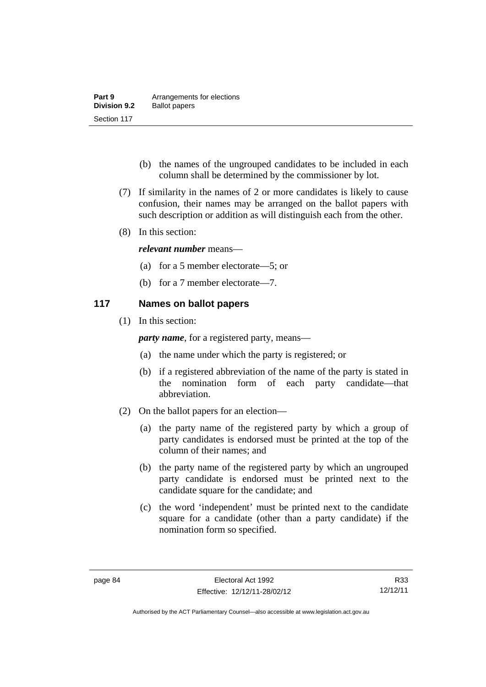| Part 9              | Arrangements for elections |
|---------------------|----------------------------|
| <b>Division 9.2</b> | <b>Ballot papers</b>       |
| Section 117         |                            |

- (b) the names of the ungrouped candidates to be included in each column shall be determined by the commissioner by lot.
- (7) If similarity in the names of 2 or more candidates is likely to cause confusion, their names may be arranged on the ballot papers with such description or addition as will distinguish each from the other.
- (8) In this section:

### *relevant number* means—

- (a) for a 5 member electorate—5; or
- (b) for a 7 member electorate—7.

### **117 Names on ballot papers**

(1) In this section:

*party name*, for a registered party, means—

- (a) the name under which the party is registered; or
- (b) if a registered abbreviation of the name of the party is stated in the nomination form of each party candidate—that abbreviation.
- (2) On the ballot papers for an election—
	- (a) the party name of the registered party by which a group of party candidates is endorsed must be printed at the top of the column of their names; and
	- (b) the party name of the registered party by which an ungrouped party candidate is endorsed must be printed next to the candidate square for the candidate; and
	- (c) the word 'independent' must be printed next to the candidate square for a candidate (other than a party candidate) if the nomination form so specified.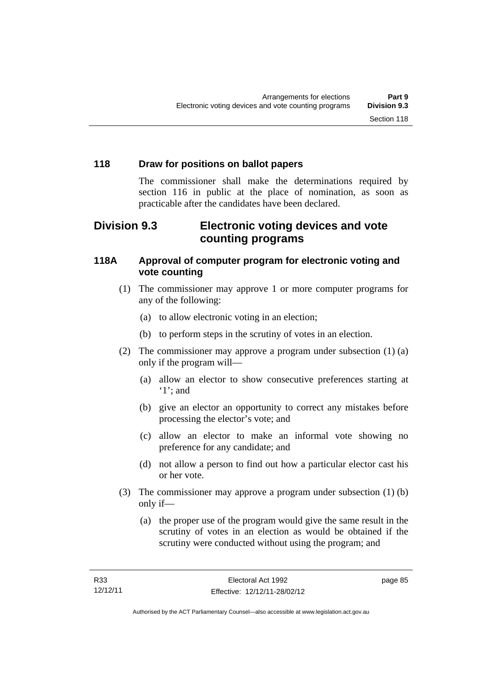# **118 Draw for positions on ballot papers**

The commissioner shall make the determinations required by section 116 in public at the place of nomination, as soon as practicable after the candidates have been declared.

# **Division 9.3 Electronic voting devices and vote counting programs**

# **118A Approval of computer program for electronic voting and vote counting**

- (1) The commissioner may approve 1 or more computer programs for any of the following:
	- (a) to allow electronic voting in an election;
	- (b) to perform steps in the scrutiny of votes in an election.
- (2) The commissioner may approve a program under subsection (1) (a) only if the program will—
	- (a) allow an elector to show consecutive preferences starting at '1'; and
	- (b) give an elector an opportunity to correct any mistakes before processing the elector's vote; and
	- (c) allow an elector to make an informal vote showing no preference for any candidate; and
	- (d) not allow a person to find out how a particular elector cast his or her vote.
- (3) The commissioner may approve a program under subsection (1) (b) only if—
	- (a) the proper use of the program would give the same result in the scrutiny of votes in an election as would be obtained if the scrutiny were conducted without using the program; and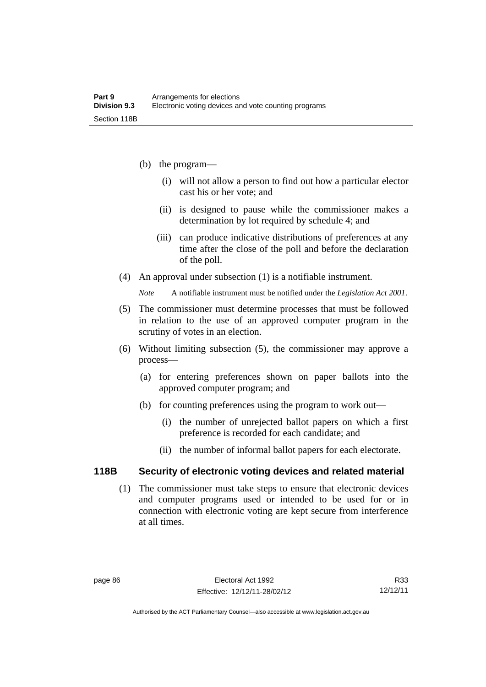- (b) the program—
	- (i) will not allow a person to find out how a particular elector cast his or her vote; and
	- (ii) is designed to pause while the commissioner makes a determination by lot required by schedule 4; and
	- (iii) can produce indicative distributions of preferences at any time after the close of the poll and before the declaration of the poll.
- (4) An approval under subsection (1) is a notifiable instrument.

*Note* A notifiable instrument must be notified under the *Legislation Act 2001*.

- (5) The commissioner must determine processes that must be followed in relation to the use of an approved computer program in the scrutiny of votes in an election.
- (6) Without limiting subsection (5), the commissioner may approve a process—
	- (a) for entering preferences shown on paper ballots into the approved computer program; and
	- (b) for counting preferences using the program to work out—
		- (i) the number of unrejected ballot papers on which a first preference is recorded for each candidate; and
		- (ii) the number of informal ballot papers for each electorate.

### **118B Security of electronic voting devices and related material**

 (1) The commissioner must take steps to ensure that electronic devices and computer programs used or intended to be used for or in connection with electronic voting are kept secure from interference at all times.

R33 12/12/11

Authorised by the ACT Parliamentary Counsel—also accessible at www.legislation.act.gov.au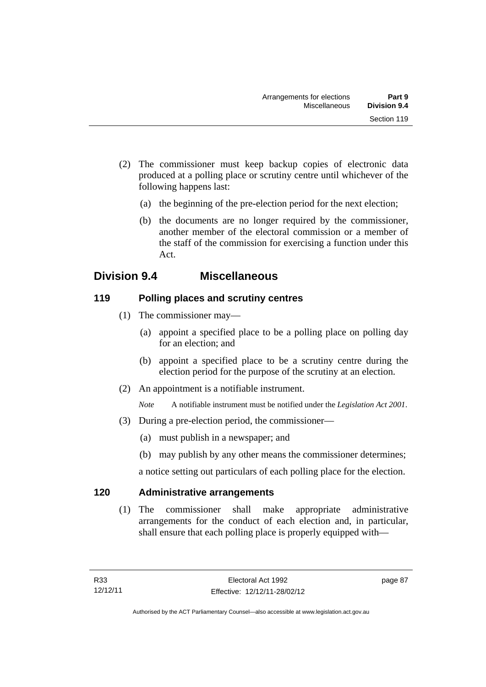- (2) The commissioner must keep backup copies of electronic data produced at a polling place or scrutiny centre until whichever of the following happens last:
	- (a) the beginning of the pre-election period for the next election;
	- (b) the documents are no longer required by the commissioner, another member of the electoral commission or a member of the staff of the commission for exercising a function under this Act.

# **Division 9.4 Miscellaneous**

## **119 Polling places and scrutiny centres**

- (1) The commissioner may—
	- (a) appoint a specified place to be a polling place on polling day for an election; and
	- (b) appoint a specified place to be a scrutiny centre during the election period for the purpose of the scrutiny at an election.
- (2) An appointment is a notifiable instrument.

*Note* A notifiable instrument must be notified under the *Legislation Act 2001*.

- (3) During a pre-election period, the commissioner—
	- (a) must publish in a newspaper; and
	- (b) may publish by any other means the commissioner determines;

a notice setting out particulars of each polling place for the election.

## **120 Administrative arrangements**

 (1) The commissioner shall make appropriate administrative arrangements for the conduct of each election and, in particular, shall ensure that each polling place is properly equipped with—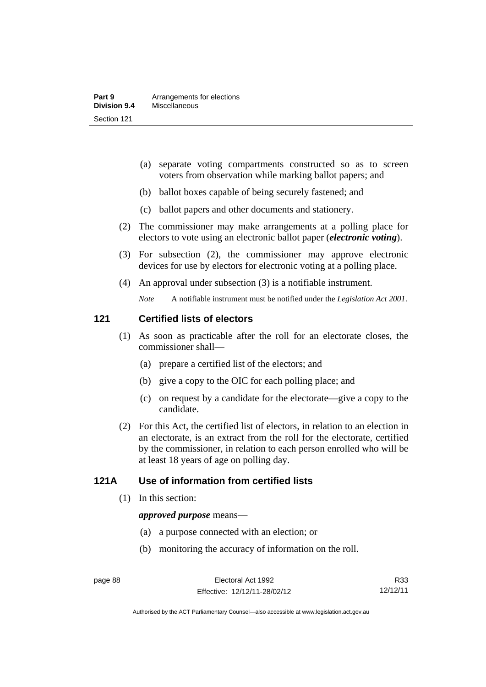- (a) separate voting compartments constructed so as to screen voters from observation while marking ballot papers; and
- (b) ballot boxes capable of being securely fastened; and
- (c) ballot papers and other documents and stationery.
- (2) The commissioner may make arrangements at a polling place for electors to vote using an electronic ballot paper (*electronic voting*).
- (3) For subsection (2), the commissioner may approve electronic devices for use by electors for electronic voting at a polling place.
- (4) An approval under subsection (3) is a notifiable instrument.

*Note* A notifiable instrument must be notified under the *Legislation Act 2001*.

### **121 Certified lists of electors**

- (1) As soon as practicable after the roll for an electorate closes, the commissioner shall—
	- (a) prepare a certified list of the electors; and
	- (b) give a copy to the OIC for each polling place; and
	- (c) on request by a candidate for the electorate—give a copy to the candidate.
- (2) For this Act, the certified list of electors, in relation to an election in an electorate, is an extract from the roll for the electorate, certified by the commissioner, in relation to each person enrolled who will be at least 18 years of age on polling day.

### **121A Use of information from certified lists**

(1) In this section:

#### *approved purpose* means—

- (a) a purpose connected with an election; or
- (b) monitoring the accuracy of information on the roll.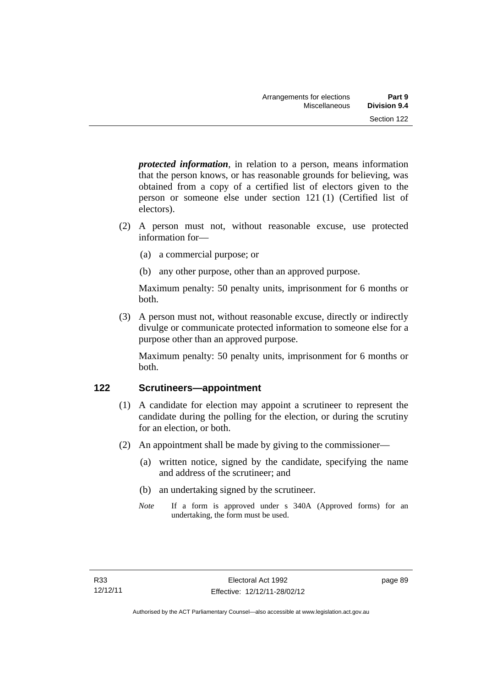*protected information*, in relation to a person, means information that the person knows, or has reasonable grounds for believing, was obtained from a copy of a certified list of electors given to the person or someone else under section 121 (1) (Certified list of electors).

- (2) A person must not, without reasonable excuse, use protected information for—
	- (a) a commercial purpose; or
	- (b) any other purpose, other than an approved purpose.

Maximum penalty: 50 penalty units, imprisonment for 6 months or both.

 (3) A person must not, without reasonable excuse, directly or indirectly divulge or communicate protected information to someone else for a purpose other than an approved purpose.

Maximum penalty: 50 penalty units, imprisonment for 6 months or both.

## **122 Scrutineers—appointment**

- (1) A candidate for election may appoint a scrutineer to represent the candidate during the polling for the election, or during the scrutiny for an election, or both.
- (2) An appointment shall be made by giving to the commissioner—
	- (a) written notice, signed by the candidate, specifying the name and address of the scrutineer; and
	- (b) an undertaking signed by the scrutineer.
	- *Note* If a form is approved under s 340A (Approved forms) for an undertaking, the form must be used.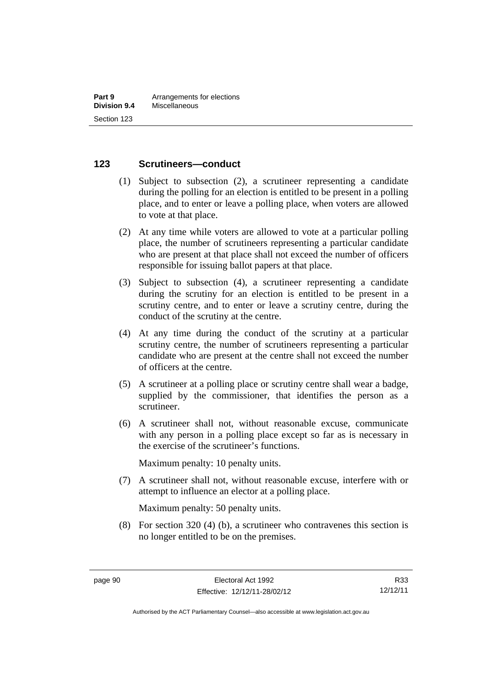### **123 Scrutineers—conduct**

- (1) Subject to subsection (2), a scrutineer representing a candidate during the polling for an election is entitled to be present in a polling place, and to enter or leave a polling place, when voters are allowed to vote at that place.
- (2) At any time while voters are allowed to vote at a particular polling place, the number of scrutineers representing a particular candidate who are present at that place shall not exceed the number of officers responsible for issuing ballot papers at that place.
- (3) Subject to subsection (4), a scrutineer representing a candidate during the scrutiny for an election is entitled to be present in a scrutiny centre, and to enter or leave a scrutiny centre, during the conduct of the scrutiny at the centre.
- (4) At any time during the conduct of the scrutiny at a particular scrutiny centre, the number of scrutineers representing a particular candidate who are present at the centre shall not exceed the number of officers at the centre.
- (5) A scrutineer at a polling place or scrutiny centre shall wear a badge, supplied by the commissioner, that identifies the person as a scrutineer.
- (6) A scrutineer shall not, without reasonable excuse, communicate with any person in a polling place except so far as is necessary in the exercise of the scrutineer's functions.

Maximum penalty: 10 penalty units.

 (7) A scrutineer shall not, without reasonable excuse, interfere with or attempt to influence an elector at a polling place.

Maximum penalty: 50 penalty units.

 (8) For section 320 (4) (b), a scrutineer who contravenes this section is no longer entitled to be on the premises.

R33 12/12/11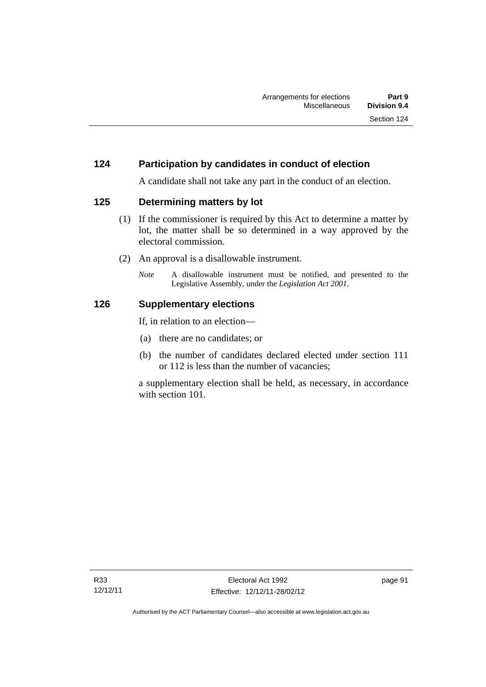# **124 Participation by candidates in conduct of election**

A candidate shall not take any part in the conduct of an election.

### **125 Determining matters by lot**

- (1) If the commissioner is required by this Act to determine a matter by lot, the matter shall be so determined in a way approved by the electoral commission.
- (2) An approval is a disallowable instrument.
	- *Note* A disallowable instrument must be notified, and presented to the Legislative Assembly, under the *Legislation Act 2001*.

### **126 Supplementary elections**

If, in relation to an election—

- (a) there are no candidates; or
- (b) the number of candidates declared elected under section 111 or 112 is less than the number of vacancies;

a supplementary election shall be held, as necessary, in accordance with section 101.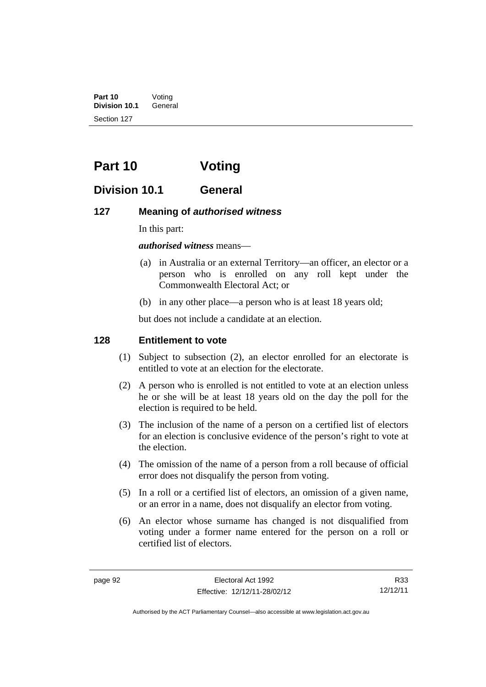**Part 10** Voting<br>**Division 10.1** General **Division 10.1** Section 127

# **Part 10 Voting**

# **Division 10.1 General**

### **127 Meaning of** *authorised witness*

In this part:

*authorised witness* means—

- (a) in Australia or an external Territory—an officer, an elector or a person who is enrolled on any roll kept under the Commonwealth Electoral Act; or
- (b) in any other place—a person who is at least 18 years old;

but does not include a candidate at an election.

#### **128 Entitlement to vote**

- (1) Subject to subsection (2), an elector enrolled for an electorate is entitled to vote at an election for the electorate.
- (2) A person who is enrolled is not entitled to vote at an election unless he or she will be at least 18 years old on the day the poll for the election is required to be held.
- (3) The inclusion of the name of a person on a certified list of electors for an election is conclusive evidence of the person's right to vote at the election.
- (4) The omission of the name of a person from a roll because of official error does not disqualify the person from voting.
- (5) In a roll or a certified list of electors, an omission of a given name, or an error in a name, does not disqualify an elector from voting.
- (6) An elector whose surname has changed is not disqualified from voting under a former name entered for the person on a roll or certified list of electors.

R33 12/12/11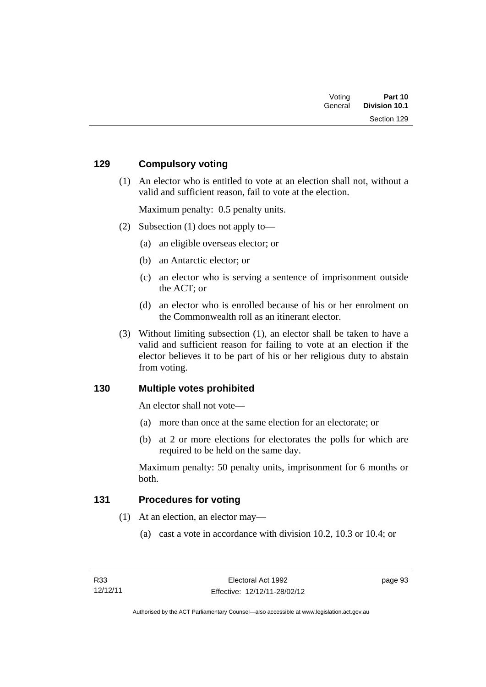| Voting  | Part 10              |
|---------|----------------------|
| General | <b>Division 10.1</b> |
|         | Section 129          |

# **129 Compulsory voting**

 (1) An elector who is entitled to vote at an election shall not, without a valid and sufficient reason, fail to vote at the election.

Maximum penalty: 0.5 penalty units.

- (2) Subsection (1) does not apply to—
	- (a) an eligible overseas elector; or
	- (b) an Antarctic elector; or
	- (c) an elector who is serving a sentence of imprisonment outside the ACT; or
	- (d) an elector who is enrolled because of his or her enrolment on the Commonwealth roll as an itinerant elector.
- (3) Without limiting subsection (1), an elector shall be taken to have a valid and sufficient reason for failing to vote at an election if the elector believes it to be part of his or her religious duty to abstain from voting.

### **130 Multiple votes prohibited**

An elector shall not vote—

- (a) more than once at the same election for an electorate; or
- (b) at 2 or more elections for electorates the polls for which are required to be held on the same day.

Maximum penalty: 50 penalty units, imprisonment for 6 months or both.

### **131 Procedures for voting**

- (1) At an election, an elector may—
	- (a) cast a vote in accordance with division 10.2, 10.3 or 10.4; or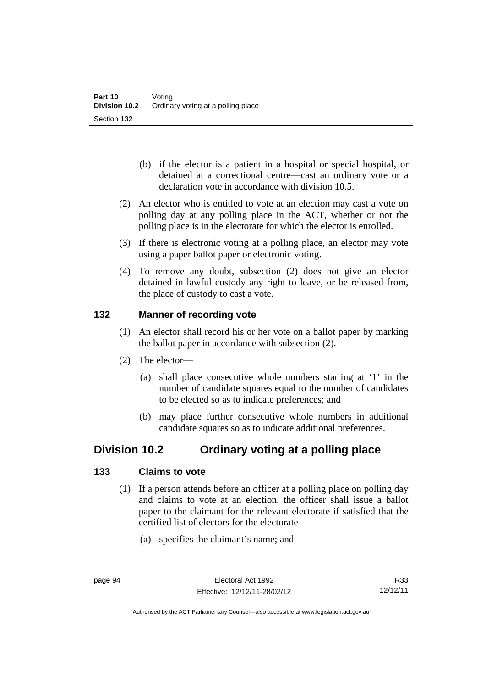- (b) if the elector is a patient in a hospital or special hospital, or detained at a correctional centre—cast an ordinary vote or a declaration vote in accordance with division 10.5.
- (2) An elector who is entitled to vote at an election may cast a vote on polling day at any polling place in the ACT, whether or not the polling place is in the electorate for which the elector is enrolled.
- (3) If there is electronic voting at a polling place, an elector may vote using a paper ballot paper or electronic voting.
- (4) To remove any doubt, subsection (2) does not give an elector detained in lawful custody any right to leave, or be released from, the place of custody to cast a vote.

# **132 Manner of recording vote**

- (1) An elector shall record his or her vote on a ballot paper by marking the ballot paper in accordance with subsection (2).
- (2) The elector—
	- (a) shall place consecutive whole numbers starting at '1' in the number of candidate squares equal to the number of candidates to be elected so as to indicate preferences; and
	- (b) may place further consecutive whole numbers in additional candidate squares so as to indicate additional preferences.

# **Division 10.2 Ordinary voting at a polling place**

# **133 Claims to vote**

- (1) If a person attends before an officer at a polling place on polling day and claims to vote at an election, the officer shall issue a ballot paper to the claimant for the relevant electorate if satisfied that the certified list of electors for the electorate—
	- (a) specifies the claimant's name; and

Authorised by the ACT Parliamentary Counsel—also accessible at www.legislation.act.gov.au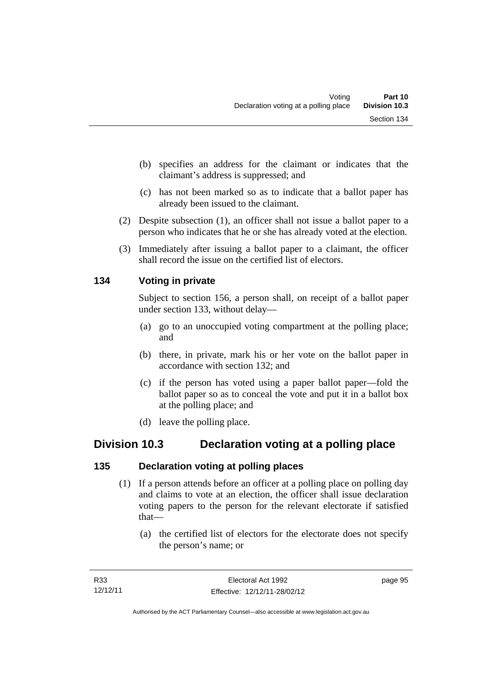- (b) specifies an address for the claimant or indicates that the claimant's address is suppressed; and
- (c) has not been marked so as to indicate that a ballot paper has already been issued to the claimant.
- (2) Despite subsection (1), an officer shall not issue a ballot paper to a person who indicates that he or she has already voted at the election.
- (3) Immediately after issuing a ballot paper to a claimant, the officer shall record the issue on the certified list of electors.

# **134 Voting in private**

Subject to section 156, a person shall, on receipt of a ballot paper under section 133, without delay—

- (a) go to an unoccupied voting compartment at the polling place; and
- (b) there, in private, mark his or her vote on the ballot paper in accordance with section 132; and
- (c) if the person has voted using a paper ballot paper—fold the ballot paper so as to conceal the vote and put it in a ballot box at the polling place; and
- (d) leave the polling place.

# **Division 10.3 Declaration voting at a polling place**

# **135 Declaration voting at polling places**

- (1) If a person attends before an officer at a polling place on polling day and claims to vote at an election, the officer shall issue declaration voting papers to the person for the relevant electorate if satisfied that—
	- (a) the certified list of electors for the electorate does not specify the person's name; or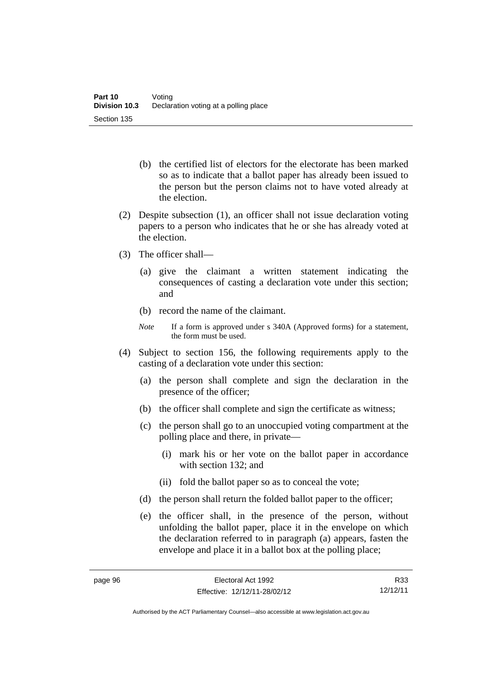- (b) the certified list of electors for the electorate has been marked so as to indicate that a ballot paper has already been issued to the person but the person claims not to have voted already at the election.
- (2) Despite subsection (1), an officer shall not issue declaration voting papers to a person who indicates that he or she has already voted at the election.
- (3) The officer shall—
	- (a) give the claimant a written statement indicating the consequences of casting a declaration vote under this section; and
	- (b) record the name of the claimant.
	- *Note* If a form is approved under s 340A (Approved forms) for a statement, the form must be used.
- (4) Subject to section 156, the following requirements apply to the casting of a declaration vote under this section:
	- (a) the person shall complete and sign the declaration in the presence of the officer;
	- (b) the officer shall complete and sign the certificate as witness;
	- (c) the person shall go to an unoccupied voting compartment at the polling place and there, in private—
		- (i) mark his or her vote on the ballot paper in accordance with section 132; and
		- (ii) fold the ballot paper so as to conceal the vote;
	- (d) the person shall return the folded ballot paper to the officer;
	- (e) the officer shall, in the presence of the person, without unfolding the ballot paper, place it in the envelope on which the declaration referred to in paragraph (a) appears, fasten the envelope and place it in a ballot box at the polling place;

R33 12/12/11

Authorised by the ACT Parliamentary Counsel—also accessible at www.legislation.act.gov.au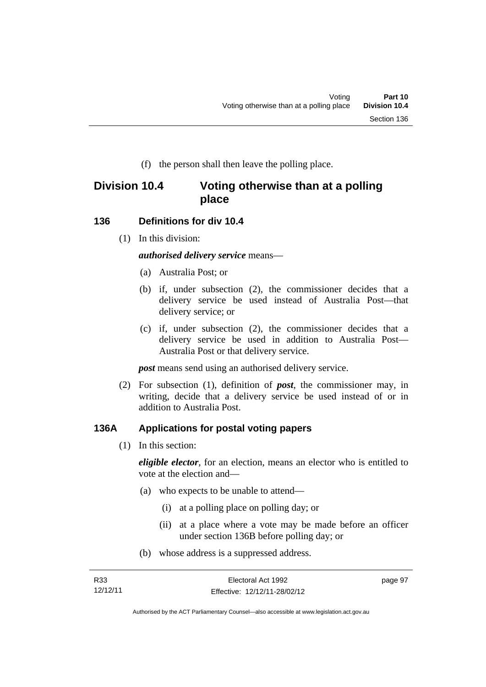(f) the person shall then leave the polling place.

# **Division 10.4 Voting otherwise than at a polling place**

### **136 Definitions for div 10.4**

(1) In this division:

*authorised delivery service* means—

- (a) Australia Post; or
- (b) if, under subsection (2), the commissioner decides that a delivery service be used instead of Australia Post—that delivery service; or
- (c) if, under subsection (2), the commissioner decides that a delivery service be used in addition to Australia Post— Australia Post or that delivery service.

*post* means send using an authorised delivery service.

 (2) For subsection (1), definition of *post*, the commissioner may, in writing, decide that a delivery service be used instead of or in addition to Australia Post.

### **136A Applications for postal voting papers**

(1) In this section:

*eligible elector*, for an election, means an elector who is entitled to vote at the election and—

- (a) who expects to be unable to attend—
	- (i) at a polling place on polling day; or
	- (ii) at a place where a vote may be made before an officer under section 136B before polling day; or
- (b) whose address is a suppressed address.

| R33      | Electoral Act 1992           | page 97 |
|----------|------------------------------|---------|
| 12/12/11 | Effective: 12/12/11-28/02/12 |         |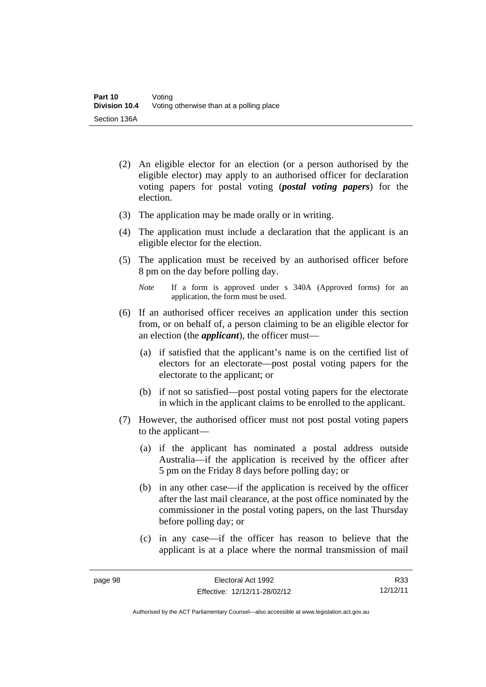- (2) An eligible elector for an election (or a person authorised by the eligible elector) may apply to an authorised officer for declaration voting papers for postal voting (*postal voting papers*) for the election.
- (3) The application may be made orally or in writing.
- (4) The application must include a declaration that the applicant is an eligible elector for the election.
- (5) The application must be received by an authorised officer before 8 pm on the day before polling day.
	- *Note* If a form is approved under s 340A (Approved forms) for an application, the form must be used.
- (6) If an authorised officer receives an application under this section from, or on behalf of, a person claiming to be an eligible elector for an election (the *applicant*), the officer must—
	- (a) if satisfied that the applicant's name is on the certified list of electors for an electorate—post postal voting papers for the electorate to the applicant; or
	- (b) if not so satisfied—post postal voting papers for the electorate in which in the applicant claims to be enrolled to the applicant.
- (7) However, the authorised officer must not post postal voting papers to the applicant—
	- (a) if the applicant has nominated a postal address outside Australia—if the application is received by the officer after 5 pm on the Friday 8 days before polling day; or
	- (b) in any other case—if the application is received by the officer after the last mail clearance, at the post office nominated by the commissioner in the postal voting papers, on the last Thursday before polling day; or
	- (c) in any case—if the officer has reason to believe that the applicant is at a place where the normal transmission of mail

R33 12/12/11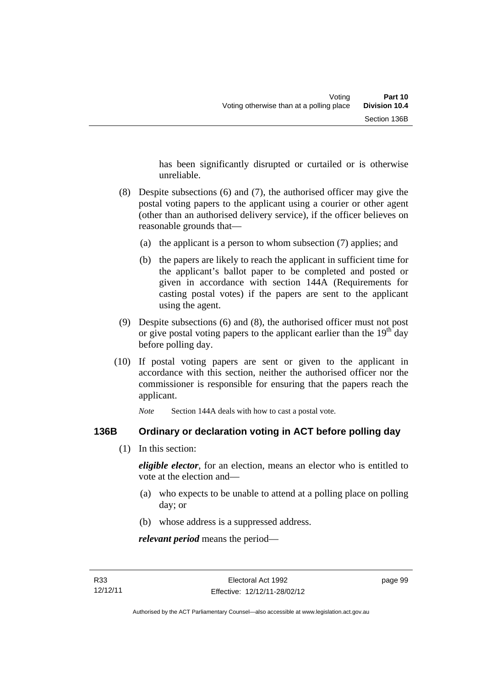has been significantly disrupted or curtailed or is otherwise unreliable.

- (8) Despite subsections (6) and (7), the authorised officer may give the postal voting papers to the applicant using a courier or other agent (other than an authorised delivery service), if the officer believes on reasonable grounds that—
	- (a) the applicant is a person to whom subsection (7) applies; and
	- (b) the papers are likely to reach the applicant in sufficient time for the applicant's ballot paper to be completed and posted or given in accordance with section 144A (Requirements for casting postal votes) if the papers are sent to the applicant using the agent.
- (9) Despite subsections (6) and (8), the authorised officer must not post or give postal voting papers to the applicant earlier than the  $19<sup>th</sup>$  day before polling day.
- (10) If postal voting papers are sent or given to the applicant in accordance with this section, neither the authorised officer nor the commissioner is responsible for ensuring that the papers reach the applicant.

*Note* Section 144A deals with how to cast a postal vote.

### **136B Ordinary or declaration voting in ACT before polling day**

(1) In this section:

*eligible elector*, for an election, means an elector who is entitled to vote at the election and—

- (a) who expects to be unable to attend at a polling place on polling day; or
- (b) whose address is a suppressed address.

*relevant period* means the period—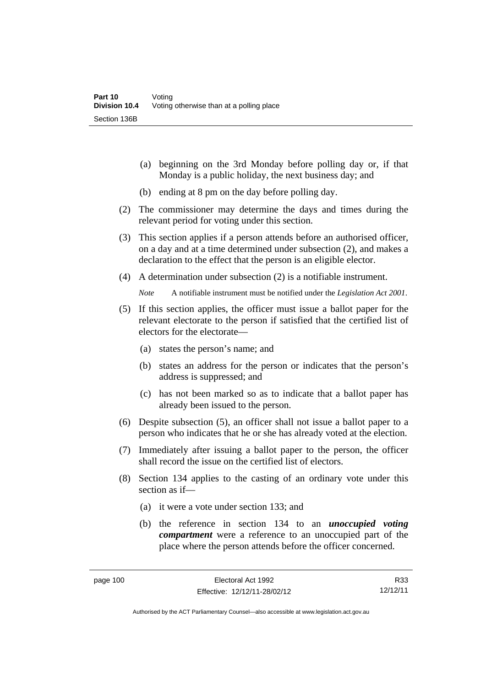- (a) beginning on the 3rd Monday before polling day or, if that Monday is a public holiday, the next business day; and
- (b) ending at 8 pm on the day before polling day.
- (2) The commissioner may determine the days and times during the relevant period for voting under this section.
- (3) This section applies if a person attends before an authorised officer, on a day and at a time determined under subsection (2), and makes a declaration to the effect that the person is an eligible elector.
- (4) A determination under subsection (2) is a notifiable instrument.

*Note* A notifiable instrument must be notified under the *Legislation Act 2001*.

- (5) If this section applies, the officer must issue a ballot paper for the relevant electorate to the person if satisfied that the certified list of electors for the electorate—
	- (a) states the person's name; and
	- (b) states an address for the person or indicates that the person's address is suppressed; and
	- (c) has not been marked so as to indicate that a ballot paper has already been issued to the person.
- (6) Despite subsection (5), an officer shall not issue a ballot paper to a person who indicates that he or she has already voted at the election.
- (7) Immediately after issuing a ballot paper to the person, the officer shall record the issue on the certified list of electors.
- (8) Section 134 applies to the casting of an ordinary vote under this section as if—
	- (a) it were a vote under section 133; and
	- (b) the reference in section 134 to an *unoccupied voting compartment* were a reference to an unoccupied part of the place where the person attends before the officer concerned.

R33 12/12/11

Authorised by the ACT Parliamentary Counsel—also accessible at www.legislation.act.gov.au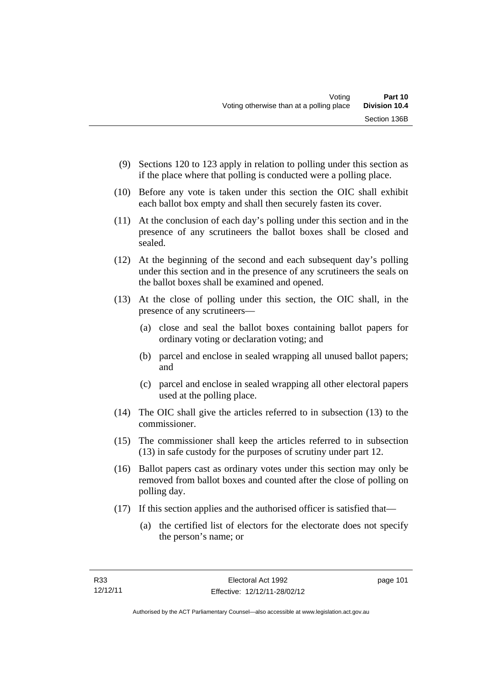- (9) Sections 120 to 123 apply in relation to polling under this section as if the place where that polling is conducted were a polling place.
- (10) Before any vote is taken under this section the OIC shall exhibit each ballot box empty and shall then securely fasten its cover.
- (11) At the conclusion of each day's polling under this section and in the presence of any scrutineers the ballot boxes shall be closed and sealed.
- (12) At the beginning of the second and each subsequent day's polling under this section and in the presence of any scrutineers the seals on the ballot boxes shall be examined and opened.
- (13) At the close of polling under this section, the OIC shall, in the presence of any scrutineers—
	- (a) close and seal the ballot boxes containing ballot papers for ordinary voting or declaration voting; and
	- (b) parcel and enclose in sealed wrapping all unused ballot papers; and
	- (c) parcel and enclose in sealed wrapping all other electoral papers used at the polling place.
- (14) The OIC shall give the articles referred to in subsection (13) to the commissioner.
- (15) The commissioner shall keep the articles referred to in subsection (13) in safe custody for the purposes of scrutiny under part 12.
- (16) Ballot papers cast as ordinary votes under this section may only be removed from ballot boxes and counted after the close of polling on polling day.
- (17) If this section applies and the authorised officer is satisfied that—
	- (a) the certified list of electors for the electorate does not specify the person's name; or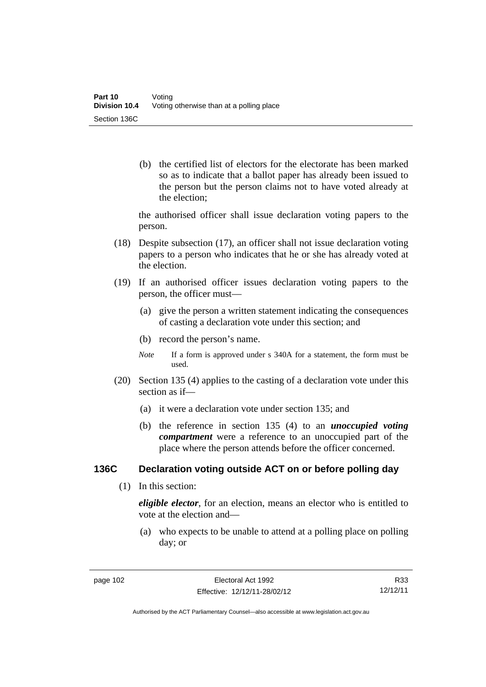(b) the certified list of electors for the electorate has been marked so as to indicate that a ballot paper has already been issued to the person but the person claims not to have voted already at the election;

the authorised officer shall issue declaration voting papers to the person.

- (18) Despite subsection (17), an officer shall not issue declaration voting papers to a person who indicates that he or she has already voted at the election.
- (19) If an authorised officer issues declaration voting papers to the person, the officer must—
	- (a) give the person a written statement indicating the consequences of casting a declaration vote under this section; and
	- (b) record the person's name.
	- *Note* If a form is approved under s 340A for a statement, the form must be used.
- (20) Section 135 (4) applies to the casting of a declaration vote under this section as if—
	- (a) it were a declaration vote under section 135; and
	- (b) the reference in section 135 (4) to an *unoccupied voting compartment* were a reference to an unoccupied part of the place where the person attends before the officer concerned.

### **136C Declaration voting outside ACT on or before polling day**

(1) In this section:

*eligible elector*, for an election, means an elector who is entitled to vote at the election and—

 (a) who expects to be unable to attend at a polling place on polling day; or

R33 12/12/11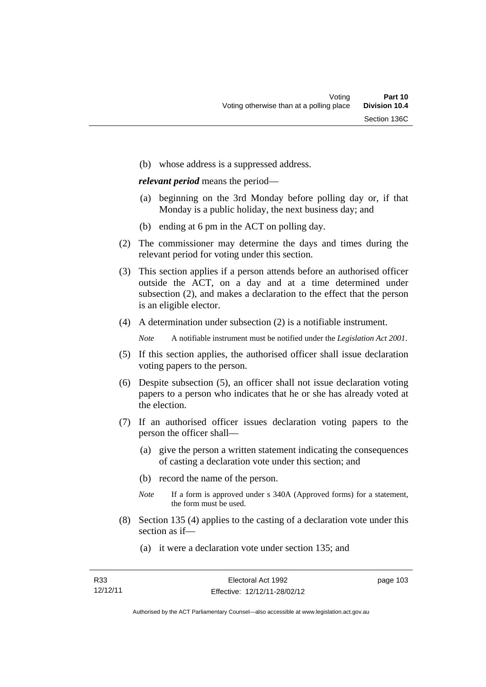(b) whose address is a suppressed address.

*relevant period* means the period—

- (a) beginning on the 3rd Monday before polling day or, if that Monday is a public holiday, the next business day; and
- (b) ending at 6 pm in the ACT on polling day.
- (2) The commissioner may determine the days and times during the relevant period for voting under this section.
- (3) This section applies if a person attends before an authorised officer outside the ACT, on a day and at a time determined under subsection (2), and makes a declaration to the effect that the person is an eligible elector.
- (4) A determination under subsection (2) is a notifiable instrument.

*Note* A notifiable instrument must be notified under the *Legislation Act 2001*.

- (5) If this section applies, the authorised officer shall issue declaration voting papers to the person.
- (6) Despite subsection (5), an officer shall not issue declaration voting papers to a person who indicates that he or she has already voted at the election.
- (7) If an authorised officer issues declaration voting papers to the person the officer shall—
	- (a) give the person a written statement indicating the consequences of casting a declaration vote under this section; and
	- (b) record the name of the person.
	- *Note* If a form is approved under s 340A (Approved forms) for a statement, the form must be used.
- (8) Section 135 (4) applies to the casting of a declaration vote under this section as if—
	- (a) it were a declaration vote under section 135; and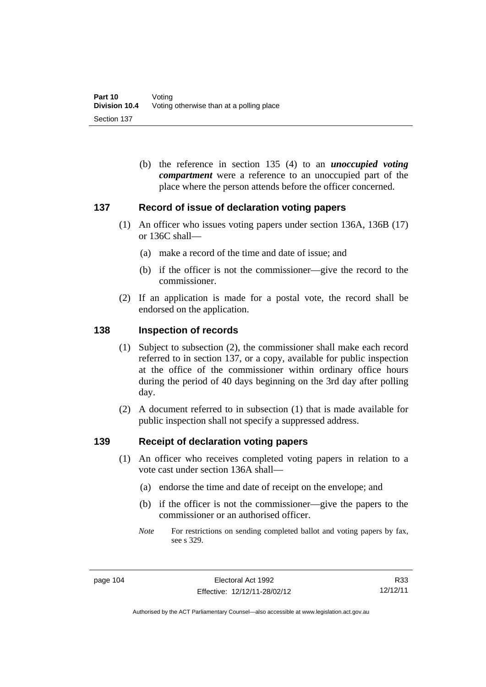(b) the reference in section 135 (4) to an *unoccupied voting compartment* were a reference to an unoccupied part of the place where the person attends before the officer concerned.

# **137 Record of issue of declaration voting papers**

- (1) An officer who issues voting papers under section 136A, 136B (17) or 136C shall—
	- (a) make a record of the time and date of issue; and
	- (b) if the officer is not the commissioner—give the record to the commissioner.
- (2) If an application is made for a postal vote, the record shall be endorsed on the application.

#### **138 Inspection of records**

- (1) Subject to subsection (2), the commissioner shall make each record referred to in section 137, or a copy, available for public inspection at the office of the commissioner within ordinary office hours during the period of 40 days beginning on the 3rd day after polling day.
- (2) A document referred to in subsection (1) that is made available for public inspection shall not specify a suppressed address.

### **139 Receipt of declaration voting papers**

- (1) An officer who receives completed voting papers in relation to a vote cast under section 136A shall—
	- (a) endorse the time and date of receipt on the envelope; and
	- (b) if the officer is not the commissioner—give the papers to the commissioner or an authorised officer.
	- *Note* For restrictions on sending completed ballot and voting papers by fax, see s 329.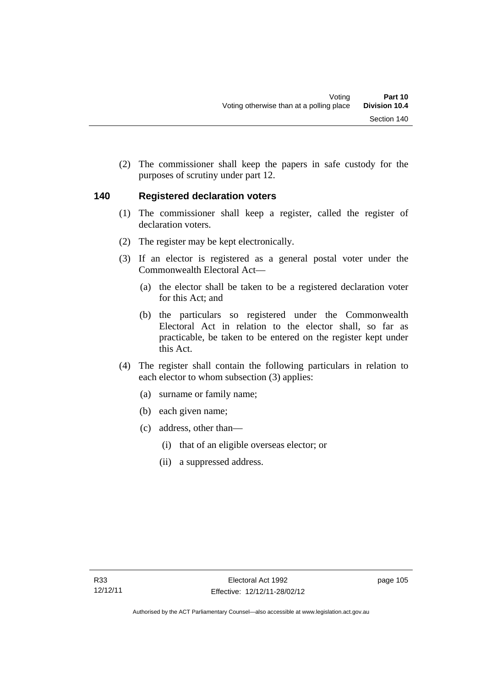(2) The commissioner shall keep the papers in safe custody for the purposes of scrutiny under part 12.

# **140 Registered declaration voters**

- (1) The commissioner shall keep a register, called the register of declaration voters.
- (2) The register may be kept electronically.
- (3) If an elector is registered as a general postal voter under the Commonwealth Electoral Act—
	- (a) the elector shall be taken to be a registered declaration voter for this Act; and
	- (b) the particulars so registered under the Commonwealth Electoral Act in relation to the elector shall, so far as practicable, be taken to be entered on the register kept under this Act.
- (4) The register shall contain the following particulars in relation to each elector to whom subsection (3) applies:
	- (a) surname or family name;
	- (b) each given name;
	- (c) address, other than—
		- (i) that of an eligible overseas elector; or
		- (ii) a suppressed address.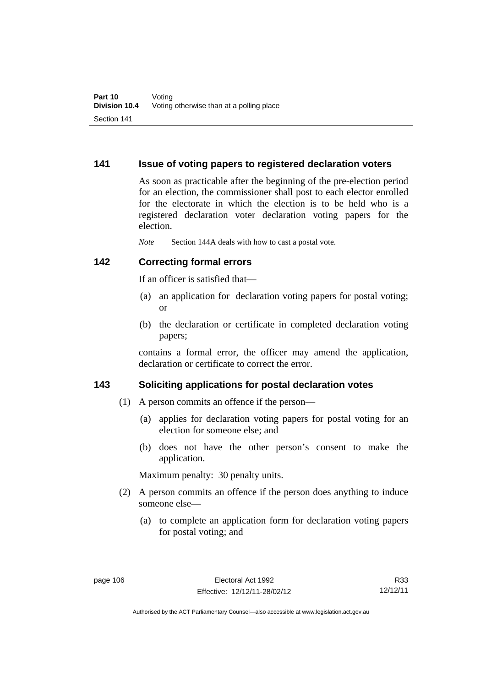### **141 Issue of voting papers to registered declaration voters**

As soon as practicable after the beginning of the pre-election period for an election, the commissioner shall post to each elector enrolled for the electorate in which the election is to be held who is a registered declaration voter declaration voting papers for the election.

*Note* Section 144A deals with how to cast a postal vote.

### **142 Correcting formal errors**

If an officer is satisfied that—

- (a) an application for declaration voting papers for postal voting; or
- (b) the declaration or certificate in completed declaration voting papers;

contains a formal error, the officer may amend the application, declaration or certificate to correct the error.

# **143 Soliciting applications for postal declaration votes**

- (1) A person commits an offence if the person—
	- (a) applies for declaration voting papers for postal voting for an election for someone else; and
	- (b) does not have the other person's consent to make the application.

Maximum penalty: 30 penalty units.

- (2) A person commits an offence if the person does anything to induce someone else—
	- (a) to complete an application form for declaration voting papers for postal voting; and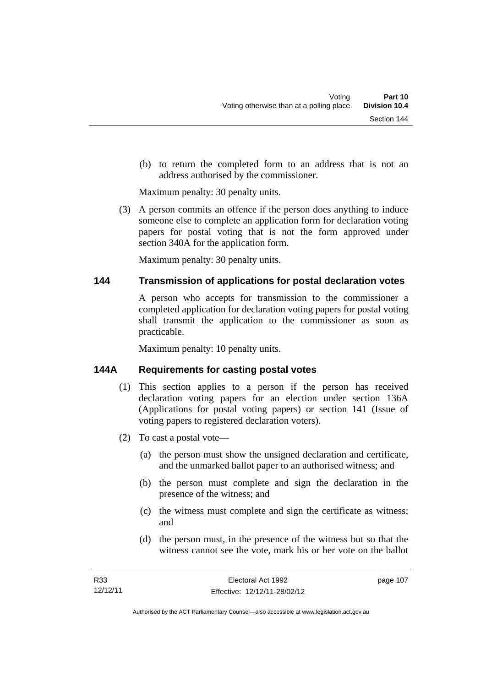(b) to return the completed form to an address that is not an address authorised by the commissioner.

Maximum penalty: 30 penalty units.

 (3) A person commits an offence if the person does anything to induce someone else to complete an application form for declaration voting papers for postal voting that is not the form approved under section 340A for the application form.

Maximum penalty: 30 penalty units.

# **144 Transmission of applications for postal declaration votes**

A person who accepts for transmission to the commissioner a completed application for declaration voting papers for postal voting shall transmit the application to the commissioner as soon as practicable.

Maximum penalty: 10 penalty units.

# **144A Requirements for casting postal votes**

- (1) This section applies to a person if the person has received declaration voting papers for an election under section 136A (Applications for postal voting papers) or section 141 (Issue of voting papers to registered declaration voters).
- (2) To cast a postal vote—
	- (a) the person must show the unsigned declaration and certificate, and the unmarked ballot paper to an authorised witness; and
	- (b) the person must complete and sign the declaration in the presence of the witness; and
	- (c) the witness must complete and sign the certificate as witness; and
	- (d) the person must, in the presence of the witness but so that the witness cannot see the vote, mark his or her vote on the ballot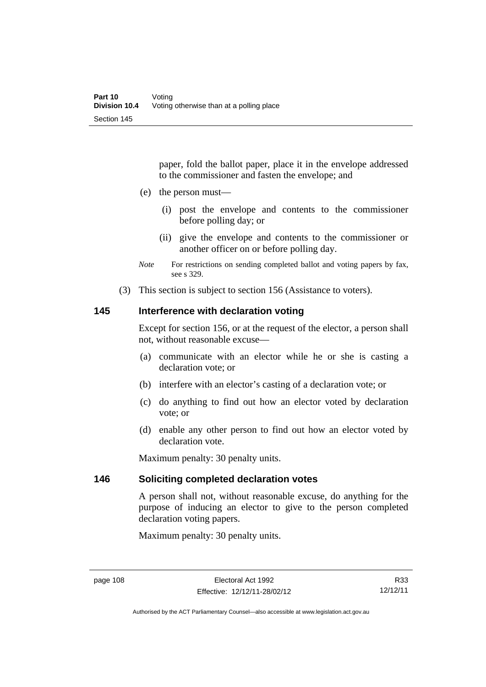paper, fold the ballot paper, place it in the envelope addressed to the commissioner and fasten the envelope; and

- (e) the person must—
	- (i) post the envelope and contents to the commissioner before polling day; or
	- (ii) give the envelope and contents to the commissioner or another officer on or before polling day.
- *Note* For restrictions on sending completed ballot and voting papers by fax, see s 329.
- (3) This section is subject to section 156 (Assistance to voters).

### **145 Interference with declaration voting**

Except for section 156, or at the request of the elector, a person shall not, without reasonable excuse—

- (a) communicate with an elector while he or she is casting a declaration vote; or
- (b) interfere with an elector's casting of a declaration vote; or
- (c) do anything to find out how an elector voted by declaration vote; or
- (d) enable any other person to find out how an elector voted by declaration vote.

Maximum penalty: 30 penalty units.

### **146 Soliciting completed declaration votes**

A person shall not, without reasonable excuse, do anything for the purpose of inducing an elector to give to the person completed declaration voting papers.

Maximum penalty: 30 penalty units.

Authorised by the ACT Parliamentary Counsel—also accessible at www.legislation.act.gov.au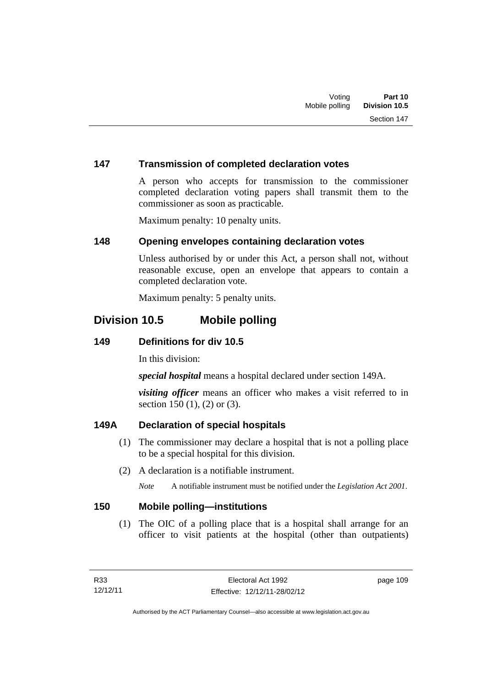# **147 Transmission of completed declaration votes**

A person who accepts for transmission to the commissioner completed declaration voting papers shall transmit them to the commissioner as soon as practicable.

Maximum penalty: 10 penalty units.

### **148 Opening envelopes containing declaration votes**

Unless authorised by or under this Act, a person shall not, without reasonable excuse, open an envelope that appears to contain a completed declaration vote.

Maximum penalty: 5 penalty units.

# **Division 10.5 Mobile polling**

# **149 Definitions for div 10.5**

In this division:

*special hospital* means a hospital declared under section 149A.

*visiting officer* means an officer who makes a visit referred to in section 150 (1), (2) or (3).

# **149A Declaration of special hospitals**

- (1) The commissioner may declare a hospital that is not a polling place to be a special hospital for this division.
- (2) A declaration is a notifiable instrument.

*Note* A notifiable instrument must be notified under the *Legislation Act 2001*.

### **150 Mobile polling—institutions**

 (1) The OIC of a polling place that is a hospital shall arrange for an officer to visit patients at the hospital (other than outpatients)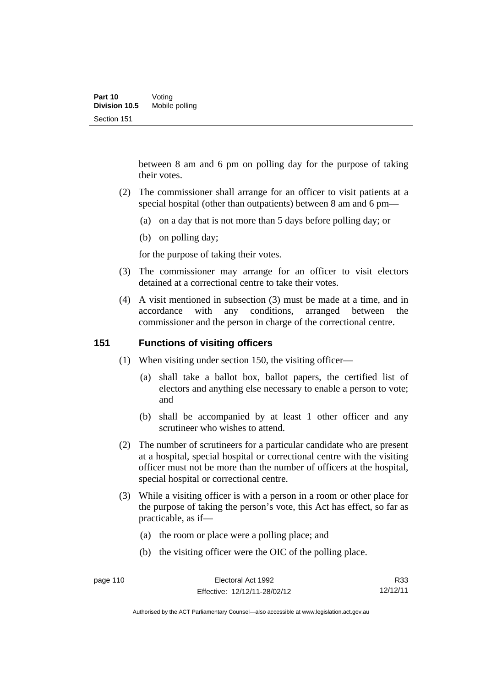between 8 am and 6 pm on polling day for the purpose of taking their votes.

- (2) The commissioner shall arrange for an officer to visit patients at a special hospital (other than outpatients) between 8 am and 6 pm—
	- (a) on a day that is not more than 5 days before polling day; or
	- (b) on polling day;

for the purpose of taking their votes.

- (3) The commissioner may arrange for an officer to visit electors detained at a correctional centre to take their votes.
- (4) A visit mentioned in subsection (3) must be made at a time, and in accordance with any conditions, arranged between the commissioner and the person in charge of the correctional centre.

### **151 Functions of visiting officers**

- (1) When visiting under section 150, the visiting officer—
	- (a) shall take a ballot box, ballot papers, the certified list of electors and anything else necessary to enable a person to vote; and
	- (b) shall be accompanied by at least 1 other officer and any scrutineer who wishes to attend.
- (2) The number of scrutineers for a particular candidate who are present at a hospital, special hospital or correctional centre with the visiting officer must not be more than the number of officers at the hospital, special hospital or correctional centre.
- (3) While a visiting officer is with a person in a room or other place for the purpose of taking the person's vote, this Act has effect, so far as practicable, as if—
	- (a) the room or place were a polling place; and
	- (b) the visiting officer were the OIC of the polling place.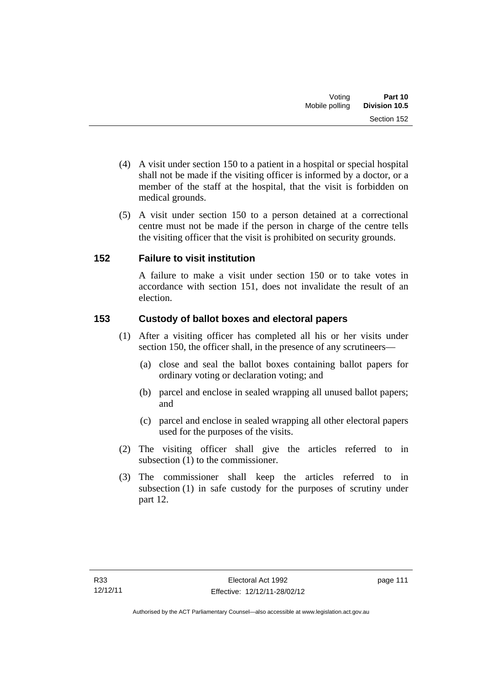- (4) A visit under section 150 to a patient in a hospital or special hospital shall not be made if the visiting officer is informed by a doctor, or a member of the staff at the hospital, that the visit is forbidden on medical grounds.
- (5) A visit under section 150 to a person detained at a correctional centre must not be made if the person in charge of the centre tells the visiting officer that the visit is prohibited on security grounds.

# **152 Failure to visit institution**

A failure to make a visit under section 150 or to take votes in accordance with section 151, does not invalidate the result of an election.

# **153 Custody of ballot boxes and electoral papers**

- (1) After a visiting officer has completed all his or her visits under section 150, the officer shall, in the presence of any scrutineers—
	- (a) close and seal the ballot boxes containing ballot papers for ordinary voting or declaration voting; and
	- (b) parcel and enclose in sealed wrapping all unused ballot papers; and
	- (c) parcel and enclose in sealed wrapping all other electoral papers used for the purposes of the visits.
- (2) The visiting officer shall give the articles referred to in subsection (1) to the commissioner.
- (3) The commissioner shall keep the articles referred to in subsection (1) in safe custody for the purposes of scrutiny under part 12.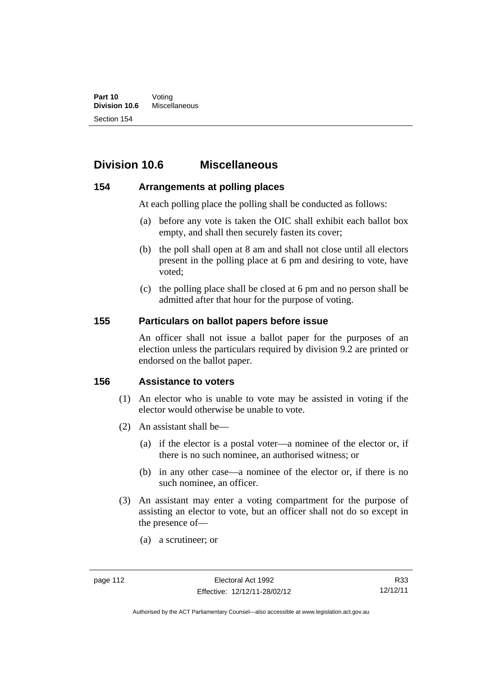# **Division 10.6 Miscellaneous**

# **154 Arrangements at polling places**

At each polling place the polling shall be conducted as follows:

- (a) before any vote is taken the OIC shall exhibit each ballot box empty, and shall then securely fasten its cover;
- (b) the poll shall open at 8 am and shall not close until all electors present in the polling place at 6 pm and desiring to vote, have voted;
- (c) the polling place shall be closed at 6 pm and no person shall be admitted after that hour for the purpose of voting.

# **155 Particulars on ballot papers before issue**

An officer shall not issue a ballot paper for the purposes of an election unless the particulars required by division 9.2 are printed or endorsed on the ballot paper.

### **156 Assistance to voters**

- (1) An elector who is unable to vote may be assisted in voting if the elector would otherwise be unable to vote.
- (2) An assistant shall be—
	- (a) if the elector is a postal voter—a nominee of the elector or, if there is no such nominee, an authorised witness; or
	- (b) in any other case—a nominee of the elector or, if there is no such nominee, an officer.
- (3) An assistant may enter a voting compartment for the purpose of assisting an elector to vote, but an officer shall not do so except in the presence of—
	- (a) a scrutineer; or

Authorised by the ACT Parliamentary Counsel—also accessible at www.legislation.act.gov.au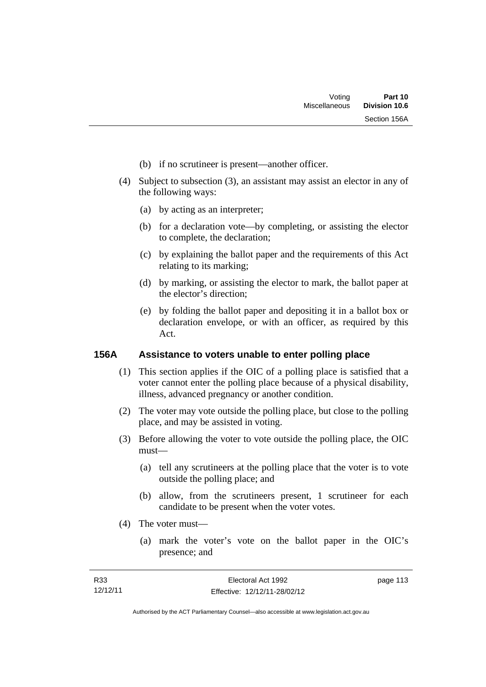- (b) if no scrutineer is present—another officer.
- (4) Subject to subsection (3), an assistant may assist an elector in any of the following ways:
	- (a) by acting as an interpreter;
	- (b) for a declaration vote—by completing, or assisting the elector to complete, the declaration;
	- (c) by explaining the ballot paper and the requirements of this Act relating to its marking;
	- (d) by marking, or assisting the elector to mark, the ballot paper at the elector's direction;
	- (e) by folding the ballot paper and depositing it in a ballot box or declaration envelope, or with an officer, as required by this Act.

# **156A Assistance to voters unable to enter polling place**

- (1) This section applies if the OIC of a polling place is satisfied that a voter cannot enter the polling place because of a physical disability, illness, advanced pregnancy or another condition.
- (2) The voter may vote outside the polling place, but close to the polling place, and may be assisted in voting.
- (3) Before allowing the voter to vote outside the polling place, the OIC must—
	- (a) tell any scrutineers at the polling place that the voter is to vote outside the polling place; and
	- (b) allow, from the scrutineers present, 1 scrutineer for each candidate to be present when the voter votes.
- (4) The voter must—
	- (a) mark the voter's vote on the ballot paper in the OIC's presence; and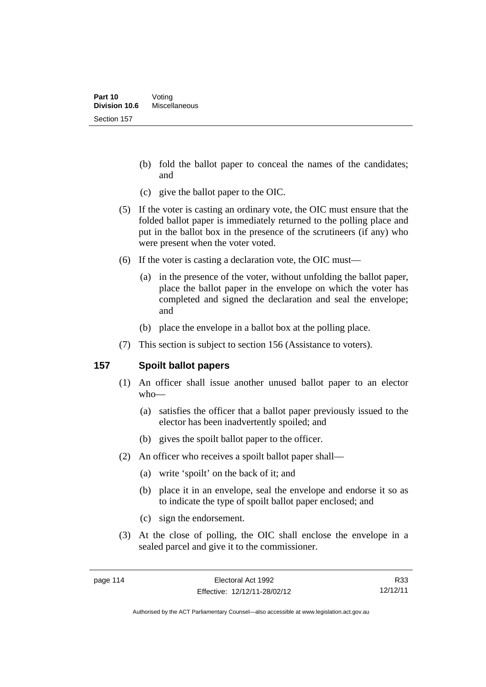- (b) fold the ballot paper to conceal the names of the candidates; and
- (c) give the ballot paper to the OIC.
- (5) If the voter is casting an ordinary vote, the OIC must ensure that the folded ballot paper is immediately returned to the polling place and put in the ballot box in the presence of the scrutineers (if any) who were present when the voter voted.
- (6) If the voter is casting a declaration vote, the OIC must—
	- (a) in the presence of the voter, without unfolding the ballot paper, place the ballot paper in the envelope on which the voter has completed and signed the declaration and seal the envelope; and
	- (b) place the envelope in a ballot box at the polling place.
- (7) This section is subject to section 156 (Assistance to voters).

# **157 Spoilt ballot papers**

- (1) An officer shall issue another unused ballot paper to an elector who—
	- (a) satisfies the officer that a ballot paper previously issued to the elector has been inadvertently spoiled; and
	- (b) gives the spoilt ballot paper to the officer.
- (2) An officer who receives a spoilt ballot paper shall—
	- (a) write 'spoilt' on the back of it; and
	- (b) place it in an envelope, seal the envelope and endorse it so as to indicate the type of spoilt ballot paper enclosed; and
	- (c) sign the endorsement.
- (3) At the close of polling, the OIC shall enclose the envelope in a sealed parcel and give it to the commissioner.

R33 12/12/11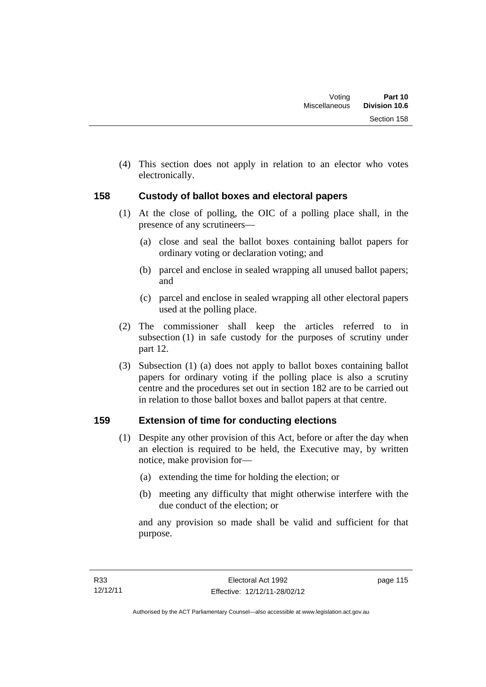(4) This section does not apply in relation to an elector who votes electronically.

# **158 Custody of ballot boxes and electoral papers**

- (1) At the close of polling, the OIC of a polling place shall, in the presence of any scrutineers—
	- (a) close and seal the ballot boxes containing ballot papers for ordinary voting or declaration voting; and
	- (b) parcel and enclose in sealed wrapping all unused ballot papers; and
	- (c) parcel and enclose in sealed wrapping all other electoral papers used at the polling place.
- (2) The commissioner shall keep the articles referred to in subsection (1) in safe custody for the purposes of scrutiny under part 12.
- (3) Subsection (1) (a) does not apply to ballot boxes containing ballot papers for ordinary voting if the polling place is also a scrutiny centre and the procedures set out in section 182 are to be carried out in relation to those ballot boxes and ballot papers at that centre.

# **159 Extension of time for conducting elections**

- (1) Despite any other provision of this Act, before or after the day when an election is required to be held, the Executive may, by written notice, make provision for—
	- (a) extending the time for holding the election; or
	- (b) meeting any difficulty that might otherwise interfere with the due conduct of the election; or

and any provision so made shall be valid and sufficient for that purpose.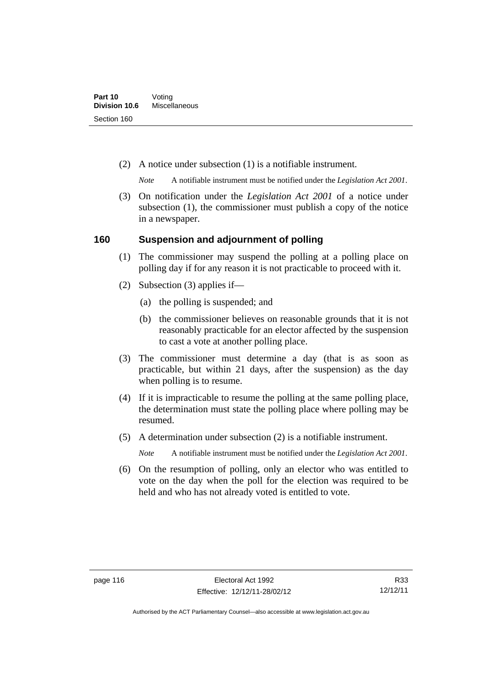(2) A notice under subsection (1) is a notifiable instrument.

*Note* A notifiable instrument must be notified under the *Legislation Act 2001*.

 (3) On notification under the *Legislation Act 2001* of a notice under subsection (1), the commissioner must publish a copy of the notice in a newspaper.

# **160 Suspension and adjournment of polling**

- (1) The commissioner may suspend the polling at a polling place on polling day if for any reason it is not practicable to proceed with it.
- (2) Subsection (3) applies if—
	- (a) the polling is suspended; and
	- (b) the commissioner believes on reasonable grounds that it is not reasonably practicable for an elector affected by the suspension to cast a vote at another polling place.
- (3) The commissioner must determine a day (that is as soon as practicable, but within 21 days, after the suspension) as the day when polling is to resume.
- (4) If it is impracticable to resume the polling at the same polling place, the determination must state the polling place where polling may be resumed.
- (5) A determination under subsection (2) is a notifiable instrument.

*Note* A notifiable instrument must be notified under the *Legislation Act 2001*.

 (6) On the resumption of polling, only an elector who was entitled to vote on the day when the poll for the election was required to be held and who has not already voted is entitled to vote.

Authorised by the ACT Parliamentary Counsel—also accessible at www.legislation.act.gov.au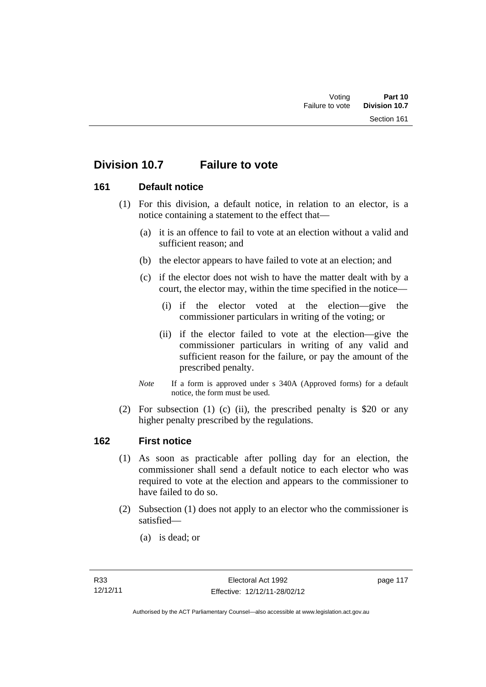# **Division 10.7 Failure to vote**

# **161 Default notice**

- (1) For this division, a default notice, in relation to an elector, is a notice containing a statement to the effect that—
	- (a) it is an offence to fail to vote at an election without a valid and sufficient reason; and
	- (b) the elector appears to have failed to vote at an election; and
	- (c) if the elector does not wish to have the matter dealt with by a court, the elector may, within the time specified in the notice—
		- (i) if the elector voted at the election—give the commissioner particulars in writing of the voting; or
		- (ii) if the elector failed to vote at the election—give the commissioner particulars in writing of any valid and sufficient reason for the failure, or pay the amount of the prescribed penalty.
	- *Note* If a form is approved under s 340A (Approved forms) for a default notice, the form must be used.
- (2) For subsection (1) (c) (ii), the prescribed penalty is \$20 or any higher penalty prescribed by the regulations.

### **162 First notice**

- (1) As soon as practicable after polling day for an election, the commissioner shall send a default notice to each elector who was required to vote at the election and appears to the commissioner to have failed to do so.
- (2) Subsection (1) does not apply to an elector who the commissioner is satisfied—
	- (a) is dead; or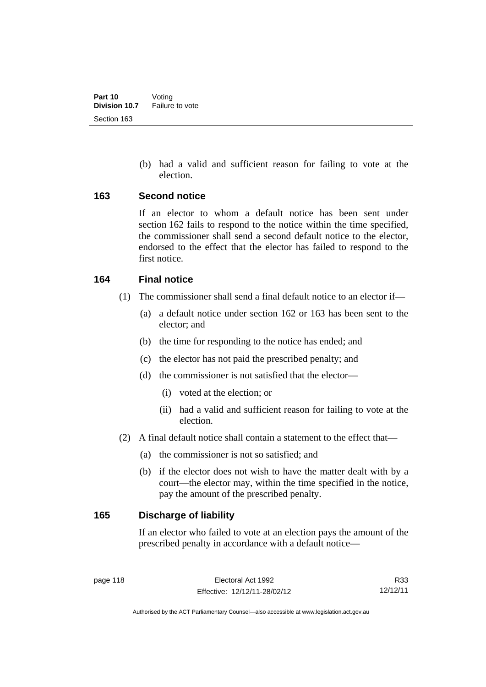(b) had a valid and sufficient reason for failing to vote at the election.

#### **163 Second notice**

If an elector to whom a default notice has been sent under section 162 fails to respond to the notice within the time specified, the commissioner shall send a second default notice to the elector, endorsed to the effect that the elector has failed to respond to the first notice.

### **164 Final notice**

- (1) The commissioner shall send a final default notice to an elector if—
	- (a) a default notice under section 162 or 163 has been sent to the elector; and
	- (b) the time for responding to the notice has ended; and
	- (c) the elector has not paid the prescribed penalty; and
	- (d) the commissioner is not satisfied that the elector—
		- (i) voted at the election; or
		- (ii) had a valid and sufficient reason for failing to vote at the election.
- (2) A final default notice shall contain a statement to the effect that—
	- (a) the commissioner is not so satisfied; and
	- (b) if the elector does not wish to have the matter dealt with by a court—the elector may, within the time specified in the notice, pay the amount of the prescribed penalty.

### **165 Discharge of liability**

If an elector who failed to vote at an election pays the amount of the prescribed penalty in accordance with a default notice—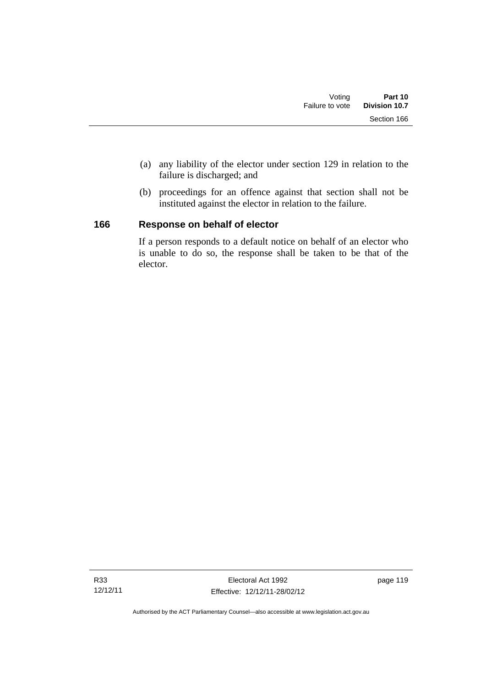- (a) any liability of the elector under section 129 in relation to the failure is discharged; and
- (b) proceedings for an offence against that section shall not be instituted against the elector in relation to the failure.

# **166 Response on behalf of elector**

If a person responds to a default notice on behalf of an elector who is unable to do so, the response shall be taken to be that of the elector.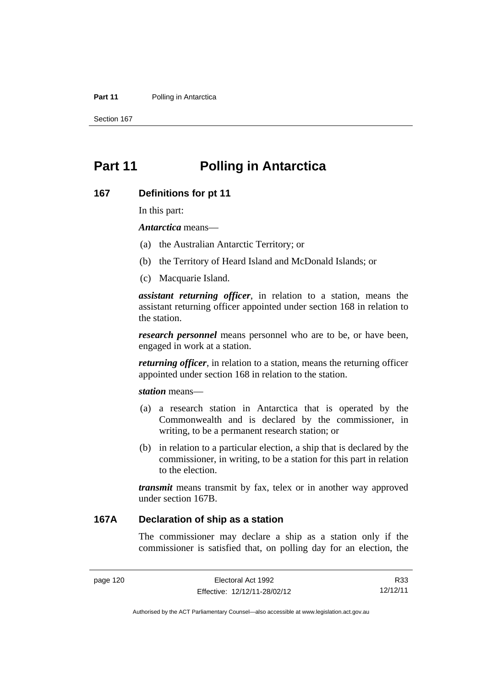#### **Part 11** Polling in Antarctica

Section 167

# **Part 11 Polling in Antarctica**

#### **167 Definitions for pt 11**

In this part:

*Antarctica* means—

- (a) the Australian Antarctic Territory; or
- (b) the Territory of Heard Island and McDonald Islands; or
- (c) Macquarie Island.

*assistant returning officer*, in relation to a station, means the assistant returning officer appointed under section 168 in relation to the station.

*research personnel* means personnel who are to be, or have been, engaged in work at a station.

*returning officer*, in relation to a station, means the returning officer appointed under section 168 in relation to the station.

*station* means—

- (a) a research station in Antarctica that is operated by the Commonwealth and is declared by the commissioner, in writing, to be a permanent research station; or
- (b) in relation to a particular election, a ship that is declared by the commissioner, in writing, to be a station for this part in relation to the election.

*transmit* means transmit by fax, telex or in another way approved under section 167B.

# **167A Declaration of ship as a station**

The commissioner may declare a ship as a station only if the commissioner is satisfied that, on polling day for an election, the

R33 12/12/11

Authorised by the ACT Parliamentary Counsel—also accessible at www.legislation.act.gov.au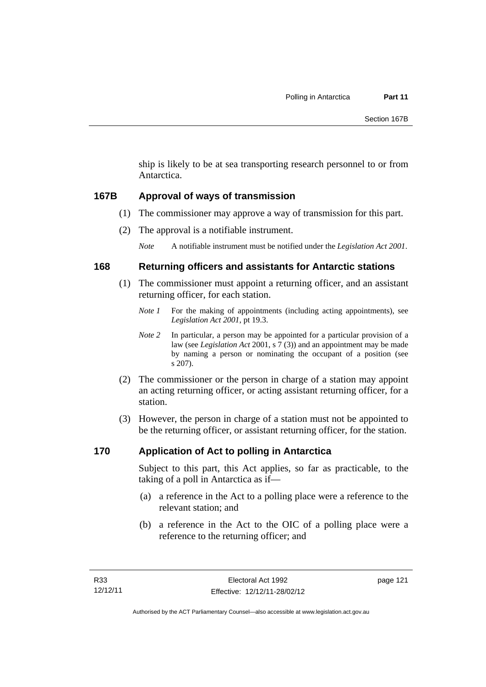ship is likely to be at sea transporting research personnel to or from Antarctica.

# **167B Approval of ways of transmission**

- (1) The commissioner may approve a way of transmission for this part.
- (2) The approval is a notifiable instrument.

*Note* A notifiable instrument must be notified under the *Legislation Act 2001*.

# **168 Returning officers and assistants for Antarctic stations**

- (1) The commissioner must appoint a returning officer, and an assistant returning officer, for each station.
	- *Note 1* For the making of appointments (including acting appointments), see *Legislation Act 2001*, pt 19.3.
	- *Note 2* In particular, a person may be appointed for a particular provision of a law (see *Legislation Act* 2001, s 7 (3)) and an appointment may be made by naming a person or nominating the occupant of a position (see s 207).
- (2) The commissioner or the person in charge of a station may appoint an acting returning officer, or acting assistant returning officer, for a station.
- (3) However, the person in charge of a station must not be appointed to be the returning officer, or assistant returning officer, for the station.

# **170 Application of Act to polling in Antarctica**

Subject to this part, this Act applies, so far as practicable, to the taking of a poll in Antarctica as if—

- (a) a reference in the Act to a polling place were a reference to the relevant station; and
- (b) a reference in the Act to the OIC of a polling place were a reference to the returning officer; and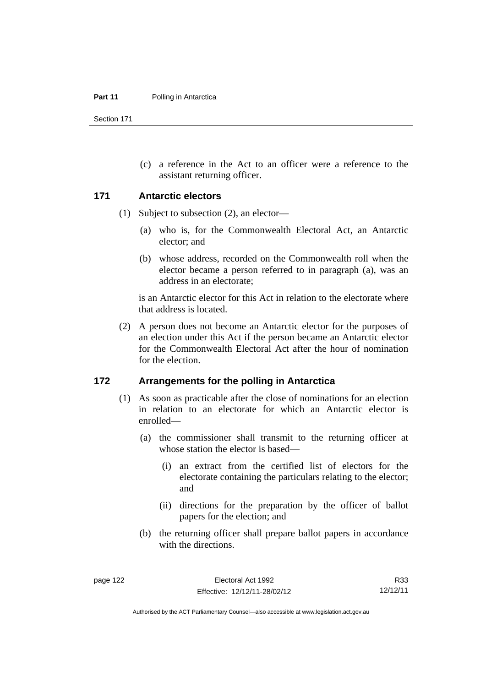Section 171

 (c) a reference in the Act to an officer were a reference to the assistant returning officer.

#### **171 Antarctic electors**

- (1) Subject to subsection (2), an elector—
	- (a) who is, for the Commonwealth Electoral Act, an Antarctic elector; and
	- (b) whose address, recorded on the Commonwealth roll when the elector became a person referred to in paragraph (a), was an address in an electorate;

is an Antarctic elector for this Act in relation to the electorate where that address is located.

 (2) A person does not become an Antarctic elector for the purposes of an election under this Act if the person became an Antarctic elector for the Commonwealth Electoral Act after the hour of nomination for the election.

#### **172 Arrangements for the polling in Antarctica**

- (1) As soon as practicable after the close of nominations for an election in relation to an electorate for which an Antarctic elector is enrolled—
	- (a) the commissioner shall transmit to the returning officer at whose station the elector is based—
		- (i) an extract from the certified list of electors for the electorate containing the particulars relating to the elector; and
		- (ii) directions for the preparation by the officer of ballot papers for the election; and
	- (b) the returning officer shall prepare ballot papers in accordance with the directions.

R33 12/12/11

Authorised by the ACT Parliamentary Counsel—also accessible at www.legislation.act.gov.au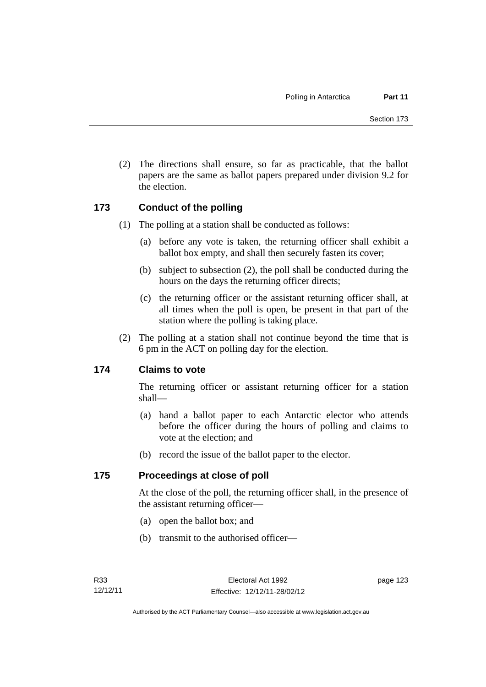(2) The directions shall ensure, so far as practicable, that the ballot papers are the same as ballot papers prepared under division 9.2 for the election.

# **173 Conduct of the polling**

- (1) The polling at a station shall be conducted as follows:
	- (a) before any vote is taken, the returning officer shall exhibit a ballot box empty, and shall then securely fasten its cover;
	- (b) subject to subsection (2), the poll shall be conducted during the hours on the days the returning officer directs;
	- (c) the returning officer or the assistant returning officer shall, at all times when the poll is open, be present in that part of the station where the polling is taking place.
- (2) The polling at a station shall not continue beyond the time that is 6 pm in the ACT on polling day for the election.

### **174 Claims to vote**

The returning officer or assistant returning officer for a station shall—

- (a) hand a ballot paper to each Antarctic elector who attends before the officer during the hours of polling and claims to vote at the election; and
- (b) record the issue of the ballot paper to the elector.

### **175 Proceedings at close of poll**

At the close of the poll, the returning officer shall, in the presence of the assistant returning officer—

- (a) open the ballot box; and
- (b) transmit to the authorised officer—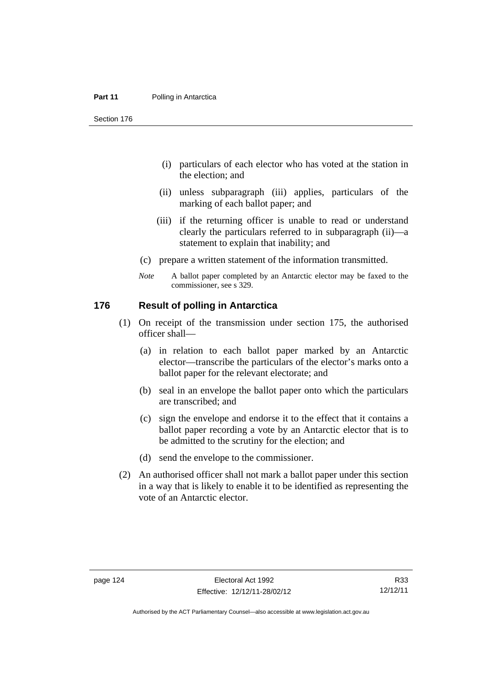Section 176

- (i) particulars of each elector who has voted at the station in the election; and
- (ii) unless subparagraph (iii) applies, particulars of the marking of each ballot paper; and
- (iii) if the returning officer is unable to read or understand clearly the particulars referred to in subparagraph (ii)—a statement to explain that inability; and
- (c) prepare a written statement of the information transmitted.
- *Note* A ballot paper completed by an Antarctic elector may be faxed to the commissioner, see s 329.

### **176 Result of polling in Antarctica**

- (1) On receipt of the transmission under section 175, the authorised officer shall—
	- (a) in relation to each ballot paper marked by an Antarctic elector—transcribe the particulars of the elector's marks onto a ballot paper for the relevant electorate; and
	- (b) seal in an envelope the ballot paper onto which the particulars are transcribed; and
	- (c) sign the envelope and endorse it to the effect that it contains a ballot paper recording a vote by an Antarctic elector that is to be admitted to the scrutiny for the election; and
	- (d) send the envelope to the commissioner.
- (2) An authorised officer shall not mark a ballot paper under this section in a way that is likely to enable it to be identified as representing the vote of an Antarctic elector.

Authorised by the ACT Parliamentary Counsel—also accessible at www.legislation.act.gov.au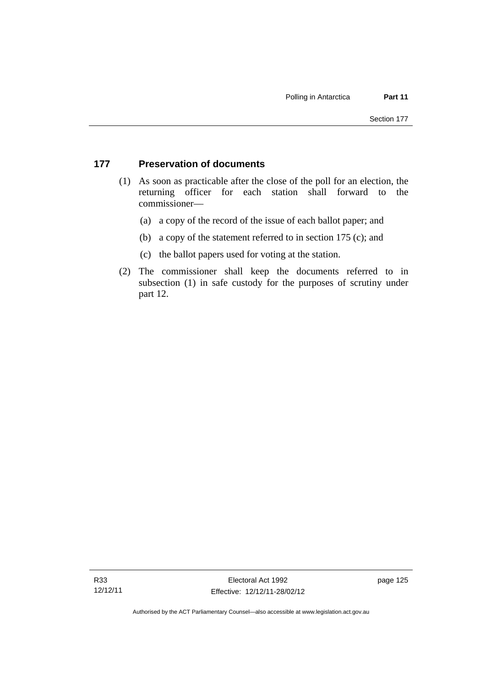### **177 Preservation of documents**

- (1) As soon as practicable after the close of the poll for an election, the returning officer for each station shall forward to the commissioner—
	- (a) a copy of the record of the issue of each ballot paper; and
	- (b) a copy of the statement referred to in section 175 (c); and
	- (c) the ballot papers used for voting at the station.
- (2) The commissioner shall keep the documents referred to in subsection (1) in safe custody for the purposes of scrutiny under part 12.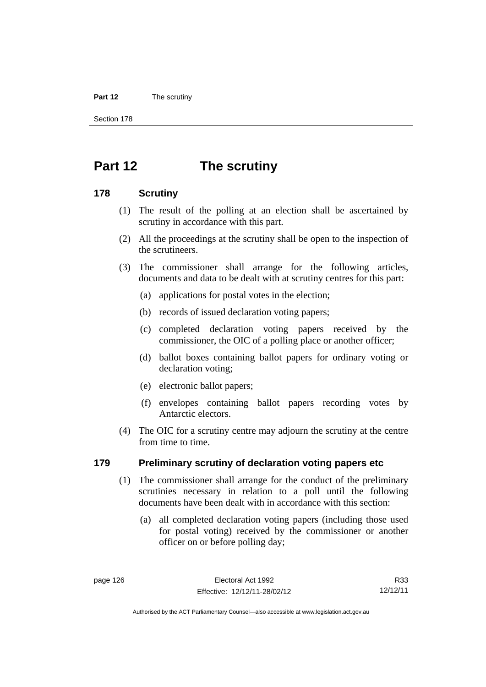#### **Part 12** The scrutiny

Section 178

# **Part 12 The scrutiny**

### **178 Scrutiny**

- (1) The result of the polling at an election shall be ascertained by scrutiny in accordance with this part.
- (2) All the proceedings at the scrutiny shall be open to the inspection of the scrutineers.
- (3) The commissioner shall arrange for the following articles, documents and data to be dealt with at scrutiny centres for this part:
	- (a) applications for postal votes in the election;
	- (b) records of issued declaration voting papers;
	- (c) completed declaration voting papers received by the commissioner, the OIC of a polling place or another officer;
	- (d) ballot boxes containing ballot papers for ordinary voting or declaration voting;
	- (e) electronic ballot papers;
	- (f) envelopes containing ballot papers recording votes by Antarctic electors.
- (4) The OIC for a scrutiny centre may adjourn the scrutiny at the centre from time to time.

### **179 Preliminary scrutiny of declaration voting papers etc**

- (1) The commissioner shall arrange for the conduct of the preliminary scrutinies necessary in relation to a poll until the following documents have been dealt with in accordance with this section:
	- (a) all completed declaration voting papers (including those used for postal voting) received by the commissioner or another officer on or before polling day;

R33 12/12/11

Authorised by the ACT Parliamentary Counsel—also accessible at www.legislation.act.gov.au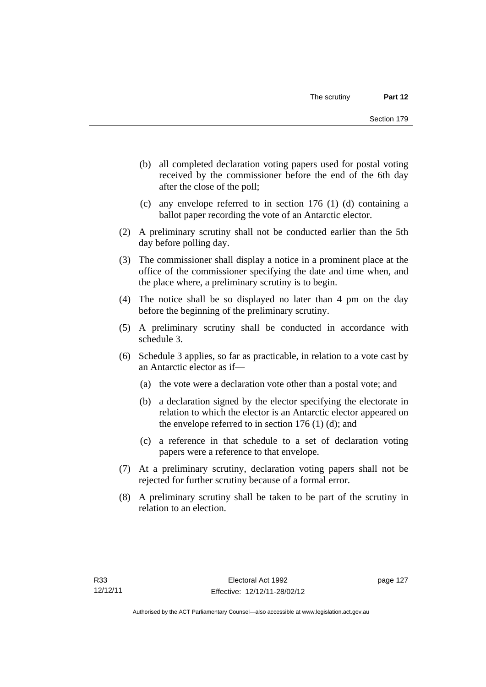- (b) all completed declaration voting papers used for postal voting received by the commissioner before the end of the 6th day after the close of the poll;
- (c) any envelope referred to in section 176 (1) (d) containing a ballot paper recording the vote of an Antarctic elector.
- (2) A preliminary scrutiny shall not be conducted earlier than the 5th day before polling day.
- (3) The commissioner shall display a notice in a prominent place at the office of the commissioner specifying the date and time when, and the place where, a preliminary scrutiny is to begin.
- (4) The notice shall be so displayed no later than 4 pm on the day before the beginning of the preliminary scrutiny.
- (5) A preliminary scrutiny shall be conducted in accordance with schedule 3.
- (6) Schedule 3 applies, so far as practicable, in relation to a vote cast by an Antarctic elector as if—
	- (a) the vote were a declaration vote other than a postal vote; and
	- (b) a declaration signed by the elector specifying the electorate in relation to which the elector is an Antarctic elector appeared on the envelope referred to in section  $176$  (1) (d); and
	- (c) a reference in that schedule to a set of declaration voting papers were a reference to that envelope.
- (7) At a preliminary scrutiny, declaration voting papers shall not be rejected for further scrutiny because of a formal error.
- (8) A preliminary scrutiny shall be taken to be part of the scrutiny in relation to an election.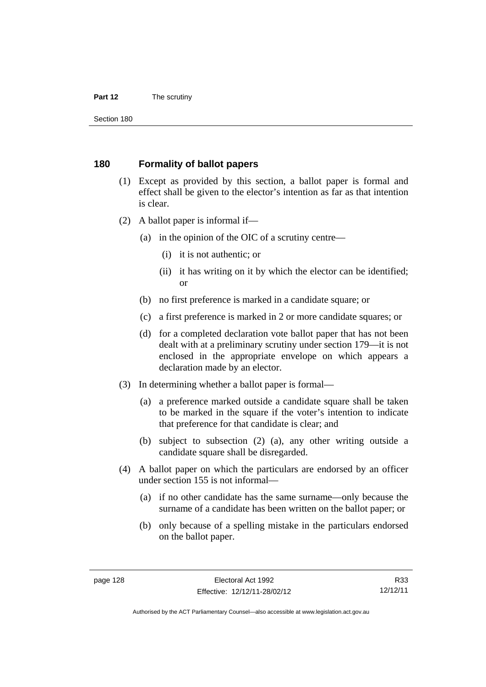#### **Part 12** The scrutiny

Section 180

#### **180 Formality of ballot papers**

- (1) Except as provided by this section, a ballot paper is formal and effect shall be given to the elector's intention as far as that intention is clear.
- (2) A ballot paper is informal if—
	- (a) in the opinion of the OIC of a scrutiny centre—
		- (i) it is not authentic; or
		- (ii) it has writing on it by which the elector can be identified; or
	- (b) no first preference is marked in a candidate square; or
	- (c) a first preference is marked in 2 or more candidate squares; or
	- (d) for a completed declaration vote ballot paper that has not been dealt with at a preliminary scrutiny under section 179—it is not enclosed in the appropriate envelope on which appears a declaration made by an elector.
- (3) In determining whether a ballot paper is formal—
	- (a) a preference marked outside a candidate square shall be taken to be marked in the square if the voter's intention to indicate that preference for that candidate is clear; and
	- (b) subject to subsection (2) (a), any other writing outside a candidate square shall be disregarded.
- (4) A ballot paper on which the particulars are endorsed by an officer under section 155 is not informal—
	- (a) if no other candidate has the same surname—only because the surname of a candidate has been written on the ballot paper; or
	- (b) only because of a spelling mistake in the particulars endorsed on the ballot paper.

R33 12/12/11

Authorised by the ACT Parliamentary Counsel—also accessible at www.legislation.act.gov.au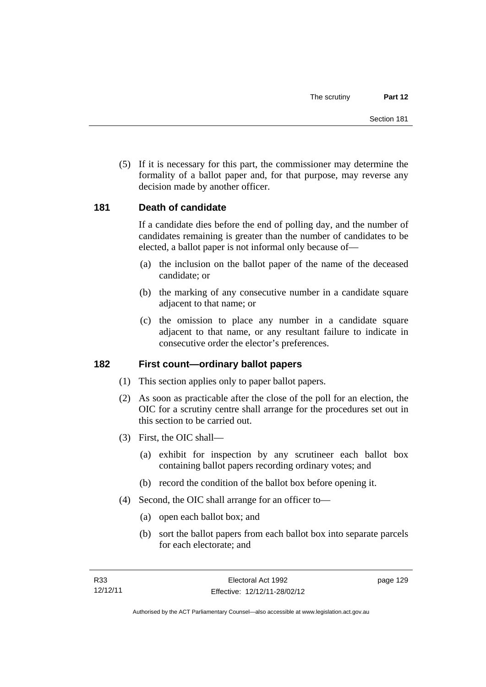(5) If it is necessary for this part, the commissioner may determine the formality of a ballot paper and, for that purpose, may reverse any decision made by another officer.

#### **181 Death of candidate**

If a candidate dies before the end of polling day, and the number of candidates remaining is greater than the number of candidates to be elected, a ballot paper is not informal only because of—

- (a) the inclusion on the ballot paper of the name of the deceased candidate; or
- (b) the marking of any consecutive number in a candidate square adjacent to that name; or
- (c) the omission to place any number in a candidate square adjacent to that name, or any resultant failure to indicate in consecutive order the elector's preferences.

#### **182 First count—ordinary ballot papers**

- (1) This section applies only to paper ballot papers.
- (2) As soon as practicable after the close of the poll for an election, the OIC for a scrutiny centre shall arrange for the procedures set out in this section to be carried out.
- (3) First, the OIC shall—
	- (a) exhibit for inspection by any scrutineer each ballot box containing ballot papers recording ordinary votes; and
	- (b) record the condition of the ballot box before opening it.
- (4) Second, the OIC shall arrange for an officer to—
	- (a) open each ballot box; and
	- (b) sort the ballot papers from each ballot box into separate parcels for each electorate; and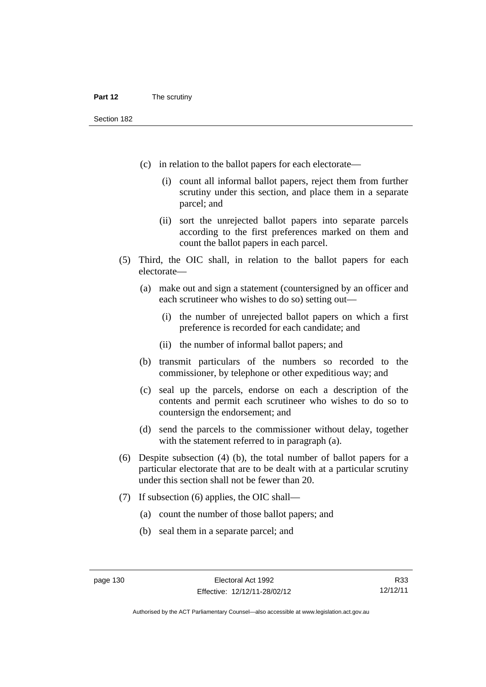- (c) in relation to the ballot papers for each electorate—
	- (i) count all informal ballot papers, reject them from further scrutiny under this section, and place them in a separate parcel; and
	- (ii) sort the unrejected ballot papers into separate parcels according to the first preferences marked on them and count the ballot papers in each parcel.
- (5) Third, the OIC shall, in relation to the ballot papers for each electorate—
	- (a) make out and sign a statement (countersigned by an officer and each scrutineer who wishes to do so) setting out—
		- (i) the number of unrejected ballot papers on which a first preference is recorded for each candidate; and
		- (ii) the number of informal ballot papers; and
	- (b) transmit particulars of the numbers so recorded to the commissioner, by telephone or other expeditious way; and
	- (c) seal up the parcels, endorse on each a description of the contents and permit each scrutineer who wishes to do so to countersign the endorsement; and
	- (d) send the parcels to the commissioner without delay, together with the statement referred to in paragraph (a).
- (6) Despite subsection (4) (b), the total number of ballot papers for a particular electorate that are to be dealt with at a particular scrutiny under this section shall not be fewer than 20.
- (7) If subsection (6) applies, the OIC shall—
	- (a) count the number of those ballot papers; and
	- (b) seal them in a separate parcel; and

R33 12/12/11

Authorised by the ACT Parliamentary Counsel—also accessible at www.legislation.act.gov.au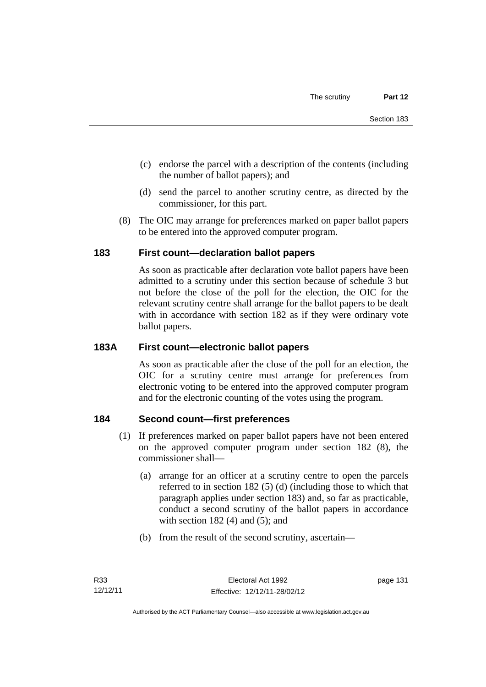- (c) endorse the parcel with a description of the contents (including the number of ballot papers); and
- (d) send the parcel to another scrutiny centre, as directed by the commissioner, for this part.
- (8) The OIC may arrange for preferences marked on paper ballot papers to be entered into the approved computer program.

## **183 First count—declaration ballot papers**

As soon as practicable after declaration vote ballot papers have been admitted to a scrutiny under this section because of schedule 3 but not before the close of the poll for the election, the OIC for the relevant scrutiny centre shall arrange for the ballot papers to be dealt with in accordance with section 182 as if they were ordinary vote ballot papers.

### **183A First count—electronic ballot papers**

As soon as practicable after the close of the poll for an election, the OIC for a scrutiny centre must arrange for preferences from electronic voting to be entered into the approved computer program and for the electronic counting of the votes using the program.

## **184 Second count—first preferences**

- (1) If preferences marked on paper ballot papers have not been entered on the approved computer program under section 182 (8), the commissioner shall—
	- (a) arrange for an officer at a scrutiny centre to open the parcels referred to in section 182 (5) (d) (including those to which that paragraph applies under section 183) and, so far as practicable, conduct a second scrutiny of the ballot papers in accordance with section  $182(4)$  and  $(5)$ ; and
	- (b) from the result of the second scrutiny, ascertain—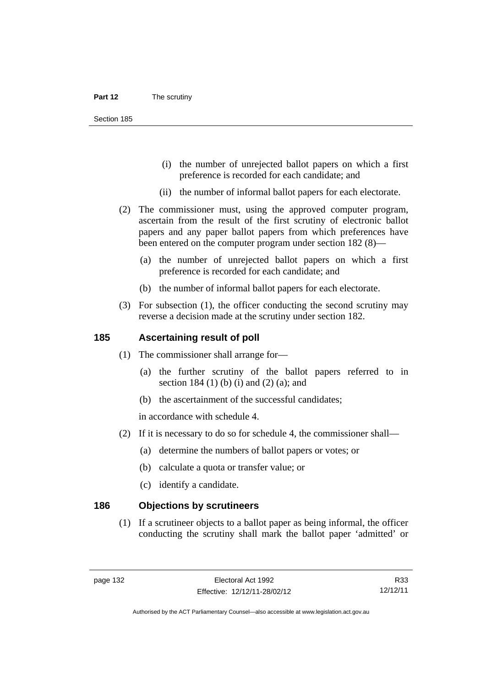Section 185

- (i) the number of unrejected ballot papers on which a first preference is recorded for each candidate; and
- (ii) the number of informal ballot papers for each electorate.
- (2) The commissioner must, using the approved computer program, ascertain from the result of the first scrutiny of electronic ballot papers and any paper ballot papers from which preferences have been entered on the computer program under section 182 (8)—
	- (a) the number of unrejected ballot papers on which a first preference is recorded for each candidate; and
	- (b) the number of informal ballot papers for each electorate.
- (3) For subsection (1), the officer conducting the second scrutiny may reverse a decision made at the scrutiny under section 182.

#### **185 Ascertaining result of poll**

- (1) The commissioner shall arrange for—
	- (a) the further scrutiny of the ballot papers referred to in section 184 (1) (b) (i) and (2) (a); and
	- (b) the ascertainment of the successful candidates;

in accordance with schedule 4.

- (2) If it is necessary to do so for schedule 4, the commissioner shall—
	- (a) determine the numbers of ballot papers or votes; or
	- (b) calculate a quota or transfer value; or
	- (c) identify a candidate.

#### **186 Objections by scrutineers**

 (1) If a scrutineer objects to a ballot paper as being informal, the officer conducting the scrutiny shall mark the ballot paper 'admitted' or

R33 12/12/11

Authorised by the ACT Parliamentary Counsel—also accessible at www.legislation.act.gov.au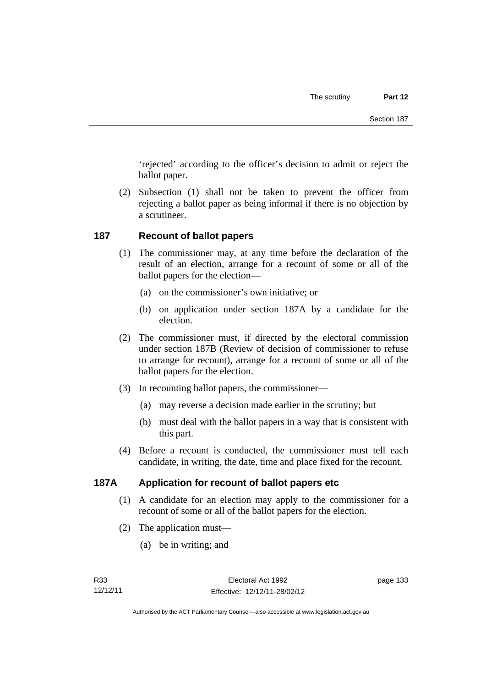'rejected' according to the officer's decision to admit or reject the ballot paper.

 (2) Subsection (1) shall not be taken to prevent the officer from rejecting a ballot paper as being informal if there is no objection by a scrutineer.

#### **187 Recount of ballot papers**

- (1) The commissioner may, at any time before the declaration of the result of an election, arrange for a recount of some or all of the ballot papers for the election—
	- (a) on the commissioner's own initiative; or
	- (b) on application under section 187A by a candidate for the election.
- (2) The commissioner must, if directed by the electoral commission under section 187B (Review of decision of commissioner to refuse to arrange for recount), arrange for a recount of some or all of the ballot papers for the election.
- (3) In recounting ballot papers, the commissioner—
	- (a) may reverse a decision made earlier in the scrutiny; but
	- (b) must deal with the ballot papers in a way that is consistent with this part.
- (4) Before a recount is conducted, the commissioner must tell each candidate, in writing, the date, time and place fixed for the recount.

## **187A Application for recount of ballot papers etc**

- (1) A candidate for an election may apply to the commissioner for a recount of some or all of the ballot papers for the election.
- (2) The application must—
	- (a) be in writing; and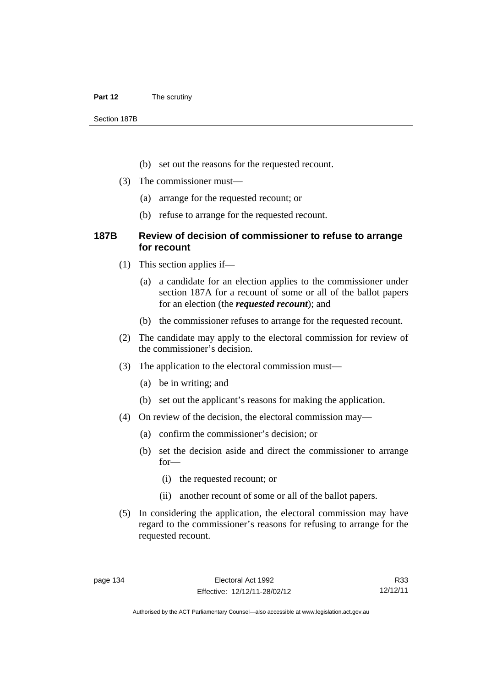#### **Part 12** The scrutiny

Section 187B

- (b) set out the reasons for the requested recount.
- (3) The commissioner must—
	- (a) arrange for the requested recount; or
	- (b) refuse to arrange for the requested recount.

#### **187B Review of decision of commissioner to refuse to arrange for recount**

- (1) This section applies if—
	- (a) a candidate for an election applies to the commissioner under section 187A for a recount of some or all of the ballot papers for an election (the *requested recount*); and
	- (b) the commissioner refuses to arrange for the requested recount.
- (2) The candidate may apply to the electoral commission for review of the commissioner's decision.
- (3) The application to the electoral commission must—
	- (a) be in writing; and
	- (b) set out the applicant's reasons for making the application.
- (4) On review of the decision, the electoral commission may—
	- (a) confirm the commissioner's decision; or
	- (b) set the decision aside and direct the commissioner to arrange for—
		- (i) the requested recount; or
		- (ii) another recount of some or all of the ballot papers.
- (5) In considering the application, the electoral commission may have regard to the commissioner's reasons for refusing to arrange for the requested recount.

R33 12/12/11

Authorised by the ACT Parliamentary Counsel—also accessible at www.legislation.act.gov.au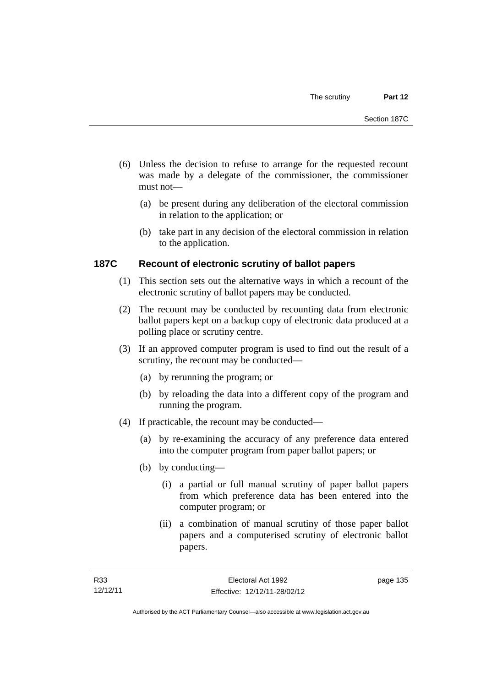- (6) Unless the decision to refuse to arrange for the requested recount was made by a delegate of the commissioner, the commissioner must not—
	- (a) be present during any deliberation of the electoral commission in relation to the application; or
	- (b) take part in any decision of the electoral commission in relation to the application.

## **187C Recount of electronic scrutiny of ballot papers**

- (1) This section sets out the alternative ways in which a recount of the electronic scrutiny of ballot papers may be conducted.
- (2) The recount may be conducted by recounting data from electronic ballot papers kept on a backup copy of electronic data produced at a polling place or scrutiny centre.
- (3) If an approved computer program is used to find out the result of a scrutiny, the recount may be conducted—
	- (a) by rerunning the program; or
	- (b) by reloading the data into a different copy of the program and running the program.
- (4) If practicable, the recount may be conducted—
	- (a) by re-examining the accuracy of any preference data entered into the computer program from paper ballot papers; or
	- (b) by conducting—
		- (i) a partial or full manual scrutiny of paper ballot papers from which preference data has been entered into the computer program; or
		- (ii) a combination of manual scrutiny of those paper ballot papers and a computerised scrutiny of electronic ballot papers.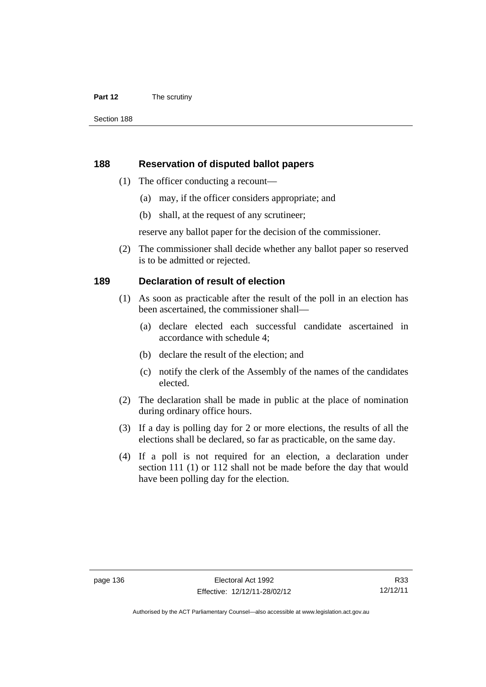#### **Part 12** The scrutiny

#### **188 Reservation of disputed ballot papers**

- (1) The officer conducting a recount—
	- (a) may, if the officer considers appropriate; and
	- (b) shall, at the request of any scrutineer;

reserve any ballot paper for the decision of the commissioner.

 (2) The commissioner shall decide whether any ballot paper so reserved is to be admitted or rejected.

#### **189 Declaration of result of election**

- (1) As soon as practicable after the result of the poll in an election has been ascertained, the commissioner shall—
	- (a) declare elected each successful candidate ascertained in accordance with schedule 4;
	- (b) declare the result of the election; and
	- (c) notify the clerk of the Assembly of the names of the candidates elected.
- (2) The declaration shall be made in public at the place of nomination during ordinary office hours.
- (3) If a day is polling day for 2 or more elections, the results of all the elections shall be declared, so far as practicable, on the same day.
- (4) If a poll is not required for an election, a declaration under section 111 (1) or 112 shall not be made before the day that would have been polling day for the election.

R33 12/12/11

Authorised by the ACT Parliamentary Counsel—also accessible at www.legislation.act.gov.au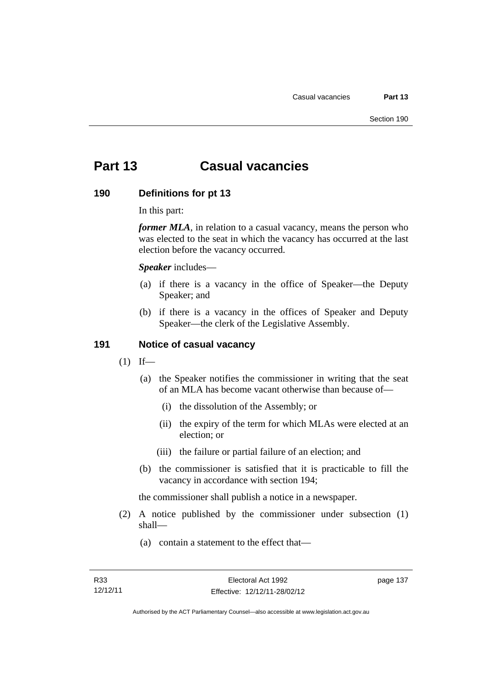# **Part 13 Casual vacancies**

#### **190 Definitions for pt 13**

In this part:

*former MLA*, in relation to a casual vacancy, means the person who was elected to the seat in which the vacancy has occurred at the last election before the vacancy occurred.

*Speaker* includes—

- (a) if there is a vacancy in the office of Speaker—the Deputy Speaker; and
- (b) if there is a vacancy in the offices of Speaker and Deputy Speaker—the clerk of the Legislative Assembly.

## **191 Notice of casual vacancy**

- $(1)$  If—
	- (a) the Speaker notifies the commissioner in writing that the seat of an MLA has become vacant otherwise than because of—
		- (i) the dissolution of the Assembly; or
		- (ii) the expiry of the term for which MLAs were elected at an election; or
		- (iii) the failure or partial failure of an election; and
	- (b) the commissioner is satisfied that it is practicable to fill the vacancy in accordance with section 194;

the commissioner shall publish a notice in a newspaper.

- (2) A notice published by the commissioner under subsection (1) shall—
	- (a) contain a statement to the effect that—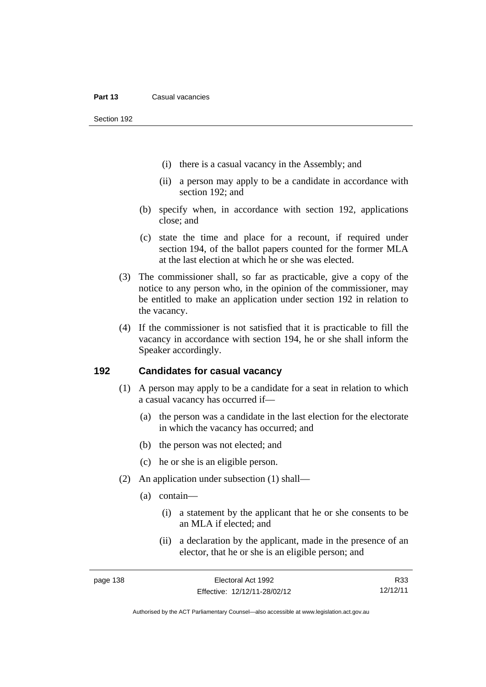Section 192

- (i) there is a casual vacancy in the Assembly; and
- (ii) a person may apply to be a candidate in accordance with section 192; and
- (b) specify when, in accordance with section 192, applications close; and
- (c) state the time and place for a recount, if required under section 194, of the ballot papers counted for the former MLA at the last election at which he or she was elected.
- (3) The commissioner shall, so far as practicable, give a copy of the notice to any person who, in the opinion of the commissioner, may be entitled to make an application under section 192 in relation to the vacancy.
- (4) If the commissioner is not satisfied that it is practicable to fill the vacancy in accordance with section 194, he or she shall inform the Speaker accordingly.

### **192 Candidates for casual vacancy**

- (1) A person may apply to be a candidate for a seat in relation to which a casual vacancy has occurred if—
	- (a) the person was a candidate in the last election for the electorate in which the vacancy has occurred; and
	- (b) the person was not elected; and
	- (c) he or she is an eligible person.
- (2) An application under subsection (1) shall—
	- (a) contain—
		- (i) a statement by the applicant that he or she consents to be an MLA if elected; and
		- (ii) a declaration by the applicant, made in the presence of an elector, that he or she is an eligible person; and

R33 12/12/11

Authorised by the ACT Parliamentary Counsel—also accessible at www.legislation.act.gov.au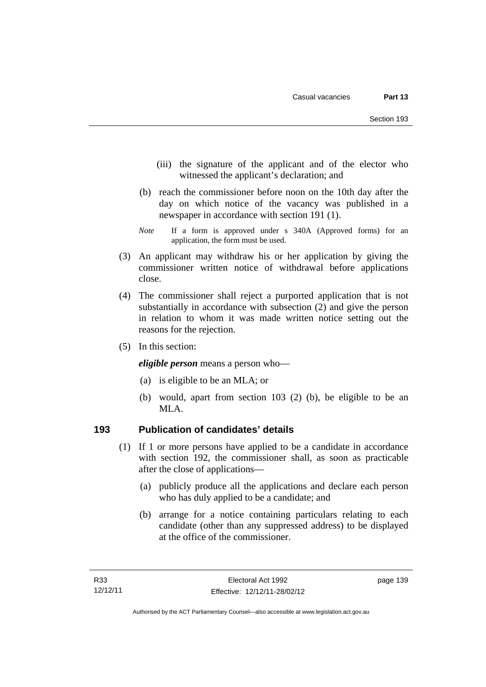- (iii) the signature of the applicant and of the elector who witnessed the applicant's declaration; and
- (b) reach the commissioner before noon on the 10th day after the day on which notice of the vacancy was published in a newspaper in accordance with section 191 (1).
- *Note* If a form is approved under s 340A (Approved forms) for an application, the form must be used.
- (3) An applicant may withdraw his or her application by giving the commissioner written notice of withdrawal before applications close.
- (4) The commissioner shall reject a purported application that is not substantially in accordance with subsection (2) and give the person in relation to whom it was made written notice setting out the reasons for the rejection.
- (5) In this section:

*eligible person* means a person who—

- (a) is eligible to be an MLA; or
- (b) would, apart from section 103 (2) (b), be eligible to be an MLA.

#### **193 Publication of candidates' details**

- (1) If 1 or more persons have applied to be a candidate in accordance with section 192, the commissioner shall, as soon as practicable after the close of applications—
	- (a) publicly produce all the applications and declare each person who has duly applied to be a candidate; and
	- (b) arrange for a notice containing particulars relating to each candidate (other than any suppressed address) to be displayed at the office of the commissioner.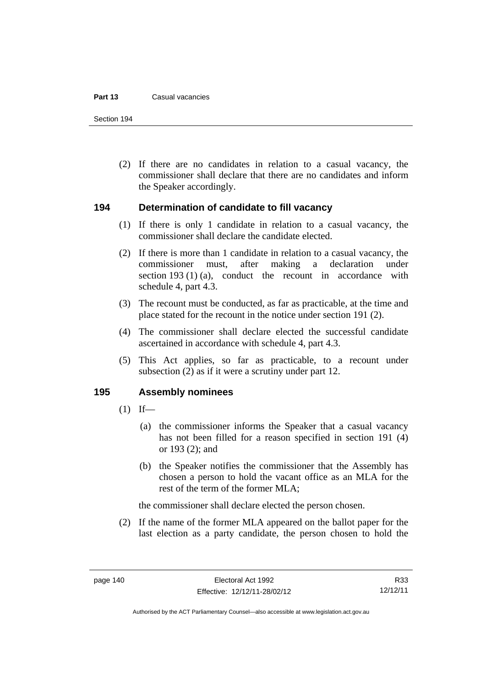#### **Part 13** Casual vacancies

Section 194

 (2) If there are no candidates in relation to a casual vacancy, the commissioner shall declare that there are no candidates and inform the Speaker accordingly.

#### **194 Determination of candidate to fill vacancy**

- (1) If there is only 1 candidate in relation to a casual vacancy, the commissioner shall declare the candidate elected.
- (2) If there is more than 1 candidate in relation to a casual vacancy, the commissioner must, after making a declaration under section 193 (1) (a), conduct the recount in accordance with schedule 4, part 4.3.
- (3) The recount must be conducted, as far as practicable, at the time and place stated for the recount in the notice under section 191 (2).
- (4) The commissioner shall declare elected the successful candidate ascertained in accordance with schedule 4, part 4.3.
- (5) This Act applies, so far as practicable, to a recount under subsection (2) as if it were a scrutiny under part 12.

#### **195 Assembly nominees**

- $(1)$  If—
	- (a) the commissioner informs the Speaker that a casual vacancy has not been filled for a reason specified in section 191 (4) or 193 (2); and
	- (b) the Speaker notifies the commissioner that the Assembly has chosen a person to hold the vacant office as an MLA for the rest of the term of the former MLA;

the commissioner shall declare elected the person chosen.

 (2) If the name of the former MLA appeared on the ballot paper for the last election as a party candidate, the person chosen to hold the

R33 12/12/11

Authorised by the ACT Parliamentary Counsel—also accessible at www.legislation.act.gov.au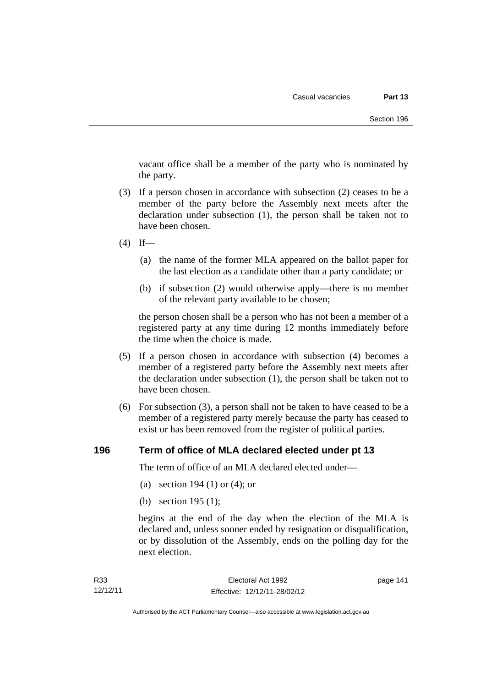vacant office shall be a member of the party who is nominated by the party.

- (3) If a person chosen in accordance with subsection (2) ceases to be a member of the party before the Assembly next meets after the declaration under subsection (1), the person shall be taken not to have been chosen.
- $(4)$  If—
	- (a) the name of the former MLA appeared on the ballot paper for the last election as a candidate other than a party candidate; or
	- (b) if subsection (2) would otherwise apply—there is no member of the relevant party available to be chosen;

the person chosen shall be a person who has not been a member of a registered party at any time during 12 months immediately before the time when the choice is made.

- (5) If a person chosen in accordance with subsection (4) becomes a member of a registered party before the Assembly next meets after the declaration under subsection (1), the person shall be taken not to have been chosen.
- (6) For subsection (3), a person shall not be taken to have ceased to be a member of a registered party merely because the party has ceased to exist or has been removed from the register of political parties.

#### **196 Term of office of MLA declared elected under pt 13**

The term of office of an MLA declared elected under—

- (a) section 194 (1) or (4); or
- (b) section 195 (1);

begins at the end of the day when the election of the MLA is declared and, unless sooner ended by resignation or disqualification, or by dissolution of the Assembly, ends on the polling day for the next election.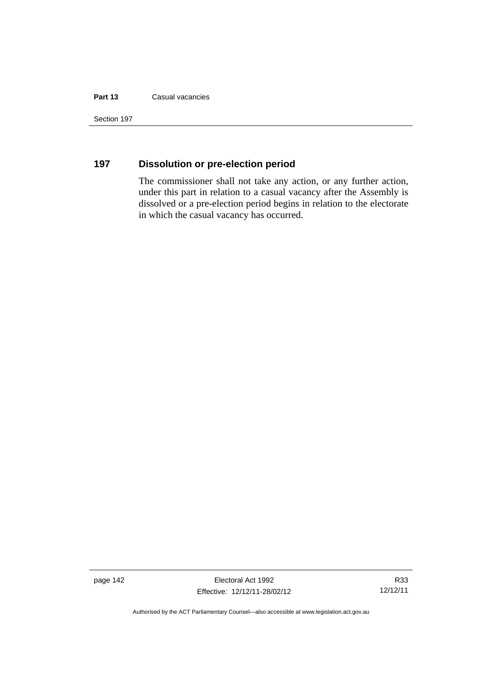#### **Part 13** Casual vacancies

Section 197

## **197 Dissolution or pre-election period**

The commissioner shall not take any action, or any further action, under this part in relation to a casual vacancy after the Assembly is dissolved or a pre-election period begins in relation to the electorate in which the casual vacancy has occurred.

page 142 Electoral Act 1992 Effective: 12/12/11-28/02/12

R33 12/12/11

Authorised by the ACT Parliamentary Counsel—also accessible at www.legislation.act.gov.au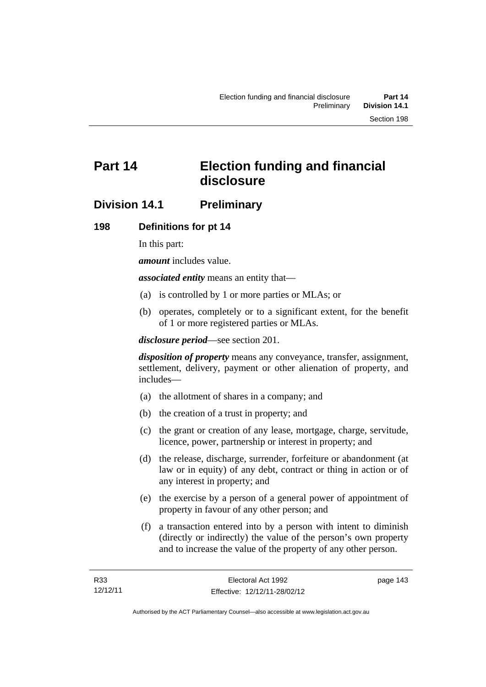# **Part 14 Election funding and financial disclosure**

## **Division 14.1 Preliminary**

## **198 Definitions for pt 14**

In this part:

*amount* includes value.

*associated entity* means an entity that—

- (a) is controlled by 1 or more parties or MLAs; or
- (b) operates, completely or to a significant extent, for the benefit of 1 or more registered parties or MLAs.

*disclosure period*—see section 201.

*disposition of property* means any conveyance, transfer, assignment, settlement, delivery, payment or other alienation of property, and includes—

- (a) the allotment of shares in a company; and
- (b) the creation of a trust in property; and
- (c) the grant or creation of any lease, mortgage, charge, servitude, licence, power, partnership or interest in property; and
- (d) the release, discharge, surrender, forfeiture or abandonment (at law or in equity) of any debt, contract or thing in action or of any interest in property; and
- (e) the exercise by a person of a general power of appointment of property in favour of any other person; and
- (f) a transaction entered into by a person with intent to diminish (directly or indirectly) the value of the person's own property and to increase the value of the property of any other person.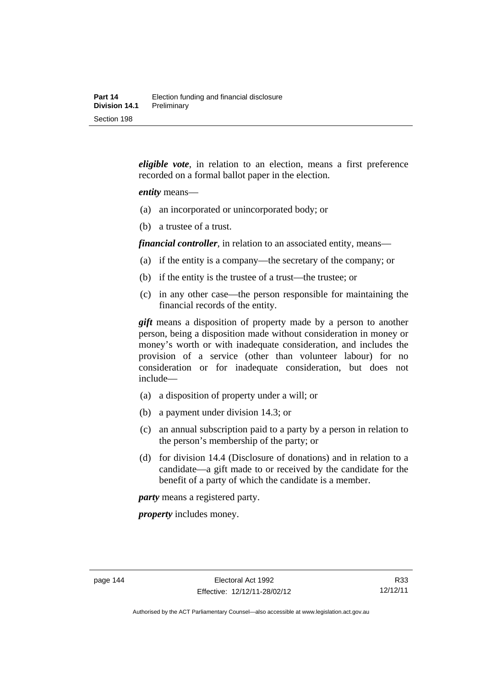*eligible vote*, in relation to an election, means a first preference recorded on a formal ballot paper in the election.

#### *entity* means—

- (a) an incorporated or unincorporated body; or
- (b) a trustee of a trust.

*financial controller*, in relation to an associated entity, means—

- (a) if the entity is a company—the secretary of the company; or
- (b) if the entity is the trustee of a trust—the trustee; or
- (c) in any other case—the person responsible for maintaining the financial records of the entity.

*gift* means a disposition of property made by a person to another person, being a disposition made without consideration in money or money's worth or with inadequate consideration, and includes the provision of a service (other than volunteer labour) for no consideration or for inadequate consideration, but does not include—

- (a) a disposition of property under a will; or
- (b) a payment under division 14.3; or
- (c) an annual subscription paid to a party by a person in relation to the person's membership of the party; or
- (d) for division 14.4 (Disclosure of donations) and in relation to a candidate—a gift made to or received by the candidate for the benefit of a party of which the candidate is a member.

*party* means a registered party.

*property* includes money.

Authorised by the ACT Parliamentary Counsel—also accessible at www.legislation.act.gov.au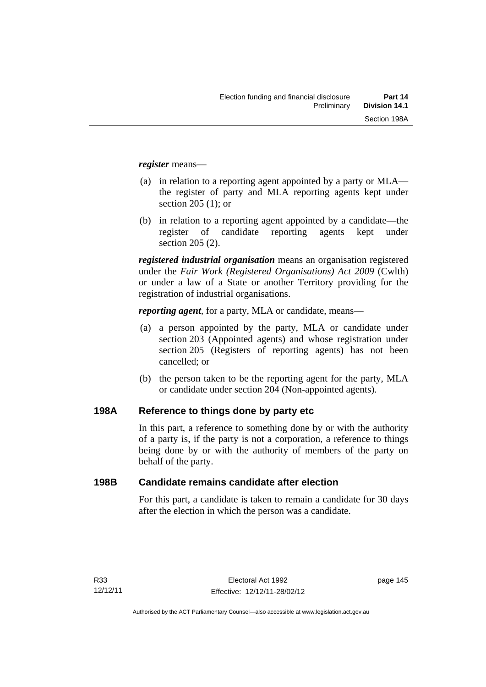*register* means—

- (a) in relation to a reporting agent appointed by a party or MLA the register of party and MLA reporting agents kept under section 205 (1); or
- (b) in relation to a reporting agent appointed by a candidate—the register of candidate reporting agents kept under section 205 (2).

*registered industrial organisation* means an organisation registered under the *Fair Work (Registered Organisations) Act 2009* (Cwlth) or under a law of a State or another Territory providing for the registration of industrial organisations.

*reporting agent*, for a party, MLA or candidate, means—

- (a) a person appointed by the party, MLA or candidate under section 203 (Appointed agents) and whose registration under section 205 (Registers of reporting agents) has not been cancelled; or
- (b) the person taken to be the reporting agent for the party, MLA or candidate under section 204 (Non-appointed agents).

#### **198A Reference to things done by party etc**

In this part, a reference to something done by or with the authority of a party is, if the party is not a corporation, a reference to things being done by or with the authority of members of the party on behalf of the party.

#### **198B Candidate remains candidate after election**

For this part, a candidate is taken to remain a candidate for 30 days after the election in which the person was a candidate.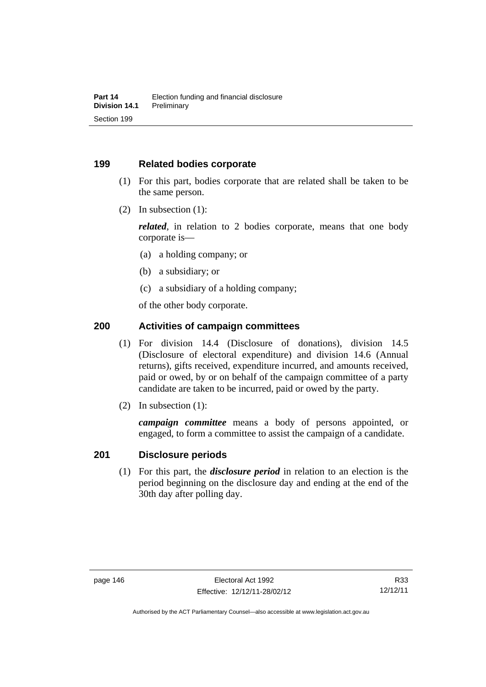#### **199 Related bodies corporate**

- (1) For this part, bodies corporate that are related shall be taken to be the same person.
- (2) In subsection (1):

*related*, in relation to 2 bodies corporate, means that one body corporate is—

- (a) a holding company; or
- (b) a subsidiary; or
- (c) a subsidiary of a holding company;

of the other body corporate.

### **200 Activities of campaign committees**

- (1) For division 14.4 (Disclosure of donations), division 14.5 (Disclosure of electoral expenditure) and division 14.6 (Annual returns), gifts received, expenditure incurred, and amounts received, paid or owed, by or on behalf of the campaign committee of a party candidate are taken to be incurred, paid or owed by the party.
- (2) In subsection (1):

*campaign committee* means a body of persons appointed, or engaged, to form a committee to assist the campaign of a candidate.

#### **201 Disclosure periods**

 (1) For this part, the *disclosure period* in relation to an election is the period beginning on the disclosure day and ending at the end of the 30th day after polling day.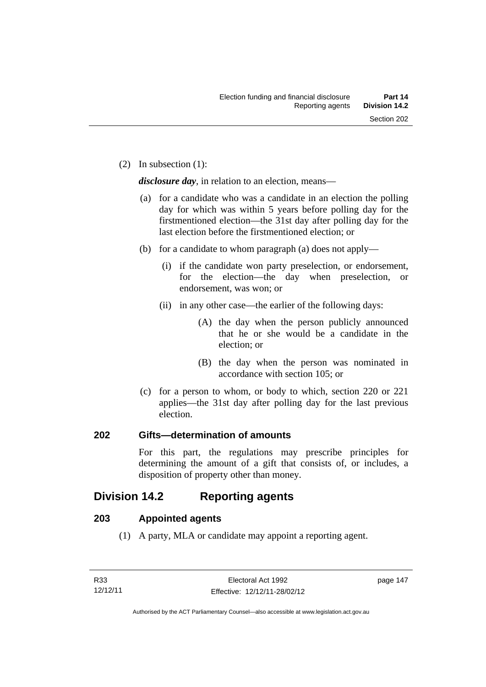(2) In subsection (1):

*disclosure day*, in relation to an election, means—

- (a) for a candidate who was a candidate in an election the polling day for which was within 5 years before polling day for the firstmentioned election—the 31st day after polling day for the last election before the firstmentioned election; or
- (b) for a candidate to whom paragraph (a) does not apply—
	- (i) if the candidate won party preselection, or endorsement, for the election—the day when preselection, or endorsement, was won; or
	- (ii) in any other case—the earlier of the following days:
		- (A) the day when the person publicly announced that he or she would be a candidate in the election; or
		- (B) the day when the person was nominated in accordance with section 105; or
- (c) for a person to whom, or body to which, section 220 or 221 applies—the 31st day after polling day for the last previous election.

#### **202 Gifts—determination of amounts**

For this part, the regulations may prescribe principles for determining the amount of a gift that consists of, or includes, a disposition of property other than money.

# **Division 14.2 Reporting agents**

#### **203 Appointed agents**

(1) A party, MLA or candidate may appoint a reporting agent.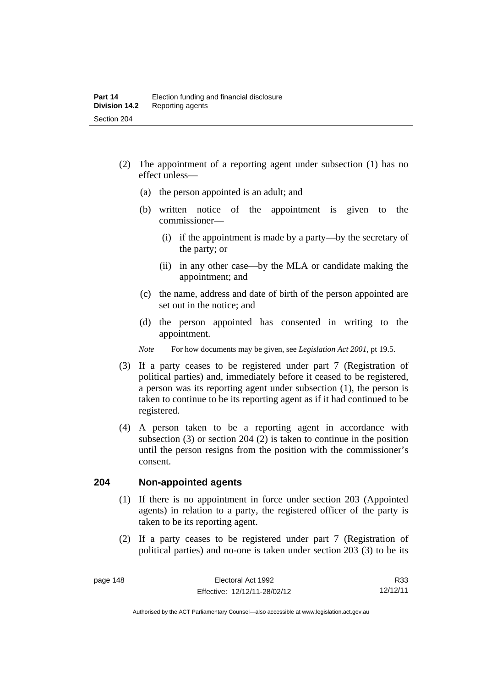- (2) The appointment of a reporting agent under subsection (1) has no effect unless—
	- (a) the person appointed is an adult; and
	- (b) written notice of the appointment is given to the commissioner—
		- (i) if the appointment is made by a party—by the secretary of the party; or
		- (ii) in any other case—by the MLA or candidate making the appointment; and
	- (c) the name, address and date of birth of the person appointed are set out in the notice; and
	- (d) the person appointed has consented in writing to the appointment.
	- *Note* For how documents may be given, see *Legislation Act 2001*, pt 19.5.
- (3) If a party ceases to be registered under part 7 (Registration of political parties) and, immediately before it ceased to be registered, a person was its reporting agent under subsection (1), the person is taken to continue to be its reporting agent as if it had continued to be registered.
- (4) A person taken to be a reporting agent in accordance with subsection (3) or section 204 (2) is taken to continue in the position until the person resigns from the position with the commissioner's consent.

#### **204 Non-appointed agents**

- (1) If there is no appointment in force under section 203 (Appointed agents) in relation to a party, the registered officer of the party is taken to be its reporting agent.
- (2) If a party ceases to be registered under part 7 (Registration of political parties) and no-one is taken under section 203 (3) to be its

R33 12/12/11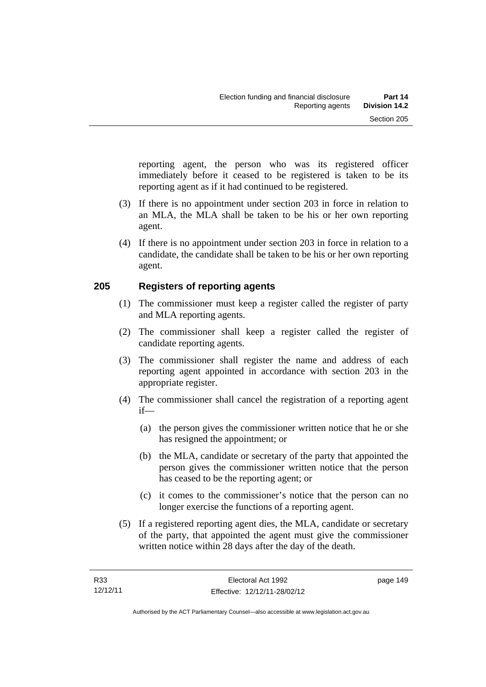reporting agent, the person who was its registered officer immediately before it ceased to be registered is taken to be its reporting agent as if it had continued to be registered.

- (3) If there is no appointment under section 203 in force in relation to an MLA, the MLA shall be taken to be his or her own reporting agent.
- (4) If there is no appointment under section 203 in force in relation to a candidate, the candidate shall be taken to be his or her own reporting agent.

#### **205 Registers of reporting agents**

- (1) The commissioner must keep a register called the register of party and MLA reporting agents.
- (2) The commissioner shall keep a register called the register of candidate reporting agents.
- (3) The commissioner shall register the name and address of each reporting agent appointed in accordance with section 203 in the appropriate register.
- (4) The commissioner shall cancel the registration of a reporting agent if—
	- (a) the person gives the commissioner written notice that he or she has resigned the appointment; or
	- (b) the MLA, candidate or secretary of the party that appointed the person gives the commissioner written notice that the person has ceased to be the reporting agent; or
	- (c) it comes to the commissioner's notice that the person can no longer exercise the functions of a reporting agent.
- (5) If a registered reporting agent dies, the MLA, candidate or secretary of the party, that appointed the agent must give the commissioner written notice within 28 days after the day of the death.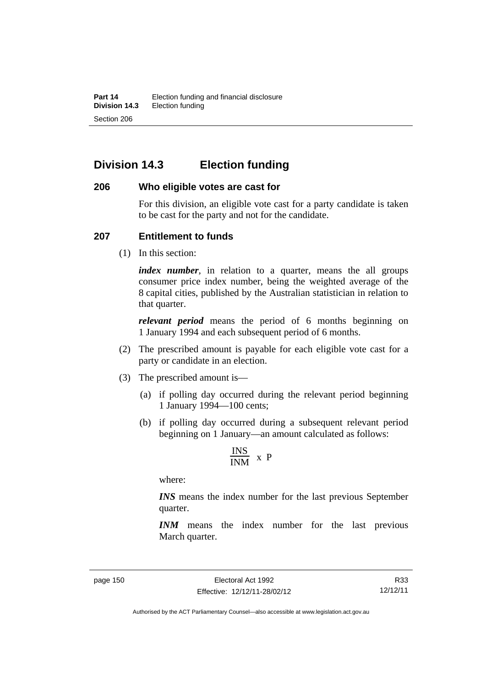# **Division 14.3 Election funding**

#### **206 Who eligible votes are cast for**

For this division, an eligible vote cast for a party candidate is taken to be cast for the party and not for the candidate.

#### **207 Entitlement to funds**

(1) In this section:

*index number*, in relation to a quarter, means the all groups consumer price index number, being the weighted average of the 8 capital cities, published by the Australian statistician in relation to that quarter.

*relevant period* means the period of 6 months beginning on 1 January 1994 and each subsequent period of 6 months.

- (2) The prescribed amount is payable for each eligible vote cast for a party or candidate in an election.
- (3) The prescribed amount is—
	- (a) if polling day occurred during the relevant period beginning 1 January 1994—100 cents;
	- (b) if polling day occurred during a subsequent relevant period beginning on 1 January—an amount calculated as follows:

$$
\frac{INS}{INM} \times P
$$

where:

*INS* means the index number for the last previous September quarter.

*INM* means the index number for the last previous March quarter.

R33 12/12/11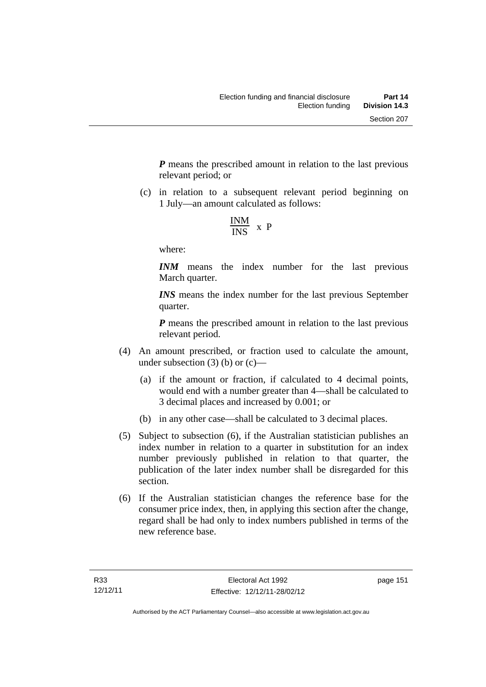*P* means the prescribed amount in relation to the last previous relevant period; or

 (c) in relation to a subsequent relevant period beginning on 1 July—an amount calculated as follows:

$$
\frac{INM}{INS} \times P
$$

where:

*INM* means the index number for the last previous March quarter.

*INS* means the index number for the last previous September quarter.

*P* means the prescribed amount in relation to the last previous relevant period.

- (4) An amount prescribed, or fraction used to calculate the amount, under subsection  $(3)$  (b) or  $(c)$ —
	- (a) if the amount or fraction, if calculated to 4 decimal points, would end with a number greater than 4—shall be calculated to 3 decimal places and increased by 0.001; or
	- (b) in any other case—shall be calculated to 3 decimal places.
- (5) Subject to subsection (6), if the Australian statistician publishes an index number in relation to a quarter in substitution for an index number previously published in relation to that quarter, the publication of the later index number shall be disregarded for this section.
- (6) If the Australian statistician changes the reference base for the consumer price index, then, in applying this section after the change, regard shall be had only to index numbers published in terms of the new reference base.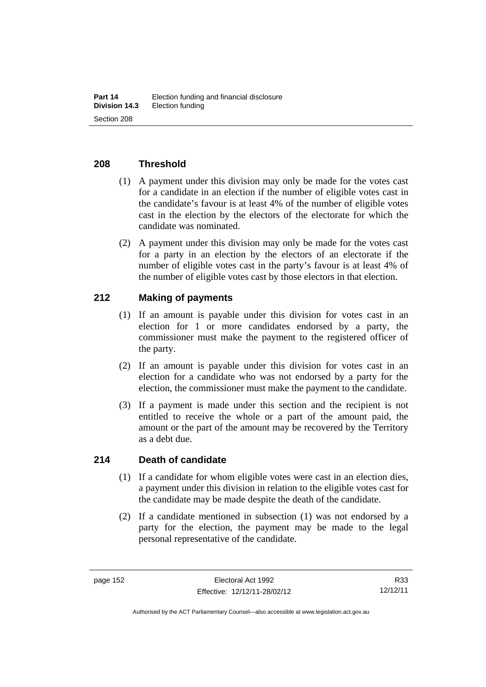### **208 Threshold**

- (1) A payment under this division may only be made for the votes cast for a candidate in an election if the number of eligible votes cast in the candidate's favour is at least 4% of the number of eligible votes cast in the election by the electors of the electorate for which the candidate was nominated.
- (2) A payment under this division may only be made for the votes cast for a party in an election by the electors of an electorate if the number of eligible votes cast in the party's favour is at least 4% of the number of eligible votes cast by those electors in that election.

#### **212 Making of payments**

- (1) If an amount is payable under this division for votes cast in an election for 1 or more candidates endorsed by a party, the commissioner must make the payment to the registered officer of the party.
- (2) If an amount is payable under this division for votes cast in an election for a candidate who was not endorsed by a party for the election, the commissioner must make the payment to the candidate.
- (3) If a payment is made under this section and the recipient is not entitled to receive the whole or a part of the amount paid, the amount or the part of the amount may be recovered by the Territory as a debt due.

#### **214 Death of candidate**

- (1) If a candidate for whom eligible votes were cast in an election dies, a payment under this division in relation to the eligible votes cast for the candidate may be made despite the death of the candidate.
- (2) If a candidate mentioned in subsection (1) was not endorsed by a party for the election, the payment may be made to the legal personal representative of the candidate.

R33 12/12/11

Authorised by the ACT Parliamentary Counsel—also accessible at www.legislation.act.gov.au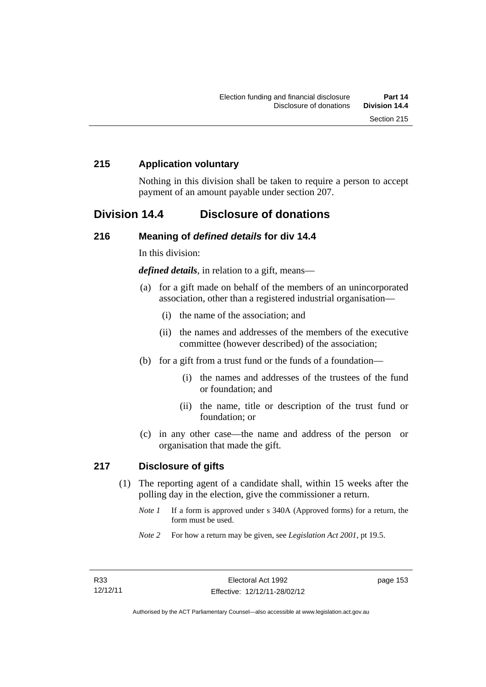#### **215 Application voluntary**

Nothing in this division shall be taken to require a person to accept payment of an amount payable under section 207.

## **Division 14.4 Disclosure of donations**

#### **216 Meaning of** *defined details* **for div 14.4**

In this division:

*defined details*, in relation to a gift, means—

- (a) for a gift made on behalf of the members of an unincorporated association, other than a registered industrial organisation—
	- (i) the name of the association; and
	- (ii) the names and addresses of the members of the executive committee (however described) of the association;
- (b) for a gift from a trust fund or the funds of a foundation—
	- (i) the names and addresses of the trustees of the fund or foundation; and
	- (ii) the name, title or description of the trust fund or foundation; or
- (c) in any other case—the name and address of the person or organisation that made the gift.

#### **217 Disclosure of gifts**

- (1) The reporting agent of a candidate shall, within 15 weeks after the polling day in the election, give the commissioner a return.
	- *Note 1* If a form is approved under s 340A (Approved forms) for a return, the form must be used.
	- *Note 2* For how a return may be given, see *Legislation Act 2001*, pt 19.5.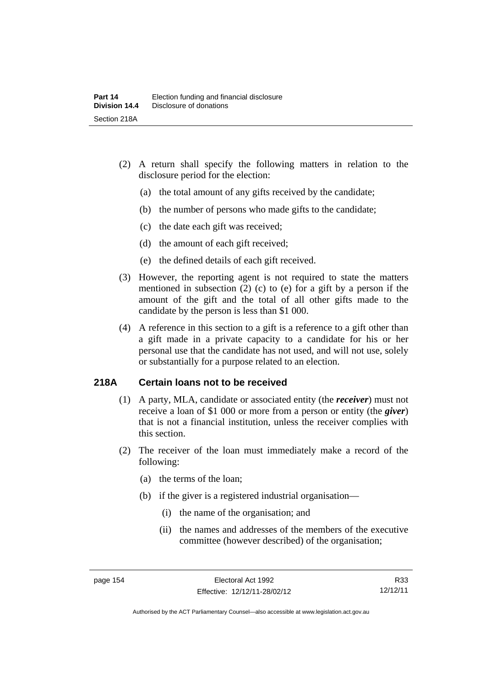- (2) A return shall specify the following matters in relation to the disclosure period for the election:
	- (a) the total amount of any gifts received by the candidate;
	- (b) the number of persons who made gifts to the candidate;
	- (c) the date each gift was received;
	- (d) the amount of each gift received;
	- (e) the defined details of each gift received.
- (3) However, the reporting agent is not required to state the matters mentioned in subsection (2) (c) to (e) for a gift by a person if the amount of the gift and the total of all other gifts made to the candidate by the person is less than \$1 000.
- (4) A reference in this section to a gift is a reference to a gift other than a gift made in a private capacity to a candidate for his or her personal use that the candidate has not used, and will not use, solely or substantially for a purpose related to an election.

#### **218A Certain loans not to be received**

- (1) A party, MLA, candidate or associated entity (the *receiver*) must not receive a loan of \$1 000 or more from a person or entity (the *giver*) that is not a financial institution, unless the receiver complies with this section.
- (2) The receiver of the loan must immediately make a record of the following:
	- (a) the terms of the loan;
	- (b) if the giver is a registered industrial organisation—
		- (i) the name of the organisation; and
		- (ii) the names and addresses of the members of the executive committee (however described) of the organisation;

R33 12/12/11

Authorised by the ACT Parliamentary Counsel—also accessible at www.legislation.act.gov.au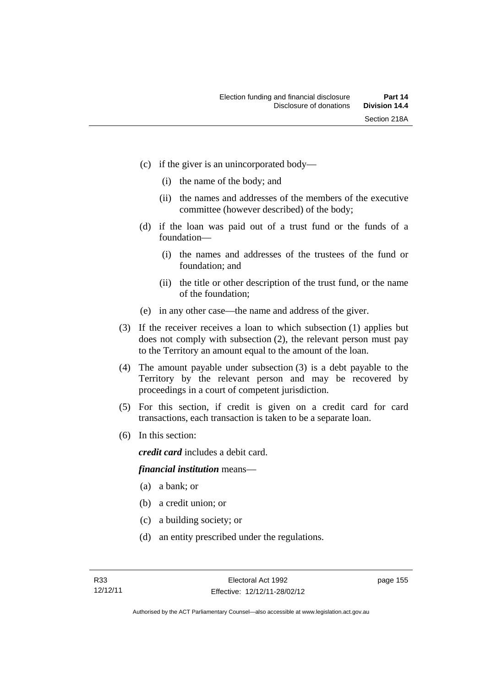- (c) if the giver is an unincorporated body—
	- (i) the name of the body; and
	- (ii) the names and addresses of the members of the executive committee (however described) of the body;
- (d) if the loan was paid out of a trust fund or the funds of a foundation—
	- (i) the names and addresses of the trustees of the fund or foundation; and
	- (ii) the title or other description of the trust fund, or the name of the foundation;
- (e) in any other case—the name and address of the giver.
- (3) If the receiver receives a loan to which subsection (1) applies but does not comply with subsection (2), the relevant person must pay to the Territory an amount equal to the amount of the loan.
- (4) The amount payable under subsection (3) is a debt payable to the Territory by the relevant person and may be recovered by proceedings in a court of competent jurisdiction.
- (5) For this section, if credit is given on a credit card for card transactions, each transaction is taken to be a separate loan.
- (6) In this section:

*credit card* includes a debit card.

#### *financial institution* means—

- (a) a bank; or
- (b) a credit union; or
- (c) a building society; or
- (d) an entity prescribed under the regulations.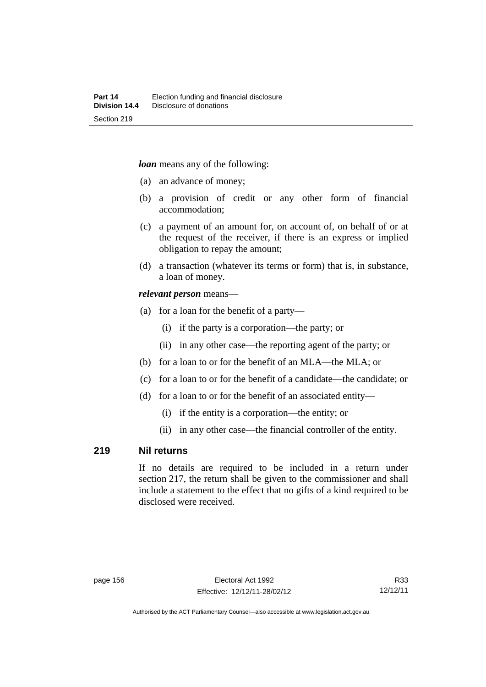*loan* means any of the following:

- (a) an advance of money;
- (b) a provision of credit or any other form of financial accommodation;
- (c) a payment of an amount for, on account of, on behalf of or at the request of the receiver, if there is an express or implied obligation to repay the amount;
- (d) a transaction (whatever its terms or form) that is, in substance, a loan of money.

#### *relevant person* means—

- (a) for a loan for the benefit of a party—
	- (i) if the party is a corporation—the party; or
	- (ii) in any other case—the reporting agent of the party; or
- (b) for a loan to or for the benefit of an MLA—the MLA; or
- (c) for a loan to or for the benefit of a candidate—the candidate; or
- (d) for a loan to or for the benefit of an associated entity—
	- (i) if the entity is a corporation—the entity; or
	- (ii) in any other case—the financial controller of the entity.

#### **219 Nil returns**

If no details are required to be included in a return under section 217, the return shall be given to the commissioner and shall include a statement to the effect that no gifts of a kind required to be disclosed were received.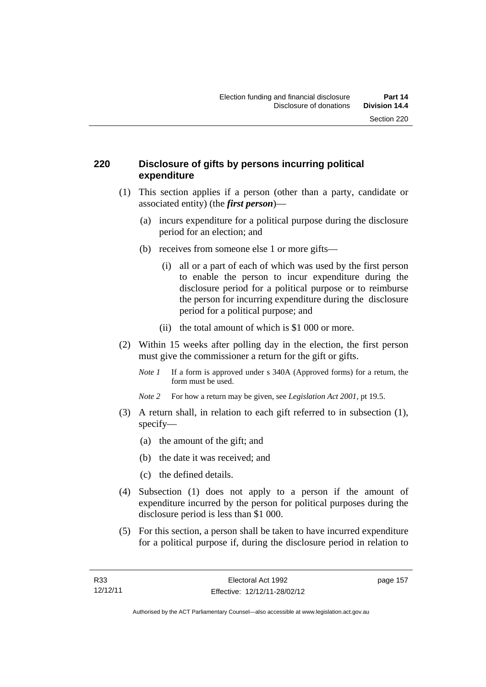#### **220 Disclosure of gifts by persons incurring political expenditure**

- (1) This section applies if a person (other than a party, candidate or associated entity) (the *first person*)—
	- (a) incurs expenditure for a political purpose during the disclosure period for an election; and
	- (b) receives from someone else 1 or more gifts—
		- (i) all or a part of each of which was used by the first person to enable the person to incur expenditure during the disclosure period for a political purpose or to reimburse the person for incurring expenditure during the disclosure period for a political purpose; and
		- (ii) the total amount of which is \$1 000 or more.
- (2) Within 15 weeks after polling day in the election, the first person must give the commissioner a return for the gift or gifts.
	- *Note 1* If a form is approved under s 340A (Approved forms) for a return, the form must be used.
	- *Note 2* For how a return may be given, see *Legislation Act 2001*, pt 19.5.
- (3) A return shall, in relation to each gift referred to in subsection (1), specify—
	- (a) the amount of the gift; and
	- (b) the date it was received; and
	- (c) the defined details.
- (4) Subsection (1) does not apply to a person if the amount of expenditure incurred by the person for political purposes during the disclosure period is less than \$1 000.
- (5) For this section, a person shall be taken to have incurred expenditure for a political purpose if, during the disclosure period in relation to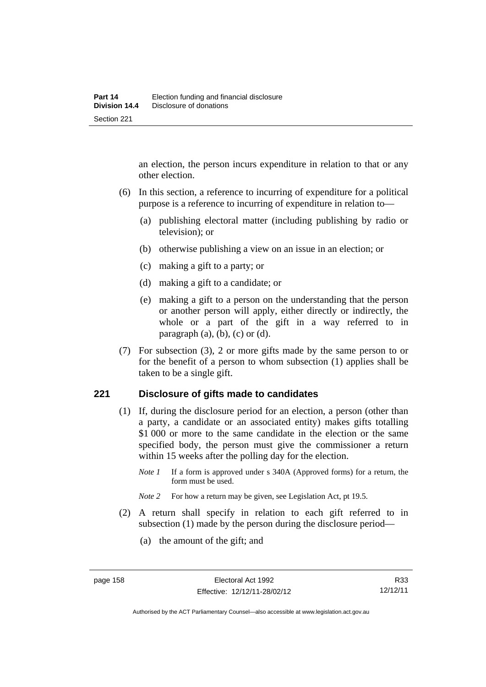an election, the person incurs expenditure in relation to that or any other election.

- (6) In this section, a reference to incurring of expenditure for a political purpose is a reference to incurring of expenditure in relation to—
	- (a) publishing electoral matter (including publishing by radio or television); or
	- (b) otherwise publishing a view on an issue in an election; or
	- (c) making a gift to a party; or
	- (d) making a gift to a candidate; or
	- (e) making a gift to a person on the understanding that the person or another person will apply, either directly or indirectly, the whole or a part of the gift in a way referred to in paragraph  $(a)$ ,  $(b)$ ,  $(c)$  or  $(d)$ .
- (7) For subsection (3), 2 or more gifts made by the same person to or for the benefit of a person to whom subsection (1) applies shall be taken to be a single gift.

#### **221 Disclosure of gifts made to candidates**

- (1) If, during the disclosure period for an election, a person (other than a party, a candidate or an associated entity) makes gifts totalling \$1 000 or more to the same candidate in the election or the same specified body, the person must give the commissioner a return within 15 weeks after the polling day for the election.
	- *Note 1* If a form is approved under s 340A (Approved forms) for a return, the form must be used.
	- *Note* 2 For how a return may be given, see Legislation Act, pt 19.5.
- (2) A return shall specify in relation to each gift referred to in subsection (1) made by the person during the disclosure period—
	- (a) the amount of the gift; and

R33 12/12/11

Authorised by the ACT Parliamentary Counsel—also accessible at www.legislation.act.gov.au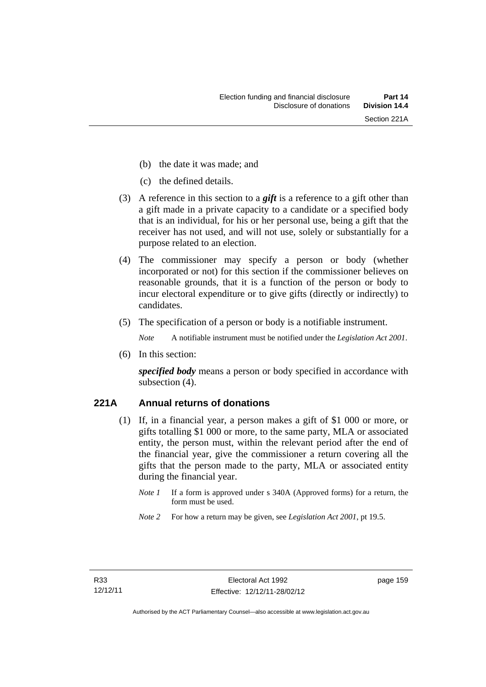- (b) the date it was made; and
- (c) the defined details.
- (3) A reference in this section to a *gift* is a reference to a gift other than a gift made in a private capacity to a candidate or a specified body that is an individual, for his or her personal use, being a gift that the receiver has not used, and will not use, solely or substantially for a purpose related to an election.
- (4) The commissioner may specify a person or body (whether incorporated or not) for this section if the commissioner believes on reasonable grounds, that it is a function of the person or body to incur electoral expenditure or to give gifts (directly or indirectly) to candidates.
- (5) The specification of a person or body is a notifiable instrument.

*Note* A notifiable instrument must be notified under the *Legislation Act 2001*.

(6) In this section:

*specified body* means a person or body specified in accordance with subsection (4).

## **221A Annual returns of donations**

- (1) If, in a financial year, a person makes a gift of \$1 000 or more, or gifts totalling \$1 000 or more, to the same party, MLA or associated entity, the person must, within the relevant period after the end of the financial year, give the commissioner a return covering all the gifts that the person made to the party, MLA or associated entity during the financial year.
	- *Note 1* If a form is approved under s 340A (Approved forms) for a return, the form must be used.
	- *Note 2* For how a return may be given, see *Legislation Act 2001*, pt 19.5.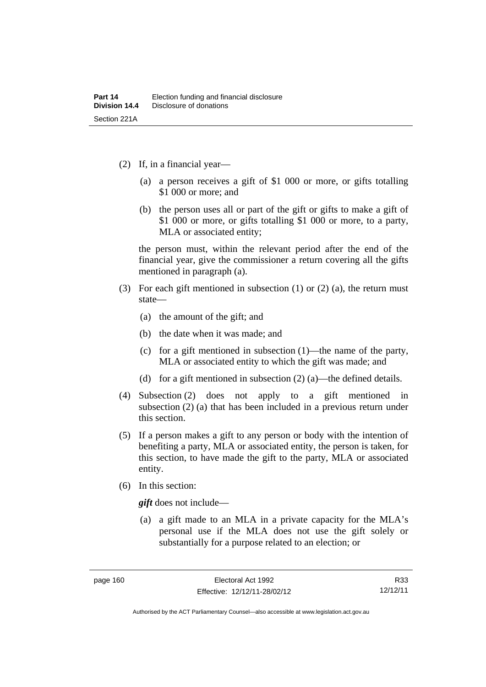- (2) If, in a financial year—
	- (a) a person receives a gift of \$1 000 or more, or gifts totalling \$1 000 or more; and
	- (b) the person uses all or part of the gift or gifts to make a gift of \$1 000 or more, or gifts totalling \$1 000 or more, to a party, MLA or associated entity;

the person must, within the relevant period after the end of the financial year, give the commissioner a return covering all the gifts mentioned in paragraph (a).

- (3) For each gift mentioned in subsection (1) or (2) (a), the return must state—
	- (a) the amount of the gift; and
	- (b) the date when it was made; and
	- (c) for a gift mentioned in subsection (1)—the name of the party, MLA or associated entity to which the gift was made; and
	- (d) for a gift mentioned in subsection (2) (a)—the defined details.
- (4) Subsection (2) does not apply to a gift mentioned in subsection (2) (a) that has been included in a previous return under this section.
- (5) If a person makes a gift to any person or body with the intention of benefiting a party, MLA or associated entity, the person is taken, for this section, to have made the gift to the party, MLA or associated entity.
- (6) In this section:

*gift* does not include—

 (a) a gift made to an MLA in a private capacity for the MLA's personal use if the MLA does not use the gift solely or substantially for a purpose related to an election; or

Authorised by the ACT Parliamentary Counsel—also accessible at www.legislation.act.gov.au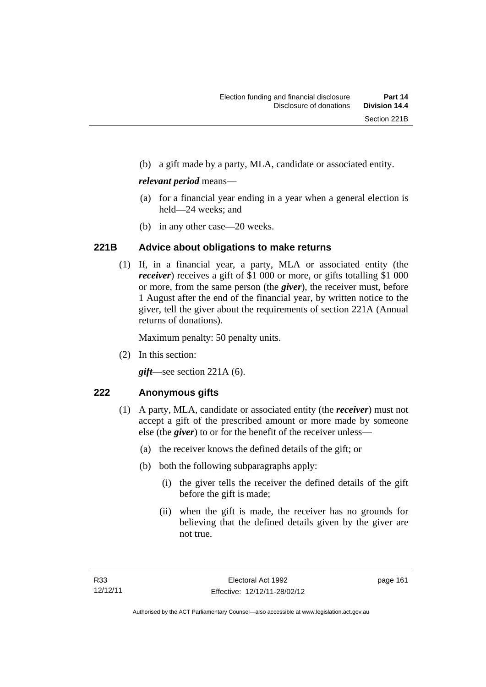(b) a gift made by a party, MLA, candidate or associated entity.

#### *relevant period* means—

- (a) for a financial year ending in a year when a general election is held—24 weeks; and
- (b) in any other case—20 weeks.

## **221B Advice about obligations to make returns**

 (1) If, in a financial year, a party, MLA or associated entity (the *receiver*) receives a gift of \$1 000 or more, or gifts totalling \$1 000 or more, from the same person (the *giver*), the receiver must, before 1 August after the end of the financial year, by written notice to the giver, tell the giver about the requirements of section 221A (Annual returns of donations).

Maximum penalty: 50 penalty units.

(2) In this section:

*gift*—see section 221A (6).

## **222 Anonymous gifts**

- (1) A party, MLA, candidate or associated entity (the *receiver*) must not accept a gift of the prescribed amount or more made by someone else (the *giver*) to or for the benefit of the receiver unless—
	- (a) the receiver knows the defined details of the gift; or
	- (b) both the following subparagraphs apply:
		- (i) the giver tells the receiver the defined details of the gift before the gift is made;
		- (ii) when the gift is made, the receiver has no grounds for believing that the defined details given by the giver are not true.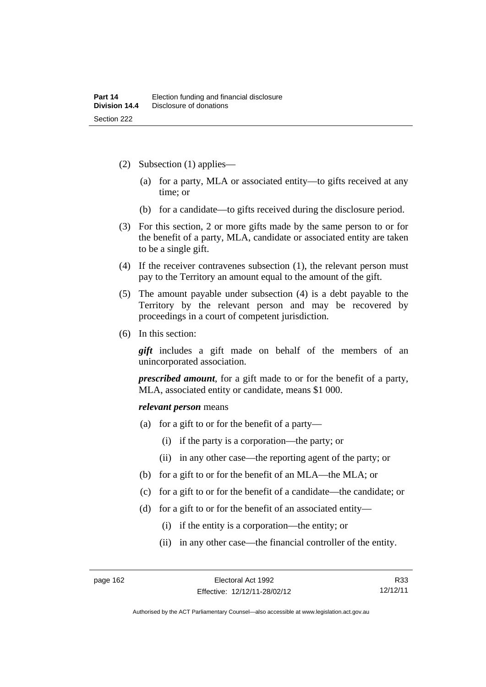- (2) Subsection (1) applies—
	- (a) for a party, MLA or associated entity—to gifts received at any time; or
	- (b) for a candidate—to gifts received during the disclosure period.
- (3) For this section, 2 or more gifts made by the same person to or for the benefit of a party, MLA, candidate or associated entity are taken to be a single gift.
- (4) If the receiver contravenes subsection (1), the relevant person must pay to the Territory an amount equal to the amount of the gift.
- (5) The amount payable under subsection (4) is a debt payable to the Territory by the relevant person and may be recovered by proceedings in a court of competent jurisdiction.
- (6) In this section:

*gift* includes a gift made on behalf of the members of an unincorporated association.

*prescribed amount*, for a gift made to or for the benefit of a party, MLA, associated entity or candidate, means \$1 000.

#### *relevant person* means

- (a) for a gift to or for the benefit of a party—
	- (i) if the party is a corporation—the party; or
	- (ii) in any other case—the reporting agent of the party; or
- (b) for a gift to or for the benefit of an MLA—the MLA; or
- (c) for a gift to or for the benefit of a candidate—the candidate; or
- (d) for a gift to or for the benefit of an associated entity—
	- (i) if the entity is a corporation—the entity; or
	- (ii) in any other case—the financial controller of the entity.

Authorised by the ACT Parliamentary Counsel—also accessible at www.legislation.act.gov.au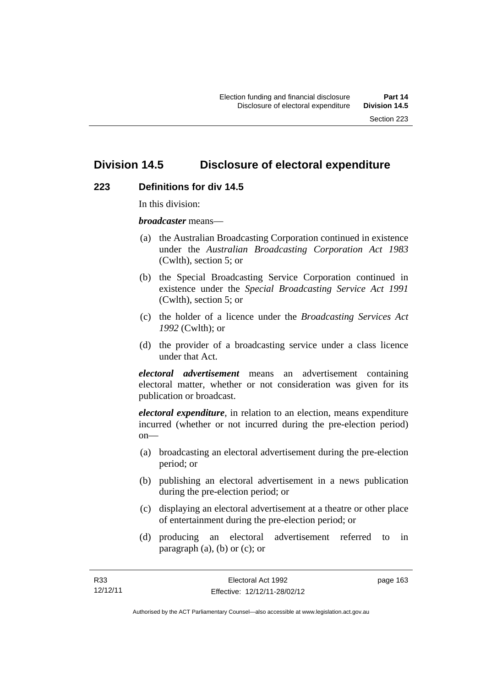# **Division 14.5 Disclosure of electoral expenditure**

#### **223 Definitions for div 14.5**

In this division:

*broadcaster* means—

- (a) the Australian Broadcasting Corporation continued in existence under the *Australian Broadcasting Corporation Act 1983* (Cwlth), section 5; or
- (b) the Special Broadcasting Service Corporation continued in existence under the *Special Broadcasting Service Act 1991*  (Cwlth), section 5; or
- (c) the holder of a licence under the *Broadcasting Services Act 1992* (Cwlth); or
- (d) the provider of a broadcasting service under a class licence under that Act.

*electoral advertisement* means an advertisement containing electoral matter, whether or not consideration was given for its publication or broadcast.

*electoral expenditure*, in relation to an election, means expenditure incurred (whether or not incurred during the pre-election period)  $on$ —

- (a) broadcasting an electoral advertisement during the pre-election period; or
- (b) publishing an electoral advertisement in a news publication during the pre-election period; or
- (c) displaying an electoral advertisement at a theatre or other place of entertainment during the pre-election period; or
- (d) producing an electoral advertisement referred to in paragraph  $(a)$ ,  $(b)$  or  $(c)$ ; or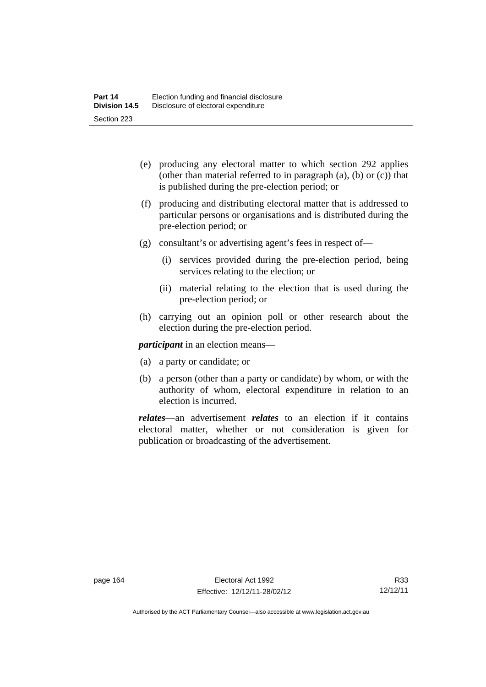- (e) producing any electoral matter to which section 292 applies (other than material referred to in paragraph (a), (b) or (c)) that is published during the pre-election period; or
- (f) producing and distributing electoral matter that is addressed to particular persons or organisations and is distributed during the pre-election period; or
- (g) consultant's or advertising agent's fees in respect of—
	- (i) services provided during the pre-election period, being services relating to the election; or
	- (ii) material relating to the election that is used during the pre-election period; or
- (h) carrying out an opinion poll or other research about the election during the pre-election period.

*participant* in an election means—

- (a) a party or candidate; or
- (b) a person (other than a party or candidate) by whom, or with the authority of whom, electoral expenditure in relation to an election is incurred.

*relates*—an advertisement *relates* to an election if it contains electoral matter, whether or not consideration is given for publication or broadcasting of the advertisement.

Authorised by the ACT Parliamentary Counsel—also accessible at www.legislation.act.gov.au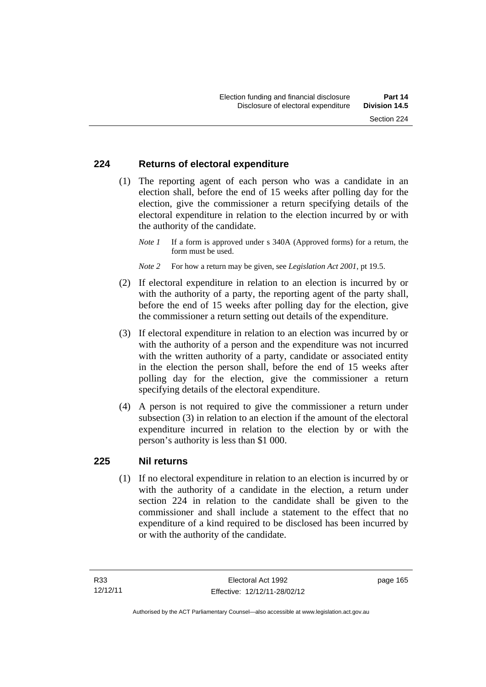#### **224 Returns of electoral expenditure**

 (1) The reporting agent of each person who was a candidate in an election shall, before the end of 15 weeks after polling day for the election, give the commissioner a return specifying details of the electoral expenditure in relation to the election incurred by or with the authority of the candidate.

- *Note 2* For how a return may be given, see *Legislation Act 2001*, pt 19.5.
- (2) If electoral expenditure in relation to an election is incurred by or with the authority of a party, the reporting agent of the party shall, before the end of 15 weeks after polling day for the election, give the commissioner a return setting out details of the expenditure.
- (3) If electoral expenditure in relation to an election was incurred by or with the authority of a person and the expenditure was not incurred with the written authority of a party, candidate or associated entity in the election the person shall, before the end of 15 weeks after polling day for the election, give the commissioner a return specifying details of the electoral expenditure.
- (4) A person is not required to give the commissioner a return under subsection (3) in relation to an election if the amount of the electoral expenditure incurred in relation to the election by or with the person's authority is less than \$1 000.

#### **225 Nil returns**

 (1) If no electoral expenditure in relation to an election is incurred by or with the authority of a candidate in the election, a return under section 224 in relation to the candidate shall be given to the commissioner and shall include a statement to the effect that no expenditure of a kind required to be disclosed has been incurred by or with the authority of the candidate.

*Note 1* If a form is approved under s 340A (Approved forms) for a return, the form must be used.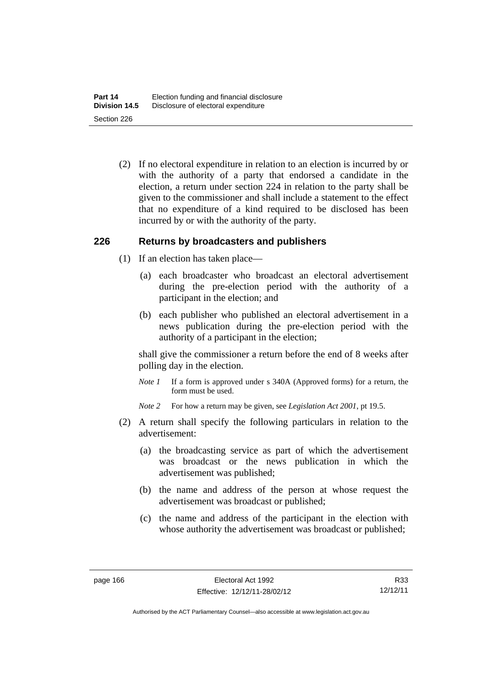(2) If no electoral expenditure in relation to an election is incurred by or with the authority of a party that endorsed a candidate in the election, a return under section 224 in relation to the party shall be given to the commissioner and shall include a statement to the effect that no expenditure of a kind required to be disclosed has been incurred by or with the authority of the party.

#### **226 Returns by broadcasters and publishers**

- (1) If an election has taken place—
	- (a) each broadcaster who broadcast an electoral advertisement during the pre-election period with the authority of a participant in the election; and
	- (b) each publisher who published an electoral advertisement in a news publication during the pre-election period with the authority of a participant in the election;

shall give the commissioner a return before the end of 8 weeks after polling day in the election.

*Note 1* If a form is approved under s 340A (Approved forms) for a return, the form must be used.

*Note 2* For how a return may be given, see *Legislation Act 2001*, pt 19.5.

- (2) A return shall specify the following particulars in relation to the advertisement:
	- (a) the broadcasting service as part of which the advertisement was broadcast or the news publication in which the advertisement was published;
	- (b) the name and address of the person at whose request the advertisement was broadcast or published;
	- (c) the name and address of the participant in the election with whose authority the advertisement was broadcast or published;

R33 12/12/11

Authorised by the ACT Parliamentary Counsel—also accessible at www.legislation.act.gov.au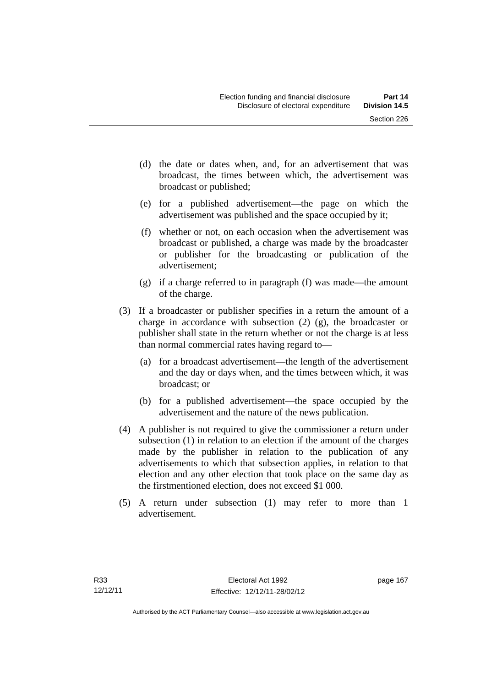- (d) the date or dates when, and, for an advertisement that was broadcast, the times between which, the advertisement was broadcast or published;
- (e) for a published advertisement—the page on which the advertisement was published and the space occupied by it;
- (f) whether or not, on each occasion when the advertisement was broadcast or published, a charge was made by the broadcaster or publisher for the broadcasting or publication of the advertisement;
- (g) if a charge referred to in paragraph (f) was made—the amount of the charge.
- (3) If a broadcaster or publisher specifies in a return the amount of a charge in accordance with subsection (2) (g), the broadcaster or publisher shall state in the return whether or not the charge is at less than normal commercial rates having regard to—
	- (a) for a broadcast advertisement—the length of the advertisement and the day or days when, and the times between which, it was broadcast; or
	- (b) for a published advertisement—the space occupied by the advertisement and the nature of the news publication.
- (4) A publisher is not required to give the commissioner a return under subsection (1) in relation to an election if the amount of the charges made by the publisher in relation to the publication of any advertisements to which that subsection applies, in relation to that election and any other election that took place on the same day as the firstmentioned election, does not exceed \$1 000.
- (5) A return under subsection (1) may refer to more than 1 advertisement.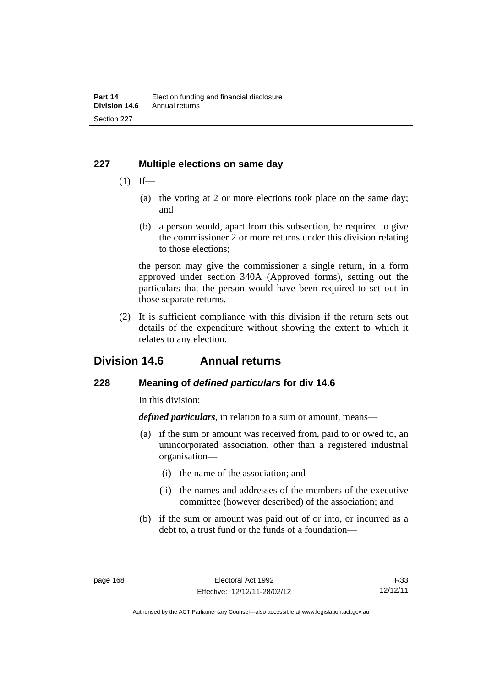#### **227 Multiple elections on same day**

- $(1)$  If—
	- (a) the voting at 2 or more elections took place on the same day; and
	- (b) a person would, apart from this subsection, be required to give the commissioner 2 or more returns under this division relating to those elections;

the person may give the commissioner a single return, in a form approved under section 340A (Approved forms), setting out the particulars that the person would have been required to set out in those separate returns.

 (2) It is sufficient compliance with this division if the return sets out details of the expenditure without showing the extent to which it relates to any election.

# **Division 14.6 Annual returns**

#### **228 Meaning of** *defined particulars* **for div 14.6**

In this division:

*defined particulars*, in relation to a sum or amount, means—

- (a) if the sum or amount was received from, paid to or owed to, an unincorporated association, other than a registered industrial organisation—
	- (i) the name of the association; and
	- (ii) the names and addresses of the members of the executive committee (however described) of the association; and
- (b) if the sum or amount was paid out of or into, or incurred as a debt to, a trust fund or the funds of a foundation—

R33 12/12/11

Authorised by the ACT Parliamentary Counsel—also accessible at www.legislation.act.gov.au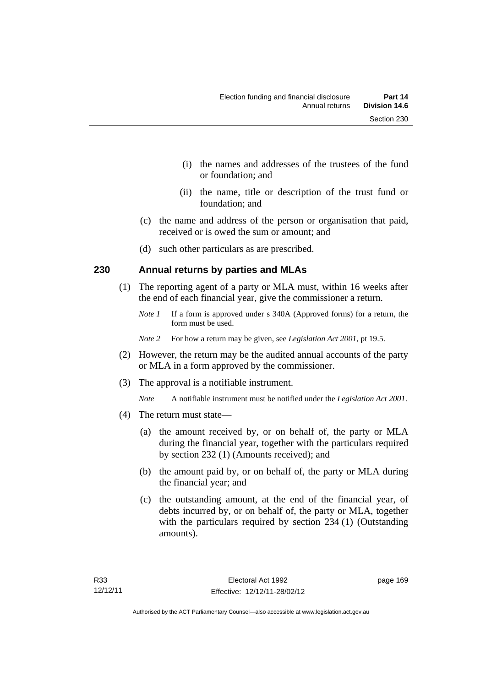- (i) the names and addresses of the trustees of the fund or foundation; and
- (ii) the name, title or description of the trust fund or foundation; and
- (c) the name and address of the person or organisation that paid, received or is owed the sum or amount; and
- (d) such other particulars as are prescribed.

#### **230 Annual returns by parties and MLAs**

- (1) The reporting agent of a party or MLA must, within 16 weeks after the end of each financial year, give the commissioner a return.
	- *Note 1* If a form is approved under s 340A (Approved forms) for a return, the form must be used.
	- *Note 2* For how a return may be given, see *Legislation Act 2001*, pt 19.5.
- (2) However, the return may be the audited annual accounts of the party or MLA in a form approved by the commissioner.
- (3) The approval is a notifiable instrument.
	- *Note* A notifiable instrument must be notified under the *Legislation Act 2001*.
- (4) The return must state—
	- (a) the amount received by, or on behalf of, the party or MLA during the financial year, together with the particulars required by section 232 (1) (Amounts received); and
	- (b) the amount paid by, or on behalf of, the party or MLA during the financial year; and
	- (c) the outstanding amount, at the end of the financial year, of debts incurred by, or on behalf of, the party or MLA, together with the particulars required by section 234 (1) (Outstanding amounts).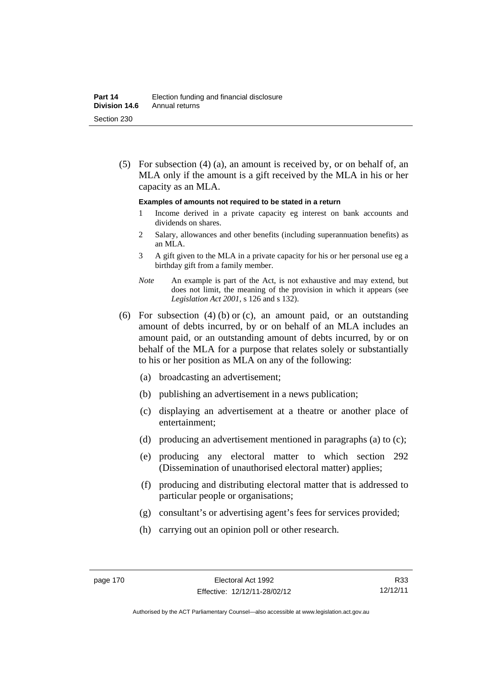(5) For subsection (4) (a), an amount is received by, or on behalf of, an MLA only if the amount is a gift received by the MLA in his or her capacity as an MLA.

#### **Examples of amounts not required to be stated in a return**

- 1 Income derived in a private capacity eg interest on bank accounts and dividends on shares.
- 2 Salary, allowances and other benefits (including superannuation benefits) as an MLA.
- 3 A gift given to the MLA in a private capacity for his or her personal use eg a birthday gift from a family member.
- *Note* An example is part of the Act, is not exhaustive and may extend, but does not limit, the meaning of the provision in which it appears (see *Legislation Act 2001*, s 126 and s 132).
- (6) For subsection (4) (b) or (c), an amount paid, or an outstanding amount of debts incurred, by or on behalf of an MLA includes an amount paid, or an outstanding amount of debts incurred, by or on behalf of the MLA for a purpose that relates solely or substantially to his or her position as MLA on any of the following:
	- (a) broadcasting an advertisement;
	- (b) publishing an advertisement in a news publication;
	- (c) displaying an advertisement at a theatre or another place of entertainment;
	- (d) producing an advertisement mentioned in paragraphs (a) to (c);
	- (e) producing any electoral matter to which section 292 (Dissemination of unauthorised electoral matter) applies;
	- (f) producing and distributing electoral matter that is addressed to particular people or organisations;
	- (g) consultant's or advertising agent's fees for services provided;
	- (h) carrying out an opinion poll or other research.

R33 12/12/11

Authorised by the ACT Parliamentary Counsel—also accessible at www.legislation.act.gov.au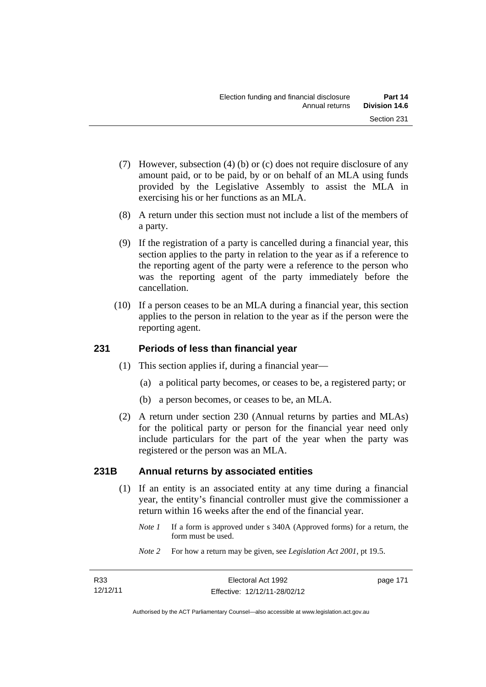- (7) However, subsection (4) (b) or (c) does not require disclosure of any amount paid, or to be paid, by or on behalf of an MLA using funds provided by the Legislative Assembly to assist the MLA in exercising his or her functions as an MLA.
- (8) A return under this section must not include a list of the members of a party.
- (9) If the registration of a party is cancelled during a financial year, this section applies to the party in relation to the year as if a reference to the reporting agent of the party were a reference to the person who was the reporting agent of the party immediately before the cancellation.
- (10) If a person ceases to be an MLA during a financial year, this section applies to the person in relation to the year as if the person were the reporting agent.

## **231 Periods of less than financial year**

- (1) This section applies if, during a financial year—
	- (a) a political party becomes, or ceases to be, a registered party; or
	- (b) a person becomes, or ceases to be, an MLA.
- (2) A return under section 230 (Annual returns by parties and MLAs) for the political party or person for the financial year need only include particulars for the part of the year when the party was registered or the person was an MLA.

## **231B Annual returns by associated entities**

- (1) If an entity is an associated entity at any time during a financial year, the entity's financial controller must give the commissioner a return within 16 weeks after the end of the financial year.
	- *Note 1* If a form is approved under s 340A (Approved forms) for a return, the form must be used.
	- *Note 2* For how a return may be given, see *Legislation Act 2001*, pt 19.5.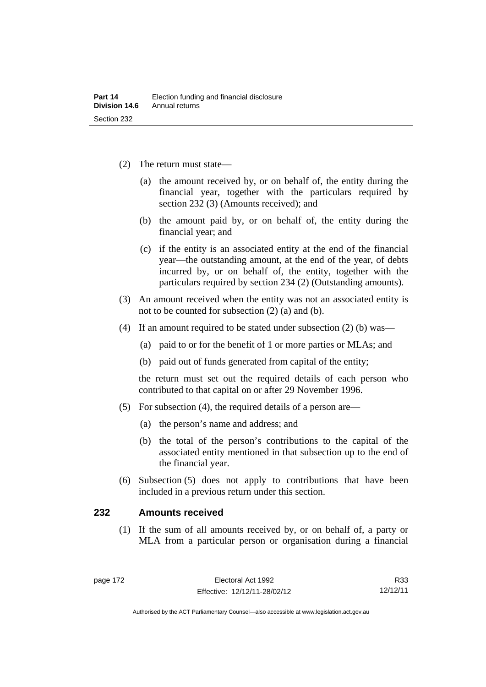- (2) The return must state—
	- (a) the amount received by, or on behalf of, the entity during the financial year, together with the particulars required by section 232 (3) (Amounts received); and
	- (b) the amount paid by, or on behalf of, the entity during the financial year; and
	- (c) if the entity is an associated entity at the end of the financial year—the outstanding amount, at the end of the year, of debts incurred by, or on behalf of, the entity, together with the particulars required by section 234 (2) (Outstanding amounts).
- (3) An amount received when the entity was not an associated entity is not to be counted for subsection (2) (a) and (b).
- (4) If an amount required to be stated under subsection (2) (b) was—
	- (a) paid to or for the benefit of 1 or more parties or MLAs; and
	- (b) paid out of funds generated from capital of the entity;

the return must set out the required details of each person who contributed to that capital on or after 29 November 1996.

- (5) For subsection (4), the required details of a person are—
	- (a) the person's name and address; and
	- (b) the total of the person's contributions to the capital of the associated entity mentioned in that subsection up to the end of the financial year.
- (6) Subsection (5) does not apply to contributions that have been included in a previous return under this section.

#### **232 Amounts received**

 (1) If the sum of all amounts received by, or on behalf of, a party or MLA from a particular person or organisation during a financial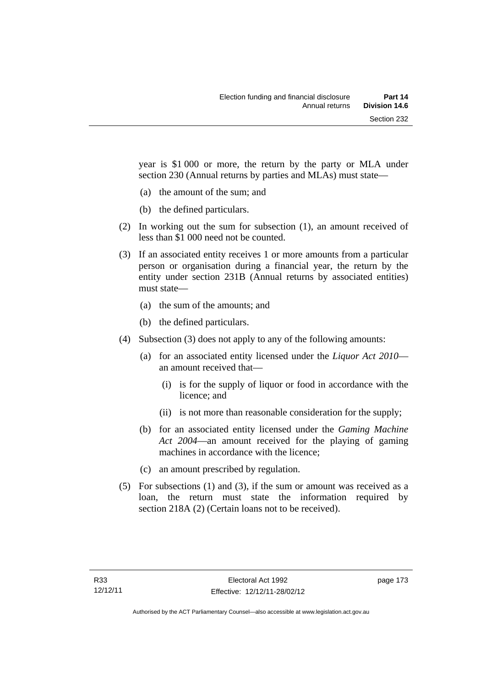year is \$1 000 or more, the return by the party or MLA under section 230 (Annual returns by parties and MLAs) must state—

- (a) the amount of the sum; and
- (b) the defined particulars.
- (2) In working out the sum for subsection (1), an amount received of less than \$1 000 need not be counted.
- (3) If an associated entity receives 1 or more amounts from a particular person or organisation during a financial year, the return by the entity under section 231B (Annual returns by associated entities) must state—
	- (a) the sum of the amounts; and
	- (b) the defined particulars.
- (4) Subsection (3) does not apply to any of the following amounts:
	- (a) for an associated entity licensed under the *Liquor Act 2010* an amount received that—
		- (i) is for the supply of liquor or food in accordance with the licence; and
		- (ii) is not more than reasonable consideration for the supply;
	- (b) for an associated entity licensed under the *Gaming Machine Act 2004*—an amount received for the playing of gaming machines in accordance with the licence;
	- (c) an amount prescribed by regulation.
- (5) For subsections (1) and (3), if the sum or amount was received as a loan, the return must state the information required by section 218A (2) (Certain loans not to be received).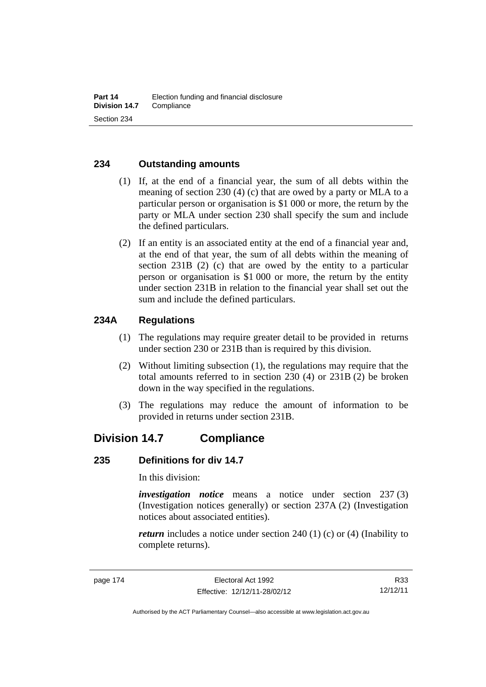#### **234 Outstanding amounts**

- (1) If, at the end of a financial year, the sum of all debts within the meaning of section 230 (4) (c) that are owed by a party or MLA to a particular person or organisation is \$1 000 or more, the return by the party or MLA under section 230 shall specify the sum and include the defined particulars.
- (2) If an entity is an associated entity at the end of a financial year and, at the end of that year, the sum of all debts within the meaning of section 231B (2) (c) that are owed by the entity to a particular person or organisation is \$1 000 or more, the return by the entity under section 231B in relation to the financial year shall set out the sum and include the defined particulars.

#### **234A Regulations**

- (1) The regulations may require greater detail to be provided in returns under section 230 or 231B than is required by this division.
- (2) Without limiting subsection (1), the regulations may require that the total amounts referred to in section 230 (4) or 231B (2) be broken down in the way specified in the regulations.
- (3) The regulations may reduce the amount of information to be provided in returns under section 231B.

# **Division 14.7 Compliance**

#### **235 Definitions for div 14.7**

In this division:

*investigation notice* means a notice under section 237 (3) (Investigation notices generally) or section 237A (2) (Investigation notices about associated entities).

*return* includes a notice under section 240 (1) (c) or (4) (Inability to complete returns).

R33 12/12/11

Authorised by the ACT Parliamentary Counsel—also accessible at www.legislation.act.gov.au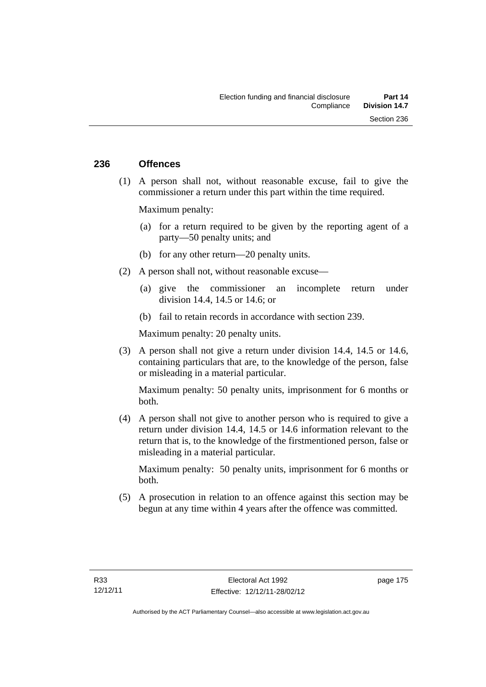#### **236 Offences**

 (1) A person shall not, without reasonable excuse, fail to give the commissioner a return under this part within the time required.

Maximum penalty:

- (a) for a return required to be given by the reporting agent of a party—50 penalty units; and
- (b) for any other return—20 penalty units.
- (2) A person shall not, without reasonable excuse—
	- (a) give the commissioner an incomplete return under division 14.4, 14.5 or 14.6; or
	- (b) fail to retain records in accordance with section 239.

Maximum penalty: 20 penalty units.

 (3) A person shall not give a return under division 14.4, 14.5 or 14.6, containing particulars that are, to the knowledge of the person, false or misleading in a material particular.

Maximum penalty: 50 penalty units, imprisonment for 6 months or both.

 (4) A person shall not give to another person who is required to give a return under division 14.4, 14.5 or 14.6 information relevant to the return that is, to the knowledge of the firstmentioned person, false or misleading in a material particular.

Maximum penalty: 50 penalty units, imprisonment for 6 months or both.

 (5) A prosecution in relation to an offence against this section may be begun at any time within 4 years after the offence was committed.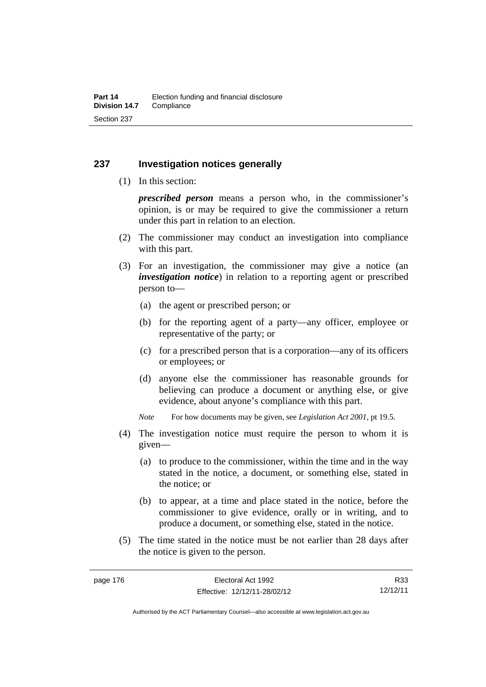#### **237 Investigation notices generally**

(1) In this section:

*prescribed person* means a person who, in the commissioner's opinion, is or may be required to give the commissioner a return under this part in relation to an election.

- (2) The commissioner may conduct an investigation into compliance with this part.
- (3) For an investigation, the commissioner may give a notice (an *investigation notice*) in relation to a reporting agent or prescribed person to—
	- (a) the agent or prescribed person; or
	- (b) for the reporting agent of a party—any officer, employee or representative of the party; or
	- (c) for a prescribed person that is a corporation—any of its officers or employees; or
	- (d) anyone else the commissioner has reasonable grounds for believing can produce a document or anything else, or give evidence, about anyone's compliance with this part.
	- *Note* For how documents may be given, see *Legislation Act 2001*, pt 19.5.
- (4) The investigation notice must require the person to whom it is given—
	- (a) to produce to the commissioner, within the time and in the way stated in the notice, a document, or something else, stated in the notice; or
	- (b) to appear, at a time and place stated in the notice, before the commissioner to give evidence, orally or in writing, and to produce a document, or something else, stated in the notice.
- (5) The time stated in the notice must be not earlier than 28 days after the notice is given to the person.

R33 12/12/11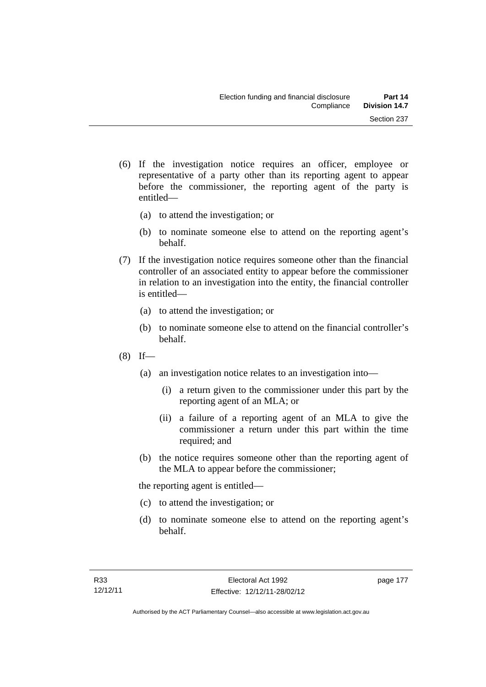- (6) If the investigation notice requires an officer, employee or representative of a party other than its reporting agent to appear before the commissioner, the reporting agent of the party is entitled—
	- (a) to attend the investigation; or
	- (b) to nominate someone else to attend on the reporting agent's behalf.
- (7) If the investigation notice requires someone other than the financial controller of an associated entity to appear before the commissioner in relation to an investigation into the entity, the financial controller is entitled—
	- (a) to attend the investigation; or
	- (b) to nominate someone else to attend on the financial controller's behalf.
- $(8)$  If—
	- (a) an investigation notice relates to an investigation into—
		- (i) a return given to the commissioner under this part by the reporting agent of an MLA; or
		- (ii) a failure of a reporting agent of an MLA to give the commissioner a return under this part within the time required; and
	- (b) the notice requires someone other than the reporting agent of the MLA to appear before the commissioner;

the reporting agent is entitled—

- (c) to attend the investigation; or
- (d) to nominate someone else to attend on the reporting agent's behalf.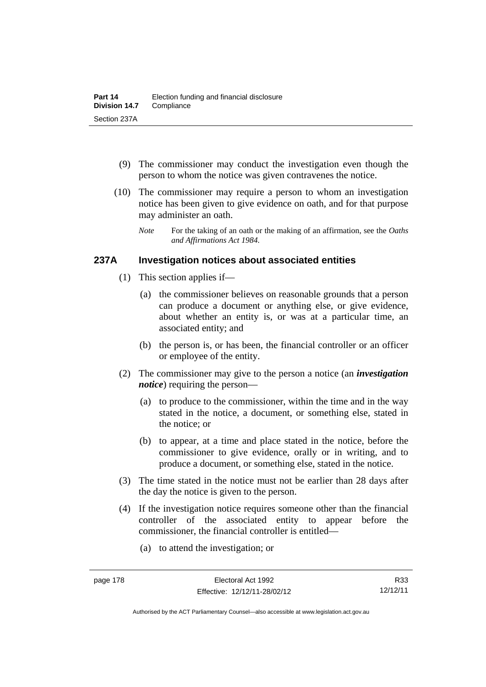- (9) The commissioner may conduct the investigation even though the person to whom the notice was given contravenes the notice.
- (10) The commissioner may require a person to whom an investigation notice has been given to give evidence on oath, and for that purpose may administer an oath.
	- *Note* For the taking of an oath or the making of an affirmation, see the *Oaths and Affirmations Act 1984.*

#### **237A Investigation notices about associated entities**

- (1) This section applies if—
	- (a) the commissioner believes on reasonable grounds that a person can produce a document or anything else, or give evidence, about whether an entity is, or was at a particular time, an associated entity; and
	- (b) the person is, or has been, the financial controller or an officer or employee of the entity.
- (2) The commissioner may give to the person a notice (an *investigation notice*) requiring the person—
	- (a) to produce to the commissioner, within the time and in the way stated in the notice, a document, or something else, stated in the notice; or
	- (b) to appear, at a time and place stated in the notice, before the commissioner to give evidence, orally or in writing, and to produce a document, or something else, stated in the notice.
- (3) The time stated in the notice must not be earlier than 28 days after the day the notice is given to the person.
- (4) If the investigation notice requires someone other than the financial controller of the associated entity to appear before the commissioner, the financial controller is entitled—
	- (a) to attend the investigation; or

Authorised by the ACT Parliamentary Counsel—also accessible at www.legislation.act.gov.au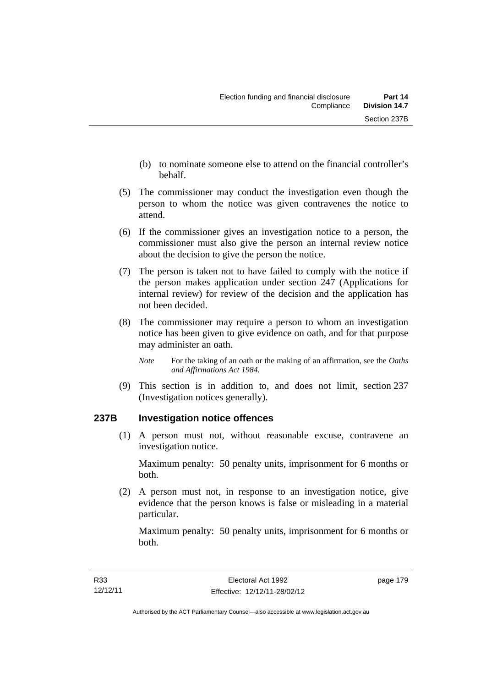- (b) to nominate someone else to attend on the financial controller's behalf.
- (5) The commissioner may conduct the investigation even though the person to whom the notice was given contravenes the notice to attend.
- (6) If the commissioner gives an investigation notice to a person, the commissioner must also give the person an internal review notice about the decision to give the person the notice.
- (7) The person is taken not to have failed to comply with the notice if the person makes application under section 247 (Applications for internal review) for review of the decision and the application has not been decided.
- (8) The commissioner may require a person to whom an investigation notice has been given to give evidence on oath, and for that purpose may administer an oath.
	- *Note* For the taking of an oath or the making of an affirmation, see the *Oaths and Affirmations Act 1984.*
- (9) This section is in addition to, and does not limit, section 237 (Investigation notices generally).

## **237B Investigation notice offences**

 (1) A person must not, without reasonable excuse, contravene an investigation notice.

Maximum penalty: 50 penalty units, imprisonment for 6 months or both.

 (2) A person must not, in response to an investigation notice, give evidence that the person knows is false or misleading in a material particular.

Maximum penalty: 50 penalty units, imprisonment for 6 months or both.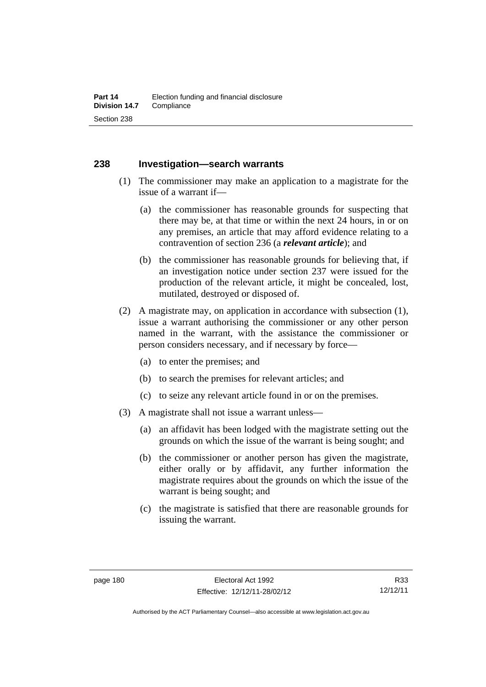#### **238 Investigation—search warrants**

- (1) The commissioner may make an application to a magistrate for the issue of a warrant if—
	- (a) the commissioner has reasonable grounds for suspecting that there may be, at that time or within the next 24 hours, in or on any premises, an article that may afford evidence relating to a contravention of section 236 (a *relevant article*); and
	- (b) the commissioner has reasonable grounds for believing that, if an investigation notice under section 237 were issued for the production of the relevant article, it might be concealed, lost, mutilated, destroyed or disposed of.
- (2) A magistrate may, on application in accordance with subsection (1), issue a warrant authorising the commissioner or any other person named in the warrant, with the assistance the commissioner or person considers necessary, and if necessary by force—
	- (a) to enter the premises; and
	- (b) to search the premises for relevant articles; and
	- (c) to seize any relevant article found in or on the premises.
- (3) A magistrate shall not issue a warrant unless—
	- (a) an affidavit has been lodged with the magistrate setting out the grounds on which the issue of the warrant is being sought; and
	- (b) the commissioner or another person has given the magistrate, either orally or by affidavit, any further information the magistrate requires about the grounds on which the issue of the warrant is being sought; and
	- (c) the magistrate is satisfied that there are reasonable grounds for issuing the warrant.

Authorised by the ACT Parliamentary Counsel—also accessible at www.legislation.act.gov.au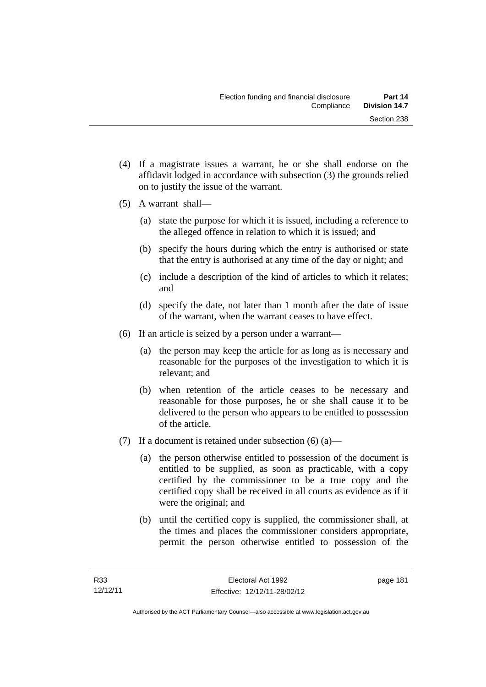- (4) If a magistrate issues a warrant, he or she shall endorse on the affidavit lodged in accordance with subsection (3) the grounds relied on to justify the issue of the warrant.
- (5) A warrant shall—
	- (a) state the purpose for which it is issued, including a reference to the alleged offence in relation to which it is issued; and
	- (b) specify the hours during which the entry is authorised or state that the entry is authorised at any time of the day or night; and
	- (c) include a description of the kind of articles to which it relates; and
	- (d) specify the date, not later than 1 month after the date of issue of the warrant, when the warrant ceases to have effect.
- (6) If an article is seized by a person under a warrant—
	- (a) the person may keep the article for as long as is necessary and reasonable for the purposes of the investigation to which it is relevant; and
	- (b) when retention of the article ceases to be necessary and reasonable for those purposes, he or she shall cause it to be delivered to the person who appears to be entitled to possession of the article.
- (7) If a document is retained under subsection  $(6)$  (a)—
	- (a) the person otherwise entitled to possession of the document is entitled to be supplied, as soon as practicable, with a copy certified by the commissioner to be a true copy and the certified copy shall be received in all courts as evidence as if it were the original; and
	- (b) until the certified copy is supplied, the commissioner shall, at the times and places the commissioner considers appropriate, permit the person otherwise entitled to possession of the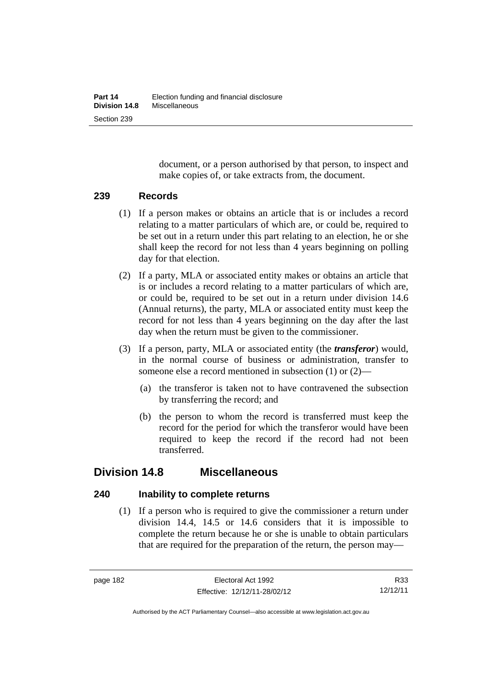document, or a person authorised by that person, to inspect and make copies of, or take extracts from, the document.

#### **239 Records**

- (1) If a person makes or obtains an article that is or includes a record relating to a matter particulars of which are, or could be, required to be set out in a return under this part relating to an election, he or she shall keep the record for not less than 4 years beginning on polling day for that election.
- (2) If a party, MLA or associated entity makes or obtains an article that is or includes a record relating to a matter particulars of which are, or could be, required to be set out in a return under division 14.6 (Annual returns), the party, MLA or associated entity must keep the record for not less than 4 years beginning on the day after the last day when the return must be given to the commissioner.
- (3) If a person, party, MLA or associated entity (the *transferor*) would, in the normal course of business or administration, transfer to someone else a record mentioned in subsection (1) or (2)—
	- (a) the transferor is taken not to have contravened the subsection by transferring the record; and
	- (b) the person to whom the record is transferred must keep the record for the period for which the transferor would have been required to keep the record if the record had not been transferred.

# **Division 14.8 Miscellaneous**

## **240 Inability to complete returns**

 (1) If a person who is required to give the commissioner a return under division 14.4, 14.5 or 14.6 considers that it is impossible to complete the return because he or she is unable to obtain particulars that are required for the preparation of the return, the person may—

Authorised by the ACT Parliamentary Counsel—also accessible at www.legislation.act.gov.au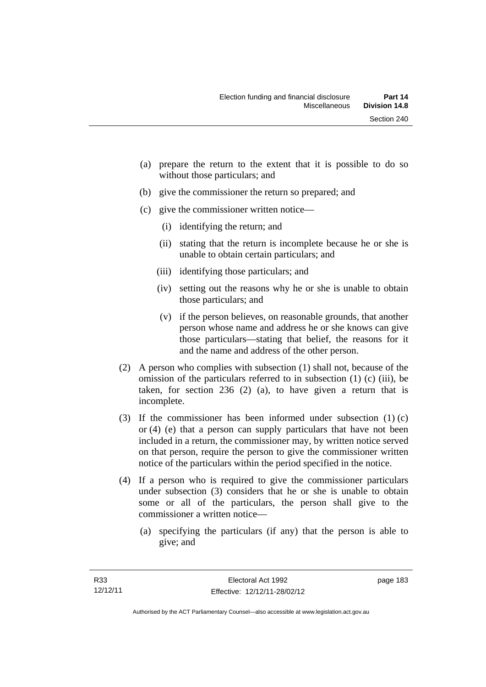- (a) prepare the return to the extent that it is possible to do so without those particulars; and
- (b) give the commissioner the return so prepared; and
- (c) give the commissioner written notice—
	- (i) identifying the return; and
	- (ii) stating that the return is incomplete because he or she is unable to obtain certain particulars; and
	- (iii) identifying those particulars; and
	- (iv) setting out the reasons why he or she is unable to obtain those particulars; and
	- (v) if the person believes, on reasonable grounds, that another person whose name and address he or she knows can give those particulars—stating that belief, the reasons for it and the name and address of the other person.
- (2) A person who complies with subsection (1) shall not, because of the omission of the particulars referred to in subsection (1) (c) (iii), be taken, for section 236 (2) (a), to have given a return that is incomplete.
- (3) If the commissioner has been informed under subsection (1) (c) or (4) (e) that a person can supply particulars that have not been included in a return, the commissioner may, by written notice served on that person, require the person to give the commissioner written notice of the particulars within the period specified in the notice.
- (4) If a person who is required to give the commissioner particulars under subsection (3) considers that he or she is unable to obtain some or all of the particulars, the person shall give to the commissioner a written notice—
	- (a) specifying the particulars (if any) that the person is able to give; and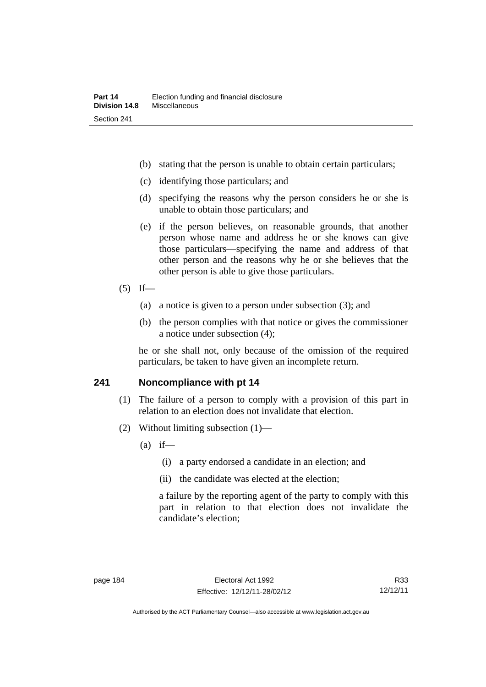- (b) stating that the person is unable to obtain certain particulars;
- (c) identifying those particulars; and
- (d) specifying the reasons why the person considers he or she is unable to obtain those particulars; and
- (e) if the person believes, on reasonable grounds, that another person whose name and address he or she knows can give those particulars—specifying the name and address of that other person and the reasons why he or she believes that the other person is able to give those particulars.

#### $(5)$  If—

- (a) a notice is given to a person under subsection (3); and
- (b) the person complies with that notice or gives the commissioner a notice under subsection (4);

he or she shall not, only because of the omission of the required particulars, be taken to have given an incomplete return.

#### **241 Noncompliance with pt 14**

- (1) The failure of a person to comply with a provision of this part in relation to an election does not invalidate that election.
- (2) Without limiting subsection (1)—
	- $(a)$  if—
		- (i) a party endorsed a candidate in an election; and
		- (ii) the candidate was elected at the election;

a failure by the reporting agent of the party to comply with this part in relation to that election does not invalidate the candidate's election;

Authorised by the ACT Parliamentary Counsel—also accessible at www.legislation.act.gov.au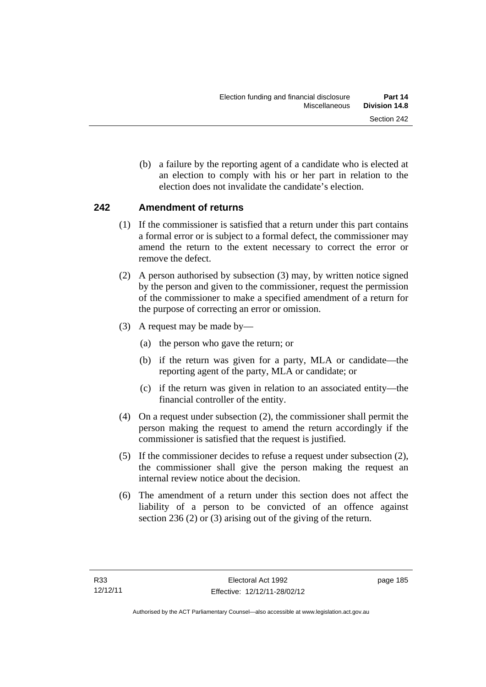(b) a failure by the reporting agent of a candidate who is elected at an election to comply with his or her part in relation to the election does not invalidate the candidate's election.

## **242 Amendment of returns**

- (1) If the commissioner is satisfied that a return under this part contains a formal error or is subject to a formal defect, the commissioner may amend the return to the extent necessary to correct the error or remove the defect.
- (2) A person authorised by subsection (3) may, by written notice signed by the person and given to the commissioner, request the permission of the commissioner to make a specified amendment of a return for the purpose of correcting an error or omission.
- (3) A request may be made by—
	- (a) the person who gave the return; or
	- (b) if the return was given for a party, MLA or candidate—the reporting agent of the party, MLA or candidate; or
	- (c) if the return was given in relation to an associated entity—the financial controller of the entity.
- (4) On a request under subsection (2), the commissioner shall permit the person making the request to amend the return accordingly if the commissioner is satisfied that the request is justified.
- (5) If the commissioner decides to refuse a request under subsection (2), the commissioner shall give the person making the request an internal review notice about the decision.
- (6) The amendment of a return under this section does not affect the liability of a person to be convicted of an offence against section 236 (2) or (3) arising out of the giving of the return.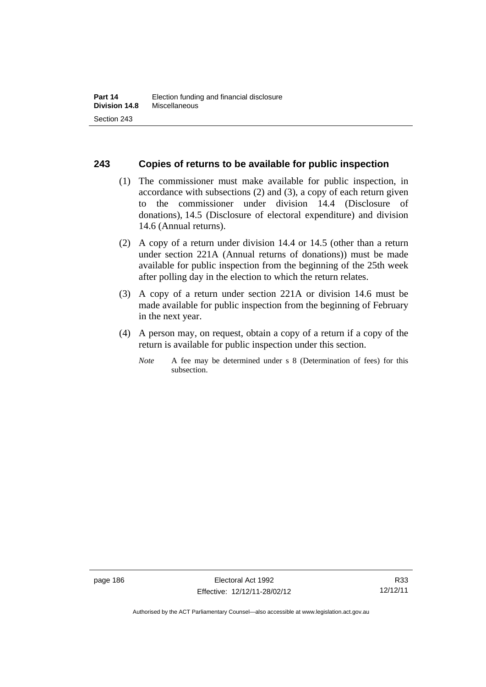#### **243 Copies of returns to be available for public inspection**

- (1) The commissioner must make available for public inspection, in accordance with subsections (2) and (3), a copy of each return given to the commissioner under division 14.4 (Disclosure of donations), 14.5 (Disclosure of electoral expenditure) and division 14.6 (Annual returns).
- (2) A copy of a return under division 14.4 or 14.5 (other than a return under section 221A (Annual returns of donations)) must be made available for public inspection from the beginning of the 25th week after polling day in the election to which the return relates.
- (3) A copy of a return under section 221A or division 14.6 must be made available for public inspection from the beginning of February in the next year.
- (4) A person may, on request, obtain a copy of a return if a copy of the return is available for public inspection under this section.
	- *Note* A fee may be determined under s 8 (Determination of fees) for this subsection.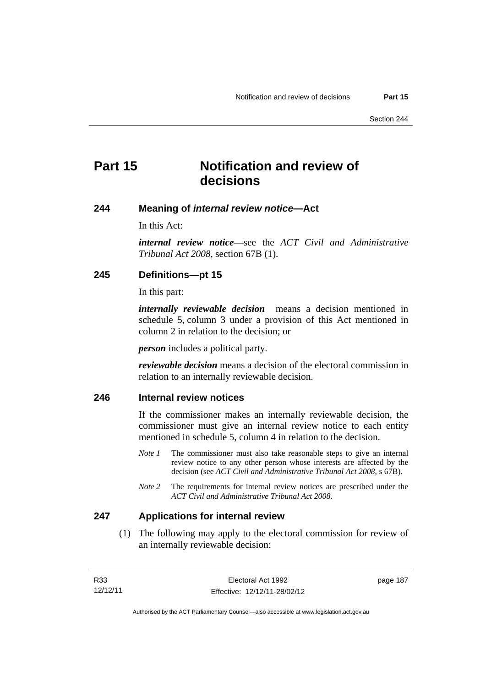page 187

# **Part 15 Notification and review of decisions**

#### **244 Meaning of** *internal review notice***—Act**

In this Act:

*internal review notice*—see the *ACT Civil and Administrative Tribunal Act 2008*, section 67B (1).

#### **245 Definitions—pt 15**

In this part:

*internally reviewable decision* means a decision mentioned in schedule 5, column 3 under a provision of this Act mentioned in column 2 in relation to the decision; or

*person* includes a political party.

*reviewable decision* means a decision of the electoral commission in relation to an internally reviewable decision.

#### **246 Internal review notices**

If the commissioner makes an internally reviewable decision, the commissioner must give an internal review notice to each entity mentioned in schedule 5, column 4 in relation to the decision.

- *Note 1* The commissioner must also take reasonable steps to give an internal review notice to any other person whose interests are affected by the decision (see *ACT Civil and Administrative Tribunal Act 2008*, s 67B).
- *Note* 2 The requirements for internal review notices are prescribed under the *ACT Civil and Administrative Tribunal Act 2008*.

#### **247 Applications for internal review**

 (1) The following may apply to the electoral commission for review of an internally reviewable decision:

| R33      | Electoral Act 1992           |
|----------|------------------------------|
| 12/12/11 | Effective: 12/12/11-28/02/12 |

Authorised by the ACT Parliamentary Counsel—also accessible at www.legislation.act.gov.au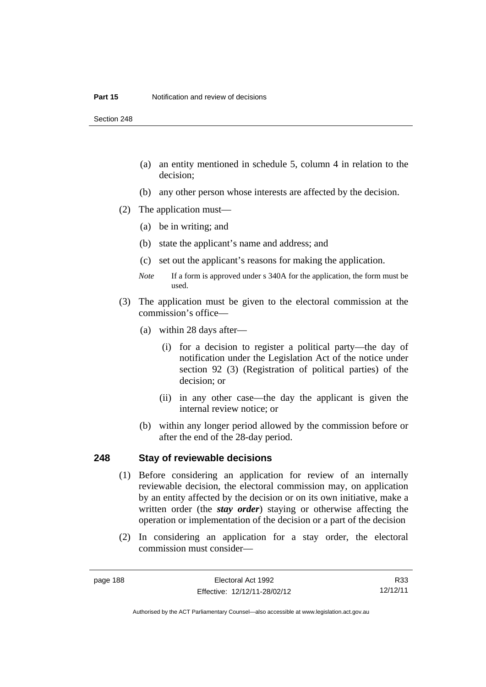Section 248

- (a) an entity mentioned in schedule 5, column 4 in relation to the decision;
- (b) any other person whose interests are affected by the decision.
- (2) The application must—
	- (a) be in writing; and
	- (b) state the applicant's name and address; and
	- (c) set out the applicant's reasons for making the application.
	- *Note* If a form is approved under s 340A for the application, the form must be used.
- (3) The application must be given to the electoral commission at the commission's office—
	- (a) within 28 days after—
		- (i) for a decision to register a political party—the day of notification under the Legislation Act of the notice under section 92 (3) (Registration of political parties) of the decision; or
		- (ii) in any other case—the day the applicant is given the internal review notice; or
	- (b) within any longer period allowed by the commission before or after the end of the 28-day period.

#### **248 Stay of reviewable decisions**

- (1) Before considering an application for review of an internally reviewable decision, the electoral commission may, on application by an entity affected by the decision or on its own initiative, make a written order (the *stay order*) staying or otherwise affecting the operation or implementation of the decision or a part of the decision
- (2) In considering an application for a stay order, the electoral commission must consider—

R33 12/12/11

Authorised by the ACT Parliamentary Counsel—also accessible at www.legislation.act.gov.au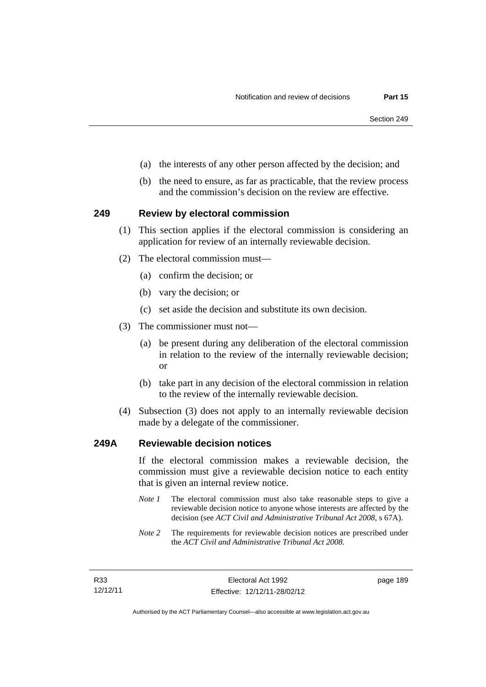- (a) the interests of any other person affected by the decision; and
- (b) the need to ensure, as far as practicable, that the review process and the commission's decision on the review are effective.

#### **249 Review by electoral commission**

- (1) This section applies if the electoral commission is considering an application for review of an internally reviewable decision.
- (2) The electoral commission must—
	- (a) confirm the decision; or
	- (b) vary the decision; or
	- (c) set aside the decision and substitute its own decision.
- (3) The commissioner must not—
	- (a) be present during any deliberation of the electoral commission in relation to the review of the internally reviewable decision; or
	- (b) take part in any decision of the electoral commission in relation to the review of the internally reviewable decision.
- (4) Subsection (3) does not apply to an internally reviewable decision made by a delegate of the commissioner.

#### **249A Reviewable decision notices**

If the electoral commission makes a reviewable decision, the commission must give a reviewable decision notice to each entity that is given an internal review notice.

- *Note 1* The electoral commission must also take reasonable steps to give a reviewable decision notice to anyone whose interests are affected by the decision (see *ACT Civil and Administrative Tribunal Act 2008*, s 67A).
- *Note 2* The requirements for reviewable decision notices are prescribed under the *ACT Civil and Administrative Tribunal Act 2008*.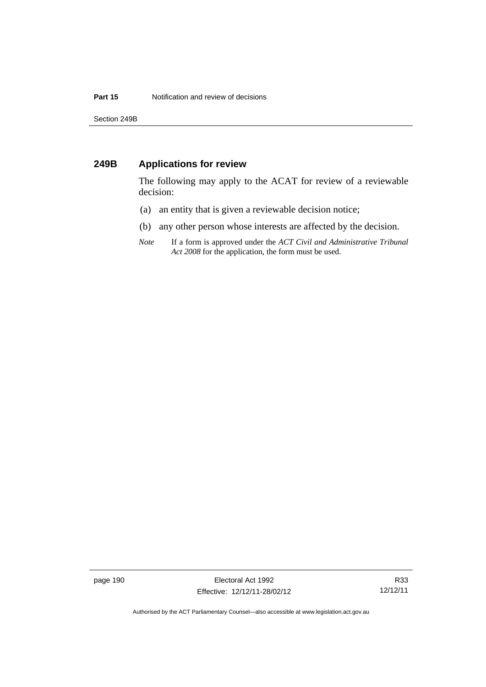Section 249B

#### **249B Applications for review**

The following may apply to the ACAT for review of a reviewable decision:

- (a) an entity that is given a reviewable decision notice;
- (b) any other person whose interests are affected by the decision.
- *Note* If a form is approved under the *ACT Civil and Administrative Tribunal Act 2008* for the application, the form must be used.

page 190 **Electoral Act 1992** Effective: 12/12/11-28/02/12

R33 12/12/11

Authorised by the ACT Parliamentary Counsel—also accessible at www.legislation.act.gov.au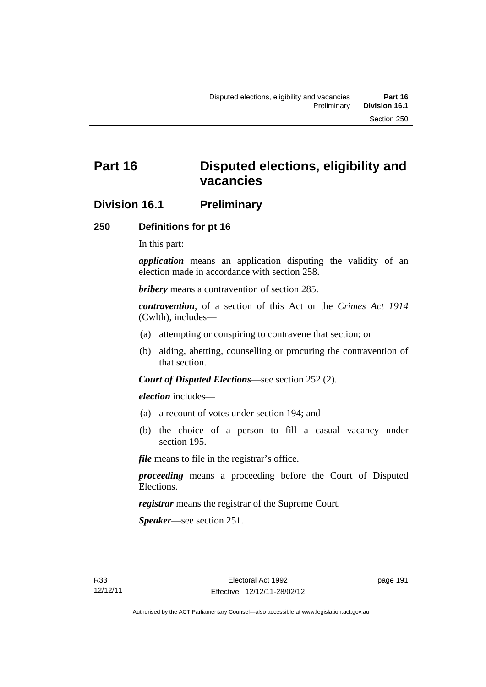# **Part 16 Disputed elections, eligibility and vacancies**

## **Division 16.1 Preliminary**

#### **250 Definitions for pt 16**

In this part:

*application* means an application disputing the validity of an election made in accordance with section 258.

*bribery* means a contravention of section 285.

*contravention*, of a section of this Act or the *Crimes Act 1914* (Cwlth), includes—

- (a) attempting or conspiring to contravene that section; or
- (b) aiding, abetting, counselling or procuring the contravention of that section.

*Court of Disputed Elections*—see section 252 (2).

*election* includes—

- (a) a recount of votes under section 194; and
- (b) the choice of a person to fill a casual vacancy under section 195.

*file* means to file in the registrar's office.

*proceeding* means a proceeding before the Court of Disputed Elections.

*registrar* means the registrar of the Supreme Court.

*Speaker*—see section 251.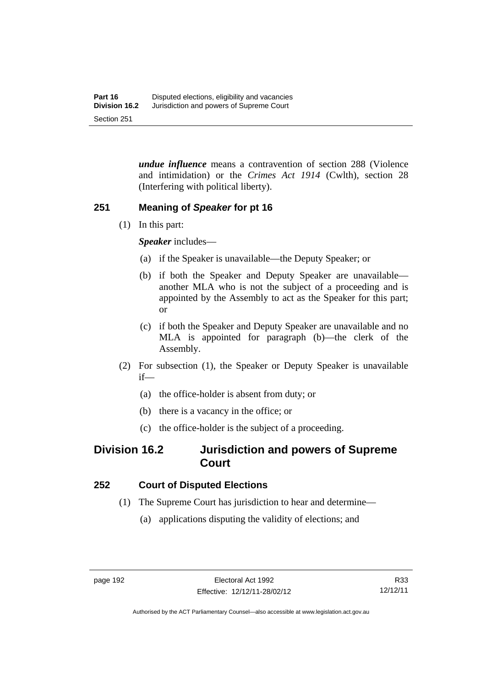*undue influence* means a contravention of section 288 (Violence and intimidation) or the *Crimes Act 1914* (Cwlth), section 28 (Interfering with political liberty).

## **251 Meaning of** *Speaker* **for pt 16**

(1) In this part:

*Speaker* includes—

- (a) if the Speaker is unavailable—the Deputy Speaker; or
- (b) if both the Speaker and Deputy Speaker are unavailable another MLA who is not the subject of a proceeding and is appointed by the Assembly to act as the Speaker for this part; or
- (c) if both the Speaker and Deputy Speaker are unavailable and no MLA is appointed for paragraph (b)—the clerk of the Assembly.
- (2) For subsection (1), the Speaker or Deputy Speaker is unavailable if—
	- (a) the office-holder is absent from duty; or
	- (b) there is a vacancy in the office; or
	- (c) the office-holder is the subject of a proceeding.

## **Division 16.2 Jurisdiction and powers of Supreme Court**

## **252 Court of Disputed Elections**

- (1) The Supreme Court has jurisdiction to hear and determine—
	- (a) applications disputing the validity of elections; and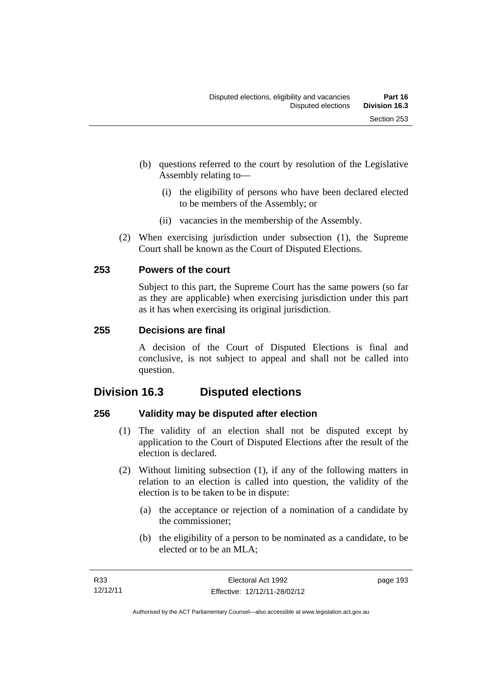- (b) questions referred to the court by resolution of the Legislative Assembly relating to—
	- (i) the eligibility of persons who have been declared elected to be members of the Assembly; or
	- (ii) vacancies in the membership of the Assembly.
- (2) When exercising jurisdiction under subsection (1), the Supreme Court shall be known as the Court of Disputed Elections.

#### **253 Powers of the court**

Subject to this part, the Supreme Court has the same powers (so far as they are applicable) when exercising jurisdiction under this part as it has when exercising its original jurisdiction.

#### **255 Decisions are final**

A decision of the Court of Disputed Elections is final and conclusive, is not subject to appeal and shall not be called into question.

# **Division 16.3 Disputed elections**

## **256 Validity may be disputed after election**

- (1) The validity of an election shall not be disputed except by application to the Court of Disputed Elections after the result of the election is declared.
- (2) Without limiting subsection (1), if any of the following matters in relation to an election is called into question, the validity of the election is to be taken to be in dispute:
	- (a) the acceptance or rejection of a nomination of a candidate by the commissioner;
	- (b) the eligibility of a person to be nominated as a candidate, to be elected or to be an MLA;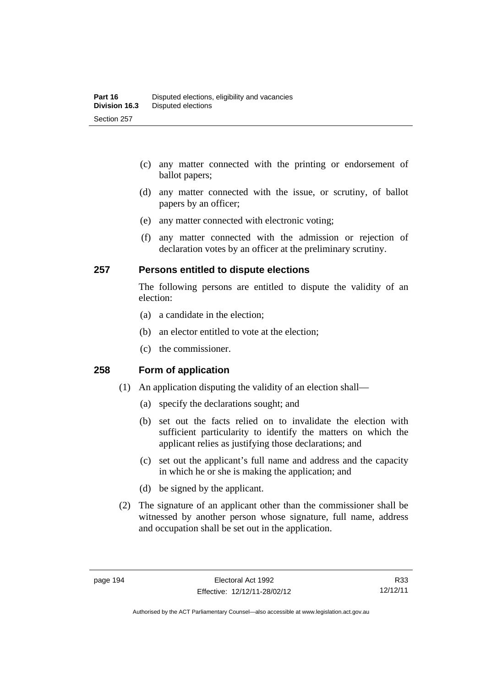- (c) any matter connected with the printing or endorsement of ballot papers;
- (d) any matter connected with the issue, or scrutiny, of ballot papers by an officer;
- (e) any matter connected with electronic voting;
- (f) any matter connected with the admission or rejection of declaration votes by an officer at the preliminary scrutiny.

#### **257 Persons entitled to dispute elections**

The following persons are entitled to dispute the validity of an election:

- (a) a candidate in the election;
- (b) an elector entitled to vote at the election;
- (c) the commissioner.

#### **258 Form of application**

- (1) An application disputing the validity of an election shall—
	- (a) specify the declarations sought; and
	- (b) set out the facts relied on to invalidate the election with sufficient particularity to identify the matters on which the applicant relies as justifying those declarations; and
	- (c) set out the applicant's full name and address and the capacity in which he or she is making the application; and
	- (d) be signed by the applicant.
- (2) The signature of an applicant other than the commissioner shall be witnessed by another person whose signature, full name, address and occupation shall be set out in the application.

R33 12/12/11

Authorised by the ACT Parliamentary Counsel—also accessible at www.legislation.act.gov.au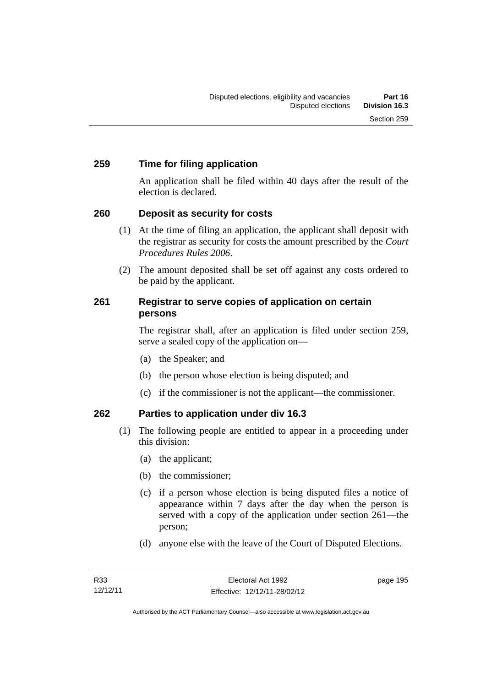#### **259 Time for filing application**

An application shall be filed within 40 days after the result of the election is declared.

## **260 Deposit as security for costs**

- (1) At the time of filing an application, the applicant shall deposit with the registrar as security for costs the amount prescribed by the *Court Procedures Rules 2006*.
- (2) The amount deposited shall be set off against any costs ordered to be paid by the applicant.

#### **261 Registrar to serve copies of application on certain persons**

The registrar shall, after an application is filed under section 259, serve a sealed copy of the application on—

- (a) the Speaker; and
- (b) the person whose election is being disputed; and
- (c) if the commissioner is not the applicant—the commissioner.

## **262 Parties to application under div 16.3**

- (1) The following people are entitled to appear in a proceeding under this division:
	- (a) the applicant;
	- (b) the commissioner;
	- (c) if a person whose election is being disputed files a notice of appearance within 7 days after the day when the person is served with a copy of the application under section 261—the person;
	- (d) anyone else with the leave of the Court of Disputed Elections.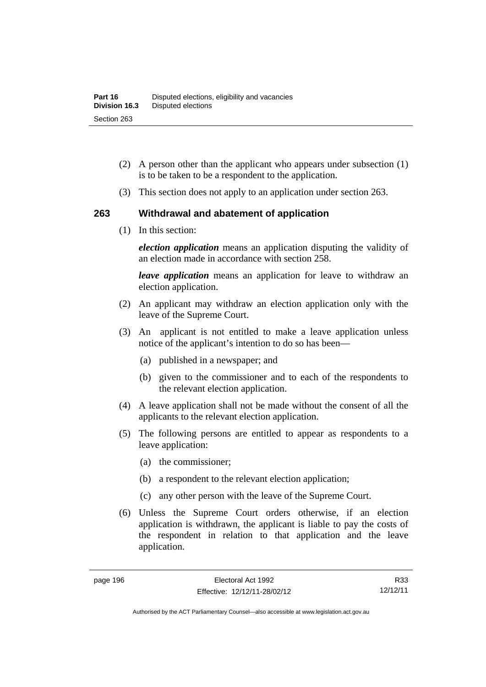- (2) A person other than the applicant who appears under subsection (1) is to be taken to be a respondent to the application.
- (3) This section does not apply to an application under section 263.

#### **263 Withdrawal and abatement of application**

(1) In this section:

*election application* means an application disputing the validity of an election made in accordance with section 258.

*leave application* means an application for leave to withdraw an election application.

- (2) An applicant may withdraw an election application only with the leave of the Supreme Court.
- (3) An applicant is not entitled to make a leave application unless notice of the applicant's intention to do so has been—
	- (a) published in a newspaper; and
	- (b) given to the commissioner and to each of the respondents to the relevant election application.
- (4) A leave application shall not be made without the consent of all the applicants to the relevant election application.
- (5) The following persons are entitled to appear as respondents to a leave application:
	- (a) the commissioner;
	- (b) a respondent to the relevant election application;
	- (c) any other person with the leave of the Supreme Court.
- (6) Unless the Supreme Court orders otherwise, if an election application is withdrawn, the applicant is liable to pay the costs of the respondent in relation to that application and the leave application.

R33 12/12/11

Authorised by the ACT Parliamentary Counsel—also accessible at www.legislation.act.gov.au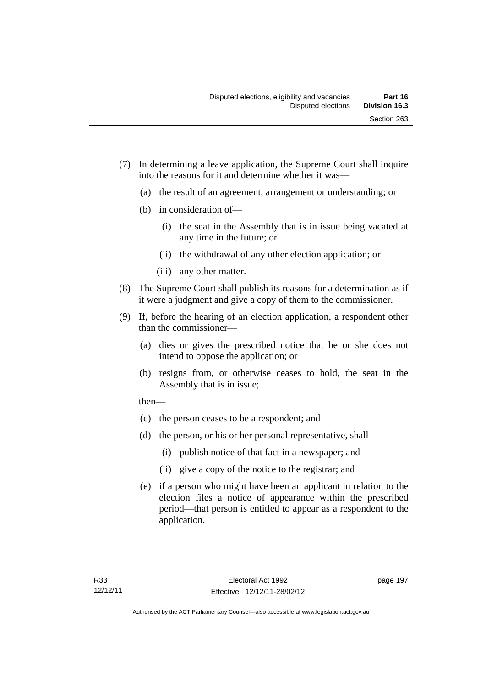- (7) In determining a leave application, the Supreme Court shall inquire into the reasons for it and determine whether it was—
	- (a) the result of an agreement, arrangement or understanding; or
	- (b) in consideration of—
		- (i) the seat in the Assembly that is in issue being vacated at any time in the future; or
		- (ii) the withdrawal of any other election application; or
		- (iii) any other matter.
- (8) The Supreme Court shall publish its reasons for a determination as if it were a judgment and give a copy of them to the commissioner.
- (9) If, before the hearing of an election application, a respondent other than the commissioner—
	- (a) dies or gives the prescribed notice that he or she does not intend to oppose the application; or
	- (b) resigns from, or otherwise ceases to hold, the seat in the Assembly that is in issue;

then—

- (c) the person ceases to be a respondent; and
- (d) the person, or his or her personal representative, shall—
	- (i) publish notice of that fact in a newspaper; and
	- (ii) give a copy of the notice to the registrar; and
- (e) if a person who might have been an applicant in relation to the election files a notice of appearance within the prescribed period—that person is entitled to appear as a respondent to the application.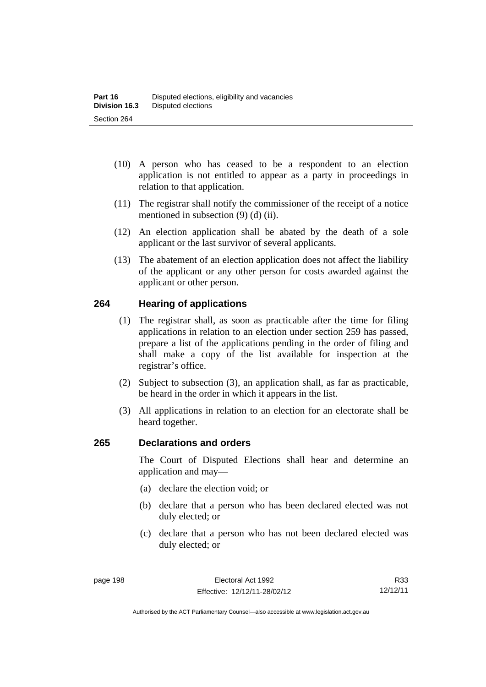- (10) A person who has ceased to be a respondent to an election application is not entitled to appear as a party in proceedings in relation to that application.
- (11) The registrar shall notify the commissioner of the receipt of a notice mentioned in subsection (9) (d) (ii).
- (12) An election application shall be abated by the death of a sole applicant or the last survivor of several applicants.
- (13) The abatement of an election application does not affect the liability of the applicant or any other person for costs awarded against the applicant or other person.

## **264 Hearing of applications**

- (1) The registrar shall, as soon as practicable after the time for filing applications in relation to an election under section 259 has passed, prepare a list of the applications pending in the order of filing and shall make a copy of the list available for inspection at the registrar's office.
- (2) Subject to subsection (3), an application shall, as far as practicable, be heard in the order in which it appears in the list.
- (3) All applications in relation to an election for an electorate shall be heard together.

#### **265 Declarations and orders**

The Court of Disputed Elections shall hear and determine an application and may—

- (a) declare the election void; or
- (b) declare that a person who has been declared elected was not duly elected; or
- (c) declare that a person who has not been declared elected was duly elected; or

R33 12/12/11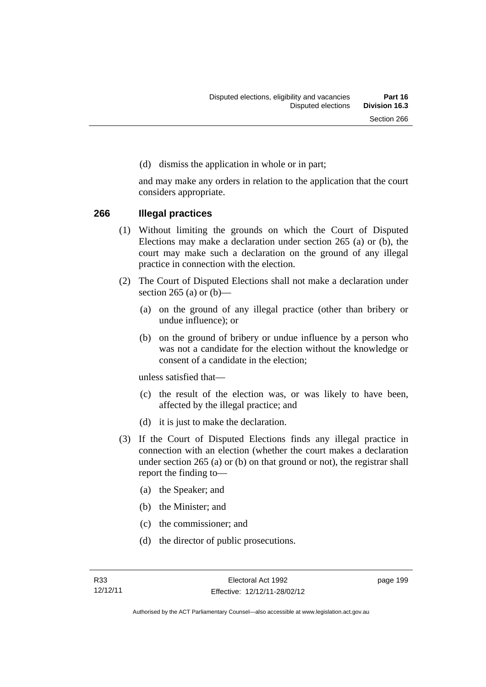(d) dismiss the application in whole or in part;

and may make any orders in relation to the application that the court considers appropriate.

#### **266 Illegal practices**

- (1) Without limiting the grounds on which the Court of Disputed Elections may make a declaration under section 265 (a) or (b), the court may make such a declaration on the ground of any illegal practice in connection with the election.
- (2) The Court of Disputed Elections shall not make a declaration under section 265 (a) or  $(b)$ —
	- (a) on the ground of any illegal practice (other than bribery or undue influence); or
	- (b) on the ground of bribery or undue influence by a person who was not a candidate for the election without the knowledge or consent of a candidate in the election;

unless satisfied that—

- (c) the result of the election was, or was likely to have been, affected by the illegal practice; and
- (d) it is just to make the declaration.
- (3) If the Court of Disputed Elections finds any illegal practice in connection with an election (whether the court makes a declaration under section 265 (a) or (b) on that ground or not), the registrar shall report the finding to—
	- (a) the Speaker; and
	- (b) the Minister; and
	- (c) the commissioner; and
	- (d) the director of public prosecutions.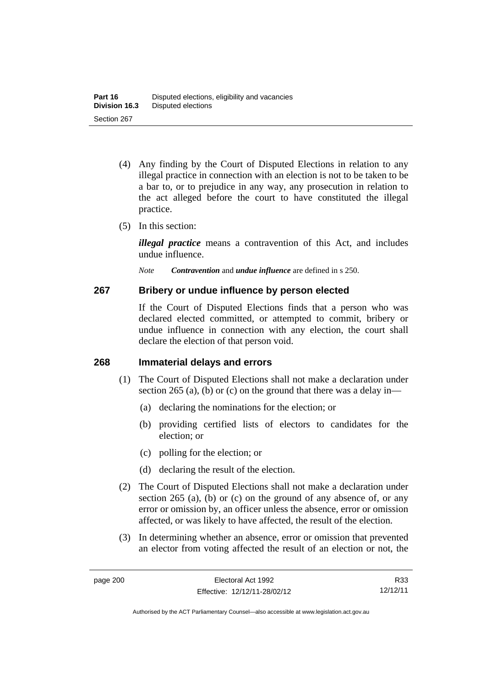- (4) Any finding by the Court of Disputed Elections in relation to any illegal practice in connection with an election is not to be taken to be a bar to, or to prejudice in any way, any prosecution in relation to the act alleged before the court to have constituted the illegal practice.
- (5) In this section:

*illegal practice* means a contravention of this Act, and includes undue influence.

*Note Contravention* and *undue influence* are defined in s 250.

### **267 Bribery or undue influence by person elected**

If the Court of Disputed Elections finds that a person who was declared elected committed, or attempted to commit, bribery or undue influence in connection with any election, the court shall declare the election of that person void.

### **268 Immaterial delays and errors**

- (1) The Court of Disputed Elections shall not make a declaration under section 265 (a), (b) or (c) on the ground that there was a delay in—
	- (a) declaring the nominations for the election; or
	- (b) providing certified lists of electors to candidates for the election; or
	- (c) polling for the election; or
	- (d) declaring the result of the election.
- (2) The Court of Disputed Elections shall not make a declaration under section 265 (a), (b) or (c) on the ground of any absence of, or any error or omission by, an officer unless the absence, error or omission affected, or was likely to have affected, the result of the election.
- (3) In determining whether an absence, error or omission that prevented an elector from voting affected the result of an election or not, the

R33 12/12/11

Authorised by the ACT Parliamentary Counsel—also accessible at www.legislation.act.gov.au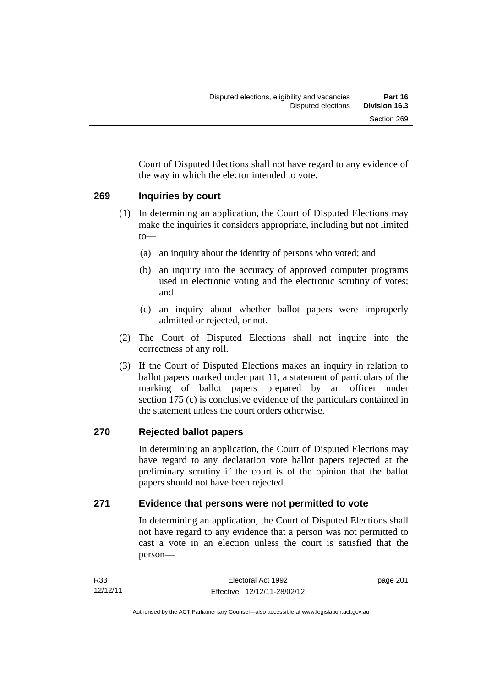Court of Disputed Elections shall not have regard to any evidence of the way in which the elector intended to vote.

## **269 Inquiries by court**

- (1) In determining an application, the Court of Disputed Elections may make the inquiries it considers appropriate, including but not limited to—
	- (a) an inquiry about the identity of persons who voted; and
	- (b) an inquiry into the accuracy of approved computer programs used in electronic voting and the electronic scrutiny of votes; and
	- (c) an inquiry about whether ballot papers were improperly admitted or rejected, or not.
- (2) The Court of Disputed Elections shall not inquire into the correctness of any roll.
- (3) If the Court of Disputed Elections makes an inquiry in relation to ballot papers marked under part 11, a statement of particulars of the marking of ballot papers prepared by an officer under section 175 (c) is conclusive evidence of the particulars contained in the statement unless the court orders otherwise.

## **270 Rejected ballot papers**

In determining an application, the Court of Disputed Elections may have regard to any declaration vote ballot papers rejected at the preliminary scrutiny if the court is of the opinion that the ballot papers should not have been rejected.

## **271 Evidence that persons were not permitted to vote**

In determining an application, the Court of Disputed Elections shall not have regard to any evidence that a person was not permitted to cast a vote in an election unless the court is satisfied that the person—

Authorised by the ACT Parliamentary Counsel—also accessible at www.legislation.act.gov.au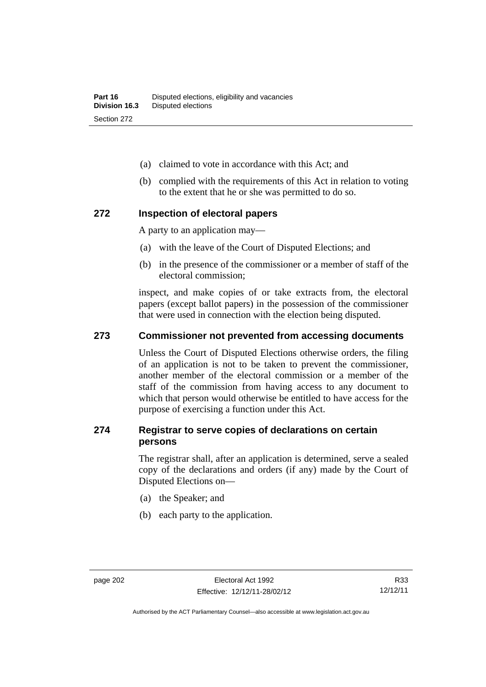- (a) claimed to vote in accordance with this Act; and
- (b) complied with the requirements of this Act in relation to voting to the extent that he or she was permitted to do so.

### **272 Inspection of electoral papers**

A party to an application may—

- (a) with the leave of the Court of Disputed Elections; and
- (b) in the presence of the commissioner or a member of staff of the electoral commission;

inspect, and make copies of or take extracts from, the electoral papers (except ballot papers) in the possession of the commissioner that were used in connection with the election being disputed.

#### **273 Commissioner not prevented from accessing documents**

Unless the Court of Disputed Elections otherwise orders, the filing of an application is not to be taken to prevent the commissioner, another member of the electoral commission or a member of the staff of the commission from having access to any document to which that person would otherwise be entitled to have access for the purpose of exercising a function under this Act.

### **274 Registrar to serve copies of declarations on certain persons**

The registrar shall, after an application is determined, serve a sealed copy of the declarations and orders (if any) made by the Court of Disputed Elections on—

- (a) the Speaker; and
- (b) each party to the application.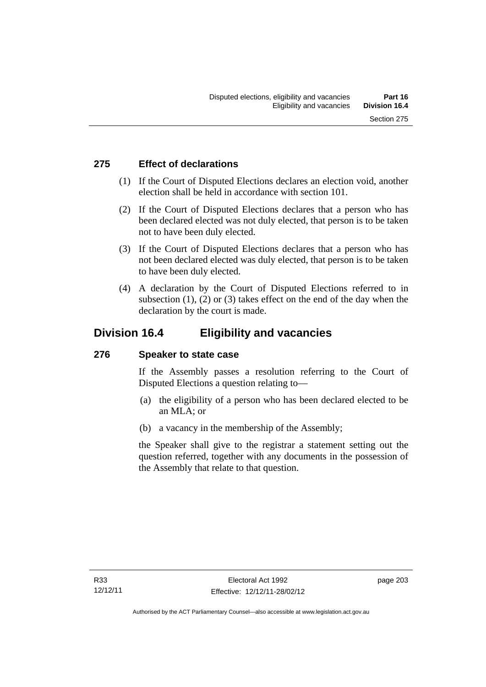## **275 Effect of declarations**

- (1) If the Court of Disputed Elections declares an election void, another election shall be held in accordance with section 101.
- (2) If the Court of Disputed Elections declares that a person who has been declared elected was not duly elected, that person is to be taken not to have been duly elected.
- (3) If the Court of Disputed Elections declares that a person who has not been declared elected was duly elected, that person is to be taken to have been duly elected.
- (4) A declaration by the Court of Disputed Elections referred to in subsection  $(1)$ ,  $(2)$  or  $(3)$  takes effect on the end of the day when the declaration by the court is made.

## **Division 16.4 Eligibility and vacancies**

## **276 Speaker to state case**

If the Assembly passes a resolution referring to the Court of Disputed Elections a question relating to—

- (a) the eligibility of a person who has been declared elected to be an MLA; or
- (b) a vacancy in the membership of the Assembly;

the Speaker shall give to the registrar a statement setting out the question referred, together with any documents in the possession of the Assembly that relate to that question.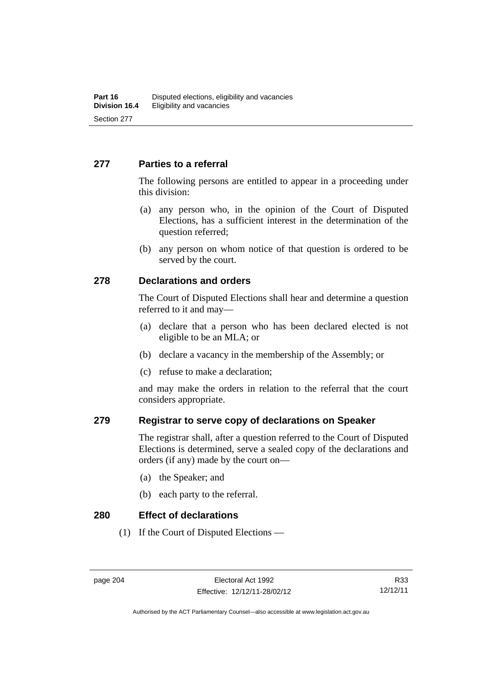### **277 Parties to a referral**

The following persons are entitled to appear in a proceeding under this division:

- (a) any person who, in the opinion of the Court of Disputed Elections, has a sufficient interest in the determination of the question referred;
- (b) any person on whom notice of that question is ordered to be served by the court.

### **278 Declarations and orders**

The Court of Disputed Elections shall hear and determine a question referred to it and may—

- (a) declare that a person who has been declared elected is not eligible to be an MLA; or
- (b) declare a vacancy in the membership of the Assembly; or
- (c) refuse to make a declaration;

and may make the orders in relation to the referral that the court considers appropriate.

### **279 Registrar to serve copy of declarations on Speaker**

The registrar shall, after a question referred to the Court of Disputed Elections is determined, serve a sealed copy of the declarations and orders (if any) made by the court on—

- (a) the Speaker; and
- (b) each party to the referral.

**280 Effect of declarations** 

(1) If the Court of Disputed Elections —

Authorised by the ACT Parliamentary Counsel—also accessible at www.legislation.act.gov.au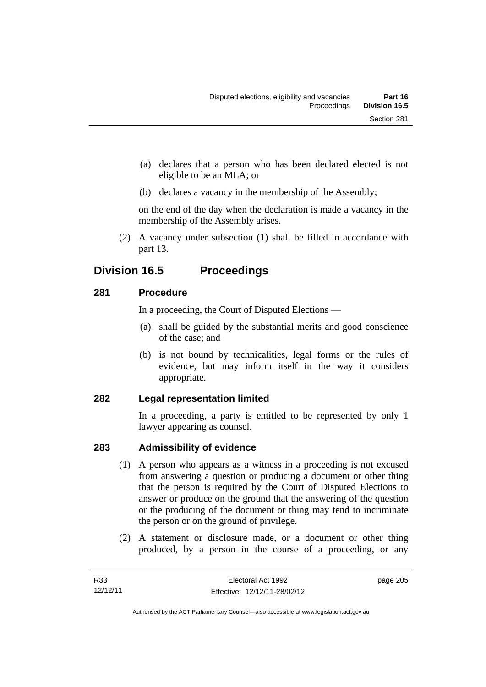- (a) declares that a person who has been declared elected is not eligible to be an MLA; or
- (b) declares a vacancy in the membership of the Assembly;

on the end of the day when the declaration is made a vacancy in the membership of the Assembly arises.

 (2) A vacancy under subsection (1) shall be filled in accordance with part 13.

## **Division 16.5 Proceedings**

## **281 Procedure**

In a proceeding, the Court of Disputed Elections —

- (a) shall be guided by the substantial merits and good conscience of the case; and
- (b) is not bound by technicalities, legal forms or the rules of evidence, but may inform itself in the way it considers appropriate.

## **282 Legal representation limited**

In a proceeding, a party is entitled to be represented by only 1 lawyer appearing as counsel.

## **283 Admissibility of evidence**

- (1) A person who appears as a witness in a proceeding is not excused from answering a question or producing a document or other thing that the person is required by the Court of Disputed Elections to answer or produce on the ground that the answering of the question or the producing of the document or thing may tend to incriminate the person or on the ground of privilege.
- (2) A statement or disclosure made, or a document or other thing produced, by a person in the course of a proceeding, or any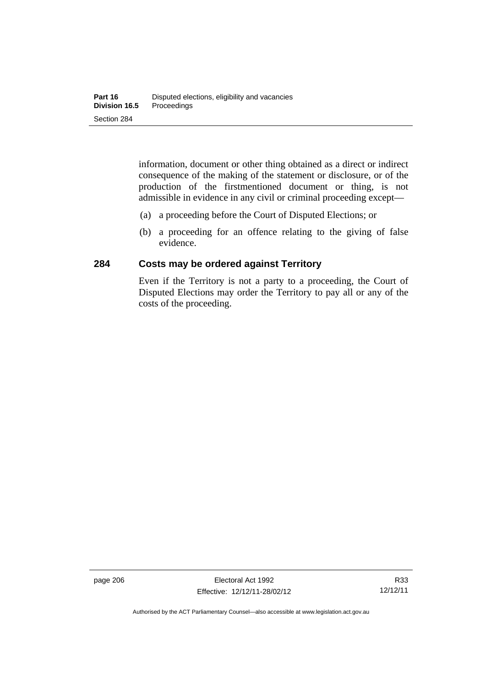information, document or other thing obtained as a direct or indirect consequence of the making of the statement or disclosure, or of the production of the firstmentioned document or thing, is not admissible in evidence in any civil or criminal proceeding except—

- (a) a proceeding before the Court of Disputed Elections; or
- (b) a proceeding for an offence relating to the giving of false evidence.

## **284 Costs may be ordered against Territory**

Even if the Territory is not a party to a proceeding, the Court of Disputed Elections may order the Territory to pay all or any of the costs of the proceeding.

Authorised by the ACT Parliamentary Counsel—also accessible at www.legislation.act.gov.au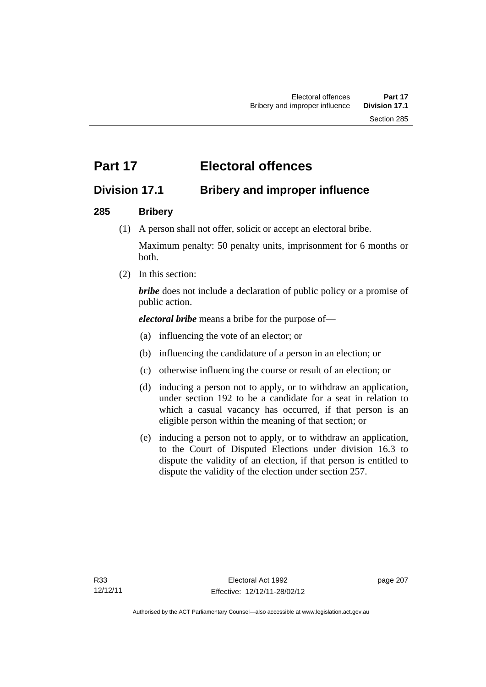# **Part 17 Electoral offences**

## **Division 17.1 Bribery and improper influence**

## **285 Bribery**

(1) A person shall not offer, solicit or accept an electoral bribe.

Maximum penalty: 50 penalty units, imprisonment for 6 months or both.

(2) In this section:

*bribe* does not include a declaration of public policy or a promise of public action.

*electoral bribe* means a bribe for the purpose of—

- (a) influencing the vote of an elector; or
- (b) influencing the candidature of a person in an election; or
- (c) otherwise influencing the course or result of an election; or
- (d) inducing a person not to apply, or to withdraw an application, under section 192 to be a candidate for a seat in relation to which a casual vacancy has occurred, if that person is an eligible person within the meaning of that section; or
- (e) inducing a person not to apply, or to withdraw an application, to the Court of Disputed Elections under division 16.3 to dispute the validity of an election, if that person is entitled to dispute the validity of the election under section 257.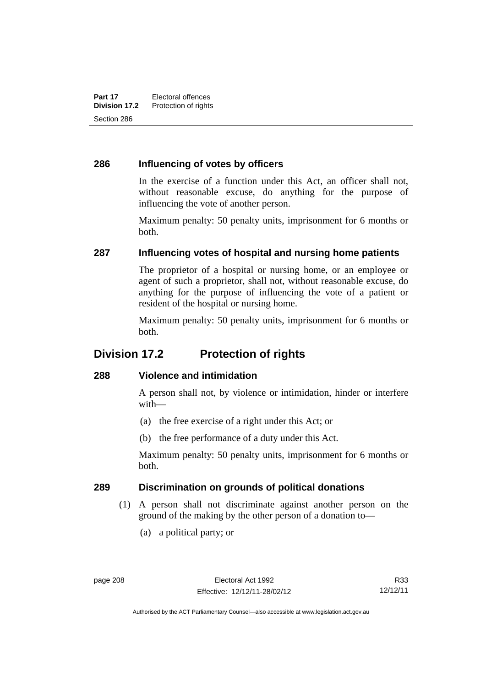## **286 Influencing of votes by officers**

In the exercise of a function under this Act, an officer shall not, without reasonable excuse, do anything for the purpose of influencing the vote of another person.

Maximum penalty: 50 penalty units, imprisonment for 6 months or both.

### **287 Influencing votes of hospital and nursing home patients**

The proprietor of a hospital or nursing home, or an employee or agent of such a proprietor, shall not, without reasonable excuse, do anything for the purpose of influencing the vote of a patient or resident of the hospital or nursing home.

Maximum penalty: 50 penalty units, imprisonment for 6 months or both.

## **Division 17.2 Protection of rights**

## **288 Violence and intimidation**

A person shall not, by violence or intimidation, hinder or interfere with—

- (a) the free exercise of a right under this Act; or
- (b) the free performance of a duty under this Act.

Maximum penalty: 50 penalty units, imprisonment for 6 months or both.

### **289 Discrimination on grounds of political donations**

- (1) A person shall not discriminate against another person on the ground of the making by the other person of a donation to—
	- (a) a political party; or

Authorised by the ACT Parliamentary Counsel—also accessible at www.legislation.act.gov.au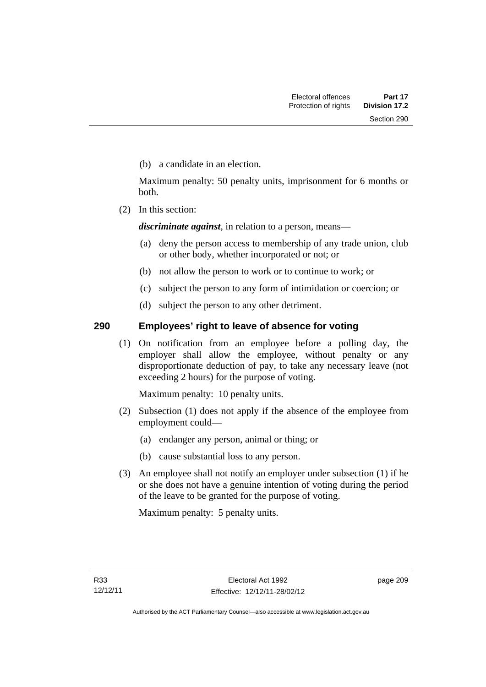(b) a candidate in an election.

Maximum penalty: 50 penalty units, imprisonment for 6 months or both.

(2) In this section:

*discriminate against*, in relation to a person, means—

- (a) deny the person access to membership of any trade union, club or other body, whether incorporated or not; or
- (b) not allow the person to work or to continue to work; or
- (c) subject the person to any form of intimidation or coercion; or
- (d) subject the person to any other detriment.

## **290 Employees' right to leave of absence for voting**

 (1) On notification from an employee before a polling day, the employer shall allow the employee, without penalty or any disproportionate deduction of pay, to take any necessary leave (not exceeding 2 hours) for the purpose of voting.

Maximum penalty: 10 penalty units.

- (2) Subsection (1) does not apply if the absence of the employee from employment could—
	- (a) endanger any person, animal or thing; or
	- (b) cause substantial loss to any person.
- (3) An employee shall not notify an employer under subsection (1) if he or she does not have a genuine intention of voting during the period of the leave to be granted for the purpose of voting.

Maximum penalty: 5 penalty units.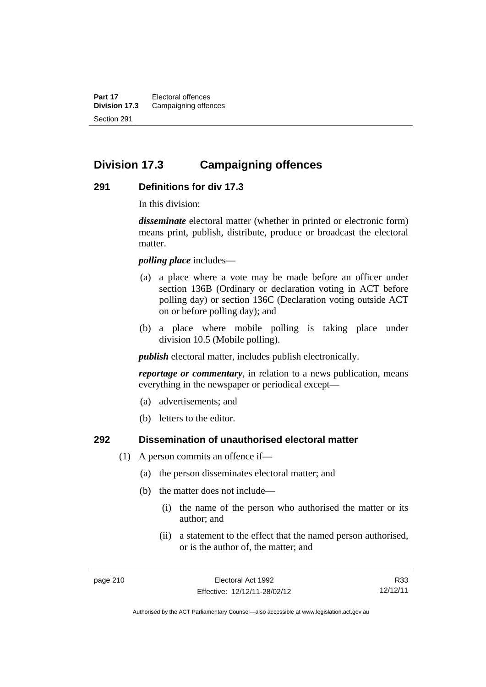**Part 17** Electoral offences **Division 17.3** Campaigning offences Section 291

## **Division 17.3 Campaigning offences**

### **291 Definitions for div 17.3**

In this division:

*disseminate* electoral matter (whether in printed or electronic form) means print, publish, distribute, produce or broadcast the electoral matter.

*polling place* includes—

- (a) a place where a vote may be made before an officer under section 136B (Ordinary or declaration voting in ACT before polling day) or section 136C (Declaration voting outside ACT on or before polling day); and
- (b) a place where mobile polling is taking place under division 10.5 (Mobile polling).

*publish* electoral matter, includes publish electronically.

*reportage or commentary*, in relation to a news publication, means everything in the newspaper or periodical except—

- (a) advertisements; and
- (b) letters to the editor.

### **292 Dissemination of unauthorised electoral matter**

- (1) A person commits an offence if—
	- (a) the person disseminates electoral matter; and
	- (b) the matter does not include—
		- (i) the name of the person who authorised the matter or its author; and
		- (ii) a statement to the effect that the named person authorised, or is the author of, the matter; and

R33 12/12/11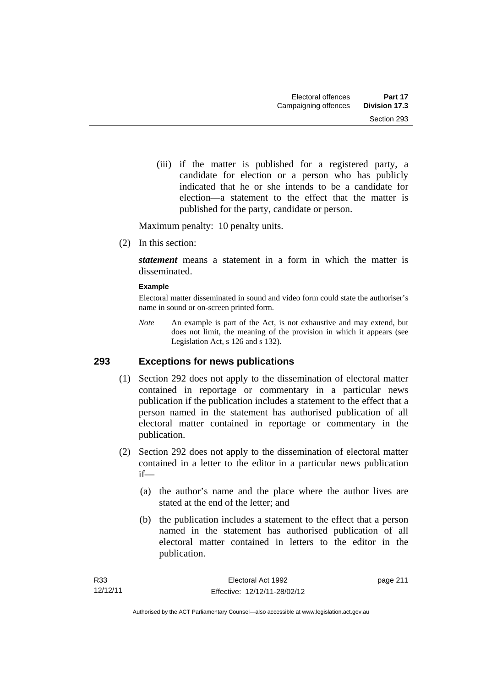(iii) if the matter is published for a registered party, a candidate for election or a person who has publicly indicated that he or she intends to be a candidate for election—a statement to the effect that the matter is published for the party, candidate or person.

Maximum penalty: 10 penalty units.

(2) In this section:

*statement* means a statement in a form in which the matter is disseminated.

#### **Example**

Electoral matter disseminated in sound and video form could state the authoriser's name in sound or on-screen printed form.

*Note* An example is part of the Act, is not exhaustive and may extend, but does not limit, the meaning of the provision in which it appears (see Legislation Act, s 126 and s 132).

## **293 Exceptions for news publications**

- (1) Section 292 does not apply to the dissemination of electoral matter contained in reportage or commentary in a particular news publication if the publication includes a statement to the effect that a person named in the statement has authorised publication of all electoral matter contained in reportage or commentary in the publication.
- (2) Section 292 does not apply to the dissemination of electoral matter contained in a letter to the editor in a particular news publication if—
	- (a) the author's name and the place where the author lives are stated at the end of the letter; and
	- (b) the publication includes a statement to the effect that a person named in the statement has authorised publication of all electoral matter contained in letters to the editor in the publication.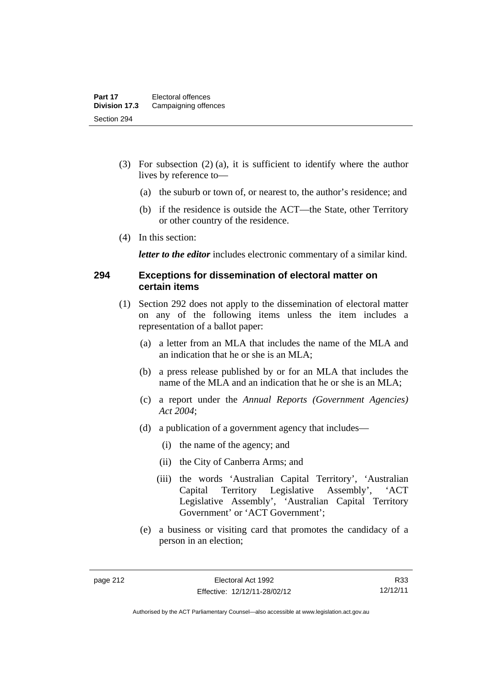- (3) For subsection (2) (a), it is sufficient to identify where the author lives by reference to—
	- (a) the suburb or town of, or nearest to, the author's residence; and
	- (b) if the residence is outside the ACT—the State, other Territory or other country of the residence.
- (4) In this section:

*letter to the editor* includes electronic commentary of a similar kind.

### **294 Exceptions for dissemination of electoral matter on certain items**

- (1) Section 292 does not apply to the dissemination of electoral matter on any of the following items unless the item includes a representation of a ballot paper:
	- (a) a letter from an MLA that includes the name of the MLA and an indication that he or she is an MLA;
	- (b) a press release published by or for an MLA that includes the name of the MLA and an indication that he or she is an MLA;
	- (c) a report under the *Annual Reports (Government Agencies) Act 2004*;
	- (d) a publication of a government agency that includes—
		- (i) the name of the agency; and
		- (ii) the City of Canberra Arms; and
		- (iii) the words 'Australian Capital Territory', 'Australian Capital Territory Legislative Assembly', 'ACT Legislative Assembly', 'Australian Capital Territory Government' or 'ACT Government';
	- (e) a business or visiting card that promotes the candidacy of a person in an election;

R33 12/12/11

Authorised by the ACT Parliamentary Counsel—also accessible at www.legislation.act.gov.au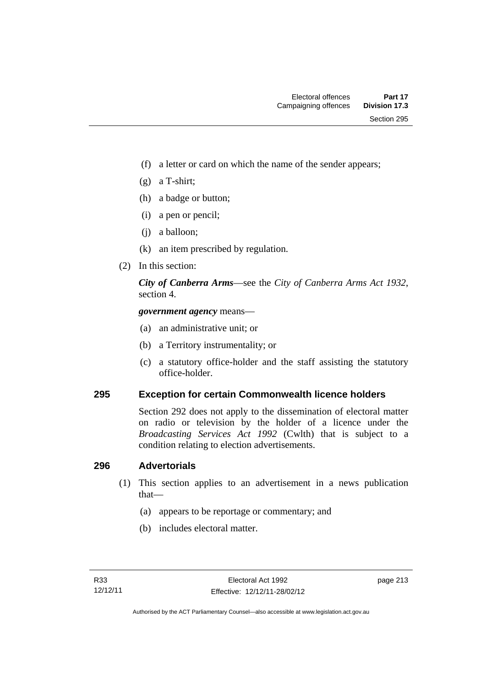- (f) a letter or card on which the name of the sender appears;
- (g) a T-shirt;
- (h) a badge or button;
- (i) a pen or pencil;
- (j) a balloon;
- (k) an item prescribed by regulation.
- (2) In this section:

*City of Canberra Arms*—see the *City of Canberra Arms Act 1932*, section 4.

*government agency* means—

- (a) an administrative unit; or
- (b) a Territory instrumentality; or
- (c) a statutory office-holder and the staff assisting the statutory office-holder.

### **295 Exception for certain Commonwealth licence holders**

Section 292 does not apply to the dissemination of electoral matter on radio or television by the holder of a licence under the *Broadcasting Services Act 1992* (Cwlth) that is subject to a condition relating to election advertisements.

### **296 Advertorials**

- (1) This section applies to an advertisement in a news publication that—
	- (a) appears to be reportage or commentary; and
	- (b) includes electoral matter.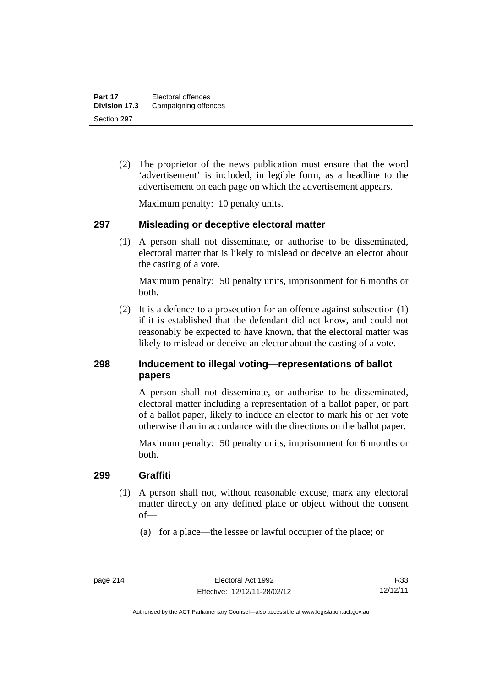(2) The proprietor of the news publication must ensure that the word 'advertisement' is included, in legible form, as a headline to the advertisement on each page on which the advertisement appears.

Maximum penalty: 10 penalty units.

### **297 Misleading or deceptive electoral matter**

 (1) A person shall not disseminate, or authorise to be disseminated, electoral matter that is likely to mislead or deceive an elector about the casting of a vote.

Maximum penalty: 50 penalty units, imprisonment for 6 months or both.

 (2) It is a defence to a prosecution for an offence against subsection (1) if it is established that the defendant did not know, and could not reasonably be expected to have known, that the electoral matter was likely to mislead or deceive an elector about the casting of a vote.

## **298 Inducement to illegal voting—representations of ballot papers**

A person shall not disseminate, or authorise to be disseminated, electoral matter including a representation of a ballot paper, or part of a ballot paper, likely to induce an elector to mark his or her vote otherwise than in accordance with the directions on the ballot paper.

Maximum penalty: 50 penalty units, imprisonment for 6 months or both.

### **299 Graffiti**

- (1) A person shall not, without reasonable excuse, mark any electoral matter directly on any defined place or object without the consent of—
	- (a) for a place—the lessee or lawful occupier of the place; or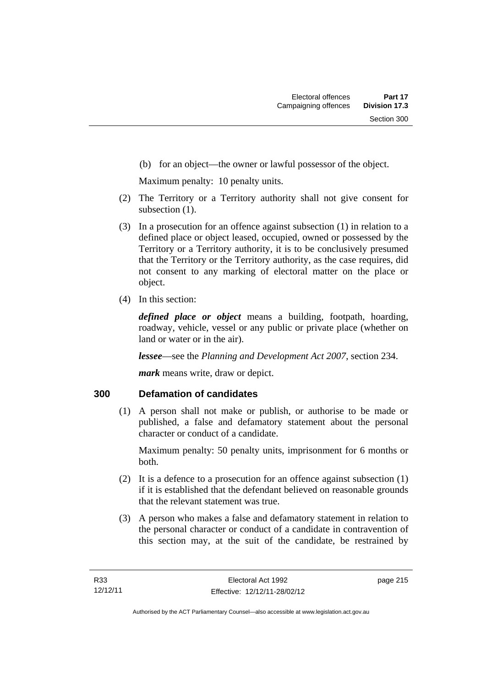(b) for an object—the owner or lawful possessor of the object.

Maximum penalty: 10 penalty units.

- (2) The Territory or a Territory authority shall not give consent for subsection  $(1)$ .
- (3) In a prosecution for an offence against subsection (1) in relation to a defined place or object leased, occupied, owned or possessed by the Territory or a Territory authority, it is to be conclusively presumed that the Territory or the Territory authority, as the case requires, did not consent to any marking of electoral matter on the place or object.
- (4) In this section:

*defined place or object* means a building, footpath, hoarding, roadway, vehicle, vessel or any public or private place (whether on land or water or in the air).

*lessee*—see the *Planning and Development Act 2007*, section 234.

*mark* means write, draw or depict.

## **300 Defamation of candidates**

 (1) A person shall not make or publish, or authorise to be made or published, a false and defamatory statement about the personal character or conduct of a candidate.

Maximum penalty: 50 penalty units, imprisonment for 6 months or both.

- (2) It is a defence to a prosecution for an offence against subsection (1) if it is established that the defendant believed on reasonable grounds that the relevant statement was true.
- (3) A person who makes a false and defamatory statement in relation to the personal character or conduct of a candidate in contravention of this section may, at the suit of the candidate, be restrained by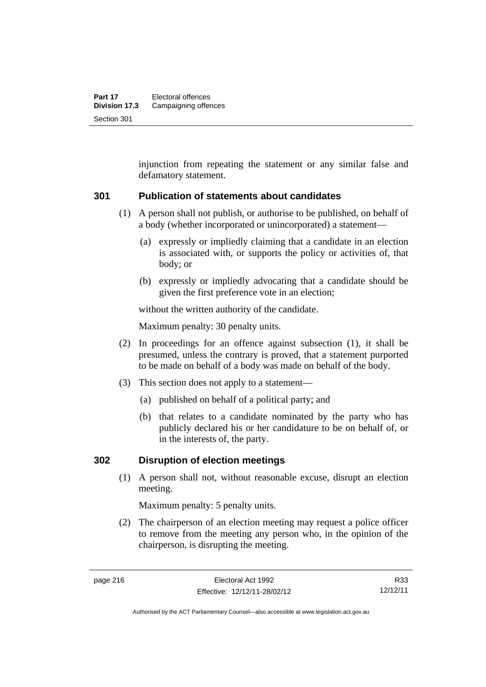injunction from repeating the statement or any similar false and defamatory statement.

### **301 Publication of statements about candidates**

- (1) A person shall not publish, or authorise to be published, on behalf of a body (whether incorporated or unincorporated) a statement—
	- (a) expressly or impliedly claiming that a candidate in an election is associated with, or supports the policy or activities of, that body; or
	- (b) expressly or impliedly advocating that a candidate should be given the first preference vote in an election;

without the written authority of the candidate.

Maximum penalty: 30 penalty units.

- (2) In proceedings for an offence against subsection (1), it shall be presumed, unless the contrary is proved, that a statement purported to be made on behalf of a body was made on behalf of the body.
- (3) This section does not apply to a statement—
	- (a) published on behalf of a political party; and
	- (b) that relates to a candidate nominated by the party who has publicly declared his or her candidature to be on behalf of, or in the interests of, the party.

#### **302 Disruption of election meetings**

 (1) A person shall not, without reasonable excuse, disrupt an election meeting.

Maximum penalty: 5 penalty units.

 (2) The chairperson of an election meeting may request a police officer to remove from the meeting any person who, in the opinion of the chairperson, is disrupting the meeting.

R33 12/12/11

Authorised by the ACT Parliamentary Counsel—also accessible at www.legislation.act.gov.au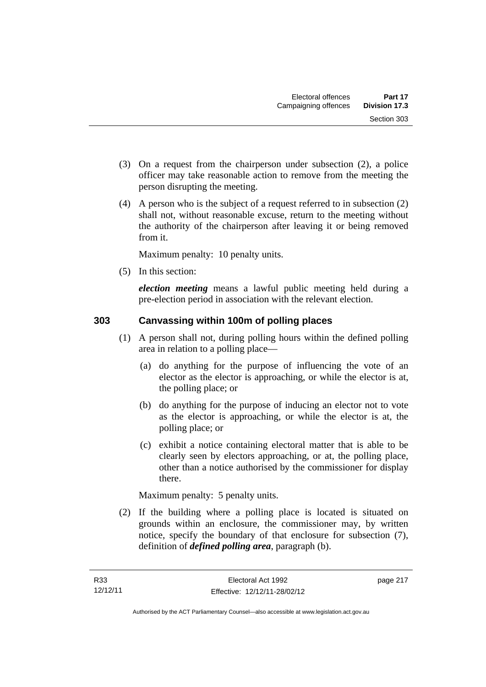- (3) On a request from the chairperson under subsection (2), a police officer may take reasonable action to remove from the meeting the person disrupting the meeting.
- (4) A person who is the subject of a request referred to in subsection (2) shall not, without reasonable excuse, return to the meeting without the authority of the chairperson after leaving it or being removed from it.

Maximum penalty: 10 penalty units.

(5) In this section:

*election meeting* means a lawful public meeting held during a pre-election period in association with the relevant election.

## **303 Canvassing within 100m of polling places**

- (1) A person shall not, during polling hours within the defined polling area in relation to a polling place—
	- (a) do anything for the purpose of influencing the vote of an elector as the elector is approaching, or while the elector is at, the polling place; or
	- (b) do anything for the purpose of inducing an elector not to vote as the elector is approaching, or while the elector is at, the polling place; or
	- (c) exhibit a notice containing electoral matter that is able to be clearly seen by electors approaching, or at, the polling place, other than a notice authorised by the commissioner for display there.

Maximum penalty: 5 penalty units.

 (2) If the building where a polling place is located is situated on grounds within an enclosure, the commissioner may, by written notice, specify the boundary of that enclosure for subsection (7), definition of *defined polling area*, paragraph (b).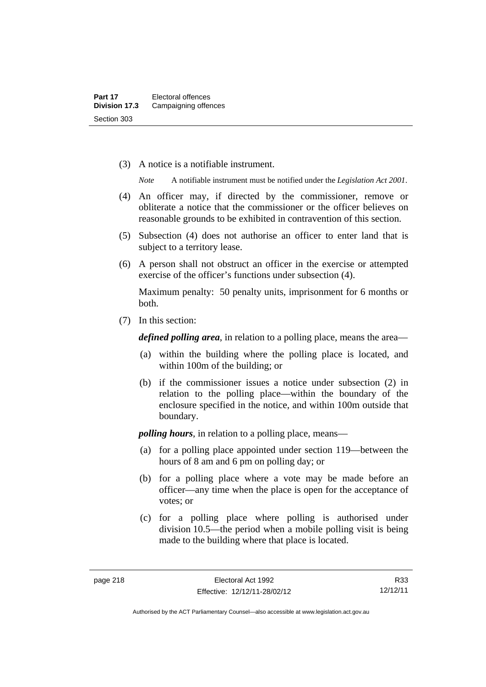(3) A notice is a notifiable instrument.

*Note* A notifiable instrument must be notified under the *Legislation Act 2001*.

- (4) An officer may, if directed by the commissioner, remove or obliterate a notice that the commissioner or the officer believes on reasonable grounds to be exhibited in contravention of this section.
- (5) Subsection (4) does not authorise an officer to enter land that is subject to a territory lease.
- (6) A person shall not obstruct an officer in the exercise or attempted exercise of the officer's functions under subsection (4).

Maximum penalty: 50 penalty units, imprisonment for 6 months or both.

(7) In this section:

*defined polling area*, in relation to a polling place, means the area—

- (a) within the building where the polling place is located, and within 100m of the building; or
- (b) if the commissioner issues a notice under subsection (2) in relation to the polling place—within the boundary of the enclosure specified in the notice, and within 100m outside that boundary.

*polling hours*, in relation to a polling place, means—

- (a) for a polling place appointed under section 119—between the hours of 8 am and 6 pm on polling day; or
- (b) for a polling place where a vote may be made before an officer—any time when the place is open for the acceptance of votes; or
- (c) for a polling place where polling is authorised under division 10.5—the period when a mobile polling visit is being made to the building where that place is located.

R33 12/12/11

Authorised by the ACT Parliamentary Counsel—also accessible at www.legislation.act.gov.au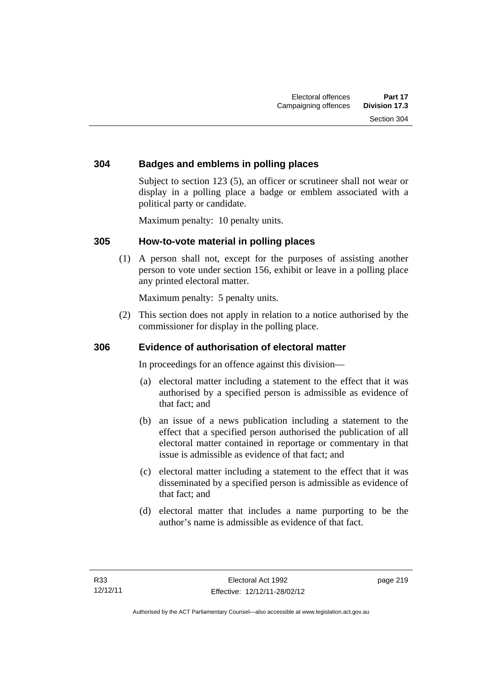## **304 Badges and emblems in polling places**

Subject to section 123 (5), an officer or scrutineer shall not wear or display in a polling place a badge or emblem associated with a political party or candidate.

Maximum penalty: 10 penalty units.

### **305 How-to-vote material in polling places**

 (1) A person shall not, except for the purposes of assisting another person to vote under section 156, exhibit or leave in a polling place any printed electoral matter.

Maximum penalty: 5 penalty units.

 (2) This section does not apply in relation to a notice authorised by the commissioner for display in the polling place.

## **306 Evidence of authorisation of electoral matter**

In proceedings for an offence against this division—

- (a) electoral matter including a statement to the effect that it was authorised by a specified person is admissible as evidence of that fact; and
- (b) an issue of a news publication including a statement to the effect that a specified person authorised the publication of all electoral matter contained in reportage or commentary in that issue is admissible as evidence of that fact; and
- (c) electoral matter including a statement to the effect that it was disseminated by a specified person is admissible as evidence of that fact; and
- (d) electoral matter that includes a name purporting to be the author's name is admissible as evidence of that fact.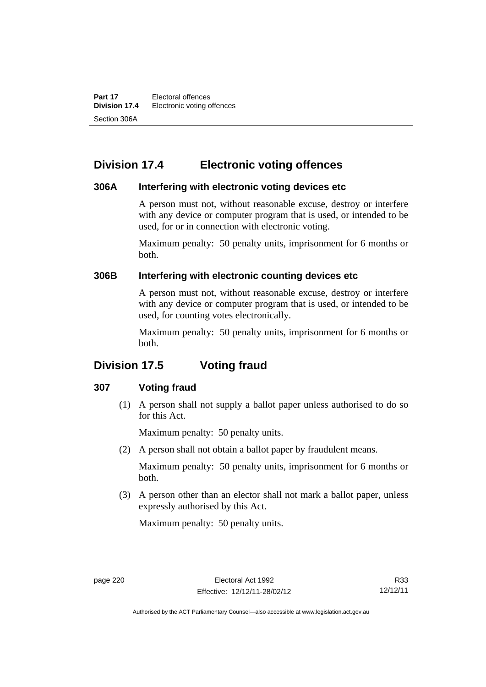**Part 17 Electoral offences**<br>**Division 17.4 Electronic voting of Electronic voting offences** Section 306A

## **Division 17.4 Electronic voting offences**

### **306A Interfering with electronic voting devices etc**

A person must not, without reasonable excuse, destroy or interfere with any device or computer program that is used, or intended to be used, for or in connection with electronic voting.

Maximum penalty: 50 penalty units, imprisonment for 6 months or both.

### **306B Interfering with electronic counting devices etc**

A person must not, without reasonable excuse, destroy or interfere with any device or computer program that is used, or intended to be used, for counting votes electronically.

Maximum penalty: 50 penalty units, imprisonment for 6 months or both.

## **Division 17.5 Voting fraud**

### **307 Voting fraud**

 (1) A person shall not supply a ballot paper unless authorised to do so for this Act.

Maximum penalty: 50 penalty units.

(2) A person shall not obtain a ballot paper by fraudulent means.

Maximum penalty: 50 penalty units, imprisonment for 6 months or both.

 (3) A person other than an elector shall not mark a ballot paper, unless expressly authorised by this Act.

Maximum penalty: 50 penalty units.

R33 12/12/11

Authorised by the ACT Parliamentary Counsel—also accessible at www.legislation.act.gov.au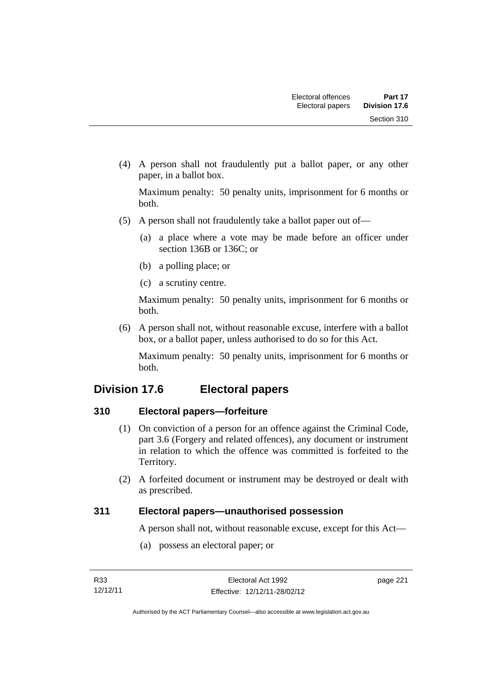(4) A person shall not fraudulently put a ballot paper, or any other paper, in a ballot box.

Maximum penalty: 50 penalty units, imprisonment for 6 months or both.

- (5) A person shall not fraudulently take a ballot paper out of—
	- (a) a place where a vote may be made before an officer under section 136B or 136C; or
	- (b) a polling place; or
	- (c) a scrutiny centre.

Maximum penalty: 50 penalty units, imprisonment for 6 months or both.

 (6) A person shall not, without reasonable excuse, interfere with a ballot box, or a ballot paper, unless authorised to do so for this Act.

Maximum penalty: 50 penalty units, imprisonment for 6 months or both.

## **Division 17.6 Electoral papers**

## **310 Electoral papers—forfeiture**

- (1) On conviction of a person for an offence against the Criminal Code, part 3.6 (Forgery and related offences), any document or instrument in relation to which the offence was committed is forfeited to the Territory.
- (2) A forfeited document or instrument may be destroyed or dealt with as prescribed.

## **311 Electoral papers—unauthorised possession**

A person shall not, without reasonable excuse, except for this Act—

(a) possess an electoral paper; or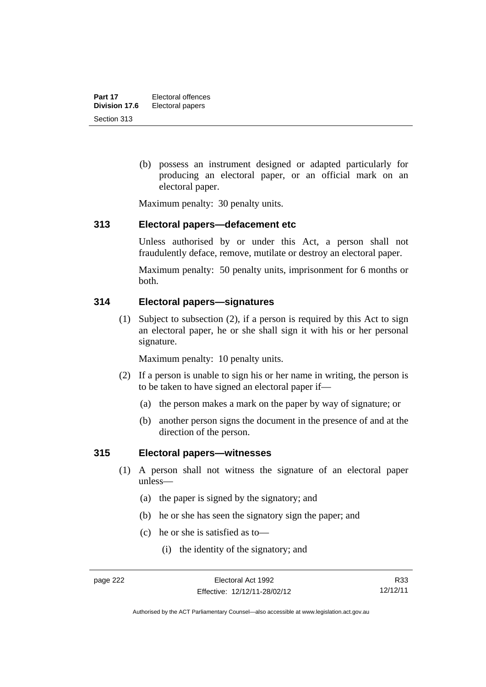(b) possess an instrument designed or adapted particularly for producing an electoral paper, or an official mark on an electoral paper.

Maximum penalty: 30 penalty units.

### **313 Electoral papers—defacement etc**

Unless authorised by or under this Act, a person shall not fraudulently deface, remove, mutilate or destroy an electoral paper.

Maximum penalty: 50 penalty units, imprisonment for 6 months or both.

## **314 Electoral papers—signatures**

 (1) Subject to subsection (2), if a person is required by this Act to sign an electoral paper, he or she shall sign it with his or her personal signature.

Maximum penalty: 10 penalty units.

- (2) If a person is unable to sign his or her name in writing, the person is to be taken to have signed an electoral paper if—
	- (a) the person makes a mark on the paper by way of signature; or
	- (b) another person signs the document in the presence of and at the direction of the person.

## **315 Electoral papers—witnesses**

- (1) A person shall not witness the signature of an electoral paper unless—
	- (a) the paper is signed by the signatory; and
	- (b) he or she has seen the signatory sign the paper; and
	- (c) he or she is satisfied as to—
		- (i) the identity of the signatory; and

R33 12/12/11

Authorised by the ACT Parliamentary Counsel—also accessible at www.legislation.act.gov.au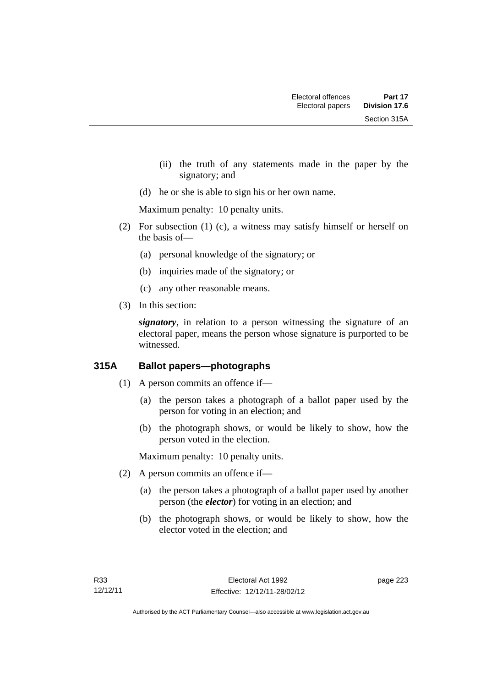- (ii) the truth of any statements made in the paper by the signatory; and
- (d) he or she is able to sign his or her own name.

Maximum penalty: 10 penalty units.

- (2) For subsection (1) (c), a witness may satisfy himself or herself on the basis of—
	- (a) personal knowledge of the signatory; or
	- (b) inquiries made of the signatory; or
	- (c) any other reasonable means.
- (3) In this section:

*signatory*, in relation to a person witnessing the signature of an electoral paper, means the person whose signature is purported to be witnessed.

## **315A Ballot papers—photographs**

- (1) A person commits an offence if—
	- (a) the person takes a photograph of a ballot paper used by the person for voting in an election; and
	- (b) the photograph shows, or would be likely to show, how the person voted in the election.

Maximum penalty: 10 penalty units.

- (2) A person commits an offence if—
	- (a) the person takes a photograph of a ballot paper used by another person (the *elector*) for voting in an election; and
	- (b) the photograph shows, or would be likely to show, how the elector voted in the election; and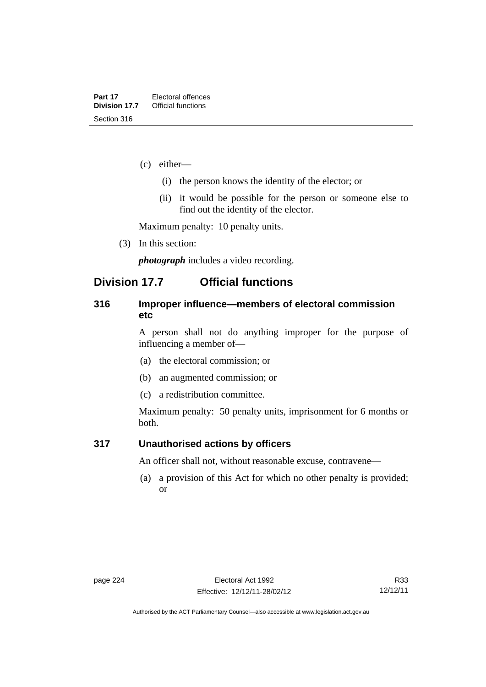- (c) either—
	- (i) the person knows the identity of the elector; or
	- (ii) it would be possible for the person or someone else to find out the identity of the elector.

Maximum penalty: 10 penalty units.

(3) In this section:

*photograph* includes a video recording.

## **Division 17.7 Official functions**

### **316 Improper influence—members of electoral commission etc**

A person shall not do anything improper for the purpose of influencing a member of—

- (a) the electoral commission; or
- (b) an augmented commission; or
- (c) a redistribution committee.

Maximum penalty: 50 penalty units, imprisonment for 6 months or both.

### **317 Unauthorised actions by officers**

An officer shall not, without reasonable excuse, contravene—

 (a) a provision of this Act for which no other penalty is provided; or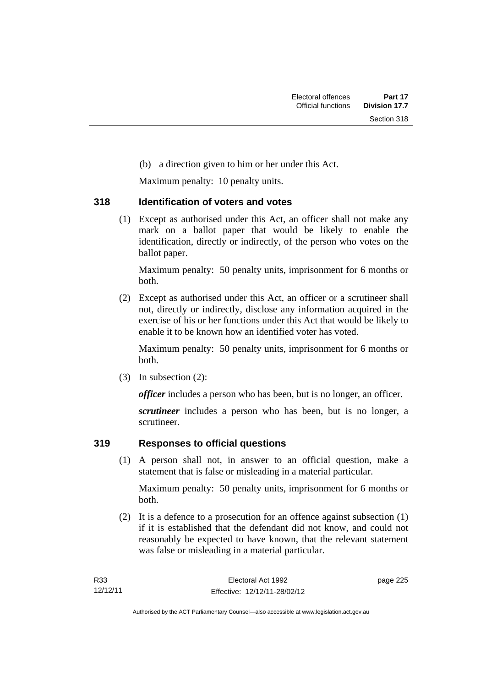(b) a direction given to him or her under this Act.

Maximum penalty: 10 penalty units.

### **318 Identification of voters and votes**

 (1) Except as authorised under this Act, an officer shall not make any mark on a ballot paper that would be likely to enable the identification, directly or indirectly, of the person who votes on the ballot paper.

Maximum penalty: 50 penalty units, imprisonment for 6 months or both.

 (2) Except as authorised under this Act, an officer or a scrutineer shall not, directly or indirectly, disclose any information acquired in the exercise of his or her functions under this Act that would be likely to enable it to be known how an identified voter has voted.

Maximum penalty: 50 penalty units, imprisonment for 6 months or both.

(3) In subsection (2):

*officer* includes a person who has been, but is no longer, an officer.

*scrutineer* includes a person who has been, but is no longer, a scrutineer.

## **319 Responses to official questions**

 (1) A person shall not, in answer to an official question, make a statement that is false or misleading in a material particular.

Maximum penalty: 50 penalty units, imprisonment for 6 months or both.

 (2) It is a defence to a prosecution for an offence against subsection (1) if it is established that the defendant did not know, and could not reasonably be expected to have known, that the relevant statement was false or misleading in a material particular.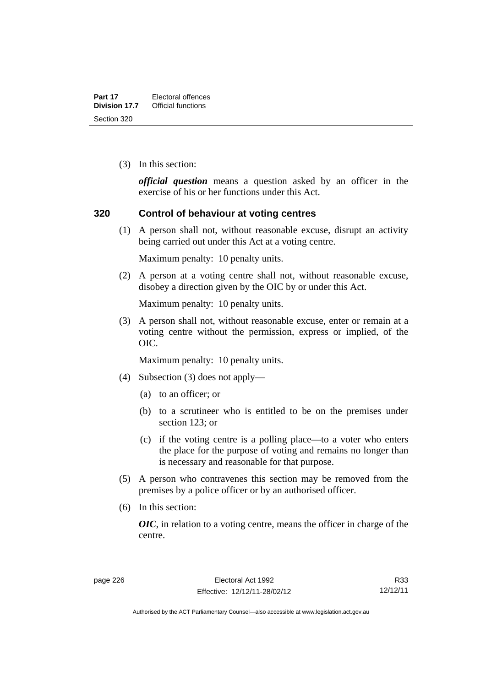(3) In this section:

*official question* means a question asked by an officer in the exercise of his or her functions under this Act.

#### **320 Control of behaviour at voting centres**

 (1) A person shall not, without reasonable excuse, disrupt an activity being carried out under this Act at a voting centre.

Maximum penalty: 10 penalty units.

 (2) A person at a voting centre shall not, without reasonable excuse, disobey a direction given by the OIC by or under this Act.

Maximum penalty: 10 penalty units.

 (3) A person shall not, without reasonable excuse, enter or remain at a voting centre without the permission, express or implied, of the OIC.

Maximum penalty: 10 penalty units.

- (4) Subsection (3) does not apply—
	- (a) to an officer; or
	- (b) to a scrutineer who is entitled to be on the premises under section 123; or
	- (c) if the voting centre is a polling place—to a voter who enters the place for the purpose of voting and remains no longer than is necessary and reasonable for that purpose.
- (5) A person who contravenes this section may be removed from the premises by a police officer or by an authorised officer.
- (6) In this section:

*OIC*, in relation to a voting centre, means the officer in charge of the centre.

R33 12/12/11

Authorised by the ACT Parliamentary Counsel—also accessible at www.legislation.act.gov.au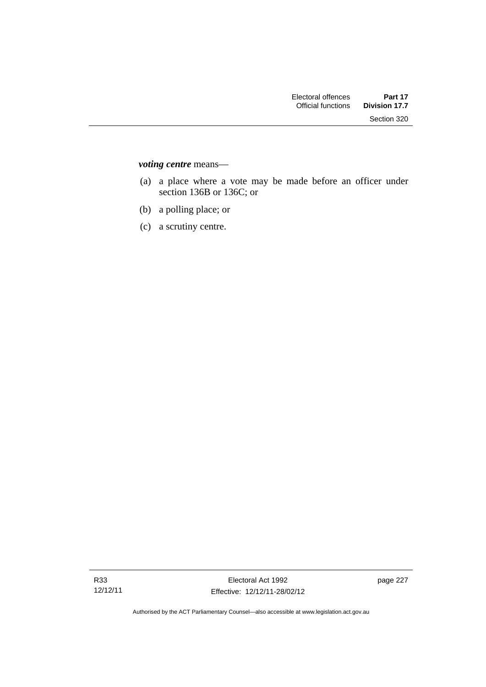*voting centre* means—

- (a) a place where a vote may be made before an officer under section 136B or 136C; or
- (b) a polling place; or
- (c) a scrutiny centre.

page 227

Authorised by the ACT Parliamentary Counsel—also accessible at www.legislation.act.gov.au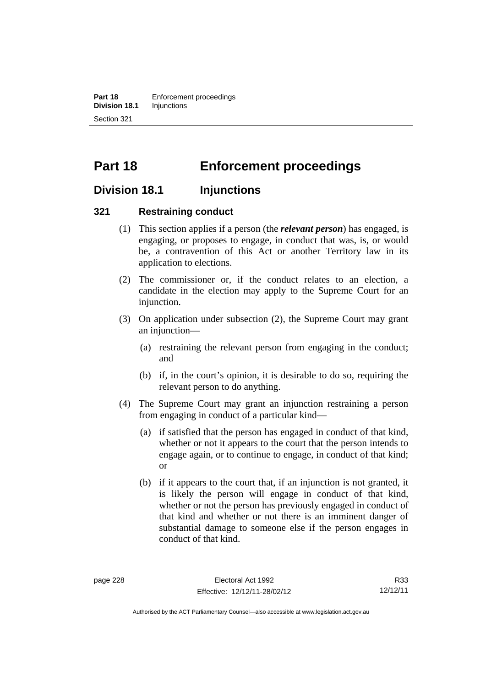**Part 18 Enforcement proceedings Division 18.1** Injunctions Section 321

# **Part 18 Enforcement proceedings**

## **Division 18.1 Injunctions**

### **321 Restraining conduct**

- (1) This section applies if a person (the *relevant person*) has engaged, is engaging, or proposes to engage, in conduct that was, is, or would be, a contravention of this Act or another Territory law in its application to elections.
- (2) The commissioner or, if the conduct relates to an election, a candidate in the election may apply to the Supreme Court for an injunction.
- (3) On application under subsection (2), the Supreme Court may grant an injunction—
	- (a) restraining the relevant person from engaging in the conduct; and
	- (b) if, in the court's opinion, it is desirable to do so, requiring the relevant person to do anything.
- (4) The Supreme Court may grant an injunction restraining a person from engaging in conduct of a particular kind—
	- (a) if satisfied that the person has engaged in conduct of that kind, whether or not it appears to the court that the person intends to engage again, or to continue to engage, in conduct of that kind; or
	- (b) if it appears to the court that, if an injunction is not granted, it is likely the person will engage in conduct of that kind, whether or not the person has previously engaged in conduct of that kind and whether or not there is an imminent danger of substantial damage to someone else if the person engages in conduct of that kind.

R33 12/12/11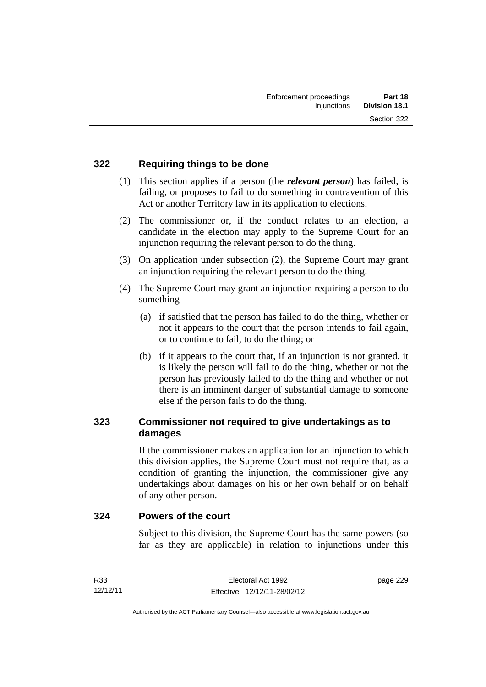### **322 Requiring things to be done**

- (1) This section applies if a person (the *relevant person*) has failed, is failing, or proposes to fail to do something in contravention of this Act or another Territory law in its application to elections.
- (2) The commissioner or, if the conduct relates to an election, a candidate in the election may apply to the Supreme Court for an injunction requiring the relevant person to do the thing.
- (3) On application under subsection (2), the Supreme Court may grant an injunction requiring the relevant person to do the thing.
- (4) The Supreme Court may grant an injunction requiring a person to do something—
	- (a) if satisfied that the person has failed to do the thing, whether or not it appears to the court that the person intends to fail again, or to continue to fail, to do the thing; or
	- (b) if it appears to the court that, if an injunction is not granted, it is likely the person will fail to do the thing, whether or not the person has previously failed to do the thing and whether or not there is an imminent danger of substantial damage to someone else if the person fails to do the thing.

## **323 Commissioner not required to give undertakings as to damages**

If the commissioner makes an application for an injunction to which this division applies, the Supreme Court must not require that, as a condition of granting the injunction, the commissioner give any undertakings about damages on his or her own behalf or on behalf of any other person.

### **324 Powers of the court**

Subject to this division, the Supreme Court has the same powers (so far as they are applicable) in relation to injunctions under this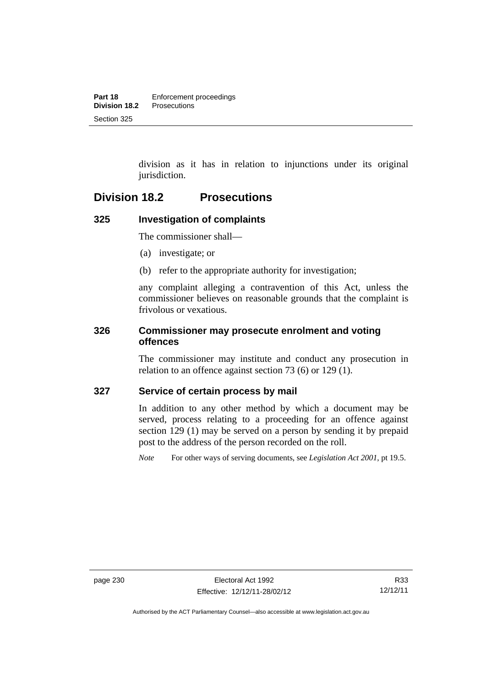division as it has in relation to injunctions under its original jurisdiction.

## **Division 18.2 Prosecutions**

## **325 Investigation of complaints**

The commissioner shall—

- (a) investigate; or
- (b) refer to the appropriate authority for investigation;

any complaint alleging a contravention of this Act, unless the commissioner believes on reasonable grounds that the complaint is frivolous or vexatious.

### **326 Commissioner may prosecute enrolment and voting offences**

The commissioner may institute and conduct any prosecution in relation to an offence against section 73 (6) or 129 (1).

### **327 Service of certain process by mail**

In addition to any other method by which a document may be served, process relating to a proceeding for an offence against section 129 (1) may be served on a person by sending it by prepaid post to the address of the person recorded on the roll.

*Note* For other ways of serving documents, see *Legislation Act 2001*, pt 19.5.

Authorised by the ACT Parliamentary Counsel—also accessible at www.legislation.act.gov.au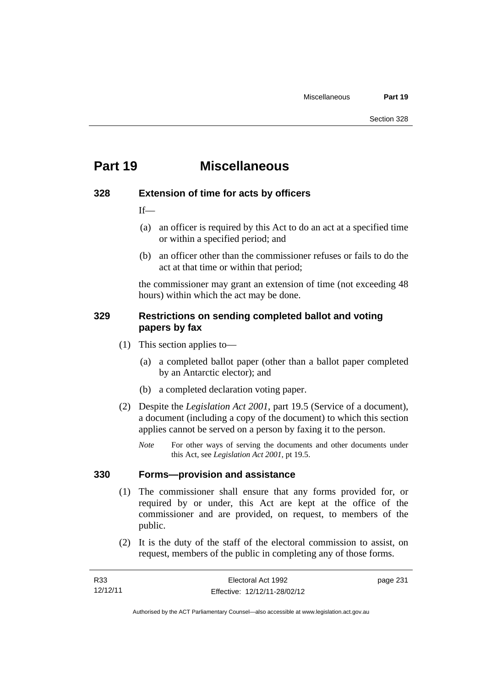# **Part 19 Miscellaneous**

## **328 Extension of time for acts by officers**

 $If$ 

- (a) an officer is required by this Act to do an act at a specified time or within a specified period; and
- (b) an officer other than the commissioner refuses or fails to do the act at that time or within that period;

the commissioner may grant an extension of time (not exceeding 48 hours) within which the act may be done.

## **329 Restrictions on sending completed ballot and voting papers by fax**

- (1) This section applies to—
	- (a) a completed ballot paper (other than a ballot paper completed by an Antarctic elector); and
	- (b) a completed declaration voting paper.
- (2) Despite the *Legislation Act 2001*, part 19.5 (Service of a document), a document (including a copy of the document) to which this section applies cannot be served on a person by faxing it to the person.
	- *Note* For other ways of serving the documents and other documents under this Act, see *Legislation Act 2001*, pt 19.5.

## **330 Forms—provision and assistance**

- (1) The commissioner shall ensure that any forms provided for, or required by or under, this Act are kept at the office of the commissioner and are provided, on request, to members of the public.
- (2) It is the duty of the staff of the electoral commission to assist, on request, members of the public in completing any of those forms.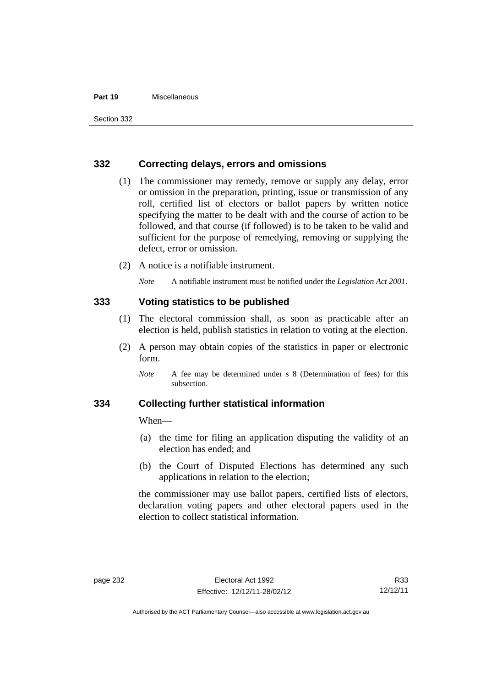#### **Part 19** Miscellaneous

#### **332 Correcting delays, errors and omissions**

- (1) The commissioner may remedy, remove or supply any delay, error or omission in the preparation, printing, issue or transmission of any roll, certified list of electors or ballot papers by written notice specifying the matter to be dealt with and the course of action to be followed, and that course (if followed) is to be taken to be valid and sufficient for the purpose of remedying, removing or supplying the defect, error or omission.
- (2) A notice is a notifiable instrument.

*Note* A notifiable instrument must be notified under the *Legislation Act 2001*.

### **333 Voting statistics to be published**

- (1) The electoral commission shall, as soon as practicable after an election is held, publish statistics in relation to voting at the election.
- (2) A person may obtain copies of the statistics in paper or electronic form.

#### **334 Collecting further statistical information**

When—

- (a) the time for filing an application disputing the validity of an election has ended; and
- (b) the Court of Disputed Elections has determined any such applications in relation to the election;

the commissioner may use ballot papers, certified lists of electors, declaration voting papers and other electoral papers used in the election to collect statistical information.

*Note* A fee may be determined under s 8 (Determination of fees) for this subsection.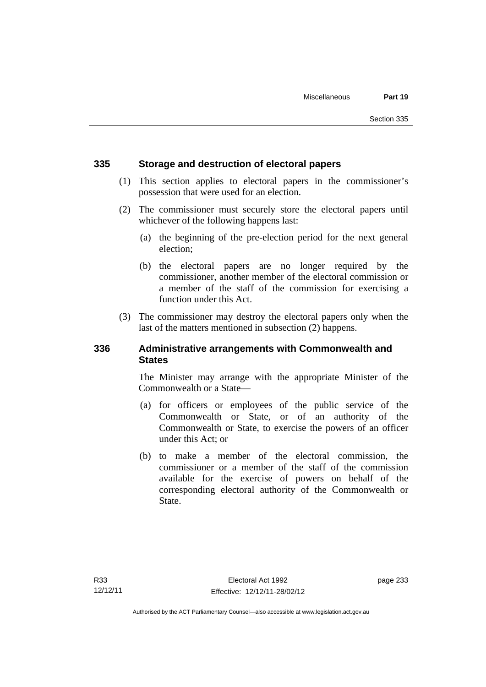### **335 Storage and destruction of electoral papers**

- (1) This section applies to electoral papers in the commissioner's possession that were used for an election.
- (2) The commissioner must securely store the electoral papers until whichever of the following happens last:
	- (a) the beginning of the pre-election period for the next general election;
	- (b) the electoral papers are no longer required by the commissioner, another member of the electoral commission or a member of the staff of the commission for exercising a function under this Act.
- (3) The commissioner may destroy the electoral papers only when the last of the matters mentioned in subsection (2) happens.

### **336 Administrative arrangements with Commonwealth and States**

The Minister may arrange with the appropriate Minister of the Commonwealth or a State—

- (a) for officers or employees of the public service of the Commonwealth or State, or of an authority of the Commonwealth or State, to exercise the powers of an officer under this Act; or
- (b) to make a member of the electoral commission, the commissioner or a member of the staff of the commission available for the exercise of powers on behalf of the corresponding electoral authority of the Commonwealth or State.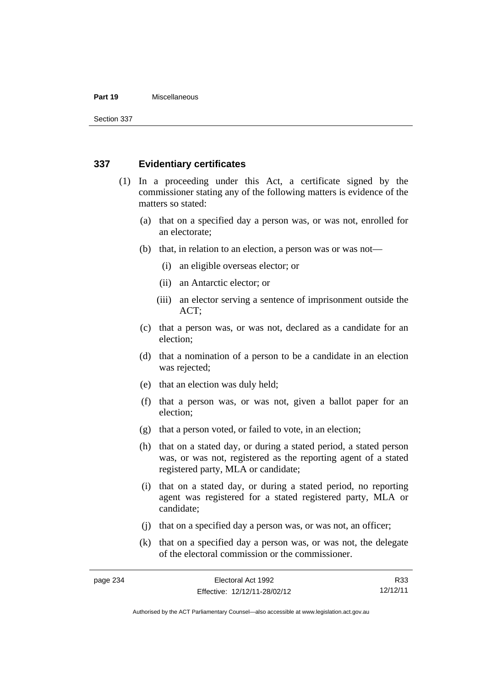#### **Part 19** Miscellaneous

Section 337

### **337 Evidentiary certificates**

- (1) In a proceeding under this Act, a certificate signed by the commissioner stating any of the following matters is evidence of the matters so stated:
	- (a) that on a specified day a person was, or was not, enrolled for an electorate;
	- (b) that, in relation to an election, a person was or was not—
		- (i) an eligible overseas elector; or
		- (ii) an Antarctic elector; or
		- (iii) an elector serving a sentence of imprisonment outside the ACT;
	- (c) that a person was, or was not, declared as a candidate for an election;
	- (d) that a nomination of a person to be a candidate in an election was rejected;
	- (e) that an election was duly held;
	- (f) that a person was, or was not, given a ballot paper for an election;
	- (g) that a person voted, or failed to vote, in an election;
	- (h) that on a stated day, or during a stated period, a stated person was, or was not, registered as the reporting agent of a stated registered party, MLA or candidate;
	- (i) that on a stated day, or during a stated period, no reporting agent was registered for a stated registered party, MLA or candidate;
	- (j) that on a specified day a person was, or was not, an officer;
	- (k) that on a specified day a person was, or was not, the delegate of the electoral commission or the commissioner.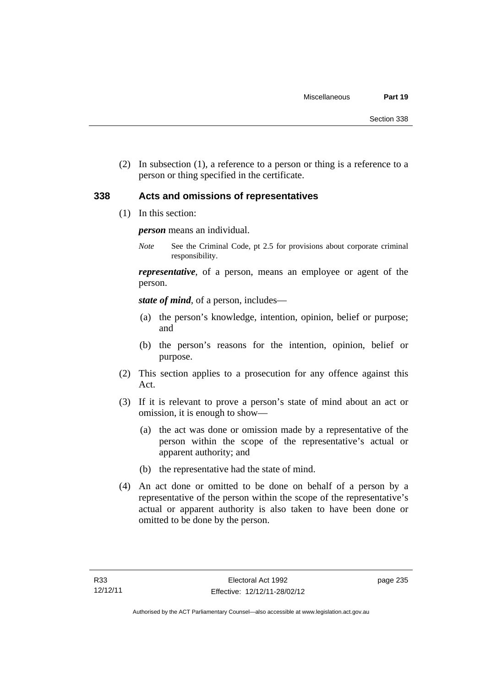(2) In subsection (1), a reference to a person or thing is a reference to a person or thing specified in the certificate.

#### **338 Acts and omissions of representatives**

(1) In this section:

*person* means an individual.

*Note* See the Criminal Code, pt 2.5 for provisions about corporate criminal responsibility.

*representative*, of a person, means an employee or agent of the person.

*state of mind*, of a person, includes—

- (a) the person's knowledge, intention, opinion, belief or purpose; and
- (b) the person's reasons for the intention, opinion, belief or purpose.
- (2) This section applies to a prosecution for any offence against this Act.
- (3) If it is relevant to prove a person's state of mind about an act or omission, it is enough to show—
	- (a) the act was done or omission made by a representative of the person within the scope of the representative's actual or apparent authority; and
	- (b) the representative had the state of mind.
- (4) An act done or omitted to be done on behalf of a person by a representative of the person within the scope of the representative's actual or apparent authority is also taken to have been done or omitted to be done by the person.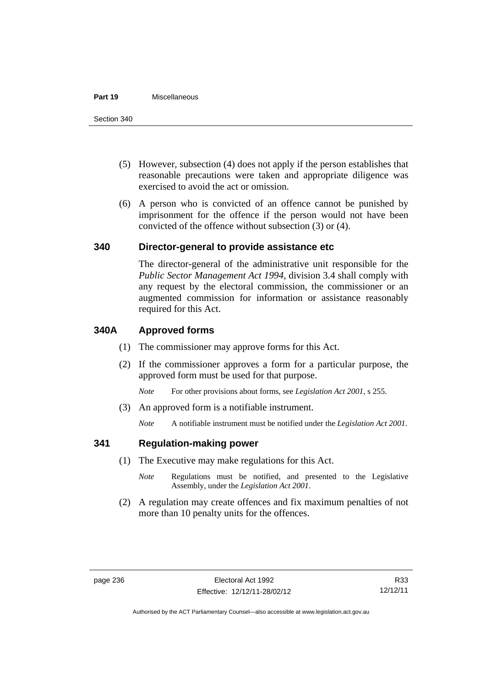#### **Part 19** Miscellaneous

- (5) However, subsection (4) does not apply if the person establishes that reasonable precautions were taken and appropriate diligence was exercised to avoid the act or omission.
- (6) A person who is convicted of an offence cannot be punished by imprisonment for the offence if the person would not have been convicted of the offence without subsection (3) or (4).

#### **340 Director-general to provide assistance etc**

The director-general of the administrative unit responsible for the *Public Sector Management Act 1994*, division 3.4 shall comply with any request by the electoral commission, the commissioner or an augmented commission for information or assistance reasonably required for this Act.

#### **340A Approved forms**

- (1) The commissioner may approve forms for this Act.
- (2) If the commissioner approves a form for a particular purpose, the approved form must be used for that purpose.

*Note* For other provisions about forms, see *Legislation Act 2001*, s 255.

(3) An approved form is a notifiable instrument.

*Note* A notifiable instrument must be notified under the *Legislation Act 2001*.

#### **341 Regulation-making power**

- (1) The Executive may make regulations for this Act.
	- *Note* **Regulations** must be notified, and presented to the Legislative Assembly, under the *Legislation Act 2001*.
- (2) A regulation may create offences and fix maximum penalties of not more than 10 penalty units for the offences.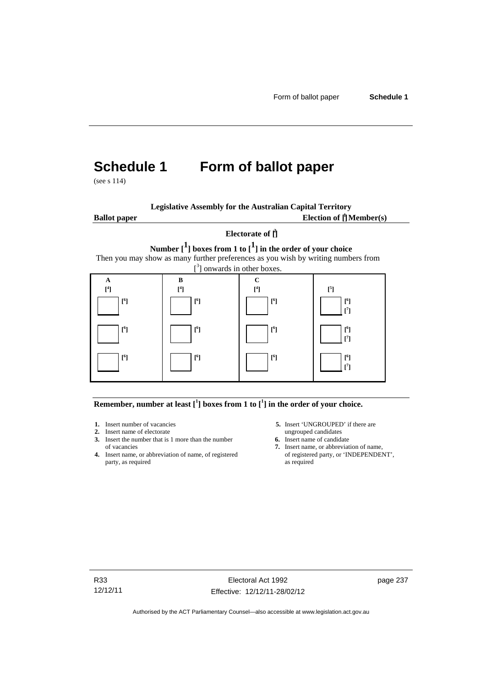# **Schedule 1 Form of ballot paper**

(see s 114)

**Legislative Assembly for the Australian Capital Territory**

**Ballot paper** Election of  $\prod_{i=1}^{n} \text{Member}(s)$ 

#### **Electorate of [ 2 ]**

**Number [1] boxes from 1 to [1] in the order of your choice**  Then you may show as many further preferences as you wish by writing numbers from



**Remember, number at least**  $\begin{bmatrix} 1 \end{bmatrix}$  boxes from 1 to  $\begin{bmatrix} 1 \end{bmatrix}$  in the order of your choice.

- **2.** Insert name of electorate ungrouped candidates
- **3.** Insert the number that is 1 more than the number **6.** Insert name of candidate of vacancies **7.** Insert name, or abbreviate
- **4.** Insert name, or abbreviation of name, of registered party, as required as required
- 1. Insert number of vacancies **5.** Insert 'UNGROUPED' if there are
	-
	- 7. Insert name, or abbreviation of name, of registered party, or 'INDEPENDENT',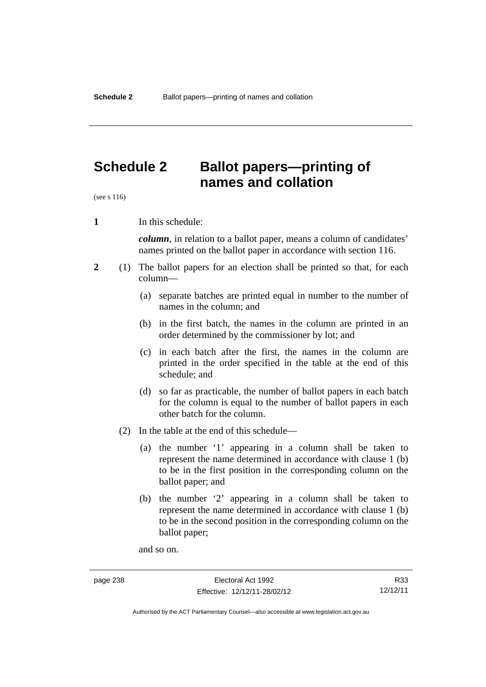# **Schedule 2 Ballot papers—printing of names and collation**

(see s 116)

**1** In this schedule:

*column*, in relation to a ballot paper, means a column of candidates' names printed on the ballot paper in accordance with section 116.

- **2** (1) The ballot papers for an election shall be printed so that, for each column—
	- (a) separate batches are printed equal in number to the number of names in the column; and
	- (b) in the first batch, the names in the column are printed in an order determined by the commissioner by lot; and
	- (c) in each batch after the first, the names in the column are printed in the order specified in the table at the end of this schedule; and
	- (d) so far as practicable, the number of ballot papers in each batch for the column is equal to the number of ballot papers in each other batch for the column.
	- (2) In the table at the end of this schedule—
		- (a) the number '1' appearing in a column shall be taken to represent the name determined in accordance with clause 1 (b) to be in the first position in the corresponding column on the ballot paper; and
		- (b) the number '2' appearing in a column shall be taken to represent the name determined in accordance with clause 1 (b) to be in the second position in the corresponding column on the ballot paper;

and so on.

R33 12/12/11

Authorised by the ACT Parliamentary Counsel—also accessible at www.legislation.act.gov.au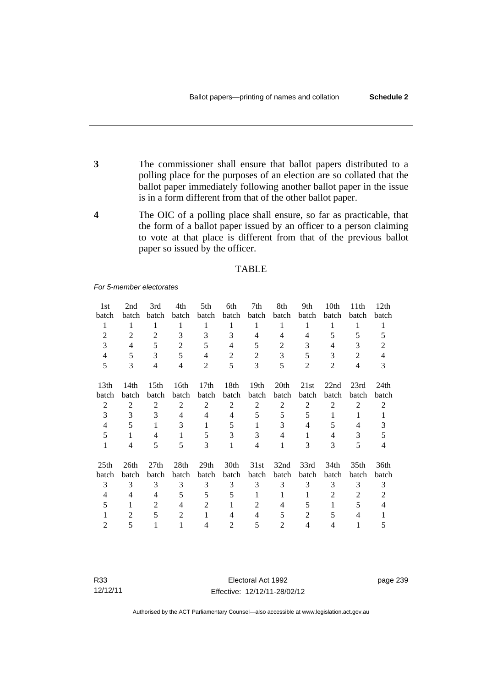- **3** The commissioner shall ensure that ballot papers distributed to a polling place for the purposes of an election are so collated that the ballot paper immediately following another ballot paper in the issue is in a form different from that of the other ballot paper.
- **4** The OIC of a polling place shall ensure, so far as practicable, that the form of a ballot paper issued by an officer to a person claiming to vote at that place is different from that of the previous ballot paper so issued by the officer.

#### TABLE

*For 5-member electorates*

| 1st              | 2nd            | 3rd              | 4th            | 5th            | 6th            | 7th            | 8th            | 9th            | 10th           | 11 <sup>th</sup> | 12 <sub>th</sub> |
|------------------|----------------|------------------|----------------|----------------|----------------|----------------|----------------|----------------|----------------|------------------|------------------|
| batch            | batch          | batch            | batch          | batch          | batch          | batch          | batch          | batch          | batch          | batch            | batch            |
| 1                | 1              | 1                | 1              | 1              | 1              | 1              | 1              | 1              | 1              | 1                | 1                |
| 2                | 2              | 2                | 3              | 3              | 3              | 4              | 4              | 4              | 5              | 5                | 5                |
| 3                | 4              | 5                | $\overline{2}$ | 5              | 4              | 5              | 2              | 3              | 4              | 3                | $\overline{c}$   |
| 4                | 5              | 3                | 5              | $\overline{4}$ | 2              | $\overline{2}$ | 3              | 5              | 3              | 2                | 4                |
| 5                | 3              | $\overline{4}$   | $\overline{4}$ | $\overline{2}$ | 5              | 3              | 5              | $\overline{2}$ | $\overline{2}$ | $\overline{4}$   | 3                |
| 13 <sub>th</sub> | 14th           | 15 <sub>th</sub> | 16th           | 17th           | 18th           | 19th           | 20th           | 21st           | 22nd           | 23rd             | 24 <sub>th</sub> |
| batch            | batch          | batch            | batch          | batch          | batch          | batch          | batch          | <b>batch</b>   | batch          | batch            | batch            |
| 2                | $\overline{2}$ | 2                | $\overline{2}$ | $\overline{2}$ | 2              | $\overline{2}$ | 2              | 2              | $\overline{2}$ | $\overline{2}$   | $\overline{2}$   |
| 3                | 3              | 3                | $\overline{4}$ | 4              | 4              | 5              | 5              | 5              | 1              | 1                | 1                |
| 4                | 5              | 1                | 3              | 1              | 5              |                | 3              | 4              | 5              | 4                | 3                |
| 5                | 1              | 4                | 1              | 5              | 3              | 3              | 4              | 1              | $\overline{4}$ | 3                | 5                |
| $\mathbf{1}$     | 4              | 5                | 5              | 3              | 1              | 4              | 1              | 3              | 3              | 5                | 4                |
| 25 <sub>th</sub> | 26th           | 27 <sub>th</sub> | 28th           | 29th           | 30th           | 31st           | 32nd           | 33rd           | 34th           | 35th             | 36th             |
| batch            | batch          | batch            | batch          | batch          | batch          | batch          | batch          | batch          | batch          | batch            | batch            |
| 3                | 3              | 3                | 3              | 3              | 3              | 3              | 3              | 3              | 3              | 3                | 3                |
| 4                | 4              | 4                | 5              | 5              | 5              |                | 1              | 1              | 2              | 2                | 2                |
| 5                | 1              | 2                | $\overline{4}$ | $\overline{c}$ | 1              | $\mathfrak{D}$ | 4              | 5              | 1              | 5                | 4                |
|                  | $\overline{c}$ | 5                | $\overline{2}$ | 1              | 4              | 4              | 5              | 2              | 5              |                  |                  |
| 2                | 5              |                  |                | 4              | $\overline{c}$ | 5              | $\overline{c}$ | 4              | 4              |                  | 5                |

R33 12/12/11

Electoral Act 1992 Effective: 12/12/11-28/02/12 page 239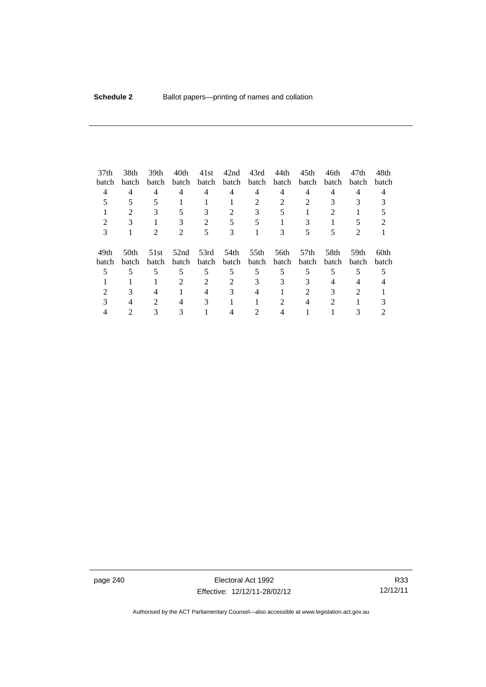| 37 <sub>th</sub> | 38th                        | 39th         | 40th                        | 41st           | 42nd  | 43rd  | 44th  | 45th             | 46th  | 47th         | 48th  |
|------------------|-----------------------------|--------------|-----------------------------|----------------|-------|-------|-------|------------------|-------|--------------|-------|
| batch            | batch                       | <b>batch</b> | batch                       | batch          | batch | batch | batch | batch            | batch | <b>batch</b> | batch |
| 4                | 4                           | 4            | 4                           | 4              | 4     | 4     | 4     | 4                | 4     | 4            | 4     |
|                  |                             |              |                             |                |       | 2     |       |                  |       |              |       |
|                  | $\mathcal{D}_{\mathcal{A}}$ |              |                             |                | 2     | 3     |       |                  | 2     |              |       |
|                  |                             |              |                             | $\mathfrak{D}$ |       |       |       |                  |       |              |       |
| 3                |                             |              | $\mathcal{D}_{\mathcal{L}}$ | 5              | 3     |       |       |                  |       | 2            |       |
| 49th             | 50th                        | 51st         | 52nd                        | 53rd           | 54th  | 55th  | 56th  | 57 <sub>th</sub> | 58th  | 59th         | 60th  |
| <b>batch</b>     | batch                       | batch        | batch                       | batch          | batch | batch | batch | batch            | batch | batch        | batch |
|                  | 5                           |              |                             | 5              | 5     | 5     |       |                  | 5     |              |       |
|                  |                             |              | $\mathfrak{D}$              |                |       | 3     | 3     | 3                | 4     | 4            |       |
|                  |                             |              |                             |                |       |       |       |                  |       |              |       |
|                  |                             |              | 4                           | 3              |       |       |       |                  | 2     |              |       |
|                  |                             |              |                             |                |       |       |       |                  |       |              |       |

page 240 **Electoral Act 1992** Effective: 12/12/11-28/02/12

R33 12/12/11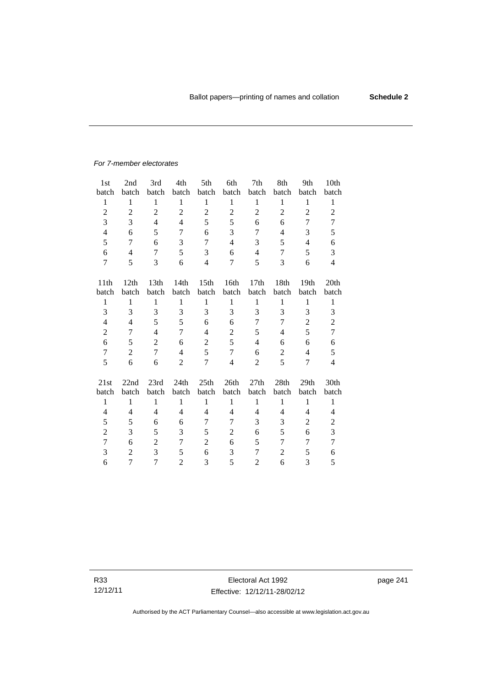# *For 7-member electorates*

| 1st              | 2nd            | 3rd            | 4th            | 5th              | 6th            | 7th              | 8th            | 9th            | 10th           |
|------------------|----------------|----------------|----------------|------------------|----------------|------------------|----------------|----------------|----------------|
| batch            | batch          | batch          | batch          | batch            | batch          | batch            | batch          | batch          | batch          |
| $\mathbf{1}$     | $\mathbf{1}$   | $\mathbf{1}$   | $\mathbf{1}$   | $\mathbf{1}$     | $\mathbf{1}$   | $\mathbf{1}$     | $\mathbf{1}$   | $\mathbf{1}$   | $\mathbf{1}$   |
| $\overline{2}$   | $\overline{2}$ | $\overline{2}$ | $\overline{2}$ | $\overline{2}$   | $\overline{c}$ | $\overline{2}$   | $\overline{2}$ | $\overline{2}$ | $\overline{2}$ |
| 3                | 3              | $\overline{4}$ | $\overline{4}$ | 5                | 5              | 6                | 6              | 7              | 7              |
| $\overline{4}$   | 6              | 5              | 7              | 6                | 3              | 7                | $\overline{4}$ | 3              | 5              |
| 5                |                |                |                |                  |                |                  |                |                |                |
|                  | 7              | 6              | 3              | 7                | $\overline{4}$ | 3                | 5              | 4              | 6              |
| 6                | $\overline{4}$ | 7              | 5              | 3                | 6              | $\overline{4}$   | 7              | 5              | 3              |
| 7                | 5              | 3              | 6              | $\overline{4}$   | 7              | 5                | 3              | 6              | $\overline{4}$ |
| 11 <sup>th</sup> | 12th           | 13th           | 14th           | 15 <sub>th</sub> | 16th           | 17 <sub>th</sub> | 18th           | 19th           | 20th           |
| batch            | batch          | batch          | batch          | batch            | batch          | batch            | batch          | batch          | batch          |
| $\mathbf{1}$     | $\mathbf{1}$   | $\mathbf{1}$   | $\mathbf{1}$   | $\mathbf{1}$     | $\mathbf{1}$   | $\mathbf{1}$     | $\mathbf{1}$   | 1              | 1              |
| 3                | 3              | 3              | 3              | 3                | 3              | 3                | 3              | 3              | 3              |
| $\overline{4}$   | 4              | 5              | 5              | 6                | 6              | 7                | 7              | $\overline{c}$ | $\overline{c}$ |
| $\overline{2}$   | 7              | $\overline{4}$ | 7              | $\overline{4}$   | $\overline{2}$ | 5                | $\overline{4}$ | 5              | $\overline{7}$ |
| 6                | 5              | $\overline{2}$ | 6              | $\overline{2}$   | 5              | $\overline{4}$   | 6              | 6              | 6              |
| 7                | $\overline{2}$ | 7              | 4              | 5                | $\tau$         | 6                | 2              | $\overline{4}$ | 5              |
| 5                | 6              | 6              | $\overline{2}$ | $\overline{7}$   | $\overline{4}$ | $\overline{2}$   | 5              | 7              | $\overline{4}$ |
| 21st             | 22nd           | 23rd           | 24th           | 25th             | 26th           | 27th             | 28th           | 29th           | 30th           |
| batch            | batch          | batch          | batch          | batch            | batch          | batch            | batch          | batch          | batch          |
| $\mathbf{1}$     | $\mathbf{1}$   | $\mathbf{1}$   | $\mathbf{1}$   | $\mathbf{1}$     | $\mathbf{1}$   | $\mathbf{1}$     | $\mathbf{1}$   | $\mathbf{1}$   | $\mathbf{1}$   |
| $\overline{4}$   | 4              | $\overline{4}$ | $\overline{4}$ | 4                | 4              | 4                | 4              | 4              | 4              |
| 5                | 5              | 6              | 6              | 7                | 7              | 3                | 3              | 2              | $\overline{c}$ |
|                  |                |                |                |                  |                |                  |                |                |                |
| $\overline{c}$   | 3              | 5              | 3              | 5                | $\overline{c}$ | 6                | 5              | 6              | 3              |
| 7                | 6              | $\overline{2}$ | 7              | $\overline{2}$   | 6              | 5                | 7              | 7              | $\overline{7}$ |
| 3                | $\overline{2}$ | 3              | 5              | 6                | 3              | 7                | 2              | 5              | 6              |
| 6                | 7              | 7              | $\overline{2}$ | 3                | 5              | $\overline{2}$   | 6              | 3              | 5              |

R33 12/12/11 page 241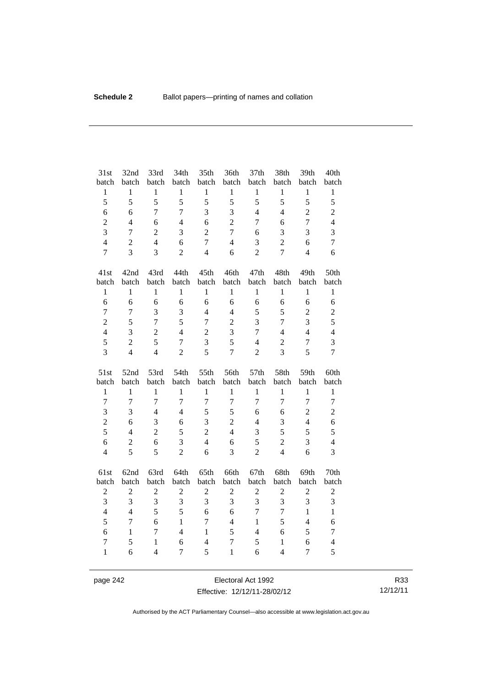| 31st                           | 32nd             | 33rd                                    | 34th           | 35th                | 36th                           | 37th           | 38th                           | 39th             | 40th                |
|--------------------------------|------------------|-----------------------------------------|----------------|---------------------|--------------------------------|----------------|--------------------------------|------------------|---------------------|
| batch                          | batch            | batch                                   | batch          | batch               | batch                          | batch          | batch                          | batch            | batch               |
| $\mathbf 1$                    | $\,1$            | $\mathbf{1}$                            | $\mathbf{1}$   | $\mathbf{1}$        | $\,1$                          | $\mathbf{1}$   | $\mathbf{1}$                   | $\mathbf{1}$     | $\mathbf{1}$        |
| 5                              | 5                | 5                                       | 5              | 5                   | 5                              | 5              | 5                              | 5                | 5                   |
| 6                              | 6                | $\overline{7}$                          | $\overline{7}$ | 3                   | 3                              | $\overline{4}$ | $\overline{4}$                 | $\overline{2}$   | $\overline{c}$      |
| $\overline{2}$                 | $\overline{4}$   | 6                                       | $\overline{4}$ | 6                   | $\overline{2}$                 | 7              | 6                              | $\overline{7}$   | $\overline{4}$      |
| 3                              | $\tau$           | $\overline{2}$                          | 3              | $\overline{2}$      | $\overline{7}$                 | 6              | 3                              | 3                | 3                   |
| $\overline{4}$                 | $\overline{2}$   | $\overline{4}$                          | 6              | $\overline{7}$      | $\overline{4}$                 | 3              | $\overline{2}$                 | 6                | $\overline{7}$      |
| $\overline{7}$                 | 3                | $\overline{3}$                          | $\overline{2}$ | $\overline{4}$      | 6                              | $\overline{2}$ | $\overline{7}$                 | $\overline{4}$   | 6                   |
| 41st                           | 42nd             | 43rd                                    | 44th           | 45th                | 46th                           | 47th           | 48th                           | 49th             | 50th                |
| batch                          | batch            | batch                                   | batch          | batch               | batch                          | batch          | batch                          | batch            | batch               |
| $\mathbf{1}$                   | $\mathbf{1}$     | $\mathbf{1}$                            | $\mathbf{1}$   | $\mathbf{1}$        | $\mathbf{1}$                   | $\mathbf{1}$   | $\mathbf{1}$                   | $\mathbf{1}$     | $\mathbf{1}$        |
| 6                              | 6                | 6                                       | 6              | 6                   | 6                              | 6              | 6                              | 6                | 6                   |
| $\tau$                         | $\overline{7}$   | $\overline{3}$                          | 3              | $\overline{4}$      | $\overline{4}$                 | 5              | 5                              | $\boldsymbol{2}$ | $\overline{c}$      |
| $\overline{2}$                 | 5                | $\overline{7}$                          | 5              | $\overline{7}$      | $\overline{2}$                 | 3              | 7                              | $\overline{3}$   | 5                   |
| $\overline{4}$                 | 3                | $\overline{2}$                          | $\overline{4}$ | $\overline{2}$      | 3                              | $\overline{7}$ | $\overline{4}$                 | $\overline{4}$   | $\overline{4}$      |
| 5                              | $\sqrt{2}$       | 5                                       | $\overline{7}$ | 3                   | 5                              | $\overline{4}$ | $\overline{2}$                 | $\overline{7}$   | 3                   |
| 3                              | $\overline{4}$   | $\overline{4}$                          | $\overline{2}$ | 5                   | $\overline{7}$                 | $\overline{2}$ | $\overline{3}$                 | 5                | $\overline{7}$      |
|                                |                  |                                         |                |                     |                                |                |                                |                  |                     |
| 51st                           | 52nd             | 53rd                                    | 54th           | 55th                | 56th                           | 57th           | 58th                           | 59th             | 60th                |
| batch                          | batch            | batch                                   | batch          | batch               | batch                          | batch          | batch                          | batch            | batch               |
| $\mathbf{1}$                   | $\mathbf{1}$     | $\mathbf{1}$                            | $\mathbf{1}$   | $\mathbf{1}$        | $\mathbf{1}$                   | $\mathbf{1}$   | $\mathbf{1}$                   | $\mathbf{1}$     | $\mathbf{1}$        |
| $\overline{7}$                 | $\overline{7}$   | $\overline{7}$                          | $\overline{7}$ | $\overline{7}$      | $\overline{7}$                 | $\overline{7}$ | $\overline{7}$                 | $\overline{7}$   | $\overline{7}$      |
| 3                              | 3                | $\overline{4}$                          | $\overline{4}$ | 5                   | 5                              | 6              | 6                              | $\overline{2}$   | $\overline{c}$      |
| $\overline{c}$                 | 6                | 3                                       | 6              | 3                   | $\overline{2}$                 | $\overline{4}$ | 3                              | $\overline{4}$   | 6                   |
| 5                              | $\overline{4}$   | $\overline{2}$                          | 5              | $\overline{2}$      | $\overline{4}$                 | 3              | 5                              | 5                | 5                   |
| 6                              | $\mathbf{2}$     | $\sqrt{6}$                              | 3              | $\overline{4}$      | 6                              | 5              | $\overline{c}$                 | 3                | $\overline{4}$      |
| $\overline{4}$                 | 5                | 5                                       | $\overline{c}$ | 6                   | 3                              | $\overline{2}$ | $\overline{4}$                 | 6                | $\overline{3}$      |
| 61st                           | 62nd             | 63rd                                    | 64th           | 65th                | 66th                           | 67th           | 68th                           | 69th             | 70th                |
| batch                          | batch            | batch                                   | batch          | batch               | batch                          | batch          | batch                          | batch            | batch               |
| $\boldsymbol{2}$               | $\boldsymbol{2}$ | $\overline{2}$                          | $\sqrt{2}$     | $\sqrt{2}$          | $\boldsymbol{2}$               | $\mathbf{2}$   | $\overline{c}$                 | $\boldsymbol{2}$ | $\overline{c}$      |
| 3                              | 3                | 3                                       | 3              | 3                   | 3                              | 3              | $\overline{3}$                 | 3                | 3                   |
| $\overline{4}$                 | $\overline{4}$   | 5                                       | 5              | 6                   | 6                              | $\tau$         | $\tau$                         | $\mathbf{1}$     | $\mathbf{1}$        |
| 5                              | $\overline{7}$   | 6                                       | $\mathbf{1}$   | $\overline{7}$      | $\overline{4}$                 | $\mathbf{1}$   | 5                              | $\overline{4}$   | 6                   |
| 6                              | $\mathbf{1}$     | $\overline{7}$                          | $\overline{4}$ | $\mathbf{1}$        | 5                              | $\overline{4}$ | 6                              | 5                | $\tau$              |
| $\overline{7}$<br>$\mathbf{1}$ | 5<br>6           | $\mathbf{1}$<br>$\overline{\mathbf{4}}$ | 6              | $\overline{4}$<br>5 | $\overline{7}$<br>$\mathbf{1}$ | 5<br>6         | $\mathbf{1}$<br>$\overline{4}$ | 6<br>$\tau$      | $\overline{4}$<br>5 |

page 242 **Electoral Act 1992** Effective: 12/12/11-28/02/12

R33 12/12/11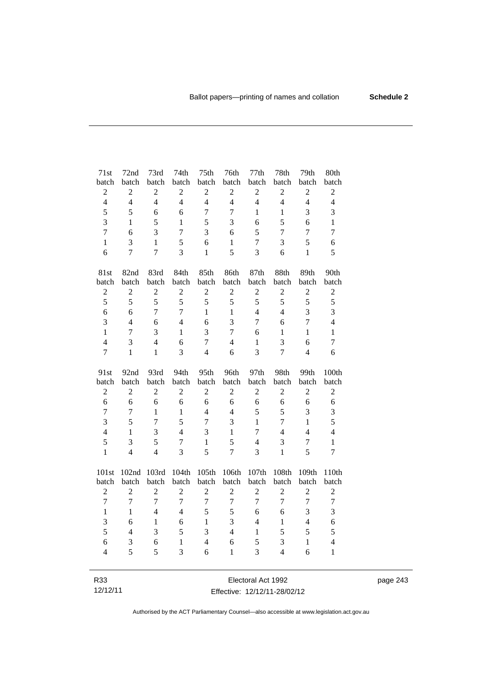| 71st           | 72nd           | 73rd           | 74th           | 75th           | 76th             | 77th           | 78th             | 79th             | 80th             |
|----------------|----------------|----------------|----------------|----------------|------------------|----------------|------------------|------------------|------------------|
| batch          | batch          | batch          | batch          | batch          | batch            | batch          | batch            | batch            | batch            |
| $\sqrt{2}$     | $\overline{c}$ | $\overline{c}$ | $\overline{2}$ | $\sqrt{2}$     | $\overline{c}$   | $\mathbf{2}$   | $\overline{c}$   | $\overline{2}$   | $\sqrt{2}$       |
| $\overline{4}$ | $\overline{4}$ | $\overline{4}$ | $\overline{4}$ | $\overline{4}$ | $\overline{4}$   | $\overline{4}$ | $\overline{4}$   | $\overline{4}$   | $\overline{4}$   |
| 5              | 5              | 6              | 6              | $\overline{7}$ | $\overline{7}$   | 1              | $\mathbf{1}$     | 3                | 3                |
| 3              | $\mathbf{1}$   | 5              | 1              | 5              | 3                | 6              | 5                | 6                | $\mathbf{1}$     |
| $\overline{7}$ | 6              | $\overline{3}$ | $\overline{7}$ | 3              | 6                | 5              | $\boldsymbol{7}$ | $\overline{7}$   | $\overline{7}$   |
| $\mathbf{1}$   | 3              | $\mathbf{1}$   | 5              | 6              | $\mathbf{1}$     | $\tau$         | 3                | 5                | 6                |
| 6              | $\overline{7}$ | $\overline{7}$ | 3              | $\mathbf{1}$   | 5                | 3              | 6                | $\mathbf{1}$     | 5                |
| 81st           | 82nd           | 83rd           | 84th           | 85th           | 86th             | 87th           | 88th             | 89th             | 90th             |
| batch          | batch          | batch          | batch          | batch          | batch            | batch          | batch            | batch            | batch            |
| $\sqrt{2}$     | $\overline{c}$ | $\overline{2}$ | $\overline{2}$ | $\overline{c}$ | $\mathfrak{2}$   | $\mathfrak{2}$ | $\overline{c}$   | $\boldsymbol{2}$ | $\boldsymbol{2}$ |
| 5              | 5              | 5              | 5              | 5              | 5                | 5              | 5                | 5                | 5                |
| 6              | 6              | $\overline{7}$ | $\overline{7}$ | $\mathbf{1}$   | $\mathbf{1}$     | $\overline{4}$ | $\overline{4}$   | 3                | 3                |
| 3              | $\overline{4}$ | 6              | $\overline{4}$ | 6              | $\overline{3}$   | 7              | 6                | $\overline{7}$   | $\overline{4}$   |
| $\mathbf{1}$   | $\overline{7}$ | 3              | $\mathbf{1}$   | $\overline{3}$ | $\overline{7}$   | 6              | $\mathbf{1}$     | $\mathbf{1}$     | $\mathbf{1}$     |
| $\overline{4}$ | 3              | $\overline{4}$ | 6              | $\overline{7}$ | $\overline{4}$   | $\mathbf{1}$   | 3                | 6                | $\tau$           |
| $\overline{7}$ | $\mathbf{1}$   | $\mathbf{1}$   | 3              | $\overline{4}$ | 6                | 3              | $\overline{7}$   | $\overline{4}$   | 6                |
|                |                |                |                |                |                  |                |                  |                  |                  |
| 91st           | 92nd           | 93rd           | 94th           | 95th           | 96th             | 97th           | 98th             | 99th             | 100th            |
| batch          | batch          | batch          | batch          | batch          | batch            | batch          | batch            | batch            | batch            |
| $\sqrt{2}$     | $\overline{c}$ | $\overline{2}$ | $\overline{2}$ | $\overline{c}$ | $\mathbf{2}$     | $\mathbf{2}$   | $\overline{2}$   | $\mathbf{2}$     | $\mathfrak 2$    |
| 6              | 6              | 6              | 6              | 6              | 6                | 6              | 6                | 6                | $\sqrt{6}$       |
| $\overline{7}$ | 7              | $\mathbf{1}$   | $\mathbf{1}$   | $\overline{4}$ | $\overline{4}$   | 5              | 5                | 3                | 3                |
| 3              | 5              | $\overline{7}$ | 5              | $\overline{7}$ | 3                | $\mathbf{1}$   | $\overline{7}$   | $\mathbf{1}$     | 5                |
| $\overline{4}$ | $\mathbf{1}$   | 3              | $\overline{4}$ | 3              | $\mathbf{1}$     | $\overline{7}$ | $\overline{4}$   | $\overline{4}$   | $\overline{4}$   |
| 5              | 3              | 5              | $\overline{7}$ | $\mathbf{1}$   | 5                | $\overline{4}$ | 3                | $\overline{7}$   | $\mathbf{1}$     |
| $\mathbf{1}$   | $\overline{4}$ | $\overline{4}$ | 3              | 5              | $\overline{7}$   | 3              | $\mathbf{1}$     | 5                | $\overline{7}$   |
| 101st          | 102nd          | 103rd          | 104th          | 105th          | 106th            | 107th          | 108th            | 109th            | 110th            |
| batch          | batch          | batch          | batch          | batch          | batch            | batch          | batch            | batch            | batch            |
| $\overline{c}$ | $\overline{c}$ | $\overline{c}$ | $\overline{2}$ | $\overline{c}$ | $\overline{2}$   | $\overline{2}$ | $\overline{c}$   | $\overline{c}$   | $\overline{2}$   |
| $\overline{7}$ | $\overline{7}$ | $\overline{7}$ | $\overline{7}$ | $\overline{7}$ | $\boldsymbol{7}$ | $\overline{7}$ | $\overline{7}$   | $\overline{7}$   | $\overline{7}$   |
| $\mathbf{1}$   | $\mathbf{1}$   | $\overline{4}$ | $\overline{4}$ | 5              | 5                | 6              | 6                | 3                | 3                |
| 3              | 6              | $\mathbf{1}$   | 6              | $\mathbf{1}$   | 3                | $\overline{4}$ | $\mathbf{1}$     | $\overline{4}$   | 6                |
| 5              | $\overline{4}$ | 3              | 5              | $\mathfrak{Z}$ | $\overline{4}$   | $\mathbf{1}$   | 5                | 5                | 5                |
| 6              | 3              | 6              | $\mathbf{1}$   | $\overline{4}$ | 6                | 5              | 3                | $\mathbf{1}$     | $\overline{4}$   |
| $\overline{4}$ | 5              | 5              | 3              | 6              | $\mathbf{1}$     | 3              | $\overline{4}$   | 6                | $\mathbf{1}$     |

page 243

R33 12/12/11

Electoral Act 1992 Effective: 12/12/11-28/02/12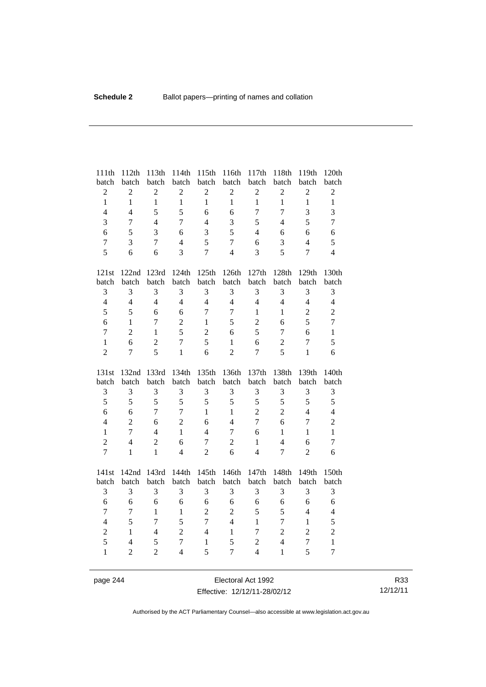| 111th                   | 112th                            | 113th               | 114th                            | 115th             | 116th               | 117th                            | 118th                          | 119th                 | 120th                          |
|-------------------------|----------------------------------|---------------------|----------------------------------|-------------------|---------------------|----------------------------------|--------------------------------|-----------------------|--------------------------------|
| batch                   | batch                            | batch               | batch                            | batch             | batch               | batch                            | batch                          | batch                 | batch                          |
| $\overline{c}$          | $\overline{c}$                   | $\overline{c}$      | $\overline{c}$                   | $\sqrt{2}$        | $\overline{c}$      | $\overline{c}$                   | $\sqrt{2}$                     | $\overline{c}$        | $\sqrt{2}$                     |
| $\mathbf{1}$            | $\mathbf{1}$                     | $\mathbf{1}$        | $\mathbf{1}$                     | $\mathbf{1}$      | $\mathbf{1}$        | $\mathbf{1}$                     | $\mathbf{1}$                   | $\mathbf{1}$          | $\mathbf{1}$                   |
| $\overline{4}$          | $\overline{4}$                   | 5                   | 5                                | 6                 | 6                   | $\overline{7}$                   | $\overline{7}$                 | 3                     | 3                              |
| 3                       | $\overline{7}$                   | $\overline{4}$      | $\overline{7}$                   | $\overline{4}$    | 3                   | 5                                | $\overline{4}$                 | 5                     | $\overline{7}$                 |
| 6                       | 5                                | 3                   | 6                                | $\mathfrak{Z}$    | 5                   | $\overline{4}$                   | 6                              | 6                     | 6                              |
| $\boldsymbol{7}$        | 3                                | $\overline{7}$      | $\overline{4}$                   | 5                 | $\tau$              | 6                                | 3                              | $\overline{4}$        | 5                              |
| 5                       | 6                                | 6                   | 3                                | $\overline{7}$    | $\overline{4}$      | 3                                | 5                              | $\overline{7}$        | $\overline{4}$                 |
| 121st                   | 122nd                            | 123rd               | 124th                            | 125th             | 126th               | 127th                            | 128th                          | 129th                 | 130th                          |
| batch                   | batch                            | batch               | batch                            | batch             | batch               | batch                            | batch                          | batch                 | batch                          |
| 3                       | 3                                | 3                   | 3                                | 3                 | 3                   | 3                                | $\mathfrak{Z}$                 | 3                     | 3                              |
| $\overline{4}$          | $\overline{4}$                   | $\overline{4}$      | $\overline{4}$                   | $\overline{4}$    | $\overline{4}$      | $\overline{4}$                   | $\overline{4}$                 | $\overline{4}$        | $\overline{4}$                 |
| 5                       | 5                                | 6                   | 6                                | $\overline{7}$    | $\overline{7}$      | $\mathbf{1}$                     | $\mathbf{1}$                   | $\overline{2}$        | $\overline{2}$                 |
| 6                       | $\mathbf{1}$                     | $\overline{7}$      | $\overline{c}$                   | $\mathbf{1}$      | 5                   | $\overline{c}$                   | 6                              | 5                     | $\overline{7}$                 |
| $\overline{7}$          | $\overline{2}$                   | $\mathbf{1}$        | 5                                | $\sqrt{2}$        | 6                   | 5                                | $\overline{7}$                 | 6                     | $\mathbf{1}$                   |
| $\mathbf{1}$            | 6                                | $\overline{2}$      | $\overline{7}$                   | 5                 | $\mathbf{1}$        | 6                                | $\sqrt{2}$                     | $\tau$                | 5                              |
| $\overline{2}$          | $\overline{7}$                   | 5                   | $\mathbf{1}$                     | 6                 | $\overline{2}$      | $\overline{7}$                   | 5                              | $\mathbf{1}$          | 6                              |
|                         |                                  |                     |                                  |                   |                     |                                  |                                |                       |                                |
| 131st                   | 132nd                            | 133rd               | 134th                            | 135th             | 136th               | 137th                            | 138th                          | 139th                 | 140th                          |
| batch                   | batch                            | batch               | batch                            | batch             | batch               | batch                            | batch                          | batch                 | batch                          |
| 3                       | 3                                | 3                   | 3                                | 3                 | 3                   | 3                                | $\mathfrak{Z}$                 | 3                     | $\mathfrak{Z}$                 |
| 5                       | 5                                | 5                   | 5                                | 5                 | 5                   | 5                                | 5                              | 5                     | 5                              |
| 6                       | 6                                | $\overline{7}$      | $\overline{7}$                   | $\mathbf{1}$      | $\mathbf{1}$        | $\sqrt{2}$                       | $\overline{2}$                 | $\overline{4}$        | $\overline{4}$                 |
| $\overline{\mathbf{4}}$ | $\overline{c}$                   | 6                   | $\overline{2}$                   | 6                 | $\overline{4}$      | $\overline{7}$                   | 6                              | $\boldsymbol{7}$      | $\overline{c}$                 |
| $\mathbf{1}$            | $\overline{7}$                   | $\overline{4}$      | $\mathbf{1}$                     | $\overline{4}$    | $\overline{7}$      | 6                                | $\mathbf{1}$                   | $\mathbf{1}$          | $\mathbf{1}$                   |
| $\overline{2}$          | $\overline{4}$                   | $\overline{c}$      | 6                                | $\tau$            | $\overline{2}$      | $\mathbf{1}$                     | $\overline{4}$                 | 6                     | $\tau$                         |
| $\overline{7}$          | $\mathbf{1}$                     | $\mathbf{1}$        | $\overline{4}$                   | $\overline{2}$    | 6                   | $\overline{4}$                   | $\tau$                         | $\overline{2}$        | 6                              |
| 141st                   | 142nd                            | 143rd               | 144th                            | 145th             | 146th               | 147th                            | 148th                          | 149th                 | 150th                          |
| batch                   | batch                            | batch               | batch                            | batch             | batch               | batch                            | batch                          | batch                 | batch                          |
| 3                       | 3                                | 3                   | 3                                | 3                 | 3                   | 3                                | $\mathfrak{Z}$                 | 3                     | 3                              |
| 6                       | 6                                | 6                   | 6                                | 6                 | 6                   | 6                                | 6                              | 6                     | 6                              |
| $\overline{7}$          | $\tau$                           | $\mathbf{1}$        | $\mathbf{1}$                     | $\sqrt{2}$        | $\overline{2}$      | 5                                | 5                              | $\overline{4}$        | $\overline{4}$                 |
| $\overline{\mathbf{4}}$ | 5                                | $\overline{7}$      | 5                                | $\overline{7}$    | $\overline{4}$      | $\mathbf{1}$                     | $\boldsymbol{7}$               | $\mathbf{1}$          | 5                              |
| $\overline{2}$          | $\mathbf{1}$                     | $\overline{4}$      | $\overline{2}$                   | $\overline{4}$    | $\mathbf{1}$        | $\overline{7}$                   | $\overline{2}$                 | $\overline{2}$        | $\overline{c}$                 |
| 5<br>$\mathbf{1}$       | $\overline{4}$<br>$\overline{2}$ | 5<br>$\overline{2}$ | $\overline{7}$<br>$\overline{4}$ | $\mathbf{1}$<br>5 | 5<br>$\overline{7}$ | $\overline{2}$<br>$\overline{4}$ | $\overline{4}$<br>$\mathbf{1}$ | $\boldsymbol{7}$<br>5 | $\mathbf{1}$<br>$\overline{7}$ |

page 244 Electoral Act 1992 Effective: 12/12/11-28/02/12

R33 12/12/11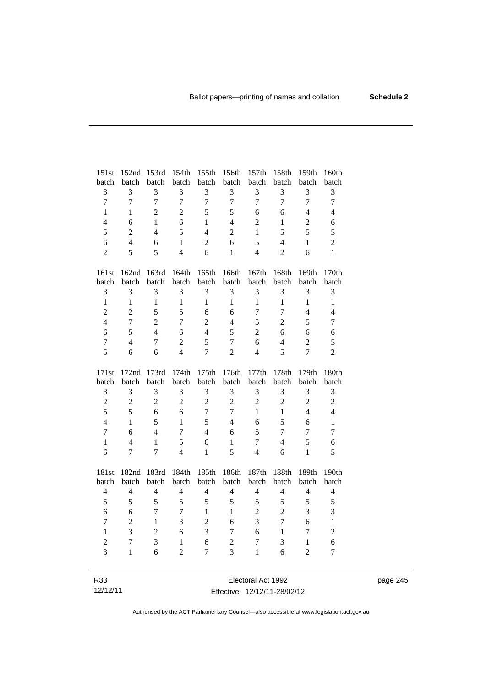| 151st          | 152nd          | 153rd          | 154th          | 155th          | 156th          | 157th            | 158th          | 159th            | 160th          |
|----------------|----------------|----------------|----------------|----------------|----------------|------------------|----------------|------------------|----------------|
| batch          | batch          | batch          | batch          | batch          | batch          | batch            | batch          | batch            | batch          |
| 3              | 3              | 3              | 3              | 3              | 3              | 3                | 3              | 3                | 3              |
| $\overline{7}$ | $\overline{7}$ | $\overline{7}$ | $\overline{7}$ | $\overline{7}$ | $\overline{7}$ | $\overline{7}$   | $\overline{7}$ | $\overline{7}$   | $\overline{7}$ |
| $\mathbf{1}$   | 1              | $\overline{2}$ | $\overline{2}$ | 5              | 5              | 6                | 6              | $\overline{4}$   | $\overline{4}$ |
| $\overline{4}$ | 6              | $\mathbf{1}$   | 6              | 1              | $\overline{4}$ | $\overline{2}$   | $\mathbf{1}$   | $\overline{2}$   | 6              |
| 5              | $\overline{2}$ | $\overline{4}$ | 5              | $\overline{4}$ | $\overline{c}$ | $\mathbf{1}$     | 5              | 5                | 5              |
| 6              | $\overline{4}$ | 6              | $\mathbf{1}$   | $\overline{2}$ | 6              | 5                | $\overline{4}$ | $\mathbf{1}$     | $\overline{2}$ |
| $\overline{2}$ | 5              | 5              | $\overline{4}$ | 6              | $\mathbf{1}$   | $\overline{4}$   | $\overline{2}$ | 6                | $\mathbf{1}$   |
|                |                |                |                |                |                |                  |                |                  |                |
| 161st          | 162nd          | 163rd          | 164th          | 165th          | 166th          | 167th            | 168th          | 169th            | 170th          |
| batch          | batch          | batch          | batch          | batch          | batch          | batch            | batch          | batch            | batch          |
| 3              | 3              | 3              | 3              | 3              | 3              | 3                | 3              | 3                | 3              |
| $\mathbf{1}$   | $\mathbf{1}$   | $\mathbf{1}$   | $\mathbf{1}$   | $\mathbf{1}$   | $\mathbf{1}$   | $\mathbf{1}$     | $\mathbf{1}$   | $\mathbf{1}$     | $\mathbf{1}$   |
| $\overline{2}$ | $\overline{2}$ | 5              | 5              | 6              | 6              | $\boldsymbol{7}$ | $\overline{7}$ | $\overline{4}$   | $\overline{4}$ |
| $\overline{4}$ | $\overline{7}$ | $\overline{2}$ | $\overline{7}$ | $\overline{2}$ | $\overline{4}$ | 5                | $\overline{2}$ | 5                | $\overline{7}$ |
| 6              | 5              | $\overline{4}$ | 6              | $\overline{4}$ | 5              | $\overline{2}$   | 6              | 6                | 6              |
| $\overline{7}$ | $\overline{4}$ | $\overline{7}$ | $\overline{c}$ | 5              | $\overline{7}$ | 6                | $\overline{4}$ | $\boldsymbol{2}$ | 5              |
| 5              | 6              | 6              | $\overline{4}$ | $\overline{7}$ | $\overline{2}$ | $\overline{4}$   | 5              | $\overline{7}$   | $\overline{2}$ |
|                |                |                |                |                |                |                  |                |                  |                |
|                |                |                |                |                |                |                  |                |                  |                |
| 171st          | 172nd          | 173rd          | 174th          | 175th          | 176th          | 177th            | 178th          | 179th            | 180th          |
| batch          | batch          | batch          | batch          | batch          | batch          | batch            | batch          | batch            | batch          |
| 3              | 3              | 3              | 3              | 3              | 3              | 3                | 3              | 3                | 3              |
| $\overline{2}$ | $\overline{2}$ | $\overline{2}$ | $\overline{2}$ | $\overline{2}$ | $\overline{2}$ | $\overline{2}$   | $\overline{c}$ | $\overline{2}$   | $\overline{2}$ |
| 5              | 5              | 6              | 6              | $\overline{7}$ | $\overline{7}$ | $\mathbf{1}$     | $\mathbf{1}$   | $\overline{4}$   | $\overline{4}$ |
| $\overline{4}$ | $\mathbf{1}$   | 5              | $\mathbf{1}$   | 5              | $\overline{4}$ | 6                | 5              | 6                | $\mathbf{1}$   |
| $\overline{7}$ | 6              | $\overline{4}$ | $\overline{7}$ | $\overline{4}$ | 6              | 5                | $\overline{7}$ | $\overline{7}$   | $\overline{7}$ |
| $\mathbf{1}$   | 4              | $\mathbf{1}$   | 5              | 6              | 1              | $\overline{7}$   | $\overline{4}$ | 5                | 6              |
| 6              | $\overline{7}$ | $\overline{7}$ | $\overline{4}$ | $\mathbf{1}$   | 5              | $\overline{4}$   | 6              | $\mathbf{1}$     | 5              |
|                |                |                |                |                |                |                  |                |                  |                |
| 181st          | 182nd          | 183rd          | 184th          | 185th          | 186th          | 187th            | 188th          | 189th            | 190th          |
| batch          | batch          | batch          | batch          | batch          | batch          | batch            | batch          | batch            | batch          |
| $\overline{4}$ | $\overline{4}$ | $\overline{4}$ | $\overline{4}$ | $\overline{4}$ | $\overline{4}$ | $\overline{4}$   | $\overline{4}$ | $\overline{4}$   | $\overline{4}$ |
| 5              | 5              | 5              | 5              | 5              | 5              | $\sqrt{5}$       | 5              | 5                | 5              |
| 6              | 6              | $\overline{7}$ | $\overline{7}$ | $\mathbf{1}$   | $\mathbf{1}$   | $\sqrt{2}$       | $\overline{2}$ | 3                | 3              |
| $\overline{7}$ | $\overline{2}$ | $\mathbf{1}$   | 3              | $\overline{2}$ | 6              | 3                | $\overline{7}$ | 6                | $\mathbf{1}$   |
| $\mathbf{1}$   | 3              | $\overline{2}$ | 6              | 3              | $\tau$         | 6                | $\mathbf{1}$   | $\tau$           | $\overline{c}$ |
| $\overline{c}$ | $\overline{7}$ | 3              | 1              | 6              | $\overline{c}$ | 7                | 3              | $\mathbf{1}$     | 6              |
| $\overline{3}$ | $\mathbf{1}$   | 6              | $\overline{2}$ | $\overline{7}$ | $\overline{3}$ | $\mathbf{1}$     | 6              | $\overline{2}$   | $\overline{7}$ |

page 245

R33 12/12/11

Electoral Act 1992 Effective: 12/12/11-28/02/12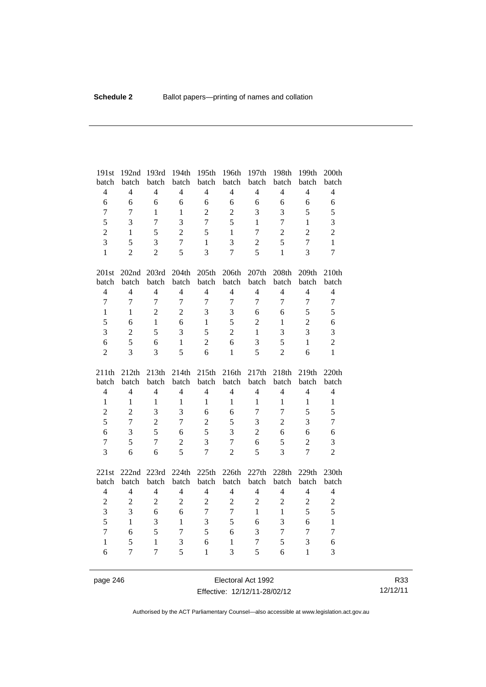| 191st          | 192nd          | 193rd          | 194th          | 195th             | 196th          | 197th          | 198th                   | 199th          | 200th          |
|----------------|----------------|----------------|----------------|-------------------|----------------|----------------|-------------------------|----------------|----------------|
| batch          | batch          | batch          | batch          | batch             | batch          | batch          | batch                   | batch          | batch          |
| $\overline{4}$ | $\overline{4}$ | $\overline{4}$ | $\overline{4}$ | $\overline{4}$    | $\overline{4}$ | $\overline{4}$ | $\overline{4}$          | $\overline{4}$ | $\overline{4}$ |
| 6              | 6              | 6              | 6              | 6                 | 6              | 6              | 6                       | 6              | 6              |
| $\overline{7}$ | $\overline{7}$ | $\mathbf{1}$   | $\mathbf{1}$   | $\overline{2}$    | $\overline{2}$ | 3              | 3                       | 5              | 5              |
| 5              | 3              | $\overline{7}$ | $\overline{3}$ | $\overline{7}$    | 5              | $\mathbf{1}$   | $\overline{7}$          | $\mathbf{1}$   | 3              |
| $\overline{c}$ | 1              | 5              | $\overline{2}$ | 5                 | $\mathbf{1}$   | 7              | $\overline{2}$          | $\overline{2}$ | $\overline{c}$ |
| 3              | 5              | 3              | $\overline{7}$ | $\mathbf{1}$      | 3              | $\overline{c}$ | 5                       | $\overline{7}$ | $\mathbf{1}$   |
| $\mathbf{1}$   | $\overline{2}$ | $\overline{2}$ | 5              | $\overline{3}$    | $\overline{7}$ | 5              | $\mathbf{1}$            | 3              | $\overline{7}$ |
| 201st          | 202nd 203rd    |                | 204th          | 205 <sub>th</sub> | 206th          | 207th          | 208th                   | 209th          | 210th          |
| batch          | batch          | batch          | batch          | batch             | batch          | batch          | batch                   | batch          | batch          |
| $\overline{4}$ | $\overline{4}$ | $\overline{4}$ | $\overline{4}$ | $\overline{4}$    | $\overline{4}$ | $\overline{4}$ | $\overline{4}$          | $\overline{4}$ | $\overline{4}$ |
| $\overline{7}$ | $\overline{7}$ | $\overline{7}$ | $\overline{7}$ | $\overline{7}$    | $\overline{7}$ | $\overline{7}$ | $\overline{7}$          | $\overline{7}$ | $\overline{7}$ |
| $\mathbf{1}$   | $\mathbf{1}$   | $\overline{2}$ | $\overline{2}$ | 3                 | 3              | 6              | 6                       | 5              | 5              |
| 5              | 6              | $\mathbf{1}$   | 6              | $\mathbf{1}$      | 5              | $\overline{2}$ | $\mathbf{1}$            | $\overline{2}$ | 6              |
| 3              | $\overline{2}$ | 5              | 3              | 5                 | $\overline{c}$ | $\mathbf{1}$   | $\overline{\mathbf{3}}$ | 3              | 3              |
| 6              | 5              | 6              | $\mathbf{1}$   | $\overline{2}$    | 6              | 3              | 5                       | $\mathbf{1}$   | $\overline{c}$ |
| $\overline{2}$ | 3              | 3              | 5              | 6                 | $\mathbf{1}$   | 5              | $\overline{2}$          | 6              | $\mathbf{1}$   |
|                |                |                |                |                   |                |                |                         |                |                |
| 211th          | 212th          | 213th          | 214th          | 215th             | 216th          | 217th          | 218th                   | 219th          | 220th          |
| batch          | batch          | batch          | batch          | batch             | batch          | batch          | batch                   | batch          | batch          |
| $\overline{4}$ | $\overline{4}$ | $\overline{4}$ | $\overline{4}$ | $\overline{4}$    | $\overline{4}$ | $\overline{4}$ | $\overline{4}$          | $\overline{4}$ | $\overline{4}$ |
| $\mathbf{1}$   | $\mathbf{1}$   | $\mathbf{1}$   | $\mathbf{1}$   | $\mathbf{1}$      | $\mathbf{1}$   | $\mathbf{1}$   | $\mathbf{1}$            | $\mathbf{1}$   | $\,1\,$        |
| $\overline{c}$ | $\overline{2}$ | 3              | 3              | 6                 | 6              | $\tau$         | $\overline{7}$          | 5              | 5              |
| 5              | $\overline{7}$ | $\overline{2}$ | $\overline{7}$ | $\overline{2}$    | 5              | $\overline{3}$ | $\overline{2}$          | 3              | $\overline{7}$ |
| 6              | 3              | 5              | 6              | 5                 | 3              | $\overline{2}$ | 6                       | 6              | 6              |
| $\overline{7}$ | 5              | $\overline{7}$ | $\overline{2}$ | 3                 | $\overline{7}$ | 6              | 5                       | $\overline{2}$ | 3              |
| 3              | 6              | 6              | 5              | $\overline{7}$    | $\overline{2}$ | 5              | $\overline{3}$          | $\overline{7}$ | $\overline{2}$ |
| 221st          | 222nd 223rd    |                | 224th          | 225th             | 226th          | 227th          | 228th                   | 229th          | 230th          |
| batch          | batch          | batch          | batch          | batch             | batch          | batch          | batch                   | batch          | batch          |
| $\overline{4}$ | $\overline{4}$ | $\overline{4}$ | $\overline{4}$ | $\overline{4}$    | $\overline{4}$ | $\overline{4}$ | $\overline{4}$          | $\overline{4}$ | $\overline{4}$ |
| $\overline{c}$ | $\overline{2}$ | $\overline{2}$ | $\overline{2}$ | $\overline{2}$    | $\overline{2}$ | $\overline{2}$ | $\overline{2}$          | $\sqrt{2}$     | $\overline{2}$ |
| $\overline{3}$ | 3              | 6              | 6              | $\overline{7}$    | $\overline{7}$ | $\mathbf{1}$   | $\mathbf{1}$            | 5              | 5              |
| 5              | $\mathbf{1}$   | 3              | $\mathbf{1}$   | 3                 | 5              | 6              | 3                       | 6              | $\mathbf{1}$   |
| $\overline{7}$ | 6              | 5              | $\overline{7}$ | 5                 | 6              | 3              | $\overline{7}$          | $\overline{7}$ | $\overline{7}$ |
| $\mathbf{1}$   | 5              | $\mathbf{1}$   | 3              | 6                 | $\mathbf{1}$   | 7              | 5                       | 3              | 6              |

page 246 Electoral Act 1992 Effective: 12/12/11-28/02/12

R33 12/12/11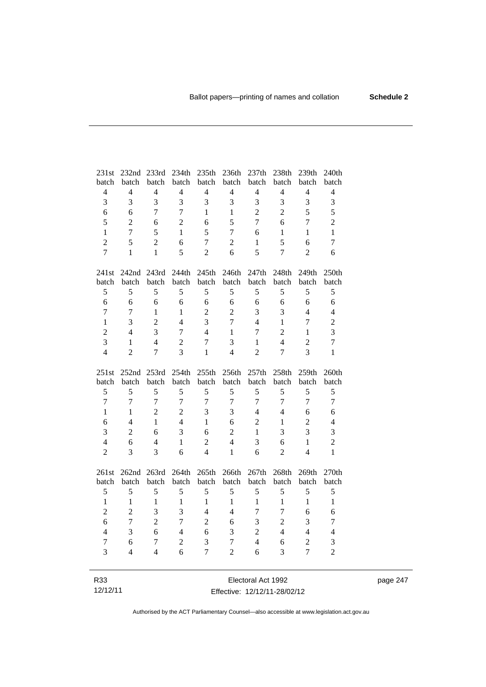| 231st            | 232nd 233rd              |                | 234th          | 235th          | 236th            | 237th          | 238th          | 239th            | 240th          |
|------------------|--------------------------|----------------|----------------|----------------|------------------|----------------|----------------|------------------|----------------|
| batch            | batch                    | batch          | batch          | batch          | batch            | batch          | batch          | batch            | batch          |
| $\overline{4}$   | $\overline{4}$           | $\overline{4}$ | $\overline{4}$ | $\overline{4}$ | $\overline{4}$   | $\overline{4}$ | $\overline{4}$ | $\overline{4}$   | $\overline{4}$ |
| 3                | 3                        | 3              | 3              | 3              | 3                | 3              | 3              | 3                | $\mathfrak{Z}$ |
| 6                | 6                        | $\overline{7}$ | $\overline{7}$ | $\mathbf{1}$   | $\mathbf{1}$     | $\overline{2}$ | $\overline{c}$ | 5                | 5              |
| 5                | $\overline{c}$           | 6              | $\overline{2}$ | 6              | 5                | $\overline{7}$ | 6              | $\overline{7}$   | $\overline{c}$ |
| $\mathbf{1}$     | $\overline{7}$           | 5              | $\mathbf{1}$   | 5              | $\overline{7}$   | 6              | $\mathbf{1}$   | $\mathbf{1}$     | $\mathbf{1}$   |
| $\overline{2}$   | 5                        | $\overline{2}$ | 6              | $\overline{7}$ | $\overline{2}$   | $\mathbf{1}$   | 5              | 6                | $\tau$         |
| $\overline{7}$   | $\mathbf{1}$             | $\mathbf{1}$   | 5              | $\overline{2}$ | 6                | 5              | $\tau$         | $\overline{2}$   | 6              |
| 241st            |                          | 242nd 243rd    | 244th          | 245th          | 246th            | 247th          | 248th          | 249th            | 250th          |
| batch            | batch                    | batch          | batch          | batch          | batch            | batch          | batch          | batch            | batch          |
| 5                | 5                        | 5              | 5              | 5              | 5                | 5              | 5              | 5                | 5              |
| 6                | 6                        | 6              | 6              | 6              | 6                | 6              | 6              | 6                | 6              |
| $\overline{7}$   | $\overline{7}$           | $\mathbf{1}$   | $\mathbf{1}$   | $\overline{2}$ | $\overline{2}$   | 3              | 3              | $\overline{4}$   | $\overline{4}$ |
| $\mathbf{1}$     | 3                        | $\overline{2}$ | $\overline{4}$ | 3              | $\overline{7}$   | $\overline{4}$ | $\mathbf{1}$   | $\overline{7}$   | $\overline{2}$ |
| $\overline{c}$   | $\overline{4}$           | 3              | $\overline{7}$ | $\overline{4}$ | $\mathbf{1}$     | 7              | $\overline{2}$ | $\mathbf{1}$     | 3              |
| $\overline{3}$   | $\mathbf{1}$             | $\overline{4}$ | $\overline{c}$ | $\overline{7}$ | 3                | $\mathbf{1}$   | $\overline{4}$ | $\overline{c}$   | $\overline{7}$ |
| $\overline{4}$   | $\overline{2}$           | $\overline{7}$ | 3              | $\mathbf{1}$   | $\overline{4}$   | $\overline{2}$ | $\overline{7}$ | $\overline{3}$   | $\mathbf{1}$   |
|                  |                          |                |                |                |                  |                |                |                  |                |
| 251st            | 252nd 253rd              |                | 254th          | 255th          | 256th            | 257th          | 258th          | 259th            | 260th          |
| batch            | batch                    | batch          | batch          | batch          | batch            | batch          | batch          | batch            | batch          |
| 5                | 5                        | 5              | 5              | 5              | 5                | 5              | 5              | 5                | 5              |
| $\boldsymbol{7}$ | $\overline{7}$           | $\overline{7}$ | $\overline{7}$ | $\overline{7}$ | $\boldsymbol{7}$ | $\tau$         | $\tau$         | $\overline{7}$   | $\overline{7}$ |
| $\mathbf{1}$     | $\mathbf{1}$             | $\overline{2}$ | $\overline{2}$ | 3              | 3                | $\overline{4}$ | $\overline{4}$ | 6                | 6              |
| 6                | $\overline{4}$           | $\mathbf{1}$   | $\overline{4}$ | $\mathbf{1}$   | 6                | $\overline{2}$ | $\mathbf{1}$   | $\overline{c}$   | $\overline{4}$ |
| $\overline{3}$   | $\overline{c}$           | 6              | 3              | 6              | $\overline{c}$   | $\mathbf{1}$   | 3              | 3                | 3              |
| $\overline{4}$   | 6                        | 4              | $\mathbf{1}$   | $\overline{2}$ | $\overline{4}$   | 3              | 6              | $\mathbf{1}$     | $\overline{c}$ |
| $\overline{c}$   | 3                        | 3              | 6              | $\overline{4}$ | $\mathbf{1}$     | 6              | $\overline{2}$ | $\overline{4}$   | $\mathbf{1}$   |
| 261st            | 262nd                    | 263rd          | 264th          | 265th          | 266th            | 267th          | 268th          | 269th            | 270th          |
| batch            | batch                    | batch          | batch          | batch          | batch            | batch          | batch          | batch            | batch          |
| 5                | 5                        | 5              | 5              | 5              | 5                | 5              | 5              | 5                | 5              |
| $\mathbf{1}$     | $\mathbf{1}$             | $\mathbf{1}$   | $\mathbf{1}$   | $\mathbf{1}$   | $\mathbf{1}$     | $\mathbf{1}$   | $\mathbf{1}$   | $\mathbf{1}$     | $\mathbf{1}$   |
| $\overline{c}$   | $\overline{c}$           | $\overline{3}$ | $\overline{3}$ | $\overline{4}$ | $\overline{4}$   | $\tau$         | $\overline{7}$ | 6                | 6              |
| 6                | $\overline{7}$           | $\overline{2}$ | $\overline{7}$ | $\overline{2}$ | 6                | 3              | $\overline{c}$ | 3                | $\overline{7}$ |
| $\overline{4}$   | 3                        | 6              | $\overline{4}$ | 6              | 3                | $\overline{c}$ | $\overline{4}$ | $\overline{4}$   | $\overline{4}$ |
| $\boldsymbol{7}$ | 6                        | $\tau$         | $\overline{2}$ | 3              | $\overline{7}$   | $\overline{4}$ | 6              | $\boldsymbol{2}$ | 3              |
| 3                | $\overline{\mathcal{L}}$ | 4              | 6              | $\overline{7}$ | $\overline{2}$   | 6              | 3              | $\overline{7}$   | $\overline{c}$ |

Electoral Act 1992 Effective: 12/12/11-28/02/12 page 247

Authorised by the ACT Parliamentary Counsel—also accessible at www.legislation.act.gov.au

R33 12/12/11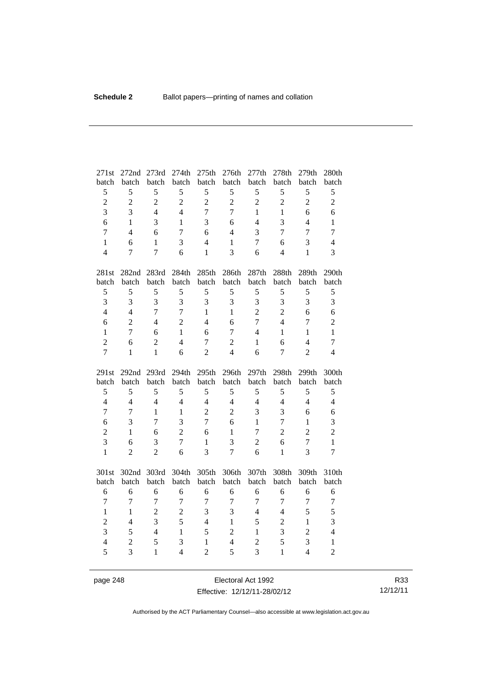| 271st               | 272nd               | 273rd             | 274th               | 275th                          | 276th               | 277th                            | 278th             | 279th               | 280th                          |
|---------------------|---------------------|-------------------|---------------------|--------------------------------|---------------------|----------------------------------|-------------------|---------------------|--------------------------------|
| batch               | batch               | batch             | batch               | batch                          | batch               | batch                            | batch             | batch               | batch                          |
| 5                   | 5                   | 5                 | 5                   | 5                              | 5                   | 5                                | 5                 | 5                   | 5                              |
| $\overline{c}$      | $\overline{c}$      | $\overline{2}$    | $\overline{2}$      | $\overline{2}$                 | $\overline{2}$      | $\overline{2}$                   | $\overline{2}$    | $\overline{2}$      | $\overline{c}$                 |
| $\overline{3}$      | 3                   | $\overline{4}$    | $\overline{4}$      | $\overline{7}$                 | $\overline{7}$      | $\mathbf{1}$                     | $\mathbf{1}$      | 6                   | 6                              |
| 6                   | $\mathbf{1}$        | 3                 | $\mathbf{1}$        | 3                              | 6                   | $\overline{4}$                   | 3                 | $\overline{4}$      | $\mathbf{1}$                   |
| $\overline{7}$      | $\overline{4}$      | 6                 | $\overline{7}$      | 6                              | $\overline{4}$      | 3                                | $\overline{7}$    | $\overline{7}$      | $\overline{7}$                 |
| $\mathbf{1}$        | 6                   | $\mathbf{1}$      | 3                   | 4                              | $\mathbf{1}$        | $\tau$                           | 6                 | 3                   | $\overline{4}$                 |
| $\overline{4}$      | $\overline{7}$      | $\overline{7}$    | 6                   | $\mathbf{1}$                   | 3                   | 6                                | $\overline{4}$    | $\mathbf{1}$        | $\overline{3}$                 |
| 281st               | 282nd               | 283rd             | 284th               | 285th                          | 286th               | 287th                            | 288th             | 289th               | 290th                          |
| batch               | batch               | batch             | batch               | batch                          | batch               | batch                            | batch             | batch               | batch                          |
| $\mathfrak s$       | 5                   | 5                 | 5                   | 5                              | 5                   | 5                                | 5                 | 5                   | 5                              |
| $\overline{3}$      | 3                   | $\overline{3}$    | $\overline{3}$      | 3                              | 3                   | 3                                | 3                 | $\overline{3}$      | 3                              |
| $\overline{4}$      | $\overline{4}$      | $\overline{7}$    | $\overline{7}$      | $\mathbf{1}$                   | $\mathbf{1}$        | $\overline{2}$                   | $\overline{2}$    | 6                   | 6                              |
| 6                   | $\overline{2}$      | $\overline{4}$    | $\overline{2}$      | $\overline{4}$                 | 6                   | $\overline{7}$                   | $\overline{4}$    | $\overline{7}$      | $\overline{2}$                 |
| $\mathbf{1}$        | $\overline{7}$      | 6                 | $\mathbf{1}$        | 6                              | $\tau$              | 4                                | $\mathbf{1}$      | $\mathbf{1}$        | $\mathbf{1}$                   |
| $\overline{2}$      | 6                   | $\overline{2}$    | $\overline{4}$      | $\overline{7}$                 | $\overline{2}$      | $\mathbf{1}$                     | 6                 | $\overline{4}$      | $\overline{7}$                 |
| $\overline{7}$      | $\mathbf{1}$        | $\mathbf{1}$      | 6                   | $\overline{2}$                 | $\overline{4}$      | 6                                | $\overline{7}$    | $\overline{2}$      | $\overline{4}$                 |
|                     |                     |                   |                     |                                |                     |                                  |                   |                     |                                |
| 291st               | 292 <sub>nd</sub>   | 293rd             | 294th               | 295th                          | 296th               | 297th                            | 298th             | 299th               | 300th                          |
| batch               | batch               | batch             | batch               | batch                          | batch               | batch                            | batch             | batch               | batch                          |
| 5                   | 5                   | 5                 | 5                   | 5                              | 5                   | 5                                | 5                 | 5                   | 5                              |
| $\overline{4}$      | $\overline{4}$      | $\overline{4}$    | $\overline{4}$      | $\overline{4}$                 | $\overline{4}$      | $\overline{4}$                   | $\overline{4}$    | $\overline{4}$      | $\overline{4}$                 |
| $\overline{7}$      | $\overline{7}$      | $\mathbf{1}$      | $\mathbf{1}$        | $\overline{2}$                 | $\overline{2}$      | 3                                | $\overline{3}$    | 6                   | 6                              |
| 6                   | 3                   | $\overline{7}$    | $\overline{3}$      | $\overline{7}$                 | 6                   | $\mathbf{1}$                     | $\overline{7}$    | $\mathbf{1}$        | 3                              |
| $\overline{c}$      | $\mathbf{1}$        | 6                 | $\overline{2}$      | 6                              | $\mathbf{1}$        | $\tau$                           | $\overline{c}$    | $\overline{c}$      | $\overline{c}$                 |
| 3                   | 6                   | 3                 | $\overline{7}$      | $\mathbf{1}$                   | 3                   | $\overline{2}$                   | 6                 | $\overline{7}$      | $\mathbf{1}$                   |
| $\mathbf{1}$        | $\overline{2}$      | $\overline{2}$    | 6                   | $\overline{3}$                 | $\overline{7}$      | 6                                | $\mathbf{1}$      | 3                   | $\overline{7}$                 |
| 301st               | 302nd               | 303rd             | 304th               | 305th                          | 306th               | 307th                            | 308th             | 309th               | 310th                          |
| batch               | batch               | batch             | batch               | batch                          | batch               | batch                            | batch             | batch               | batch                          |
| 6                   | 6                   | 6                 | 6                   | 6                              | 6                   | 6                                | 6                 | 6                   | 6                              |
| $\overline{7}$      | $\tau$              | $\overline{7}$    | $\overline{7}$      | $\overline{7}$                 | $\tau$              | $\tau$                           | $\overline{7}$    | $\overline{7}$      | $\boldsymbol{7}$               |
| $\mathbf{1}$        | $\mathbf{1}$        | $\overline{2}$    | $\overline{2}$      | 3                              | 3                   | $\overline{4}$                   | $\overline{4}$    | 5                   | 5                              |
| $\overline{c}$      | $\overline{4}$      | $\overline{3}$    | 5                   | $\overline{4}$                 | $\mathbf{1}$        | 5                                | $\overline{2}$    | $\mathbf{1}$        | 3                              |
| 3                   | 5                   | $\overline{4}$    | $\mathbf{1}$        | 5                              | $\overline{2}$      | $\mathbf{1}$                     | $\overline{3}$    | $\overline{2}$      | $\overline{4}$                 |
| $\overline{4}$<br>5 | $\overline{2}$<br>3 | 5<br>$\mathbf{1}$ | 3<br>$\overline{4}$ | $\mathbf{1}$<br>$\overline{2}$ | $\overline{4}$<br>5 | $\overline{2}$<br>$\overline{3}$ | 5<br>$\mathbf{1}$ | 3<br>$\overline{4}$ | $\mathbf{1}$<br>$\overline{2}$ |

page 248 Electoral Act 1992 Effective: 12/12/11-28/02/12

R33 12/12/11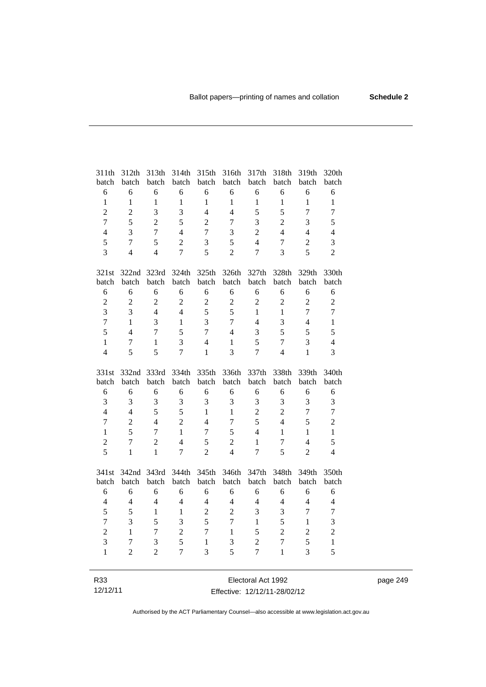| 311th            | 312th          | 313th          | 314th          | 315th            | 316th            | 317th          | 318th            | 319th          | 320th            |
|------------------|----------------|----------------|----------------|------------------|------------------|----------------|------------------|----------------|------------------|
| batch            | batch          | batch          | batch          | batch            | batch            | batch          | batch            | batch          | batch            |
| 6                | 6              | 6              | 6              | 6                | 6                | 6              | 6                | 6              | 6                |
| $\mathbf{1}$     | $\mathbf{1}$   | $\mathbf{1}$   | $\mathbf{1}$   | $\mathbf{1}$     | $\mathbf{1}$     | $\mathbf{1}$   | $\mathbf{1}$     | $\mathbf{1}$   | $\mathbf{1}$     |
| $\overline{c}$   | $\overline{c}$ | 3              | 3              | $\overline{4}$   | $\overline{4}$   | 5              | 5                | $\overline{7}$ | $\boldsymbol{7}$ |
| $\overline{7}$   | 5              | $\overline{2}$ | 5              | $\overline{2}$   | $\overline{7}$   | 3              | $\overline{2}$   | 3              | 5                |
| $\overline{4}$   | 3              | $\overline{7}$ | $\overline{4}$ | $\overline{7}$   | 3                | $\overline{2}$ | $\overline{4}$   | $\overline{4}$ | $\overline{4}$   |
| 5                | $\overline{7}$ | 5              | $\overline{2}$ | 3                | 5                | $\overline{4}$ | $\boldsymbol{7}$ | $\overline{2}$ | 3                |
| 3                | $\overline{4}$ | $\overline{4}$ | $\overline{7}$ | 5                | $\overline{2}$   | $\overline{7}$ | $\overline{3}$   | 5              | $\overline{2}$   |
| 321st            |                | 322nd 323rd    | 324th          | 325th            | 326th            | 327th          | 328th            | 329th          | 330th            |
| batch            | batch          | batch          | batch          | batch            | batch            | batch          | batch            | batch          | batch            |
| 6                | 6              | 6              | 6              | 6                | 6                | 6              | 6                | 6              | 6                |
| $\overline{c}$   | $\overline{c}$ | $\overline{2}$ | $\overline{2}$ | $\overline{2}$   | $\boldsymbol{2}$ | $\overline{2}$ | $\overline{c}$   | $\overline{2}$ | $\overline{c}$   |
| $\overline{3}$   | 3              | $\overline{4}$ | $\overline{4}$ | 5                | 5                | $\mathbf{1}$   | $\mathbf{1}$     | $\overline{7}$ | $\overline{7}$   |
| $\overline{7}$   | $\mathbf{1}$   | $\overline{3}$ | $\mathbf{1}$   | 3                | $\overline{7}$   | $\overline{4}$ | 3                | $\overline{4}$ | $\mathbf{1}$     |
| 5                | $\overline{4}$ | $\overline{7}$ | 5              | $\overline{7}$   | $\overline{4}$   | 3              | 5                | 5              | 5                |
| $\mathbf{1}$     | 7              | $\mathbf{1}$   | $\overline{3}$ | $\overline{4}$   | $\mathbf{1}$     | 5              | $\overline{7}$   | 3              | $\overline{4}$   |
| $\overline{4}$   | 5              | 5              | $\overline{7}$ | $\mathbf{1}$     | $\overline{3}$   | $\overline{7}$ | $\overline{4}$   | $\mathbf{1}$   | 3                |
|                  |                |                |                |                  |                  |                |                  |                |                  |
| 331st            | 332nd 333rd    |                |                | 335th            | 336th            | 337th          |                  |                | 340th            |
| batch            | batch          | batch          | 334th<br>batch | batch            | batch            | batch          | 338th<br>batch   | 339th<br>batch | batch            |
| 6                | 6              | 6              | 6              | 6                | 6                | 6              | 6                | 6              | 6                |
| 3                | 3              | 3              | 3              | 3                | 3                | 3              | 3                | 3              | 3                |
| $\overline{4}$   | $\overline{4}$ | 5              | 5              | $\mathbf{1}$     | $\mathbf{1}$     | $\overline{2}$ | $\overline{2}$   | $\overline{7}$ | $\overline{7}$   |
| $\boldsymbol{7}$ | $\overline{2}$ | $\overline{4}$ | $\overline{2}$ | $\overline{4}$   | $\overline{7}$   | 5              | $\overline{4}$   | 5              | $\overline{2}$   |
| $\mathbf{1}$     | 5              | $\overline{7}$ | $\mathbf{1}$   | $\overline{7}$   | 5                | $\overline{4}$ | $\mathbf{1}$     | $\mathbf{1}$   | $\mathbf{1}$     |
| $\overline{c}$   | $\overline{7}$ | $\overline{2}$ | $\overline{4}$ | 5                | $\overline{2}$   | $\mathbf{1}$   | $\boldsymbol{7}$ | $\overline{4}$ | 5                |
| 5                | $\mathbf{1}$   | $\mathbf{1}$   | $\overline{7}$ | $\overline{2}$   | $\overline{4}$   | 7              | 5                | $\overline{2}$ | $\overline{4}$   |
|                  |                |                |                |                  |                  |                |                  |                |                  |
| 341st<br>batch   | 342nd<br>batch | 343rd<br>batch | 344th<br>batch | 345th<br>batch   | 346th<br>batch   | 347th<br>batch | 348th<br>batch   | 349th<br>batch | 350th<br>batch   |
| 6                | 6              | 6              | 6              | 6                | 6                | 6              | 6                | 6              | 6                |
| $\overline{4}$   | $\overline{4}$ | $\overline{4}$ | $\overline{4}$ | $\overline{4}$   | $\overline{4}$   | $\overline{4}$ | $\overline{4}$   | $\overline{4}$ | $\overline{4}$   |
| 5                | 5              | $\mathbf{1}$   | $\mathbf{1}$   | $\boldsymbol{2}$ | $\overline{c}$   | 3              | 3                | $\overline{7}$ | $\overline{7}$   |
| $\overline{7}$   | 3              | 5              | 3              | 5                | $\overline{7}$   | $\mathbf{1}$   | 5                | $\mathbf{1}$   | 3                |
| $\overline{c}$   | $\mathbf{1}$   | $\tau$         | $\overline{c}$ | $\overline{7}$   | $\mathbf{1}$     | 5              | $\overline{2}$   | $\overline{2}$ | $\overline{c}$   |
| $\overline{3}$   | 7              | 3              | 5              | $\mathbf{1}$     | 3                | $\overline{2}$ | $\tau$           | 5              | $\mathbf{1}$     |
| $\mathbf{1}$     | $\overline{c}$ | $\overline{2}$ | $\overline{7}$ | 3                | 5                | $\overline{7}$ | $\mathbf{1}$     | 3              | 5                |

page 249

Effective: 12/12/11-28/02/12

R33 12/12/11

Authorised by the ACT Parliamentary Counsel—also accessible at www.legislation.act.gov.au

Electoral Act 1992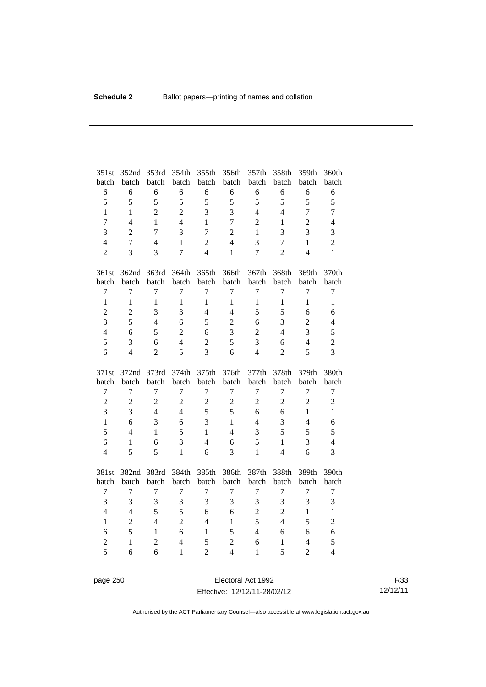| 351st<br>batch                   | 352nd<br>batch | 353rd<br>batch | 354th<br>batch          | 355th<br>batch      | 356th<br>batch | 357th<br>batch | 358th<br>batch    | 359th<br>batch                   | 360th<br>batch   |
|----------------------------------|----------------|----------------|-------------------------|---------------------|----------------|----------------|-------------------|----------------------------------|------------------|
| 6                                | 6              | 6              | 6                       | 6                   | 6              | 6              | 6                 | 6                                | 6                |
| 5                                | 5              | 5              | 5                       | 5                   | 5              | 5              | 5                 | 5                                | 5                |
| $\mathbf{1}$                     | $\mathbf{1}$   | $\overline{2}$ | $\overline{2}$          | 3                   | 3              | $\overline{4}$ | $\overline{4}$    | $\overline{7}$                   | $\tau$           |
| $\overline{7}$                   | $\overline{4}$ | $\mathbf{1}$   | $\overline{4}$          | $\mathbf{1}$        | $\overline{7}$ | $\overline{2}$ | $\mathbf{1}$      | $\overline{2}$                   | $\overline{4}$   |
| 3                                | $\overline{2}$ | $\overline{7}$ | 3                       | $\overline{7}$      | $\overline{2}$ | 1              | 3                 | 3                                | 3                |
| $\overline{4}$                   | $\overline{7}$ | $\overline{4}$ | $\mathbf{1}$            | $\overline{2}$      | $\overline{4}$ | 3              | $\overline{7}$    | $\mathbf{1}$                     | $\overline{2}$   |
| $\overline{2}$                   | 3              | 3              | $\overline{7}$          | $\overline{4}$      | $\mathbf{1}$   | $\overline{7}$ | $\overline{2}$    | $\overline{\mathcal{L}}$         | $\mathbf{1}$     |
|                                  |                |                |                         |                     |                |                |                   |                                  |                  |
| 361st                            | 362nd          | 363rd          | 364th                   | 365th               | 366th          | 367th          | 368th             | 369th                            | 370th            |
| batch                            | batch          | batch          | batch                   | batch               | batch          | batch          | batch             | batch                            | batch            |
| $\overline{7}$                   | 7              | $\overline{7}$ | 7                       | 7                   | $\overline{7}$ | $\overline{7}$ | $\overline{7}$    | $\overline{7}$                   | $\tau$           |
| $\mathbf{1}$                     | $\mathbf{1}$   | $\mathbf{1}$   | $\mathbf{1}$            | $\mathbf{1}$        | $\mathbf{1}$   | $\mathbf{1}$   | $\mathbf{1}$      | $\mathbf{1}$                     | $\mathbf{1}$     |
| $\overline{c}$                   | $\overline{2}$ | 3              | $\overline{3}$          | $\overline{4}$      | $\overline{4}$ | 5              | 5                 | 6                                | 6                |
| 3                                | 5              | $\overline{4}$ | 6                       | 5                   | $\overline{2}$ | 6              | 3                 | $\overline{2}$                   | $\overline{4}$   |
| $\overline{4}$                   | 6              | 5              | $\overline{2}$          | 6                   | $\overline{3}$ | $\overline{2}$ | $\overline{4}$    | 3                                | 5                |
| 5                                | 3              | 6              | $\overline{4}$          | $\overline{2}$      | 5              | 3              | 6                 | $\overline{4}$                   | $\overline{c}$   |
| 6                                | $\overline{4}$ | $\overline{2}$ | 5                       | $\overline{3}$      | 6              | $\overline{4}$ | $\overline{2}$    | 5                                | 3                |
|                                  |                |                |                         |                     |                |                |                   |                                  |                  |
|                                  |                |                |                         |                     |                |                |                   |                                  |                  |
| 371st                            | 372nd          | 373rd          | 374th                   | 375th               | 376th          | 377th          | 378th             | 379th                            | 380th            |
| batch                            | batch          | batch          | batch                   | batch               | batch          | batch          | batch             | batch                            | batch            |
| $\tau$                           | $\overline{7}$ | $\overline{7}$ | $\overline{7}$          | $\overline{7}$      | $\overline{7}$ | $\overline{7}$ | $\overline{7}$    | $\overline{7}$                   | $\boldsymbol{7}$ |
| $\overline{2}$                   | $\overline{2}$ | $\overline{2}$ | $\overline{2}$          | $\overline{2}$      | $\overline{2}$ | $\overline{2}$ | $\overline{2}$    | $\overline{2}$                   | $\overline{c}$   |
| 3                                | 3              | $\overline{4}$ | $\overline{4}$          | 5                   | 5              | 6              | 6                 | $\mathbf{1}$                     | $\mathbf{1}$     |
| $\mathbf{1}$                     | 6              | $\overline{3}$ | 6                       | 3                   | $\mathbf{1}$   | $\overline{4}$ | 3                 | $\overline{4}$                   | 6                |
| 5                                | $\overline{4}$ | $\mathbf{1}$   | 5                       | $\mathbf{1}$        | $\overline{4}$ | 3              | 5                 | 5                                | 5                |
| 6                                | 1              | 6              | $\overline{\mathbf{3}}$ | $\overline{4}$      | 6              | 5              | $\mathbf{1}$      | 3                                | $\overline{4}$   |
| $\overline{4}$                   | 5              | 5              | $\mathbf{1}$            | 6                   | 3              | $\mathbf{1}$   | $\overline{4}$    | 6                                | 3                |
| 381st                            | 382nd          | 383rd          | 384th                   | 385th               | 386th          | 387th          | 388th             | 389th                            | 390th            |
| batch                            | batch          | batch          | batch                   | batch               | batch          | batch          | batch             | batch                            | batch            |
| $\tau$                           | $\overline{7}$ | $\tau$         | $\tau$                  | $\overline{7}$      | $\tau$         | $\tau$         | $\tau$            | 7                                | $\boldsymbol{7}$ |
| 3                                | 3              | 3              | 3                       | 3                   | 3              | 3              | 3                 | 3                                | 3                |
| $\overline{4}$                   | $\overline{4}$ | 5              | 5                       | 6                   | 6              | $\overline{2}$ | $\overline{2}$    | $\mathbf{1}$                     | $\mathbf{1}$     |
| $\mathbf{1}$                     | $\overline{2}$ | $\overline{4}$ | $\overline{2}$          | $\overline{4}$      | $\mathbf{1}$   | 5              | $\overline{4}$    | 5                                | $\overline{c}$   |
| 6                                | 5              | $\mathbf{1}$   | 6                       | $\mathbf{1}$        | 5              | $\overline{4}$ | 6                 | 6                                | 6                |
| $\overline{c}$<br>$\overline{5}$ | $\mathbf{1}$   | $\overline{2}$ | $\overline{4}$          | 5<br>$\overline{2}$ | $\overline{2}$ | 6              | $\mathbf{1}$<br>5 | $\overline{4}$<br>$\overline{2}$ | 5                |

page 250 **Electoral Act 1992** Effective: 12/12/11-28/02/12

R33 12/12/11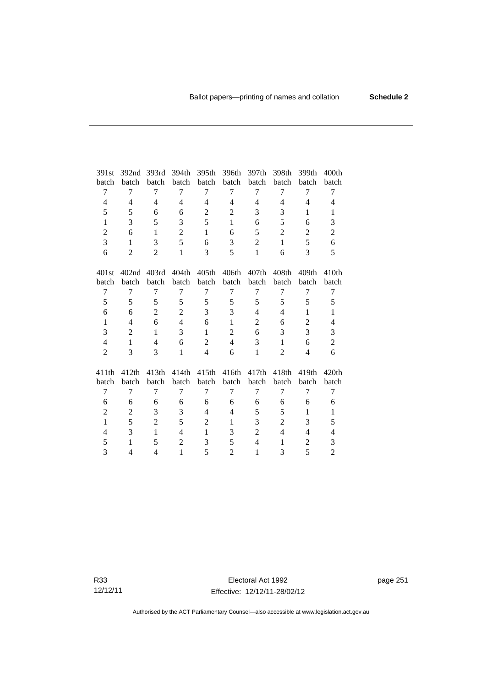| 391st                    | 392nd             | 393rd          | 394th                    | 395th          | 396th          | 397th          | 398th          | 399th          | 400 <sub>th</sub>        |
|--------------------------|-------------------|----------------|--------------------------|----------------|----------------|----------------|----------------|----------------|--------------------------|
| batch                    | batch             | batch          | batch                    | batch          | batch          | batch          | batch          | batch          | batch                    |
| 7                        | 7                 | 7              | 7                        | 7              | 7              | 7              | 7              | 7              | 7                        |
| 4                        | $\overline{4}$    | 4              | 4                        | 4              | 4              | 4              | 4              | 4              | 4                        |
| 5                        | 5                 | 6              | 6                        | $\mathbf{2}$   | $\overline{c}$ | 3              | 3              | $\mathbf{1}$   | 1                        |
| $\mathbf{1}$             | 3                 | 5              | 3                        | 5              | $\mathbf{1}$   | 6              | 5              | 6              | 3                        |
| $\overline{2}$           | 6                 | $\mathbf{1}$   | $\overline{2}$           | $\mathbf{1}$   | 6              | 5              | $\overline{2}$ | $\overline{2}$ | $\overline{2}$           |
| 3                        | $\mathbf{1}$      | 3              | 5                        | 6              | 3              | $\overline{c}$ | $\mathbf{1}$   | 5              | 6                        |
| 6                        | $\overline{2}$    | 2              | $\mathbf{1}$             | 3              | 5              | $\mathbf{1}$   | 6              | 3              | 5                        |
| 401st                    | 402 <sub>nd</sub> | 403rd          | 404th                    | 405th          | 406th          | 407th          | 408th          | 409th          | 410th                    |
| batch                    | batch             | batch          | batch                    | batch          | batch          | batch          | batch          | batch          | batch                    |
| $\tau$                   | $\overline{7}$    | $\tau$         | 7                        | $\overline{7}$ | 7              | $\tau$         | 7              | 7              | $\tau$                   |
| 5                        | 5                 | 5              | 5                        | 5              | 5              | 5              | 5              | 5              | 5                        |
| 6                        | 6                 | $\overline{2}$ | $\overline{2}$           | 3              | 3              | $\overline{4}$ | $\overline{4}$ | $\mathbf{1}$   | $\mathbf{1}$             |
| 1                        | $\overline{4}$    | 6              | $\overline{\mathcal{L}}$ | 6              | $\mathbf{1}$   | $\overline{2}$ | 6              | 2              | $\overline{4}$           |
| 3                        | $\overline{c}$    | $\mathbf{1}$   | 3                        | $\mathbf{1}$   | $\overline{2}$ | 6              | 3              | 3              | 3                        |
| $\overline{\mathcal{L}}$ | $\mathbf{1}$      | 4              | 6                        | $\mathbf{2}$   | $\overline{4}$ | 3              | 1              | 6              | $\overline{c}$           |
| $\overline{2}$           | 3                 | 3              | $\mathbf{1}$             | $\overline{4}$ | 6              | $\mathbf{1}$   | $\overline{2}$ | 4              | 6                        |
| 411th                    | 412th             | 413th          | 414th                    | 415th          | 416th          | 417th          | 418th          | 419th          | 420th                    |
| batch                    | batch             | batch          | batch                    | batch          | batch          | batch          | batch          | batch          | batch                    |
| 7                        | 7                 | 7              | 7                        | $\overline{7}$ | 7              | 7              | $\overline{7}$ | 7              | 7                        |
| 6                        | 6                 | 6              | 6                        | 6              | 6              | 6              | 6              | 6              | 6                        |
| $\overline{2}$           | $\overline{c}$    | 3              | 3                        | $\overline{4}$ | $\overline{4}$ | 5              | 5              | 1              | $\mathbf{1}$             |
| $\mathbf{1}$             | 5                 | $\overline{2}$ | 5                        | $\overline{2}$ | $\mathbf{1}$   | 3              | $\overline{2}$ | 3              | 5                        |
| $\overline{\mathcal{L}}$ | 3                 | $\mathbf{1}$   | 4                        | 1              | 3              | $\overline{c}$ | $\overline{4}$ | 4              | $\overline{\mathcal{L}}$ |
| 5                        | $\mathbf{1}$      | 5              | $\overline{c}$           | 3              | 5              | $\overline{4}$ | 1              | $\overline{c}$ | 3                        |
| 3                        | 4                 | 4              | $\mathbf{1}$             | 5              | $\overline{2}$ | $\mathbf{1}$   | 3              | 5              | $\mathbf{2}$             |
|                          |                   |                |                          |                |                |                |                |                |                          |

R33 12/12/11 page 251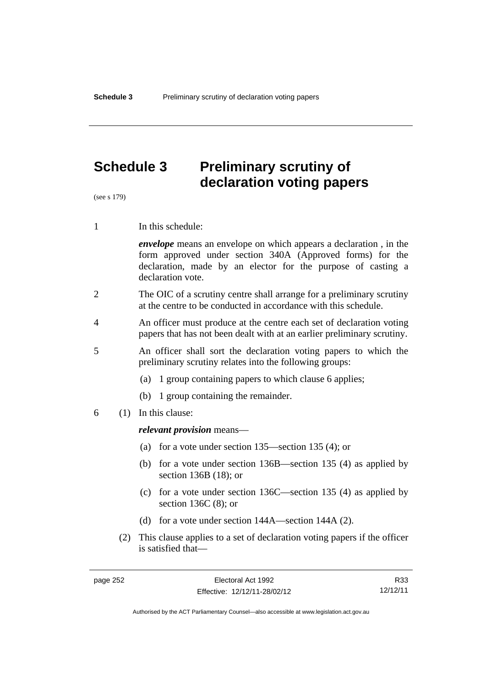# **Schedule 3 Preliminary scrutiny of declaration voting papers**

(see s 179)

1 In this schedule:

*envelope* means an envelope on which appears a declaration , in the form approved under section 340A (Approved forms) for the declaration, made by an elector for the purpose of casting a declaration vote.

- 2 The OIC of a scrutiny centre shall arrange for a preliminary scrutiny at the centre to be conducted in accordance with this schedule.
- 4 An officer must produce at the centre each set of declaration voting papers that has not been dealt with at an earlier preliminary scrutiny.
- 5 An officer shall sort the declaration voting papers to which the preliminary scrutiny relates into the following groups:
	- (a) 1 group containing papers to which clause 6 applies;
	- (b) 1 group containing the remainder.
- 6 (1) In this clause:

#### *relevant provision* means—

- (a) for a vote under section 135—section 135 (4); or
- (b) for a vote under section 136B—section 135 (4) as applied by section 136B (18); or
- (c) for a vote under section 136C—section 135 (4) as applied by section 136C (8); or
- (d) for a vote under section 144A—section 144A (2).
- (2) This clause applies to a set of declaration voting papers if the officer is satisfied that—

R33 12/12/11

Authorised by the ACT Parliamentary Counsel—also accessible at www.legislation.act.gov.au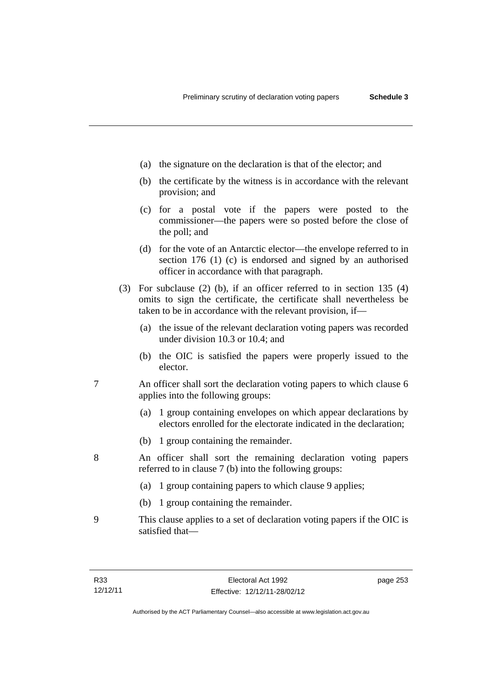- (a) the signature on the declaration is that of the elector; and
- (b) the certificate by the witness is in accordance with the relevant provision; and
- (c) for a postal vote if the papers were posted to the commissioner—the papers were so posted before the close of the poll; and
- (d) for the vote of an Antarctic elector—the envelope referred to in section 176 (1) (c) is endorsed and signed by an authorised officer in accordance with that paragraph.
- (3) For subclause (2) (b), if an officer referred to in section 135 (4) omits to sign the certificate, the certificate shall nevertheless be taken to be in accordance with the relevant provision, if—
	- (a) the issue of the relevant declaration voting papers was recorded under division 10.3 or 10.4; and
	- (b) the OIC is satisfied the papers were properly issued to the elector.
- 7 An officer shall sort the declaration voting papers to which clause 6 applies into the following groups:
	- (a) 1 group containing envelopes on which appear declarations by electors enrolled for the electorate indicated in the declaration;
	- (b) 1 group containing the remainder.
- 8 An officer shall sort the remaining declaration voting papers referred to in clause 7 (b) into the following groups:
	- (a) 1 group containing papers to which clause 9 applies;
	- (b) 1 group containing the remainder.
- 9 This clause applies to a set of declaration voting papers if the OIC is satisfied that—

page 253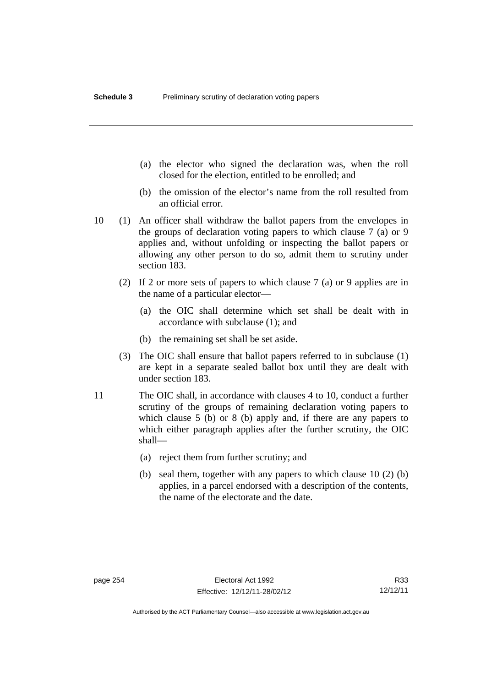- (a) the elector who signed the declaration was, when the roll closed for the election, entitled to be enrolled; and
- (b) the omission of the elector's name from the roll resulted from an official error.
- 10 (1) An officer shall withdraw the ballot papers from the envelopes in the groups of declaration voting papers to which clause 7 (a) or 9 applies and, without unfolding or inspecting the ballot papers or allowing any other person to do so, admit them to scrutiny under section 183.
	- (2) If 2 or more sets of papers to which clause 7 (a) or 9 applies are in the name of a particular elector—
		- (a) the OIC shall determine which set shall be dealt with in accordance with subclause (1); and
		- (b) the remaining set shall be set aside.
	- (3) The OIC shall ensure that ballot papers referred to in subclause (1) are kept in a separate sealed ballot box until they are dealt with under section 183.
- 11 The OIC shall, in accordance with clauses 4 to 10, conduct a further scrutiny of the groups of remaining declaration voting papers to which clause 5 (b) or 8 (b) apply and, if there are any papers to which either paragraph applies after the further scrutiny, the OIC shall—
	- (a) reject them from further scrutiny; and
	- (b) seal them, together with any papers to which clause 10 (2) (b) applies, in a parcel endorsed with a description of the contents, the name of the electorate and the date.

R33 12/12/11

Authorised by the ACT Parliamentary Counsel—also accessible at www.legislation.act.gov.au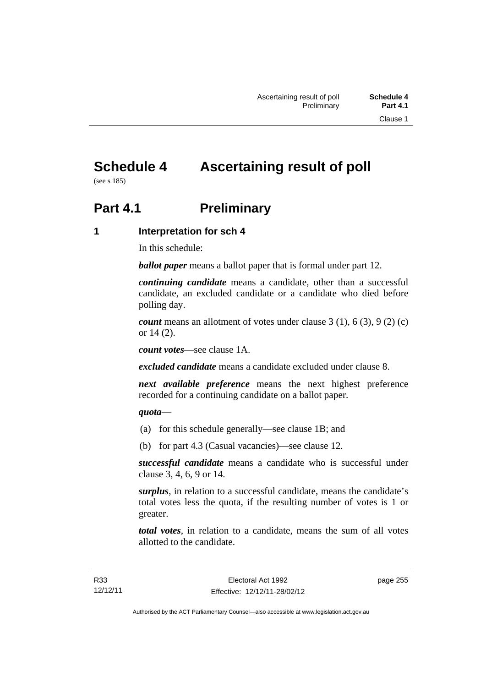# **Schedule 4 Ascertaining result of poll**

(see s 185)

# **Part 4.1** Preliminary

# **1 Interpretation for sch 4**

In this schedule:

*ballot paper* means a ballot paper that is formal under part 12.

*continuing candidate* means a candidate, other than a successful candidate, an excluded candidate or a candidate who died before polling day.

*count* means an allotment of votes under clause 3 (1), 6 (3), 9 (2) (c) or 14 (2).

*count votes*—see clause 1A.

*excluded candidate* means a candidate excluded under clause 8.

*next available preference* means the next highest preference recorded for a continuing candidate on a ballot paper.

### *quota*—

- (a) for this schedule generally—see clause 1B; and
- (b) for part 4.3 (Casual vacancies)—see clause 12.

*successful candidate* means a candidate who is successful under clause 3, 4, 6, 9 or 14.

*surplus*, in relation to a successful candidate, means the candidate's total votes less the quota, if the resulting number of votes is 1 or greater.

*total votes*, in relation to a candidate, means the sum of all votes allotted to the candidate.

page 255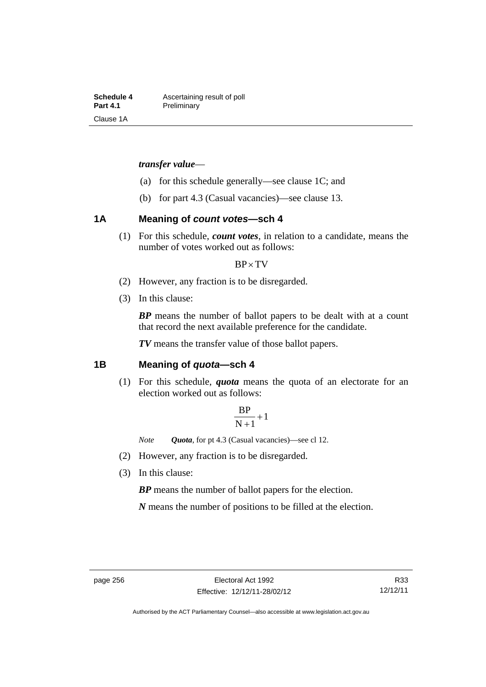**Schedule 4 Ascertaining result of poll**<br>**Part 4.1 Preliminary Preliminary** Clause 1A

#### *transfer value*—

- (a) for this schedule generally—see clause 1C; and
- (b) for part 4.3 (Casual vacancies)—see clause 13.

# **1A Meaning of** *count votes***—sch 4**

(1) For this schedule, *count votes*, in relation to a candidate, means the number of votes worked out as follows:

#### $BP \times TV$

- (2) However, any fraction is to be disregarded.
- (3) In this clause:

*BP* means the number of ballot papers to be dealt with at a count that record the next available preference for the candidate.

*TV* means the transfer value of those ballot papers.

#### **1B Meaning of** *quota***—sch 4**

(1) For this schedule, *quota* means the quota of an electorate for an election worked out as follows:

$$
\frac{BP}{N+1}+1
$$

*Note Quota*, for pt 4.3 (Casual vacancies)—see cl 12.

- (2) However, any fraction is to be disregarded.
- (3) In this clause:

*BP* means the number of ballot papers for the election.

*N* means the number of positions to be filled at the election.

Authorised by the ACT Parliamentary Counsel—also accessible at www.legislation.act.gov.au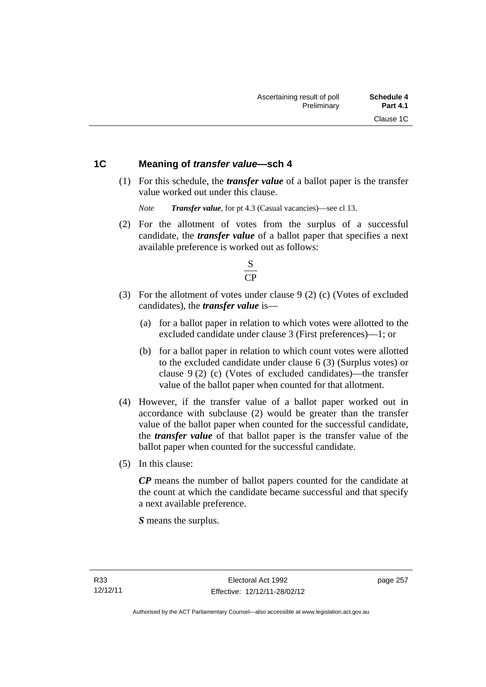### **1C Meaning of** *transfer value***—sch 4**

 (1) For this schedule, the *transfer value* of a ballot paper is the transfer value worked out under this clause.

*Note Transfer value*, for pt 4.3 (Casual vacancies)—see cl 13.

 (2) For the allotment of votes from the surplus of a successful candidate, the *transfer value* of a ballot paper that specifies a next available preference is worked out as follows:



- (3) For the allotment of votes under clause 9 (2) (c) (Votes of excluded candidates), the *transfer value* is—
	- (a) for a ballot paper in relation to which votes were allotted to the excluded candidate under clause 3 (First preferences)—1; or
	- (b) for a ballot paper in relation to which count votes were allotted to the excluded candidate under clause 6 (3) (Surplus votes) or clause 9 (2) (c) (Votes of excluded candidates)—the transfer value of the ballot paper when counted for that allotment.
- (4) However, if the transfer value of a ballot paper worked out in accordance with subclause (2) would be greater than the transfer value of the ballot paper when counted for the successful candidate, the *transfer value* of that ballot paper is the transfer value of the ballot paper when counted for the successful candidate.
- (5) In this clause:

*CP* means the number of ballot papers counted for the candidate at the count at which the candidate became successful and that specify a next available preference.

*S* means the surplus.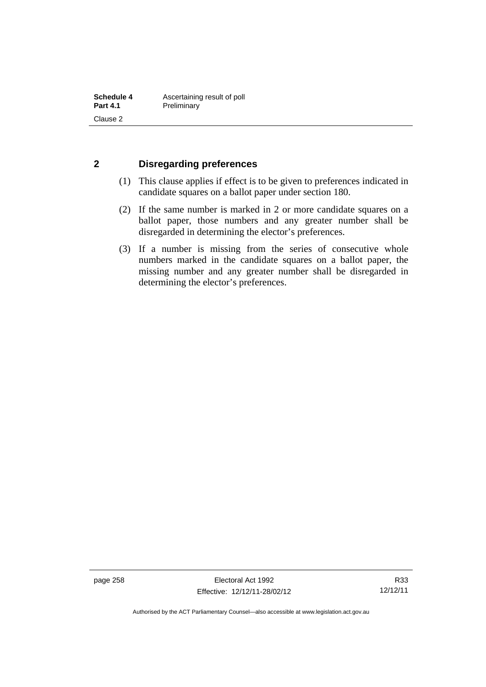### **2 Disregarding preferences**

- (1) This clause applies if effect is to be given to preferences indicated in candidate squares on a ballot paper under section 180.
- (2) If the same number is marked in 2 or more candidate squares on a ballot paper, those numbers and any greater number shall be disregarded in determining the elector's preferences.
- (3) If a number is missing from the series of consecutive whole numbers marked in the candidate squares on a ballot paper, the missing number and any greater number shall be disregarded in determining the elector's preferences.

page 258 Electoral Act 1992 Effective: 12/12/11-28/02/12

R33 12/12/11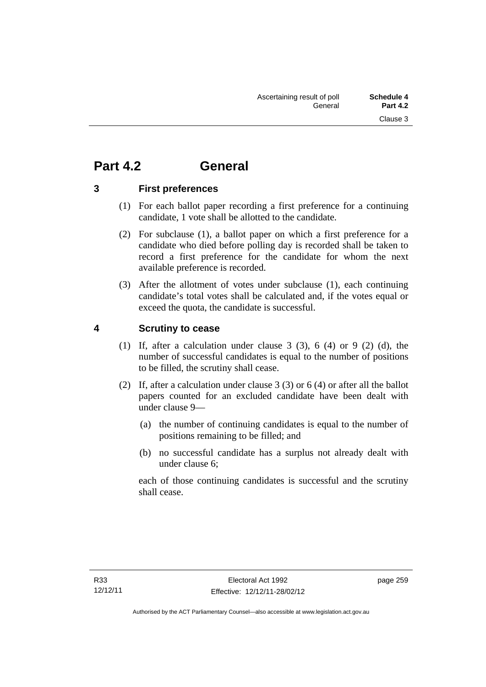# **Part 4.2 General**

### **3 First preferences**

- (1) For each ballot paper recording a first preference for a continuing candidate, 1 vote shall be allotted to the candidate.
- (2) For subclause (1), a ballot paper on which a first preference for a candidate who died before polling day is recorded shall be taken to record a first preference for the candidate for whom the next available preference is recorded.
- (3) After the allotment of votes under subclause (1), each continuing candidate's total votes shall be calculated and, if the votes equal or exceed the quota, the candidate is successful.

# **4 Scrutiny to cease**

- (1) If, after a calculation under clause  $3$  (3),  $6$  (4) or  $9$  (2) (d), the number of successful candidates is equal to the number of positions to be filled, the scrutiny shall cease.
- (2) If, after a calculation under clause 3 (3) or 6 (4) or after all the ballot papers counted for an excluded candidate have been dealt with under clause 9—
	- (a) the number of continuing candidates is equal to the number of positions remaining to be filled; and
	- (b) no successful candidate has a surplus not already dealt with under clause 6;

each of those continuing candidates is successful and the scrutiny shall cease.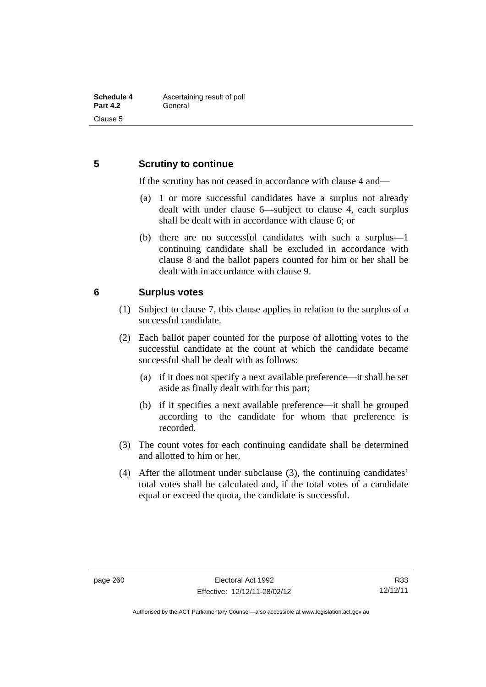# **5 Scrutiny to continue**

If the scrutiny has not ceased in accordance with clause 4 and—

- (a) 1 or more successful candidates have a surplus not already dealt with under clause 6—subject to clause 4, each surplus shall be dealt with in accordance with clause 6; or
- (b) there are no successful candidates with such a surplus—1 continuing candidate shall be excluded in accordance with clause 8 and the ballot papers counted for him or her shall be dealt with in accordance with clause 9.

### **6 Surplus votes**

- (1) Subject to clause 7, this clause applies in relation to the surplus of a successful candidate.
- (2) Each ballot paper counted for the purpose of allotting votes to the successful candidate at the count at which the candidate became successful shall be dealt with as follows:
	- (a) if it does not specify a next available preference—it shall be set aside as finally dealt with for this part;
	- (b) if it specifies a next available preference—it shall be grouped according to the candidate for whom that preference is recorded.
- (3) The count votes for each continuing candidate shall be determined and allotted to him or her.
- (4) After the allotment under subclause (3), the continuing candidates' total votes shall be calculated and, if the total votes of a candidate equal or exceed the quota, the candidate is successful.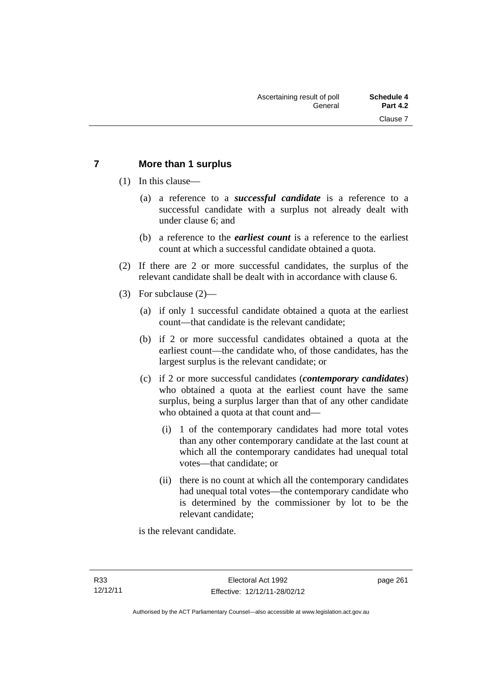# **7 More than 1 surplus**

(1) In this clause—

- (a) a reference to a *successful candidate* is a reference to a successful candidate with a surplus not already dealt with under clause 6; and
- (b) a reference to the *earliest count* is a reference to the earliest count at which a successful candidate obtained a quota.
- (2) If there are 2 or more successful candidates, the surplus of the relevant candidate shall be dealt with in accordance with clause 6.
- (3) For subclause (2)—
	- (a) if only 1 successful candidate obtained a quota at the earliest count—that candidate is the relevant candidate;
	- (b) if 2 or more successful candidates obtained a quota at the earliest count—the candidate who, of those candidates, has the largest surplus is the relevant candidate; or
	- (c) if 2 or more successful candidates (*contemporary candidates*) who obtained a quota at the earliest count have the same surplus, being a surplus larger than that of any other candidate who obtained a quota at that count and—
		- (i) 1 of the contemporary candidates had more total votes than any other contemporary candidate at the last count at which all the contemporary candidates had unequal total votes—that candidate; or
		- (ii) there is no count at which all the contemporary candidates had unequal total votes—the contemporary candidate who is determined by the commissioner by lot to be the relevant candidate;

is the relevant candidate.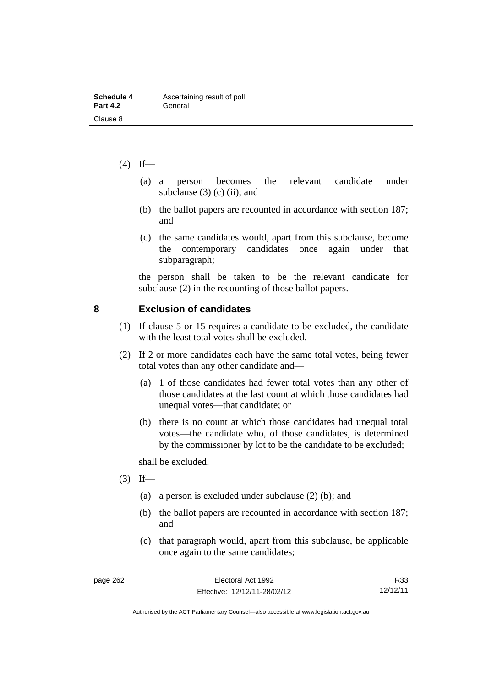- $(4)$  If—
	- (a) a person becomes the relevant candidate under subclause  $(3)$  (c) (ii); and
	- (b) the ballot papers are recounted in accordance with section 187; and
	- (c) the same candidates would, apart from this subclause, become the contemporary candidates once again under that subparagraph;

the person shall be taken to be the relevant candidate for subclause (2) in the recounting of those ballot papers.

### **8 Exclusion of candidates**

- (1) If clause 5 or 15 requires a candidate to be excluded, the candidate with the least total votes shall be excluded.
- (2) If 2 or more candidates each have the same total votes, being fewer total votes than any other candidate and—
	- (a) 1 of those candidates had fewer total votes than any other of those candidates at the last count at which those candidates had unequal votes—that candidate; or
	- (b) there is no count at which those candidates had unequal total votes—the candidate who, of those candidates, is determined by the commissioner by lot to be the candidate to be excluded;

shall be excluded.

- $(3)$  If—
	- (a) a person is excluded under subclause (2) (b); and
	- (b) the ballot papers are recounted in accordance with section 187; and
	- (c) that paragraph would, apart from this subclause, be applicable once again to the same candidates;

R33 12/12/11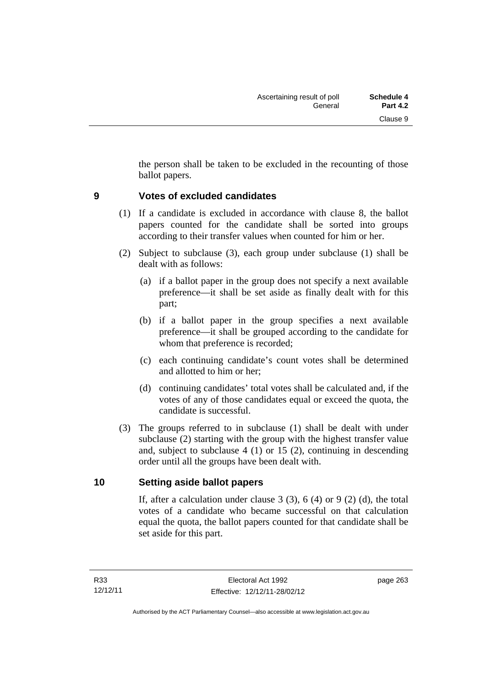the person shall be taken to be excluded in the recounting of those ballot papers.

# **9 Votes of excluded candidates**

- (1) If a candidate is excluded in accordance with clause 8, the ballot papers counted for the candidate shall be sorted into groups according to their transfer values when counted for him or her.
- (2) Subject to subclause (3), each group under subclause (1) shall be dealt with as follows:
	- (a) if a ballot paper in the group does not specify a next available preference—it shall be set aside as finally dealt with for this part;
	- (b) if a ballot paper in the group specifies a next available preference—it shall be grouped according to the candidate for whom that preference is recorded;
	- (c) each continuing candidate's count votes shall be determined and allotted to him or her;
	- (d) continuing candidates' total votes shall be calculated and, if the votes of any of those candidates equal or exceed the quota, the candidate is successful.
- (3) The groups referred to in subclause (1) shall be dealt with under subclause (2) starting with the group with the highest transfer value and, subject to subclause 4 (1) or 15 (2), continuing in descending order until all the groups have been dealt with.

### **10 Setting aside ballot papers**

If, after a calculation under clause  $3(3)$ ,  $6(4)$  or  $9(2)(d)$ , the total votes of a candidate who became successful on that calculation equal the quota, the ballot papers counted for that candidate shall be set aside for this part.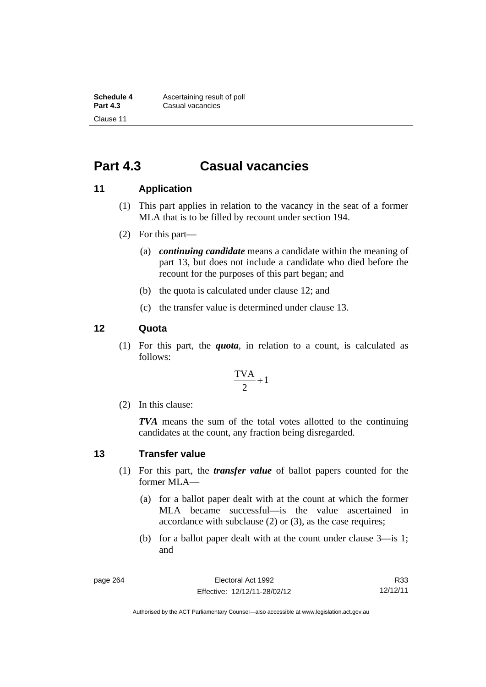**Schedule 4 Ascertaining result of poll**<br>**Part 4.3 Casual vacancies Casual vacancies** Clause 11

# **Part 4.3 Casual vacancies**

#### **11 Application**

- (1) This part applies in relation to the vacancy in the seat of a former MLA that is to be filled by recount under section 194.
- (2) For this part—
	- (a) *continuing candidate* means a candidate within the meaning of part 13, but does not include a candidate who died before the recount for the purposes of this part began; and
	- (b) the quota is calculated under clause 12; and
	- (c) the transfer value is determined under clause 13.

#### **12 Quota**

(1) For this part, the *quota*, in relation to a count, is calculated as follows:

$$
\frac{\text{TVA}}{2} + 1
$$

(2) In this clause:

*TVA* means the sum of the total votes allotted to the continuing candidates at the count, any fraction being disregarded.

#### **13 Transfer value**

- (1) For this part, the *transfer value* of ballot papers counted for the former MLA—
	- (a) for a ballot paper dealt with at the count at which the former MLA became successful—is the value ascertained in accordance with subclause (2) or (3), as the case requires;
	- (b) for a ballot paper dealt with at the count under clause 3—is 1; and

R33 12/12/11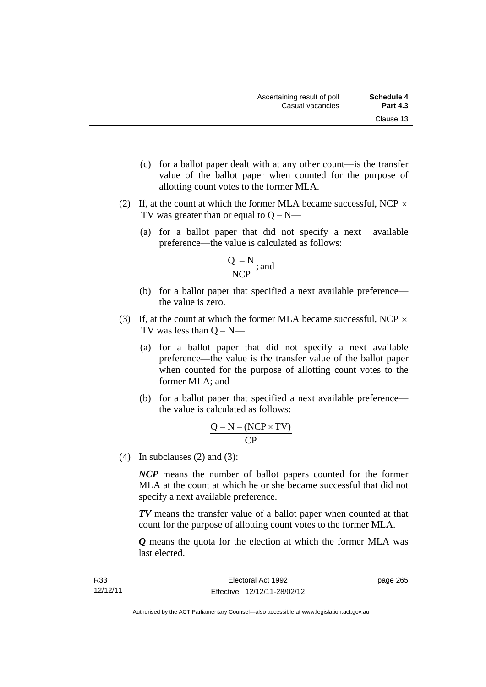- (c) for a ballot paper dealt with at any other count—is the transfer value of the ballot paper when counted for the purpose of allotting count votes to the former MLA.
- (2) If, at the count at which the former MLA became successful, NCP  $\times$ TV was greater than or equal to  $Q - N$ —
	- (a) for a ballot paper that did not specify a next available preference—the value is calculated as follows:

$$
\frac{Q - N}{NCP}; \text{and}
$$

- (b) for a ballot paper that specified a next available preference the value is zero.
- (3) If, at the count at which the former MLA became successful, NCP  $\times$ TV was less than  $Q - N$ —
	- (a) for a ballot paper that did not specify a next available preference—the value is the transfer value of the ballot paper when counted for the purpose of allotting count votes to the former MLA; and
	- (b) for a ballot paper that specified a next available preference the value is calculated as follows:

$$
\frac{Q-N-(NCP \times TV)}{CP}
$$

(4) In subclauses (2) and (3):

*NCP* means the number of ballot papers counted for the former MLA at the count at which he or she became successful that did not specify a next available preference.

*TV* means the transfer value of a ballot paper when counted at that count for the purpose of allotting count votes to the former MLA.

*Q* means the quota for the election at which the former MLA was last elected.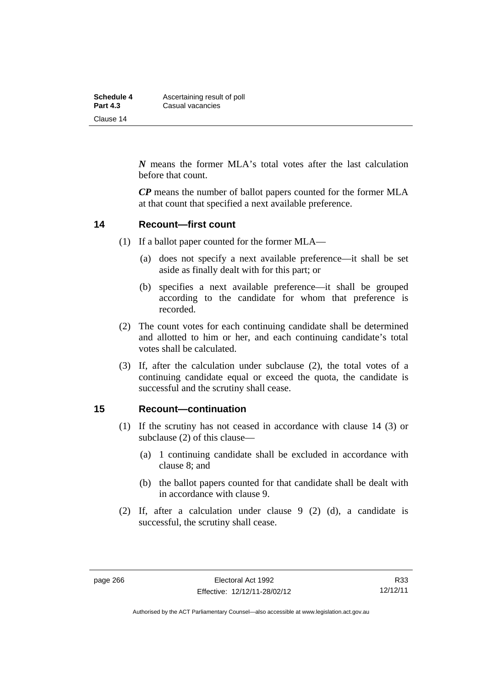| Schedule 4      | Ascertaining result of poll |
|-----------------|-----------------------------|
| <b>Part 4.3</b> | Casual vacancies            |
| Clause 14       |                             |

*N* means the former MLA's total votes after the last calculation before that count.

*CP* means the number of ballot papers counted for the former MLA at that count that specified a next available preference.

#### **14 Recount—first count**

- (1) If a ballot paper counted for the former MLA—
	- (a) does not specify a next available preference—it shall be set aside as finally dealt with for this part; or
	- (b) specifies a next available preference—it shall be grouped according to the candidate for whom that preference is recorded.
- (2) The count votes for each continuing candidate shall be determined and allotted to him or her, and each continuing candidate's total votes shall be calculated.
- (3) If, after the calculation under subclause (2), the total votes of a continuing candidate equal or exceed the quota, the candidate is successful and the scrutiny shall cease.

#### **15 Recount—continuation**

- (1) If the scrutiny has not ceased in accordance with clause 14 (3) or subclause (2) of this clause—
	- (a) 1 continuing candidate shall be excluded in accordance with clause 8; and
	- (b) the ballot papers counted for that candidate shall be dealt with in accordance with clause 9.
- (2) If, after a calculation under clause 9 (2) (d), a candidate is successful, the scrutiny shall cease.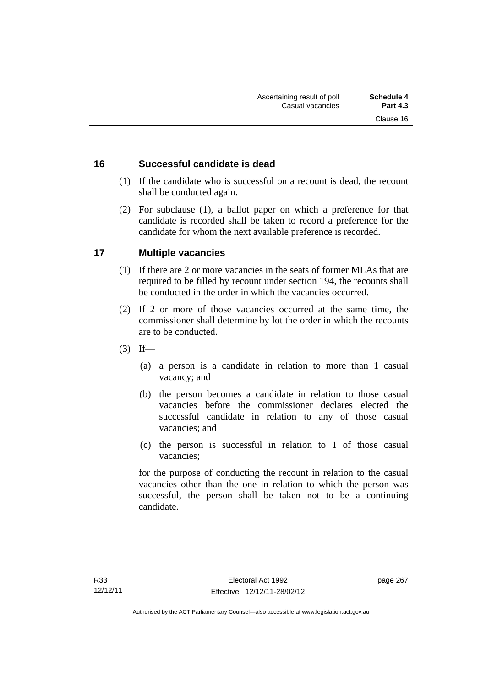### **16 Successful candidate is dead**

- (1) If the candidate who is successful on a recount is dead, the recount shall be conducted again.
- (2) For subclause (1), a ballot paper on which a preference for that candidate is recorded shall be taken to record a preference for the candidate for whom the next available preference is recorded.

### **17 Multiple vacancies**

- (1) If there are 2 or more vacancies in the seats of former MLAs that are required to be filled by recount under section 194, the recounts shall be conducted in the order in which the vacancies occurred.
- (2) If 2 or more of those vacancies occurred at the same time, the commissioner shall determine by lot the order in which the recounts are to be conducted.
- $(3)$  If—
	- (a) a person is a candidate in relation to more than 1 casual vacancy; and
	- (b) the person becomes a candidate in relation to those casual vacancies before the commissioner declares elected the successful candidate in relation to any of those casual vacancies; and
	- (c) the person is successful in relation to 1 of those casual vacancies;

for the purpose of conducting the recount in relation to the casual vacancies other than the one in relation to which the person was successful, the person shall be taken not to be a continuing candidate.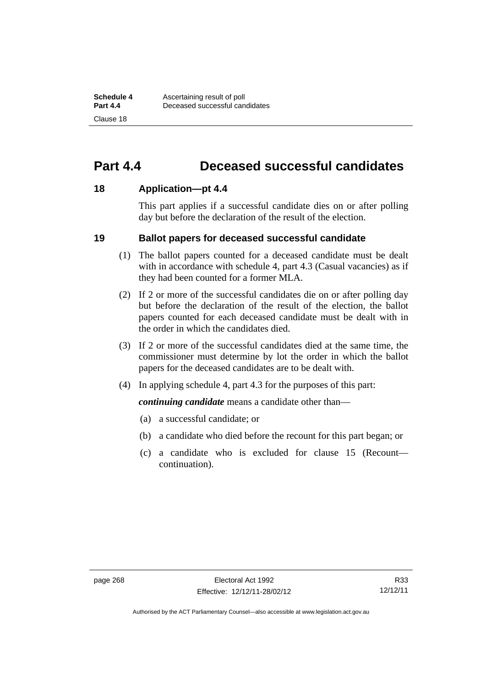# **Part 4.4 Deceased successful candidates**

#### **18 Application—pt 4.4**

This part applies if a successful candidate dies on or after polling day but before the declaration of the result of the election.

#### **19 Ballot papers for deceased successful candidate**

- (1) The ballot papers counted for a deceased candidate must be dealt with in accordance with schedule 4, part 4.3 (Casual vacancies) as if they had been counted for a former MLA.
- (2) If 2 or more of the successful candidates die on or after polling day but before the declaration of the result of the election, the ballot papers counted for each deceased candidate must be dealt with in the order in which the candidates died.
- (3) If 2 or more of the successful candidates died at the same time, the commissioner must determine by lot the order in which the ballot papers for the deceased candidates are to be dealt with.
- (4) In applying schedule 4, part 4.3 for the purposes of this part:

*continuing candidate* means a candidate other than—

- (a) a successful candidate; or
- (b) a candidate who died before the recount for this part began; or
- (c) a candidate who is excluded for clause 15 (Recount continuation).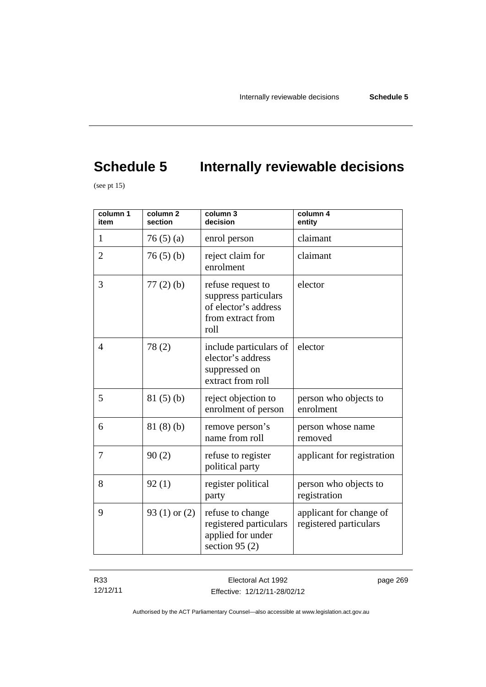# **Schedule 5** Internally reviewable decisions

(see pt  $15$ )

| column 1<br>item | column <sub>2</sub><br>section | column 3<br>decision                                                                           | column 4<br>entity                                |
|------------------|--------------------------------|------------------------------------------------------------------------------------------------|---------------------------------------------------|
| $\mathbf{1}$     | 76(5)(a)                       | enrol person                                                                                   | claimant                                          |
| $\overline{2}$   | 76(5)(b)                       | reject claim for<br>enrolment                                                                  | claimant                                          |
| 3                | $77(2)$ (b)                    | refuse request to<br>suppress particulars<br>of elector's address<br>from extract from<br>roll | elector                                           |
| 4                | 78(2)                          | include particulars of<br>elector's address<br>suppressed on<br>extract from roll              | elector                                           |
| 5                | 81(5)(b)                       | reject objection to<br>enrolment of person                                                     | person who objects to<br>enrolment                |
| 6                | 81(8)(b)                       | remove person's<br>name from roll                                                              | person whose name<br>removed                      |
| 7                | 90(2)                          | refuse to register<br>political party                                                          | applicant for registration                        |
| 8                | 92(1)                          | register political<br>party                                                                    | person who objects to<br>registration             |
| 9                | 93 $(1)$ or $(2)$              | refuse to change<br>registered particulars<br>applied for under<br>section 95 $(2)$            | applicant for change of<br>registered particulars |

R33 12/12/11 page 269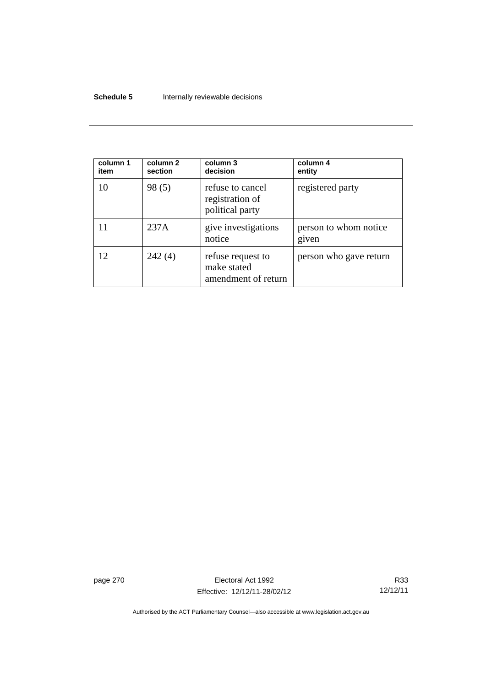#### **Schedule 5 Internally reviewable decisions**

| column 1<br>item | column 2<br>section | column 3<br>decision                                    | column 4<br>entity             |
|------------------|---------------------|---------------------------------------------------------|--------------------------------|
| 10               | 98(5)               | refuse to cancel<br>registration of<br>political party  | registered party               |
|                  | 237A                | give investigations<br>notice                           | person to whom notice<br>given |
| 12               | 242(4)              | refuse request to<br>make stated<br>amendment of return | person who gave return         |

page 270 **Electoral Act 1992** Effective: 12/12/11-28/02/12

R33 12/12/11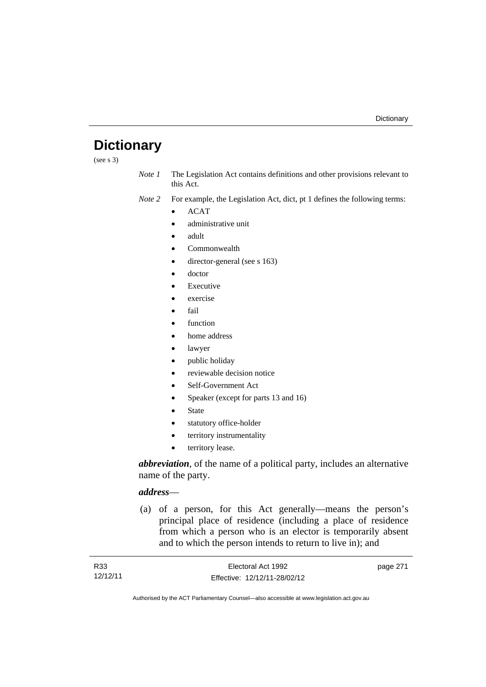## **Dictionary**

(see s 3)

*Note 1* The Legislation Act contains definitions and other provisions relevant to this Act.

*Note 2* For example, the Legislation Act, dict, pt 1 defines the following terms:

- ACAT
- administrative unit
- adult
- Commonwealth
- director-general (see s 163)
- doctor
- Executive
- exercise
- fail
- function
- home address
- lawyer
- public holiday
- reviewable decision notice
- Self-Government Act
- Speaker (except for parts 13 and 16)
- State
- statutory office-holder
- territory instrumentality
- territory lease.

*abbreviation*, of the name of a political party, includes an alternative name of the party.

### *address*—

 (a) of a person, for this Act generally—means the person's principal place of residence (including a place of residence from which a person who is an elector is temporarily absent and to which the person intends to return to live in); and

| R33      | Electoral Act 1992           | page 271 |
|----------|------------------------------|----------|
| 12/12/11 | Effective: 12/12/11-28/02/12 |          |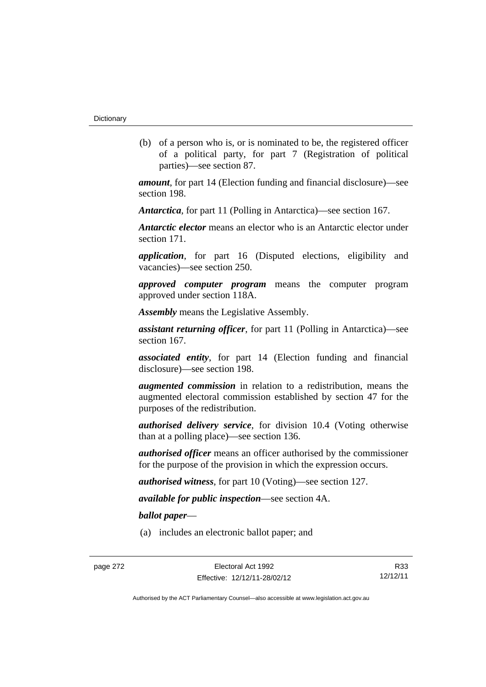(b) of a person who is, or is nominated to be, the registered officer of a political party, for part 7 (Registration of political parties)—see section 87.

*amount*, for part 14 (Election funding and financial disclosure)—see section 198.

*Antarctica*, for part 11 (Polling in Antarctica)—see section 167.

*Antarctic elector* means an elector who is an Antarctic elector under section 171.

*application*, for part 16 (Disputed elections, eligibility and vacancies)—see section 250.

*approved computer program* means the computer program approved under section 118A.

*Assembly* means the Legislative Assembly.

*assistant returning officer*, for part 11 (Polling in Antarctica)—see section 167.

*associated entity*, for part 14 (Election funding and financial disclosure)—see section 198.

*augmented commission* in relation to a redistribution, means the augmented electoral commission established by section 47 for the purposes of the redistribution.

*authorised delivery service*, for division 10.4 (Voting otherwise than at a polling place)—see section 136.

*authorised officer* means an officer authorised by the commissioner for the purpose of the provision in which the expression occurs.

*authorised witness*, for part 10 (Voting)—see section 127.

*available for public inspection*—see section 4A.

*ballot paper*—

(a) includes an electronic ballot paper; and

R33 12/12/11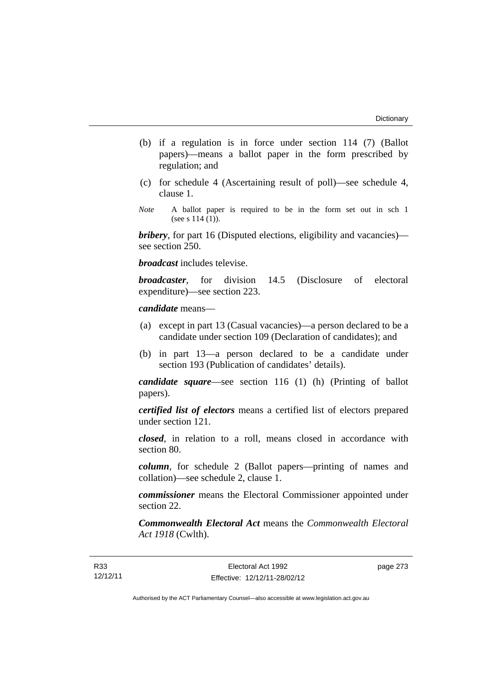- (b) if a regulation is in force under section 114 (7) (Ballot papers)—means a ballot paper in the form prescribed by regulation; and
- (c) for schedule 4 (Ascertaining result of poll)—see schedule 4, clause 1.
- *Note* A ballot paper is required to be in the form set out in sch 1 (see s  $114(1)$ ).

*bribery*, for part 16 (Disputed elections, eligibility and vacancies) see section 250.

*broadcast* includes televise.

*broadcaster*, for division 14.5 (Disclosure of electoral expenditure)—see section 223.

#### *candidate* means—

- (a) except in part 13 (Casual vacancies)—a person declared to be a candidate under section 109 (Declaration of candidates); and
- (b) in part 13—a person declared to be a candidate under section 193 (Publication of candidates' details).

*candidate square*—see section 116 (1) (h) (Printing of ballot papers).

*certified list of electors* means a certified list of electors prepared under section 121.

*closed*, in relation to a roll, means closed in accordance with section 80.

*column*, for schedule 2 (Ballot papers—printing of names and collation)—see schedule 2, clause 1.

*commissioner* means the Electoral Commissioner appointed under section 22.

*Commonwealth Electoral Act* means the *Commonwealth Electoral Act 1918* (Cwlth).

page 273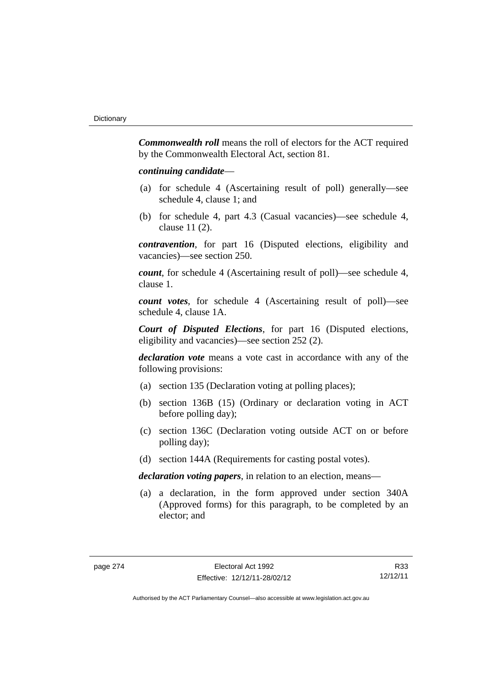*Commonwealth roll* means the roll of electors for the ACT required by the Commonwealth Electoral Act, section 81.

#### *continuing candidate*—

- (a) for schedule 4 (Ascertaining result of poll) generally—see schedule 4, clause 1; and
- (b) for schedule 4, part 4.3 (Casual vacancies)—see schedule 4, clause 11 (2).

*contravention*, for part 16 (Disputed elections, eligibility and vacancies)—see section 250.

*count*, for schedule 4 (Ascertaining result of poll)—see schedule 4, clause 1.

*count votes*, for schedule 4 (Ascertaining result of poll)—see schedule 4, clause 1A.

*Court of Disputed Elections*, for part 16 (Disputed elections, eligibility and vacancies)—see section 252 (2).

*declaration vote* means a vote cast in accordance with any of the following provisions:

- (a) section 135 (Declaration voting at polling places);
- (b) section 136B (15) (Ordinary or declaration voting in ACT before polling day);
- (c) section 136C (Declaration voting outside ACT on or before polling day);
- (d) section 144A (Requirements for casting postal votes).

*declaration voting papers*, in relation to an election, means—

 (a) a declaration, in the form approved under section 340A (Approved forms) for this paragraph, to be completed by an elector; and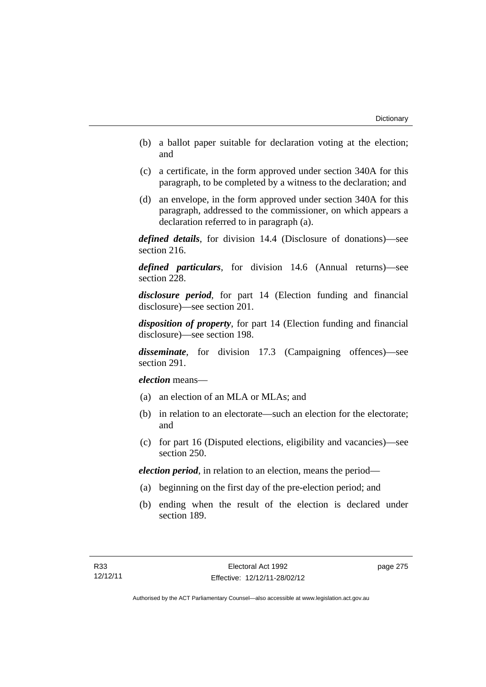- (b) a ballot paper suitable for declaration voting at the election; and
- (c) a certificate, in the form approved under section 340A for this paragraph, to be completed by a witness to the declaration; and
- (d) an envelope, in the form approved under section 340A for this paragraph, addressed to the commissioner, on which appears a declaration referred to in paragraph (a).

*defined details*, for division 14.4 (Disclosure of donations)—see section 216.

*defined particulars*, for division 14.6 (Annual returns)—see section 228.

*disclosure period*, for part 14 (Election funding and financial disclosure)—see section 201.

*disposition of property*, for part 14 (Election funding and financial disclosure)—see section 198.

*disseminate*, for division 17.3 (Campaigning offences)—see section 291.

*election* means—

- (a) an election of an MLA or MLAs; and
- (b) in relation to an electorate—such an election for the electorate; and
- (c) for part 16 (Disputed elections, eligibility and vacancies)—see section 250.

*election period*, in relation to an election, means the period—

- (a) beginning on the first day of the pre-election period; and
- (b) ending when the result of the election is declared under section 189.

page 275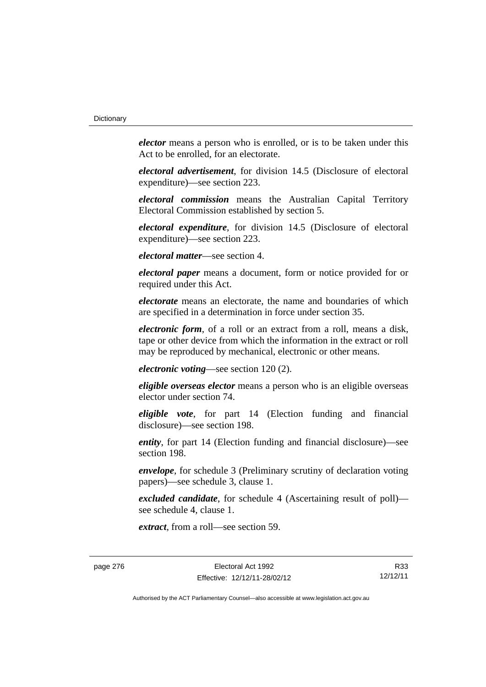*elector* means a person who is enrolled, or is to be taken under this Act to be enrolled, for an electorate.

*electoral advertisement*, for division 14.5 (Disclosure of electoral expenditure)—see section 223.

*electoral commission* means the Australian Capital Territory Electoral Commission established by section 5.

*electoral expenditure*, for division 14.5 (Disclosure of electoral expenditure)—see section 223.

*electoral matter*—see section 4.

*electoral paper* means a document, form or notice provided for or required under this Act.

*electorate* means an electorate, the name and boundaries of which are specified in a determination in force under section 35.

*electronic form*, of a roll or an extract from a roll, means a disk, tape or other device from which the information in the extract or roll may be reproduced by mechanical, electronic or other means.

*electronic voting*—see section 120 (2).

*eligible overseas elector* means a person who is an eligible overseas elector under section 74.

*eligible vote*, for part 14 (Election funding and financial disclosure)—see section 198.

*entity*, for part 14 (Election funding and financial disclosure)—see section 198.

*envelope*, for schedule 3 (Preliminary scrutiny of declaration voting papers)—see schedule 3, clause 1.

*excluded candidate*, for schedule 4 (Ascertaining result of poll) see schedule 4, clause 1.

*extract*, from a roll—see section 59.

page 276 **Electoral Act 1992** Effective: 12/12/11-28/02/12

R33 12/12/11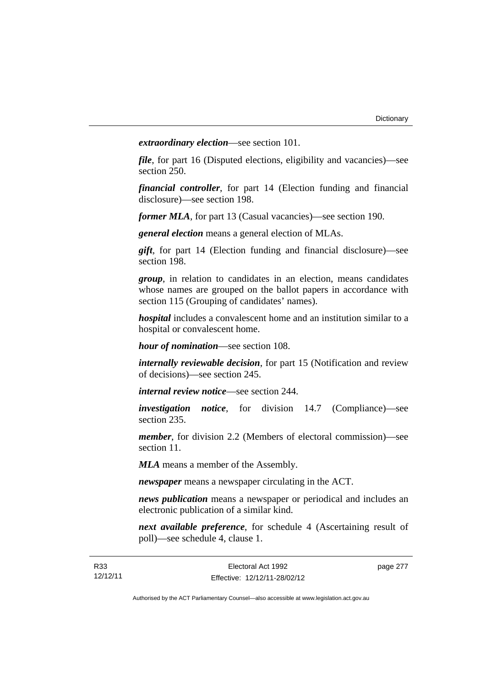*extraordinary election*—see section 101.

*file*, for part 16 (Disputed elections, eligibility and vacancies)—see section 250.

*financial controller*, for part 14 (Election funding and financial disclosure)—see section 198.

*former MLA*, for part 13 (Casual vacancies)—see section 190.

*general election* means a general election of MLAs.

*gift*, for part 14 (Election funding and financial disclosure)—see section 198.

*group*, in relation to candidates in an election, means candidates whose names are grouped on the ballot papers in accordance with section 115 (Grouping of candidates' names).

*hospital* includes a convalescent home and an institution similar to a hospital or convalescent home.

*hour of nomination*—see section 108.

*internally reviewable decision*, for part 15 (Notification and review of decisions)—see section 245.

*internal review notice*—see section 244.

*investigation notice*, for division 14.7 (Compliance)—see section 235.

*member*, for division 2.2 (Members of electoral commission)—see section 11.

*MLA* means a member of the Assembly.

*newspaper* means a newspaper circulating in the ACT.

*news publication* means a newspaper or periodical and includes an electronic publication of a similar kind.

*next available preference*, for schedule 4 (Ascertaining result of poll)—see schedule 4, clause 1.

page 277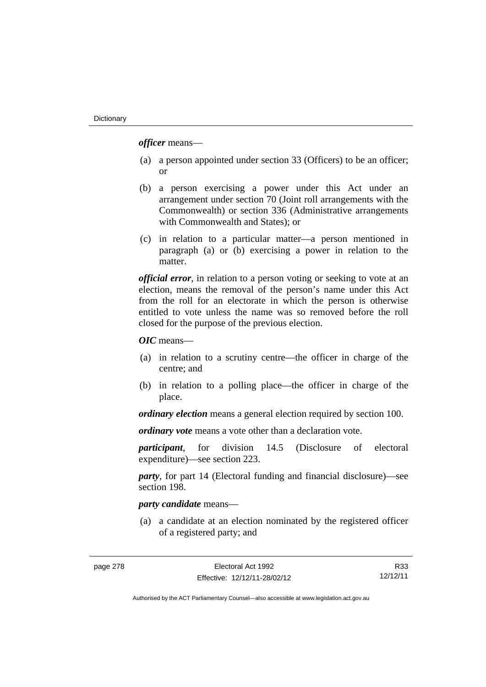*officer* means—

- (a) a person appointed under section 33 (Officers) to be an officer; or
- (b) a person exercising a power under this Act under an arrangement under section 70 (Joint roll arrangements with the Commonwealth) or section 336 (Administrative arrangements with Commonwealth and States); or
- (c) in relation to a particular matter—a person mentioned in paragraph (a) or (b) exercising a power in relation to the matter.

*official error*, in relation to a person voting or seeking to vote at an election, means the removal of the person's name under this Act from the roll for an electorate in which the person is otherwise entitled to vote unless the name was so removed before the roll closed for the purpose of the previous election.

*OIC* means—

- (a) in relation to a scrutiny centre—the officer in charge of the centre; and
- (b) in relation to a polling place—the officer in charge of the place.

*ordinary election* means a general election required by section 100.

*ordinary vote* means a vote other than a declaration vote.

*participant*, for division 14.5 (Disclosure of electoral expenditure)—see section 223.

*party*, for part 14 (Electoral funding and financial disclosure)—see section 198.

## *party candidate* means—

 (a) a candidate at an election nominated by the registered officer of a registered party; and

R33 12/12/11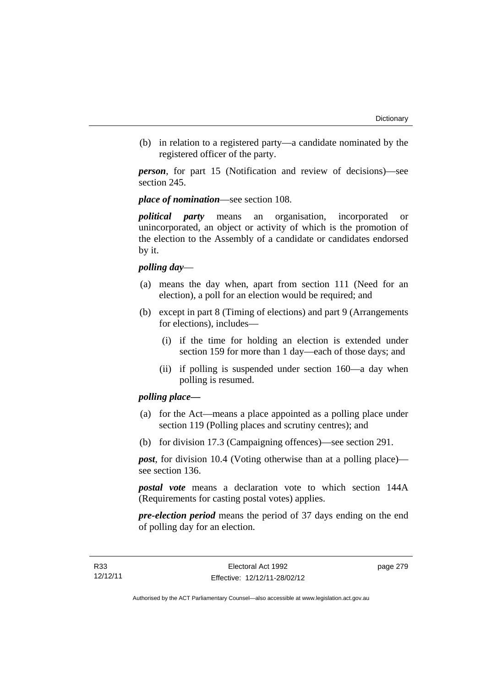(b) in relation to a registered party—a candidate nominated by the registered officer of the party.

*person*, for part 15 (Notification and review of decisions)—see section 245.

## *place of nomination*—see section 108.

*political party* means an organisation, incorporated or unincorporated, an object or activity of which is the promotion of the election to the Assembly of a candidate or candidates endorsed by it.

## *polling day*—

- (a) means the day when, apart from section 111 (Need for an election), a poll for an election would be required; and
- (b) except in part 8 (Timing of elections) and part 9 (Arrangements for elections), includes—
	- (i) if the time for holding an election is extended under section 159 for more than 1 day—each of those days; and
	- (ii) if polling is suspended under section 160—a day when polling is resumed.

## *polling place—*

- (a) for the Act—means a place appointed as a polling place under section 119 (Polling places and scrutiny centres); and
- (b) for division 17.3 (Campaigning offences)—see section 291.

*post*, for division 10.4 (Voting otherwise than at a polling place) see section 136.

*postal vote* means a declaration vote to which section 144A (Requirements for casting postal votes) applies.

*pre-election period* means the period of 37 days ending on the end of polling day for an election.

page 279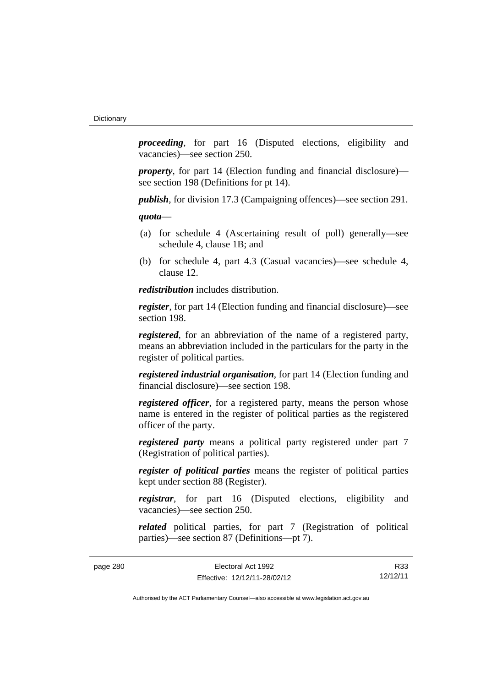*proceeding*, for part 16 (Disputed elections, eligibility and vacancies)—see section 250.

*property*, for part 14 (Election funding and financial disclosure) see section 198 (Definitions for pt 14).

*publish*, for division 17.3 (Campaigning offences)—see section 291.

*quota*—

- (a) for schedule 4 (Ascertaining result of poll) generally—see schedule 4, clause 1B; and
- (b) for schedule 4, part 4.3 (Casual vacancies)—see schedule 4, clause 12.

*redistribution* includes distribution.

*register*, for part 14 (Election funding and financial disclosure)—see section 198.

*registered*, for an abbreviation of the name of a registered party, means an abbreviation included in the particulars for the party in the register of political parties.

*registered industrial organisation*, for part 14 (Election funding and financial disclosure)—see section 198.

*registered officer*, for a registered party, means the person whose name is entered in the register of political parties as the registered officer of the party.

*registered party* means a political party registered under part 7 (Registration of political parties).

*register of political parties* means the register of political parties kept under section 88 (Register).

*registrar*, for part 16 (Disputed elections, eligibility and vacancies)—see section 250.

*related* political parties, for part 7 (Registration of political parties)—see section 87 (Definitions—pt 7).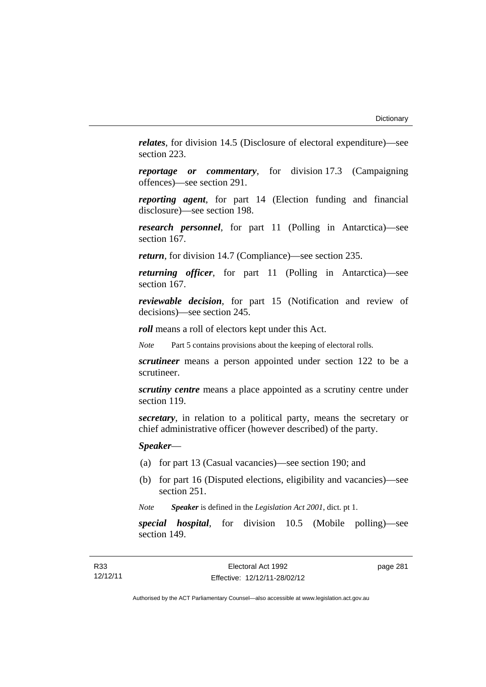*relates*, for division 14.5 (Disclosure of electoral expenditure)—see section 223.

*reportage or commentary*, for division 17.3 (Campaigning offences)—see section 291.

*reporting agent*, for part 14 (Election funding and financial disclosure)—see section 198.

*research personnel*, for part 11 (Polling in Antarctica)—see section 167.

*return*, for division 14.7 (Compliance)—see section 235.

*returning officer*, for part 11 (Polling in Antarctica)—see section 167.

*reviewable decision*, for part 15 (Notification and review of decisions)—see section 245.

*roll* means a roll of electors kept under this Act.

*Note* Part 5 contains provisions about the keeping of electoral rolls.

*scrutineer* means a person appointed under section 122 to be a scrutineer.

*scrutiny centre* means a place appointed as a scrutiny centre under section 119.

*secretary*, in relation to a political party, means the secretary or chief administrative officer (however described) of the party.

*Speaker*—

- (a) for part 13 (Casual vacancies)—see section 190; and
- (b) for part 16 (Disputed elections, eligibility and vacancies)—see section 251.

*Note Speaker* is defined in the *Legislation Act 2001*, dict. pt 1.

*special hospital*, for division 10.5 (Mobile polling)—see section 149.

page 281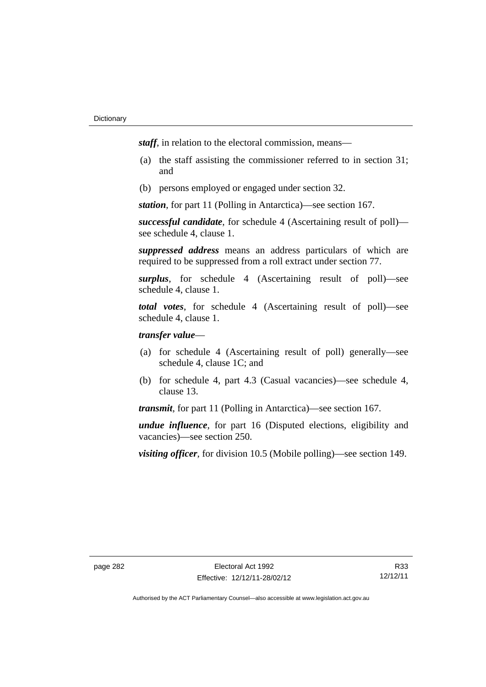*staff*, in relation to the electoral commission, means—

- (a) the staff assisting the commissioner referred to in section 31; and
- (b) persons employed or engaged under section 32.

*station*, for part 11 (Polling in Antarctica)—see section 167.

*successful candidate*, for schedule 4 (Ascertaining result of poll) see schedule 4, clause 1.

*suppressed address* means an address particulars of which are required to be suppressed from a roll extract under section 77.

*surplus*, for schedule 4 (Ascertaining result of poll)—see schedule 4, clause 1.

*total votes*, for schedule 4 (Ascertaining result of poll)—see schedule 4, clause 1.

## *transfer value*—

- (a) for schedule 4 (Ascertaining result of poll) generally—see schedule 4, clause 1C; and
- (b) for schedule 4, part 4.3 (Casual vacancies)—see schedule 4, clause 13.

*transmit*, for part 11 (Polling in Antarctica)—see section 167.

*undue influence*, for part 16 (Disputed elections, eligibility and vacancies)—see section 250.

*visiting officer*, for division 10.5 (Mobile polling)—see section 149.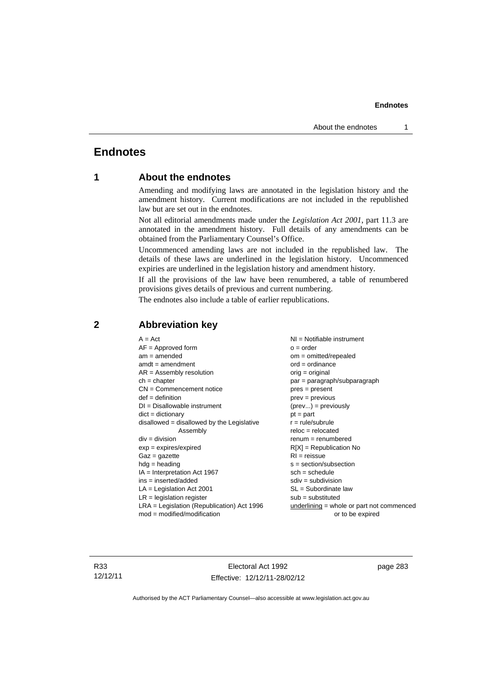## **Endnotes**

## **1 About the endnotes**

Amending and modifying laws are annotated in the legislation history and the amendment history. Current modifications are not included in the republished law but are set out in the endnotes.

Not all editorial amendments made under the *Legislation Act 2001*, part 11.3 are annotated in the amendment history. Full details of any amendments can be obtained from the Parliamentary Counsel's Office.

Uncommenced amending laws are not included in the republished law. The details of these laws are underlined in the legislation history. Uncommenced expiries are underlined in the legislation history and amendment history.

If all the provisions of the law have been renumbered, a table of renumbered provisions gives details of previous and current numbering.

The endnotes also include a table of earlier republications.

| $A = Act$                                    | $NI =$ Notifiable instrument              |
|----------------------------------------------|-------------------------------------------|
| $AF =$ Approved form                         | $o = order$                               |
| $am = amended$                               | $om = omitted/repealed$                   |
| $amdt = amendment$                           | $ord = ordinance$                         |
| $AR = Assembly resolution$                   | $orig = original$                         |
| $ch = chapter$                               | $par = paragraph/subparagraph$            |
| $CN =$ Commencement notice                   | $pres = present$                          |
| $def = definition$                           | $prev = previous$                         |
| $DI = Disallowable instrument$               | $(\text{prev}) = \text{previously}$       |
| $dict = dictionary$                          | $pt = part$                               |
| $disallowed = disallowed by the Legislative$ | $r = rule/subrule$                        |
| Assembly                                     | $reloc = relocated$                       |
| $div = division$                             | $renum = renumbered$                      |
| $exp = expires/expired$                      | $R[X]$ = Republication No                 |
| $Gaz = gazette$                              | $RI = reissue$                            |
| $hdg = heading$                              | $s = section/subsection$                  |
| $IA = Interpretation Act 1967$               | $sch = schedule$                          |
| $ins = inserted/added$                       | $sdiv = subdivision$                      |
| $LA =$ Legislation Act 2001                  | $SL = Subordinate$ law                    |
| $LR =$ legislation register                  | $sub =$ substituted                       |
| $LRA =$ Legislation (Republication) Act 1996 | underlining = whole or part not commenced |
| $mod = modified/modification$                | or to be expired                          |

## **2 Abbreviation key**

R33 12/12/11

Electoral Act 1992 Effective: 12/12/11-28/02/12 page 283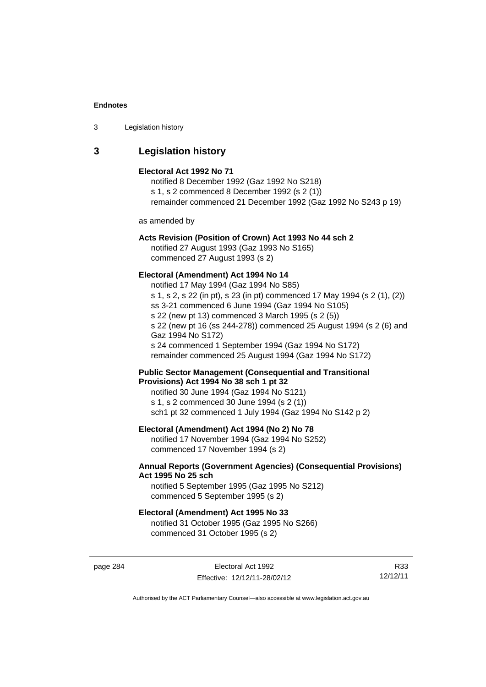| 3 | Legislation history |  |
|---|---------------------|--|
|---|---------------------|--|

## **3 Legislation history**

#### **Electoral Act 1992 No 71**

notified 8 December 1992 (Gaz 1992 No S218) s 1, s 2 commenced 8 December 1992 (s 2 (1)) remainder commenced 21 December 1992 (Gaz 1992 No S243 p 19)

as amended by

## **Acts Revision (Position of Crown) Act 1993 No 44 sch 2**

notified 27 August 1993 (Gaz 1993 No S165) commenced 27 August 1993 (s 2)

#### **Electoral (Amendment) Act 1994 No 14**

notified 17 May 1994 (Gaz 1994 No S85) s 1, s 2, s 22 (in pt), s 23 (in pt) commenced 17 May 1994 (s 2 (1), (2)) ss 3-21 commenced 6 June 1994 (Gaz 1994 No S105) s 22 (new pt 13) commenced 3 March 1995 (s 2 (5)) s 22 (new pt 16 (ss 244-278)) commenced 25 August 1994 (s 2 (6) and Gaz 1994 No S172) s 24 commenced 1 September 1994 (Gaz 1994 No S172) remainder commenced 25 August 1994 (Gaz 1994 No S172)

#### **Public Sector Management (Consequential and Transitional Provisions) Act 1994 No 38 sch 1 pt 32**

notified 30 June 1994 (Gaz 1994 No S121) s 1, s 2 commenced 30 June 1994 (s 2 (1)) sch1 pt 32 commenced 1 July 1994 (Gaz 1994 No S142 p 2)

## **Electoral (Amendment) Act 1994 (No 2) No 78**

notified 17 November 1994 (Gaz 1994 No S252) commenced 17 November 1994 (s 2)

### **Annual Reports (Government Agencies) (Consequential Provisions) Act 1995 No 25 sch**

notified 5 September 1995 (Gaz 1995 No S212) commenced 5 September 1995 (s 2)

#### **Electoral (Amendment) Act 1995 No 33**

notified 31 October 1995 (Gaz 1995 No S266) commenced 31 October 1995 (s 2)

page 284 **Electoral Act 1992** Effective: 12/12/11-28/02/12

R33 12/12/11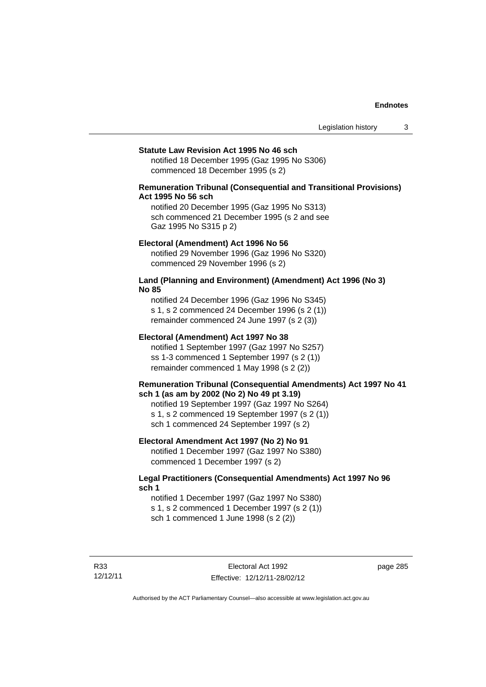#### **Statute Law Revision Act 1995 No 46 sch**

notified 18 December 1995 (Gaz 1995 No S306) commenced 18 December 1995 (s 2)

## **Remuneration Tribunal (Consequential and Transitional Provisions) Act 1995 No 56 sch**

notified 20 December 1995 (Gaz 1995 No S313) sch commenced 21 December 1995 (s 2 and see Gaz 1995 No S315 p 2)

#### **Electoral (Amendment) Act 1996 No 56**

notified 29 November 1996 (Gaz 1996 No S320) commenced 29 November 1996 (s 2)

#### **Land (Planning and Environment) (Amendment) Act 1996 (No 3) No 85**

notified 24 December 1996 (Gaz 1996 No S345) s 1, s 2 commenced 24 December 1996 (s 2 (1)) remainder commenced 24 June 1997 (s 2 (3))

#### **Electoral (Amendment) Act 1997 No 38**

notified 1 September 1997 (Gaz 1997 No S257) ss 1-3 commenced 1 September 1997 (s 2 (1)) remainder commenced 1 May 1998 (s 2 (2))

#### **Remuneration Tribunal (Consequential Amendments) Act 1997 No 41 sch 1 (as am by 2002 (No 2) No 49 pt 3.19)**

notified 19 September 1997 (Gaz 1997 No S264) s 1, s 2 commenced 19 September 1997 (s 2 (1)) sch 1 commenced 24 September 1997 (s 2)

#### **Electoral Amendment Act 1997 (No 2) No 91**

notified 1 December 1997 (Gaz 1997 No S380) commenced 1 December 1997 (s 2)

### **Legal Practitioners (Consequential Amendments) Act 1997 No 96 sch 1**

notified 1 December 1997 (Gaz 1997 No S380) s 1, s 2 commenced 1 December 1997 (s 2 (1)) sch 1 commenced 1 June 1998 (s 2 (2))

R33 12/12/11 page 285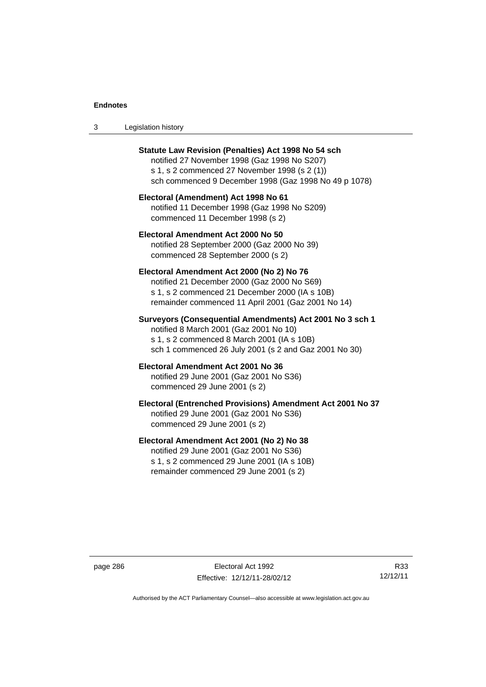| -3 | Legislation history |  |
|----|---------------------|--|
|----|---------------------|--|

| <b>Statute Law Revision (Penalties) Act 1998 No 54 sch</b><br>notified 27 November 1998 (Gaz 1998 No S207)<br>s 1, s 2 commenced 27 November 1998 (s 2 (1))<br>sch commenced 9 December 1998 (Gaz 1998 No 49 p 1078) |
|----------------------------------------------------------------------------------------------------------------------------------------------------------------------------------------------------------------------|
| Electoral (Amendment) Act 1998 No 61<br>notified 11 December 1998 (Gaz 1998 No S209)<br>commenced 11 December 1998 (s 2)                                                                                             |
| Electoral Amendment Act 2000 No 50<br>notified 28 September 2000 (Gaz 2000 No 39)<br>commenced 28 September 2000 (s 2)                                                                                               |
| Electoral Amendment Act 2000 (No 2) No 76<br>notified 21 December 2000 (Gaz 2000 No S69)<br>s 1, s 2 commenced 21 December 2000 (IA s 10B)<br>remainder commenced 11 April 2001 (Gaz 2001 No 14)                     |
| Surveyors (Consequential Amendments) Act 2001 No 3 sch 1<br>notified 8 March 2001 (Gaz 2001 No 10)<br>s 1, s 2 commenced 8 March 2001 (IA s 10B)<br>sch 1 commenced 26 July 2001 (s 2 and Gaz 2001 No 30)            |
| Electoral Amendment Act 2001 No 36<br>notified 29 June 2001 (Gaz 2001 No S36)<br>commenced 29 June 2001 (s 2)                                                                                                        |
| Electoral (Entrenched Provisions) Amendment Act 2001 No 37<br>notified 29 June 2001 (Gaz 2001 No S36)<br>commenced 29 June 2001 (s 2)                                                                                |
| Electoral Amendment Act 2001 (No 2) No 38<br>notified 29 June 2001 (Gaz 2001 No S36)<br>s 1, s 2 commenced 29 June 2001 (IA s 10B)<br>remainder commenced 29 June 2001 (s 2)                                         |

page 286 Electoral Act 1992 Effective: 12/12/11-28/02/12

R33 12/12/11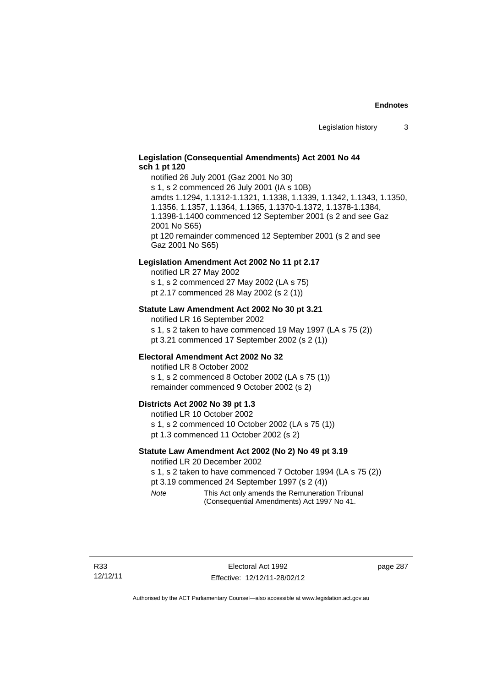## **Legislation (Consequential Amendments) Act 2001 No 44 sch 1 pt 120**

notified 26 July 2001 (Gaz 2001 No 30) s 1, s 2 commenced 26 July 2001 (IA s 10B) amdts 1.1294, 1.1312-1.1321, 1.1338, 1.1339, 1.1342, 1.1343, 1.1350, 1.1356, 1.1357, 1.1364, 1.1365, 1.1370-1.1372, 1.1378-1.1384, 1.1398-1.1400 commenced 12 September 2001 (s 2 and see Gaz 2001 No S65) pt 120 remainder commenced 12 September 2001 (s 2 and see Gaz 2001 No S65)

#### **Legislation Amendment Act 2002 No 11 pt 2.17**

notified LR 27 May 2002 s 1, s 2 commenced 27 May 2002 (LA s 75) pt 2.17 commenced 28 May 2002 (s 2 (1))

#### **Statute Law Amendment Act 2002 No 30 pt 3.21**

notified LR 16 September 2002 s 1, s 2 taken to have commenced 19 May 1997 (LA s 75 (2)) pt 3.21 commenced 17 September 2002 (s 2 (1))

#### **Electoral Amendment Act 2002 No 32**

notified LR 8 October 2002 s 1, s 2 commenced 8 October 2002 (LA s 75 (1)) remainder commenced 9 October 2002 (s 2)

#### **Districts Act 2002 No 39 pt 1.3**

notified LR 10 October 2002 s 1, s 2 commenced 10 October 2002 (LA s 75 (1)) pt 1.3 commenced 11 October 2002 (s 2)

#### **Statute Law Amendment Act 2002 (No 2) No 49 pt 3.19**

notified LR 20 December 2002

s 1, s 2 taken to have commenced 7 October 1994 (LA s 75 (2)) pt 3.19 commenced 24 September 1997 (s 2 (4))

*Note* This Act only amends the Remuneration Tribunal (Consequential Amendments) Act 1997 No 41.

page 287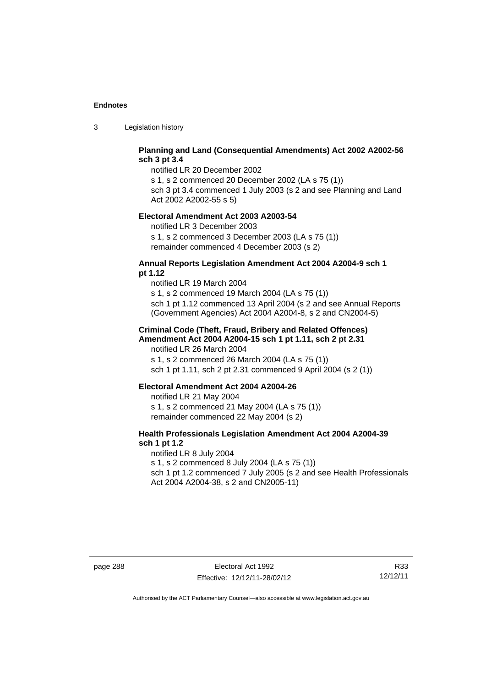3 Legislation history

## **Planning and Land (Consequential Amendments) Act 2002 A2002-56 sch 3 pt 3.4**

notified LR 20 December 2002

s 1, s 2 commenced 20 December 2002 (LA s 75 (1)) sch 3 pt 3.4 commenced 1 July 2003 (s 2 and see Planning and Land

Act 2002 A2002-55 s 5)

#### **Electoral Amendment Act 2003 A2003-54**

notified LR 3 December 2003 s 1, s 2 commenced 3 December 2003 (LA s 75 (1)) remainder commenced 4 December 2003 (s 2)

#### **Annual Reports Legislation Amendment Act 2004 A2004-9 sch 1 pt 1.12**

notified LR 19 March 2004 s 1, s 2 commenced 19 March 2004 (LA s 75 (1)) sch 1 pt 1.12 commenced 13 April 2004 (s 2 and see Annual Reports (Government Agencies) Act 2004 A2004-8, s 2 and CN2004-5)

#### **Criminal Code (Theft, Fraud, Bribery and Related Offences) Amendment Act 2004 A2004-15 sch 1 pt 1.11, sch 2 pt 2.31**

notified LR 26 March 2004 s 1, s 2 commenced 26 March 2004 (LA s 75 (1)) sch 1 pt 1.11, sch 2 pt 2.31 commenced 9 April 2004 (s 2 (1))

#### **Electoral Amendment Act 2004 A2004-26**

notified LR 21 May 2004 s 1, s 2 commenced 21 May 2004 (LA s 75 (1)) remainder commenced 22 May 2004 (s 2)

## **Health Professionals Legislation Amendment Act 2004 A2004-39 sch 1 pt 1.2**

notified LR 8 July 2004 s 1, s 2 commenced 8 July 2004 (LA s 75 (1)) sch 1 pt 1.2 commenced 7 July 2005 (s 2 and see Health Professionals Act 2004 A2004-38, s 2 and CN2005-11)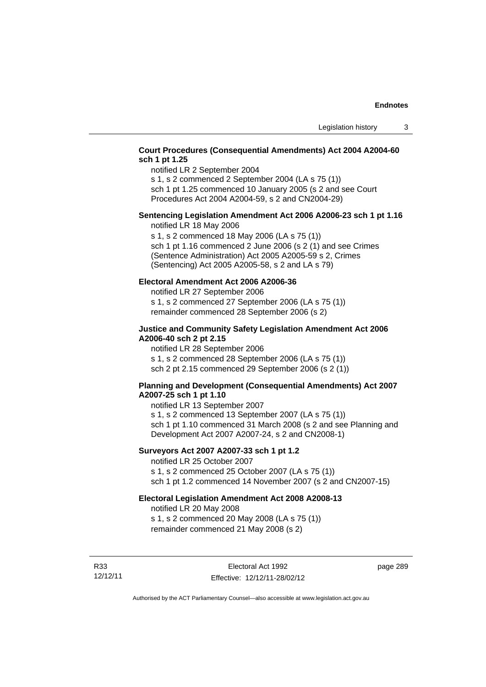## **Court Procedures (Consequential Amendments) Act 2004 A2004-60 sch 1 pt 1.25**

notified LR 2 September 2004

s 1, s 2 commenced 2 September 2004 (LA s 75 (1)) sch 1 pt 1.25 commenced 10 January 2005 (s 2 and see Court

Procedures Act 2004 A2004-59, s 2 and CN2004-29)

## **Sentencing Legislation Amendment Act 2006 A2006-23 sch 1 pt 1.16**

notified LR 18 May 2006

s 1, s 2 commenced 18 May 2006 (LA s 75 (1)) sch 1 pt 1.16 commenced 2 June 2006 (s 2 (1) and see Crimes (Sentence Administration) Act 2005 A2005-59 s 2, Crimes (Sentencing) Act 2005 A2005-58, s 2 and LA s 79)

## **Electoral Amendment Act 2006 A2006-36**

notified LR 27 September 2006 s 1, s 2 commenced 27 September 2006 (LA s 75 (1)) remainder commenced 28 September 2006 (s 2)

### **Justice and Community Safety Legislation Amendment Act 2006 A2006-40 sch 2 pt 2.15**

notified LR 28 September 2006 s 1, s 2 commenced 28 September 2006 (LA s 75 (1)) sch 2 pt 2.15 commenced 29 September 2006 (s 2 (1))

## **Planning and Development (Consequential Amendments) Act 2007 A2007-25 sch 1 pt 1.10**

notified LR 13 September 2007 s 1, s 2 commenced 13 September 2007 (LA s 75 (1)) sch 1 pt 1.10 commenced 31 March 2008 (s 2 and see Planning and Development Act 2007 A2007-24, s 2 and CN2008-1)

## **Surveyors Act 2007 A2007-33 sch 1 pt 1.2**

notified LR 25 October 2007 s 1, s 2 commenced 25 October 2007 (LA s 75 (1)) sch 1 pt 1.2 commenced 14 November 2007 (s 2 and CN2007-15)

## **Electoral Legislation Amendment Act 2008 A2008-13**

notified LR 20 May 2008 s 1, s 2 commenced 20 May 2008 (LA s 75 (1)) remainder commenced 21 May 2008 (s 2)

R33 12/12/11 page 289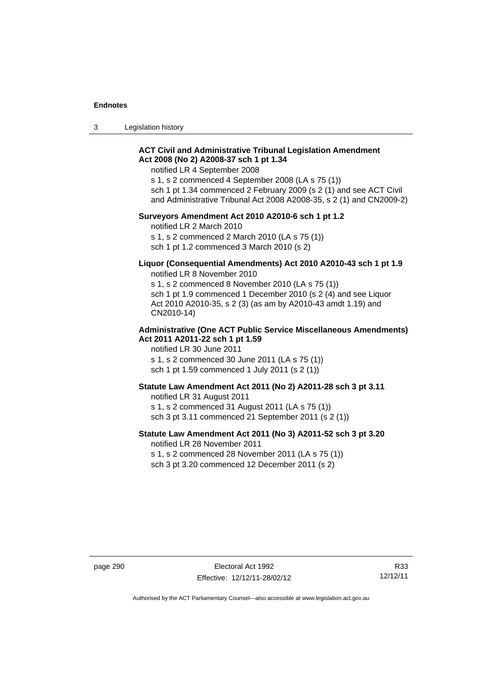3 Legislation history

## **ACT Civil and Administrative Tribunal Legislation Amendment Act 2008 (No 2) A2008-37 sch 1 pt 1.34**

notified LR 4 September 2008

s 1, s 2 commenced 4 September 2008 (LA s 75 (1)) sch 1 pt 1.34 commenced 2 February 2009 (s 2 (1) and see ACT Civil and Administrative Tribunal Act 2008 A2008-35, s 2 (1) and CN2009-2)

#### **Surveyors Amendment Act 2010 A2010-6 sch 1 pt 1.2**

notified LR 2 March 2010 s 1, s 2 commenced 2 March 2010 (LA s 75 (1)) sch 1 pt 1.2 commenced 3 March 2010 (s 2)

#### **Liquor (Consequential Amendments) Act 2010 A2010-43 sch 1 pt 1.9**  notified LR 8 November 2010

s 1, s 2 commenced 8 November 2010 (LA s 75 (1)) sch 1 pt 1.9 commenced 1 December 2010 (s 2 (4) and see Liquor Act 2010 A2010-35, s 2 (3) (as am by A2010-43 amdt 1.19) and CN2010-14)

#### **Administrative (One ACT Public Service Miscellaneous Amendments) Act 2011 A2011-22 sch 1 pt 1.59**

notified LR 30 June 2011 s 1, s 2 commenced 30 June 2011 (LA s 75 (1)) sch 1 pt 1.59 commenced 1 July 2011 (s 2 (1))

## **Statute Law Amendment Act 2011 (No 2) A2011-28 sch 3 pt 3.11**

notified LR 31 August 2011

s 1, s 2 commenced 31 August 2011 (LA s 75 (1)) sch 3 pt 3.11 commenced 21 September 2011 (s 2 (1))

## **Statute Law Amendment Act 2011 (No 3) A2011-52 sch 3 pt 3.20**

notified LR 28 November 2011

s 1, s 2 commenced 28 November 2011 (LA s 75 (1))

sch 3 pt 3.20 commenced 12 December 2011 (s 2)

page 290 **Electoral Act 1992** Effective: 12/12/11-28/02/12

R33 12/12/11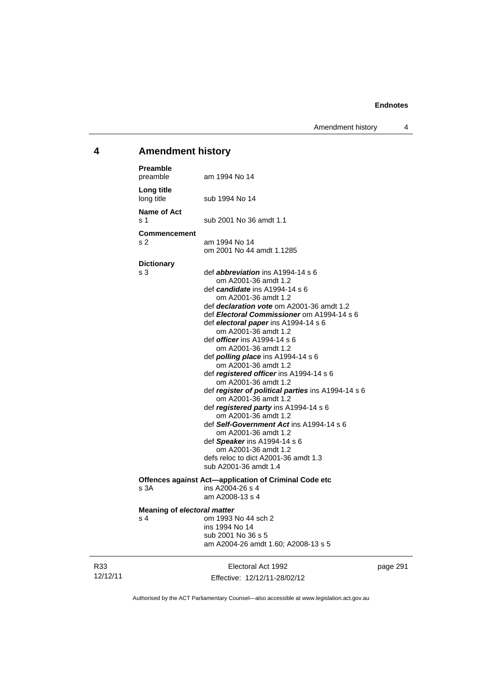Amendment history 4

## **4 Amendment history**

| <b>Preamble</b><br>preamble        | am 1994 No 14                                                                                                                                                  |     |
|------------------------------------|----------------------------------------------------------------------------------------------------------------------------------------------------------------|-----|
| Long title<br>long title           | sub 1994 No 14                                                                                                                                                 |     |
| Name of Act<br>s 1                 | sub 2001 No 36 amdt 1.1                                                                                                                                        |     |
| <b>Commencement</b>                |                                                                                                                                                                |     |
| s 2                                | am 1994 No 14<br>om 2001 No 44 amdt 1.1285                                                                                                                     |     |
| <b>Dictionary</b>                  |                                                                                                                                                                |     |
| s 3                                | def <b>abbreviation</b> ins $A1994-14 s 6$<br>om A2001-36 amdt 1.2<br>def <i>candidate</i> ins A1994-14 s 6                                                    |     |
|                                    | om A2001-36 amdt 1.2<br>def <i>declaration vote</i> om A2001-36 amdt 1.2<br>def Electoral Commissioner om A1994-14 s 6<br>def electoral paper ins A1994-14 s 6 |     |
|                                    | om A2001-36 amdt 1.2<br>def <i>officer</i> ins A1994-14 s 6<br>om A2001-36 amdt 1.2                                                                            |     |
|                                    | def <b>polling place</b> ins $A1994-14 s 6$<br>om A2001-36 amdt 1.2<br>def registered officer ins A1994-14 s 6<br>om A2001-36 amdt 1.2                         |     |
|                                    | def register of political parties ins A1994-14 s 6<br>om A2001-36 amdt 1.2<br>def registered party ins A1994-14 s 6                                            |     |
|                                    | om A2001-36 amdt 1.2<br>def Self-Government Act ins A1994-14 s 6<br>om A2001-36 amdt 1.2                                                                       |     |
|                                    | def Speaker ins A1994-14 s 6<br>om A2001-36 amdt 1.2                                                                                                           |     |
|                                    | defs reloc to dict A2001-36 amdt 1.3<br>sub A2001-36 amdt 1.4                                                                                                  |     |
|                                    | Offences against Act-application of Criminal Code etc                                                                                                          |     |
| s 3A                               | ins A2004-26 s 4<br>am A2008-13 s 4                                                                                                                            |     |
| <b>Meaning of electoral matter</b> |                                                                                                                                                                |     |
| s 4                                | om 1993 No 44 sch 2<br>ins 1994 No 14<br>sub 2001 No 36 s 5                                                                                                    |     |
|                                    | am A2004-26 amdt 1.60; A2008-13 s 5                                                                                                                            |     |
|                                    | Electoral Act 1992                                                                                                                                             | pag |

R33 12/12/11

Effective: 12/12/11-28/02/12

page 291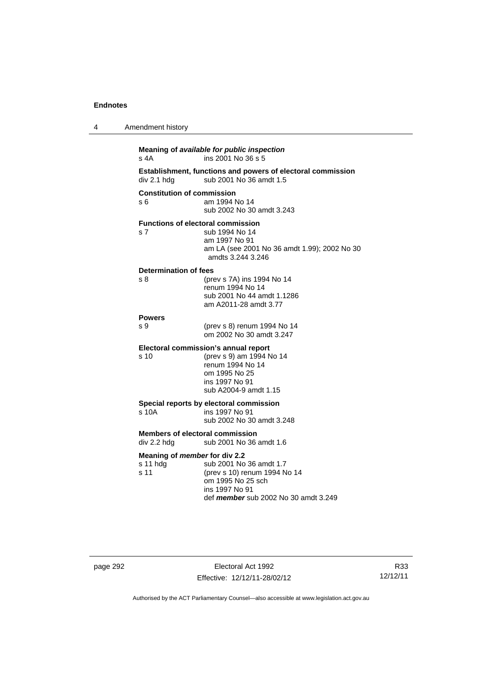| 4 | Amendment history                                        |                                                                                                                                        |
|---|----------------------------------------------------------|----------------------------------------------------------------------------------------------------------------------------------------|
|   | s 4A                                                     | Meaning of available for public inspection<br>ins 2001 No 36 s 5                                                                       |
|   | div 2.1 hdg                                              | Establishment, functions and powers of electoral commission<br>sub 2001 No 36 amdt 1.5                                                 |
|   | <b>Constitution of commission</b><br>s 6                 | am 1994 No 14<br>sub 2002 No 30 amdt 3.243                                                                                             |
|   | <b>Functions of electoral commission</b><br>s 7          | sub 1994 No 14<br>am 1997 No 91<br>am LA (see 2001 No 36 amdt 1.99); 2002 No 30<br>amdts 3.244 3.246                                   |
|   | Determination of fees<br>s 8                             | (prev s 7A) ins 1994 No 14<br>renum 1994 No 14<br>sub 2001 No 44 amdt 1.1286<br>am A2011-28 amdt 3.77                                  |
|   | <b>Powers</b>                                            |                                                                                                                                        |
|   | s 9                                                      | (prev s 8) renum 1994 No 14<br>om 2002 No 30 amdt 3.247                                                                                |
|   | Electoral commission's annual report<br>s 10             | (prev s 9) am 1994 No 14<br>renum 1994 No 14<br>om 1995 No 25<br>ins 1997 No 91<br>sub A2004-9 amdt 1.15                               |
|   | Special reports by electoral commission<br>s 10A         | ins 1997 No 91<br>sub 2002 No 30 amdt 3.248                                                                                            |
|   | <b>Members of electoral commission</b><br>div 2.2 hdg    | sub 2001 No 36 amdt 1.6                                                                                                                |
|   | Meaning of <i>member</i> for div 2.2<br>s 11 hdg<br>s 11 | sub 2001 No 36 amdt 1.7<br>(prev s 10) renum 1994 No 14<br>om 1995 No 25 sch<br>ins 1997 No 91<br>def member sub 2002 No 30 amdt 3.249 |

page 292 Electoral Act 1992 Effective: 12/12/11-28/02/12

R33 12/12/11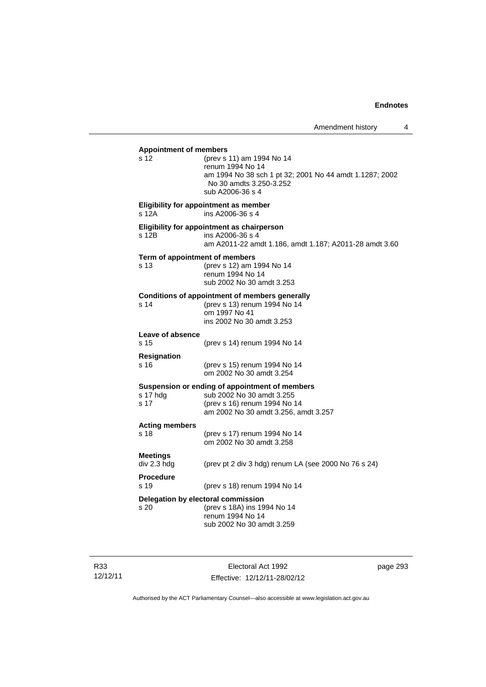| <b>Appointment of members</b><br>s 12  | (prev s 11) am 1994 No 14<br>renum 1994 No 14<br>am 1994 No 38 sch 1 pt 32; 2001 No 44 amdt 1.1287; 2002<br>No 30 amdts 3.250-3.252<br>sub A2006-36 s 4 |
|----------------------------------------|---------------------------------------------------------------------------------------------------------------------------------------------------------|
| s 12A                                  | Eligibility for appointment as member<br>ins A2006-36 s 4                                                                                               |
| s 12B                                  | Eligibility for appointment as chairperson<br>ins A2006-36 s 4<br>am A2011-22 amdt 1.186, amdt 1.187; A2011-28 amdt 3.60                                |
| Term of appointment of members<br>s 13 | (prev s 12) am 1994 No 14<br>renum 1994 No 14<br>sub 2002 No 30 amdt 3.253                                                                              |
| s <sub>14</sub>                        | <b>Conditions of appointment of members generally</b><br>(prev s 13) renum 1994 No 14<br>om 1997 No 41<br>ins 2002 No 30 amdt 3.253                     |
| Leave of absence<br>s 15               | (prev s 14) renum 1994 No 14                                                                                                                            |
| <b>Resignation</b><br>s 16             | (prev s 15) renum 1994 No 14<br>om 2002 No 30 amdt 3.254                                                                                                |
| s 17 hdg<br>s 17                       | Suspension or ending of appointment of members<br>sub 2002 No 30 amdt 3.255<br>(prev s 16) renum 1994 No 14<br>am 2002 No 30 amdt 3.256, amdt 3.257     |
| <b>Acting members</b><br>s 18          | (prev s 17) renum 1994 No 14<br>om 2002 No 30 amdt 3.258                                                                                                |
| Meetings<br>div 2.3 hdg                | (prev pt 2 div 3 hdg) renum LA (see 2000 No 76 s 24)                                                                                                    |
| <b>Procedure</b><br>s 19               | (prev s 18) renum 1994 No 14                                                                                                                            |
| s 20                                   | Delegation by electoral commission<br>(prev s 18A) ins 1994 No 14<br>renum 1994 No 14<br>sub 2002 No 30 amdt 3.259                                      |
|                                        |                                                                                                                                                         |

R33 12/12/11

Electoral Act 1992 Effective: 12/12/11-28/02/12 page 293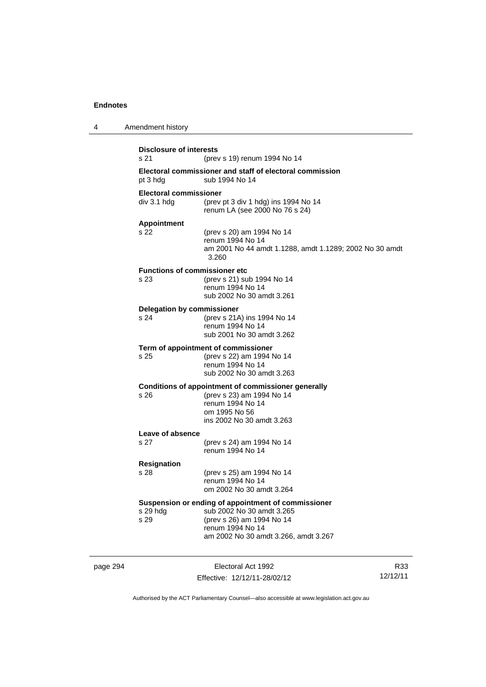| 4        | Amendment history                            |                                                                                                                                                                           |     |
|----------|----------------------------------------------|---------------------------------------------------------------------------------------------------------------------------------------------------------------------------|-----|
|          | <b>Disclosure of interests</b><br>s 21       | (prev s 19) renum 1994 No 14                                                                                                                                              |     |
|          | pt 3 hdg                                     | Electoral commissioner and staff of electoral commission<br>sub 1994 No 14                                                                                                |     |
|          | Electoral commissioner<br>div 3.1 h dq       | (prev pt 3 div 1 hdg) ins 1994 No 14<br>renum LA (see 2000 No 76 s 24)                                                                                                    |     |
|          | <b>Appointment</b><br>s 22                   | (prev s 20) am 1994 No 14<br>renum 1994 No 14<br>am 2001 No 44 amdt 1.1288, amdt 1.1289; 2002 No 30 amdt<br>3.260                                                         |     |
|          | <b>Functions of commissioner etc</b><br>s 23 | (prev s 21) sub 1994 No 14<br>renum 1994 No 14<br>sub 2002 No 30 amdt 3.261                                                                                               |     |
|          | <b>Delegation by commissioner</b><br>s 24    | (prev s 21A) ins 1994 No 14<br>renum 1994 No 14<br>sub 2001 No 30 amdt 3.262                                                                                              |     |
|          | s 25                                         | Term of appointment of commissioner<br>(prev s 22) am 1994 No 14<br>renum 1994 No 14<br>sub 2002 No 30 amdt 3.263                                                         |     |
|          | s 26                                         | Conditions of appointment of commissioner generally<br>(prev s 23) am 1994 No 14<br>renum 1994 No 14<br>om 1995 No 56<br>ins 2002 No 30 amdt 3.263                        |     |
|          | Leave of absence<br>s 27                     | (prev s 24) am 1994 No 14<br>renum 1994 No 14                                                                                                                             |     |
|          | <b>Resignation</b><br>s 28                   | (prev s 25) am 1994 No 14<br>renum 1994 No 14<br>om 2002 No 30 amdt 3.264                                                                                                 |     |
|          | s 29 hdg<br>s 29                             | Suspension or ending of appointment of commissioner<br>sub 2002 No 30 amdt 3.265<br>(prev s 26) am 1994 No 14<br>renum 1994 No 14<br>am 2002 No 30 amdt 3.266, amdt 3.267 |     |
| page 294 |                                              | Electoral Act 1992                                                                                                                                                        | R33 |

Effective: 12/12/11-28/02/12

R33 12/12/11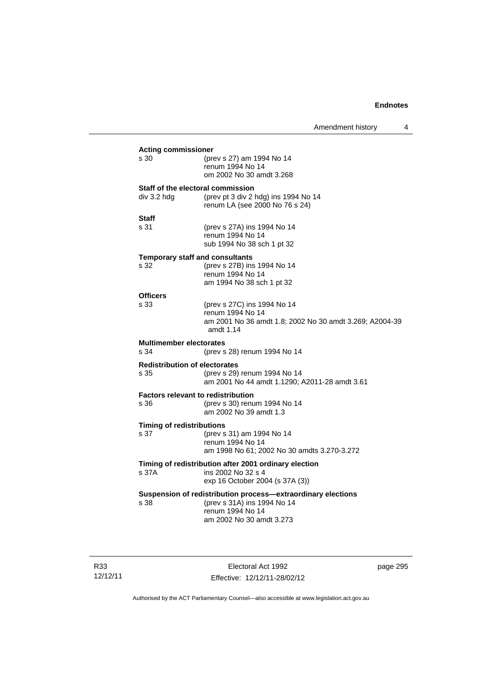|                                                   |                                                                                                                                             | Amendment history | 4 |
|---------------------------------------------------|---------------------------------------------------------------------------------------------------------------------------------------------|-------------------|---|
| <b>Acting commissioner</b><br>s 30                | (prev s 27) am 1994 No 14<br>renum 1994 No 14<br>om 2002 No 30 amdt 3.268                                                                   |                   |   |
| Staff of the electoral commission<br>div 3.2 hdg  | (prev pt 3 div 2 hdg) ins 1994 No 14<br>renum LA (see 2000 No 76 s 24)                                                                      |                   |   |
| <b>Staff</b><br>s 31                              | (prev s 27A) ins 1994 No 14<br>renum 1994 No 14<br>sub 1994 No 38 sch 1 pt 32                                                               |                   |   |
| <b>Temporary staff and consultants</b><br>s 32    | (prev s 27B) ins 1994 No 14<br>renum 1994 No 14<br>am 1994 No 38 sch 1 pt 32                                                                |                   |   |
| <b>Officers</b><br>s 33                           | (prev s 27C) ins 1994 No 14<br>renum 1994 No 14<br>am 2001 No 36 amdt 1.8; 2002 No 30 amdt 3.269; A2004-39<br>amdt 1.14                     |                   |   |
| <b>Multimember electorates</b><br>s 34            | (prev s 28) renum 1994 No 14                                                                                                                |                   |   |
| <b>Redistribution of electorates</b><br>s 35      | (prev s 29) renum 1994 No 14<br>am 2001 No 44 amdt 1.1290; A2011-28 amdt 3.61                                                               |                   |   |
| <b>Factors relevant to redistribution</b><br>s 36 | (prev s 30) renum 1994 No 14<br>am 2002 No 39 amdt 1.3                                                                                      |                   |   |
| <b>Timing of redistributions</b><br>s 37          | (prev s 31) am 1994 No 14<br>renum 1994 No 14<br>am 1998 No 61; 2002 No 30 amdts 3.270-3.272                                                |                   |   |
| s 37A                                             | Timing of redistribution after 2001 ordinary election<br>ins 2002 No 32 s 4<br>exp 16 October 2004 (s 37A (3))                              |                   |   |
| s 38                                              | Suspension of redistribution process-extraordinary elections<br>(prev s 31A) ins 1994 No 14<br>renum 1994 No 14<br>am 2002 No 30 amdt 3.273 |                   |   |

R33 12/12/11

Electoral Act 1992 Effective: 12/12/11-28/02/12 page 295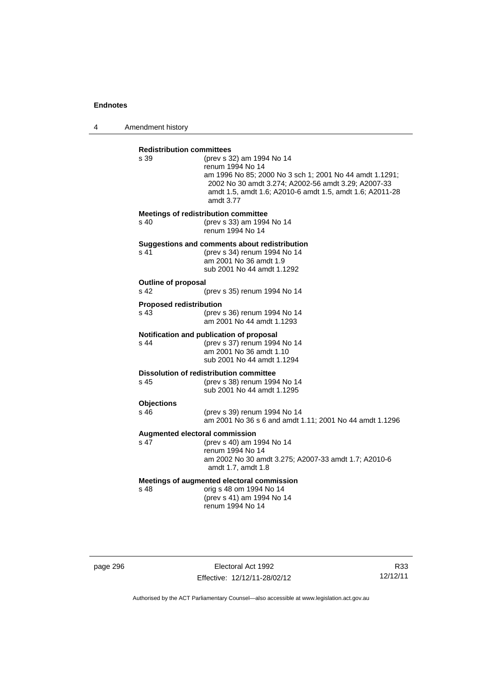4 Amendment history

| <b>Redistribution committees</b> |                                                                                                                                                                                                                             |  |
|----------------------------------|-----------------------------------------------------------------------------------------------------------------------------------------------------------------------------------------------------------------------------|--|
| s 39                             | (prev s 32) am 1994 No 14<br>renum 1994 No 14<br>am 1996 No 85; 2000 No 3 sch 1; 2001 No 44 amdt 1.1291;<br>2002 No 30 amdt 3.274; A2002-56 amdt 3.29; A2007-33<br>amdt 1.5, amdt 1.6; A2010-6 amdt 1.5, amdt 1.6; A2011-28 |  |
|                                  | amdt 3.77                                                                                                                                                                                                                   |  |
| $\sin 40$                        | <b>Meetings of redistribution committee</b><br>(prev s 33) am 1994 No 14<br>renum 1994 No 14                                                                                                                                |  |
|                                  | Suggestions and comments about redistribution                                                                                                                                                                               |  |
| s 41                             | (prev s 34) renum 1994 No 14<br>am 2001 No 36 amdt 1.9<br>sub 2001 No 44 amdt 1.1292                                                                                                                                        |  |
| <b>Outline of proposal</b>       |                                                                                                                                                                                                                             |  |
| s <sub>42</sub>                  | (prev s 35) renum 1994 No 14                                                                                                                                                                                                |  |
| <b>Proposed redistribution</b>   |                                                                                                                                                                                                                             |  |
| s 43                             | (prev s 36) renum 1994 No 14<br>am 2001 No 44 amdt 1.1293                                                                                                                                                                   |  |
| $s$ 44                           | Notification and publication of proposal<br>(prev s 37) renum 1994 No 14                                                                                                                                                    |  |
|                                  | am 2001 No 36 amdt 1.10<br>sub 2001 No 44 amdt 1.1294                                                                                                                                                                       |  |
|                                  | Dissolution of redistribution committee                                                                                                                                                                                     |  |
| s 45                             | (prev s 38) renum 1994 No 14<br>sub 2001 No 44 amdt 1.1295                                                                                                                                                                  |  |
| <b>Objections</b>                |                                                                                                                                                                                                                             |  |
| $s$ 46                           | (prev s 39) renum 1994 No 14<br>am 2001 No 36 s 6 and amdt 1.11; 2001 No 44 amdt 1.1296                                                                                                                                     |  |
|                                  | Augmented electoral commission                                                                                                                                                                                              |  |
| s <sub>47</sub>                  | (prev s 40) am 1994 No 14<br>renum 1994 No 14<br>am 2002 No 30 amdt 3.275; A2007-33 amdt 1.7; A2010-6<br>amdt 1.7, amdt 1.8                                                                                                 |  |
|                                  |                                                                                                                                                                                                                             |  |
| s 48                             | Meetings of augmented electoral commission<br>orig s 48 om 1994 No 14<br>(prev s 41) am 1994 No 14<br>renum 1994 No 14                                                                                                      |  |

page 296 Electoral Act 1992 Effective: 12/12/11-28/02/12

R33 12/12/11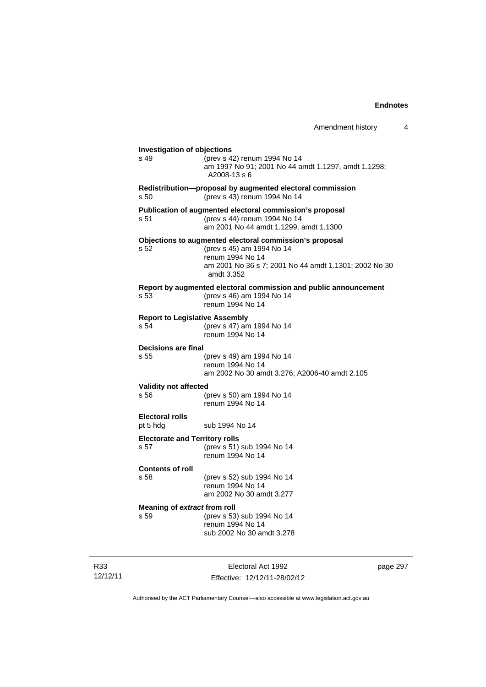| Amendment history |  |  |
|-------------------|--|--|
|-------------------|--|--|

| <b>Investigation of objections</b>            |                                                                                                                                                                                 |  |
|-----------------------------------------------|---------------------------------------------------------------------------------------------------------------------------------------------------------------------------------|--|
| s 49                                          | (prev s 42) renum 1994 No 14<br>am 1997 No 91; 2001 No 44 amdt 1.1297, amdt 1.1298;<br>A2008-13 s 6                                                                             |  |
| s 50                                          | Redistribution-proposal by augmented electoral commission<br>(prev s 43) renum 1994 No 14                                                                                       |  |
| s 51                                          | Publication of augmented electoral commission's proposal<br>(prev s 44) renum 1994 No 14<br>am 2001 No 44 amdt 1.1299, amdt 1.1300                                              |  |
| s 52                                          | Objections to augmented electoral commission's proposal<br>(prev s 45) am 1994 No 14<br>renum 1994 No 14<br>am 2001 No 36 s 7; 2001 No 44 amdt 1.1301; 2002 No 30<br>amdt 3.352 |  |
| s 53                                          | Report by augmented electoral commission and public announcement<br>(prev s 46) am 1994 No 14<br>renum 1994 No 14                                                               |  |
| <b>Report to Legislative Assembly</b><br>s 54 | (prev s 47) am 1994 No 14<br>renum 1994 No 14                                                                                                                                   |  |
| Decisions are final<br>s 55                   | (prev s 49) am 1994 No 14<br>renum 1994 No 14<br>am 2002 No 30 amdt 3.276; A2006-40 amdt 2.105                                                                                  |  |
| <b>Validity not affected</b><br>s 56          | (prev s 50) am 1994 No 14                                                                                                                                                       |  |
|                                               | renum 1994 No 14                                                                                                                                                                |  |
| <b>Electoral rolls</b><br>pt 5 hdg            | sub 1994 No 14                                                                                                                                                                  |  |
| <b>Electorate and Territory rolls</b><br>s 57 | (prev s 51) sub 1994 No 14<br>renum 1994 No 14                                                                                                                                  |  |
| <b>Contents of roll</b><br>s 58               | (prev s 52) sub 1994 No 14<br>renum 1994 No 14<br>am 2002 No 30 amdt 3.277                                                                                                      |  |
| Meaning of extract from roll<br>s 59          | (prev s 53) sub 1994 No 14<br>renum 1994 No 14<br>sub 2002 No 30 amdt 3.278                                                                                                     |  |
|                                               |                                                                                                                                                                                 |  |

R33 12/12/11

Electoral Act 1992 Effective: 12/12/11-28/02/12 page 297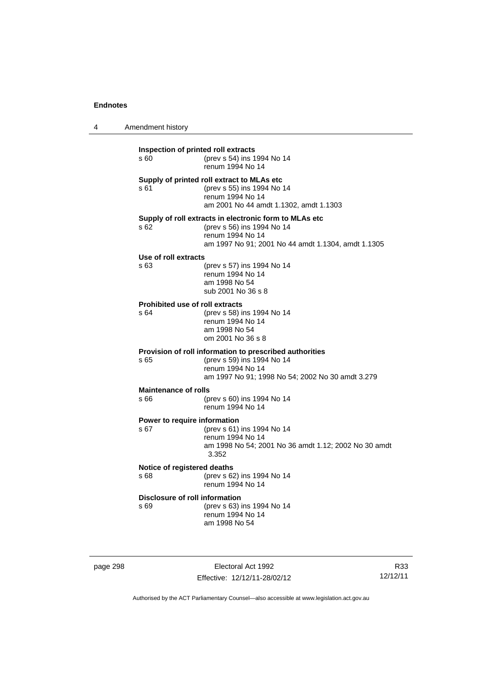| 4 | Amendment history |
|---|-------------------|
|---|-------------------|

| Inspection of printed roll extracts<br>s 60 | (prev s 54) ins 1994 No 14<br>renum 1994 No 14                                                                                                                 |
|---------------------------------------------|----------------------------------------------------------------------------------------------------------------------------------------------------------------|
| s 61                                        | Supply of printed roll extract to MLAs etc<br>(prev s 55) ins 1994 No 14<br>renum 1994 No 14<br>am 2001 No 44 amdt 1.1302, amdt 1.1303                         |
| s 62                                        | Supply of roll extracts in electronic form to MLAs etc<br>(prev s 56) ins 1994 No 14<br>renum 1994 No 14<br>am 1997 No 91; 2001 No 44 amdt 1.1304, amdt 1.1305 |
| Use of roll extracts                        |                                                                                                                                                                |
| s 63                                        | (prev s 57) ins 1994 No 14<br>renum 1994 No 14<br>am 1998 No 54<br>sub 2001 No 36 s 8                                                                          |
| <b>Prohibited use of roll extracts</b>      |                                                                                                                                                                |
| s 64                                        | (prev s 58) ins 1994 No 14<br>renum 1994 No 14<br>am 1998 No 54<br>om 2001 No 36 s 8                                                                           |
| s 65                                        | Provision of roll information to prescribed authorities<br>(prev s 59) ins 1994 No 14<br>renum 1994 No 14<br>am 1997 No 91; 1998 No 54; 2002 No 30 amdt 3.279  |
| <b>Maintenance of rolls</b>                 |                                                                                                                                                                |
| s 66                                        | (prev s 60) ins 1994 No 14<br>renum 1994 No 14                                                                                                                 |
| Power to require information                |                                                                                                                                                                |
| s <sub>67</sub>                             | (prev s 61) ins 1994 No 14<br>renum 1994 No 14<br>am 1998 No 54; 2001 No 36 amdt 1.12; 2002 No 30 amdt<br>3.352                                                |
| Notice of registered deaths<br>\$68         | (prev s 62) ins 1994 No 14<br>renum 1994 No 14                                                                                                                 |
| Disclosure of roll information              |                                                                                                                                                                |
| s 69                                        | (prev s 63) ins 1994 No 14<br>renum 1994 No 14<br>am 1998 No 54                                                                                                |
|                                             |                                                                                                                                                                |

page 298 Electoral Act 1992 Effective: 12/12/11-28/02/12

R33 12/12/11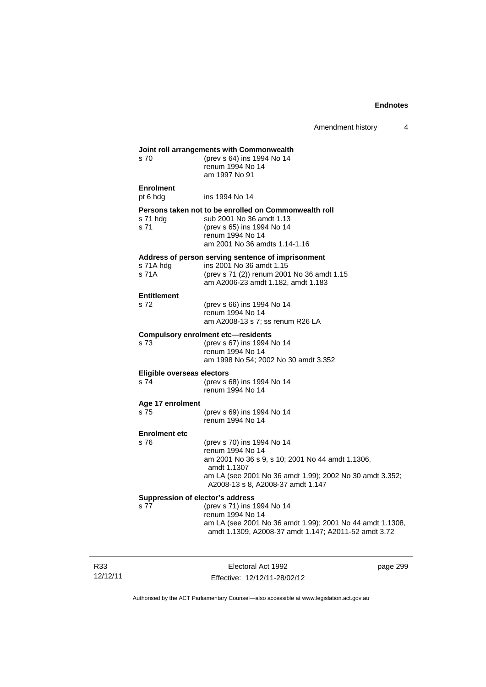Amendment history 4

|                                          | Joint roll arrangements with Commonwealth                                                                                                                            |
|------------------------------------------|----------------------------------------------------------------------------------------------------------------------------------------------------------------------|
| s 70                                     | (prev s 64) ins 1994 No 14<br>renum 1994 No 14<br>am 1997 No 91                                                                                                      |
| <b>Enrolment</b><br>pt 6 hdg             | ins 1994 No 14                                                                                                                                                       |
| s 71 hdg<br>s <sub>71</sub>              | Persons taken not to be enrolled on Commonwealth roll<br>sub 2001 No 36 amdt 1.13<br>(prev s 65) ins 1994 No 14<br>renum 1994 No 14<br>am 2001 No 36 amdts 1.14-1.16 |
| s 71A hdg<br>s 71A                       | Address of person serving sentence of imprisonment<br>ins 2001 No 36 amdt 1.15<br>(prev s 71 (2)) renum 2001 No 36 amdt 1.15<br>am A2006-23 amdt 1.182, amdt 1.183   |
| <b>Entitlement</b>                       |                                                                                                                                                                      |
| s 72                                     | (prev s 66) ins 1994 No 14<br>renum 1994 No 14<br>am A2008-13 s 7; ss renum R26 LA                                                                                   |
|                                          | <b>Compulsory enrolment etc-residents</b>                                                                                                                            |
| s 73                                     | (prev s 67) ins 1994 No 14<br>renum 1994 No 14<br>am 1998 No 54; 2002 No 30 amdt 3.352                                                                               |
| Eligible overseas electors               |                                                                                                                                                                      |
|                                          |                                                                                                                                                                      |
|                                          | (prev s 68) ins 1994 No 14<br>renum 1994 No 14                                                                                                                       |
|                                          |                                                                                                                                                                      |
| s 74<br>s 75                             | (prev s 69) ins 1994 No 14<br>renum 1994 No 14                                                                                                                       |
| Age 17 enrolment<br><b>Enrolment etc</b> |                                                                                                                                                                      |
| s 76                                     | (prev s 70) ins 1994 No 14<br>renum 1994 No 14<br>am 2001 No 36 s 9, s 10; 2001 No 44 amdt 1.1306,<br>amdt 1.1307                                                    |
|                                          | am LA (see 2001 No 36 amdt 1.99); 2002 No 30 amdt 3.352;<br>A2008-13 s 8, A2008-37 amdt 1.147                                                                        |
|                                          | Suppression of elector's address<br>(prev s 71) ins 1994 No 14                                                                                                       |

R33 12/12/11

Electoral Act 1992 Effective: 12/12/11-28/02/12 page 299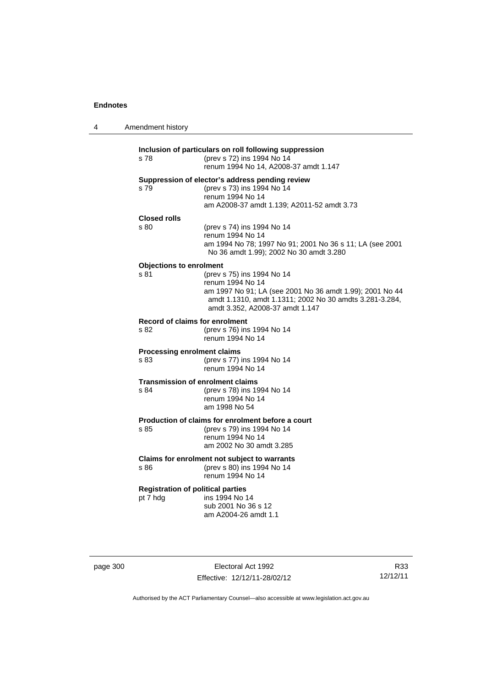| 4 | Amendment history                                    |                                                                                                                                                                                                          |
|---|------------------------------------------------------|----------------------------------------------------------------------------------------------------------------------------------------------------------------------------------------------------------|
|   | s 78                                                 | Inclusion of particulars on roll following suppression<br>(prev s 72) ins 1994 No 14<br>renum 1994 No 14, A2008-37 amdt 1.147                                                                            |
|   | s 79                                                 | Suppression of elector's address pending review<br>(prev s 73) ins 1994 No 14<br>renum 1994 No 14<br>am A2008-37 amdt 1.139; A2011-52 amdt 3.73                                                          |
|   | <b>Closed rolls</b><br>s 80                          | (prev s 74) ins 1994 No 14<br>renum 1994 No 14<br>am 1994 No 78; 1997 No 91; 2001 No 36 s 11; LA (see 2001<br>No 36 amdt 1.99); 2002 No 30 amdt 3.280                                                    |
|   | <b>Objections to enrolment</b><br>s 81               | (prev s 75) ins 1994 No 14<br>renum 1994 No 14<br>am 1997 No 91; LA (see 2001 No 36 amdt 1.99); 2001 No 44<br>amdt 1.1310, amdt 1.1311; 2002 No 30 amdts 3.281-3.284,<br>amdt 3.352, A2008-37 amdt 1.147 |
|   | Record of claims for enrolment<br>s 82               | (prev s 76) ins 1994 No 14<br>renum 1994 No 14                                                                                                                                                           |
|   | <b>Processing enrolment claims</b><br>s 83           | (prev s 77) ins 1994 No 14<br>renum 1994 No 14                                                                                                                                                           |
|   | s 84                                                 | <b>Transmission of enrolment claims</b><br>(prev s 78) ins 1994 No 14<br>renum 1994 No 14<br>am 1998 No 54                                                                                               |
|   | s 85                                                 | Production of claims for enrolment before a court<br>(prev s 79) ins 1994 No 14<br>renum 1994 No 14<br>am 2002 No 30 amdt 3.285                                                                          |
|   | s 86                                                 | Claims for enrolment not subject to warrants<br>(prev s 80) ins 1994 No 14<br>renum 1994 No 14                                                                                                           |
|   | <b>Registration of political parties</b><br>pt 7 hdg | ins 1994 No 14<br>sub 2001 No 36 s 12<br>am A2004-26 amdt 1.1                                                                                                                                            |

page 300 Electoral Act 1992 Effective: 12/12/11-28/02/12

R33 12/12/11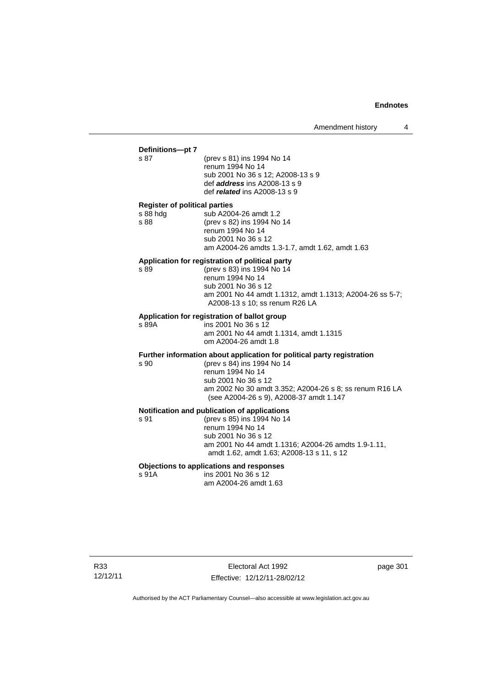## **Definitions—pt 7**

(prev s 81) ins 1994 No 14 renum 1994 No 14 sub 2001 No 36 s 12; A2008-13 s 9 def *address* ins A2008-13 s 9 def *related* ins A2008-13 s 9

#### **Register of political parties**

| s 88 hdg | sub A2004-26 amdt 1.2                           |
|----------|-------------------------------------------------|
| s 88     | (prev s 82) ins 1994 No 14                      |
|          | renum 1994 No 14                                |
|          | sub 2001 No 36 s 12                             |
|          | am A2004-26 amdts 1.3-1.7, amdt 1.62, amdt 1.63 |
|          |                                                 |

#### **Application for registration of political party**

s 89 (prev s 83) ins 1994 No 14 renum 1994 No 14 sub 2001 No 36 s 12 am 2001 No 44 amdt 1.1312, amdt 1.1313; A2004-26 ss 5-7; A2008-13 s 10; ss renum R26 LA

## **Application for registration of ballot group**

s 89A ins 2001 No 36 s 12 am 2001 No 44 amdt 1.1314, amdt 1.1315

om A2004-26 amdt 1.8

#### **Further information about application for political party registration**

s 90 (prev s 84) ins 1994 No 14

 renum 1994 No 14 sub 2001 No 36 s 12 am 2002 No 30 amdt 3.352; A2004-26 s 8; ss renum R16 LA (see A2004-26 s 9), A2008-37 amdt 1.147

## **Notification and publication of applications**

s 91 (prev s 85) ins 1994 No 14 renum 1994 No 14 sub 2001 No 36 s 12 am 2001 No 44 amdt 1.1316; A2004-26 amdts 1.9-1.11, amdt 1.62, amdt 1.63; A2008-13 s 11, s 12

## **Objections to applications and responses**

 $ins 2001$  No  $36 s 12$ am A2004-26 amdt 1.63

R33 12/12/11

Electoral Act 1992 Effective: 12/12/11-28/02/12 page 301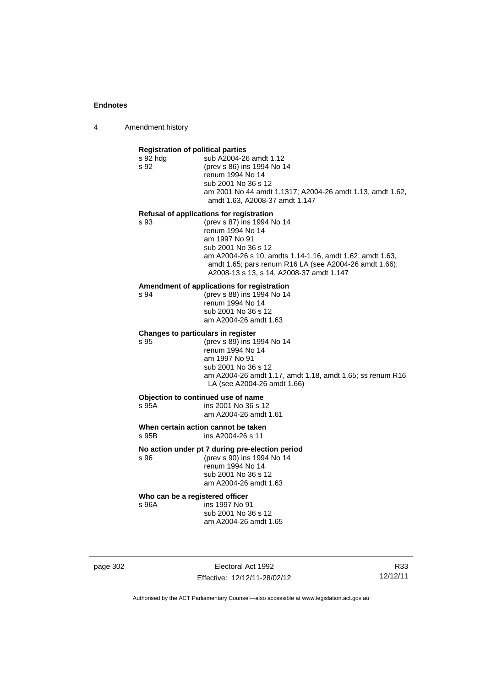4 Amendment history

| <b>Registration of political parties</b><br>s 92 hdg<br>s 92 | sub A2004-26 amdt 1.12<br>(prev s 86) ins 1994 No 14<br>renum 1994 No 14<br>sub 2001 No 36 s 12<br>am 2001 No 44 amdt 1.1317; A2004-26 amdt 1.13, amdt 1.62,<br>amdt 1.63, A2008-37 amdt 1.147                                                                                                       |  |
|--------------------------------------------------------------|------------------------------------------------------------------------------------------------------------------------------------------------------------------------------------------------------------------------------------------------------------------------------------------------------|--|
| s 93                                                         | Refusal of applications for registration<br>(prev s 87) ins 1994 No 14<br>renum 1994 No 14<br>am 1997 No 91<br>sub 2001 No 36 s 12<br>am A2004-26 s 10, amdts 1.14-1.16, amdt 1.62, amdt 1.63,<br>amdt 1.65; pars renum R16 LA (see A2004-26 amdt 1.66);<br>A2008-13 s 13, s 14, A2008-37 amdt 1.147 |  |
| s 94                                                         | Amendment of applications for registration<br>(prev s 88) ins 1994 No 14<br>renum 1994 No 14<br>sub 2001 No 36 s 12<br>am A2004-26 amdt 1.63                                                                                                                                                         |  |
| Changes to particulars in register<br>s 95                   | (prev s 89) ins 1994 No 14<br>renum 1994 No 14<br>am 1997 No 91<br>sub 2001 No 36 s 12<br>am A2004-26 amdt 1.17, amdt 1.18, amdt 1.65; ss renum R16<br>LA (see A2004-26 amdt 1.66)                                                                                                                   |  |
| s 95A                                                        | Objection to continued use of name<br>ins 2001 No 36 s 12<br>am A2004-26 amdt 1.61                                                                                                                                                                                                                   |  |
| s 95B                                                        | When certain action cannot be taken<br>ins A2004-26 s 11                                                                                                                                                                                                                                             |  |
| s 96                                                         | No action under pt 7 during pre-election period<br>(prev s 90) ins 1994 No 14<br>renum 1994 No 14<br>sub 2001 No 36 s 12<br>am A2004-26 amdt 1.63                                                                                                                                                    |  |
| Who can be a registered officer                              |                                                                                                                                                                                                                                                                                                      |  |

s 96A ins 1997 No 91 sub 2001 No 36 s 12 am A2004-26 amdt 1.65

page 302 Electoral Act 1992 Effective: 12/12/11-28/02/12

R33 12/12/11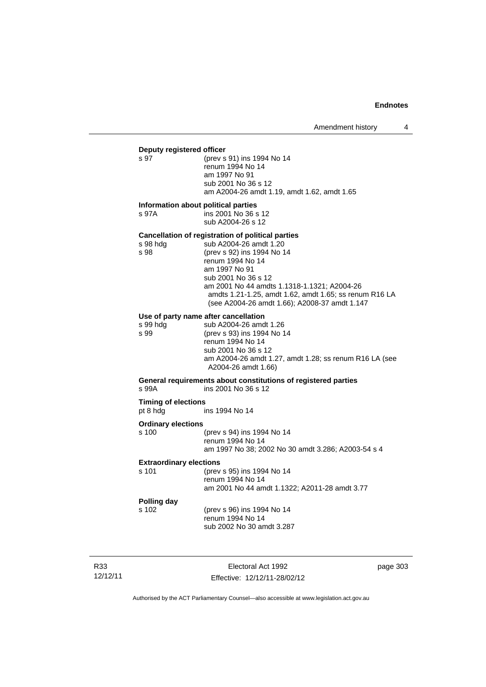## **Deputy registered officer**<br>s 97 (prev s

(prev s 91) ins 1994 No 14 renum 1994 No 14 am 1997 No 91 sub 2001 No 36 s 12 am A2004-26 amdt 1.19, amdt 1.62, amdt 1.65

#### **Information about political parties**

s 97A ins 2001 No 36 s 12 sub A2004-26 s 12

#### **Cancellation of registration of political parties**

| s 98 hdg | sub A2004-26 amdt 1.20                                 |
|----------|--------------------------------------------------------|
| s 98     | (prev s 92) ins 1994 No 14                             |
|          | renum 1994 No 14                                       |
|          | am 1997 No 91                                          |
|          | sub 2001 No 36 s 12                                    |
|          | am 2001 No 44 amdts 1.1318-1.1321; A2004-26            |
|          | amdts 1.21-1.25, amdt 1.62, amdt 1.65; ss renum R16 LA |
|          | (see A2004-26 amdt 1.66); A2008-37 amdt 1.147          |
|          |                                                        |

## **Use of party name after cancellation**

|          | Use of party name after cancellation                   |
|----------|--------------------------------------------------------|
| s 99 hda | sub A2004-26 amdt 1.26                                 |
| s 99     | (prev s 93) ins 1994 No 14                             |
|          | renum 1994 No 14                                       |
|          | sub 2001 No 36 s 12                                    |
|          | am A2004-26 amdt 1.27, amdt 1.28; ss renum R16 LA (see |
|          | A2004-26 amdt 1.66)                                    |

#### **General requirements about constitutions of registered parties**  ins 2001 No 36 s 12

**Timing of elections**  ins 1994 No 14

#### **Ordinary elections**

s 99<br>s 99

| s 100 | (prev s 94) ins 1994 No 14                         |
|-------|----------------------------------------------------|
|       | renum 1994 No 14                                   |
|       | am 1997 No 38; 2002 No 30 amdt 3.286; A2003-54 s 4 |

#### **Extraordinary elections**

| s 101       | (prev s 95) ins 1994 No 14<br>renum 1994 No 14 |
|-------------|------------------------------------------------|
|             | am 2001 No 44 amdt 1.1322: A2011-28 amdt 3.77  |
| Polling dav |                                                |

# **Polling day**

(prev s 96) ins 1994 No 14 renum 1994 No 14 sub 2002 No 30 amdt 3.287

R33 12/12/11

Electoral Act 1992 Effective: 12/12/11-28/02/12 page 303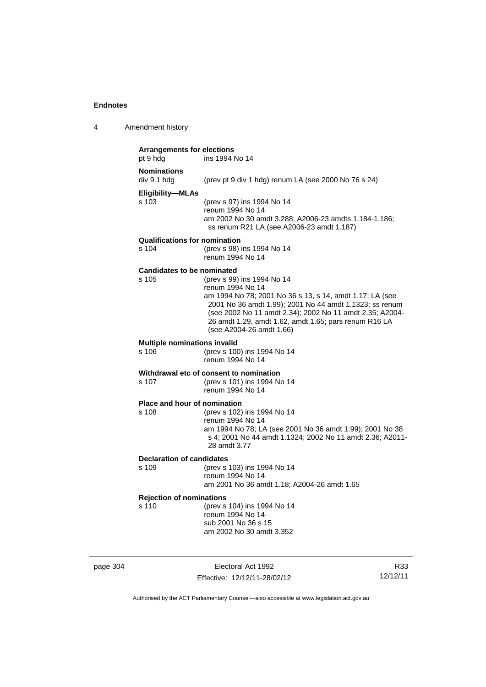4 Amendment history

| <b>Arrangements for elections</b><br>pt 9 hdg | ins 1994 No 14                                                                                                                                                                                                                                                                                                         |
|-----------------------------------------------|------------------------------------------------------------------------------------------------------------------------------------------------------------------------------------------------------------------------------------------------------------------------------------------------------------------------|
| <b>Nominations</b><br>div 9.1 hdg             | (prev pt 9 div 1 hdg) renum LA (see 2000 No 76 s 24)                                                                                                                                                                                                                                                                   |
| <b>Eligibility-MLAs</b><br>s 103              | (prev s 97) ins 1994 No 14<br>renum 1994 No 14<br>am 2002 No 30 amdt 3.288; A2006-23 amdts 1.184-1.186;<br>ss renum R21 LA (see A2006-23 amdt 1.187)                                                                                                                                                                   |
| <b>Qualifications for nomination</b><br>s 104 | (prev s 98) ins 1994 No 14<br>renum 1994 No 14                                                                                                                                                                                                                                                                         |
| <b>Candidates to be nominated</b><br>s 105    | (prev s 99) ins 1994 No 14<br>renum 1994 No 14<br>am 1994 No 78; 2001 No 36 s 13, s 14, amdt 1.17; LA (see<br>2001 No 36 amdt 1.99); 2001 No 44 amdt 1.1323; ss renum<br>(see 2002 No 11 amdt 2.34); 2002 No 11 amdt 2.35; A2004-<br>26 amdt 1.29, amdt 1.62, amdt 1.65; pars renum R16 LA<br>(see A2004-26 amdt 1.66) |
| <b>Multiple nominations invalid</b><br>s 106  | (prev s 100) ins 1994 No 14<br>renum 1994 No 14                                                                                                                                                                                                                                                                        |
| s 107                                         | Withdrawal etc of consent to nomination<br>(prev s 101) ins 1994 No 14<br>renum 1994 No 14                                                                                                                                                                                                                             |
| <b>Place and hour of nomination</b><br>s 108  | (prev s 102) ins 1994 No 14<br>renum 1994 No 14<br>am 1994 No 78; LA (see 2001 No 36 amdt 1.99); 2001 No 38<br>s 4; 2001 No 44 amdt 1.1324; 2002 No 11 amdt 2.36; A2011-<br>28 amdt 3.77                                                                                                                               |
| <b>Declaration of candidates</b><br>s 109     | (prev s 103) ins 1994 No 14<br>renum 1994 No 14<br>am 2001 No 36 amdt 1.18; A2004-26 amdt 1.65                                                                                                                                                                                                                         |
| <b>Rejection of nominations</b><br>s 110      | (prev s 104) ins 1994 No 14<br>renum 1994 No 14<br>sub 2001 No 36 s 15<br>am 2002 No 30 amdt 3.352                                                                                                                                                                                                                     |

page 304 Electoral Act 1992 Effective: 12/12/11-28/02/12

R33 12/12/11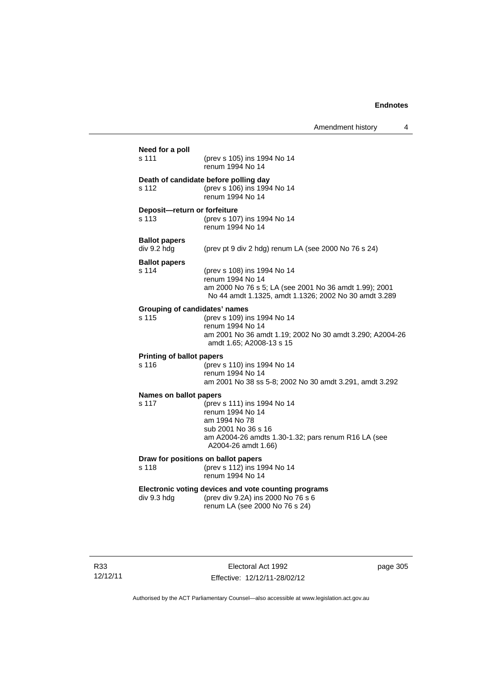| (prev s 105) ins 1994 No 14<br>renum 1994 No 14<br>Death of candidate before polling day<br>(prev s 106) ins 1994 No 14<br>renum 1994 No 14<br>Deposit-return or forfeiture<br>(prev s 107) ins 1994 No 14<br>renum 1994 No 14<br>(prev pt 9 div 2 hdg) renum LA (see 2000 No 76 s 24)<br>(prev s 108) ins 1994 No 14<br>renum 1994 No 14<br>am 2000 No 76 s 5; LA (see 2001 No 36 amdt 1.99); 2001 |
|-----------------------------------------------------------------------------------------------------------------------------------------------------------------------------------------------------------------------------------------------------------------------------------------------------------------------------------------------------------------------------------------------------|
|                                                                                                                                                                                                                                                                                                                                                                                                     |
|                                                                                                                                                                                                                                                                                                                                                                                                     |
|                                                                                                                                                                                                                                                                                                                                                                                                     |
|                                                                                                                                                                                                                                                                                                                                                                                                     |
| No 44 amdt 1.1325, amdt 1.1326; 2002 No 30 amdt 3.289                                                                                                                                                                                                                                                                                                                                               |
| <b>Grouping of candidates' names</b><br>(prev s 109) ins 1994 No 14<br>renum 1994 No 14<br>am 2001 No 36 amdt 1.19; 2002 No 30 amdt 3.290; A2004-26<br>amdt 1.65; A2008-13 s 15                                                                                                                                                                                                                     |
| <b>Printing of ballot papers</b><br>(prev s 110) ins 1994 No 14<br>renum 1994 No 14<br>am 2001 No 38 ss 5-8; 2002 No 30 amdt 3.291, amdt 3.292                                                                                                                                                                                                                                                      |
| <b>Names on ballot papers</b><br>(prev s 111) ins 1994 No 14<br>renum 1994 No 14<br>am 1994 No 78<br>sub 2001 No 36 s 16<br>am A2004-26 amdts 1.30-1.32; pars renum R16 LA (see<br>A2004-26 amdt 1.66)                                                                                                                                                                                              |
| Draw for positions on ballot papers<br>(prev s 112) ins 1994 No 14<br>renum 1994 No 14                                                                                                                                                                                                                                                                                                              |
| Electronic voting devices and vote counting programs<br>(prev div 9.2A) ins 2000 No 76 s 6<br>renum LA (see 2000 No 76 s 24)                                                                                                                                                                                                                                                                        |
|                                                                                                                                                                                                                                                                                                                                                                                                     |

R33 12/12/11

Electoral Act 1992 Effective: 12/12/11-28/02/12 page 305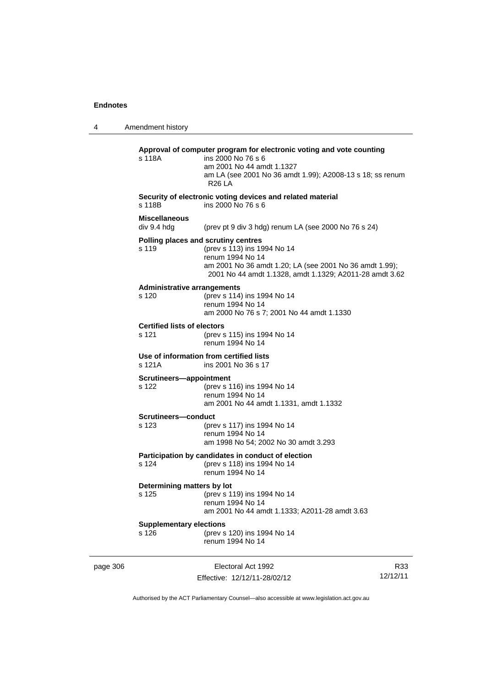4 Amendment history page 306 Electoral Act 1992 R33 12/12/11 **Approval of computer program for electronic voting and vote counting** s 118A ins 2000 No 76 s 6 am 2001 No 44 amdt 1.1327 am LA (see 2001 No 36 amdt 1.99); A2008-13 s 18; ss renum R26 LA **Security of electronic voting devices and related material**  s 118B ins 2000 No 76 s 6 **Miscellaneous**  (prev pt 9 div 3 hdg) renum LA (see 2000 No 76 s  $24$ ) **Polling places and scrutiny centres**  s 119 (prev s 113) ins 1994 No 14 renum 1994 No 14 am 2001 No 36 amdt 1.20; LA (see 2001 No 36 amdt 1.99); 2001 No 44 amdt 1.1328, amdt 1.1329; A2011-28 amdt 3.62 **Administrative arrangements** s 120 (prev s 114) ins 1994 No 14 renum 1994 No 14 am 2000 No 76 s 7; 2001 No 44 amdt 1.1330 **Certified lists of electors**<br>s 121 (prev s (prev s 115) ins 1994 No 14 renum 1994 No 14 **Use of information from certified lists** s 121A ins 2001 No 36 s 17 **Scrutineers—appointment** s 122 (prev s 116) ins 1994 No 14 renum 1994 No 14 am 2001 No 44 amdt 1.1331, amdt 1.1332 **Scrutineers—conduct** s 123 (prev s 117) ins 1994 No 14 renum 1994 No 14 am 1998 No 54; 2002 No 30 amdt 3.293 **Participation by candidates in conduct of election** s 124 (prev s 118) ins 1994 No 14 renum 1994 No 14 **Determining matters by lot** s 125 (prev s 119) ins 1994 No 14 renum 1994 No 14 am 2001 No 44 amdt 1.1333; A2011-28 amdt 3.63 **Supplementary elections** s 126 (prev s 120) ins 1994 No 14 renum 1994 No 14

Authorised by the ACT Parliamentary Counsel—also accessible at www.legislation.act.gov.au

Effective: 12/12/11-28/02/12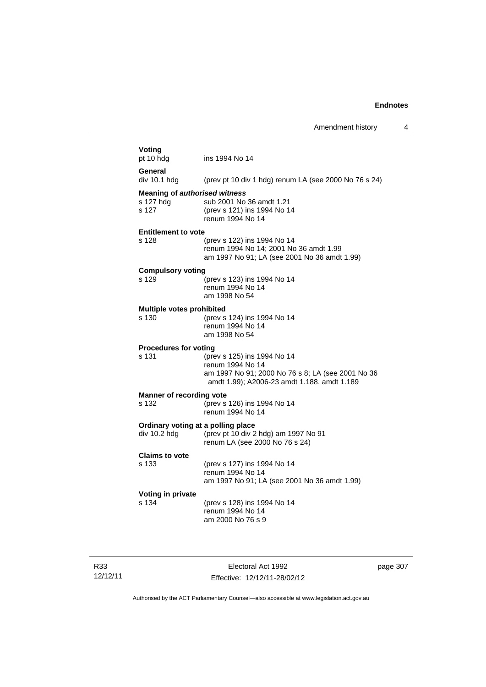| Voting<br>pt 10 hdg                                        | ins 1994 No 14                                                                                                                                      |
|------------------------------------------------------------|-----------------------------------------------------------------------------------------------------------------------------------------------------|
| General<br>div 10.1 h dq                                   | (prev pt 10 div 1 hdg) renum LA (see 2000 No 76 s 24)                                                                                               |
| <b>Meaning of authorised witness</b><br>s 127 hdg<br>s 127 | sub 2001 No 36 amdt 1.21<br>(prev s 121) ins 1994 No 14<br>renum 1994 No 14                                                                         |
| <b>Entitlement to vote</b>                                 |                                                                                                                                                     |
| s 128                                                      | (prev s 122) ins 1994 No 14<br>renum 1994 No 14; 2001 No 36 amdt 1.99<br>am 1997 No 91; LA (see 2001 No 36 amdt 1.99)                               |
| <b>Compulsory voting</b>                                   |                                                                                                                                                     |
| s 129                                                      | (prev s 123) ins 1994 No 14<br>renum 1994 No 14<br>am 1998 No 54                                                                                    |
| Multiple votes prohibited<br>s 130                         | (prev s 124) ins 1994 No 14<br>renum 1994 No 14<br>am 1998 No 54                                                                                    |
| <b>Procedures for voting</b><br>s 131                      | (prev s 125) ins 1994 No 14<br>renum 1994 No 14<br>am 1997 No 91; 2000 No 76 s 8; LA (see 2001 No 36<br>amdt 1.99); A2006-23 amdt 1.188, amdt 1.189 |
| Manner of recording vote<br>s 132                          | (prev s 126) ins 1994 No 14<br>renum 1994 No 14                                                                                                     |
| Ordinary voting at a polling place<br>div 10.2 hdg         | (prev pt 10 div 2 hdg) am 1997 No 91<br>renum LA (see 2000 No 76 s 24)                                                                              |
| <b>Claims to vote</b><br>s 133                             | (prev s 127) ins 1994 No 14<br>renum 1994 No 14<br>am 1997 No 91; LA (see 2001 No 36 amdt 1.99)                                                     |
| Voting in private<br>s 134                                 | (prev s 128) ins 1994 No 14<br>renum 1994 No 14                                                                                                     |

R33 12/12/11

Electoral Act 1992 Effective: 12/12/11-28/02/12 page 307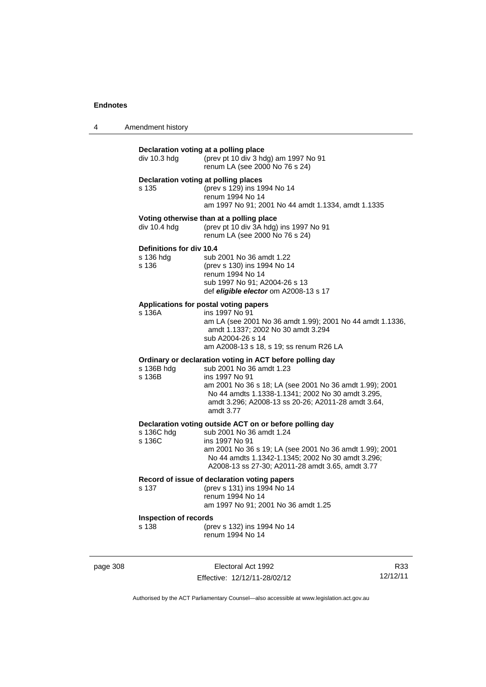4 Amendment history

|          | div 10.3 hdg                                          | Declaration voting at a polling place<br>(prev pt 10 div 3 hdg) am 1997 No 91<br>renum LA (see 2000 No 76 s 24)                                                                                                                                                                           |     |
|----------|-------------------------------------------------------|-------------------------------------------------------------------------------------------------------------------------------------------------------------------------------------------------------------------------------------------------------------------------------------------|-----|
|          | s 135                                                 | Declaration voting at polling places<br>(prev s 129) ins 1994 No 14<br>renum 1994 No 14<br>am 1997 No 91; 2001 No 44 amdt 1.1334, amdt 1.1335                                                                                                                                             |     |
|          | div 10.4 hdg                                          | Voting otherwise than at a polling place<br>(prev pt 10 div 3A hdg) ins 1997 No 91<br>renum LA (see 2000 No 76 s 24)                                                                                                                                                                      |     |
|          | <b>Definitions for div 10.4</b><br>s 136 hdg<br>s 136 | sub 2001 No 36 amdt 1.22<br>(prev s 130) ins 1994 No 14<br>renum 1994 No 14<br>sub 1997 No 91; A2004-26 s 13<br>def eligible elector om A2008-13 s 17                                                                                                                                     |     |
|          | s 136A                                                | Applications for postal voting papers<br>ins 1997 No 91<br>am LA (see 2001 No 36 amdt 1.99); 2001 No 44 amdt 1.1336,<br>amdt 1.1337; 2002 No 30 amdt 3.294<br>sub A2004-26 s 14<br>am A2008-13 s 18, s 19; ss renum R26 LA                                                                |     |
|          | s 136B hdg<br>s 136B                                  | Ordinary or declaration voting in ACT before polling day<br>sub 2001 No 36 amdt 1.23<br>ins 1997 No 91<br>am 2001 No 36 s 18; LA (see 2001 No 36 amdt 1.99); 2001<br>No 44 amdts 1.1338-1.1341; 2002 No 30 amdt 3.295,<br>amdt 3.296; A2008-13 ss 20-26; A2011-28 amdt 3.64,<br>amdt 3.77 |     |
|          | s 136C hdg<br>s 136C                                  | Declaration voting outside ACT on or before polling day<br>sub 2001 No 36 amdt 1.24<br>ins 1997 No 91<br>am 2001 No 36 s 19; LA (see 2001 No 36 amdt 1.99); 2001<br>No 44 amdts 1.1342-1.1345; 2002 No 30 amdt 3.296;<br>A2008-13 ss 27-30; A2011-28 amdt 3.65, amdt 3.77                 |     |
|          | s 137                                                 | Record of issue of declaration voting papers<br>(prev s 131) ins 1994 No 14<br>renum 1994 No 14<br>am 1997 No 91; 2001 No 36 amdt 1.25                                                                                                                                                    |     |
|          | <b>Inspection of records</b><br>s 138                 | (prev s 132) ins 1994 No 14<br>renum 1994 No 14                                                                                                                                                                                                                                           |     |
| page 308 |                                                       | Electoral Act 1992                                                                                                                                                                                                                                                                        | R33 |

Effective: 12/12/11-28/02/12

R33 12/12/11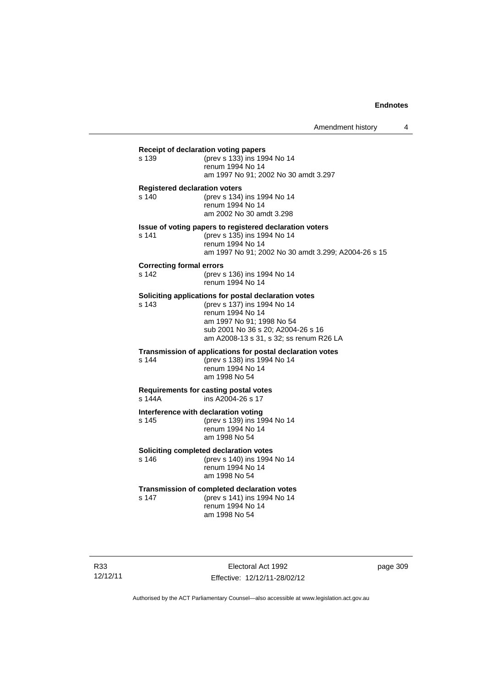### **Receipt of declaration voting papers** s 139 (prev s 133) ins 1994 No 14 renum 1994 No 14 am 1997 No 91; 2002 No 30 amdt 3.297 **Registered declaration voters** s 140 (prev s 134) ins 1994 No 14 renum 1994 No 14 am 2002 No 30 amdt 3.298 **Issue of voting papers to registered declaration voters** s 141 (prev s 135) ins 1994 No 14 renum 1994 No 14 am 1997 No 91; 2002 No 30 amdt 3.299; A2004-26 s 15 **Correcting formal errors** s 142 (prev s 136) ins 1994 No 14 renum 1994 No 14 **Soliciting applications for postal declaration votes** s 143 (prev s 137) ins 1994 No 14 renum 1994 No 14 am 1997 No 91; 1998 No 54 sub 2001 No 36 s 20; A2004-26 s 16 am A2008-13 s 31, s 32; ss renum R26 LA **Transmission of applications for postal declaration votes** s 144 (prev s 138) ins 1994 No 14 renum 1994 No 14 am 1998 No 54 **Requirements for casting postal votes**   $ins A2004-26 s 17$ **Interference with declaration voting** s 145 (prev s 139) ins 1994 No 14 renum 1994 No 14 am 1998 No 54 **Soliciting completed declaration votes**<br>s 146 (prev s 140) ins 1994 (prev s 140) ins 1994 No 14 renum 1994 No 14 am 1998 No 54 **Transmission of completed declaration votes** s 147 (prev s 141) ins 1994 No 14 renum 1994 No 14 am 1998 No 54

R33 12/12/11

Electoral Act 1992 Effective: 12/12/11-28/02/12 page 309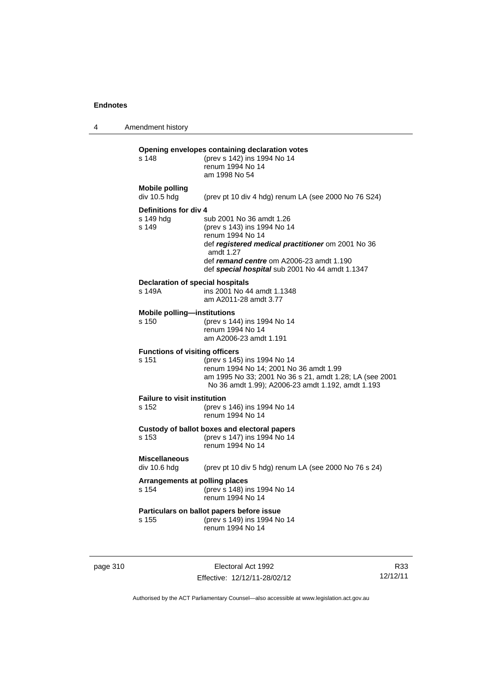4 Amendment history **Opening envelopes containing declaration votes**<br>s 148 (prev s 142) ins 1994 No 14 (prev s 142) ins 1994 No 14 renum 1994 No 14 am 1998 No 54 **Mobile polling**  div 10.5 hdg (prev pt 10 div 4 hdg) renum LA (see 2000 No 76 S24) **Definitions for div 4** s 149 hdg sub 2001 No 36 amdt 1.26<br>s 149 (prev s 143) ins 1994 No 14 s 149 (prev s 143) ins 1994 No 14 renum 1994 No 14 def *registered medical practitioner* om 2001 No 36 amdt 1.27 def *remand centre* om A2006-23 amdt 1.190 def *special hospital* sub 2001 No 44 amdt 1.1347 **Declaration of special hospitals**<br>s 149A ins 2001 No 4 ins 2001 No 44 amdt 1.1348 am A2011-28 amdt 3.77 **Mobile polling—institutions** s 150 (prev s 144) ins 1994 No 14 renum 1994 No 14 am A2006-23 amdt 1.191 **Functions of visiting officers** s 151 (prev s 145) ins 1994 No 14 renum 1994 No 14; 2001 No 36 amdt 1.99 am 1995 No 33; 2001 No 36 s 21, amdt 1.28; LA (see 2001 No 36 amdt 1.99); A2006-23 amdt 1.192, amdt 1.193 **Failure to visit institution** s 152 (prev s 146) ins 1994 No 14 renum 1994 No 14 **Custody of ballot boxes and electoral papers** s 153 (prev s 147) ins 1994 No 14 renum 1994 No 14 **Miscellaneous**  div 10.6 hdg (prev pt 10 div 5 hdg) renum LA (see 2000 No 76 s 24) **Arrangements at polling places** s 154 (prev s 148) ins 1994 No 14 renum 1994 No 14 **Particulars on ballot papers before issue** s 155 (prev s 149) ins 1994 No 14 renum 1994 No 14

| page 310 |  |
|----------|--|
|----------|--|

Electoral Act 1992 Effective: 12/12/11-28/02/12

R33 12/12/11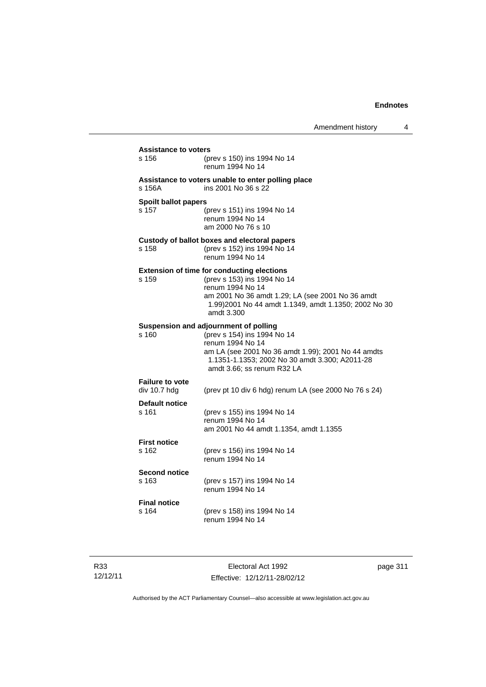| s 156                                  | (prev s 150) ins 1994 No 14<br>renum 1994 No 14                                                                                                                                                                                 |
|----------------------------------------|---------------------------------------------------------------------------------------------------------------------------------------------------------------------------------------------------------------------------------|
| s 156A                                 | Assistance to voters unable to enter polling place<br>ins 2001 No 36 s 22                                                                                                                                                       |
| <b>Spoilt ballot papers</b><br>s 157   | (prev s 151) ins 1994 No 14<br>renum 1994 No 14<br>am 2000 No 76 s 10                                                                                                                                                           |
| s 158                                  | Custody of ballot boxes and electoral papers<br>(prev s 152) ins 1994 No 14<br>renum 1994 No 14                                                                                                                                 |
| s 159                                  | <b>Extension of time for conducting elections</b><br>(prev s 153) ins 1994 No 14<br>renum 1994 No 14<br>am 2001 No 36 amdt 1.29; LA (see 2001 No 36 amdt<br>1.99) 2001 No 44 amdt 1.1349, amdt 1.1350; 2002 No 30<br>amdt 3.300 |
| s 160                                  | Suspension and adjournment of polling<br>(prev s 154) ins 1994 No 14<br>renum 1994 No 14<br>am LA (see 2001 No 36 amdt 1.99); 2001 No 44 amdts<br>1.1351-1.1353; 2002 No 30 amdt 3.300; A2011-28<br>amdt 3.66; ss renum R32 LA  |
| <b>Failure to vote</b><br>div 10.7 hdg | (prev pt 10 div 6 hdg) renum LA (see 2000 No 76 s 24)                                                                                                                                                                           |
| <b>Default notice</b><br>s 161         | (prev s 155) ins 1994 No 14<br>renum 1994 No 14<br>am 2001 No 44 amdt 1.1354, amdt 1.1355                                                                                                                                       |
| <b>First notice</b><br>s 162           | (prev s 156) ins 1994 No 14<br>renum 1994 No 14                                                                                                                                                                                 |
| <b>Second notice</b><br>s 163          | (prev s 157) ins 1994 No 14<br>renum 1994 No 14                                                                                                                                                                                 |
| <b>Final notice</b><br>s 164           | (prev s 158) ins 1994 No 14<br>renum 1994 No 14                                                                                                                                                                                 |

R33 12/12/11

Electoral Act 1992 Effective: 12/12/11-28/02/12 page 311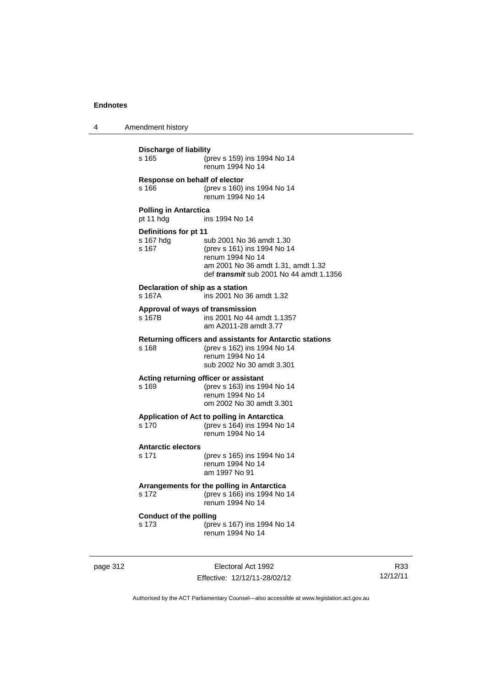4 Amendment history

| Discharge of liability<br>s 165<br>(prev s 159) ins 1994 No 14<br>renum 1994 No 14        |                                                                                                                                                                     |  |
|-------------------------------------------------------------------------------------------|---------------------------------------------------------------------------------------------------------------------------------------------------------------------|--|
| Response on behalf of elector<br>s 166                                                    | (prev s 160) ins 1994 No 14<br>renum 1994 No 14                                                                                                                     |  |
| <b>Polling in Antarctica</b><br>pt 11 hdg                                                 | ins 1994 No 14                                                                                                                                                      |  |
| Definitions for pt 11<br>s 167 hdg<br>s 167                                               | sub 2001 No 36 amdt 1.30<br>(prev s 161) ins 1994 No 14<br>renum 1994 No 14<br>am 2001 No 36 amdt 1.31, amdt 1.32<br>def <i>transmit</i> sub 2001 No 44 amdt 1.1356 |  |
| Declaration of ship as a station<br>s 167A                                                | ins 2001 No 36 amdt 1.32                                                                                                                                            |  |
| Approval of ways of transmission<br>s 167B                                                | ins 2001 No 44 amdt 1.1357<br>am A2011-28 amdt 3.77                                                                                                                 |  |
| s 168                                                                                     | Returning officers and assistants for Antarctic stations<br>(prev s 162) ins 1994 No 14<br>renum 1994 No 14<br>sub 2002 No 30 amdt 3.301                            |  |
| s 169                                                                                     | Acting returning officer or assistant<br>(prev s 163) ins 1994 No 14<br>renum 1994 No 14<br>om 2002 No 30 amdt 3.301                                                |  |
| s 170                                                                                     | Application of Act to polling in Antarctica<br>(prev s 164) ins 1994 No 14<br>renum 1994 No 14                                                                      |  |
| <b>Antarctic electors</b><br>s 171                                                        | (prev s 165) ins 1994 No 14<br>renum 1994 No 14<br>am 1997 No 91                                                                                                    |  |
| s 172                                                                                     | Arrangements for the polling in Antarctica<br>(prev s 166) ins 1994 No 14<br>renum 1994 No 14                                                                       |  |
| <b>Conduct of the polling</b><br>s 173<br>(prev s 167) ins 1994 No 14<br>renum 1994 No 14 |                                                                                                                                                                     |  |

page 312 **Electoral Act 1992** Effective: 12/12/11-28/02/12

R33 12/12/11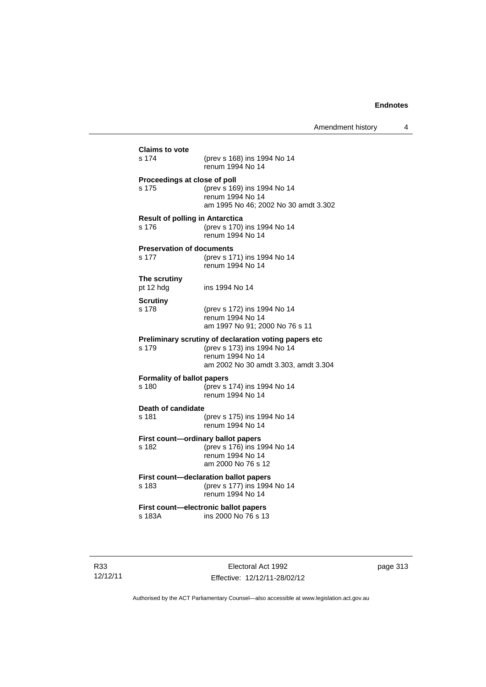| <b>Claims to vote</b><br>s 174         |                                                             |
|----------------------------------------|-------------------------------------------------------------|
|                                        | (prev s 168) ins 1994 No 14<br>renum 1994 No 14             |
| Proceedings at close of poll           |                                                             |
| s 175                                  | (prev s 169) ins 1994 No 14<br>renum 1994 No 14             |
|                                        | am 1995 No 46; 2002 No 30 amdt 3.302                        |
| <b>Result of polling in Antarctica</b> |                                                             |
| s 176                                  | (prev s 170) ins 1994 No 14<br>renum 1994 No 14             |
| <b>Preservation of documents</b>       |                                                             |
| s 177                                  | (prev s 171) ins 1994 No 14<br>renum 1994 No 14             |
| The scrutiny<br>pt 12 hdg              | ins 1994 No 14                                              |
| <b>Scrutiny</b>                        |                                                             |
| s 178                                  | (prev s 172) ins 1994 No 14                                 |
|                                        | renum 1994 No 14<br>am 1997 No 91; 2000 No 76 s 11          |
|                                        | Preliminary scrutiny of declaration voting papers etc       |
| s 179                                  | (prev s 173) ins 1994 No 14                                 |
|                                        | renum 1994 No 14<br>am 2002 No 30 amdt 3.303, amdt 3.304    |
| <b>Formality of ballot papers</b>      |                                                             |
| s 180                                  | (prev s 174) ins 1994 No 14<br>renum 1994 No 14             |
|                                        |                                                             |
| Death of candidate<br>s 181            | (prev s 175) ins 1994 No 14                                 |
|                                        | renum 1994 No 14                                            |
|                                        | First count-ordinary ballot papers                          |
| s 182                                  | (prev s 176) ins 1994 No 14<br>renum 1994 No 14             |
|                                        | am 2000 No 76 s 12                                          |
|                                        | First count-declaration ballot papers                       |
| s 183                                  | (prev s 177) ins 1994 No 14<br>renum 1994 No 14             |
|                                        |                                                             |
|                                        | First count-electronic ballot papers<br>ins 2000 No 76 s 13 |

R33 12/12/11

Electoral Act 1992 Effective: 12/12/11-28/02/12 page 313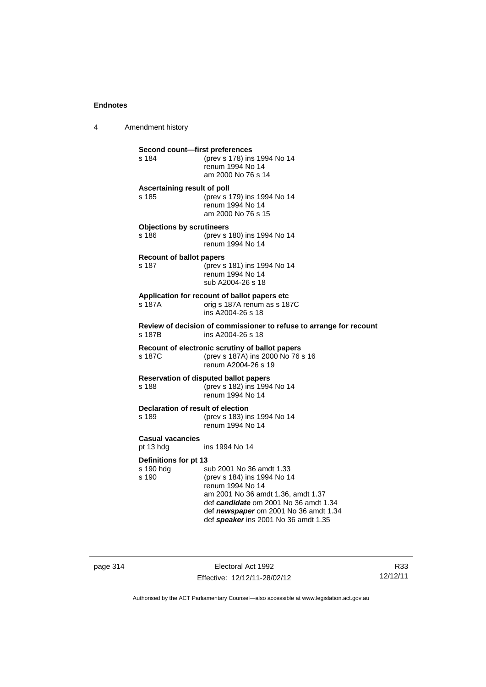4 Amendment history

| Second count-first preferences<br>s 184     | (prev s 178) ins 1994 No 14<br>renum 1994 No 14<br>am 2000 No 76 s 14                                                                                                                                                                       |
|---------------------------------------------|---------------------------------------------------------------------------------------------------------------------------------------------------------------------------------------------------------------------------------------------|
| Ascertaining result of poll<br>s 185        | (prev s 179) ins 1994 No 14<br>renum 1994 No 14<br>am 2000 No 76 s 15                                                                                                                                                                       |
| <b>Objections by scrutineers</b><br>s 186   | (prev s 180) ins 1994 No 14<br>renum 1994 No 14                                                                                                                                                                                             |
| <b>Recount of ballot papers</b><br>s 187    | (prev s 181) ins 1994 No 14<br>renum 1994 No 14<br>sub A2004-26 s 18                                                                                                                                                                        |
| s 187A                                      | Application for recount of ballot papers etc<br>orig s 187A renum as s 187C<br>ins A2004-26 s 18                                                                                                                                            |
| s 187B                                      | Review of decision of commissioner to refuse to arrange for recount<br>ins A2004-26 s 18                                                                                                                                                    |
| s 187C                                      | Recount of electronic scrutiny of ballot papers<br>(prev s 187A) ins 2000 No 76 s 16<br>renum A2004-26 s 19                                                                                                                                 |
| s 188                                       | <b>Reservation of disputed ballot papers</b><br>(prev s 182) ins 1994 No 14<br>renum 1994 No 14                                                                                                                                             |
| Declaration of result of election<br>s 189  | (prev s 183) ins 1994 No 14<br>renum 1994 No 14                                                                                                                                                                                             |
| <b>Casual vacancies</b><br>pt 13 hdg        | ins 1994 No 14                                                                                                                                                                                                                              |
| Definitions for pt 13<br>s 190 hdg<br>s 190 | sub 2001 No 36 amdt 1.33<br>(prev s 184) ins 1994 No 14<br>renum 1994 No 14<br>am 2001 No 36 amdt 1.36, amdt 1.37<br>def candidate om 2001 No 36 amdt 1.34<br>def newspaper om 2001 No 36 amdt 1.34<br>def speaker ins 2001 No 36 amdt 1.35 |

page 314 Electoral Act 1992 Effective: 12/12/11-28/02/12

R33 12/12/11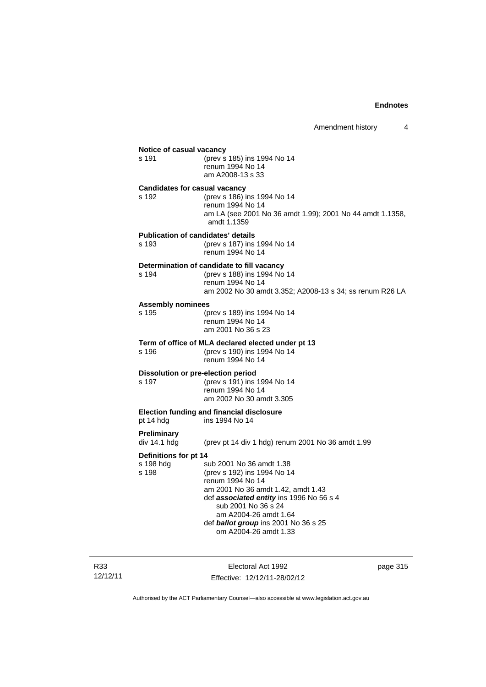|                                      | Notice of casual vacancy                                                                                                                                                                                      |
|--------------------------------------|---------------------------------------------------------------------------------------------------------------------------------------------------------------------------------------------------------------|
| s 191                                | (prev s 185) ins 1994 No 14<br>renum 1994 No 14<br>am A2008-13 s 33                                                                                                                                           |
| <b>Candidates for casual vacancy</b> |                                                                                                                                                                                                               |
| s 192                                | (prev s 186) ins 1994 No 14<br>renum 1994 No 14<br>am LA (see 2001 No 36 amdt 1.99); 2001 No 44 amdt 1.1358,<br>amdt 1.1359                                                                                   |
| s 193                                | <b>Publication of candidates' details</b><br>(prev s 187) ins 1994 No 14<br>renum 1994 No 14                                                                                                                  |
|                                      |                                                                                                                                                                                                               |
| s 194                                | Determination of candidate to fill vacancy<br>(prev s 188) ins 1994 No 14<br>renum 1994 No 14<br>am 2002 No 30 amdt 3.352; A2008-13 s 34; ss renum R26 LA                                                     |
| <b>Assembly nominees</b>             |                                                                                                                                                                                                               |
| s 195                                | (prev s 189) ins 1994 No 14<br>renum 1994 No 14<br>am 2001 No 36 s 23                                                                                                                                         |
|                                      | Term of office of MLA declared elected under pt 13                                                                                                                                                            |
| s 196                                | (prev s 190) ins 1994 No 14<br>renum 1994 No 14                                                                                                                                                               |
| s 197                                | Dissolution or pre-election period<br>(prev s 191) ins 1994 No 14<br>renum 1994 No 14<br>am 2002 No 30 amdt 3.305                                                                                             |
| pt 14 hdg                            | <b>Election funding and financial disclosure</b><br>ins 1994 No 14                                                                                                                                            |
| <b>Preliminary</b><br>div 14.1 hdg   | (prev pt 14 div 1 hdg) renum 2001 No 36 amdt 1.99                                                                                                                                                             |
| Definitions for pt 14                |                                                                                                                                                                                                               |
| s 198 hdg<br>s 198                   | sub 2001 No 36 amdt 1.38<br>(prev s 192) ins 1994 No 14<br>renum 1994 No 14<br>am 2001 No 36 amdt 1.42, amdt 1.43<br>def associated entity ins 1996 No 56 s 4<br>sub 2001 No 36 s 24<br>am A2004-26 amdt 1.64 |

R33 12/12/11

Electoral Act 1992 Effective: 12/12/11-28/02/12 page 315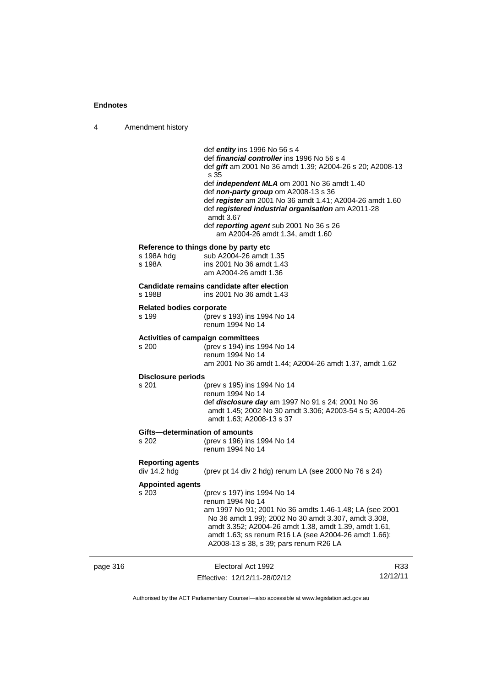4 Amendment history

|          |                                            | def <i>entity</i> ins 1996 No 56 s 4<br>def <i>financial controller</i> ins 1996 No 56 s 4<br>def gift am 2001 No 36 amdt 1.39; A2004-26 s 20; A2008-13<br>s 35<br>def <i>independent MLA</i> om 2001 No 36 amdt 1.40<br>def non-party group om A2008-13 s 36<br>def register am 2001 No 36 amdt 1.41; A2004-26 amdt 1.60<br>def registered industrial organisation am A2011-28<br>amdt 3.67<br>def reporting agent sub 2001 No 36 s 26<br>am A2004-26 amdt 1.34, amdt 1.60 |                 |
|----------|--------------------------------------------|-----------------------------------------------------------------------------------------------------------------------------------------------------------------------------------------------------------------------------------------------------------------------------------------------------------------------------------------------------------------------------------------------------------------------------------------------------------------------------|-----------------|
|          | s 198A hdg<br>s 198A                       | Reference to things done by party etc<br>sub A2004-26 amdt 1.35<br>ins 2001 No 36 amdt 1.43<br>am A2004-26 amdt 1.36                                                                                                                                                                                                                                                                                                                                                        |                 |
|          | s 198B                                     | Candidate remains candidate after election<br>ins 2001 No 36 amdt 1.43                                                                                                                                                                                                                                                                                                                                                                                                      |                 |
|          | <b>Related bodies corporate</b><br>s 199   | (prev s 193) ins 1994 No 14<br>renum 1994 No 14                                                                                                                                                                                                                                                                                                                                                                                                                             |                 |
|          | Activities of campaign committees<br>s 200 | (prev s 194) ins 1994 No 14<br>renum 1994 No 14<br>am 2001 No 36 amdt 1.44; A2004-26 amdt 1.37, amdt 1.62                                                                                                                                                                                                                                                                                                                                                                   |                 |
|          | <b>Disclosure periods</b><br>s 201         | (prev s 195) ins 1994 No 14<br>renum 1994 No 14<br>def disclosure day am 1997 No 91 s 24; 2001 No 36<br>amdt 1.45; 2002 No 30 amdt 3.306; A2003-54 s 5; A2004-26<br>amdt 1.63; A2008-13 s 37                                                                                                                                                                                                                                                                                |                 |
|          | Gifts-determination of amounts<br>s 202    | (prev s 196) ins 1994 No 14<br>renum 1994 No 14                                                                                                                                                                                                                                                                                                                                                                                                                             |                 |
|          | <b>Reporting agents</b><br>div 14.2 hdg    | (prev pt 14 div 2 hdg) renum LA (see 2000 No 76 s 24)                                                                                                                                                                                                                                                                                                                                                                                                                       |                 |
|          | <b>Appointed agents</b><br>s 203           | (prev s 197) ins 1994 No 14<br>renum 1994 No 14<br>am 1997 No 91; 2001 No 36 amdts 1.46-1.48; LA (see 2001<br>No 36 amdt 1.99); 2002 No 30 amdt 3.307, amdt 3.308,<br>amdt 3.352; A2004-26 amdt 1.38, amdt 1.39, amdt 1.61,<br>amdt 1.63; ss renum R16 LA (see A2004-26 amdt 1.66);<br>A2008-13 s 38, s 39; pars renum R26 LA                                                                                                                                               |                 |
| page 316 |                                            | Electoral Act 1992<br>Effective: 12/12/11-28/02/12                                                                                                                                                                                                                                                                                                                                                                                                                          | R33<br>12/12/11 |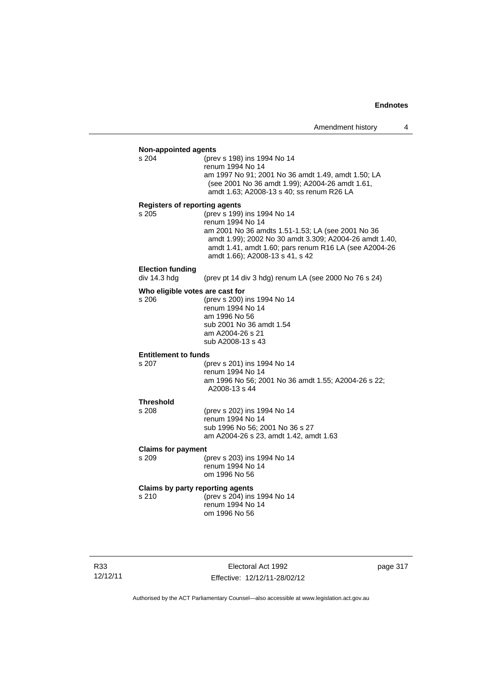| <b>Non-appointed agents</b>          |                                                        |  |  |
|--------------------------------------|--------------------------------------------------------|--|--|
| s 204                                | (prev s 198) ins 1994 No 14                            |  |  |
|                                      | renum 1994 No 14                                       |  |  |
|                                      | am 1997 No 91; 2001 No 36 amdt 1.49, amdt 1.50; LA     |  |  |
|                                      | (see 2001 No 36 amdt 1.99); A2004-26 amdt 1.61,        |  |  |
|                                      | amdt 1.63; A2008-13 s 40; ss renum R26 LA              |  |  |
| <b>Registers of reporting agents</b> |                                                        |  |  |
| s 205                                | (prev s 199) ins 1994 No 14                            |  |  |
|                                      | renum 1994 No 14                                       |  |  |
|                                      | am 2001 No 36 amdts 1.51-1.53; LA (see 2001 No 36      |  |  |
|                                      | amdt 1.99); 2002 No 30 amdt 3.309; A2004-26 amdt 1.40, |  |  |
|                                      | amdt 1.41, amdt 1.60; pars renum R16 LA (see A2004-26  |  |  |
|                                      | amdt 1.66); A2008-13 s 41, s 42                        |  |  |
|                                      |                                                        |  |  |
| <b>Election funding</b>              |                                                        |  |  |
| div 14.3 hdg                         | (prev pt 14 div 3 hdg) renum LA (see 2000 No 76 s 24)  |  |  |
| Who eligible votes are cast for      |                                                        |  |  |
| s 206                                | (prev s 200) ins 1994 No 14                            |  |  |
|                                      | renum 1994 No 14                                       |  |  |
|                                      | am 1996 No 56                                          |  |  |
|                                      | sub 2001 No 36 amdt 1.54                               |  |  |
|                                      | am A2004-26 s 21                                       |  |  |
|                                      | sub A2008-13 s 43                                      |  |  |
|                                      |                                                        |  |  |
| <b>Entitlement to funds</b>          |                                                        |  |  |
| s 207                                | (prev s 201) ins 1994 No 14                            |  |  |
|                                      | renum 1994 No 14                                       |  |  |
|                                      | am 1996 No 56; 2001 No 36 amdt 1.55; A2004-26 s 22;    |  |  |
|                                      | A2008-13 s 44                                          |  |  |
| <b>Threshold</b>                     |                                                        |  |  |
| s 208                                | (prev s 202) ins 1994 No 14                            |  |  |
|                                      | renum 1994 No 14                                       |  |  |
|                                      | sub 1996 No 56; 2001 No 36 s 27                        |  |  |
|                                      | am A2004-26 s 23, amdt 1.42, amdt 1.63                 |  |  |
|                                      |                                                        |  |  |
| <b>Claims for payment</b>            |                                                        |  |  |
| s 209                                | (prev s 203) ins 1994 No 14                            |  |  |
|                                      | renum 1994 No 14                                       |  |  |
|                                      | om 1996 No 56                                          |  |  |
| Claims by party reporting agents     |                                                        |  |  |
| s 210                                | (prev s 204) ins 1994 No 14                            |  |  |
|                                      | renum 1994 No 14                                       |  |  |
|                                      | om 1996 No 56                                          |  |  |
|                                      |                                                        |  |  |

Electoral Act 1992 Effective: 12/12/11-28/02/12 page 317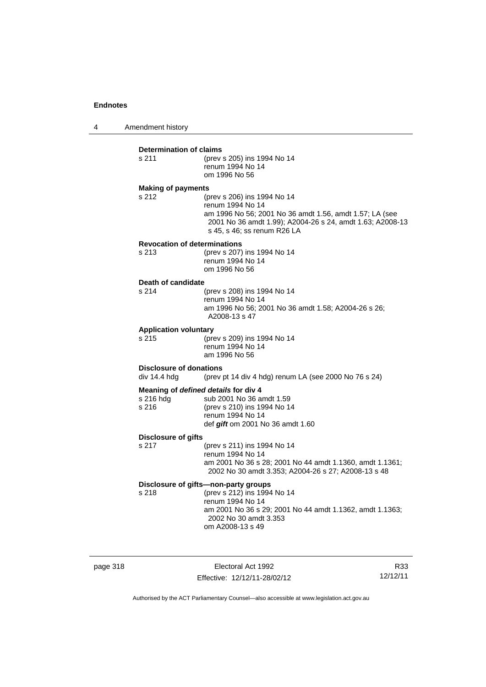4 Amendment history

#### **Determination of claims**

| s 211 | (prev s 205) ins 1994 No 14 |
|-------|-----------------------------|
|       | renum 1994 No 14            |
|       | om 1996 No 56               |
|       |                             |

### **Making of payments**

s 212 (prev s 206) ins 1994 No 14 renum 1994 No 14 am 1996 No 56; 2001 No 36 amdt 1.56, amdt 1.57; LA (see 2001 No 36 amdt 1.99); A2004-26 s 24, amdt 1.63; A2008-13 s 45, s 46; ss renum R26 LA

### **Revocation of determinations**

| s 213 | (prev s 207) ins 1994 No 14 |
|-------|-----------------------------|
|       | renum 1994 No 14            |
|       | om 1996 No 56               |

# **Death of candidate**

(prev s 208) ins 1994 No 14 renum 1994 No 14 am 1996 No 56; 2001 No 36 amdt 1.58; A2004-26 s 26; A2008-13 s 47

#### **Application voluntary**

s 215 (prev s 209) ins 1994 No 14 renum 1994 No 14 am 1996 No 56

# **Disclosure of donations**<br>div 14.4 hdg (prev)

(prev pt 14 div 4 hdg) renum LA (see 2000 No 76 s 24)

### **Meaning of** *defined details* **for div 4**

| s 216 hda | sub 2001 No 36 amdt 1.59            |
|-----------|-------------------------------------|
| s 216     | (prev s 210) ins 1994 No 14         |
|           | renum 1994 No 14                    |
|           | def $g$ ift om 2001 No 36 amdt 1.60 |

#### **Disclosure of gifts**

s 217 (prev s 211) ins 1994 No 14 renum 1994 No 14 am 2001 No 36 s 28; 2001 No 44 amdt 1.1360, amdt 1.1361; 2002 No 30 amdt 3.353; A2004-26 s 27; A2008-13 s 48

### **Disclosure of gifts—non-party groups**

s 218 (prev s 212) ins 1994 No 14 renum 1994 No 14 am 2001 No 36 s 29; 2001 No 44 amdt 1.1362, amdt 1.1363; 2002 No 30 amdt 3.353 om A2008-13 s 49

page 318 **Electoral Act 1992** Effective: 12/12/11-28/02/12

R33 12/12/11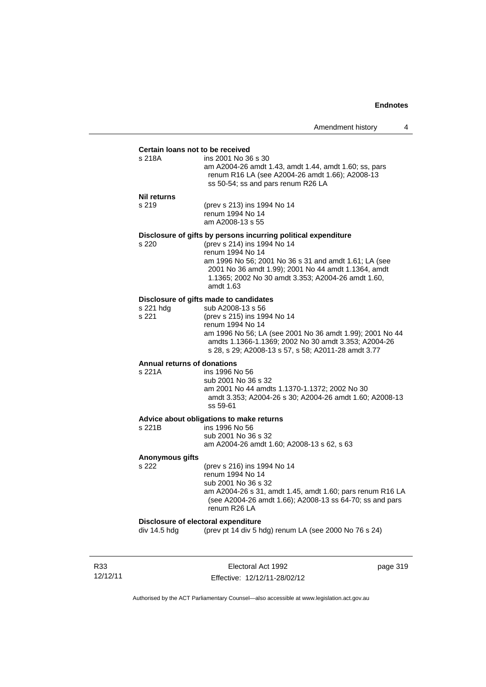#### **Certain loans not to be received**

| s 218A | ins 2001 No 36 s 30                                   |
|--------|-------------------------------------------------------|
|        | am A2004-26 amdt 1.43, amdt 1.44, amdt 1.60; ss, pars |
|        | renum R16 LA (see A2004-26 amdt 1.66); A2008-13       |
|        | ss 50-54; ss and pars renum R26 LA                    |
|        |                                                       |

#### **Nil returns**

s 219 (prev s 213) ins 1994 No 14 renum 1994 No 14 am A2008-13 s 55

#### **Disclosure of gifts by persons incurring political expenditure**

s 220 (prev s 214) ins 1994 No 14 renum 1994 No 14 am 1996 No 56; 2001 No 36 s 31 and amdt 1.61; LA (see 2001 No 36 amdt 1.99); 2001 No 44 amdt 1.1364, amdt 1.1365; 2002 No 30 amdt 3.353; A2004-26 amdt 1.60, amdt 1.63

### **Disclosure of gifts made to candidates**

| s 221 hda | sub A2008-13 s 56                                        |
|-----------|----------------------------------------------------------|
| s 221     | (prev s 215) ins 1994 No 14                              |
|           | renum 1994 No 14                                         |
|           | am 1996 No 56; LA (see 2001 No 36 amdt 1.99); 2001 No 44 |
|           | amdts 1.1366-1.1369: 2002 No 30 amdt 3.353: A2004-26     |
|           | s 28, s 29; A2008-13 s 57, s 58; A2011-28 amdt 3.77      |
|           |                                                          |

# **Annual returns of donations**

ins 1996 No 56 sub 2001 No 36 s 32 am 2001 No 44 amdts 1.1370-1.1372; 2002 No 30 amdt 3.353; A2004-26 s 30; A2004-26 amdt 1.60; A2008-13 ss 59-61

### **Advice about obligations to make returns**

| s 221B | ins 1996 No 56                             |
|--------|--------------------------------------------|
|        | sub 2001 No 36 s 32                        |
|        | am A2004-26 amdt 1.60: A2008-13 s 62, s 63 |
|        |                                            |

#### **Anonymous gifts**

s 222 (prev s 216) ins 1994 No 14 renum 1994 No 14 sub 2001 No 36 s 32 am A2004-26 s 31, amdt 1.45, amdt 1.60; pars renum R16 LA (see A2004-26 amdt 1.66); A2008-13 ss 64-70; ss and pars renum R26 LA

#### **Disclosure of electoral expenditure**

div 14.5 hdg (prev pt 14 div 5 hdg) renum LA (see 2000 No 76 s 24)

R33 12/12/11

Electoral Act 1992 Effective: 12/12/11-28/02/12 page 319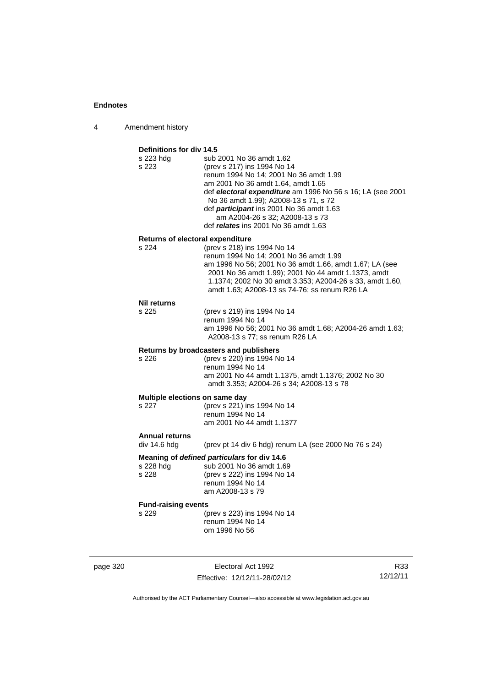4 Amendment history

## **Definitions for div 14.5**

| Returns of electoral expenditure<br>s 224<br>(prev s 218) ins 1994 No 14<br>renum 1994 No 14; 2001 No 36 amdt 1.99<br>am 1996 No 56; 2001 No 36 amdt 1.66, amdt 1.67; LA (see<br>2001 No 36 amdt 1.99); 2001 No 44 amdt 1.1373, amdt<br>1.1374; 2002 No 30 amdt 3.353; A2004-26 s 33, amdt 1.60,<br>amdt 1.63; A2008-13 ss 74-76; ss renum R26 LA<br><b>Nil returns</b><br>s 225<br>(prev s 219) ins 1994 No 14<br>renum 1994 No 14<br>am 1996 No 56; 2001 No 36 amdt 1.68; A2004-26 amdt 1.63;<br>A2008-13 s 77; ss renum R26 LA<br>Returns by broadcasters and publishers<br>(prev s 220) ins 1994 No 14<br>s 226<br>renum 1994 No 14<br>am 2001 No 44 amdt 1.1375, amdt 1.1376; 2002 No 30<br>amdt 3.353; A2004-26 s 34; A2008-13 s 78<br>Multiple elections on same day<br>s 227<br>(prev s 221) ins 1994 No 14<br>renum 1994 No 14<br>am 2001 No 44 amdt 1.1377<br><b>Annual returns</b><br>div 14.6 hdg<br>(prev pt 14 div 6 hdg) renum LA (see 2000 No 76 s 24)<br>Meaning of defined particulars for div 14.6<br>sub 2001 No 36 amdt 1.69<br>s 228 hdg<br>s 228<br>(prev s 222) ins 1994 No 14<br>renum 1994 No 14<br>am A2008-13 s 79<br><b>Fund-raising events</b><br>s 229<br>(prev s 223) ins 1994 No 14<br>renum 1994 No 14<br>om 1996 No 56 | s 223 hdg<br>s 223 | sub 2001 No 36 amdt 1.62<br>(prev s 217) ins 1994 No 14<br>renum 1994 No 14; 2001 No 36 amdt 1.99<br>am 2001 No 36 amdt 1.64, amdt 1.65<br>def electoral expenditure am 1996 No 56 s 16; LA (see 2001<br>No 36 amdt 1.99); A2008-13 s 71, s 72<br>def participant ins 2001 No 36 amdt 1.63<br>am A2004-26 s 32; A2008-13 s 73<br>def relates ins 2001 No 36 amdt 1.63 |
|-----------------------------------------------------------------------------------------------------------------------------------------------------------------------------------------------------------------------------------------------------------------------------------------------------------------------------------------------------------------------------------------------------------------------------------------------------------------------------------------------------------------------------------------------------------------------------------------------------------------------------------------------------------------------------------------------------------------------------------------------------------------------------------------------------------------------------------------------------------------------------------------------------------------------------------------------------------------------------------------------------------------------------------------------------------------------------------------------------------------------------------------------------------------------------------------------------------------------------------------------------------|--------------------|-----------------------------------------------------------------------------------------------------------------------------------------------------------------------------------------------------------------------------------------------------------------------------------------------------------------------------------------------------------------------|
|                                                                                                                                                                                                                                                                                                                                                                                                                                                                                                                                                                                                                                                                                                                                                                                                                                                                                                                                                                                                                                                                                                                                                                                                                                                           |                    |                                                                                                                                                                                                                                                                                                                                                                       |
|                                                                                                                                                                                                                                                                                                                                                                                                                                                                                                                                                                                                                                                                                                                                                                                                                                                                                                                                                                                                                                                                                                                                                                                                                                                           |                    |                                                                                                                                                                                                                                                                                                                                                                       |
|                                                                                                                                                                                                                                                                                                                                                                                                                                                                                                                                                                                                                                                                                                                                                                                                                                                                                                                                                                                                                                                                                                                                                                                                                                                           |                    |                                                                                                                                                                                                                                                                                                                                                                       |
|                                                                                                                                                                                                                                                                                                                                                                                                                                                                                                                                                                                                                                                                                                                                                                                                                                                                                                                                                                                                                                                                                                                                                                                                                                                           |                    |                                                                                                                                                                                                                                                                                                                                                                       |
|                                                                                                                                                                                                                                                                                                                                                                                                                                                                                                                                                                                                                                                                                                                                                                                                                                                                                                                                                                                                                                                                                                                                                                                                                                                           |                    |                                                                                                                                                                                                                                                                                                                                                                       |
|                                                                                                                                                                                                                                                                                                                                                                                                                                                                                                                                                                                                                                                                                                                                                                                                                                                                                                                                                                                                                                                                                                                                                                                                                                                           |                    |                                                                                                                                                                                                                                                                                                                                                                       |
|                                                                                                                                                                                                                                                                                                                                                                                                                                                                                                                                                                                                                                                                                                                                                                                                                                                                                                                                                                                                                                                                                                                                                                                                                                                           |                    |                                                                                                                                                                                                                                                                                                                                                                       |
|                                                                                                                                                                                                                                                                                                                                                                                                                                                                                                                                                                                                                                                                                                                                                                                                                                                                                                                                                                                                                                                                                                                                                                                                                                                           |                    |                                                                                                                                                                                                                                                                                                                                                                       |
|                                                                                                                                                                                                                                                                                                                                                                                                                                                                                                                                                                                                                                                                                                                                                                                                                                                                                                                                                                                                                                                                                                                                                                                                                                                           |                    |                                                                                                                                                                                                                                                                                                                                                                       |
|                                                                                                                                                                                                                                                                                                                                                                                                                                                                                                                                                                                                                                                                                                                                                                                                                                                                                                                                                                                                                                                                                                                                                                                                                                                           |                    |                                                                                                                                                                                                                                                                                                                                                                       |
|                                                                                                                                                                                                                                                                                                                                                                                                                                                                                                                                                                                                                                                                                                                                                                                                                                                                                                                                                                                                                                                                                                                                                                                                                                                           |                    |                                                                                                                                                                                                                                                                                                                                                                       |
|                                                                                                                                                                                                                                                                                                                                                                                                                                                                                                                                                                                                                                                                                                                                                                                                                                                                                                                                                                                                                                                                                                                                                                                                                                                           |                    |                                                                                                                                                                                                                                                                                                                                                                       |
|                                                                                                                                                                                                                                                                                                                                                                                                                                                                                                                                                                                                                                                                                                                                                                                                                                                                                                                                                                                                                                                                                                                                                                                                                                                           |                    |                                                                                                                                                                                                                                                                                                                                                                       |
|                                                                                                                                                                                                                                                                                                                                                                                                                                                                                                                                                                                                                                                                                                                                                                                                                                                                                                                                                                                                                                                                                                                                                                                                                                                           |                    |                                                                                                                                                                                                                                                                                                                                                                       |
|                                                                                                                                                                                                                                                                                                                                                                                                                                                                                                                                                                                                                                                                                                                                                                                                                                                                                                                                                                                                                                                                                                                                                                                                                                                           |                    |                                                                                                                                                                                                                                                                                                                                                                       |
|                                                                                                                                                                                                                                                                                                                                                                                                                                                                                                                                                                                                                                                                                                                                                                                                                                                                                                                                                                                                                                                                                                                                                                                                                                                           |                    |                                                                                                                                                                                                                                                                                                                                                                       |
|                                                                                                                                                                                                                                                                                                                                                                                                                                                                                                                                                                                                                                                                                                                                                                                                                                                                                                                                                                                                                                                                                                                                                                                                                                                           |                    |                                                                                                                                                                                                                                                                                                                                                                       |
|                                                                                                                                                                                                                                                                                                                                                                                                                                                                                                                                                                                                                                                                                                                                                                                                                                                                                                                                                                                                                                                                                                                                                                                                                                                           |                    |                                                                                                                                                                                                                                                                                                                                                                       |
|                                                                                                                                                                                                                                                                                                                                                                                                                                                                                                                                                                                                                                                                                                                                                                                                                                                                                                                                                                                                                                                                                                                                                                                                                                                           |                    |                                                                                                                                                                                                                                                                                                                                                                       |
|                                                                                                                                                                                                                                                                                                                                                                                                                                                                                                                                                                                                                                                                                                                                                                                                                                                                                                                                                                                                                                                                                                                                                                                                                                                           |                    |                                                                                                                                                                                                                                                                                                                                                                       |

page 320 Electoral Act 1992 Effective: 12/12/11-28/02/12

R33 12/12/11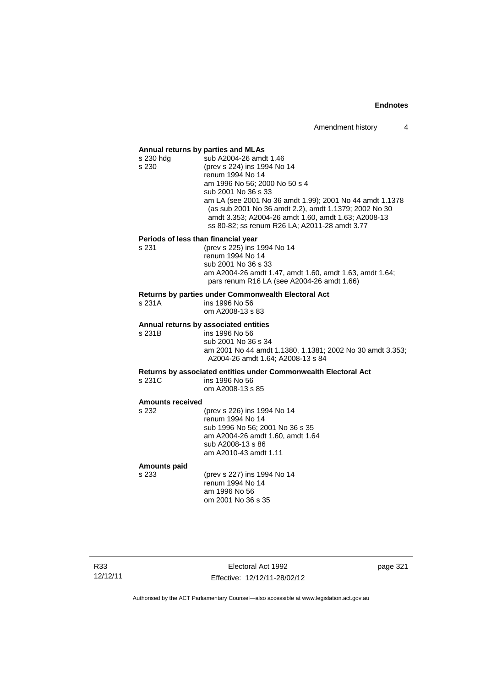### **Annual returns by parties and MLAs**

| sub A2004-26 amdt 1.46                                   |
|----------------------------------------------------------|
| (prev s 224) ins 1994 No 14                              |
| renum 1994 No 14                                         |
| am 1996 No 56; 2000 No 50 s 4                            |
| sub 2001 No 36 s 33                                      |
| am LA (see 2001 No 36 amdt 1.99); 2001 No 44 amdt 1.1378 |
| (as sub 2001 No 36 amdt 2.2), amdt 1.1379; 2002 No 30    |
| amdt 3.353; A2004-26 amdt 1.60, amdt 1.63; A2008-13      |
| ss 80-82; ss renum R26 LA; A2011-28 amdt 3.77            |
| Periods of less than financial year                      |
| (prev s 225) ins 1994 No 14                              |
|                                                          |

renum 1994 No 14 sub 2001 No 36 s 33 am A2004-26 amdt 1.47, amdt 1.60, amdt 1.63, amdt 1.64; pars renum R16 LA (see A2004-26 amdt 1.66)

#### **Returns by parties under Commonwealth Electoral Act**

| s 231A | ins 1996 No 56   |
|--------|------------------|
|        | om A2008-13 s 83 |

#### **Annual returns by associated entities**

s 231B ins 1996 No 56 sub 2001 No 36 s 34 am 2001 No 44 amdt 1.1380, 1.1381; 2002 No 30 amdt 3.353; A2004-26 amdt 1.64; A2008-13 s 84

**Returns by associated entities under Commonwealth Electoral Act**

ins 1996 No 56 om A2008-13 s 85

#### **Amounts received**

s 232 (prev s 226) ins 1994 No 14 renum 1994 No 14 sub 1996 No 56; 2001 No 36 s 35 am A2004-26 amdt 1.60, amdt 1.64 sub A2008-13 s 86 am A2010-43 amdt 1.11

#### **Amounts paid**

s 233 (prev s 227) ins 1994 No 14 renum 1994 No 14 am 1996 No 56 om 2001 No 36 s 35

R33 12/12/11

Electoral Act 1992 Effective: 12/12/11-28/02/12 page 321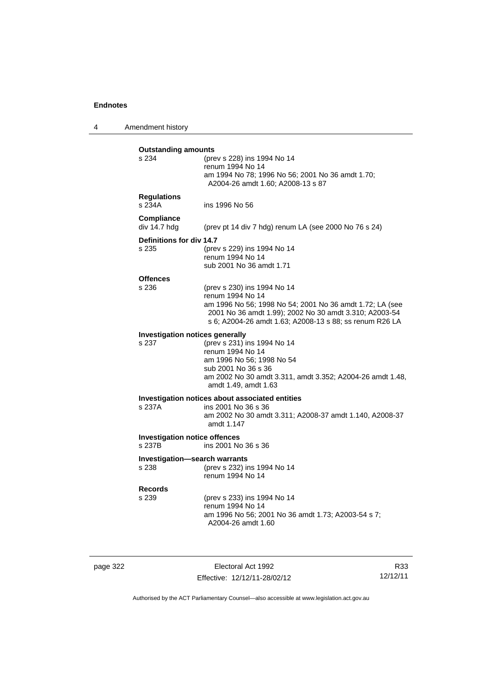4 Amendment history

| <b>Outstanding amounts</b><br>s 234             | (prev s 228) ins 1994 No 14<br>renum 1994 No 14<br>am 1994 No 78; 1996 No 56; 2001 No 36 amdt 1.70;<br>A2004-26 amdt 1.60; A2008-13 s 87                                                                                         |
|-------------------------------------------------|----------------------------------------------------------------------------------------------------------------------------------------------------------------------------------------------------------------------------------|
| <b>Regulations</b><br>s 234A                    | ins 1996 No 56                                                                                                                                                                                                                   |
| Compliance<br>div 14.7 hdg                      | (prev pt 14 div 7 hdg) renum LA (see 2000 No 76 s 24)                                                                                                                                                                            |
| Definitions for div 14.7<br>s 235               | (prev s 229) ins 1994 No 14<br>renum 1994 No 14<br>sub 2001 No 36 amdt 1.71                                                                                                                                                      |
| <b>Offences</b><br>s 236                        | (prev s 230) ins 1994 No 14<br>renum 1994 No 14<br>am 1996 No 56; 1998 No 54; 2001 No 36 amdt 1.72; LA (see<br>2001 No 36 amdt 1.99); 2002 No 30 amdt 3.310; A2003-54<br>s 6; A2004-26 amdt 1.63; A2008-13 s 88; ss renum R26 LA |
| <b>Investigation notices generally</b><br>s 237 | (prev s 231) ins 1994 No 14<br>renum 1994 No 14<br>am 1996 No 56; 1998 No 54<br>sub 2001 No 36 s 36<br>am 2002 No 30 amdt 3.311, amdt 3.352; A2004-26 amdt 1.48,<br>amdt 1.49, amdt 1.63                                         |
| s 237A                                          | Investigation notices about associated entities<br>ins 2001 No 36 s 36<br>am 2002 No 30 amdt 3.311; A2008-37 amdt 1.140, A2008-37<br>amdt 1.147                                                                                  |
| <b>Investigation notice offences</b><br>s 237B  | ins 2001 No 36 s 36                                                                                                                                                                                                              |
| <b>Investigation-search warrants</b><br>s 238   | (prev s 232) ins 1994 No 14<br>renum 1994 No 14                                                                                                                                                                                  |
| <b>Records</b><br>s 239                         | (prev s 233) ins 1994 No 14<br>renum 1994 No 14<br>am 1996 No 56; 2001 No 36 amdt 1.73; A2003-54 s 7;<br>A2004-26 amdt 1.60                                                                                                      |
|                                                 |                                                                                                                                                                                                                                  |

page 322 Electoral Act 1992 Effective: 12/12/11-28/02/12

R33 12/12/11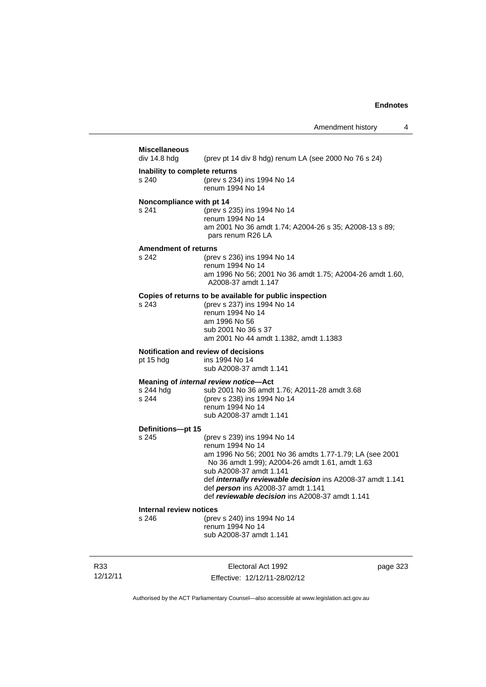| <b>Miscellaneous</b><br>div 14.8 hdg                                                 | (prev pt 14 div 8 hdg) renum LA (see 2000 No 76 s 24)                                                      |
|--------------------------------------------------------------------------------------|------------------------------------------------------------------------------------------------------------|
|                                                                                      |                                                                                                            |
| Inability to complete returns                                                        |                                                                                                            |
| s 240                                                                                | (prev s 234) ins 1994 No 14                                                                                |
|                                                                                      | renum 1994 No 14                                                                                           |
| Noncompliance with pt 14                                                             |                                                                                                            |
| s 241                                                                                | (prev s 235) ins 1994 No 14                                                                                |
|                                                                                      | renum 1994 No 14                                                                                           |
|                                                                                      | am 2001 No 36 amdt 1.74; A2004-26 s 35; A2008-13 s 89;                                                     |
|                                                                                      | pars renum R26 LA                                                                                          |
| <b>Amendment of returns</b>                                                          |                                                                                                            |
| s 242                                                                                | (prev s 236) ins 1994 No 14                                                                                |
|                                                                                      | renum 1994 No 14                                                                                           |
|                                                                                      | am 1996 No 56; 2001 No 36 amdt 1.75; A2004-26 amdt 1.60,                                                   |
|                                                                                      | A2008-37 amdt 1.147                                                                                        |
|                                                                                      | Copies of returns to be available for public inspection                                                    |
| s 243                                                                                | (prev s 237) ins 1994 No 14                                                                                |
|                                                                                      | renum 1994 No 14                                                                                           |
|                                                                                      | am 1996 No 56                                                                                              |
|                                                                                      | sub 2001 No 36 s 37                                                                                        |
|                                                                                      | am 2001 No 44 amdt 1.1382, amdt 1.1383                                                                     |
|                                                                                      | Notification and review of decisions                                                                       |
| pt 15 hdg                                                                            | ins 1994 No 14                                                                                             |
|                                                                                      | sub A2008-37 amdt 1.141                                                                                    |
|                                                                                      | Meaning of internal review notice-Act                                                                      |
|                                                                                      | sub 2001 No 36 amdt 1.76; A2011-28 amdt 3.68                                                               |
|                                                                                      |                                                                                                            |
|                                                                                      |                                                                                                            |
|                                                                                      | (prev s 238) ins 1994 No 14<br>renum 1994 No 14                                                            |
|                                                                                      | sub A2008-37 amdt 1.141                                                                                    |
|                                                                                      |                                                                                                            |
|                                                                                      |                                                                                                            |
|                                                                                      | (prev s 239) ins 1994 No 14<br>renum 1994 No 14                                                            |
|                                                                                      |                                                                                                            |
|                                                                                      | am 1996 No 56; 2001 No 36 amdts 1.77-1.79; LA (see 2001<br>No 36 amdt 1.99); A2004-26 amdt 1.61, amdt 1.63 |
|                                                                                      | sub A2008-37 amdt 1.141                                                                                    |
|                                                                                      | def internally reviewable decision ins A2008-37 amdt 1.141                                                 |
|                                                                                      | def person ins A2008-37 amdt 1.141                                                                         |
|                                                                                      | def reviewable decision ins A2008-37 amdt 1.141                                                            |
|                                                                                      |                                                                                                            |
| s 244 hdg<br>s 244<br>Definitions-pt 15<br>s 245<br>Internal review notices<br>s 246 | (prev s 240) ins 1994 No 14                                                                                |
|                                                                                      | renum 1994 No 14                                                                                           |
|                                                                                      | sub A2008-37 amdt 1.141                                                                                    |

R33 12/12/11

Electoral Act 1992 Effective: 12/12/11-28/02/12 page 323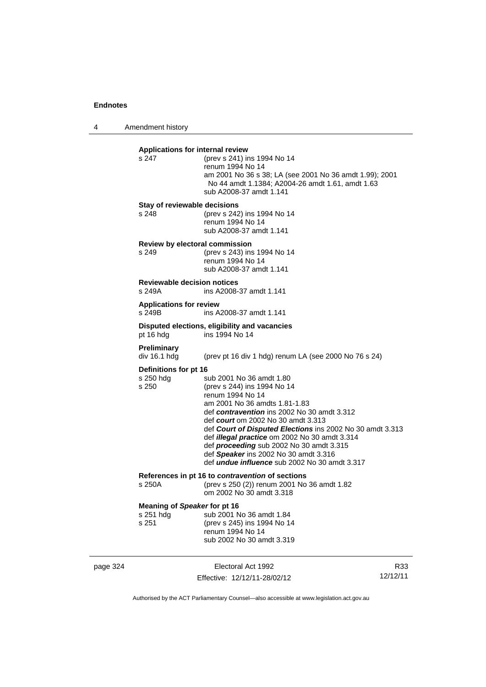4 Amendment history

|          | Applications for internal review<br>s 247          | (prev s 241) ins 1994 No 14<br>renum 1994 No 14<br>am 2001 No 36 s 38; LA (see 2001 No 36 amdt 1.99); 2001<br>No 44 amdt 1.1384; A2004-26 amdt 1.61, amdt 1.63<br>sub A2008-37 amdt 1.141                                                                                                                                                                                                                                                                                  |                 |
|----------|----------------------------------------------------|----------------------------------------------------------------------------------------------------------------------------------------------------------------------------------------------------------------------------------------------------------------------------------------------------------------------------------------------------------------------------------------------------------------------------------------------------------------------------|-----------------|
|          | Stay of reviewable decisions<br>s 248              | (prev s 242) ins 1994 No 14<br>renum 1994 No 14<br>sub A2008-37 amdt 1.141                                                                                                                                                                                                                                                                                                                                                                                                 |                 |
|          | Review by electoral commission<br>s 249            | (prev s 243) ins 1994 No 14<br>renum 1994 No 14<br>sub A2008-37 amdt 1.141                                                                                                                                                                                                                                                                                                                                                                                                 |                 |
|          | <b>Reviewable decision notices</b><br>s 249A       | ins A2008-37 amdt 1.141                                                                                                                                                                                                                                                                                                                                                                                                                                                    |                 |
|          | <b>Applications for review</b><br>s 249B           | ins A2008-37 amdt 1.141                                                                                                                                                                                                                                                                                                                                                                                                                                                    |                 |
|          | pt 16 hdg                                          | Disputed elections, eligibility and vacancies<br>ins 1994 No 14                                                                                                                                                                                                                                                                                                                                                                                                            |                 |
|          | <b>Preliminary</b><br>div 16.1 hdg                 | (prev pt 16 div 1 hdg) renum LA (see 2000 No 76 s 24)                                                                                                                                                                                                                                                                                                                                                                                                                      |                 |
|          | Definitions for pt 16<br>s 250 hdg<br>s 250        | sub 2001 No 36 amdt 1.80<br>(prev s 244) ins 1994 No 14<br>renum 1994 No 14<br>am 2001 No 36 amdts 1.81-1.83<br>def contravention ins 2002 No 30 amdt 3.312<br>def court om 2002 No 30 amdt 3.313<br>def Court of Disputed Elections ins 2002 No 30 amdt 3.313<br>def <i>illegal practice</i> om 2002 No 30 amdt 3.314<br>def <i>proceeding</i> sub 2002 No 30 amdt 3.315<br>def Speaker ins 2002 No 30 amdt 3.316<br>def <i>undue influence</i> sub 2002 No 30 amdt 3.317 |                 |
|          | $s$ 250 $A$                                        | References in pt 16 to contravention of sections<br>(prev s 250 (2)) renum 2001 No 36 amdt 1.82<br>om 2002 No 30 amdt 3.318                                                                                                                                                                                                                                                                                                                                                |                 |
|          | Meaning of Speaker for pt 16<br>s 251 hdg<br>s 251 | sub 2001 No 36 amdt 1.84<br>(prev s 245) ins 1994 No 14<br>renum 1994 No 14<br>sub 2002 No 30 amdt 3.319                                                                                                                                                                                                                                                                                                                                                                   |                 |
| page 324 |                                                    | Electoral Act 1992<br>Effective: 12/12/11-28/02/12                                                                                                                                                                                                                                                                                                                                                                                                                         | R33<br>12/12/11 |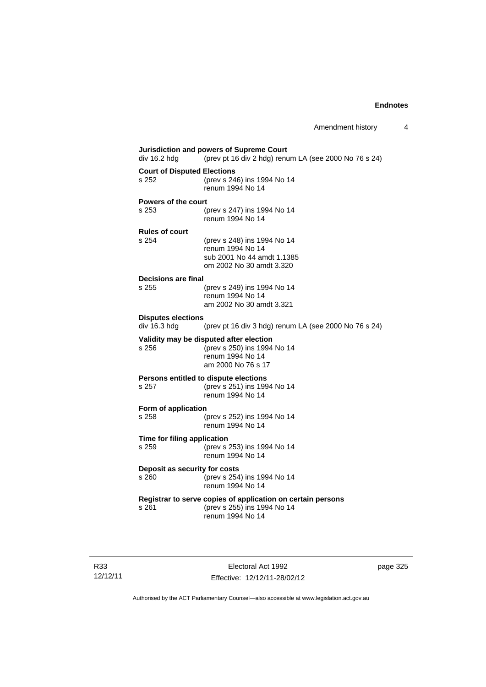**Jurisdiction and powers of Supreme Court**  div 16.2 hdg (prev pt 16 div 2 hdg) renum LA (see 2000 No 76 s 24) **Court of Disputed Elections** s 252 (prev s 246) ins 1994 No 14 renum 1994 No 14 **Powers of the court** s 253 (prev s 247) ins 1994 No 14 renum 1994 No 14 **Rules of court** s 254 (prev s 248) ins 1994 No 14 renum 1994 No 14 sub 2001 No 44 amdt 1.1385 om 2002 No 30 amdt 3.320 **Decisions are final** s 255 (prev s 249) ins 1994 No 14 renum 1994 No 14 am 2002 No 30 amdt 3.321 **Disputes elections**  (prev pt 16 div 3 hdg) renum LA (see 2000 No 76 s 24) **Validity may be disputed after election** s 256 (prev s 250) ins 1994 No 14 renum 1994 No 14 am 2000 No 76 s 17 **Persons entitled to dispute elections** s 257 (prev s 251) ins 1994 No 14 renum 1994 No 14 **Form of application**<br>s 258 ( s 258 (prev s 252) ins 1994 No 14 renum 1994 No 14 **Time for filing application** s 259 (prev s 253) ins 1994 No 14 renum 1994 No 14 **Deposit as security for costs** s 260 (prev s 254) ins 1994 No 14 renum 1994 No 14 **Registrar to serve copies of application on certain persons** s 261 (prev s 255) ins 1994 No 14 renum 1994 No 14

R33 12/12/11

Electoral Act 1992 Effective: 12/12/11-28/02/12 page 325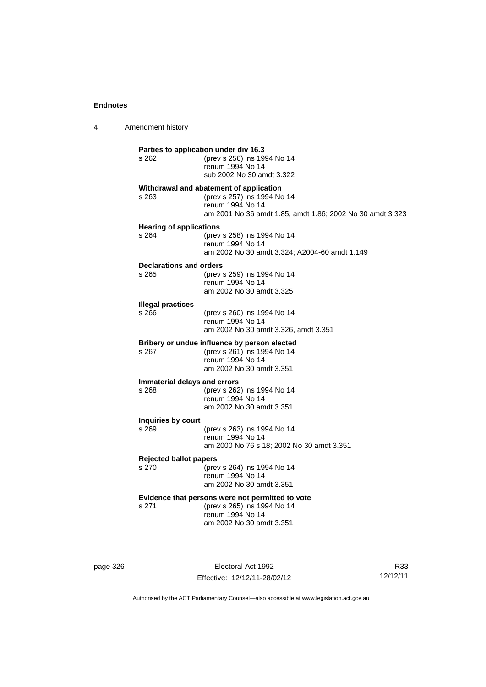4 Amendment history

| s 262                                   | (prev s 256) ins 1994 No 14<br>renum 1994 No 14<br>sub 2002 No 30 amdt 3.322                                                                            |
|-----------------------------------------|---------------------------------------------------------------------------------------------------------------------------------------------------------|
| s 263                                   | Withdrawal and abatement of application<br>(prev s 257) ins 1994 No 14<br>renum 1994 No 14<br>am 2001 No 36 amdt 1.85, amdt 1.86; 2002 No 30 amdt 3.323 |
| <b>Hearing of applications</b><br>s 264 | (prev s 258) ins 1994 No 14<br>renum 1994 No 14<br>am 2002 No 30 amdt 3.324; A2004-60 amdt 1.149                                                        |
| <b>Declarations and orders</b><br>s 265 | (prev s 259) ins 1994 No 14<br>renum 1994 No 14<br>am 2002 No 30 amdt 3.325                                                                             |
| <b>Illegal practices</b><br>s 266       | (prev s 260) ins 1994 No 14<br>renum 1994 No 14<br>am 2002 No 30 amdt 3.326, amdt 3.351                                                                 |
| s 267                                   | Bribery or undue influence by person elected<br>(prev s 261) ins 1994 No 14<br>renum 1994 No 14<br>am 2002 No 30 amdt 3.351                             |
| Immaterial delays and errors<br>s 268   | (prev s 262) ins 1994 No 14<br>renum 1994 No 14<br>am 2002 No 30 amdt 3.351                                                                             |
| Inquiries by court<br>s 269             | (prev s 263) ins 1994 No 14<br>renum 1994 No 14<br>am 2000 No 76 s 18; 2002 No 30 amdt 3.351                                                            |
| <b>Rejected ballot papers</b><br>s 270  | (prev s 264) ins 1994 No 14<br>renum 1994 No 14<br>am 2002 No 30 amdt 3.351                                                                             |
| s 271                                   | Evidence that persons were not permitted to vote<br>(prev s 265) ins 1994 No 14<br>renum 1994 No 14<br>am 2002 No 30 amdt 3.351                         |

page 326 Electoral Act 1992 Effective: 12/12/11-28/02/12

R33 12/12/11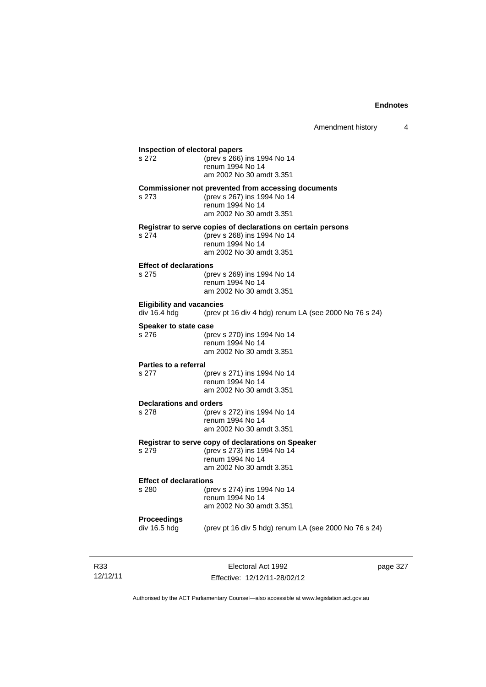| Inspection of electoral papers<br>s 272 | (prev s 266) ins 1994 No 14                                                                 |
|-----------------------------------------|---------------------------------------------------------------------------------------------|
|                                         | renum 1994 No 14                                                                            |
|                                         | am 2002 No 30 amdt 3.351                                                                    |
|                                         | <b>Commissioner not prevented from accessing documents</b>                                  |
| s 273                                   | (prev s 267) ins 1994 No 14                                                                 |
|                                         | renum 1994 No 14<br>am 2002 No 30 amdt 3.351                                                |
|                                         |                                                                                             |
| s 274                                   | Registrar to serve copies of declarations on certain persons<br>(prev s 268) ins 1994 No 14 |
|                                         | renum 1994 No 14                                                                            |
|                                         | am 2002 No 30 amdt 3.351                                                                    |
| <b>Effect of declarations</b>           |                                                                                             |
| s 275                                   | (prev s 269) ins 1994 No 14                                                                 |
|                                         | renum 1994 No 14                                                                            |
|                                         | am 2002 No 30 amdt 3.351                                                                    |
| <b>Eligibility and vacancies</b>        |                                                                                             |
| div 16.4 hdg                            | (prev pt 16 div 4 hdg) renum LA (see 2000 No 76 s 24)                                       |
| Speaker to state case                   |                                                                                             |
| s 276                                   | (prev s 270) ins 1994 No 14<br>renum 1994 No 14                                             |
|                                         | am 2002 No 30 amdt 3.351                                                                    |
| <b>Parties to a referral</b>            |                                                                                             |
| s 277                                   | (prev s 271) ins 1994 No 14                                                                 |
|                                         | renum 1994 No 14                                                                            |
|                                         | am 2002 No 30 amdt 3.351                                                                    |
| <b>Declarations and orders</b>          |                                                                                             |
| s 278                                   | (prev s 272) ins 1994 No 14                                                                 |
|                                         | renum 1994 No 14<br>am 2002 No 30 amdt 3.351                                                |
|                                         |                                                                                             |
| s 279                                   | Registrar to serve copy of declarations on Speaker<br>(prev s 273) ins 1994 No 14           |
|                                         | renum 1994 No 14                                                                            |
|                                         | am 2002 No 30 amdt 3.351                                                                    |
| <b>Effect of declarations</b>           |                                                                                             |
| s 280                                   | (prev s 274) ins 1994 No 14                                                                 |
|                                         | renum 1994 No 14                                                                            |
|                                         | am 2002 No 30 amdt 3.351                                                                    |
| Proceedings                             |                                                                                             |
| div 16.5 hdg                            | (prev pt 16 div 5 hdg) renum LA (see 2000 No 76 s 24)                                       |
|                                         |                                                                                             |
|                                         |                                                                                             |

R33 12/12/11

Electoral Act 1992 Effective: 12/12/11-28/02/12 page 327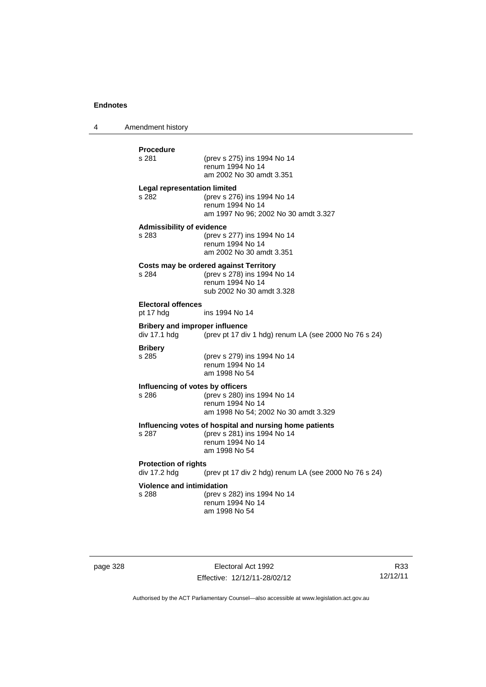4 Amendment history

|                                  | <b>Procedure</b>                                      |                                                                                         |
|----------------------------------|-------------------------------------------------------|-----------------------------------------------------------------------------------------|
|                                  | s 281                                                 | (prev s 275) ins 1994 No 14<br>renum 1994 No 14<br>am 2002 No 30 amdt 3.351             |
|                                  | <b>Legal representation limited</b>                   |                                                                                         |
|                                  | s 282                                                 | (prev s 276) ins 1994 No 14<br>renum 1994 No 14<br>am 1997 No 96; 2002 No 30 amdt 3.327 |
|                                  | <b>Admissibility of evidence</b>                      |                                                                                         |
|                                  | s 283                                                 | (prev s 277) ins 1994 No 14<br>renum 1994 No 14<br>am 2002 No 30 amdt 3.351             |
|                                  |                                                       | Costs may be ordered against Territory                                                  |
|                                  | s 284                                                 | (prev s 278) ins 1994 No 14<br>renum 1994 No 14<br>sub 2002 No 30 amdt 3.328            |
|                                  | <b>Electoral offences</b>                             |                                                                                         |
|                                  | pt 17 hdg                                             | ins 1994 No 14                                                                          |
|                                  | <b>Bribery and improper influence</b><br>div 17.1 hdg | (prev pt 17 div 1 hdg) renum LA (see 2000 No 76 s 24)                                   |
|                                  | <b>Bribery</b>                                        |                                                                                         |
|                                  | s 285                                                 | (prev s 279) ins 1994 No 14<br>renum 1994 No 14<br>am 1998 No 54                        |
|                                  | Influencing of votes by officers                      |                                                                                         |
|                                  | s 286                                                 | (prev s 280) ins 1994 No 14                                                             |
|                                  |                                                       | renum 1994 No 14<br>am 1998 No 54; 2002 No 30 amdt 3.329                                |
|                                  |                                                       | Influencing votes of hospital and nursing home patients                                 |
|                                  | s 287                                                 | (prev s 281) ins 1994 No 14                                                             |
|                                  |                                                       | renum 1994 No 14<br>am 1998 No 54                                                       |
|                                  | <b>Protection of rights</b>                           |                                                                                         |
|                                  | div 17.2 hdg                                          | (prev pt 17 div 2 hdg) renum LA (see 2000 No 76 s 24)                                   |
| <b>Violence and intimidation</b> |                                                       |                                                                                         |
|                                  | s 288                                                 | (prev s 282) ins 1994 No 14<br>renum 1994 No 14                                         |
|                                  |                                                       | am 1998 No 54                                                                           |

page 328 Electoral Act 1992 Effective: 12/12/11-28/02/12

R33 12/12/11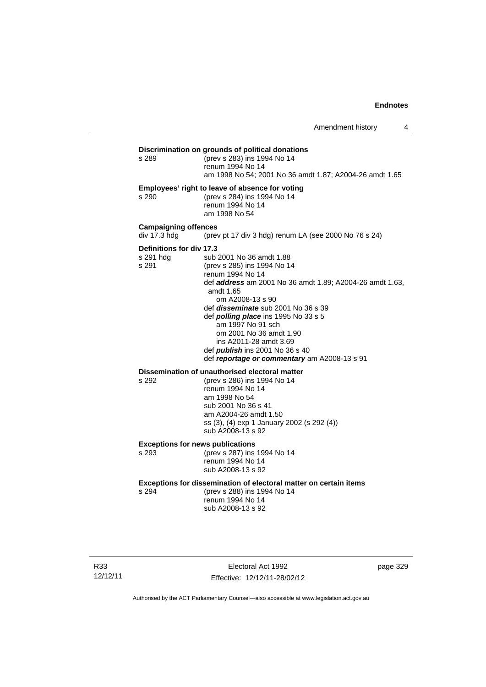**Discrimination on grounds of political donations** s 289 (prev s 283) ins 1994 No 14 renum 1994 No 14 am 1998 No 54; 2001 No 36 amdt 1.87; A2004-26 amdt 1.65 **Employees' right to leave of absence for voting** s 290 (prev s 284) ins 1994 No 14 renum 1994 No 14 am 1998 No 54 **Campaigning offences**  div 17.3 hdg (prev pt 17 div 3 hdg) renum LA (see 2000 No 76 s 24) **Definitions for div 17.3**<br>s 291 hdg sub s 291 hdg sub 2001 No 36 amdt 1.88<br>s 291 (prev s 285) ins 1994 No 14 (prev s 285) ins 1994 No 14 renum 1994 No 14 def *address* am 2001 No 36 amdt 1.89; A2004-26 amdt 1.63, amdt 1.65 om A2008-13 s 90 def *disseminate* sub 2001 No 36 s 39 def *polling place* ins 1995 No 33 s 5 am 1997 No 91 sch om 2001 No 36 amdt 1.90 ins A2011-28 amdt 3.69 def *publish* ins 2001 No 36 s 40 def *reportage or commentary* am A2008-13 s 91 **Dissemination of unauthorised electoral matter**<br>s 292 (prev s 286) ins 1994 No 14 s 292 (prev s 286) ins 1994 No 14 renum 1994 No 14

am 1998 No 54 sub 2001 No 36 s 41 am A2004-26 amdt 1.50 ss (3), (4) exp 1 January 2002 (s 292 (4)) sub A2008-13 s 92

#### **Exceptions for news publications**

s 293 (prev s 287) ins 1994 No 14 renum 1994 No 14 sub A2008-13 s 92

#### **Exceptions for dissemination of electoral matter on certain items**

s 294 (prev s 288) ins 1994 No 14 renum 1994 No 14 sub A2008-13 s 92

R33 12/12/11

Electoral Act 1992 Effective: 12/12/11-28/02/12 page 329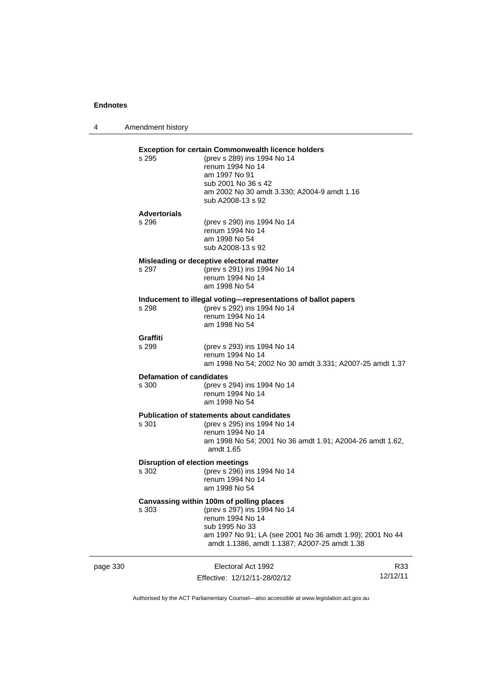4 Amendment history

### page 330 Electoral Act 1992 R33 **Exception for certain Commonwealth licence holders**<br>s 295 (prev s 289) ins 1994 No 14 (prev s 289) ins 1994 No 14 renum 1994 No 14 am 1997 No 91 sub 2001 No 36 s 42 am 2002 No 30 amdt 3.330; A2004-9 amdt 1.16 sub A2008-13 s 92 **Advertorials** s 296 (prev s 290) ins 1994 No 14 renum 1994 No 14 am 1998 No 54 sub A2008-13 s 92 **Misleading or deceptive electoral matter** s 297 (prev s 291) ins 1994 No 14 renum 1994 No 14 am 1998 No 54 **Inducement to illegal voting—representations of ballot papers** (prev s 292) ins 1994 No 14 renum 1994 No 14 am 1998 No 54 Graffiti<br>s 299 (prev s 293) ins 1994 No 14 renum 1994 No 14 am 1998 No 54; 2002 No 30 amdt 3.331; A2007-25 amdt 1.37 **Defamation of candidates** s 300 (prev s 294) ins 1994 No 14 renum 1994 No 14 am 1998 No 54 **Publication of statements about candidates**<br>s 301 (orev s 295) ins 1994 No 1-(prev s 295) ins 1994 No 14 renum 1994 No 14 am 1998 No 54; 2001 No 36 amdt 1.91; A2004-26 amdt 1.62, amdt 1.65 **Disruption of election meetings** s 302 (prev s 296) ins 1994 No 14 renum 1994 No 14 am 1998 No 54 **Canvassing within 100m of polling places** s 303 (prev s 297) ins 1994 No 14 renum 1994 No 14 sub 1995 No 33 am 1997 No 91; LA (see 2001 No 36 amdt 1.99); 2001 No 44 amdt 1.1386, amdt 1.1387; A2007-25 amdt 1.38

Authorised by the ACT Parliamentary Counsel—also accessible at www.legislation.act.gov.au

12/12/11

Effective: 12/12/11-28/02/12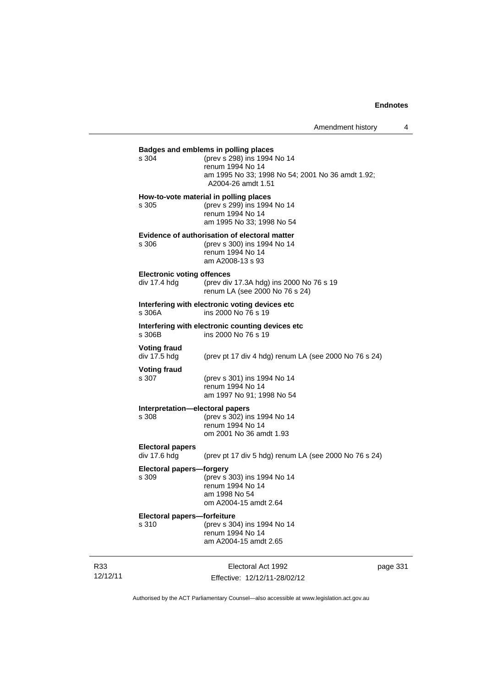### Electoral Act 1992 **Badges and emblems in polling places** s 304 (prev s 298) ins 1994 No 14 renum 1994 No 14 am 1995 No 33; 1998 No 54; 2001 No 36 amdt 1.92; A2004-26 amdt 1.51 **How-to-vote material in polling places** s 305 (prev s 299) ins 1994 No 14 renum 1994 No 14 am 1995 No 33; 1998 No 54 **Evidence of authorisation of electoral matter** s 306 (prev s 300) ins 1994 No 14 renum 1994 No 14 am A2008-13 s 93 **Electronic voting offences**<br>div 17.4 hdg (prev div (prev div 17.3A hdg) ins 2000 No 76 s 19 renum LA (see 2000 No 76 s 24) **Interfering with electronic voting devices etc** s 306A ins 2000 No 76 s 19 **Interfering with electronic counting devices etc** ins 2000 No 76 s 19 **Voting fraud**  div 17.5 hdg (prev pt 17 div 4 hdg) renum LA (see 2000 No 76 s 24) **Voting fraud** s 307 (prev s 301) ins 1994 No 14 renum 1994 No 14 am 1997 No 91; 1998 No 54 **Interpretation—electoral papers**  s 308 (prev s 302) ins 1994 No 14 renum 1994 No 14 om 2001 No 36 amdt 1.93 **Electoral papers**  div 17.6 hdg (prev pt 17 div 5 hdg) renum LA (see 2000 No 76 s 24) **Electoral papers—forgery**<br>s 309 (prev s 3 s 309 (prev s 303) ins 1994 No 14 renum 1994 No 14 am 1998 No 54 om A2004-15 amdt 2.64 **Electoral papers—forfeiture** s 310 (prev s 304) ins 1994 No 14 renum 1994 No 14 am A2004-15 amdt 2.65

12/12/11

R33

Effective: 12/12/11-28/02/12

page 331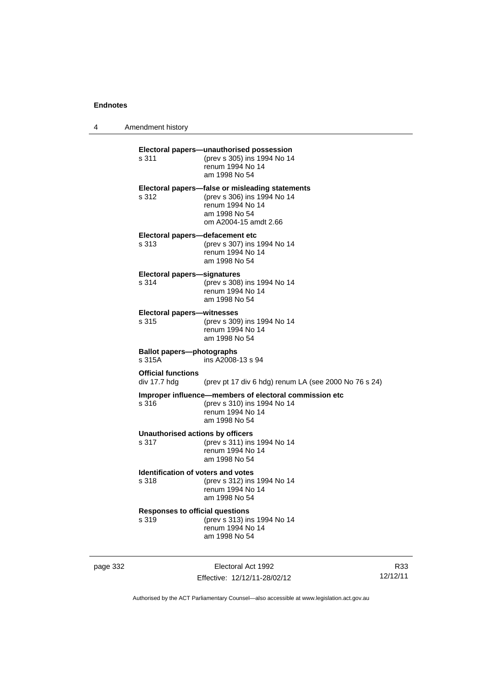4 Amendment history

| s 311                                            | Electoral papers-unauthorised possession<br>(prev s 305) ins 1994 No 14<br>renum 1994 No 14<br>am 1998 No 54                                 |
|--------------------------------------------------|----------------------------------------------------------------------------------------------------------------------------------------------|
| s 312                                            | Electoral papers-false or misleading statements<br>(prev s 306) ins 1994 No 14<br>renum 1994 No 14<br>am 1998 No 54<br>om A2004-15 amdt 2.66 |
| Electoral papers-defacement etc<br>s 313         | (prev s 307) ins 1994 No 14<br>renum 1994 No 14<br>am 1998 No 54                                                                             |
| <b>Electoral papers-signatures</b><br>s 314      | (prev s 308) ins 1994 No 14<br>renum 1994 No 14<br>am 1998 No 54                                                                             |
| <b>Electoral papers-witnesses</b><br>s 315       | (prev s 309) ins 1994 No 14<br>renum 1994 No 14<br>am 1998 No 54                                                                             |
| <b>Ballot papers-photographs</b><br>s 315A       | ins A2008-13 s 94                                                                                                                            |
| <b>Official functions</b><br>div 17.7 hdg        | (prev pt 17 div 6 hdg) renum LA (see 2000 No 76 s 24)                                                                                        |
| s.316                                            | Improper influence-members of electoral commission etc<br>(prev s 310) ins 1994 No 14<br>renum 1994 No 14<br>am 1998 No 54                   |
| <b>Unauthorised actions by officers</b><br>s 317 | (prev s 311) ins 1994 No 14<br>renum 1994 No 14<br>am 1998 No 54                                                                             |
| Identification of voters and votes<br>s 318      | (prev s 312) ins 1994 No 14<br>renum 1994 No 14<br>am 1998 No 54                                                                             |
| <b>Responses to official questions</b><br>s 319  | (prev s 313) ins 1994 No 14<br>renum 1994 No 14<br>am 1998 No 54                                                                             |
|                                                  |                                                                                                                                              |

page 332 Electoral Act 1992 Effective: 12/12/11-28/02/12

R33 12/12/11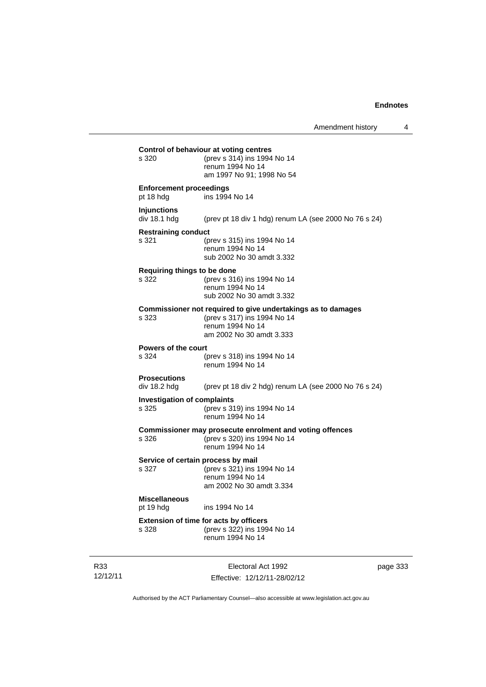| s 328                                       | <b>Extension of time for acts by officers</b><br>(prev s 322) ins 1994 No 14<br>renum 1994 No 14                                            |
|---------------------------------------------|---------------------------------------------------------------------------------------------------------------------------------------------|
| <b>Miscellaneous</b><br>pt 19 hdg           | ins 1994 No 14                                                                                                                              |
| s 327                                       | Service of certain process by mail<br>(prev s 321) ins 1994 No 14<br>renum 1994 No 14<br>am 2002 No 30 amdt 3.334                           |
| s 326                                       | Commissioner may prosecute enrolment and voting offences<br>(prev s 320) ins 1994 No 14<br>renum 1994 No 14                                 |
| <b>Investigation of complaints</b><br>s 325 | (prev s 319) ins 1994 No 14<br>renum 1994 No 14                                                                                             |
| <b>Prosecutions</b><br>div 18.2 hdg         | (prev pt 18 div 2 hdg) renum LA (see 2000 No 76 s 24)                                                                                       |
| <b>Powers of the court</b><br>s 324         | (prev s 318) ins 1994 No 14<br>renum 1994 No 14                                                                                             |
| s 323                                       | Commissioner not required to give undertakings as to damages<br>(prev s 317) ins 1994 No 14<br>renum 1994 No 14<br>am 2002 No 30 amdt 3.333 |
| Requiring things to be done<br>s 322        | (prev s 316) ins 1994 No 14<br>renum 1994 No 14<br>sub 2002 No 30 amdt 3.332                                                                |
| <b>Restraining conduct</b><br>s 321         | (prev s 315) ins 1994 No 14<br>renum 1994 No 14<br>sub 2002 No 30 amdt 3.332                                                                |
| <b>Injunctions</b><br>div 18.1 hdg          | (prev pt 18 div 1 hdg) renum LA (see 2000 No 76 s 24)                                                                                       |
| <b>Enforcement proceedings</b><br>pt 18 hdg | ins 1994 No 14                                                                                                                              |
|                                             | renum 1994 No 14<br>am 1997 No 91; 1998 No 54                                                                                               |

R33 12/12/11

Electoral Act 1992 Effective: 12/12/11-28/02/12 page 333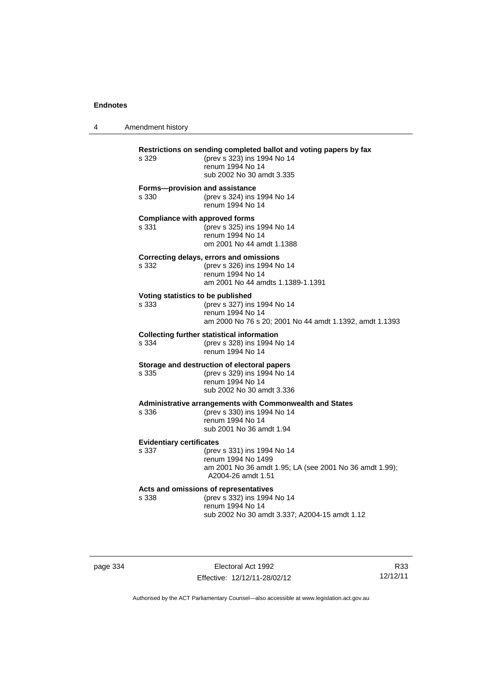| 4 | Amendment history                              |                                                                                                                                                   |
|---|------------------------------------------------|---------------------------------------------------------------------------------------------------------------------------------------------------|
|   | s 329                                          | Restrictions on sending completed ballot and voting papers by fax<br>(prev s 323) ins 1994 No 14<br>renum 1994 No 14<br>sub 2002 No 30 amdt 3.335 |
|   | Forms-provision and assistance<br>s 330        | (prev s 324) ins 1994 No 14<br>renum 1994 No 14                                                                                                   |
|   | <b>Compliance with approved forms</b><br>s 331 | (prev s 325) ins 1994 No 14<br>renum 1994 No 14<br>om 2001 No 44 amdt 1.1388                                                                      |
|   | s 332                                          | Correcting delays, errors and omissions<br>(prev s 326) ins 1994 No 14<br>renum 1994 No 14<br>am 2001 No 44 amdts 1.1389-1.1391                   |
|   | Voting statistics to be published<br>s 333     | (prev s 327) ins 1994 No 14<br>renum 1994 No 14<br>am 2000 No 76 s 20; 2001 No 44 amdt 1.1392, amdt 1.1393                                        |
|   | s 334                                          | <b>Collecting further statistical information</b><br>(prev s 328) ins 1994 No 14<br>renum 1994 No 14                                              |
|   | s 335                                          | Storage and destruction of electoral papers<br>(prev s 329) ins 1994 No 14<br>renum 1994 No 14<br>sub 2002 No 30 amdt 3.336                       |
|   | s 336                                          | Administrative arrangements with Commonwealth and States<br>(prev s 330) ins 1994 No 14<br>renum 1994 No 14<br>sub 2001 No 36 amdt 1.94           |
|   | <b>Evidentiary certificates</b><br>s 337       | (prev s 331) ins 1994 No 14<br>renum 1994 No 1499<br>am 2001 No 36 amdt 1.95; LA (see 2001 No 36 amdt 1.99);<br>A2004-26 amdt 1.51                |
|   | s 338                                          | Acts and omissions of representatives<br>(prev s 332) ins 1994 No 14<br>renum 1994 No 14<br>sub 2002 No 30 amdt 3.337; A2004-15 amdt 1.12         |

page 334 Electoral Act 1992 Effective: 12/12/11-28/02/12

R33 12/12/11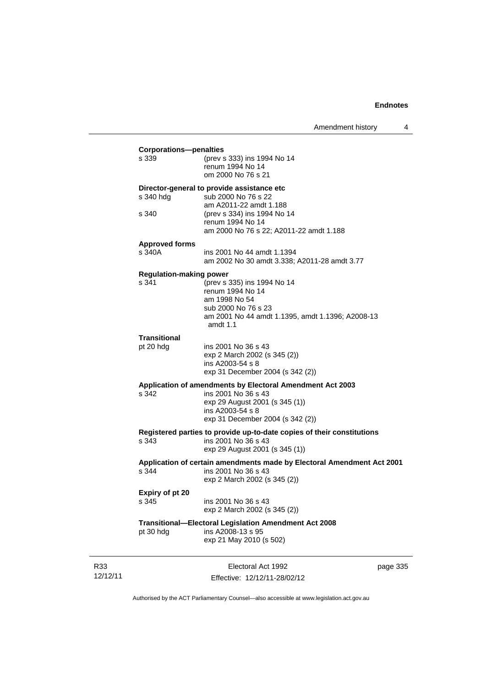### **Corporations—penalties**<br>s 339 (prev s s 339 (prev s 333) ins 1994 No 14 renum 1994 No 14 om 2000 No 76 s 21 **Director-general to provide assistance etc** s 340 hdg sub 2000 No 76 s 22 am A2011-22 amdt 1.188<br>s 340 (prev s 334) ins 1994 No

(prev s 334) ins 1994 No 14 renum 1994 No 14 am 2000 No 76 s 22; A2011-22 amdt 1.188

## **Approved forms**

| s 340A | ins 2001 No 44 amdt 1.1394                   |
|--------|----------------------------------------------|
|        | am 2002 No 30 amdt 3.338; A2011-28 amdt 3.77 |

### **Regulation-making power**

| s 341 | (prev s 335) ins 1994 No 14                                    |
|-------|----------------------------------------------------------------|
|       | renum 1994 No 14                                               |
|       | am 1998 No 54                                                  |
|       | sub 2000 No 76 s 23                                            |
|       | am 2001 No 44 amdt 1.1395, amdt 1.1396; A2008-13<br>amdt $1.1$ |
|       |                                                                |

### **Transitional**

pt 20 hdg ins 2001 No 36 s 43 exp 2 March 2002 (s 345 (2)) ins A2003-54 s 8 exp 31 December 2004 (s 342 (2))

### **Application of amendments by Electoral Amendment Act 2003**

s 342 ins 2001 No 36 s 43

exp 29 August 2001 (s 345 (1)) ins A2003-54 s 8 exp 31 December 2004 (s 342 (2))

### **Registered parties to provide up-to-date copies of their constitutions** s 343 ins 2001 No 36 s 43

exp 29 August 2001 (s 345 (1))

### **Application of certain amendments made by Electoral Amendment Act 2001** s 344 ins 2001 No 36 s 43

exp 2 March 2002 (s 345 (2))

| Expiry of pt 20 |              |
|-----------------|--------------|
| s 345           | ins 20       |
|                 | . <b>. 0</b> |

001 No 36 s 43 exp 2 March 2002 (s 345 (2))

# **Transitional—Electoral Legislation Amendment Act 2008**

 $ins A2008-13 s 95$ exp 21 May 2010 (s 502)

R33 12/12/11

Electoral Act 1992 Effective: 12/12/11-28/02/12 page 335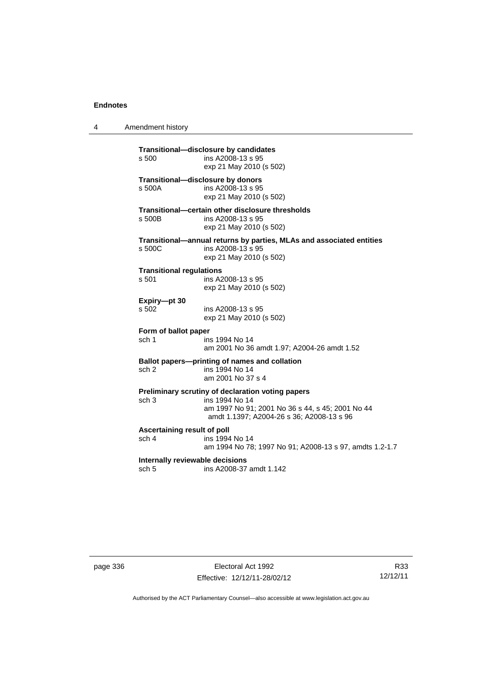| 4 | Amendment history |
|---|-------------------|
|---|-------------------|

**Transitional—disclosure by candidates**  ins A2008-13 s 95 exp 21 May 2010 (s 502) **Transitional—disclosure by donors**  ins A2008-13 s 95 exp 21 May 2010 (s 502) **Transitional—certain other disclosure thresholds**  s 500B ins A2008-13 s 95 exp 21 May 2010 (s 502) **Transitional—annual returns by parties, MLAs and associated entities**  s 500C ins A2008-13 s 95 exp 21 May 2010 (s 502) **Transitional regulations**  s 501 ins A2008-13 s 95 exp 21 May 2010 (s 502) **Expiry—pt 30**  ins A2008-13 s 95 exp 21 May 2010 (s 502) **Form of ballot paper** sch 1 ins 1994 No 14 am 2001 No 36 amdt 1.97; A2004-26 amdt 1.52 **Ballot papers—printing of names and collation**<br>sch 2 ins 1994 No 14 ins 1994 No 14 am 2001 No 37 s 4 **Preliminary scrutiny of declaration voting papers** sch 3 ins 1994 No 14 am 1997 No 91; 2001 No 36 s 44, s 45; 2001 No 44 amdt 1.1397; A2004-26 s 36; A2008-13 s 96 **Ascertaining result of poll** sch 4 ins 1994 No 14 am 1994 No 78; 1997 No 91; A2008-13 s 97, amdts 1.2-1.7 **Internally reviewable decisions**  sch 5 ins A2008-37 amdt 1.142

page 336 Electoral Act 1992 Effective: 12/12/11-28/02/12

R33 12/12/11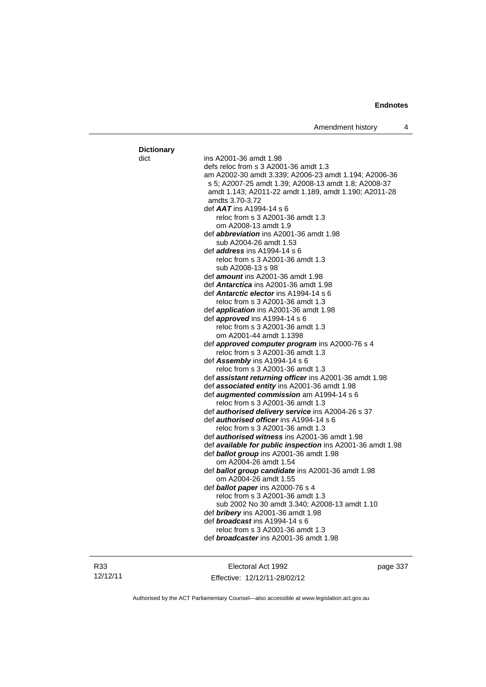| <b>Dictionary</b> |                                                                             |
|-------------------|-----------------------------------------------------------------------------|
| dict              | ins A2001-36 amdt 1.98                                                      |
|                   | defs reloc from s 3 A2001-36 amdt 1.3                                       |
|                   | am A2002-30 amdt 3.339; A2006-23 amdt 1.194; A2006-36                       |
|                   | s 5; A2007-25 amdt 1.39; A2008-13 amdt 1.8; A2008-37                        |
|                   | amdt 1.143; A2011-22 amdt 1.189, amdt 1.190; A2011-28                       |
|                   | amdts 3.70-3.72                                                             |
|                   | def AAT ins A1994-14 s 6                                                    |
|                   | reloc from s 3 A2001-36 amdt 1.3                                            |
|                   | om A2008-13 amdt 1.9                                                        |
|                   | def <i>abbreviation</i> ins A2001-36 amdt 1.98                              |
|                   | sub A2004-26 amdt 1.53                                                      |
|                   | def <i>address</i> ins A1994-14 s 6                                         |
|                   | reloc from s 3 A2001-36 amdt 1.3                                            |
|                   | sub A2008-13 s 98                                                           |
|                   | def <i>amount</i> ins A2001-36 amdt 1.98                                    |
|                   | def Antarctica ins A2001-36 amdt 1.98                                       |
|                   | def <i>Antarctic elector</i> ins A1994-14 s 6                               |
|                   | reloc from s 3 A2001-36 amdt 1.3                                            |
|                   | def <i>application</i> ins A2001-36 amdt 1.98                               |
|                   | def <i>approved</i> ins A1994-14 s 6                                        |
|                   | reloc from s 3 A2001-36 amdt 1.3                                            |
|                   | om A2001-44 amdt 1.1398                                                     |
|                   | def approved computer program ins A2000-76 s 4                              |
|                   | reloc from s 3 A2001-36 amdt 1.3                                            |
|                   | def Assembly ins A1994-14 s 6                                               |
|                   | reloc from s 3 A2001-36 amdt 1.3                                            |
|                   | def <b>assistant returning officer</b> ins A2001-36 amdt 1.98               |
|                   | def associated entity ins A2001-36 amdt 1.98                                |
|                   | def <b>augmented commission</b> am A1994-14 s 6                             |
|                   | reloc from s 3 A2001-36 amdt 1.3                                            |
|                   | def authorised delivery service ins A2004-26 s 37                           |
|                   | def <i>authorised officer</i> ins A1994-14 s 6                              |
|                   | reloc from s 3 A2001-36 amdt 1.3                                            |
|                   | def <b>authorised witness</b> ins A2001-36 amdt 1.98                        |
|                   | def available for public inspection ins A2001-36 amdt 1.98                  |
|                   | def ballot group ins A2001-36 amdt 1.98                                     |
|                   | om A2004-26 amdt 1.54                                                       |
|                   | def ballot group candidate ins A2001-36 amdt 1.98                           |
|                   | om A2004-26 amdt 1.55                                                       |
|                   | def ballot paper ins A2000-76 s 4                                           |
|                   | reloc from s 3 A2001-36 amdt 1.3                                            |
|                   | sub 2002 No 30 amdt 3.340; A2008-13 amdt 1.10                               |
|                   | def bribery ins A2001-36 amdt 1.98<br>def <i>broadcast</i> ins A1994-14 s 6 |
|                   | reloc from s 3 A2001-36 amdt 1.3                                            |
|                   | def <i>broadcaster</i> ins A2001-36 amdt 1.98                               |
|                   |                                                                             |
|                   |                                                                             |

R33 12/12/11

Electoral Act 1992 Effective: 12/12/11-28/02/12 page 337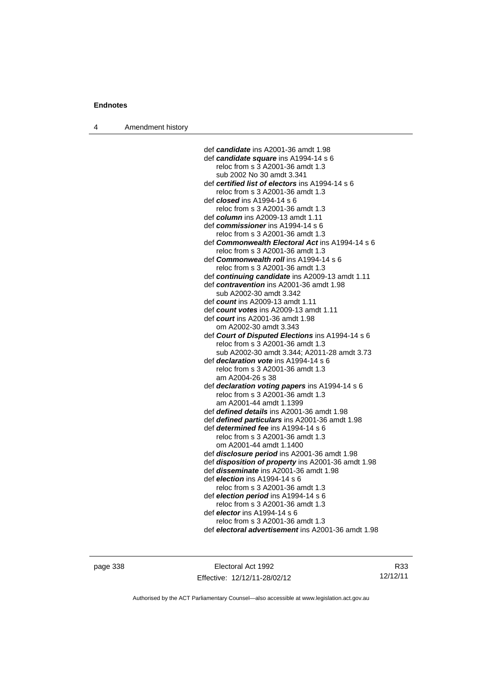4 Amendment history

 def *candidate* ins A2001-36 amdt 1.98 def *candidate square* ins A1994-14 s 6 reloc from s 3 A2001-36 amdt 1.3 sub 2002 No 30 amdt 3.341 def *certified list of electors* ins A1994-14 s 6 reloc from s 3 A2001-36 amdt 1.3 def *closed* ins A1994-14 s 6 reloc from s 3 A2001-36 amdt 1.3 def *column* ins A2009-13 amdt 1.11 def *commissioner* ins A1994-14 s 6 reloc from s 3 A2001-36 amdt 1.3 def *Commonwealth Electoral Act* ins A1994-14 s 6 reloc from s 3 A2001-36 amdt 1.3 def *Commonwealth roll* ins A1994-14 s 6 reloc from s 3 A2001-36 amdt 1.3 def *continuing candidate* ins A2009-13 amdt 1.11 def *contravention* ins A2001-36 amdt 1.98 sub A2002-30 amdt 3.342 def *count* ins A2009-13 amdt 1.11 def *count votes* ins A2009-13 amdt 1.11 def *court* ins A2001-36 amdt 1.98 om A2002-30 amdt 3.343 def *Court of Disputed Elections* ins A1994-14 s 6 reloc from s 3 A2001-36 amdt 1.3 sub A2002-30 amdt 3.344; A2011-28 amdt 3.73 def *declaration vote* ins A1994-14 s 6 reloc from s 3 A2001-36 amdt 1.3 am A2004-26 s 38 def *declaration voting papers* ins A1994-14 s 6 reloc from s 3 A2001-36 amdt 1.3 am A2001-44 amdt 1.1399 def *defined details* ins A2001-36 amdt 1.98 def *defined particulars* ins A2001-36 amdt 1.98 def *determined fee* ins A1994-14 s 6 reloc from s 3 A2001-36 amdt 1.3 om A2001-44 amdt 1.1400 def *disclosure period* ins A2001-36 amdt 1.98 def *disposition of property* ins A2001-36 amdt 1.98 def *disseminate* ins A2001-36 amdt 1.98 def *election* ins A1994-14 s 6 reloc from s 3 A2001-36 amdt 1.3 def *election period* ins A1994-14 s 6 reloc from s 3 A2001-36 amdt 1.3 def *elector* ins A1994-14 s 6 reloc from s 3 A2001-36 amdt 1.3 def *electoral advertisement* ins A2001-36 amdt 1.98

page 338 Electoral Act 1992 Effective: 12/12/11-28/02/12

R33 12/12/11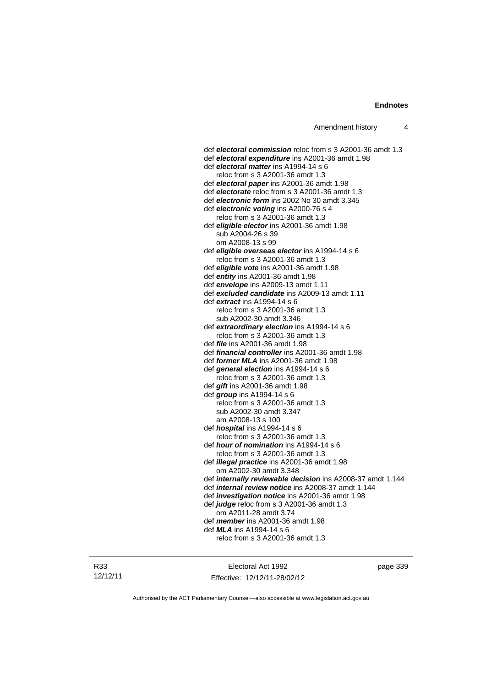def *electoral commission* reloc from s 3 A2001-36 amdt 1.3 def *electoral expenditure* ins A2001-36 amdt 1.98 def *electoral matter* ins A1994-14 s 6 reloc from s 3 A2001-36 amdt 1.3 def *electoral paper* ins A2001-36 amdt 1.98 def *electorate* reloc from s 3 A2001-36 amdt 1.3 def *electronic form* ins 2002 No 30 amdt 3.345 def *electronic voting* ins A2000-76 s 4 reloc from s 3 A2001-36 amdt 1.3 def *eligible elector* ins A2001-36 amdt 1.98 sub A2004-26 s 39 om A2008-13 s 99 def *eligible overseas elector* ins A1994-14 s 6 reloc from s 3 A2001-36 amdt 1.3 def *eligible vote* ins A2001-36 amdt 1.98 def *entity* ins A2001-36 amdt 1.98 def *envelope* ins A2009-13 amdt 1.11 def *excluded candidate* ins A2009-13 amdt 1.11 def *extract* ins A1994-14 s 6 reloc from s 3 A2001-36 amdt 1.3 sub A2002-30 amdt 3.346 def *extraordinary election* ins A1994-14 s 6 reloc from s 3 A2001-36 amdt 1.3 def *file* ins A2001-36 amdt 1.98 def *financial controller* ins A2001-36 amdt 1.98 def *former MLA* ins A2001-36 amdt 1.98 def *general election* ins A1994-14 s 6 reloc from s 3 A2001-36 amdt 1.3 def *gift* ins A2001-36 amdt 1.98 def *group* ins A1994-14 s 6 reloc from s 3 A2001-36 amdt 1.3 sub A2002-30 amdt 3.347 am A2008-13 s 100 def *hospital* ins A1994-14 s 6 reloc from s 3 A2001-36 amdt 1.3 def *hour of nomination* ins A1994-14 s 6 reloc from s 3 A2001-36 amdt 1.3 def *illegal practice* ins A2001-36 amdt 1.98 om A2002-30 amdt 3.348 def *internally reviewable decision* ins A2008-37 amdt 1.144 def *internal review notice* ins A2008-37 amdt 1.144 def *investigation notice* ins A2001-36 amdt 1.98 def *judge* reloc from s 3 A2001-36 amdt 1.3 om A2011-28 amdt 3.74 def *member* ins A2001-36 amdt 1.98 def *MLA* ins A1994-14 s 6 reloc from s 3 A2001-36 amdt 1.3

R33 12/12/11

Electoral Act 1992 Effective: 12/12/11-28/02/12 page 339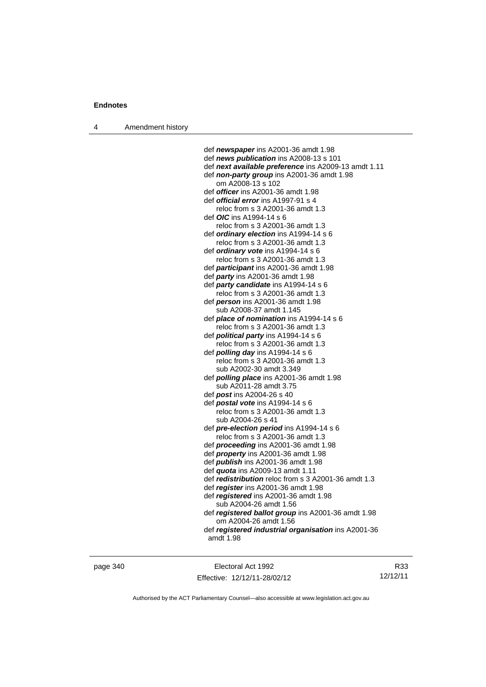4 Amendment history

 def *newspaper* ins A2001-36 amdt 1.98 def *news publication* ins A2008-13 s 101 def *next available preference* ins A2009-13 amdt 1.11 def *non-party group* ins A2001-36 amdt 1.98 om A2008-13 s 102 def *officer* ins A2001-36 amdt 1.98 def *official error* ins A1997-91 s 4 reloc from s 3 A2001-36 amdt 1.3 def *OIC* ins A1994-14 s 6 reloc from s 3 A2001-36 amdt 1.3 def *ordinary election* ins A1994-14 s 6 reloc from s 3 A2001-36 amdt 1.3 def *ordinary vote* ins A1994-14 s 6 reloc from s 3 A2001-36 amdt 1.3 def *participant* ins A2001-36 amdt 1.98 def *party* ins A2001-36 amdt 1.98 def *party candidate* ins A1994-14 s 6 reloc from s 3 A2001-36 amdt 1.3 def *person* ins A2001-36 amdt 1.98 sub A2008-37 amdt 1.145 def *place of nomination* ins A1994-14 s 6 reloc from s 3 A2001-36 amdt 1.3 def *political party* ins A1994-14 s 6 reloc from s 3 A2001-36 amdt 1.3 def *polling day* ins A1994-14 s 6 reloc from s 3 A2001-36 amdt 1.3 sub A2002-30 amdt 3.349 def *polling place* ins A2001-36 amdt 1.98 sub A2011-28 amdt 3.75 def *post* ins A2004-26 s 40 def *postal vote* ins A1994-14 s 6 reloc from s 3 A2001-36 amdt 1.3 sub A2004-26 s 41 def *pre-election period* ins A1994-14 s 6 reloc from s 3 A2001-36 amdt 1.3 def *proceeding* ins A2001-36 amdt 1.98 def *property* ins A2001-36 amdt 1.98 def *publish* ins A2001-36 amdt 1.98 def *quota* ins A2009-13 amdt 1.11 def *redistribution* reloc from s 3 A2001-36 amdt 1.3 def *register* ins A2001-36 amdt 1.98 def *registered* ins A2001-36 amdt 1.98 sub A2004-26 amdt 1.56 def *registered ballot group* ins A2001-36 amdt 1.98 om A2004-26 amdt 1.56 def *registered industrial organisation* ins A2001-36 amdt 1.98

page 340 Electoral Act 1992 Effective: 12/12/11-28/02/12

R33 12/12/11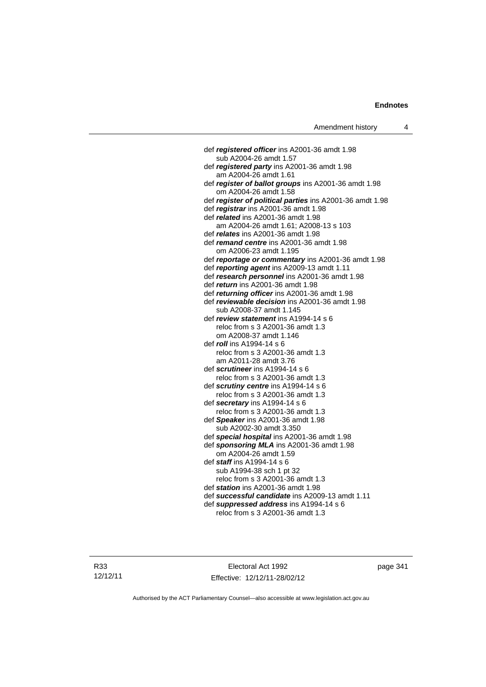def *registered officer* ins A2001-36 amdt 1.98 sub A2004-26 amdt 1.57 def *registered party* ins A2001-36 amdt 1.98 am A2004-26 amdt 1.61 def *register of ballot groups* ins A2001-36 amdt 1.98 om A2004-26 amdt 1.58 def *register of political parties* ins A2001-36 amdt 1.98 def *registrar* ins A2001-36 amdt 1.98 def *related* ins A2001-36 amdt 1.98 am A2004-26 amdt 1.61; A2008-13 s 103 def *relates* ins A2001-36 amdt 1.98 def *remand centre* ins A2001-36 amdt 1.98 om A2006-23 amdt 1.195 def *reportage or commentary* ins A2001-36 amdt 1.98 def *reporting agent* ins A2009-13 amdt 1.11 def *research personnel* ins A2001-36 amdt 1.98 def *return* ins A2001-36 amdt 1.98 def *returning officer* ins A2001-36 amdt 1.98 def *reviewable decision* ins A2001-36 amdt 1.98 sub A2008-37 amdt 1.145 def *review statement* ins A1994-14 s 6 reloc from s 3 A2001-36 amdt 1.3 om A2008-37 amdt 1.146 def *roll* ins A1994-14 s 6 reloc from s 3 A2001-36 amdt 1.3 am A2011-28 amdt 3.76 def *scrutineer* ins A1994-14 s 6 reloc from s 3 A2001-36 amdt 1.3 def *scrutiny centre* ins A1994-14 s 6 reloc from s 3 A2001-36 amdt 1.3 def *secretary* ins A1994-14 s 6 reloc from s 3 A2001-36 amdt 1.3 def *Speaker* ins A2001-36 amdt 1.98 sub A2002-30 amdt 3.350 def *special hospital* ins A2001-36 amdt 1.98 def *sponsoring MLA* ins A2001-36 amdt 1.98 om A2004-26 amdt 1.59 def *staff* ins A1994-14 s 6 sub A1994-38 sch 1 pt 32 reloc from s 3 A2001-36 amdt 1.3 def *station* ins A2001-36 amdt 1.98 def *successful candidate* ins A2009-13 amdt 1.11 def *suppressed address* ins A1994-14 s 6 reloc from s 3 A2001-36 amdt 1.3

R33 12/12/11

Electoral Act 1992 Effective: 12/12/11-28/02/12 page 341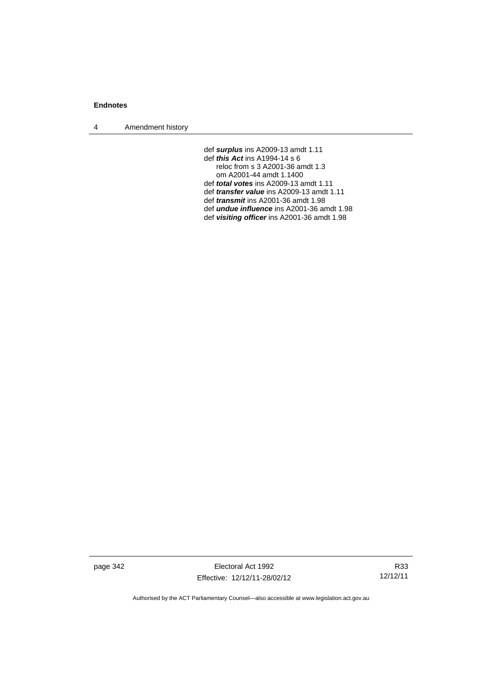4 Amendment history

def *surplus* ins A2009-13 amdt 1.11 def *this Act* ins A1994-14 s 6 reloc from s 3 A2001-36 amdt 1.3 om A2001-44 amdt 1.1400 def *total votes* ins A2009-13 amdt 1.11 def *transfer value* ins A2009-13 amdt 1.11 def *transmit* ins A2001-36 amdt 1.98 def *undue influence* ins A2001-36 amdt 1.98 def *visiting officer* ins A2001-36 amdt 1.98

page 342 Electoral Act 1992 Effective: 12/12/11-28/02/12

R33 12/12/11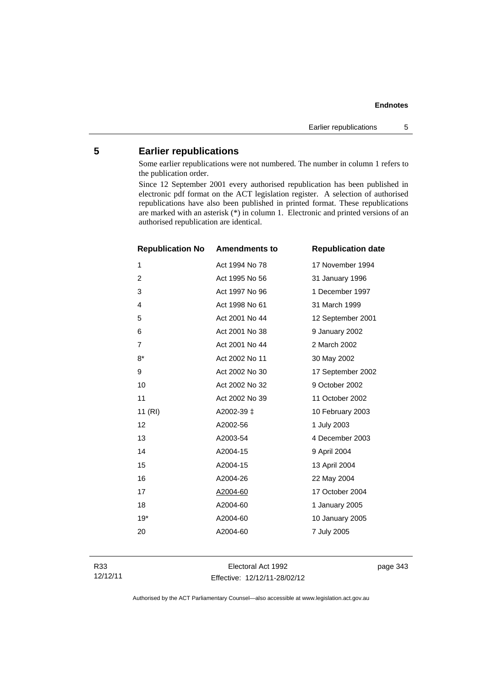## **Endnotes**

## **5 Earlier republications**

Some earlier republications were not numbered. The number in column 1 refers to the publication order.

Since 12 September 2001 every authorised republication has been published in electronic pdf format on the ACT legislation register. A selection of authorised republications have also been published in printed format. These republications are marked with an asterisk (\*) in column 1. Electronic and printed versions of an authorised republication are identical.

| <b>Republication No</b> | <b>Amendments to</b> | <b>Republication date</b> |
|-------------------------|----------------------|---------------------------|
| 1                       | Act 1994 No 78       | 17 November 1994          |
| 2                       | Act 1995 No 56       | 31 January 1996           |
| 3                       | Act 1997 No 96       | 1 December 1997           |
| 4                       | Act 1998 No 61       | 31 March 1999             |
| 5                       | Act 2001 No 44       | 12 September 2001         |
| 6                       | Act 2001 No 38       | 9 January 2002            |
| $\overline{7}$          | Act 2001 No 44       | 2 March 2002              |
| $8*$                    | Act 2002 No 11       | 30 May 2002               |
| 9                       | Act 2002 No 30       | 17 September 2002         |
| 10                      | Act 2002 No 32       | 9 October 2002            |
| 11                      | Act 2002 No 39       | 11 October 2002           |
| 11 (RI)                 | A2002-39 ±           | 10 February 2003          |
| 12                      | A2002-56             | 1 July 2003               |
| 13                      | A2003-54             | 4 December 2003           |
| 14                      | A2004-15             | 9 April 2004              |
| 15                      | A2004-15             | 13 April 2004             |
| 16                      | A2004-26             | 22 May 2004               |
| 17                      | A2004-60             | 17 October 2004           |
| 18                      | A2004-60             | 1 January 2005            |
| $19*$                   | A2004-60             | 10 January 2005           |
| 20                      | A2004-60             | 7 July 2005               |
|                         |                      |                           |

Electoral Act 1992 Effective: 12/12/11-28/02/12 page 343

Authorised by the ACT Parliamentary Counsel—also accessible at www.legislation.act.gov.au